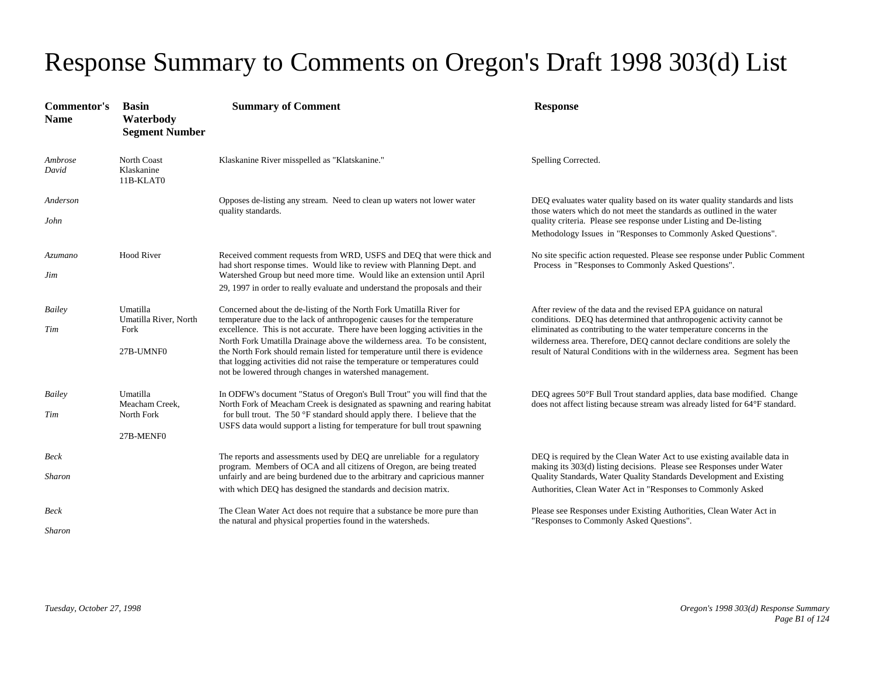## Response Summary to Comments on Oregon's Draft 1998 303(d) List

| Commentor's<br><b>Name</b> | <b>Basin</b><br>Waterbody<br><b>Segment Number</b> | <b>Summary of Comment</b>                                                                                                                                                                                                                                                                          | <b>Response</b>                                                                                                                                                                                                 |
|----------------------------|----------------------------------------------------|----------------------------------------------------------------------------------------------------------------------------------------------------------------------------------------------------------------------------------------------------------------------------------------------------|-----------------------------------------------------------------------------------------------------------------------------------------------------------------------------------------------------------------|
| Ambrose<br>David           | North Coast<br>Klaskanine<br>11B-KLAT0             | Klaskanine River misspelled as "Klatskanine."                                                                                                                                                                                                                                                      | Spelling Corrected.                                                                                                                                                                                             |
| Anderson                   |                                                    | Opposes de-listing any stream. Need to clean up waters not lower water<br>quality standards.                                                                                                                                                                                                       | DEQ evaluates water quality based on its water quality standards and lists<br>those waters which do not meet the standards as outlined in the water                                                             |
| John                       |                                                    |                                                                                                                                                                                                                                                                                                    | quality criteria. Please see response under Listing and De-listing<br>Methodology Issues in "Responses to Commonly Asked Questions".                                                                            |
| Azumano                    | <b>Hood River</b>                                  | Received comment requests from WRD, USFS and DEQ that were thick and<br>had short response times. Would like to review with Planning Dept. and                                                                                                                                                     | No site specific action requested. Please see response under Public Comment<br>Process in "Responses to Commonly Asked Questions".                                                                              |
| Jim                        |                                                    | Watershed Group but need more time. Would like an extension until April<br>29, 1997 in order to really evaluate and understand the proposals and their                                                                                                                                             |                                                                                                                                                                                                                 |
| Bailey<br>Tim              | Umatilla<br>Umatilla River, North<br>Fork          | Concerned about the de-listing of the North Fork Umatilla River for<br>temperature due to the lack of anthropogenic causes for the temperature<br>excellence. This is not accurate. There have been logging activities in the                                                                      | After review of the data and the revised EPA guidance on natural<br>conditions. DEQ has determined that anthropogenic activity cannot be<br>eliminated as contributing to the water temperature concerns in the |
|                            | 27B-UMNF0                                          | North Fork Umatilla Drainage above the wilderness area. To be consistent,<br>the North Fork should remain listed for temperature until there is evidence<br>that logging activities did not raise the temperature or temperatures could<br>not be lowered through changes in watershed management. | wilderness area. Therefore, DEQ cannot declare conditions are solely the<br>result of Natural Conditions with in the wilderness area. Segment has been                                                          |
| Bailey                     | Umatilla<br>Meacham Creek,                         | In ODFW's document "Status of Oregon's Bull Trout" you will find that the<br>North Fork of Meacham Creek is designated as spawning and rearing habitat                                                                                                                                             | DEQ agrees 50°F Bull Trout standard applies, data base modified. Change<br>does not affect listing because stream was already listed for 64°F standard.                                                         |
| Tim                        | North Fork                                         | for bull trout. The 50 °F standard should apply there. I believe that the<br>USFS data would support a listing for temperature for bull trout spawning                                                                                                                                             |                                                                                                                                                                                                                 |
|                            | 27B-MENF0                                          |                                                                                                                                                                                                                                                                                                    |                                                                                                                                                                                                                 |
| <b>Beck</b>                |                                                    | The reports and assessments used by DEQ are unreliable for a regulatory<br>program. Members of OCA and all citizens of Oregon, are being treated                                                                                                                                                   | DEQ is required by the Clean Water Act to use existing available data in<br>making its 303(d) listing decisions. Please see Responses under Water                                                               |
| <b>Sharon</b>              |                                                    | unfairly and are being burdened due to the arbitrary and capricious manner<br>with which DEQ has designed the standards and decision matrix.                                                                                                                                                       | Quality Standards, Water Quality Standards Development and Existing<br>Authorities, Clean Water Act in "Responses to Commonly Asked                                                                             |
| <b>Beck</b>                |                                                    | The Clean Water Act does not require that a substance be more pure than<br>the natural and physical properties found in the watersheds.                                                                                                                                                            | Please see Responses under Existing Authorities, Clean Water Act in<br>"Responses to Commonly Asked Questions".                                                                                                 |
| Sharon                     |                                                    |                                                                                                                                                                                                                                                                                                    |                                                                                                                                                                                                                 |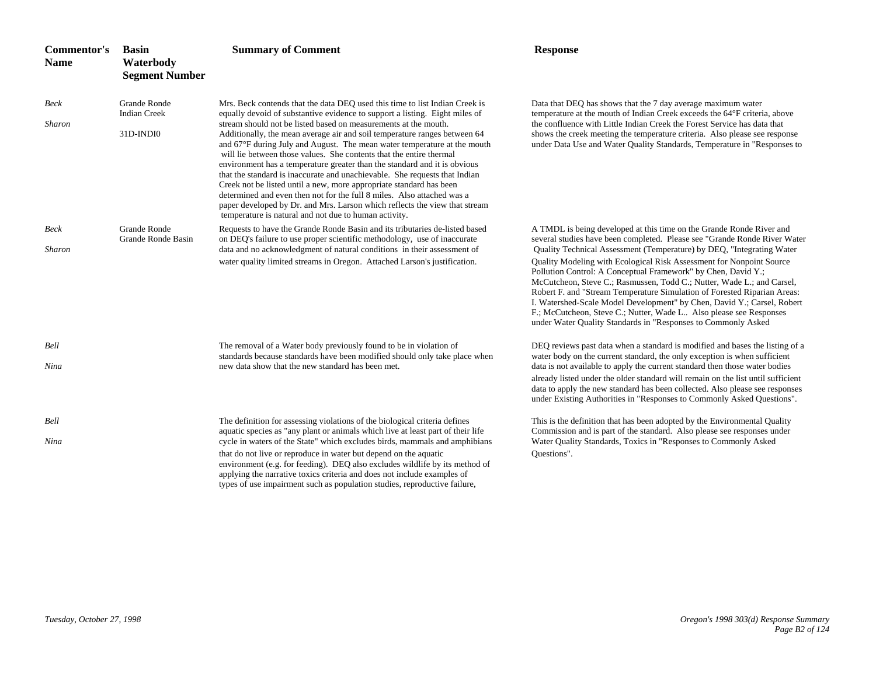| Commentor's<br><b>Name</b>   | <b>Basin</b><br>Waterbody<br><b>Segment Number</b> | <b>Summary of Comment</b>                                                                                                                                                                                                                                                                                                                                                                                                                                                                                                                                                                                                                                                                                                                                                                                                                                                                                        | <b>Response</b>                                                                                                                                                                                                                                                                                                                                                                                                                                                                                                                                                                                                                                                                                                                              |
|------------------------------|----------------------------------------------------|------------------------------------------------------------------------------------------------------------------------------------------------------------------------------------------------------------------------------------------------------------------------------------------------------------------------------------------------------------------------------------------------------------------------------------------------------------------------------------------------------------------------------------------------------------------------------------------------------------------------------------------------------------------------------------------------------------------------------------------------------------------------------------------------------------------------------------------------------------------------------------------------------------------|----------------------------------------------------------------------------------------------------------------------------------------------------------------------------------------------------------------------------------------------------------------------------------------------------------------------------------------------------------------------------------------------------------------------------------------------------------------------------------------------------------------------------------------------------------------------------------------------------------------------------------------------------------------------------------------------------------------------------------------------|
| <b>Beck</b><br><b>Sharon</b> | Grande Ronde<br><b>Indian Creek</b><br>31D-INDI0   | Mrs. Beck contends that the data DEQ used this time to list Indian Creek is<br>equally devoid of substantive evidence to support a listing. Eight miles of<br>stream should not be listed based on measurements at the mouth.<br>Additionally, the mean average air and soil temperature ranges between 64<br>and 67°F during July and August. The mean water temperature at the mouth<br>will lie between those values. She contents that the entire thermal<br>environment has a temperature greater than the standard and it is obvious<br>that the standard is inaccurate and unachievable. She requests that Indian<br>Creek not be listed until a new, more appropriate standard has been<br>determined and even then not for the full 8 miles. Also attached was a<br>paper developed by Dr. and Mrs. Larson which reflects the view that stream<br>temperature is natural and not due to human activity. | Data that DEQ has shows that the 7 day average maximum water<br>temperature at the mouth of Indian Creek exceeds the 64°F criteria, above<br>the confluence with Little Indian Creek the Forest Service has data that<br>shows the creek meeting the temperature criteria. Also please see response<br>under Data Use and Water Quality Standards, Temperature in "Responses to                                                                                                                                                                                                                                                                                                                                                              |
| <b>Beck</b><br>Sharon        | <b>Grande Ronde</b><br>Grande Ronde Basin          | Requests to have the Grande Ronde Basin and its tributaries de-listed based<br>on DEQ's failure to use proper scientific methodology, use of inaccurate<br>data and no acknowledgment of natural conditions in their assessment of<br>water quality limited streams in Oregon. Attached Larson's justification.                                                                                                                                                                                                                                                                                                                                                                                                                                                                                                                                                                                                  | A TMDL is being developed at this time on the Grande Ronde River and<br>several studies have been completed. Please see "Grande Ronde River Water<br>Quality Technical Assessment (Temperature) by DEQ, "Integrating Water<br>Quality Modeling with Ecological Risk Assessment for Nonpoint Source<br>Pollution Control: A Conceptual Framework" by Chen, David Y.;<br>McCutcheon, Steve C.; Rasmussen, Todd C.; Nutter, Wade L.; and Carsel,<br>Robert F. and "Stream Temperature Simulation of Forested Riparian Areas:<br>I. Watershed-Scale Model Development" by Chen, David Y.; Carsel, Robert<br>F.; McCutcheon, Steve C.; Nutter, Wade L. Also please see Responses<br>under Water Quality Standards in "Responses to Commonly Asked |
| Bell<br>Nina                 |                                                    | The removal of a Water body previously found to be in violation of<br>standards because standards have been modified should only take place when<br>new data show that the new standard has been met.                                                                                                                                                                                                                                                                                                                                                                                                                                                                                                                                                                                                                                                                                                            | DEQ reviews past data when a standard is modified and bases the listing of a<br>water body on the current standard, the only exception is when sufficient<br>data is not available to apply the current standard then those water bodies<br>already listed under the older standard will remain on the list until sufficient<br>data to apply the new standard has been collected. Also please see responses<br>under Existing Authorities in "Responses to Commonly Asked Questions".                                                                                                                                                                                                                                                       |
| Bell<br>Nina                 |                                                    | The definition for assessing violations of the biological criteria defines<br>aquatic species as "any plant or animals which live at least part of their life<br>cycle in waters of the State" which excludes birds, mammals and amphibians<br>that do not live or reproduce in water but depend on the aquatic<br>environment (e.g. for feeding). DEQ also excludes wildlife by its method of<br>applying the narrative toxics criteria and does not include examples of<br>types of use impairment such as population studies, reproductive failure,                                                                                                                                                                                                                                                                                                                                                           | This is the definition that has been adopted by the Environmental Quality<br>Commission and is part of the standard. Also please see responses under<br>Water Quality Standards, Toxics in "Responses to Commonly Asked<br>Ouestions".                                                                                                                                                                                                                                                                                                                                                                                                                                                                                                       |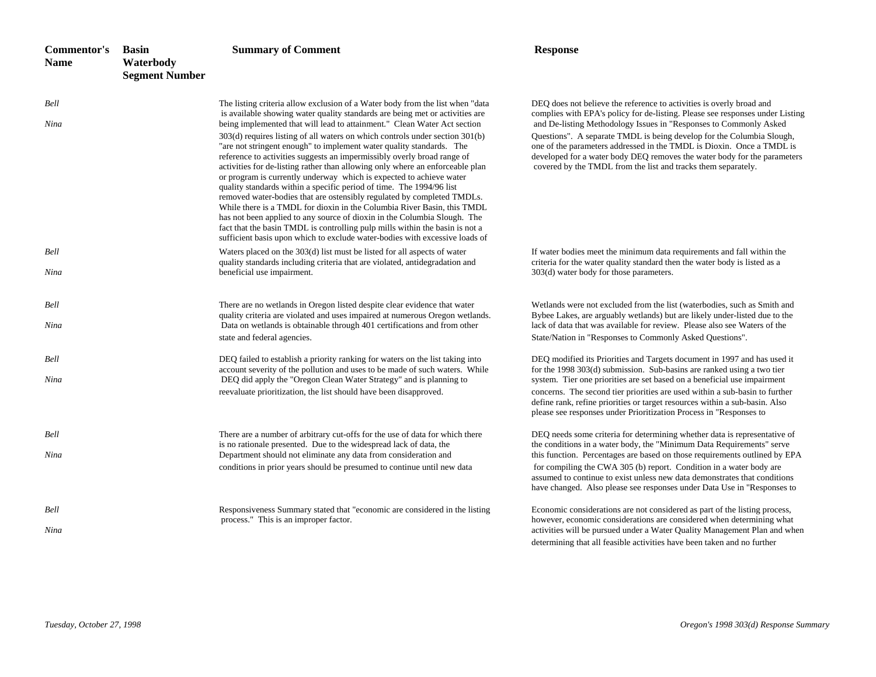| Commentor's<br><b>Name</b> | <b>Basin</b><br>Waterbody<br><b>Segment Number</b> | <b>Summary of Comment</b>                                                                                                                                                                                                                                                                                                                                                                                                                                                                                                                                                                                                                                                                                                                                                                                                                                                                                                                                                                                                                                                                                     | <b>Response</b>                                                                                                                                                                                                                                                                                                                                                                                                                                                                                                            |
|----------------------------|----------------------------------------------------|---------------------------------------------------------------------------------------------------------------------------------------------------------------------------------------------------------------------------------------------------------------------------------------------------------------------------------------------------------------------------------------------------------------------------------------------------------------------------------------------------------------------------------------------------------------------------------------------------------------------------------------------------------------------------------------------------------------------------------------------------------------------------------------------------------------------------------------------------------------------------------------------------------------------------------------------------------------------------------------------------------------------------------------------------------------------------------------------------------------|----------------------------------------------------------------------------------------------------------------------------------------------------------------------------------------------------------------------------------------------------------------------------------------------------------------------------------------------------------------------------------------------------------------------------------------------------------------------------------------------------------------------------|
| Bell<br>Nina               |                                                    | The listing criteria allow exclusion of a Water body from the list when "data"<br>is available showing water quality standards are being met or activities are<br>being implemented that will lead to attainment." Clean Water Act section<br>303(d) requires listing of all waters on which controls under section 301(b)<br>"are not stringent enough" to implement water quality standards. The<br>reference to activities suggests an impermissibly overly broad range of<br>activities for de-listing rather than allowing only where an enforceable plan<br>or program is currently underway which is expected to achieve water<br>quality standards within a specific period of time. The 1994/96 list<br>removed water-bodies that are ostensibly regulated by completed TMDLs.<br>While there is a TMDL for dioxin in the Columbia River Basin, this TMDL<br>has not been applied to any source of dioxin in the Columbia Slough. The<br>fact that the basin TMDL is controlling pulp mills within the basin is not a<br>sufficient basis upon which to exclude water-bodies with excessive loads of | DEQ does not believe the reference to activities is overly broad and<br>complies with EPA's policy for de-listing. Please see responses under Listing<br>and De-listing Methodology Issues in "Responses to Commonly Asked"<br>Questions". A separate TMDL is being develop for the Columbia Slough,<br>one of the parameters addressed in the TMDL is Dioxin. Once a TMDL is<br>developed for a water body DEQ removes the water body for the parameters<br>covered by the TMDL from the list and tracks them separately. |
| Bell<br>Nina               |                                                    | Waters placed on the 303(d) list must be listed for all aspects of water<br>quality standards including criteria that are violated, antidegradation and<br>beneficial use impairment.                                                                                                                                                                                                                                                                                                                                                                                                                                                                                                                                                                                                                                                                                                                                                                                                                                                                                                                         | If water bodies meet the minimum data requirements and fall within the<br>criteria for the water quality standard then the water body is listed as a<br>303(d) water body for those parameters.                                                                                                                                                                                                                                                                                                                            |
| Bell<br>Nina               |                                                    | There are no wetlands in Oregon listed despite clear evidence that water<br>quality criteria are violated and uses impaired at numerous Oregon wetlands.<br>Data on wetlands is obtainable through 401 certifications and from other<br>state and federal agencies.                                                                                                                                                                                                                                                                                                                                                                                                                                                                                                                                                                                                                                                                                                                                                                                                                                           | Wetlands were not excluded from the list (waterbodies, such as Smith and<br>Bybee Lakes, are arguably wetlands) but are likely under-listed due to the<br>lack of data that was available for review. Please also see Waters of the<br>State/Nation in "Responses to Commonly Asked Questions".                                                                                                                                                                                                                            |
| Bell<br>Nina               |                                                    | DEQ failed to establish a priority ranking for waters on the list taking into<br>account severity of the pollution and uses to be made of such waters. While<br>DEQ did apply the "Oregon Clean Water Strategy" and is planning to<br>reevaluate prioritization, the list should have been disapproved.                                                                                                                                                                                                                                                                                                                                                                                                                                                                                                                                                                                                                                                                                                                                                                                                       | DEQ modified its Priorities and Targets document in 1997 and has used it<br>for the 1998 303(d) submission. Sub-basins are ranked using a two tier<br>system. Tier one priorities are set based on a beneficial use impairment<br>concerns. The second tier priorities are used within a sub-basin to further<br>define rank, refine priorities or target resources within a sub-basin. Also<br>please see responses under Prioritization Process in "Responses to                                                         |
| Bell<br>Nina               |                                                    | There are a number of arbitrary cut-offs for the use of data for which there<br>is no rationale presented. Due to the widespread lack of data, the<br>Department should not eliminate any data from consideration and<br>conditions in prior years should be presumed to continue until new data                                                                                                                                                                                                                                                                                                                                                                                                                                                                                                                                                                                                                                                                                                                                                                                                              | DEQ needs some criteria for determining whether data is representative of<br>the conditions in a water body, the "Minimum Data Requirements" serve<br>this function. Percentages are based on those requirements outlined by EPA<br>for compiling the CWA 305 (b) report. Condition in a water body are<br>assumed to continue to exist unless new data demonstrates that conditions<br>have changed. Also please see responses under Data Use in "Responses to                                                            |
| Bell<br>Nina               |                                                    | Responsiveness Summary stated that "economic are considered in the listing<br>process." This is an improper factor.                                                                                                                                                                                                                                                                                                                                                                                                                                                                                                                                                                                                                                                                                                                                                                                                                                                                                                                                                                                           | Economic considerations are not considered as part of the listing process,<br>however, economic considerations are considered when determining what<br>activities will be pursued under a Water Quality Management Plan and when<br>determining that all feasible activities have been taken and no further                                                                                                                                                                                                                |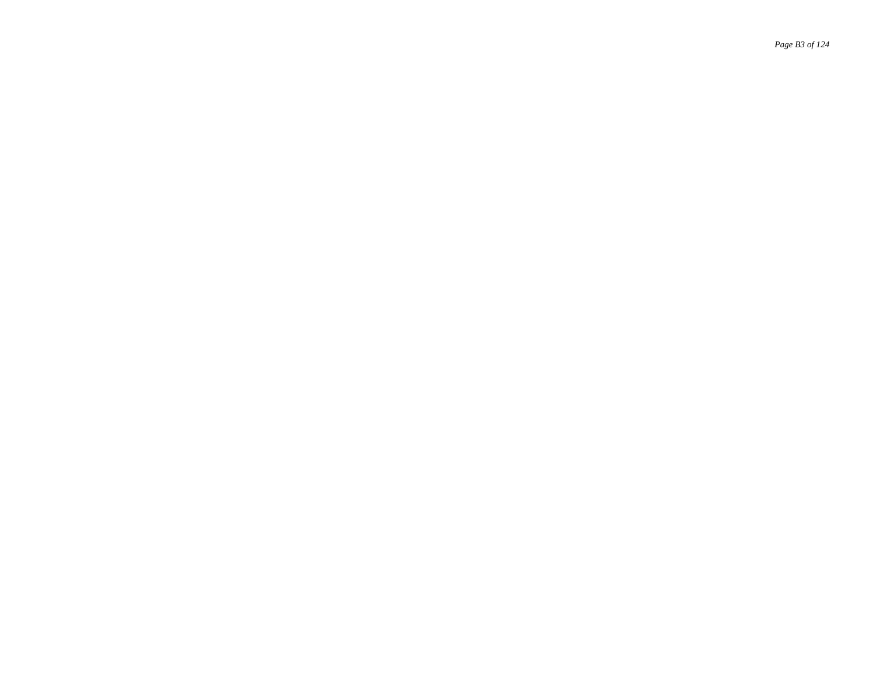*Page B3 of 124*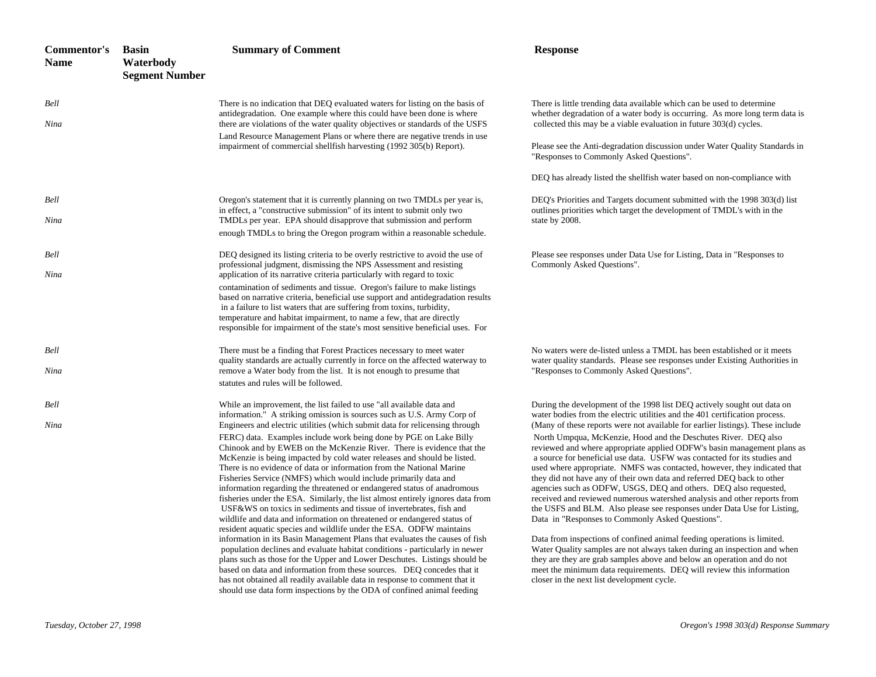| <b>Commentor's</b><br>Name | <b>Basin</b><br>Waterbody<br><b>Segment Number</b> | <b>Summary of Comment</b>                                                                                                                                                                                                                                                                                                                                                                                                                                                                                                                                                                                                                                                                                                                                                                                                                                                                                                                                                                                                                                                                                                                                                                                                           | <b>Response</b>                                                                                                                                                                                                                                                                                                                                                                                                                                                                                                                                                                                                                                                                                                                                                                                                                                                                                                                                                                                                   |
|----------------------------|----------------------------------------------------|-------------------------------------------------------------------------------------------------------------------------------------------------------------------------------------------------------------------------------------------------------------------------------------------------------------------------------------------------------------------------------------------------------------------------------------------------------------------------------------------------------------------------------------------------------------------------------------------------------------------------------------------------------------------------------------------------------------------------------------------------------------------------------------------------------------------------------------------------------------------------------------------------------------------------------------------------------------------------------------------------------------------------------------------------------------------------------------------------------------------------------------------------------------------------------------------------------------------------------------|-------------------------------------------------------------------------------------------------------------------------------------------------------------------------------------------------------------------------------------------------------------------------------------------------------------------------------------------------------------------------------------------------------------------------------------------------------------------------------------------------------------------------------------------------------------------------------------------------------------------------------------------------------------------------------------------------------------------------------------------------------------------------------------------------------------------------------------------------------------------------------------------------------------------------------------------------------------------------------------------------------------------|
| Bell<br>Nina               |                                                    | There is no indication that DEQ evaluated waters for listing on the basis of<br>antidegradation. One example where this could have been done is where<br>there are violations of the water quality objectives or standards of the USFS                                                                                                                                                                                                                                                                                                                                                                                                                                                                                                                                                                                                                                                                                                                                                                                                                                                                                                                                                                                              | There is little trending data available which can be used to determine<br>whether degradation of a water body is occurring. As more long term data is<br>collected this may be a viable evaluation in future 303(d) cycles.                                                                                                                                                                                                                                                                                                                                                                                                                                                                                                                                                                                                                                                                                                                                                                                       |
|                            |                                                    | Land Resource Management Plans or where there are negative trends in use<br>impairment of commercial shellfish harvesting (1992 305(b) Report).                                                                                                                                                                                                                                                                                                                                                                                                                                                                                                                                                                                                                                                                                                                                                                                                                                                                                                                                                                                                                                                                                     | Please see the Anti-degradation discussion under Water Quality Standards in<br>"Responses to Commonly Asked Questions".                                                                                                                                                                                                                                                                                                                                                                                                                                                                                                                                                                                                                                                                                                                                                                                                                                                                                           |
|                            |                                                    |                                                                                                                                                                                                                                                                                                                                                                                                                                                                                                                                                                                                                                                                                                                                                                                                                                                                                                                                                                                                                                                                                                                                                                                                                                     | DEQ has already listed the shell fish water based on non-compliance with                                                                                                                                                                                                                                                                                                                                                                                                                                                                                                                                                                                                                                                                                                                                                                                                                                                                                                                                          |
| Bell<br>Nina               |                                                    | Oregon's statement that it is currently planning on two TMDLs per year is,<br>in effect, a "constructive submission" of its intent to submit only two<br>TMDLs per year. EPA should disapprove that submission and perform                                                                                                                                                                                                                                                                                                                                                                                                                                                                                                                                                                                                                                                                                                                                                                                                                                                                                                                                                                                                          | DEQ's Priorities and Targets document submitted with the 1998 303(d) list<br>outlines priorities which target the development of TMDL's with in the<br>state by 2008.                                                                                                                                                                                                                                                                                                                                                                                                                                                                                                                                                                                                                                                                                                                                                                                                                                             |
|                            |                                                    | enough TMDLs to bring the Oregon program within a reasonable schedule.                                                                                                                                                                                                                                                                                                                                                                                                                                                                                                                                                                                                                                                                                                                                                                                                                                                                                                                                                                                                                                                                                                                                                              |                                                                                                                                                                                                                                                                                                                                                                                                                                                                                                                                                                                                                                                                                                                                                                                                                                                                                                                                                                                                                   |
| Bell<br>Nina               |                                                    | DEQ designed its listing criteria to be overly restrictive to avoid the use of<br>professional judgment, dismissing the NPS Assessment and resisting<br>application of its narrative criteria particularly with regard to toxic                                                                                                                                                                                                                                                                                                                                                                                                                                                                                                                                                                                                                                                                                                                                                                                                                                                                                                                                                                                                     | Please see responses under Data Use for Listing, Data in "Responses to<br>Commonly Asked Questions".                                                                                                                                                                                                                                                                                                                                                                                                                                                                                                                                                                                                                                                                                                                                                                                                                                                                                                              |
|                            |                                                    | contamination of sediments and tissue. Oregon's failure to make listings<br>based on narrative criteria, beneficial use support and antidegradation results<br>in a failure to list waters that are suffering from toxins, turbidity,<br>temperature and habitat impairment, to name a few, that are directly<br>responsible for impairment of the state's most sensitive beneficial uses. For                                                                                                                                                                                                                                                                                                                                                                                                                                                                                                                                                                                                                                                                                                                                                                                                                                      |                                                                                                                                                                                                                                                                                                                                                                                                                                                                                                                                                                                                                                                                                                                                                                                                                                                                                                                                                                                                                   |
| Bell<br>Nina               |                                                    | There must be a finding that Forest Practices necessary to meet water<br>quality standards are actually currently in force on the affected waterway to<br>remove a Water body from the list. It is not enough to presume that<br>statutes and rules will be followed.                                                                                                                                                                                                                                                                                                                                                                                                                                                                                                                                                                                                                                                                                                                                                                                                                                                                                                                                                               | No waters were de-listed unless a TMDL has been established or it meets<br>water quality standards. Please see responses under Existing Authorities in<br>"Responses to Commonly Asked Questions".                                                                                                                                                                                                                                                                                                                                                                                                                                                                                                                                                                                                                                                                                                                                                                                                                |
| Bell<br>Nina               |                                                    | While an improvement, the list failed to use "all available data and<br>information." A striking omission is sources such as U.S. Army Corp of<br>Engineers and electric utilities (which submit data for relicensing through                                                                                                                                                                                                                                                                                                                                                                                                                                                                                                                                                                                                                                                                                                                                                                                                                                                                                                                                                                                                       | During the development of the 1998 list DEQ actively sought out data on<br>water bodies from the electric utilities and the 401 certification process.<br>(Many of these reports were not available for earlier listings). These include                                                                                                                                                                                                                                                                                                                                                                                                                                                                                                                                                                                                                                                                                                                                                                          |
|                            |                                                    | FERC) data. Examples include work being done by PGE on Lake Billy<br>Chinook and by EWEB on the McKenzie River. There is evidence that the<br>McKenzie is being impacted by cold water releases and should be listed.<br>There is no evidence of data or information from the National Marine<br>Fisheries Service (NMFS) which would include primarily data and<br>information regarding the threatened or endangered status of anadromous<br>fisheries under the ESA. Similarly, the list almost entirely ignores data from<br>USF&WS on toxics in sediments and tissue of invertebrates, fish and<br>wildlife and data and information on threatened or endangered status of<br>resident aquatic species and wildlife under the ESA. ODFW maintains<br>information in its Basin Management Plans that evaluates the causes of fish<br>population declines and evaluate habitat conditions - particularly in newer<br>plans such as those for the Upper and Lower Deschutes. Listings should be<br>based on data and information from these sources. DEQ concedes that it<br>has not obtained all readily available data in response to comment that it<br>should use data form inspections by the ODA of confined animal feeding | North Umpqua, McKenzie, Hood and the Deschutes River. DEQ also<br>reviewed and where appropriate applied ODFW's basin management plans as<br>a source for beneficial use data. USFW was contacted for its studies and<br>used where appropriate. NMFS was contacted, however, they indicated that<br>they did not have any of their own data and referred DEQ back to other<br>agencies such as ODFW, USGS, DEQ and others. DEQ also requested,<br>received and reviewed numerous watershed analysis and other reports from<br>the USFS and BLM. Also please see responses under Data Use for Listing,<br>Data in "Responses to Commonly Asked Questions".<br>Data from inspections of confined animal feeding operations is limited.<br>Water Quality samples are not always taken during an inspection and when<br>they are they are grab samples above and below an operation and do not<br>meet the minimum data requirements. DEQ will review this information<br>closer in the next list development cycle. |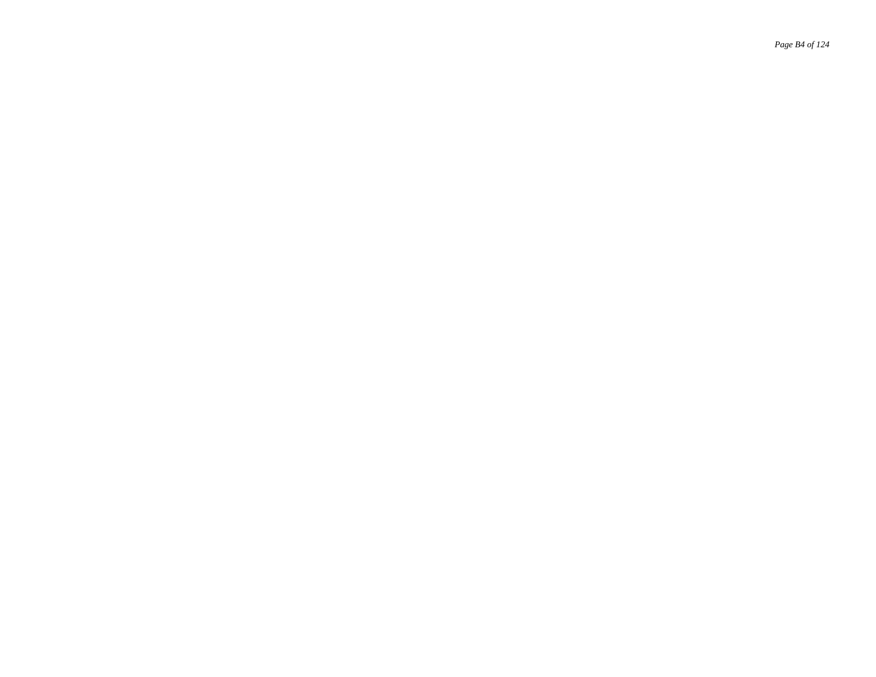*Page B4 of 124*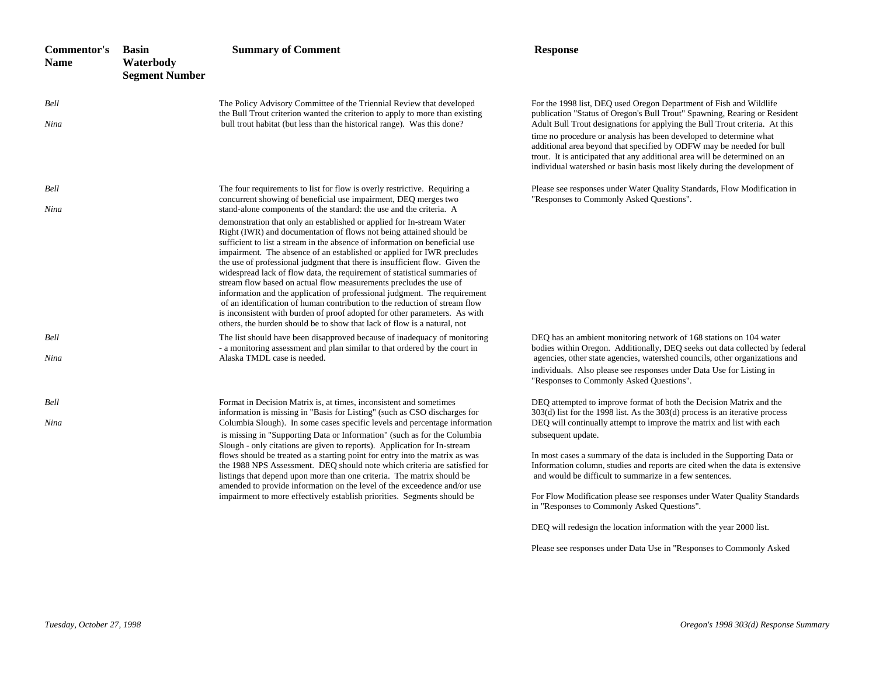| Commentor's<br><b>Name</b> | <b>Basin</b><br>Waterbody<br><b>Segment Number</b> | <b>Summary of Comment</b>                                                                                                                                                                                                                                                                                                                                                                                                                                                                                                                                                                                                                                                                                                                                                                                                                                                                                                           | <b>Response</b>                                                                                                                                                                                                                                                                                                                                      |
|----------------------------|----------------------------------------------------|-------------------------------------------------------------------------------------------------------------------------------------------------------------------------------------------------------------------------------------------------------------------------------------------------------------------------------------------------------------------------------------------------------------------------------------------------------------------------------------------------------------------------------------------------------------------------------------------------------------------------------------------------------------------------------------------------------------------------------------------------------------------------------------------------------------------------------------------------------------------------------------------------------------------------------------|------------------------------------------------------------------------------------------------------------------------------------------------------------------------------------------------------------------------------------------------------------------------------------------------------------------------------------------------------|
| Bell                       |                                                    | The Policy Advisory Committee of the Triennial Review that developed<br>the Bull Trout criterion wanted the criterion to apply to more than existing                                                                                                                                                                                                                                                                                                                                                                                                                                                                                                                                                                                                                                                                                                                                                                                | For the 1998 list, DEQ used Oregon Department of Fish and Wildlife<br>publication "Status of Oregon's Bull Trout" Spawning, Rearing or Resident                                                                                                                                                                                                      |
| Nina                       |                                                    | bull trout habitat (but less than the historical range). Was this done?                                                                                                                                                                                                                                                                                                                                                                                                                                                                                                                                                                                                                                                                                                                                                                                                                                                             | Adult Bull Trout designations for applying the Bull Trout criteria. At this                                                                                                                                                                                                                                                                          |
|                            |                                                    |                                                                                                                                                                                                                                                                                                                                                                                                                                                                                                                                                                                                                                                                                                                                                                                                                                                                                                                                     | time no procedure or analysis has been developed to determine what<br>additional area beyond that specified by ODFW may be needed for bull<br>trout. It is anticipated that any additional area will be determined on an<br>individual watershed or basin basis most likely during the development of                                                |
| Bell                       |                                                    | The four requirements to list for flow is overly restrictive. Requiring a<br>concurrent showing of beneficial use impairment, DEQ merges two                                                                                                                                                                                                                                                                                                                                                                                                                                                                                                                                                                                                                                                                                                                                                                                        | Please see responses under Water Quality Standards, Flow Modification in<br>"Responses to Commonly Asked Questions".                                                                                                                                                                                                                                 |
| Nina                       |                                                    | stand-alone components of the standard: the use and the criteria. A<br>demonstration that only an established or applied for In-stream Water<br>Right (IWR) and documentation of flows not being attained should be<br>sufficient to list a stream in the absence of information on beneficial use<br>impairment. The absence of an established or applied for IWR precludes<br>the use of professional judgment that there is insufficient flow. Given the<br>widespread lack of flow data, the requirement of statistical summaries of<br>stream flow based on actual flow measurements precludes the use of<br>information and the application of professional judgment. The requirement<br>of an identification of human contribution to the reduction of stream flow<br>is inconsistent with burden of proof adopted for other parameters. As with<br>others, the burden should be to show that lack of flow is a natural, not |                                                                                                                                                                                                                                                                                                                                                      |
| Bell<br>Nina               |                                                    | The list should have been disapproved because of inadequacy of monitoring<br>- a monitoring assessment and plan similar to that ordered by the court in<br>Alaska TMDL case is needed.                                                                                                                                                                                                                                                                                                                                                                                                                                                                                                                                                                                                                                                                                                                                              | DEQ has an ambient monitoring network of 168 stations on 104 water<br>bodies within Oregon. Additionally, DEQ seeks out data collected by federal<br>agencies, other state agencies, watershed councils, other organizations and<br>individuals. Also please see responses under Data Use for Listing in<br>"Responses to Commonly Asked Questions". |
| Bell                       |                                                    | Format in Decision Matrix is, at times, inconsistent and sometimes<br>information is missing in "Basis for Listing" (such as CSO discharges for                                                                                                                                                                                                                                                                                                                                                                                                                                                                                                                                                                                                                                                                                                                                                                                     | DEQ attempted to improve format of both the Decision Matrix and the<br>$303(d)$ list for the 1998 list. As the $303(d)$ process is an iterative process                                                                                                                                                                                              |
| Nina                       |                                                    | Columbia Slough). In some cases specific levels and percentage information                                                                                                                                                                                                                                                                                                                                                                                                                                                                                                                                                                                                                                                                                                                                                                                                                                                          | DEQ will continually attempt to improve the matrix and list with each                                                                                                                                                                                                                                                                                |
|                            |                                                    | is missing in "Supporting Data or Information" (such as for the Columbia<br>Slough - only citations are given to reports). Application for In-stream                                                                                                                                                                                                                                                                                                                                                                                                                                                                                                                                                                                                                                                                                                                                                                                | subsequent update.                                                                                                                                                                                                                                                                                                                                   |
|                            |                                                    | flows should be treated as a starting point for entry into the matrix as was<br>the 1988 NPS Assessment. DEQ should note which criteria are satisfied for<br>listings that depend upon more than one criteria. The matrix should be<br>amended to provide information on the level of the exceedence and/or use                                                                                                                                                                                                                                                                                                                                                                                                                                                                                                                                                                                                                     | In most cases a summary of the data is included in the Supporting Data or<br>Information column, studies and reports are cited when the data is extensive<br>and would be difficult to summarize in a few sentences.                                                                                                                                 |
|                            |                                                    | impairment to more effectively establish priorities. Segments should be                                                                                                                                                                                                                                                                                                                                                                                                                                                                                                                                                                                                                                                                                                                                                                                                                                                             | For Flow Modification please see responses under Water Quality Standards<br>in "Responses to Commonly Asked Questions".                                                                                                                                                                                                                              |
|                            |                                                    |                                                                                                                                                                                                                                                                                                                                                                                                                                                                                                                                                                                                                                                                                                                                                                                                                                                                                                                                     | DEQ will redesign the location information with the year 2000 list.                                                                                                                                                                                                                                                                                  |
|                            |                                                    |                                                                                                                                                                                                                                                                                                                                                                                                                                                                                                                                                                                                                                                                                                                                                                                                                                                                                                                                     | Please see responses under Data Use in "Responses to Commonly Asked"                                                                                                                                                                                                                                                                                 |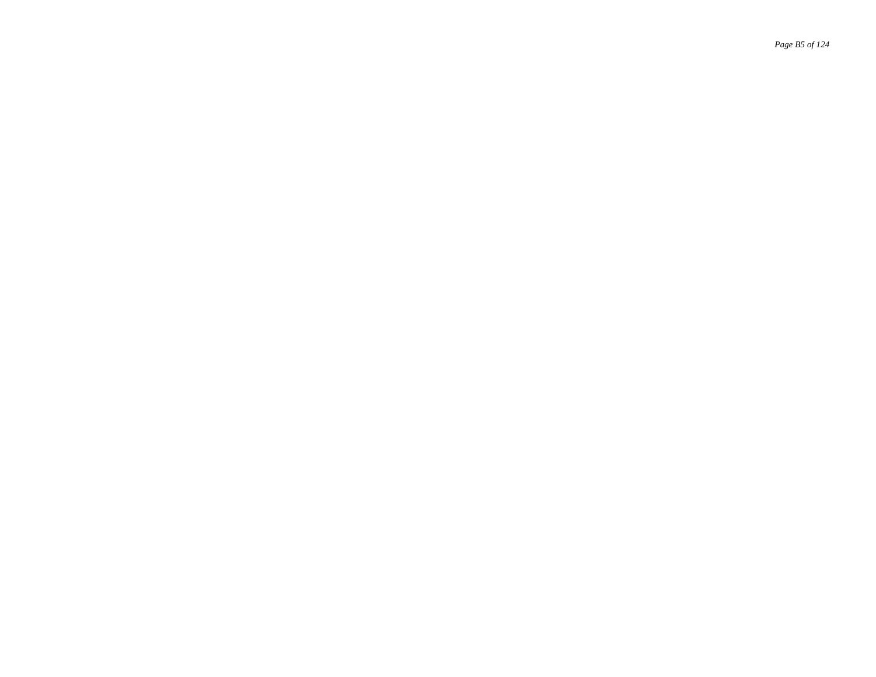*Page B5 of 124*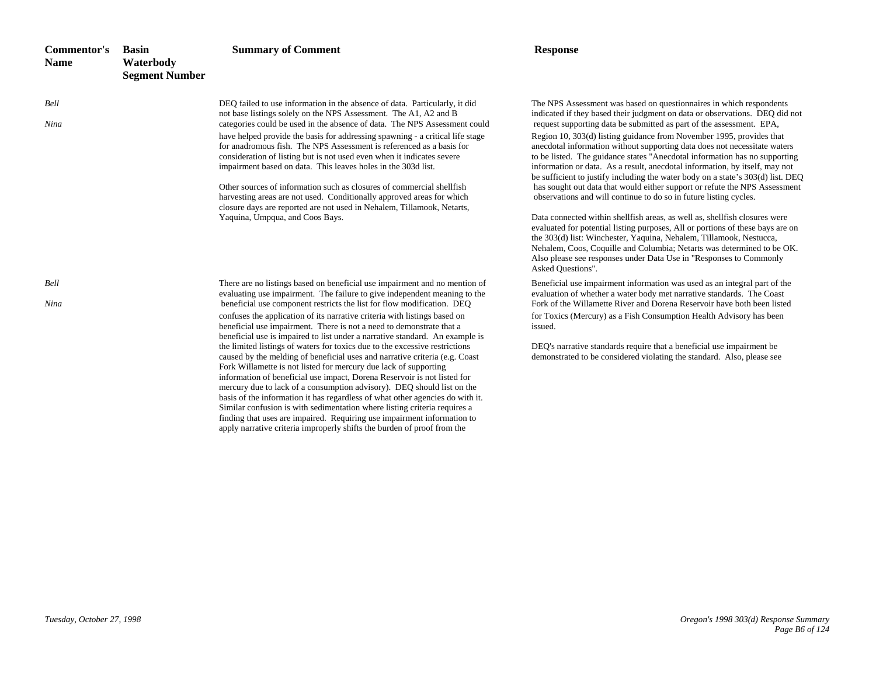| Commentor's<br><b>Name</b> | <b>Basin</b><br>Waterbody<br><b>Segment Number</b> | <b>Summary of Comment</b>                                                                                                                                                                                                                                                                                                                                                                                                                                                                                                                                                                                                                                                                                                                                                                                                                                                                                                                                                                                                                                                                                                                                                          | <b>Response</b>                                                                                                                                                                                                                                                                                                                                                                                                                                                                                                                                                                                                                                                                                                                                                                                                                                                                                                                                                                                                                                                                                                                                                                                |
|----------------------------|----------------------------------------------------|------------------------------------------------------------------------------------------------------------------------------------------------------------------------------------------------------------------------------------------------------------------------------------------------------------------------------------------------------------------------------------------------------------------------------------------------------------------------------------------------------------------------------------------------------------------------------------------------------------------------------------------------------------------------------------------------------------------------------------------------------------------------------------------------------------------------------------------------------------------------------------------------------------------------------------------------------------------------------------------------------------------------------------------------------------------------------------------------------------------------------------------------------------------------------------|------------------------------------------------------------------------------------------------------------------------------------------------------------------------------------------------------------------------------------------------------------------------------------------------------------------------------------------------------------------------------------------------------------------------------------------------------------------------------------------------------------------------------------------------------------------------------------------------------------------------------------------------------------------------------------------------------------------------------------------------------------------------------------------------------------------------------------------------------------------------------------------------------------------------------------------------------------------------------------------------------------------------------------------------------------------------------------------------------------------------------------------------------------------------------------------------|
| Bell<br>Nina               |                                                    | DEQ failed to use information in the absence of data. Particularly, it did<br>not base listings solely on the NPS Assessment. The A1, A2 and B<br>categories could be used in the absence of data. The NPS Assessment could<br>have helped provide the basis for addressing spawning - a critical life stage<br>for anadromous fish. The NPS Assessment is referenced as a basis for<br>consideration of listing but is not used even when it indicates severe<br>impairment based on data. This leaves holes in the 303d list.<br>Other sources of information such as closures of commercial shellfish<br>harvesting areas are not used. Conditionally approved areas for which<br>closure days are reported are not used in Nehalem, Tillamook, Netarts,<br>Yaquina, Umpqua, and Coos Bays.                                                                                                                                                                                                                                                                                                                                                                                     | The NPS Assessment was based on questionnaires in which respondents<br>indicated if they based their judgment on data or observations. DEQ did not<br>request supporting data be submitted as part of the assessment. EPA,<br>Region 10, 303(d) listing guidance from November 1995, provides that<br>anecdotal information without supporting data does not necessitate waters<br>to be listed. The guidance states "Anecdotal information has no supporting<br>information or data. As a result, anecdotal information, by itself, may not<br>be sufficient to justify including the water body on a state's 303(d) list. DEQ<br>has sought out data that would either support or refute the NPS Assessment<br>observations and will continue to do so in future listing cycles.<br>Data connected within shellfish areas, as well as, shellfish closures were<br>evaluated for potential listing purposes, All or portions of these bays are on<br>the 303(d) list: Winchester, Yaquina, Nehalem, Tillamook, Nestucca,<br>Nehalem, Coos, Coquille and Columbia; Netarts was determined to be OK.<br>Also please see responses under Data Use in "Responses to Commonly<br>Asked Questions". |
| Bell<br>Nina               |                                                    | There are no listings based on beneficial use impairment and no mention of<br>evaluating use impairment. The failure to give independent meaning to the<br>beneficial use component restricts the list for flow modification. DEQ<br>confuses the application of its narrative criteria with listings based on<br>beneficial use impairment. There is not a need to demonstrate that a<br>beneficial use is impaired to list under a narrative standard. An example is<br>the limited listings of waters for toxics due to the excessive restrictions<br>caused by the melding of beneficial uses and narrative criteria (e.g. Coast<br>Fork Willamette is not listed for mercury due lack of supporting<br>information of beneficial use impact, Dorena Reservoir is not listed for<br>mercury due to lack of a consumption advisory). DEQ should list on the<br>basis of the information it has regardless of what other agencies do with it.<br>Similar confusion is with sedimentation where listing criteria requires a<br>finding that uses are impaired. Requiring use impairment information to<br>apply narrative criteria improperly shifts the burden of proof from the | Beneficial use impairment information was used as an integral part of the<br>evaluation of whether a water body met narrative standards. The Coast<br>Fork of the Willamette River and Dorena Reservoir have both been listed<br>for Toxics (Mercury) as a Fish Consumption Health Advisory has been<br>issued.<br>DEQ's narrative standards require that a beneficial use impairment be<br>demonstrated to be considered violating the standard. Also, please see                                                                                                                                                                                                                                                                                                                                                                                                                                                                                                                                                                                                                                                                                                                             |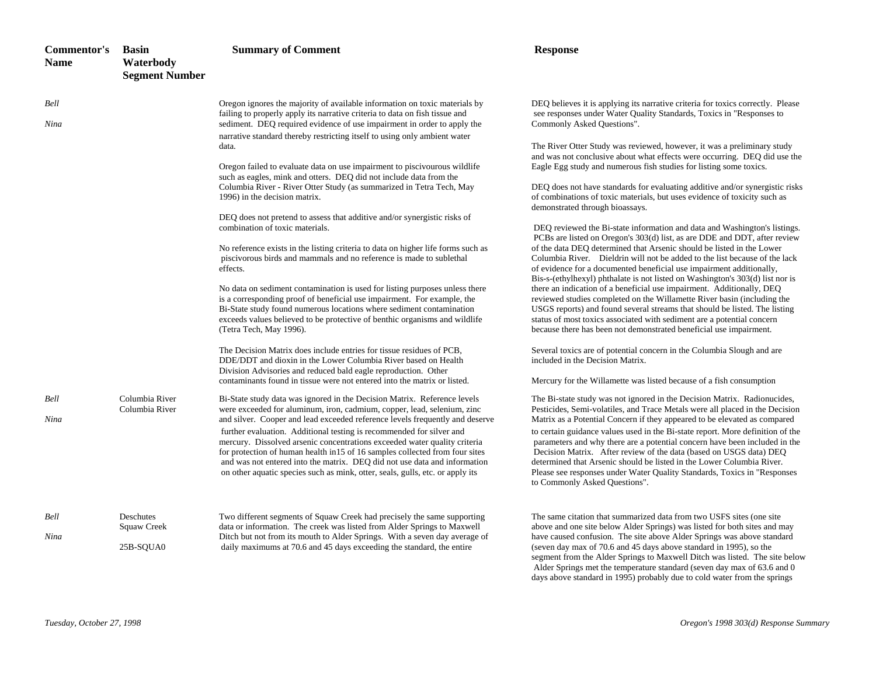| Commentor's<br><b>Name</b> | <b>Basin</b><br>Waterbody<br><b>Segment Number</b> | <b>Summary of Comment</b>                                                                                                                                                                                                                                                                                                                                                                                                                                                                                                                                                                                                              | <b>Response</b>                                                                                                                                                                                                                                                                                                                                                                                                                                                                                                                                                                                                                                                    |
|----------------------------|----------------------------------------------------|----------------------------------------------------------------------------------------------------------------------------------------------------------------------------------------------------------------------------------------------------------------------------------------------------------------------------------------------------------------------------------------------------------------------------------------------------------------------------------------------------------------------------------------------------------------------------------------------------------------------------------------|--------------------------------------------------------------------------------------------------------------------------------------------------------------------------------------------------------------------------------------------------------------------------------------------------------------------------------------------------------------------------------------------------------------------------------------------------------------------------------------------------------------------------------------------------------------------------------------------------------------------------------------------------------------------|
| Bell                       |                                                    | Oregon ignores the majority of available information on toxic materials by                                                                                                                                                                                                                                                                                                                                                                                                                                                                                                                                                             | DEQ believes it is applying its narrative criteria for toxics correctly. Please                                                                                                                                                                                                                                                                                                                                                                                                                                                                                                                                                                                    |
| Nina                       |                                                    | failing to properly apply its narrative criteria to data on fish tissue and<br>sediment. DEQ required evidence of use impairment in order to apply the<br>narrative standard thereby restricting itself to using only ambient water                                                                                                                                                                                                                                                                                                                                                                                                    | see responses under Water Quality Standards, Toxics in "Responses to<br>Commonly Asked Questions".                                                                                                                                                                                                                                                                                                                                                                                                                                                                                                                                                                 |
|                            |                                                    | data.                                                                                                                                                                                                                                                                                                                                                                                                                                                                                                                                                                                                                                  | The River Otter Study was reviewed, however, it was a preliminary study<br>and was not conclusive about what effects were occurring. DEQ did use the                                                                                                                                                                                                                                                                                                                                                                                                                                                                                                               |
|                            |                                                    | Oregon failed to evaluate data on use impairment to piscivourous wildlife<br>such as eagles, mink and otters. DEQ did not include data from the                                                                                                                                                                                                                                                                                                                                                                                                                                                                                        | Eagle Egg study and numerous fish studies for listing some toxics.                                                                                                                                                                                                                                                                                                                                                                                                                                                                                                                                                                                                 |
|                            |                                                    | Columbia River - River Otter Study (as summarized in Tetra Tech, May<br>1996) in the decision matrix.                                                                                                                                                                                                                                                                                                                                                                                                                                                                                                                                  | DEQ does not have standards for evaluating additive and/or synergistic risks<br>of combinations of toxic materials, but uses evidence of toxicity such as<br>demonstrated through bioassays.                                                                                                                                                                                                                                                                                                                                                                                                                                                                       |
|                            |                                                    | DEQ does not pretend to assess that additive and/or synergistic risks of<br>combination of toxic materials.                                                                                                                                                                                                                                                                                                                                                                                                                                                                                                                            | DEQ reviewed the Bi-state information and data and Washington's listings.<br>PCBs are listed on Oregon's 303(d) list, as are DDE and DDT, after review                                                                                                                                                                                                                                                                                                                                                                                                                                                                                                             |
|                            |                                                    | No reference exists in the listing criteria to data on higher life forms such as<br>piscivorous birds and mammals and no reference is made to sublethal<br>effects.                                                                                                                                                                                                                                                                                                                                                                                                                                                                    | of the data DEQ determined that Arsenic should be listed in the Lower<br>Columbia River. Dieldrin will not be added to the list because of the lack<br>of evidence for a documented beneficial use impairment additionally,                                                                                                                                                                                                                                                                                                                                                                                                                                        |
|                            |                                                    | No data on sediment contamination is used for listing purposes unless there<br>is a corresponding proof of beneficial use impairment. For example, the<br>Bi-State study found numerous locations where sediment contamination<br>exceeds values believed to be protective of benthic organisms and wildlife<br>(Tetra Tech, May 1996).                                                                                                                                                                                                                                                                                                | Bis-s-(ethylhexyl) phthalate is not listed on Washington's 303(d) list nor is<br>there an indication of a beneficial use impairment. Additionally, DEQ<br>reviewed studies completed on the Willamette River basin (including the<br>USGS reports) and found several streams that should be listed. The listing<br>status of most toxics associated with sediment are a potential concern<br>because there has been not demonstrated beneficial use impairment.                                                                                                                                                                                                    |
|                            |                                                    | The Decision Matrix does include entries for tissue residues of PCB,<br>DDE/DDT and dioxin in the Lower Columbia River based on Health<br>Division Advisories and reduced bald eagle reproduction. Other                                                                                                                                                                                                                                                                                                                                                                                                                               | Several toxics are of potential concern in the Columbia Slough and are<br>included in the Decision Matrix.                                                                                                                                                                                                                                                                                                                                                                                                                                                                                                                                                         |
|                            |                                                    | contaminants found in tissue were not entered into the matrix or listed.                                                                                                                                                                                                                                                                                                                                                                                                                                                                                                                                                               | Mercury for the Willamette was listed because of a fish consumption                                                                                                                                                                                                                                                                                                                                                                                                                                                                                                                                                                                                |
| Bell<br>Nina               | Columbia River<br>Columbia River                   | Bi-State study data was ignored in the Decision Matrix. Reference levels<br>were exceeded for aluminum, iron, cadmium, copper, lead, selenium, zinc<br>and silver. Cooper and lead exceeded reference levels frequently and deserve<br>further evaluation. Additional testing is recommended for silver and<br>mercury. Dissolved arsenic concentrations exceeded water quality criteria<br>for protection of human health in 15 of 16 samples collected from four sites<br>and was not entered into the matrix. DEQ did not use data and information<br>on other aquatic species such as mink, otter, seals, gulls, etc. or apply its | The Bi-state study was not ignored in the Decision Matrix. Radionucides,<br>Pesticides, Semi-volatiles, and Trace Metals were all placed in the Decision<br>Matrix as a Potential Concern if they appeared to be elevated as compared<br>to certain guidance values used in the Bi-state report. More definition of the<br>parameters and why there are a potential concern have been included in the<br>Decision Matrix. After review of the data (based on USGS data) DEQ<br>determined that Arsenic should be listed in the Lower Columbia River.<br>Please see responses under Water Quality Standards, Toxics in "Responses"<br>to Commonly Asked Questions". |
| Bell<br>Nina               | Deschutes<br>Squaw Creek<br>25B-SQUA0              | Two different segments of Squaw Creek had precisely the same supporting<br>data or information. The creek was listed from Alder Springs to Maxwell<br>Ditch but not from its mouth to Alder Springs. With a seven day average of<br>daily maximums at 70.6 and 45 days exceeding the standard, the entire                                                                                                                                                                                                                                                                                                                              | The same citation that summarized data from two USFS sites (one site<br>above and one site below Alder Springs) was listed for both sites and may<br>have caused confusion. The site above Alder Springs was above standard<br>(seven day max of 70.6 and 45 days above standard in 1995), so the<br>segment from the Alder Springs to Maxwell Ditch was listed. The site below<br>Alder Springs met the temperature standard (seven day max of 63.6 and 0)                                                                                                                                                                                                        |

days above standard in 1995) probably due to cold water from the springs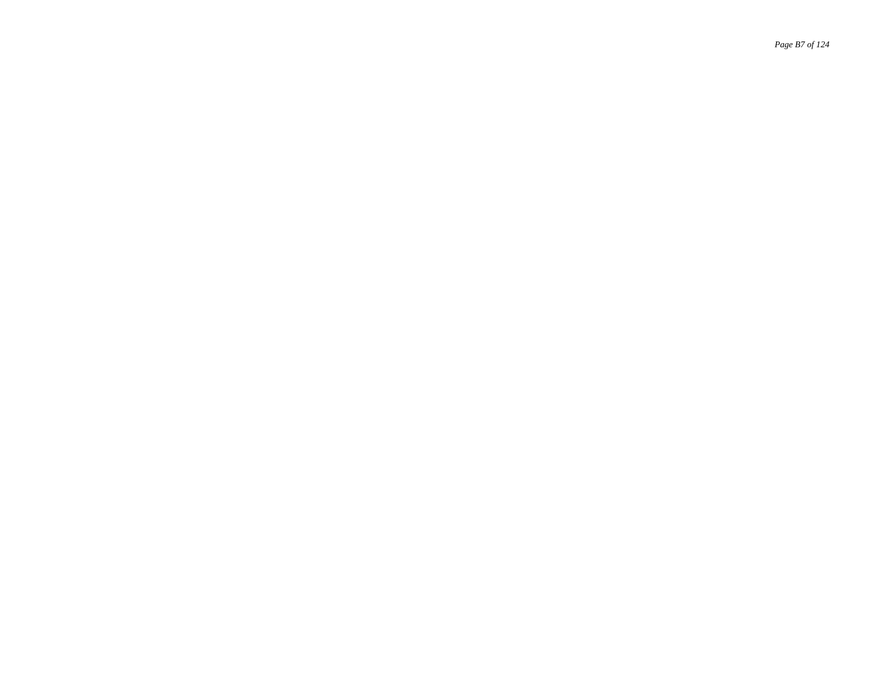*Page B7 of 124*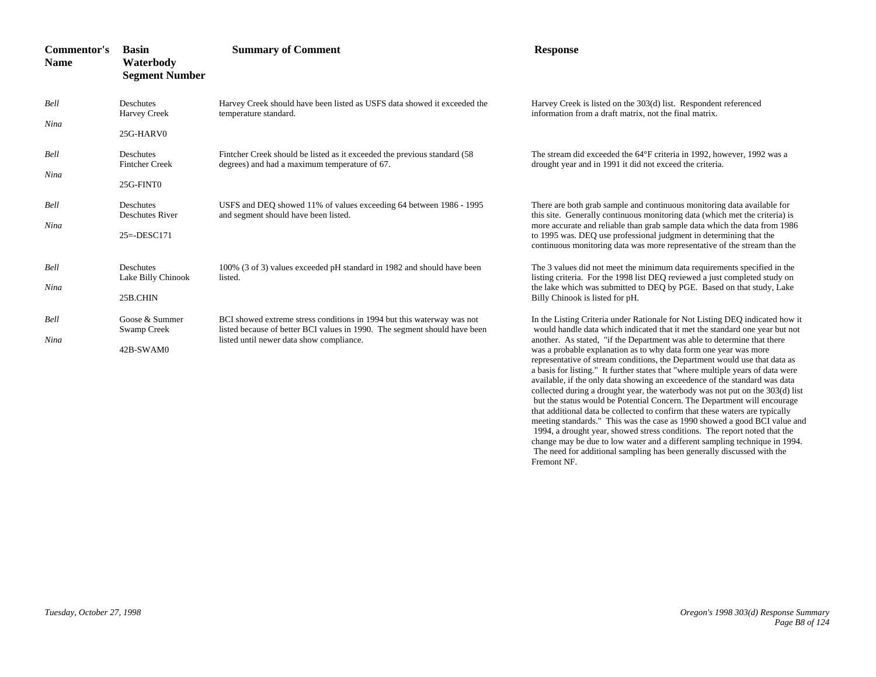| Commentor's<br><b>Name</b> | <b>Basin</b><br>Waterbody<br><b>Segment Number</b>     | <b>Summary of Comment</b>                                                                                                                                                                       | <b>Response</b>                                                                                                                                                                                                                                                                                                                                                                                                                                                                                                                                                                                                                                                                                                                                                                                        |
|----------------------------|--------------------------------------------------------|-------------------------------------------------------------------------------------------------------------------------------------------------------------------------------------------------|--------------------------------------------------------------------------------------------------------------------------------------------------------------------------------------------------------------------------------------------------------------------------------------------------------------------------------------------------------------------------------------------------------------------------------------------------------------------------------------------------------------------------------------------------------------------------------------------------------------------------------------------------------------------------------------------------------------------------------------------------------------------------------------------------------|
| Bell<br>Nina               | <b>Deschutes</b><br><b>Harvey Creek</b><br>25G-HARV0   | Harvey Creek should have been listed as USFS data showed it exceeded the<br>temperature standard.                                                                                               | Harvey Creek is listed on the 303(d) list. Respondent referenced<br>information from a draft matrix, not the final matrix.                                                                                                                                                                                                                                                                                                                                                                                                                                                                                                                                                                                                                                                                             |
| Bell<br>Nina               | Deschutes<br><b>Fintcher Creek</b><br>25G-FINT0        | Fintcher Creek should be listed as it exceeded the previous standard (58)<br>degrees) and had a maximum temperature of 67.                                                                      | The stream did exceeded the 64°F criteria in 1992, however, 1992 was a<br>drought year and in 1991 it did not exceed the criteria.                                                                                                                                                                                                                                                                                                                                                                                                                                                                                                                                                                                                                                                                     |
| Bell<br>Nina               | Deschutes<br><b>Deschutes River</b><br>$25 =$ -DESC171 | USFS and DEQ showed 11% of values exceeding 64 between 1986 - 1995<br>and segment should have been listed.                                                                                      | There are both grab sample and continuous monitoring data available for<br>this site. Generally continuous monitoring data (which met the criteria) is<br>more accurate and reliable than grab sample data which the data from 1986<br>to 1995 was. DEQ use professional judgment in determining that the<br>continuous monitoring data was more representative of the stream than the                                                                                                                                                                                                                                                                                                                                                                                                                 |
| Bell<br>Nina               | Deschutes<br>Lake Billy Chinook<br>25B.CHIN            | 100% (3 of 3) values exceeded pH standard in 1982 and should have been<br>listed.                                                                                                               | The 3 values did not meet the minimum data requirements specified in the<br>listing criteria. For the 1998 list DEO reviewed a just completed study on<br>the lake which was submitted to DEQ by PGE. Based on that study, Lake<br>Billy Chinook is listed for pH.                                                                                                                                                                                                                                                                                                                                                                                                                                                                                                                                     |
| Bell<br>Nina               | Goose & Summer<br>Swamp Creek<br>42B-SWAM0             | BCI showed extreme stress conditions in 1994 but this waterway was not<br>listed because of better BCI values in 1990. The segment should have been<br>listed until newer data show compliance. | In the Listing Criteria under Rationale for Not Listing DEQ indicated how it<br>would handle data which indicated that it met the standard one year but not<br>another. As stated, "if the Department was able to determine that there<br>was a probable explanation as to why data form one year was more<br>representative of stream conditions, the Department would use that data as<br>a basis for listing." It further states that "where multiple years of data were<br>available, if the only data showing an exceedence of the standard was data<br>collected during a drought year, the waterbody was not put on the 303(d) list<br>but the status would be Potential Concern. The Department will encourage<br>that additional data be collected to confirm that these waters are typically |

meeting standards." This was the case as 1990 showed a good BCI value and 1994, a drought year, showed stress conditions. The report noted that the change may be due to low water and a different sampling technique in 1994. The need for additional sampling has been generally discussed with the

Fremont NF.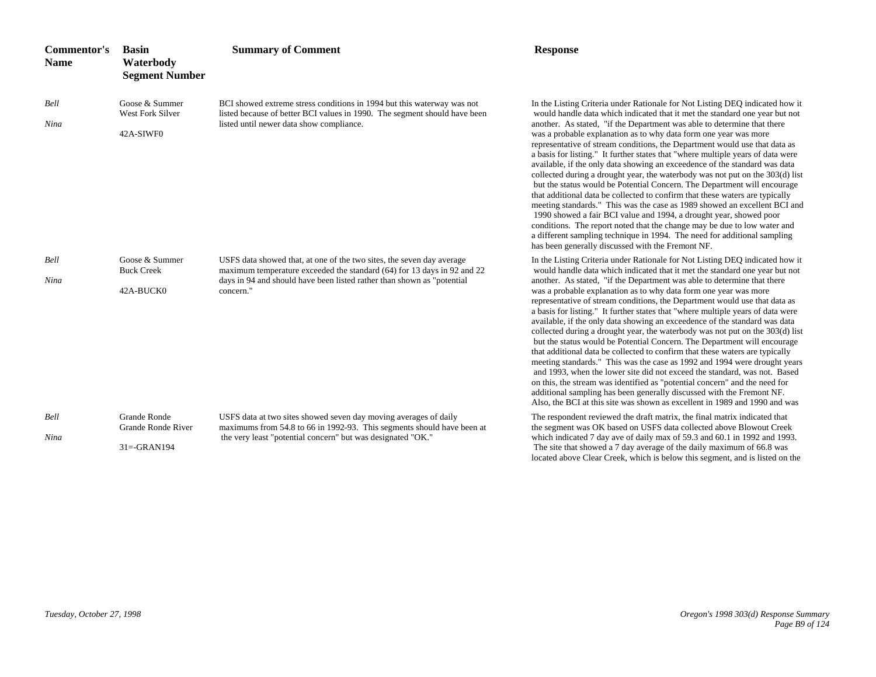| Commentor's<br><b>Name</b> | <b>Basin</b><br>Waterbody<br><b>Segment Number</b>          | <b>Summary of Comment</b>                                                                                                                                                                                                               | <b>Response</b>                                                                                                                                                                                                                                                                                                                                                                                                                                                                                                                                                                                                                                                                                                                                                                                                                                                                                                                                                                                                                                                                                                                                                                                       |
|----------------------------|-------------------------------------------------------------|-----------------------------------------------------------------------------------------------------------------------------------------------------------------------------------------------------------------------------------------|-------------------------------------------------------------------------------------------------------------------------------------------------------------------------------------------------------------------------------------------------------------------------------------------------------------------------------------------------------------------------------------------------------------------------------------------------------------------------------------------------------------------------------------------------------------------------------------------------------------------------------------------------------------------------------------------------------------------------------------------------------------------------------------------------------------------------------------------------------------------------------------------------------------------------------------------------------------------------------------------------------------------------------------------------------------------------------------------------------------------------------------------------------------------------------------------------------|
| Bell<br>Nina               | Goose & Summer<br>West Fork Silver<br>42A-SIWF0             | BCI showed extreme stress conditions in 1994 but this waterway was not<br>listed because of better BCI values in 1990. The segment should have been<br>listed until newer data show compliance.                                         | In the Listing Criteria under Rationale for Not Listing DEQ indicated how it<br>would handle data which indicated that it met the standard one year but not<br>another. As stated, "if the Department was able to determine that there<br>was a probable explanation as to why data form one year was more<br>representative of stream conditions, the Department would use that data as<br>a basis for listing." It further states that "where multiple years of data were<br>available, if the only data showing an exceedence of the standard was data<br>collected during a drought year, the waterbody was not put on the 303(d) list<br>but the status would be Potential Concern. The Department will encourage<br>that additional data be collected to confirm that these waters are typically<br>meeting standards." This was the case as 1989 showed an excellent BCI and<br>1990 showed a fair BCI value and 1994, a drought year, showed poor<br>conditions. The report noted that the change may be due to low water and<br>a different sampling technique in 1994. The need for additional sampling<br>has been generally discussed with the Fremont NF.                                |
| Bell<br>Nina               | Goose & Summer<br><b>Buck Creek</b><br>42A-BUCK0            | USFS data showed that, at one of the two sites, the seven day average<br>maximum temperature exceeded the standard (64) for 13 days in 92 and 22<br>days in 94 and should have been listed rather than shown as "potential<br>concern." | In the Listing Criteria under Rationale for Not Listing DEQ indicated how it<br>would handle data which indicated that it met the standard one year but not<br>another. As stated, "if the Department was able to determine that there<br>was a probable explanation as to why data form one year was more<br>representative of stream conditions, the Department would use that data as<br>a basis for listing." It further states that "where multiple years of data were<br>available, if the only data showing an exceedence of the standard was data<br>collected during a drought year, the waterbody was not put on the 303(d) list<br>but the status would be Potential Concern. The Department will encourage<br>that additional data be collected to confirm that these waters are typically<br>meeting standards." This was the case as 1992 and 1994 were drought years<br>and 1993, when the lower site did not exceed the standard, was not. Based<br>on this, the stream was identified as "potential concern" and the need for<br>additional sampling has been generally discussed with the Fremont NF.<br>Also, the BCI at this site was shown as excellent in 1989 and 1990 and was |
| Bell<br>Nina               | <b>Grande Ronde</b><br>Grande Ronde River<br>$31 = GRAN194$ | USFS data at two sites showed seven day moving averages of daily<br>maximums from 54.8 to 66 in 1992-93. This segments should have been at<br>the very least "potential concern" but was designated "OK."                               | The respondent reviewed the draft matrix, the final matrix indicated that<br>the segment was OK based on USFS data collected above Blowout Creek<br>which indicated 7 day ave of daily max of 59.3 and 60.1 in 1992 and 1993.<br>The site that showed a 7 day average of the daily maximum of 66.8 was<br>located above Clear Creek, which is below this segment, and is listed on the                                                                                                                                                                                                                                                                                                                                                                                                                                                                                                                                                                                                                                                                                                                                                                                                                |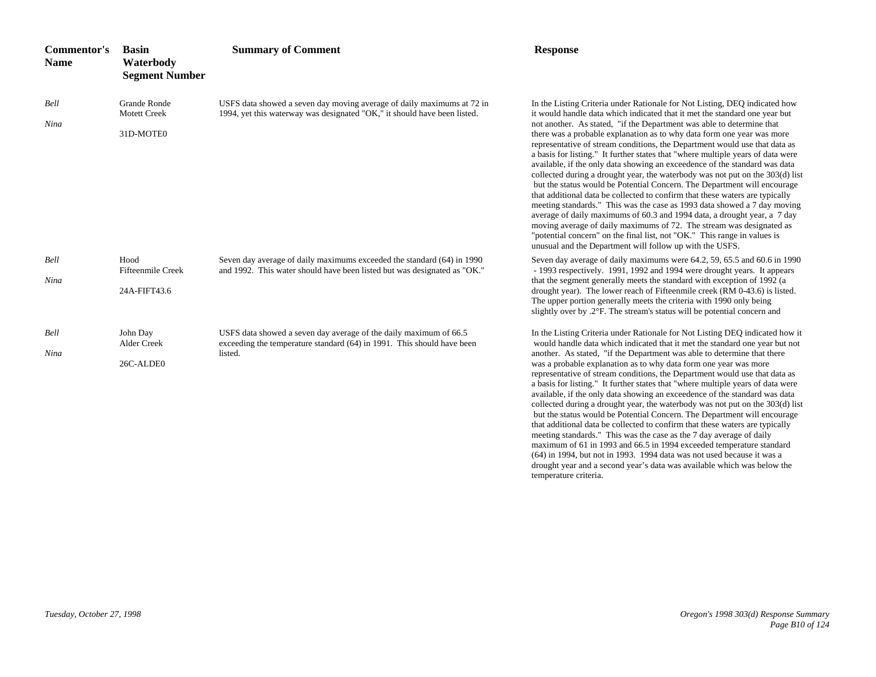| Commentor's<br><b>Name</b> | <b>Basin</b><br>Waterbody<br><b>Segment Number</b> | <b>Summary of Comment</b>                                                                                                                              | <b>Response</b>                                                                                                                                                                                                                                                                                                                                                                                                                                                                                                                                                                                                                                                                                                                                                                                                                                                                                                                                                                                                                                                                                                                                                                 |
|----------------------------|----------------------------------------------------|--------------------------------------------------------------------------------------------------------------------------------------------------------|---------------------------------------------------------------------------------------------------------------------------------------------------------------------------------------------------------------------------------------------------------------------------------------------------------------------------------------------------------------------------------------------------------------------------------------------------------------------------------------------------------------------------------------------------------------------------------------------------------------------------------------------------------------------------------------------------------------------------------------------------------------------------------------------------------------------------------------------------------------------------------------------------------------------------------------------------------------------------------------------------------------------------------------------------------------------------------------------------------------------------------------------------------------------------------|
| Bell<br>Nina               | Grande Ronde<br><b>Motett Creek</b><br>31D-MOTE0   | USFS data showed a seven day moving average of daily maximums at 72 in<br>1994, yet this waterway was designated "OK," it should have been listed.     | In the Listing Criteria under Rationale for Not Listing, DEQ indicated how<br>it would handle data which indicated that it met the standard one year but<br>not another. As stated, "if the Department was able to determine that<br>there was a probable explanation as to why data form one year was more<br>representative of stream conditions, the Department would use that data as<br>a basis for listing." It further states that "where multiple years of data were<br>available, if the only data showing an exceedence of the standard was data<br>collected during a drought year, the waterbody was not put on the 303(d) list<br>but the status would be Potential Concern. The Department will encourage<br>that additional data be collected to confirm that these waters are typically<br>meeting standards." This was the case as 1993 data showed a 7 day moving<br>average of daily maximums of 60.3 and 1994 data, a drought year, a 7 day<br>moving average of daily maximums of 72. The stream was designated as<br>"potential concern" on the final list, not "OK." This range in values is<br>unusual and the Department will follow up with the USFS. |
| Bell<br>Nina               | Hood<br><b>Fifteenmile Creek</b><br>24A-FIFT43.6   | Seven day average of daily maximums exceeded the standard (64) in 1990<br>and 1992. This water should have been listed but was designated as "OK."     | Seven day average of daily maximums were 64.2, 59, 65.5 and 60.6 in 1990<br>- 1993 respectively. 1991, 1992 and 1994 were drought years. It appears<br>that the segment generally meets the standard with exception of 1992 (a<br>drought year). The lower reach of Fifteenmile creek (RM 0-43.6) is listed.<br>The upper portion generally meets the criteria with 1990 only being<br>slightly over by .2°F. The stream's status will be potential concern and                                                                                                                                                                                                                                                                                                                                                                                                                                                                                                                                                                                                                                                                                                                 |
| Bell<br>Nina               | John Day<br>Alder Creek<br>26C-ALDE0               | USFS data showed a seven day average of the daily maximum of 66.5<br>exceeding the temperature standard (64) in 1991. This should have been<br>listed. | In the Listing Criteria under Rationale for Not Listing DEQ indicated how it<br>would handle data which indicated that it met the standard one year but not<br>another. As stated, "if the Department was able to determine that there<br>was a probable explanation as to why data form one year was more<br>representative of stream conditions, the Department would use that data as<br>a basis for listing." It further states that "where multiple years of data were<br>available, if the only data showing an exceedence of the standard was data<br>collected during a drought year, the waterbody was not put on the 303(d) list<br>but the status would be Potential Concern. The Department will encourage<br>that additional data be collected to confirm that these waters are typically<br>meeting standards." This was the case as the 7 day average of daily<br>maximum of 61 in 1993 and 66.5 in 1994 exceeded temperature standard<br>(64) in 1994, but not in 1993. 1994 data was not used because it was a                                                                                                                                                 |

drought year and a second year's data was available which was below the

temperature criteria.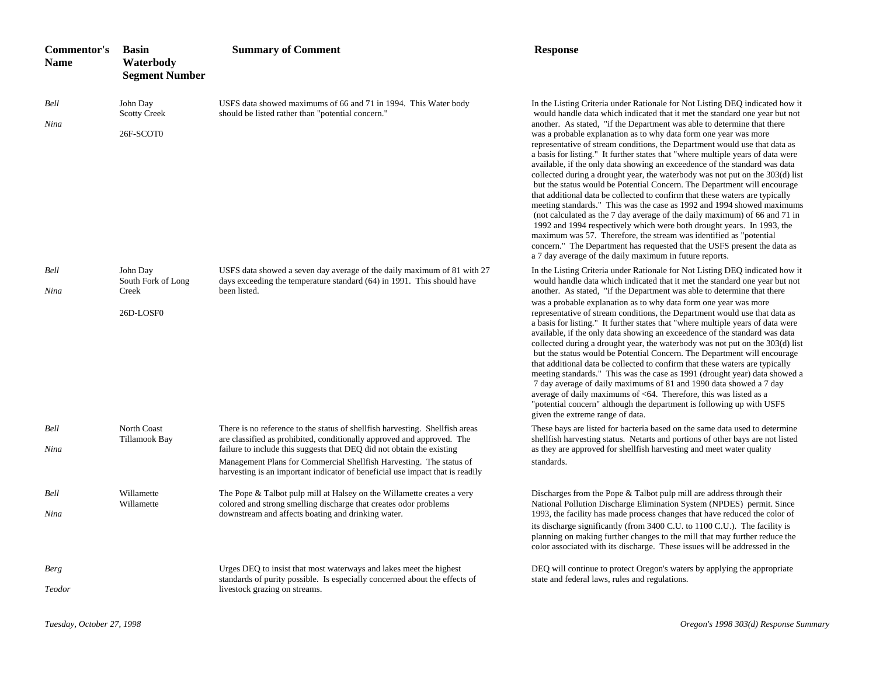| Commentor's<br><b>Name</b> | <b>Basin</b><br>Waterbody<br><b>Segment Number</b>   | <b>Summary of Comment</b>                                                                                                                                                                                                                                                                                                                                                               | <b>Response</b>                                                                                                                                                                                                                                                                                                                                                                                                                                                                                                                                                                                                                                                                                                                                                                                                                                                                                                                                                                                                                                                                                                                                                                                                                                        |
|----------------------------|------------------------------------------------------|-----------------------------------------------------------------------------------------------------------------------------------------------------------------------------------------------------------------------------------------------------------------------------------------------------------------------------------------------------------------------------------------|--------------------------------------------------------------------------------------------------------------------------------------------------------------------------------------------------------------------------------------------------------------------------------------------------------------------------------------------------------------------------------------------------------------------------------------------------------------------------------------------------------------------------------------------------------------------------------------------------------------------------------------------------------------------------------------------------------------------------------------------------------------------------------------------------------------------------------------------------------------------------------------------------------------------------------------------------------------------------------------------------------------------------------------------------------------------------------------------------------------------------------------------------------------------------------------------------------------------------------------------------------|
| Bell<br>Nina               | John Day<br><b>Scotty Creek</b><br>26F-SCOT0         | USFS data showed maximums of 66 and 71 in 1994. This Water body<br>should be listed rather than "potential concern."                                                                                                                                                                                                                                                                    | In the Listing Criteria under Rationale for Not Listing DEQ indicated how it<br>would handle data which indicated that it met the standard one year but not<br>another. As stated, "if the Department was able to determine that there<br>was a probable explanation as to why data form one year was more<br>representative of stream conditions, the Department would use that data as<br>a basis for listing." It further states that "where multiple years of data were<br>available, if the only data showing an exceedence of the standard was data<br>collected during a drought year, the waterbody was not put on the 303(d) list<br>but the status would be Potential Concern. The Department will encourage<br>that additional data be collected to confirm that these waters are typically<br>meeting standards." This was the case as 1992 and 1994 showed maximums<br>(not calculated as the 7 day average of the daily maximum) of 66 and 71 in<br>1992 and 1994 respectively which were both drought years. In 1993, the<br>maximum was 57. Therefore, the stream was identified as "potential"<br>concern." The Department has requested that the USFS present the data as<br>a 7 day average of the daily maximum in future reports. |
| Bell<br>Nina               | John Day<br>South Fork of Long<br>Creek<br>26D-LOSF0 | USFS data showed a seven day average of the daily maximum of 81 with 27<br>days exceeding the temperature standard (64) in 1991. This should have<br>been listed.                                                                                                                                                                                                                       | In the Listing Criteria under Rationale for Not Listing DEQ indicated how it<br>would handle data which indicated that it met the standard one year but not<br>another. As stated, "if the Department was able to determine that there<br>was a probable explanation as to why data form one year was more<br>representative of stream conditions, the Department would use that data as<br>a basis for listing." It further states that "where multiple years of data were<br>available, if the only data showing an exceedence of the standard was data<br>collected during a drought year, the waterbody was not put on the 303(d) list<br>but the status would be Potential Concern. The Department will encourage<br>that additional data be collected to confirm that these waters are typically<br>meeting standards." This was the case as 1991 (drought year) data showed a<br>7 day average of daily maximums of 81 and 1990 data showed a 7 day<br>average of daily maximums of $< 64$ . Therefore, this was listed as a<br>"potential concern" although the department is following up with USFS<br>given the extreme range of data.                                                                                                       |
| Bell<br>Nina               | North Coast<br>Tillamook Bay                         | There is no reference to the status of shellfish harvesting. Shellfish areas<br>are classified as prohibited, conditionally approved and approved. The<br>failure to include this suggests that DEQ did not obtain the existing<br>Management Plans for Commercial Shellfish Harvesting. The status of<br>harvesting is an important indicator of beneficial use impact that is readily | These bays are listed for bacteria based on the same data used to determine<br>shellfish harvesting status. Netarts and portions of other bays are not listed<br>as they are approved for shell fish harvesting and meet water quality<br>standards.                                                                                                                                                                                                                                                                                                                                                                                                                                                                                                                                                                                                                                                                                                                                                                                                                                                                                                                                                                                                   |
| Bell<br>Nina               | Willamette<br>Willamette                             | The Pope & Talbot pulp mill at Halsey on the Willamette creates a very<br>colored and strong smelling discharge that creates odor problems<br>downstream and affects boating and drinking water.                                                                                                                                                                                        | Discharges from the Pope & Talbot pulp mill are address through their<br>National Pollution Discharge Elimination System (NPDES) permit. Since<br>1993, the facility has made process changes that have reduced the color of<br>its discharge significantly (from 3400 C.U. to 1100 C.U.). The facility is<br>planning on making further changes to the mill that may further reduce the<br>color associated with its discharge. These issues will be addressed in the                                                                                                                                                                                                                                                                                                                                                                                                                                                                                                                                                                                                                                                                                                                                                                                 |
| <b>Berg</b><br>Teodor      |                                                      | Urges DEQ to insist that most waterways and lakes meet the highest<br>standards of purity possible. Is especially concerned about the effects of<br>livestock grazing on streams.                                                                                                                                                                                                       | DEQ will continue to protect Oregon's waters by applying the appropriate<br>state and federal laws, rules and regulations.                                                                                                                                                                                                                                                                                                                                                                                                                                                                                                                                                                                                                                                                                                                                                                                                                                                                                                                                                                                                                                                                                                                             |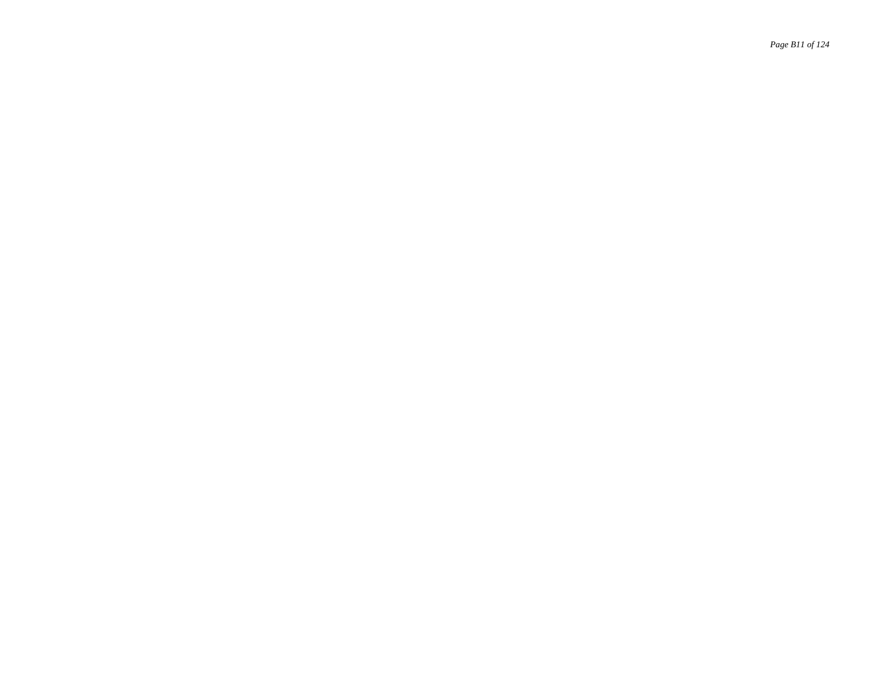*Page B11 of 124*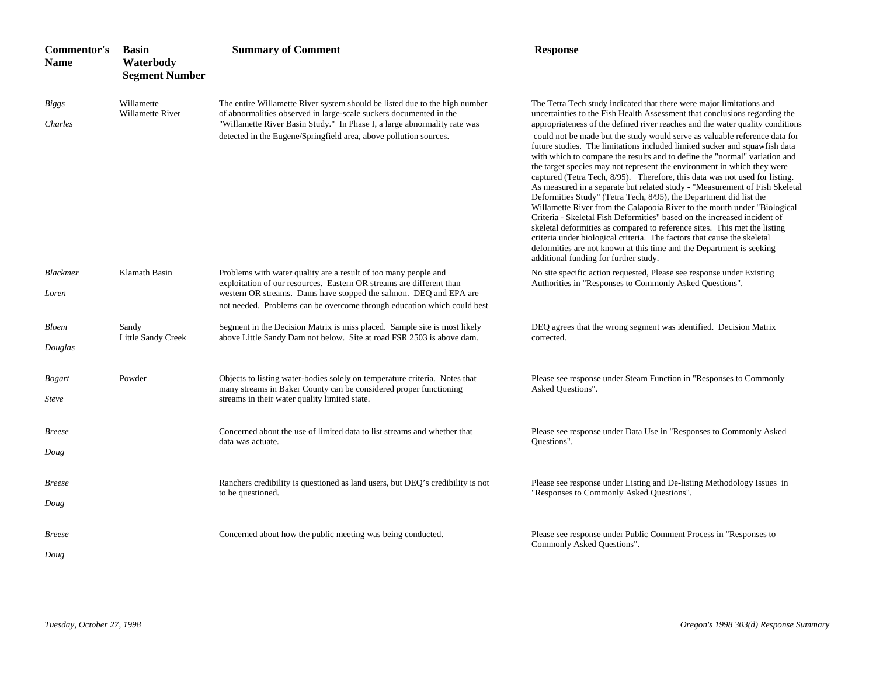| Commentor's<br><b>Name</b>    | <b>Basin</b><br>Waterbody<br><b>Segment Number</b> | <b>Summary of Comment</b>                                                                                                                                                                                                                                                                         | <b>Response</b>                                                                                                                                                                                                                                                                                                                                                                                                                                                                                                                                                                                                                                                                                                                                                                                                                                                                                                                                                                                                                                                                                                                                                                                                               |
|-------------------------------|----------------------------------------------------|---------------------------------------------------------------------------------------------------------------------------------------------------------------------------------------------------------------------------------------------------------------------------------------------------|-------------------------------------------------------------------------------------------------------------------------------------------------------------------------------------------------------------------------------------------------------------------------------------------------------------------------------------------------------------------------------------------------------------------------------------------------------------------------------------------------------------------------------------------------------------------------------------------------------------------------------------------------------------------------------------------------------------------------------------------------------------------------------------------------------------------------------------------------------------------------------------------------------------------------------------------------------------------------------------------------------------------------------------------------------------------------------------------------------------------------------------------------------------------------------------------------------------------------------|
| <b>Biggs</b><br>Charles       | Willamette<br>Willamette River                     | The entire Willamette River system should be listed due to the high number<br>of abnormalities observed in large-scale suckers documented in the<br>"Willamette River Basin Study." In Phase I, a large abnormality rate was<br>detected in the Eugene/Springfield area, above pollution sources. | The Tetra Tech study indicated that there were major limitations and<br>uncertainties to the Fish Health Assessment that conclusions regarding the<br>appropriateness of the defined river reaches and the water quality conditions<br>could not be made but the study would serve as valuable reference data for<br>future studies. The limitations included limited sucker and squawfish data<br>with which to compare the results and to define the "normal" variation and<br>the target species may not represent the environment in which they were<br>captured (Tetra Tech, 8/95). Therefore, this data was not used for listing.<br>As measured in a separate but related study - "Measurement of Fish Skeletal<br>Deformities Study" (Tetra Tech, 8/95), the Department did list the<br>Willamette River from the Calapooia River to the mouth under "Biological<br>Criteria - Skeletal Fish Deformities" based on the increased incident of<br>skeletal deformities as compared to reference sites. This met the listing<br>criteria under biological criteria. The factors that cause the skeletal<br>deformities are not known at this time and the Department is seeking<br>additional funding for further study. |
| <b>Blackmer</b><br>Loren      | Klamath Basin                                      | Problems with water quality are a result of too many people and<br>exploitation of our resources. Eastern OR streams are different than<br>western OR streams. Dams have stopped the salmon. DEQ and EPA are<br>not needed. Problems can be overcome through education which could best           | No site specific action requested, Please see response under Existing<br>Authorities in "Responses to Commonly Asked Questions".                                                                                                                                                                                                                                                                                                                                                                                                                                                                                                                                                                                                                                                                                                                                                                                                                                                                                                                                                                                                                                                                                              |
| <b>Bloem</b><br>Douglas       | Sandy<br>Little Sandy Creek                        | Segment in the Decision Matrix is miss placed. Sample site is most likely<br>above Little Sandy Dam not below. Site at road FSR 2503 is above dam.                                                                                                                                                | DEQ agrees that the wrong segment was identified. Decision Matrix<br>corrected.                                                                                                                                                                                                                                                                                                                                                                                                                                                                                                                                                                                                                                                                                                                                                                                                                                                                                                                                                                                                                                                                                                                                               |
| <b>Bogart</b><br><i>Steve</i> | Powder                                             | Objects to listing water-bodies solely on temperature criteria. Notes that<br>many streams in Baker County can be considered proper functioning<br>streams in their water quality limited state.                                                                                                  | Please see response under Steam Function in "Responses to Commonly<br>Asked Questions".                                                                                                                                                                                                                                                                                                                                                                                                                                                                                                                                                                                                                                                                                                                                                                                                                                                                                                                                                                                                                                                                                                                                       |
| <i>Breese</i><br>Doug         |                                                    | Concerned about the use of limited data to list streams and whether that<br>data was actuate.                                                                                                                                                                                                     | Please see response under Data Use in "Responses to Commonly Asked<br>Questions".                                                                                                                                                                                                                                                                                                                                                                                                                                                                                                                                                                                                                                                                                                                                                                                                                                                                                                                                                                                                                                                                                                                                             |
| <i>Breese</i><br>Doug         |                                                    | Ranchers credibility is questioned as land users, but DEQ's credibility is not<br>to be questioned.                                                                                                                                                                                               | Please see response under Listing and De-listing Methodology Issues in<br>"Responses to Commonly Asked Questions".                                                                                                                                                                                                                                                                                                                                                                                                                                                                                                                                                                                                                                                                                                                                                                                                                                                                                                                                                                                                                                                                                                            |
| <i>Breese</i><br>Doug         |                                                    | Concerned about how the public meeting was being conducted.                                                                                                                                                                                                                                       | Please see response under Public Comment Process in "Responses to<br>Commonly Asked Questions".                                                                                                                                                                                                                                                                                                                                                                                                                                                                                                                                                                                                                                                                                                                                                                                                                                                                                                                                                                                                                                                                                                                               |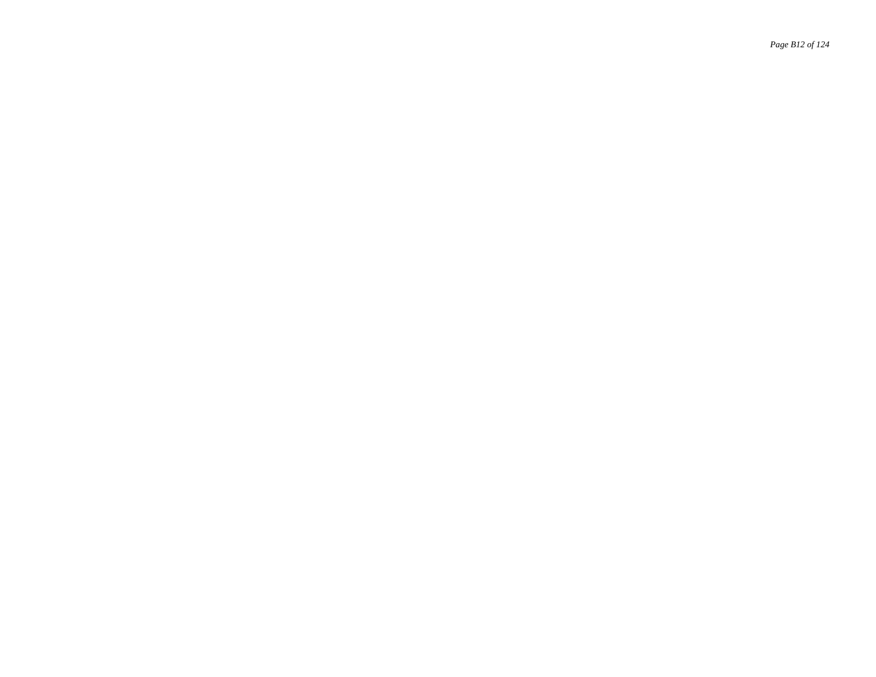*Page B12 of 124*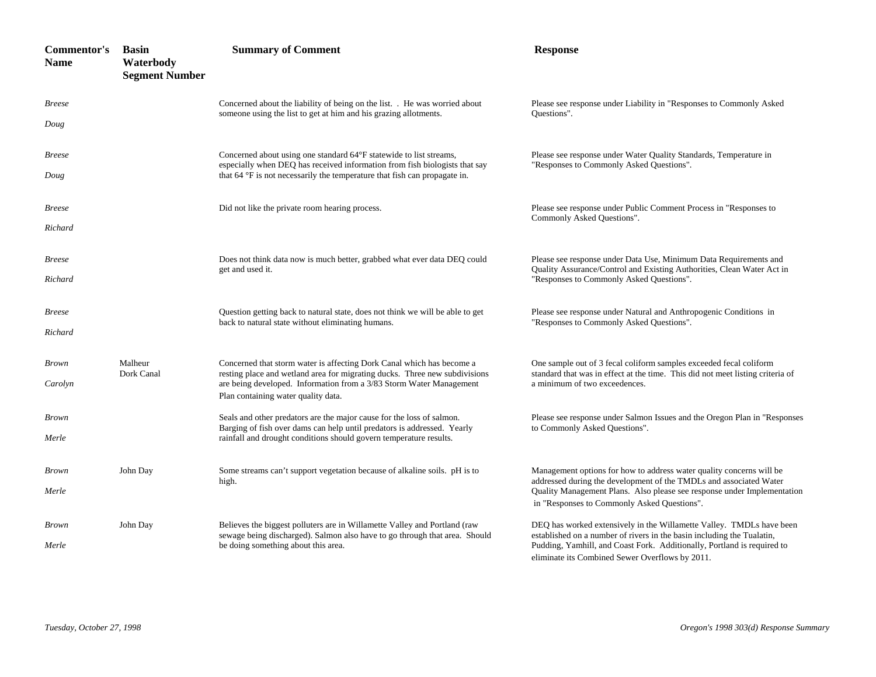| Commentor's<br><b>Name</b> | <b>Basin</b><br>Waterbody<br><b>Segment Number</b> | <b>Summary of Comment</b>                                                                                                                               | <b>Response</b>                                                                                                                                                                              |
|----------------------------|----------------------------------------------------|---------------------------------------------------------------------------------------------------------------------------------------------------------|----------------------------------------------------------------------------------------------------------------------------------------------------------------------------------------------|
| <i>Breese</i>              |                                                    | Concerned about the liability of being on the list. . He was worried about                                                                              | Please see response under Liability in "Responses to Commonly Asked                                                                                                                          |
| Doug                       |                                                    | someone using the list to get at him and his grazing allotments.                                                                                        | Questions".                                                                                                                                                                                  |
| <b>Breese</b>              |                                                    | Concerned about using one standard 64°F statewide to list streams,<br>especially when DEQ has received information from fish biologists that say        | Please see response under Water Quality Standards, Temperature in<br>"Responses to Commonly Asked Questions".                                                                                |
| Doug                       |                                                    | that $64 \text{ }^{\circ}$ F is not necessarily the temperature that fish can propagate in.                                                             |                                                                                                                                                                                              |
| <b>Breese</b>              |                                                    | Did not like the private room hearing process.                                                                                                          | Please see response under Public Comment Process in "Responses to<br>Commonly Asked Questions".                                                                                              |
| Richard                    |                                                    |                                                                                                                                                         |                                                                                                                                                                                              |
| <b>Breese</b>              |                                                    | Does not think data now is much better, grabbed what ever data DEQ could                                                                                | Please see response under Data Use, Minimum Data Requirements and                                                                                                                            |
| Richard                    |                                                    | get and used it.                                                                                                                                        | Quality Assurance/Control and Existing Authorities, Clean Water Act in<br>"Responses to Commonly Asked Questions".                                                                           |
| <b>Breese</b>              |                                                    | Question getting back to natural state, does not think we will be able to get<br>back to natural state without eliminating humans.                      | Please see response under Natural and Anthropogenic Conditions in<br>"Responses to Commonly Asked Questions".                                                                                |
| Richard                    |                                                    |                                                                                                                                                         |                                                                                                                                                                                              |
| <b>Brown</b>               | Malheur<br>Dork Canal                              | Concerned that storm water is affecting Dork Canal which has become a<br>resting place and wetland area for migrating ducks. Three new subdivisions     | One sample out of 3 fecal coliform samples exceeded fecal coliform<br>standard that was in effect at the time. This did not meet listing criteria of                                         |
| Carolyn                    |                                                    | are being developed. Information from a 3/83 Storm Water Management<br>Plan containing water quality data.                                              | a minimum of two exceedences.                                                                                                                                                                |
| <b>Brown</b>               |                                                    | Seals and other predators are the major cause for the loss of salmon.<br>Barging of fish over dams can help until predators is addressed. Yearly        | Please see response under Salmon Issues and the Oregon Plan in "Responses"<br>to Commonly Asked Questions".                                                                                  |
| Merle                      |                                                    | rainfall and drought conditions should govern temperature results.                                                                                      |                                                                                                                                                                                              |
| <b>Brown</b>               | John Day                                           | Some streams can't support vegetation because of alkaline soils. pH is to                                                                               | Management options for how to address water quality concerns will be                                                                                                                         |
| Merle                      |                                                    | high.                                                                                                                                                   | addressed during the development of the TMDLs and associated Water<br>Quality Management Plans. Also please see response under Implementation<br>in "Responses to Commonly Asked Questions". |
| <i>Brown</i>               | John Day                                           | Believes the biggest polluters are in Willamette Valley and Portland (raw<br>sewage being discharged). Salmon also have to go through that area. Should | DEQ has worked extensively in the Willamette Valley. TMDLs have been<br>established on a number of rivers in the basin including the Tualatin,                                               |
| Merle                      |                                                    | be doing something about this area.                                                                                                                     | Pudding, Yamhill, and Coast Fork. Additionally, Portland is required to<br>eliminate its Combined Sewer Overflows by 2011.                                                                   |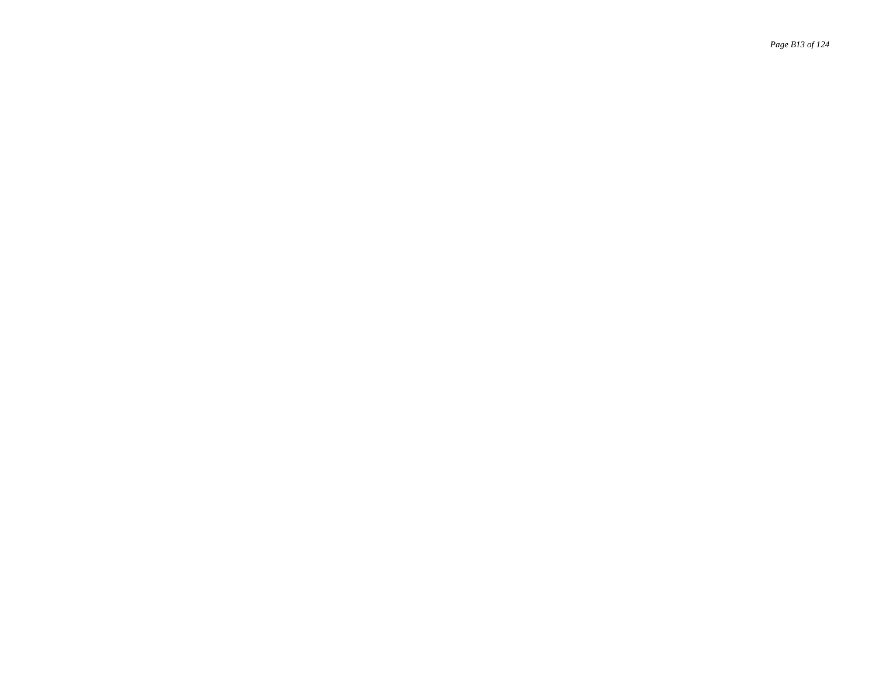*Page B13 of 124*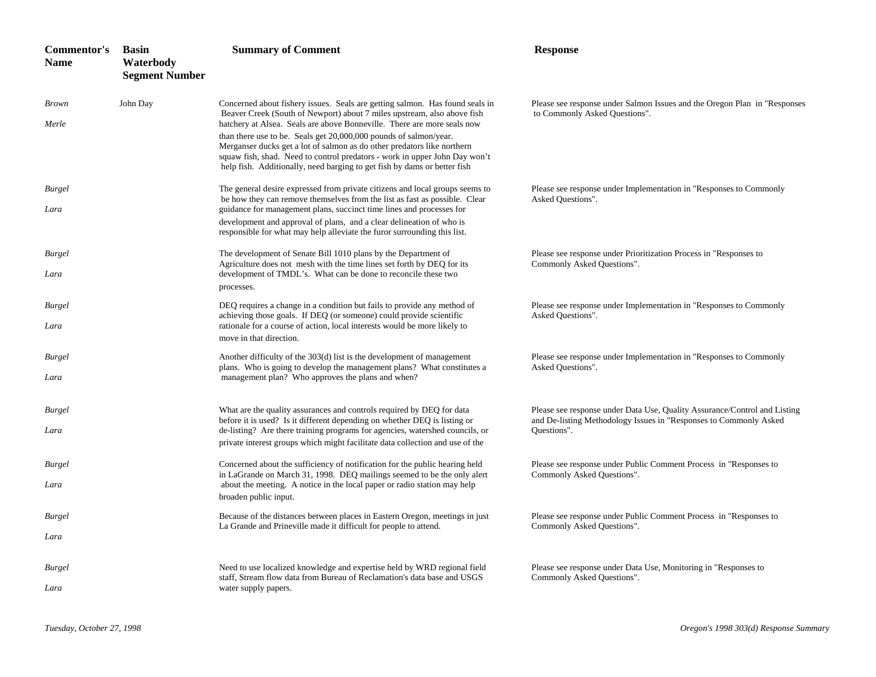| Commentor's<br><b>Name</b> | <b>Basin</b><br>Waterbody<br><b>Segment Number</b> | <b>Summary of Comment</b>                                                                                                                                                                                                                                                                              | <b>Response</b>                                                                                                                                |
|----------------------------|----------------------------------------------------|--------------------------------------------------------------------------------------------------------------------------------------------------------------------------------------------------------------------------------------------------------------------------------------------------------|------------------------------------------------------------------------------------------------------------------------------------------------|
| <b>Brown</b><br>Merle      | John Day                                           | Concerned about fishery issues. Seals are getting salmon. Has found seals in<br>Beaver Creek (South of Newport) about 7 miles upstream, also above fish<br>hatchery at Alsea. Seals are above Bonneville. There are more seals now                                                                     | Please see response under Salmon Issues and the Oregon Plan in "Responses"<br>to Commonly Asked Questions".                                    |
|                            |                                                    | than there use to be. Seals get 20,000,000 pounds of salmon/year.<br>Merganser ducks get a lot of salmon as do other predators like northern<br>squaw fish, shad. Need to control predators - work in upper John Day won't<br>help fish. Additionally, need barging to get fish by dams or better fish |                                                                                                                                                |
| <b>Burgel</b><br>Lara      |                                                    | The general desire expressed from private citizens and local groups seems to<br>be how they can remove themselves from the list as fast as possible. Clear<br>guidance for management plans, succinct time lines and processes for                                                                     | Please see response under Implementation in "Responses to Commonly<br>Asked Questions".                                                        |
|                            |                                                    | development and approval of plans, and a clear delineation of who is<br>responsible for what may help alleviate the furor surrounding this list.                                                                                                                                                       |                                                                                                                                                |
| <b>Burgel</b>              |                                                    | The development of Senate Bill 1010 plans by the Department of<br>Agriculture does not mesh with the time lines set forth by DEQ for its                                                                                                                                                               | Please see response under Prioritization Process in "Responses to<br>Commonly Asked Questions".                                                |
| Lara                       |                                                    | development of TMDL's. What can be done to reconcile these two<br>processes.                                                                                                                                                                                                                           |                                                                                                                                                |
| <b>Burgel</b><br>Lara      |                                                    | DEQ requires a change in a condition but fails to provide any method of<br>achieving those goals. If DEQ (or someone) could provide scientific<br>rationale for a course of action, local interests would be more likely to<br>move in that direction.                                                 | Please see response under Implementation in "Responses to Commonly<br>Asked Questions".                                                        |
| <b>Burgel</b><br>Lara      |                                                    | Another difficulty of the 303(d) list is the development of management<br>plans. Who is going to develop the management plans? What constitutes a<br>management plan? Who approves the plans and when?                                                                                                 | Please see response under Implementation in "Responses to Commonly<br>Asked Questions".                                                        |
| <b>Burgel</b>              |                                                    | What are the quality assurances and controls required by DEQ for data<br>before it is used? Is it different depending on whether DEQ is listing or                                                                                                                                                     | Please see response under Data Use, Quality Assurance/Control and Listing<br>and De-listing Methodology Issues in "Responses to Commonly Asked |
| Lara                       |                                                    | de-listing? Are there training programs for agencies, watershed councils, or<br>private interest groups which might facilitate data collection and use of the                                                                                                                                          | Questions".                                                                                                                                    |
| <b>Burgel</b>              |                                                    | Concerned about the sufficiency of notification for the public hearing held<br>in LaGrande on March 31, 1998. DEQ mailings seemed to be the only alert                                                                                                                                                 | Please see response under Public Comment Process in "Responses to<br>Commonly Asked Questions".                                                |
| Lara                       |                                                    | about the meeting. A notice in the local paper or radio station may help<br>broaden public input.                                                                                                                                                                                                      |                                                                                                                                                |
| <b>Burgel</b><br>Lara      |                                                    | Because of the distances between places in Eastern Oregon, meetings in just<br>La Grande and Prineville made it difficult for people to attend.                                                                                                                                                        | Please see response under Public Comment Process in "Responses to<br>Commonly Asked Questions".                                                |
| <b>Burgel</b><br>Lara      |                                                    | Need to use localized knowledge and expertise held by WRD regional field<br>staff, Stream flow data from Bureau of Reclamation's data base and USGS<br>water supply papers.                                                                                                                            | Please see response under Data Use, Monitoring in "Responses to<br>Commonly Asked Questions".                                                  |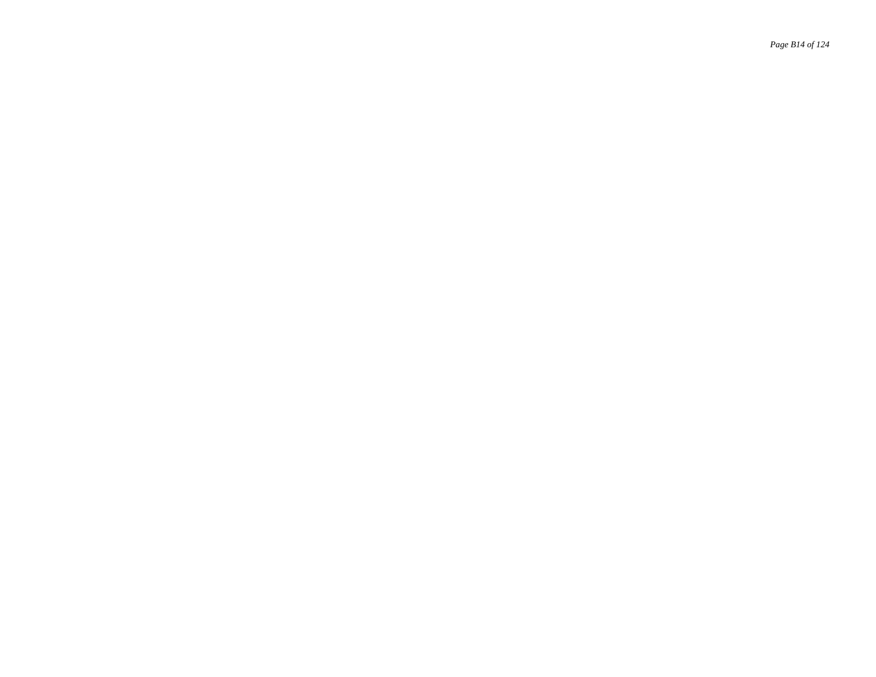*Page B14 of 124*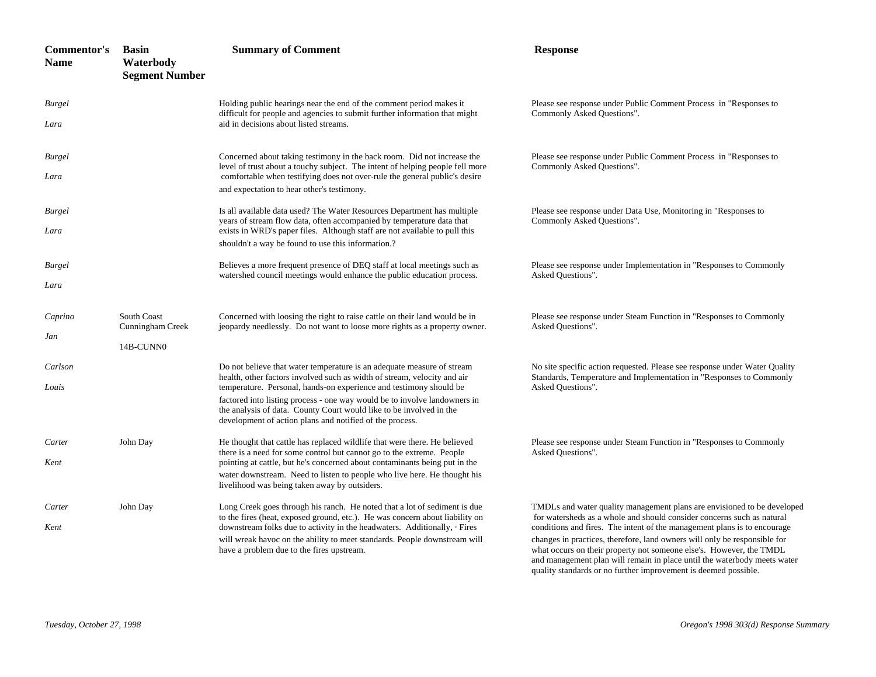| Commentor's<br><b>Name</b> | <b>Basin</b><br>Waterbody<br><b>Segment Number</b> | <b>Summary of Comment</b>                                                                                                                                                                                                                                                          | <b>Response</b>                                                                                                                                                                                                                                                                                          |
|----------------------------|----------------------------------------------------|------------------------------------------------------------------------------------------------------------------------------------------------------------------------------------------------------------------------------------------------------------------------------------|----------------------------------------------------------------------------------------------------------------------------------------------------------------------------------------------------------------------------------------------------------------------------------------------------------|
| <b>Burgel</b>              |                                                    | Holding public hearings near the end of the comment period makes it<br>difficult for people and agencies to submit further information that might                                                                                                                                  | Please see response under Public Comment Process in "Responses to<br>Commonly Asked Questions".                                                                                                                                                                                                          |
| Lara                       |                                                    | aid in decisions about listed streams.                                                                                                                                                                                                                                             |                                                                                                                                                                                                                                                                                                          |
| <b>Burgel</b>              |                                                    | Concerned about taking testimony in the back room. Did not increase the<br>level of trust about a touchy subject. The intent of helping people fell more                                                                                                                           | Please see response under Public Comment Process in "Responses to<br>Commonly Asked Questions".                                                                                                                                                                                                          |
| Lara                       |                                                    | comfortable when testifying does not over-rule the general public's desire<br>and expectation to hear other's testimony.                                                                                                                                                           |                                                                                                                                                                                                                                                                                                          |
| <b>Burgel</b>              |                                                    | Is all available data used? The Water Resources Department has multiple<br>years of stream flow data, often accompanied by temperature data that                                                                                                                                   | Please see response under Data Use, Monitoring in "Responses to<br>Commonly Asked Questions".                                                                                                                                                                                                            |
| Lara                       |                                                    | exists in WRD's paper files. Although staff are not available to pull this<br>shouldn't a way be found to use this information.?                                                                                                                                                   |                                                                                                                                                                                                                                                                                                          |
| <b>Burgel</b>              |                                                    | Believes a more frequent presence of DEQ staff at local meetings such as<br>watershed council meetings would enhance the public education process.                                                                                                                                 | Please see response under Implementation in "Responses to Commonly<br>Asked Questions".                                                                                                                                                                                                                  |
| Lara                       |                                                    |                                                                                                                                                                                                                                                                                    |                                                                                                                                                                                                                                                                                                          |
| Caprino                    | South Coast<br>Cunningham Creek                    | Concerned with loosing the right to raise cattle on their land would be in<br>jeopardy needlessly. Do not want to loose more rights as a property owner.                                                                                                                           | Please see response under Steam Function in "Responses to Commonly<br>Asked Questions".                                                                                                                                                                                                                  |
| Jan                        | 14B-CUNN0                                          |                                                                                                                                                                                                                                                                                    |                                                                                                                                                                                                                                                                                                          |
| Carlson                    |                                                    | Do not believe that water temperature is an adequate measure of stream<br>health, other factors involved such as width of stream, velocity and air                                                                                                                                 | No site specific action requested. Please see response under Water Quality<br>Standards, Temperature and Implementation in "Responses to Commonly                                                                                                                                                        |
| Louis                      |                                                    | temperature. Personal, hands-on experience and testimony should be<br>factored into listing process - one way would be to involve landowners in<br>the analysis of data. County Court would like to be involved in the<br>development of action plans and notified of the process. | Asked Questions".                                                                                                                                                                                                                                                                                        |
| Carter                     | John Day                                           | He thought that cattle has replaced wildlife that were there. He believed<br>there is a need for some control but cannot go to the extreme. People                                                                                                                                 | Please see response under Steam Function in "Responses to Commonly<br>Asked Questions".                                                                                                                                                                                                                  |
| Kent                       |                                                    | pointing at cattle, but he's concerned about contaminants being put in the<br>water downstream. Need to listen to people who live here. He thought his<br>livelihood was being taken away by outsiders.                                                                            |                                                                                                                                                                                                                                                                                                          |
| Carter                     | John Day                                           | Long Creek goes through his ranch. He noted that a lot of sediment is due<br>to the fires (heat, exposed ground, etc.). He was concern about liability on                                                                                                                          | TMDLs and water quality management plans are envisioned to be developed<br>for watersheds as a whole and should consider concerns such as natural                                                                                                                                                        |
| Kent                       |                                                    | downstream folks due to activity in the headwaters. Additionally, · Fires<br>will wreak havoc on the ability to meet standards. People downstream will<br>have a problem due to the fires upstream.                                                                                | conditions and fires. The intent of the management plans is to encourage<br>changes in practices, therefore, land owners will only be responsible for<br>what occurs on their property not someone else's. However, the TMDL<br>and management plan will remain in place until the waterbody meets water |

quality standards or no further improvement is deemed possible.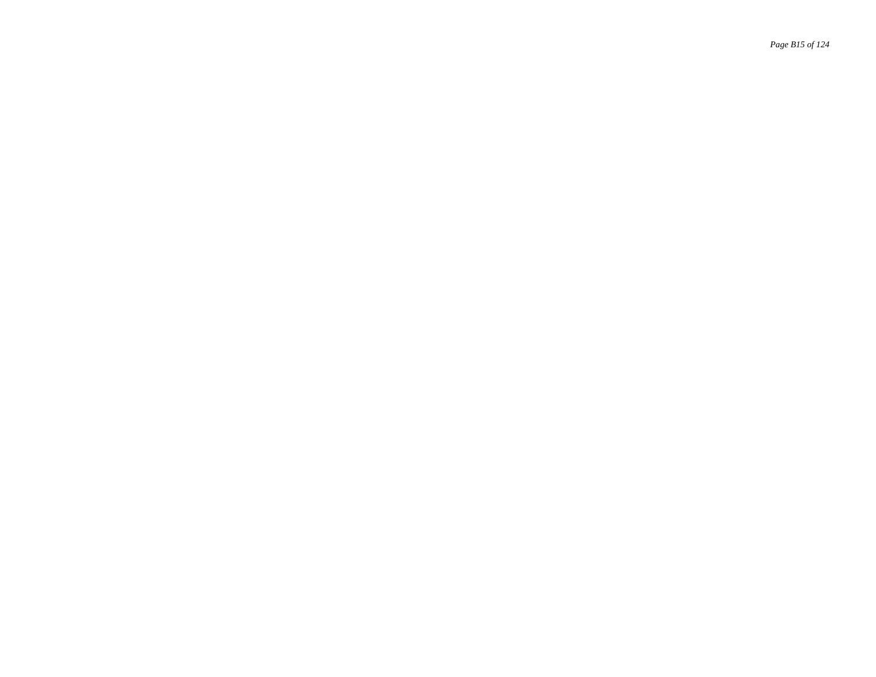*Page B15 of 124*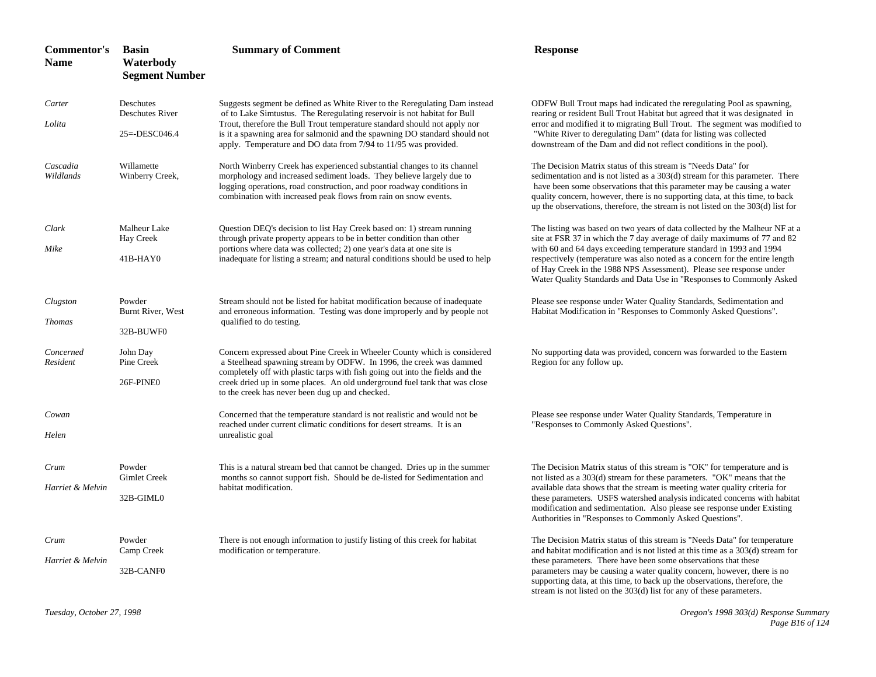| Commentor's<br><b>Name</b> | <b>Basin</b><br>Waterbody<br><b>Segment Number</b>   | <b>Summary of Comment</b>                                                                                                                                                                                                                                                                                                                                                            | <b>Response</b>                                                                                                                                                                                                                                                                                                                                                                                                                                                |
|----------------------------|------------------------------------------------------|--------------------------------------------------------------------------------------------------------------------------------------------------------------------------------------------------------------------------------------------------------------------------------------------------------------------------------------------------------------------------------------|----------------------------------------------------------------------------------------------------------------------------------------------------------------------------------------------------------------------------------------------------------------------------------------------------------------------------------------------------------------------------------------------------------------------------------------------------------------|
| Carter<br>Lolita           | Deschutes<br><b>Deschutes River</b><br>25=-DESC046.4 | Suggests segment be defined as White River to the Reregulating Dam instead<br>of to Lake Simtustus. The Reregulating reservoir is not habitat for Bull<br>Trout, therefore the Bull Trout temperature standard should not apply nor<br>is it a spawning area for salmonid and the spawning DO standard should not<br>apply. Temperature and DO data from 7/94 to 11/95 was provided. | ODFW Bull Trout maps had indicated the reregulating Pool as spawning,<br>rearing or resident Bull Trout Habitat but agreed that it was designated in<br>error and modified it to migrating Bull Trout. The segment was modified to<br>"White River to deregulating Dam" (data for listing was collected<br>downstream of the Dam and did not reflect conditions in the pool).                                                                                  |
| Cascadia<br>Wildlands      | Willamette<br>Winberry Creek,                        | North Winberry Creek has experienced substantial changes to its channel<br>morphology and increased sediment loads. They believe largely due to<br>logging operations, road construction, and poor roadway conditions in<br>combination with increased peak flows from rain on snow events.                                                                                          | The Decision Matrix status of this stream is "Needs Data" for<br>sedimentation and is not listed as a 303(d) stream for this parameter. There<br>have been some observations that this parameter may be causing a water<br>quality concern, however, there is no supporting data, at this time, to back<br>up the observations, therefore, the stream is not listed on the $303(d)$ list for                                                                   |
| Clark<br>Mike              | Malheur Lake<br><b>Hay Creek</b><br>41B-HAY0         | Question DEQ's decision to list Hay Creek based on: 1) stream running<br>through private property appears to be in better condition than other<br>portions where data was collected; 2) one year's data at one site is<br>inadequate for listing a stream; and natural conditions should be used to help                                                                             | The listing was based on two years of data collected by the Malheur NF at a<br>site at FSR 37 in which the 7 day average of daily maximums of 77 and 82<br>with 60 and 64 days exceeding temperature standard in 1993 and 1994<br>respectively (temperature was also noted as a concern for the entire length<br>of Hay Creek in the 1988 NPS Assessment). Please see response under<br>Water Quality Standards and Data Use in "Responses to Commonly Asked   |
| Clugston<br><b>Thomas</b>  | Powder<br>Burnt River, West<br>32B-BUWF0             | Stream should not be listed for habitat modification because of inadequate<br>and erroneous information. Testing was done improperly and by people not<br>qualified to do testing.                                                                                                                                                                                                   | Please see response under Water Quality Standards, Sedimentation and<br>Habitat Modification in "Responses to Commonly Asked Questions".                                                                                                                                                                                                                                                                                                                       |
| Concerned<br>Resident      | John Day<br>Pine Creek<br>26F-PINE0                  | Concern expressed about Pine Creek in Wheeler County which is considered<br>a Steelhead spawning stream by ODFW. In 1996, the creek was dammed<br>completely off with plastic tarps with fish going out into the fields and the<br>creek dried up in some places. An old underground fuel tank that was close<br>to the creek has never been dug up and checked.                     | No supporting data was provided, concern was forwarded to the Eastern<br>Region for any follow up.                                                                                                                                                                                                                                                                                                                                                             |
| Cowan<br>Helen             |                                                      | Concerned that the temperature standard is not realistic and would not be<br>reached under current climatic conditions for desert streams. It is an<br>unrealistic goal                                                                                                                                                                                                              | Please see response under Water Quality Standards, Temperature in<br>"Responses to Commonly Asked Questions".                                                                                                                                                                                                                                                                                                                                                  |
| Crum<br>Harriet & Melvin   | Powder<br><b>Gimlet Creek</b><br>32B-GIML0           | This is a natural stream bed that cannot be changed. Dries up in the summer<br>months so cannot support fish. Should be de-listed for Sedimentation and<br>habitat modification.                                                                                                                                                                                                     | The Decision Matrix status of this stream is "OK" for temperature and is<br>not listed as a 303(d) stream for these parameters. "OK" means that the<br>available data shows that the stream is meeting water quality criteria for<br>these parameters. USFS watershed analysis indicated concerns with habitat<br>modification and sedimentation. Also please see response under Existing<br>Authorities in "Responses to Commonly Asked Questions".           |
| Crum<br>Harriet & Melvin   | Powder<br>Camp Creek<br>32B-CANF0                    | There is not enough information to justify listing of this creek for habitat<br>modification or temperature.                                                                                                                                                                                                                                                                         | The Decision Matrix status of this stream is "Needs Data" for temperature<br>and habitat modification and is not listed at this time as a 303(d) stream for<br>these parameters. There have been some observations that these<br>parameters may be causing a water quality concern, however, there is no<br>supporting data, at this time, to back up the observations, therefore, the<br>stream is not listed on the 303(d) list for any of these parameters. |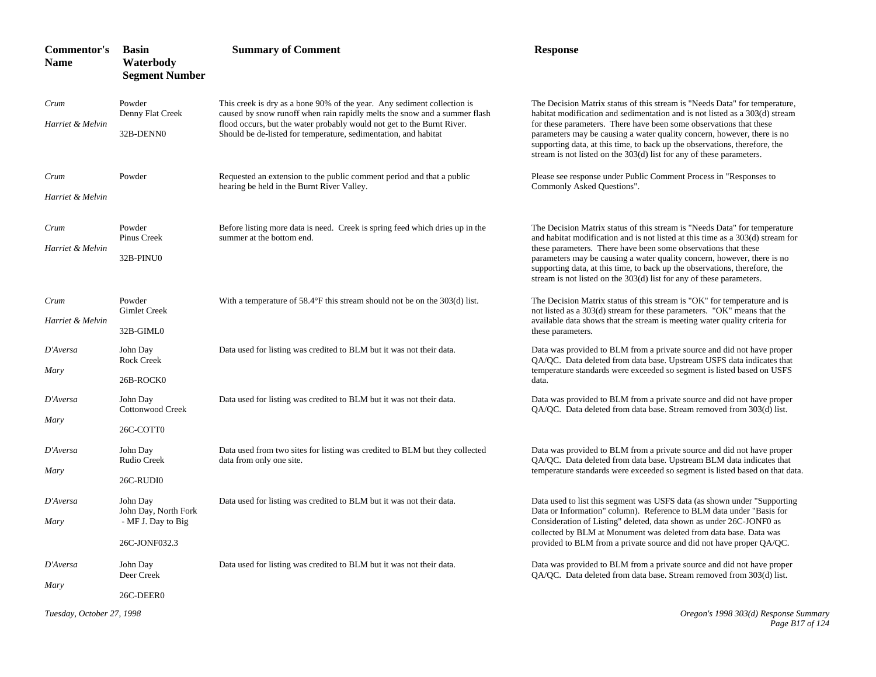| <b>Commentor's</b><br><b>Name</b> | <b>Basin</b><br>Waterbody<br><b>Segment Number</b>                      | <b>Summary of Comment</b>                                                                                                                                                                                                                                                                         | <b>Response</b>                                                                                                                                                                                                                                                                                                                                                                                                                                                  |
|-----------------------------------|-------------------------------------------------------------------------|---------------------------------------------------------------------------------------------------------------------------------------------------------------------------------------------------------------------------------------------------------------------------------------------------|------------------------------------------------------------------------------------------------------------------------------------------------------------------------------------------------------------------------------------------------------------------------------------------------------------------------------------------------------------------------------------------------------------------------------------------------------------------|
| Crum<br>Harriet & Melvin          | Powder<br>Denny Flat Creek<br>32B-DENN0                                 | This creek is dry as a bone 90% of the year. Any sediment collection is<br>caused by snow runoff when rain rapidly melts the snow and a summer flash<br>flood occurs, but the water probably would not get to the Burnt River.<br>Should be de-listed for temperature, sedimentation, and habitat | The Decision Matrix status of this stream is "Needs Data" for temperature,<br>habitat modification and sedimentation and is not listed as a 303(d) stream<br>for these parameters. There have been some observations that these<br>parameters may be causing a water quality concern, however, there is no<br>supporting data, at this time, to back up the observations, therefore, the<br>stream is not listed on the 303(d) list for any of these parameters. |
| Crum<br>Harriet & Melvin          | Powder                                                                  | Requested an extension to the public comment period and that a public<br>hearing be held in the Burnt River Valley.                                                                                                                                                                               | Please see response under Public Comment Process in "Responses to<br>Commonly Asked Questions".                                                                                                                                                                                                                                                                                                                                                                  |
| Crum<br>Harriet & Melvin          | Powder<br>Pinus Creek<br>32B-PINU0                                      | Before listing more data is need. Creek is spring feed which dries up in the<br>summer at the bottom end.                                                                                                                                                                                         | The Decision Matrix status of this stream is "Needs Data" for temperature<br>and habitat modification and is not listed at this time as a 303(d) stream for<br>these parameters. There have been some observations that these<br>parameters may be causing a water quality concern, however, there is no<br>supporting data, at this time, to back up the observations, therefore, the<br>stream is not listed on the 303(d) list for any of these parameters.   |
| Crum<br>Harriet & Melvin          | Powder<br><b>Gimlet Creek</b><br>32B-GIML0                              | With a temperature of $58.4^{\circ}$ F this stream should not be on the $303(d)$ list.                                                                                                                                                                                                            | The Decision Matrix status of this stream is "OK" for temperature and is<br>not listed as a 303(d) stream for these parameters. "OK" means that the<br>available data shows that the stream is meeting water quality criteria for<br>these parameters.                                                                                                                                                                                                           |
| D'Aversa<br>Mary                  | John Day<br><b>Rock Creek</b><br>26B-ROCK0                              | Data used for listing was credited to BLM but it was not their data.                                                                                                                                                                                                                              | Data was provided to BLM from a private source and did not have proper<br>QA/QC. Data deleted from data base. Upstream USFS data indicates that<br>temperature standards were exceeded so segment is listed based on USFS<br>data.                                                                                                                                                                                                                               |
| D'Aversa<br>Mary                  | John Day<br><b>Cottonwood Creek</b><br>26C-COTT0                        | Data used for listing was credited to BLM but it was not their data.                                                                                                                                                                                                                              | Data was provided to BLM from a private source and did not have proper<br>QA/QC. Data deleted from data base. Stream removed from 303(d) list.                                                                                                                                                                                                                                                                                                                   |
| D'Aversa<br>Mary                  | John Day<br>Rudio Creek<br>26C-RUDI0                                    | Data used from two sites for listing was credited to BLM but they collected<br>data from only one site.                                                                                                                                                                                           | Data was provided to BLM from a private source and did not have proper<br>QA/QC. Data deleted from data base. Upstream BLM data indicates that<br>temperature standards were exceeded so segment is listed based on that data.                                                                                                                                                                                                                                   |
| D'Aversa<br>Mary                  | John Day<br>John Day, North Fork<br>- MF J. Day to Big<br>26C-JONF032.3 | Data used for listing was credited to BLM but it was not their data.                                                                                                                                                                                                                              | Data used to list this segment was USFS data (as shown under "Supporting"<br>Data or Information" column). Reference to BLM data under "Basis for<br>Consideration of Listing" deleted, data shown as under 26C-JONF0 as<br>collected by BLM at Monument was deleted from data base. Data was<br>provided to BLM from a private source and did not have proper QA/QC.                                                                                            |
| D'Aversa<br>Mary                  | John Day<br>Deer Creek<br>26C-DEER0                                     | Data used for listing was credited to BLM but it was not their data.                                                                                                                                                                                                                              | Data was provided to BLM from a private source and did not have proper<br>QA/QC. Data deleted from data base. Stream removed from 303(d) list.                                                                                                                                                                                                                                                                                                                   |
| Tuesday, October 27, 1998         |                                                                         |                                                                                                                                                                                                                                                                                                   | Oregon's 1998 303(d) Response Summary                                                                                                                                                                                                                                                                                                                                                                                                                            |

*Page B17 of 124*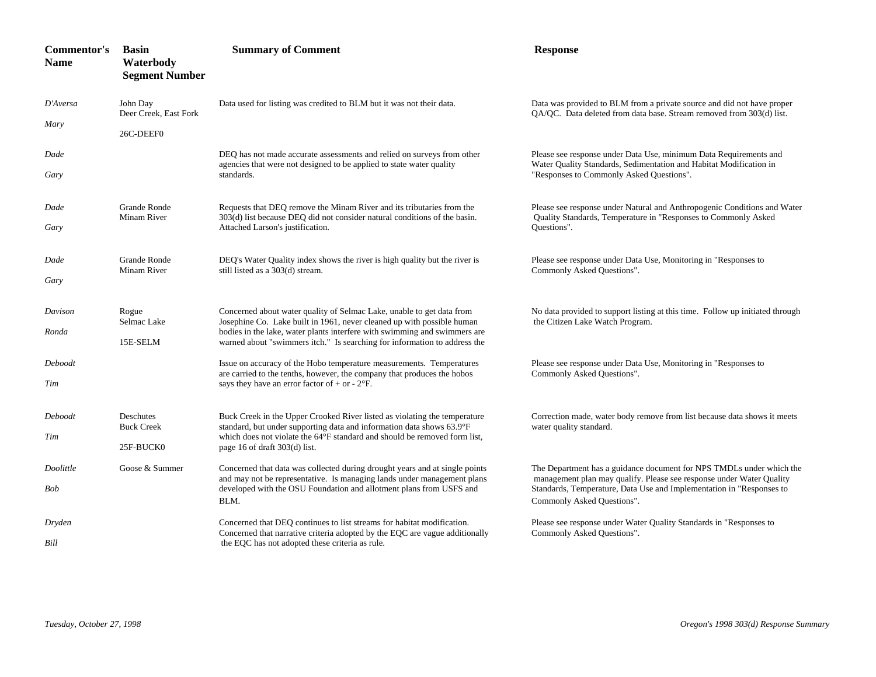| Commentor's<br><b>Name</b> | <b>Basin</b><br>Waterbody<br><b>Segment Number</b> | <b>Summary of Comment</b>                                                                                                                              | <b>Response</b>                                                                                                                                |
|----------------------------|----------------------------------------------------|--------------------------------------------------------------------------------------------------------------------------------------------------------|------------------------------------------------------------------------------------------------------------------------------------------------|
| D'Aversa                   | John Day<br>Deer Creek, East Fork                  | Data used for listing was credited to BLM but it was not their data.                                                                                   | Data was provided to BLM from a private source and did not have proper<br>QA/QC. Data deleted from data base. Stream removed from 303(d) list. |
| Mary                       | 26C-DEEF0                                          |                                                                                                                                                        |                                                                                                                                                |
| Dade                       |                                                    | DEQ has not made accurate assessments and relied on surveys from other<br>agencies that were not designed to be applied to state water quality         | Please see response under Data Use, minimum Data Requirements and<br>Water Quality Standards, Sedimentation and Habitat Modification in        |
| Gary                       |                                                    | standards.                                                                                                                                             | "Responses to Commonly Asked Questions".                                                                                                       |
| Dade                       | <b>Grande Ronde</b>                                | Requests that DEQ remove the Minam River and its tributaries from the                                                                                  | Please see response under Natural and Anthropogenic Conditions and Water                                                                       |
| Gary                       | Minam River                                        | 303(d) list because DEQ did not consider natural conditions of the basin.<br>Attached Larson's justification.                                          | Quality Standards, Temperature in "Responses to Commonly Asked<br>Ouestions".                                                                  |
| Dade                       | <b>Grande Ronde</b>                                | DEQ's Water Quality index shows the river is high quality but the river is                                                                             | Please see response under Data Use, Monitoring in "Responses to                                                                                |
| Gary                       | Minam River                                        | still listed as a 303(d) stream.                                                                                                                       | Commonly Asked Questions".                                                                                                                     |
| Davison                    | Rogue<br>Selmac Lake                               | Concerned about water quality of Selmac Lake, unable to get data from<br>Josephine Co. Lake built in 1961, never cleaned up with possible human        | No data provided to support listing at this time. Follow up initiated through                                                                  |
| Ronda                      | 15E-SELM                                           | bodies in the lake, water plants interfere with swimming and swimmers are<br>warned about "swimmers itch." Is searching for information to address the | the Citizen Lake Watch Program.                                                                                                                |
| Deboodt                    |                                                    | Issue on accuracy of the Hobo temperature measurements. Temperatures<br>are carried to the tenths, however, the company that produces the hobos        | Please see response under Data Use, Monitoring in "Responses to<br>Commonly Asked Questions".                                                  |
| Tim                        |                                                    | says they have an error factor of $+$ or $-2^{\circ}$ F.                                                                                               |                                                                                                                                                |
| Deboodt                    | Deschutes<br><b>Buck Creek</b>                     | Buck Creek in the Upper Crooked River listed as violating the temperature<br>standard, but under supporting data and information data shows 63.9°F     | Correction made, water body remove from list because data shows it meets<br>water quality standard.                                            |
| Tim                        | 25F-BUCK0                                          | which does not violate the 64°F standard and should be removed form list,<br>page 16 of draft 303(d) list.                                             |                                                                                                                                                |
| Doolittle                  | Goose & Summer                                     | Concerned that data was collected during drought years and at single points<br>and may not be representative. Is managing lands under management plans | The Department has a guidance document for NPS TMDLs under which the<br>management plan may qualify. Please see response under Water Quality   |
| Bob                        |                                                    | developed with the OSU Foundation and allotment plans from USFS and<br>BLM.                                                                            | Standards, Temperature, Data Use and Implementation in "Responses to<br>Commonly Asked Questions".                                             |
| Dryden                     |                                                    | Concerned that DEQ continues to list streams for habitat modification.<br>Concerned that narrative criteria adopted by the EQC are vague additionally  | Please see response under Water Quality Standards in "Responses to<br>Commonly Asked Questions".                                               |
| Bill                       |                                                    | the EQC has not adopted these criteria as rule.                                                                                                        |                                                                                                                                                |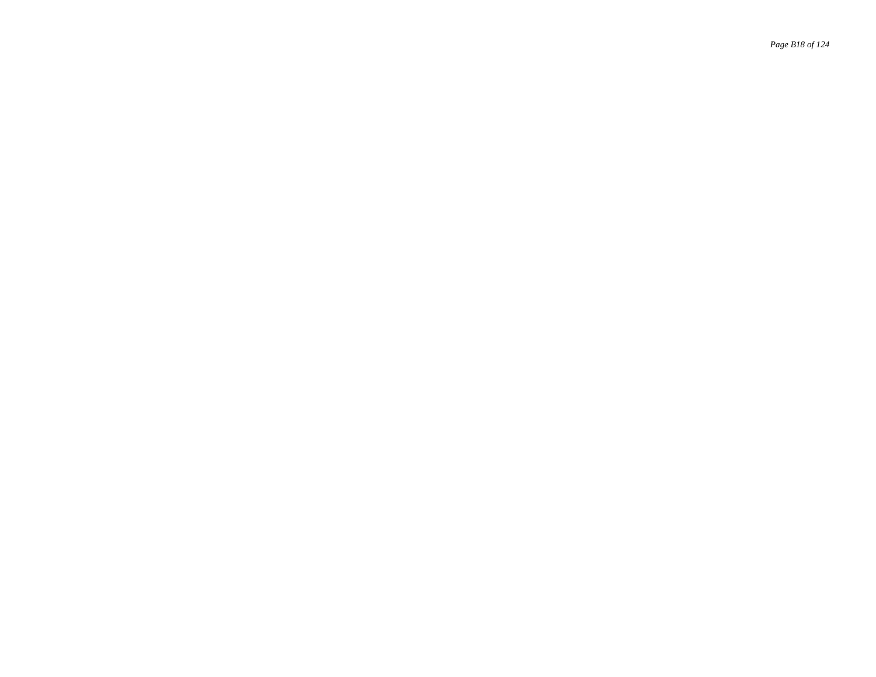*Page B18 of 124*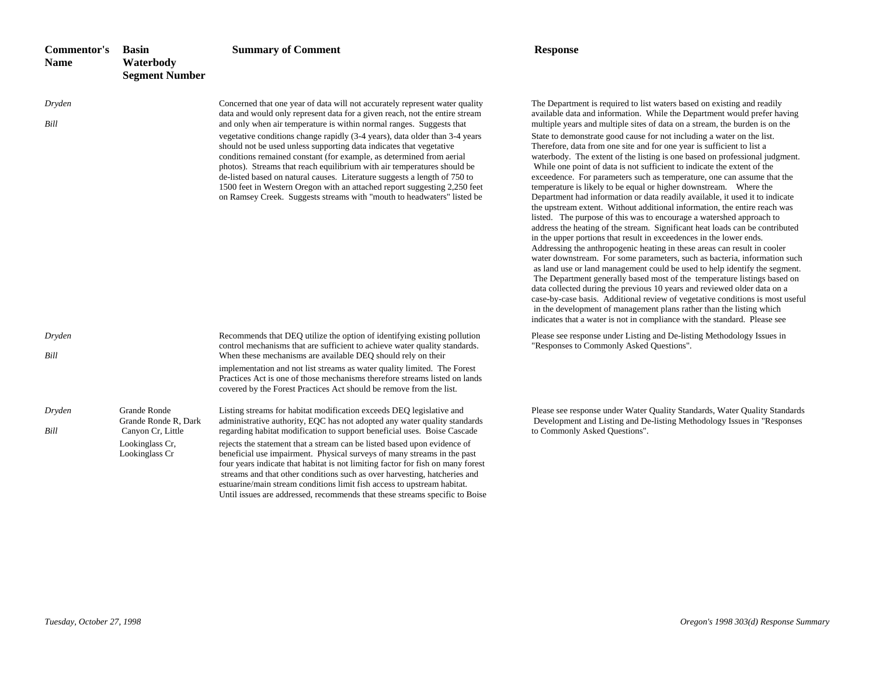## **Summary of Comment Response**

**Commentor's BasinName Waterbody Segment Number**

*Bill*

*Dryden* Concerned that one year of data will not accurately represent water quality The Department is required to list waters based on existing and readily and only when air temperature is within normal ranges. Suggests that multiple years and multiple sites of data on a stream, the burden is on the vegetative conditions change rapidly (3-4 years), data older than 3-4 years State to demonstrate good cause for not including a water on the list.

> photos). Streams that reach equilibrium with air temperatures should be While one point of data is not sufficient to indicate the extent of the de-listed based on natural causes. Literature suggests a length of 750 to exceedence. For parameters such as temperature, one can assume that the 1500 feet in Western Oregon with an attached report suggesting 2,250 feet temperature is likely to be equal or higher downstream. Where the on Ramsey Creek. Suggests streams with "mouth to headwaters" listed be Department had information or data readily available, it used it to indicate

estuarine/main stream conditions limit fish access to upstream habitat. Until issues are addressed, recommends that these streams specific to Boise

data and would only represent data for a given reach, not the entire stream available data and information. While the Department would prefer having

should not be used unless supporting data indicates that vegetative Therefore, data from one site and for one year is sufficient to list a conditions remained constant (for example, as determined from aerial waterbody. The extent of the listing is one based on professional judgment. the upstream extent. Without additional information, the entire reach was listed. The purpose of this was to encourage a watershed approach to address the heating of the stream. Significant heat loads can be contributed in the upper portions that result in exceedences in the lower ends. Addressing the anthropogenic heating in these areas can result in cooler water downstream. For some parameters, such as bacteria, information such as land use or land management could be used to help identify the segment. The Department generally based most of the temperature listings based on data collected during the previous 10 years and reviewed older data on a case-by-case basis. Additional review of vegetative conditions is most useful in the development of management plans rather than the listing which indicates that a water is not in compliance with the standard. Please see

> *Please see response under Listing and De-listing Methodology Issues in* "Responses to Commonly Asked Questions".

Please see response under Water Quality Standards, Water Quality Standards Is Grande Ronde R, Development and Listing and De-listing Methodology Issues in "Responses" to Commonly Asked Questions".

| Dryden         |                                                           | Recommends that DEO utilize the option of identifying existing pollution<br>control mechanisms that are sufficient to achieve water quality standards.                                                                                                                                                              |
|----------------|-----------------------------------------------------------|---------------------------------------------------------------------------------------------------------------------------------------------------------------------------------------------------------------------------------------------------------------------------------------------------------------------|
| Bill           |                                                           | When these mechanisms are available DEO should rely on their                                                                                                                                                                                                                                                        |
|                |                                                           | implementation and not list streams as water quality limited. The Forest<br>Practices Act is one of those mechanisms therefore streams listed on lands<br>covered by the Forest Practices Act should be remove from the list.                                                                                       |
| Dryden<br>Bill | Grande Ronde<br>Grande Ronde R. Dark<br>Canyon Cr, Little | Listing streams for habitat modification exceeds DEO legislative and<br>administrative authority, EQC has not adopted any water quality standards<br>regarding habitat modification to support beneficial uses. Boise Cascade                                                                                       |
|                | Lookinglass Cr.<br>Lookinglass Cr                         | rejects the statement that a stream can be listed based upon evidence of<br>beneficial use impairment. Physical surveys of many streams in the past<br>four years indicate that habitat is not limiting factor for fish on many forest<br>streams and that other conditions such as over harvesting, hatcheries and |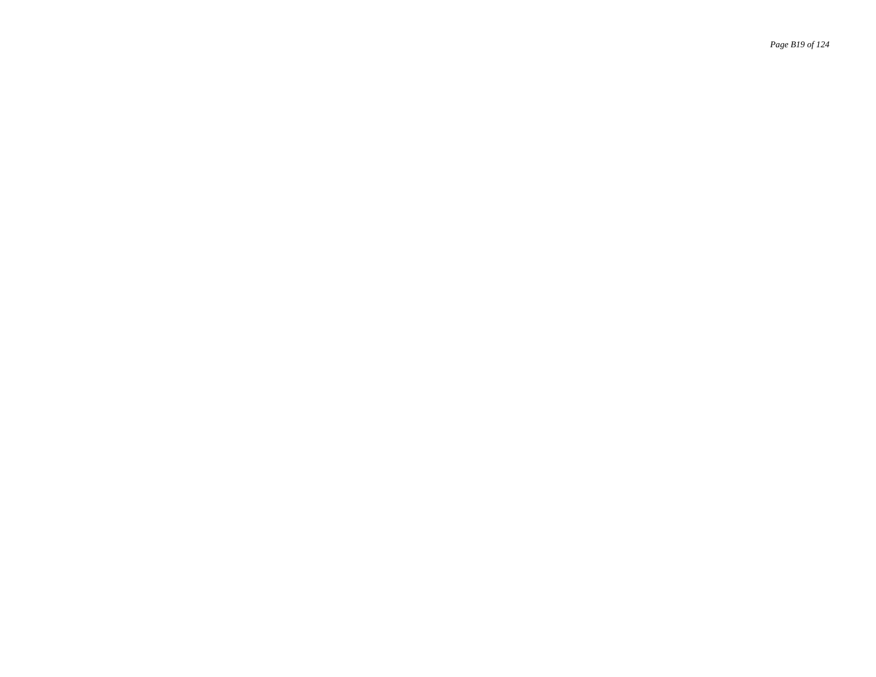*Page B19 of 124*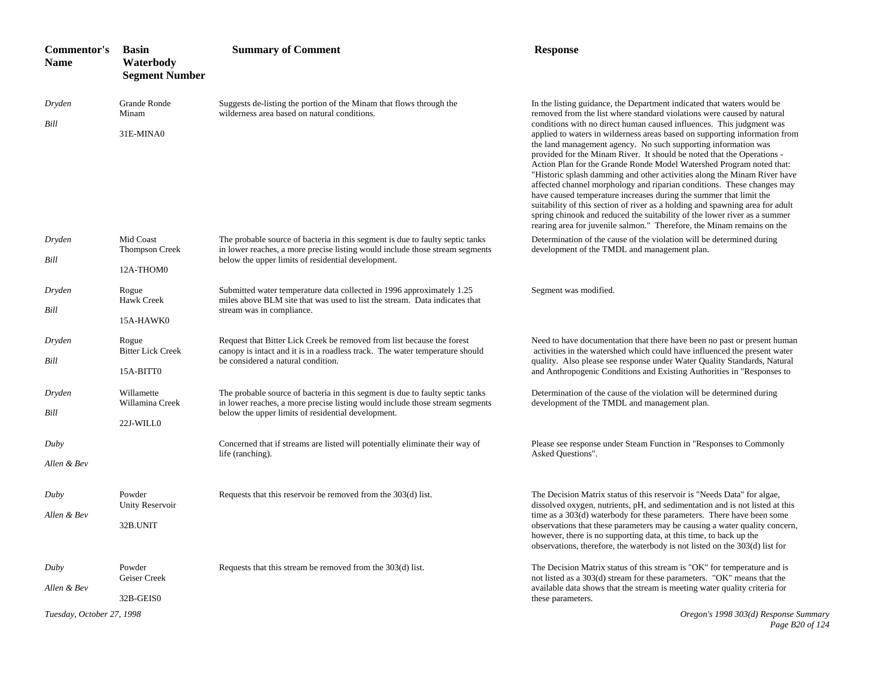| Commentor's<br><b>Name</b> | <b>Basin</b><br>Waterbody<br><b>Segment Number</b> | <b>Summary of Comment</b>                                                                                                                                                                                           | <b>Response</b>                                                                                                                                                                                                                                                                                                                                                                                                                                                                                                                                                                                                                                                                                                                                                                                                                                                                                                                                                                                |
|----------------------------|----------------------------------------------------|---------------------------------------------------------------------------------------------------------------------------------------------------------------------------------------------------------------------|------------------------------------------------------------------------------------------------------------------------------------------------------------------------------------------------------------------------------------------------------------------------------------------------------------------------------------------------------------------------------------------------------------------------------------------------------------------------------------------------------------------------------------------------------------------------------------------------------------------------------------------------------------------------------------------------------------------------------------------------------------------------------------------------------------------------------------------------------------------------------------------------------------------------------------------------------------------------------------------------|
| Dryden<br>Bill             | Grande Ronde<br>Minam<br>31E-MINA0                 | Suggests de-listing the portion of the Minam that flows through the<br>wilderness area based on natural conditions.                                                                                                 | In the listing guidance, the Department indicated that waters would be<br>removed from the list where standard violations were caused by natural<br>conditions with no direct human caused influences. This judgment was<br>applied to waters in wilderness areas based on supporting information from<br>the land management agency. No such supporting information was<br>provided for the Minam River. It should be noted that the Operations -<br>Action Plan for the Grande Ronde Model Watershed Program noted that:<br>"Historic splash damming and other activities along the Minam River have<br>affected channel morphology and riparian conditions. These changes may<br>have caused temperature increases during the summer that limit the<br>suitability of this section of river as a holding and spawning area for adult<br>spring chinook and reduced the suitability of the lower river as a summer<br>rearing area for juvenile salmon." Therefore, the Minam remains on the |
| Dryden<br>Bill             | Mid Coast<br>Thompson Creek<br>12A-THOM0           | The probable source of bacteria in this segment is due to faulty septic tanks<br>in lower reaches, a more precise listing would include those stream segments<br>below the upper limits of residential development. | Determination of the cause of the violation will be determined during<br>development of the TMDL and management plan.                                                                                                                                                                                                                                                                                                                                                                                                                                                                                                                                                                                                                                                                                                                                                                                                                                                                          |
| Dryden<br>Bill             | Rogue<br><b>Hawk Creek</b><br>15A-HAWK0            | Submitted water temperature data collected in 1996 approximately 1.25<br>miles above BLM site that was used to list the stream. Data indicates that<br>stream was in compliance.                                    | Segment was modified.                                                                                                                                                                                                                                                                                                                                                                                                                                                                                                                                                                                                                                                                                                                                                                                                                                                                                                                                                                          |
| Dryden<br>Bill             | Rogue<br><b>Bitter Lick Creek</b><br>15A-BITT0     | Request that Bitter Lick Creek be removed from list because the forest<br>canopy is intact and it is in a roadless track. The water temperature should<br>be considered a natural condition.                        | Need to have documentation that there have been no past or present human<br>activities in the watershed which could have influenced the present water<br>quality. Also please see response under Water Quality Standards, Natural<br>and Anthropogenic Conditions and Existing Authorities in "Responses to                                                                                                                                                                                                                                                                                                                                                                                                                                                                                                                                                                                                                                                                                    |
| Dryden<br>Bill             | Willamette<br>Willamina Creek<br>22J-WILL0         | The probable source of bacteria in this segment is due to faulty septic tanks<br>in lower reaches, a more precise listing would include those stream segments<br>below the upper limits of residential development. | Determination of the cause of the violation will be determined during<br>development of the TMDL and management plan.                                                                                                                                                                                                                                                                                                                                                                                                                                                                                                                                                                                                                                                                                                                                                                                                                                                                          |
| Duby<br>Allen & Bev        |                                                    | Concerned that if streams are listed will potentially eliminate their way of<br>life (ranching).                                                                                                                    | Please see response under Steam Function in "Responses to Commonly<br>Asked Questions".                                                                                                                                                                                                                                                                                                                                                                                                                                                                                                                                                                                                                                                                                                                                                                                                                                                                                                        |
| Duby<br>Allen & Bev        | Powder<br><b>Unity Reservoir</b><br>32B.UNIT       | Requests that this reservoir be removed from the 303(d) list.                                                                                                                                                       | The Decision Matrix status of this reservoir is "Needs Data" for algae,<br>dissolved oxygen, nutrients, pH, and sedimentation and is not listed at this<br>time as a 303(d) waterbody for these parameters. There have been some<br>observations that these parameters may be causing a water quality concern,<br>however, there is no supporting data, at this time, to back up the<br>observations, therefore, the waterbody is not listed on the 303(d) list for                                                                                                                                                                                                                                                                                                                                                                                                                                                                                                                            |
| Duby<br>Allen & Bev        | Powder<br>Geiser Creek<br>32B-GEIS0                | Requests that this stream be removed from the 303(d) list.                                                                                                                                                          | The Decision Matrix status of this stream is "OK" for temperature and is<br>not listed as a 303(d) stream for these parameters. "OK" means that the<br>available data shows that the stream is meeting water quality criteria for<br>these parameters.                                                                                                                                                                                                                                                                                                                                                                                                                                                                                                                                                                                                                                                                                                                                         |
| Tuesday, October 27, 1998  |                                                    |                                                                                                                                                                                                                     | Oregon's 1998 303(d) Response Summary                                                                                                                                                                                                                                                                                                                                                                                                                                                                                                                                                                                                                                                                                                                                                                                                                                                                                                                                                          |

*Page B20 of 124*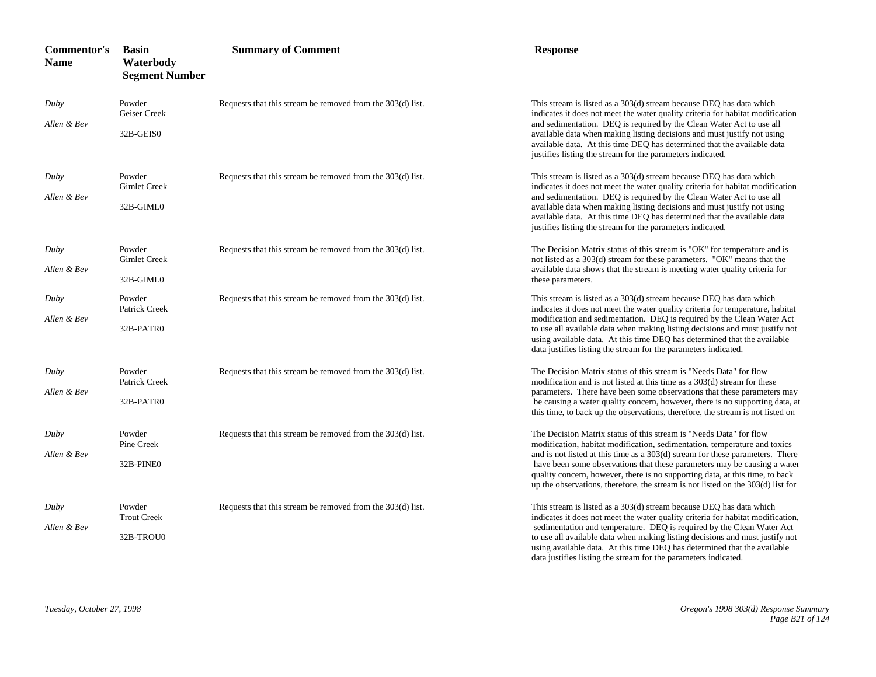| Commentor's<br><b>Name</b> | <b>Basin</b><br>Waterbody<br><b>Segment Number</b> | <b>Summary of Comment</b>                                  | <b>Response</b>                                                                                                                                                                                                                                                                                                                  |
|----------------------------|----------------------------------------------------|------------------------------------------------------------|----------------------------------------------------------------------------------------------------------------------------------------------------------------------------------------------------------------------------------------------------------------------------------------------------------------------------------|
| Duby<br>Allen & Bev        | Powder<br>Geiser Creek                             | Requests that this stream be removed from the 303(d) list. | This stream is listed as a 303(d) stream because DEQ has data which<br>indicates it does not meet the water quality criteria for habitat modification<br>and sedimentation. DEQ is required by the Clean Water Act to use all                                                                                                    |
|                            | 32B-GEIS0                                          |                                                            | available data when making listing decisions and must justify not using<br>available data. At this time DEQ has determined that the available data<br>justifies listing the stream for the parameters indicated.                                                                                                                 |
| Duby                       | Powder<br><b>Gimlet Creek</b>                      | Requests that this stream be removed from the 303(d) list. | This stream is listed as a 303(d) stream because DEQ has data which<br>indicates it does not meet the water quality criteria for habitat modification                                                                                                                                                                            |
| Allen & Bev                | 32B-GIML0                                          |                                                            | and sedimentation. DEQ is required by the Clean Water Act to use all<br>available data when making listing decisions and must justify not using<br>available data. At this time DEQ has determined that the available data<br>justifies listing the stream for the parameters indicated.                                         |
| Duby                       | Powder<br><b>Gimlet Creek</b>                      | Requests that this stream be removed from the 303(d) list. | The Decision Matrix status of this stream is "OK" for temperature and is<br>not listed as a 303(d) stream for these parameters. "OK" means that the                                                                                                                                                                              |
| Allen & Bev                | 32B-GIML0                                          |                                                            | available data shows that the stream is meeting water quality criteria for<br>these parameters.                                                                                                                                                                                                                                  |
| Duby                       | Powder<br>Patrick Creek                            | Requests that this stream be removed from the 303(d) list. | This stream is listed as a 303(d) stream because DEQ has data which<br>indicates it does not meet the water quality criteria for temperature, habitat                                                                                                                                                                            |
| Allen & Bev                | 32B-PATR0                                          |                                                            | modification and sedimentation. DEQ is required by the Clean Water Act<br>to use all available data when making listing decisions and must justify not<br>using available data. At this time DEQ has determined that the available<br>data justifies listing the stream for the parameters indicated.                            |
| Duby                       | Powder<br>Patrick Creek                            | Requests that this stream be removed from the 303(d) list. | The Decision Matrix status of this stream is "Needs Data" for flow<br>modification and is not listed at this time as a 303(d) stream for these                                                                                                                                                                                   |
| Allen & Bev                | 32B-PATR0                                          |                                                            | parameters. There have been some observations that these parameters may<br>be causing a water quality concern, however, there is no supporting data, at<br>this time, to back up the observations, therefore, the stream is not listed on                                                                                        |
| Duby                       | Powder<br>Pine Creek                               | Requests that this stream be removed from the 303(d) list. | The Decision Matrix status of this stream is "Needs Data" for flow<br>modification, habitat modification, sedimentation, temperature and toxics                                                                                                                                                                                  |
| Allen & Bev                | 32B-PINE0                                          |                                                            | and is not listed at this time as a $303(d)$ stream for these parameters. There<br>have been some observations that these parameters may be causing a water<br>quality concern, however, there is no supporting data, at this time, to back<br>up the observations, therefore, the stream is not listed on the $303(d)$ list for |
| Duby                       | Powder<br><b>Trout Creek</b>                       | Requests that this stream be removed from the 303(d) list. | This stream is listed as a 303(d) stream because DEQ has data which<br>indicates it does not meet the water quality criteria for habitat modification,                                                                                                                                                                           |
| Allen & Bev                | 32B-TROU0                                          |                                                            | sedimentation and temperature. DEQ is required by the Clean Water Act<br>to use all available data when making listing decisions and must justify not<br>using available data. At this time DEQ has determined that the available                                                                                                |

data justifies listing the stream for the parameters indicated.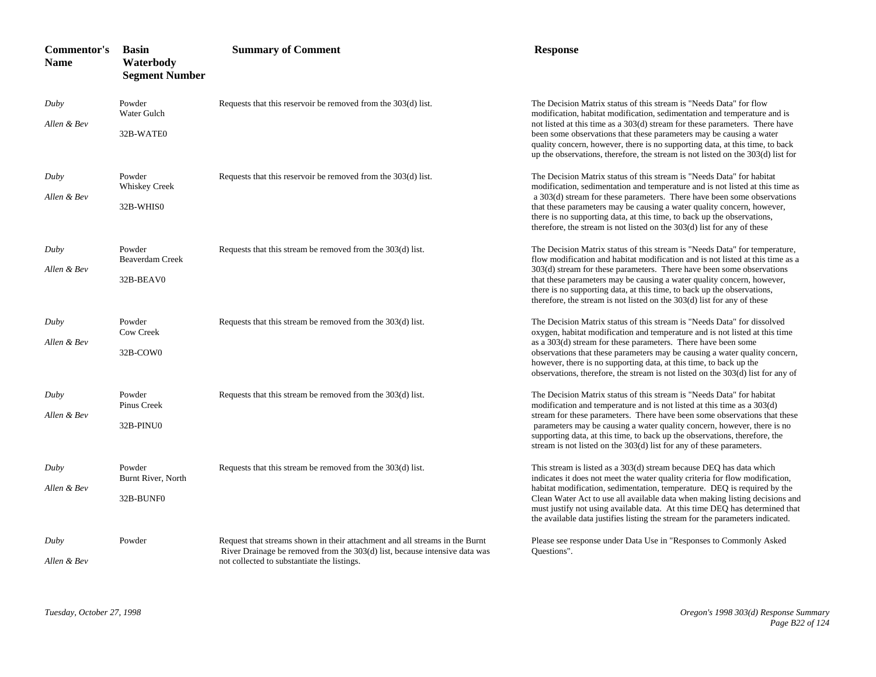| Commentor's<br><b>Name</b> | <b>Basin</b><br>Waterbody<br><b>Segment Number</b> | <b>Summary of Comment</b>                                                                                                                                                                                  | <b>Response</b>                                                                                                                                                                                                                                                                                                                                                                                                                                                                |
|----------------------------|----------------------------------------------------|------------------------------------------------------------------------------------------------------------------------------------------------------------------------------------------------------------|--------------------------------------------------------------------------------------------------------------------------------------------------------------------------------------------------------------------------------------------------------------------------------------------------------------------------------------------------------------------------------------------------------------------------------------------------------------------------------|
| Duby<br>Allen & Bev        | Powder<br>Water Gulch<br>32B-WATE0                 | Requests that this reservoir be removed from the 303(d) list.                                                                                                                                              | The Decision Matrix status of this stream is "Needs Data" for flow<br>modification, habitat modification, sedimentation and temperature and is<br>not listed at this time as a 303(d) stream for these parameters. There have<br>been some observations that these parameters may be causing a water<br>quality concern, however, there is no supporting data, at this time, to back<br>up the observations, therefore, the stream is not listed on the $303(d)$ list for      |
| Duby<br>Allen & Bev        | Powder<br><b>Whiskey Creek</b><br>32B-WHISO        | Requests that this reservoir be removed from the 303(d) list.                                                                                                                                              | The Decision Matrix status of this stream is "Needs Data" for habitat<br>modification, sedimentation and temperature and is not listed at this time as<br>a 303(d) stream for these parameters. There have been some observations<br>that these parameters may be causing a water quality concern, however,<br>there is no supporting data, at this time, to back up the observations,<br>therefore, the stream is not listed on the $303(d)$ list for any of these            |
| Duby<br>Allen & Bev        | Powder<br><b>Beaverdam Creek</b><br>32B-BEAV0      | Requests that this stream be removed from the 303(d) list.                                                                                                                                                 | The Decision Matrix status of this stream is "Needs Data" for temperature,<br>flow modification and habitat modification and is not listed at this time as a<br>$303(d)$ stream for these parameters. There have been some observations<br>that these parameters may be causing a water quality concern, however,<br>there is no supporting data, at this time, to back up the observations,<br>therefore, the stream is not listed on the $303(d)$ list for any of these      |
| Duby<br>Allen & Bev        | Powder<br><b>Cow Creek</b><br>32B-COW0             | Requests that this stream be removed from the 303(d) list.                                                                                                                                                 | The Decision Matrix status of this stream is "Needs Data" for dissolved<br>oxygen, habitat modification and temperature and is not listed at this time<br>as a 303(d) stream for these parameters. There have been some<br>observations that these parameters may be causing a water quality concern,<br>however, there is no supporting data, at this time, to back up the<br>observations, therefore, the stream is not listed on the 303(d) list for any of                 |
| Duby<br>Allen & Bev        | Powder<br><b>Pinus Creek</b><br>32B-PINU0          | Requests that this stream be removed from the 303(d) list.                                                                                                                                                 | The Decision Matrix status of this stream is "Needs Data" for habitat<br>modification and temperature and is not listed at this time as a 303(d)<br>stream for these parameters. There have been some observations that these<br>parameters may be causing a water quality concern, however, there is no<br>supporting data, at this time, to back up the observations, therefore, the<br>stream is not listed on the 303(d) list for any of these parameters.                 |
| Duby<br>Allen & Bev        | Powder<br>Burnt River, North<br>32B-BUNF0          | Requests that this stream be removed from the 303(d) list.                                                                                                                                                 | This stream is listed as a 303(d) stream because DEQ has data which<br>indicates it does not meet the water quality criteria for flow modification,<br>habitat modification, sedimentation, temperature. DEQ is required by the<br>Clean Water Act to use all available data when making listing decisions and<br>must justify not using available data. At this time DEQ has determined that<br>the available data justifies listing the stream for the parameters indicated. |
| Duby<br>Allen & Bev        | Powder                                             | Request that streams shown in their attachment and all streams in the Burnt<br>River Drainage be removed from the $303(d)$ list, because intensive data was<br>not collected to substantiate the listings. | Please see response under Data Use in "Responses to Commonly Asked<br>Ouestions".                                                                                                                                                                                                                                                                                                                                                                                              |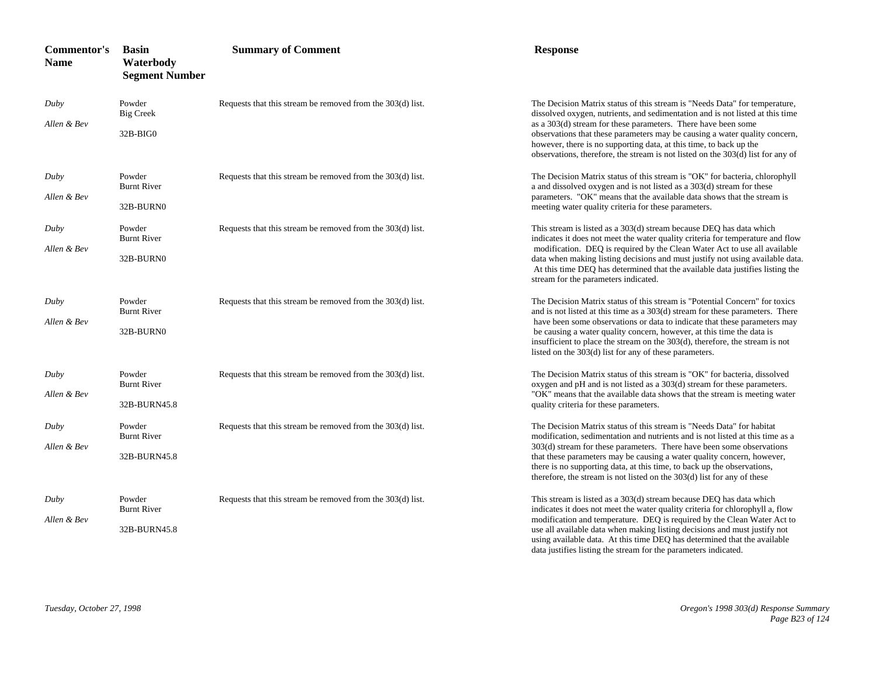| Commentor's<br><b>Name</b> | <b>Basin</b><br>Waterbody<br><b>Segment Number</b> | <b>Summary of Comment</b>                                  | <b>Response</b>                                                                                                                                                                                                                                                                                                                                                                                                                                                     |
|----------------------------|----------------------------------------------------|------------------------------------------------------------|---------------------------------------------------------------------------------------------------------------------------------------------------------------------------------------------------------------------------------------------------------------------------------------------------------------------------------------------------------------------------------------------------------------------------------------------------------------------|
| Duby<br>Allen & Bev        | Powder<br>Big Creek<br>32B-BIG0                    | Requests that this stream be removed from the 303(d) list. | The Decision Matrix status of this stream is "Needs Data" for temperature,<br>dissolved oxygen, nutrients, and sedimentation and is not listed at this time<br>as a 303(d) stream for these parameters. There have been some<br>observations that these parameters may be causing a water quality concern,<br>however, there is no supporting data, at this time, to back up the<br>observations, therefore, the stream is not listed on the 303(d) list for any of |
| Duby<br>Allen & Bev        | Powder<br><b>Burnt River</b><br>32B-BURN0          | Requests that this stream be removed from the 303(d) list. | The Decision Matrix status of this stream is "OK" for bacteria, chlorophyll<br>a and dissolved oxygen and is not listed as a 303(d) stream for these<br>parameters. "OK" means that the available data shows that the stream is<br>meeting water quality criteria for these parameters.                                                                                                                                                                             |
| Duby<br>Allen & Bev        | Powder<br><b>Burnt River</b><br>32B-BURN0          | Requests that this stream be removed from the 303(d) list. | This stream is listed as a 303(d) stream because DEQ has data which<br>indicates it does not meet the water quality criteria for temperature and flow<br>modification. DEQ is required by the Clean Water Act to use all available<br>data when making listing decisions and must justify not using available data.<br>At this time DEQ has determined that the available data justifies listing the<br>stream for the parameters indicated.                        |
| Duby<br>Allen & Bev        | Powder<br><b>Burnt River</b><br>32B-BURN0          | Requests that this stream be removed from the 303(d) list. | The Decision Matrix status of this stream is "Potential Concern" for toxics<br>and is not listed at this time as a 303(d) stream for these parameters. There<br>have been some observations or data to indicate that these parameters may<br>be causing a water quality concern, however, at this time the data is<br>insufficient to place the stream on the $303(d)$ , therefore, the stream is not<br>listed on the 303(d) list for any of these parameters.     |
| Duby<br>Allen & Bev        | Powder<br><b>Burnt River</b><br>32B-BURN45.8       | Requests that this stream be removed from the 303(d) list. | The Decision Matrix status of this stream is "OK" for bacteria, dissolved<br>oxygen and pH and is not listed as a 303(d) stream for these parameters.<br>"OK" means that the available data shows that the stream is meeting water<br>quality criteria for these parameters.                                                                                                                                                                                        |
| Duby<br>Allen & Bev        | Powder<br><b>Burnt River</b><br>32B-BURN45.8       | Requests that this stream be removed from the 303(d) list. | The Decision Matrix status of this stream is "Needs Data" for habitat<br>modification, sedimentation and nutrients and is not listed at this time as a<br>303(d) stream for these parameters. There have been some observations<br>that these parameters may be causing a water quality concern, however,<br>there is no supporting data, at this time, to back up the observations,<br>therefore, the stream is not listed on the $303(d)$ list for any of these   |
| Duby<br>Allen & Bev        | Powder<br><b>Burnt River</b><br>32B-BURN45.8       | Requests that this stream be removed from the 303(d) list. | This stream is listed as a 303(d) stream because DEQ has data which<br>indicates it does not meet the water quality criteria for chlorophyll a, flow<br>modification and temperature. DEQ is required by the Clean Water Act to<br>use all available data when making listing decisions and must justify not<br>using available data. At this time DEQ has determined that the available<br>data justifies listing the stream for the parameters indicated.         |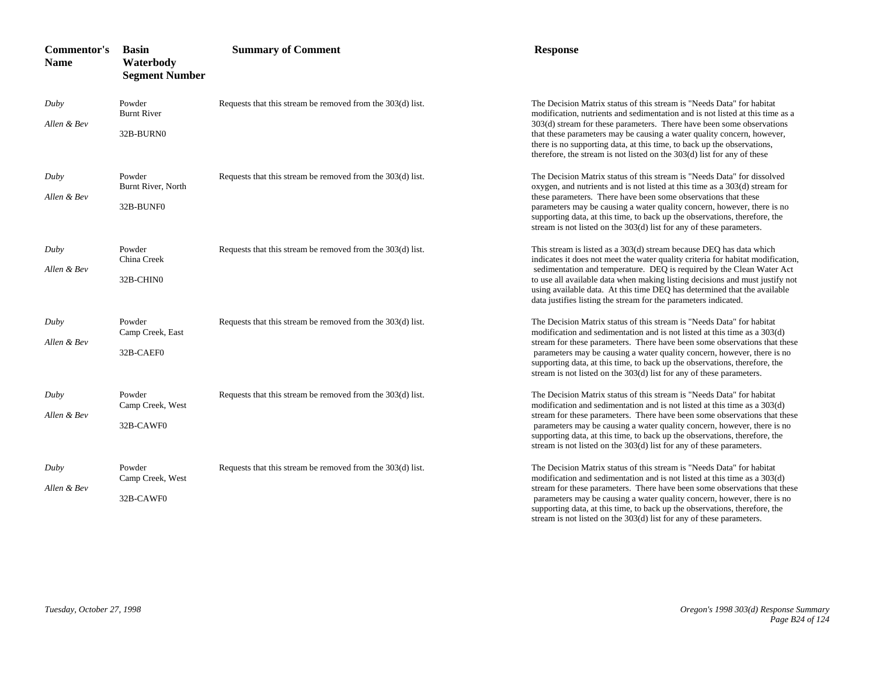| Commentor's<br><b>Name</b> | <b>Basin</b><br>Waterbody<br><b>Segment Number</b> | <b>Summary of Comment</b>                                  | <b>Response</b>                                                                                                                                                                                                                                                                                                                                                                                                                                                    |
|----------------------------|----------------------------------------------------|------------------------------------------------------------|--------------------------------------------------------------------------------------------------------------------------------------------------------------------------------------------------------------------------------------------------------------------------------------------------------------------------------------------------------------------------------------------------------------------------------------------------------------------|
| Duby<br>Allen & Bev        | Powder<br><b>Burnt River</b><br>32B-BURN0          | Requests that this stream be removed from the 303(d) list. | The Decision Matrix status of this stream is "Needs Data" for habitat<br>modification, nutrients and sedimentation and is not listed at this time as a<br>303(d) stream for these parameters. There have been some observations<br>that these parameters may be causing a water quality concern, however,<br>there is no supporting data, at this time, to back up the observations,<br>therefore, the stream is not listed on the $303(d)$ list for any of these  |
| Duby<br>Allen & Bev        | Powder<br>Burnt River, North<br>32B-BUNF0          | Requests that this stream be removed from the 303(d) list. | The Decision Matrix status of this stream is "Needs Data" for dissolved<br>oxygen, and nutrients and is not listed at this time as a 303(d) stream for<br>these parameters. There have been some observations that these<br>parameters may be causing a water quality concern, however, there is no<br>supporting data, at this time, to back up the observations, therefore, the<br>stream is not listed on the 303(d) list for any of these parameters.          |
| Duby<br>Allen & Bev        | Powder<br>China Creek<br>32B-CHINO                 | Requests that this stream be removed from the 303(d) list. | This stream is listed as a 303(d) stream because DEQ has data which<br>indicates it does not meet the water quality criteria for habitat modification,<br>sedimentation and temperature. DEQ is required by the Clean Water Act<br>to use all available data when making listing decisions and must justify not<br>using available data. At this time DEQ has determined that the available<br>data justifies listing the stream for the parameters indicated.     |
| Duby<br>Allen & Bev        | Powder<br>Camp Creek, East<br>32B-CAEF0            | Requests that this stream be removed from the 303(d) list. | The Decision Matrix status of this stream is "Needs Data" for habitat<br>modification and sedimentation and is not listed at this time as a 303(d)<br>stream for these parameters. There have been some observations that these<br>parameters may be causing a water quality concern, however, there is no<br>supporting data, at this time, to back up the observations, therefore, the<br>stream is not listed on the $303(d)$ list for any of these parameters. |
| Duby<br>Allen & Bev        | Powder<br>Camp Creek, West<br>32B-CAWF0            | Requests that this stream be removed from the 303(d) list. | The Decision Matrix status of this stream is "Needs Data" for habitat<br>modification and sedimentation and is not listed at this time as a 303(d)<br>stream for these parameters. There have been some observations that these<br>parameters may be causing a water quality concern, however, there is no<br>supporting data, at this time, to back up the observations, therefore, the<br>stream is not listed on the 303(d) list for any of these parameters.   |
| Duby<br>Allen & Bev        | Powder<br>Camp Creek, West<br>32B-CAWF0            | Requests that this stream be removed from the 303(d) list. | The Decision Matrix status of this stream is "Needs Data" for habitat<br>modification and sedimentation and is not listed at this time as a 303(d)<br>stream for these parameters. There have been some observations that these<br>parameters may be causing a water quality concern, however, there is no<br>supporting data, at this time, to back up the observations, therefore, the                                                                           |

stream is not listed on the 303(d) list for any of these parameters.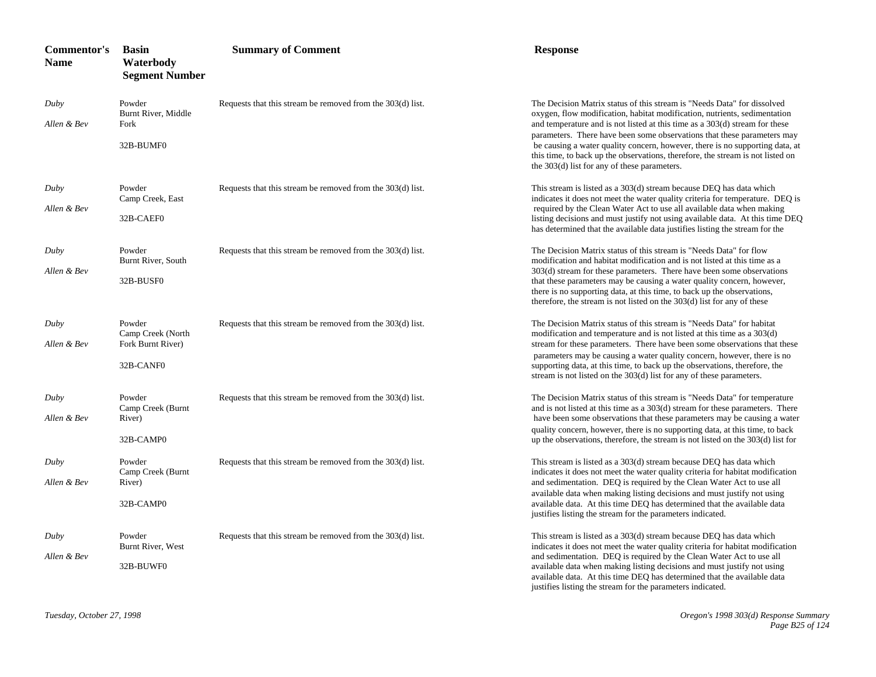| Commentor's<br><b>Name</b> | <b>Basin</b><br>Waterbody<br><b>Segment Number</b>            | <b>Summary of Comment</b>                                  | <b>Response</b>                                                                                                                                                                                                                                                                                                                                                                                                                                                                                                                    |
|----------------------------|---------------------------------------------------------------|------------------------------------------------------------|------------------------------------------------------------------------------------------------------------------------------------------------------------------------------------------------------------------------------------------------------------------------------------------------------------------------------------------------------------------------------------------------------------------------------------------------------------------------------------------------------------------------------------|
| Duby<br>Allen & Bev        | Powder<br>Burnt River, Middle<br>Fork<br>32B-BUMF0            | Requests that this stream be removed from the 303(d) list. | The Decision Matrix status of this stream is "Needs Data" for dissolved<br>oxygen, flow modification, habitat modification, nutrients, sedimentation<br>and temperature and is not listed at this time as a $303(d)$ stream for these<br>parameters. There have been some observations that these parameters may<br>be causing a water quality concern, however, there is no supporting data, at<br>this time, to back up the observations, therefore, the stream is not listed on<br>the 303(d) list for any of these parameters. |
| Duby<br>Allen & Bev        | Powder<br>Camp Creek, East<br>32B-CAEF0                       | Requests that this stream be removed from the 303(d) list. | This stream is listed as a 303(d) stream because DEQ has data which<br>indicates it does not meet the water quality criteria for temperature. DEQ is<br>required by the Clean Water Act to use all available data when making<br>listing decisions and must justify not using available data. At this time DEQ<br>has determined that the available data justifies listing the stream for the                                                                                                                                      |
| Duby<br>Allen & Bev        | Powder<br>Burnt River, South<br>32B-BUSF0                     | Requests that this stream be removed from the 303(d) list. | The Decision Matrix status of this stream is "Needs Data" for flow<br>modification and habitat modification and is not listed at this time as a<br>$303(d)$ stream for these parameters. There have been some observations<br>that these parameters may be causing a water quality concern, however,<br>there is no supporting data, at this time, to back up the observations,<br>therefore, the stream is not listed on the $303(d)$ list for any of these                                                                       |
| Duby<br>Allen & Bev        | Powder<br>Camp Creek (North<br>Fork Burnt River)<br>32B-CANF0 | Requests that this stream be removed from the 303(d) list. | The Decision Matrix status of this stream is "Needs Data" for habitat<br>modification and temperature and is not listed at this time as a 303(d)<br>stream for these parameters. There have been some observations that these<br>parameters may be causing a water quality concern, however, there is no<br>supporting data, at this time, to back up the observations, therefore, the<br>stream is not listed on the 303(d) list for any of these parameters.                                                                     |
| Duby<br>Allen & Bev        | Powder<br>Camp Creek (Burnt<br>River)<br>32B-CAMP0            | Requests that this stream be removed from the 303(d) list. | The Decision Matrix status of this stream is "Needs Data" for temperature<br>and is not listed at this time as a 303(d) stream for these parameters. There<br>have been some observations that these parameters may be causing a water<br>quality concern, however, there is no supporting data, at this time, to back<br>up the observations, therefore, the stream is not listed on the $303(d)$ list for                                                                                                                        |
| Duby<br>Allen & Bev        | Powder<br>Camp Creek (Burnt<br>River)<br>32B-CAMP0            | Requests that this stream be removed from the 303(d) list. | This stream is listed as a 303(d) stream because DEQ has data which<br>indicates it does not meet the water quality criteria for habitat modification<br>and sedimentation. DEQ is required by the Clean Water Act to use all<br>available data when making listing decisions and must justify not using<br>available data. At this time DEQ has determined that the available data<br>justifies listing the stream for the parameters indicated.                                                                                  |
| Duby<br>Allen & Bev        | Powder<br>Burnt River, West<br>32B-BUWF0                      | Requests that this stream be removed from the 303(d) list. | This stream is listed as a 303(d) stream because DEQ has data which<br>indicates it does not meet the water quality criteria for habitat modification<br>and sedimentation. DEQ is required by the Clean Water Act to use all<br>available data when making listing decisions and must justify not using<br>available data. At this time DEQ has determined that the available data<br>justifies listing the stream for the parameters indicated.                                                                                  |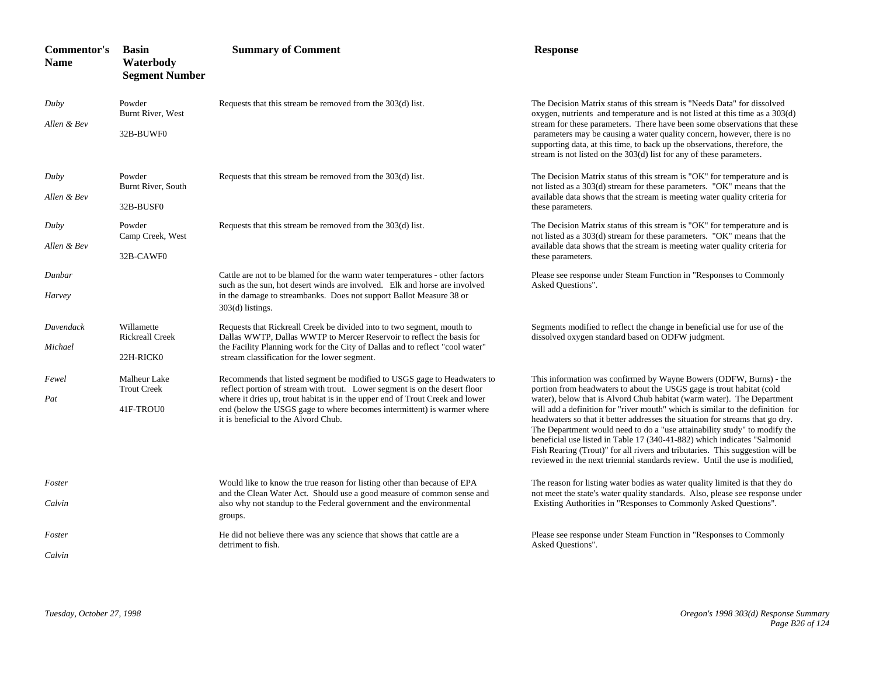| <b>Commentor's</b><br><b>Name</b> | <b>Basin</b><br>Waterbody<br><b>Segment Number</b> | <b>Summary of Comment</b>                                                                                                                                                                                                                                                                                                                                  | <b>Response</b>                                                                                                                                                                                                                                                                                                                                                                                                                                                                                                                                                                                                                                                                                                    |
|-----------------------------------|----------------------------------------------------|------------------------------------------------------------------------------------------------------------------------------------------------------------------------------------------------------------------------------------------------------------------------------------------------------------------------------------------------------------|--------------------------------------------------------------------------------------------------------------------------------------------------------------------------------------------------------------------------------------------------------------------------------------------------------------------------------------------------------------------------------------------------------------------------------------------------------------------------------------------------------------------------------------------------------------------------------------------------------------------------------------------------------------------------------------------------------------------|
| Duby<br>Allen & Bev               | Powder<br>Burnt River, West<br>32B-BUWF0           | Requests that this stream be removed from the 303(d) list.                                                                                                                                                                                                                                                                                                 | The Decision Matrix status of this stream is "Needs Data" for dissolved<br>oxygen, nutrients and temperature and is not listed at this time as a 303(d)<br>stream for these parameters. There have been some observations that these<br>parameters may be causing a water quality concern, however, there is no<br>supporting data, at this time, to back up the observations, therefore, the<br>stream is not listed on the 303(d) list for any of these parameters.                                                                                                                                                                                                                                              |
| Duby<br>Allen & Bev               | Powder<br>Burnt River, South<br>32B-BUSF0          | Requests that this stream be removed from the 303(d) list.                                                                                                                                                                                                                                                                                                 | The Decision Matrix status of this stream is "OK" for temperature and is<br>not listed as a 303(d) stream for these parameters. "OK" means that the<br>available data shows that the stream is meeting water quality criteria for<br>these parameters.                                                                                                                                                                                                                                                                                                                                                                                                                                                             |
| Duby<br>Allen & Bev               | Powder<br>Camp Creek, West<br>32B-CAWF0            | Requests that this stream be removed from the 303(d) list.                                                                                                                                                                                                                                                                                                 | The Decision Matrix status of this stream is "OK" for temperature and is<br>not listed as a 303(d) stream for these parameters. "OK" means that the<br>available data shows that the stream is meeting water quality criteria for<br>these parameters.                                                                                                                                                                                                                                                                                                                                                                                                                                                             |
| Dunbar<br>Harvey                  |                                                    | Cattle are not to be blamed for the warm water temperatures - other factors<br>such as the sun, hot desert winds are involved. Elk and horse are involved<br>in the damage to streambanks. Does not support Ballot Measure 38 or<br>$303(d)$ listings.                                                                                                     | Please see response under Steam Function in "Responses to Commonly<br>Asked Questions".                                                                                                                                                                                                                                                                                                                                                                                                                                                                                                                                                                                                                            |
| Duvendack<br>Michael              | Willamette<br><b>Rickreall Creek</b><br>22H-RICK0  | Requests that Rickreall Creek be divided into to two segment, mouth to<br>Dallas WWTP, Dallas WWTP to Mercer Reservoir to reflect the basis for<br>the Facility Planning work for the City of Dallas and to reflect "cool water"<br>stream classification for the lower segment.                                                                           | Segments modified to reflect the change in beneficial use for use of the<br>dissolved oxygen standard based on ODFW judgment.                                                                                                                                                                                                                                                                                                                                                                                                                                                                                                                                                                                      |
| Fewel<br>Pat                      | Malheur Lake<br><b>Trout Creek</b><br>41F-TROU0    | Recommends that listed segment be modified to USGS gage to Headwaters to<br>reflect portion of stream with trout. Lower segment is on the desert floor<br>where it dries up, trout habitat is in the upper end of Trout Creek and lower<br>end (below the USGS gage to where becomes intermittent) is warmer where<br>it is beneficial to the Alvord Chub. | This information was confirmed by Wayne Bowers (ODFW, Burns) - the<br>portion from headwaters to about the USGS gage is trout habitat (cold<br>water), below that is Alvord Chub habitat (warm water). The Department<br>will add a definition for "river mouth" which is similar to the definition for<br>headwaters so that it better addresses the situation for streams that go dry.<br>The Department would need to do a "use attainability study" to modify the<br>beneficial use listed in Table 17 (340-41-882) which indicates "Salmonid"<br>Fish Rearing (Trout)" for all rivers and tributaries. This suggestion will be<br>reviewed in the next triennial standards review. Until the use is modified, |
| Foster<br>Calvin                  |                                                    | Would like to know the true reason for listing other than because of EPA<br>and the Clean Water Act. Should use a good measure of common sense and<br>also why not standup to the Federal government and the environmental<br>groups.                                                                                                                      | The reason for listing water bodies as water quality limited is that they do<br>not meet the state's water quality standards. Also, please see response under<br>Existing Authorities in "Responses to Commonly Asked Questions".                                                                                                                                                                                                                                                                                                                                                                                                                                                                                  |
| Foster<br>Calvin                  |                                                    | He did not believe there was any science that shows that cattle are a<br>detriment to fish.                                                                                                                                                                                                                                                                | Please see response under Steam Function in "Responses to Commonly<br>Asked Questions".                                                                                                                                                                                                                                                                                                                                                                                                                                                                                                                                                                                                                            |
|                                   |                                                    |                                                                                                                                                                                                                                                                                                                                                            |                                                                                                                                                                                                                                                                                                                                                                                                                                                                                                                                                                                                                                                                                                                    |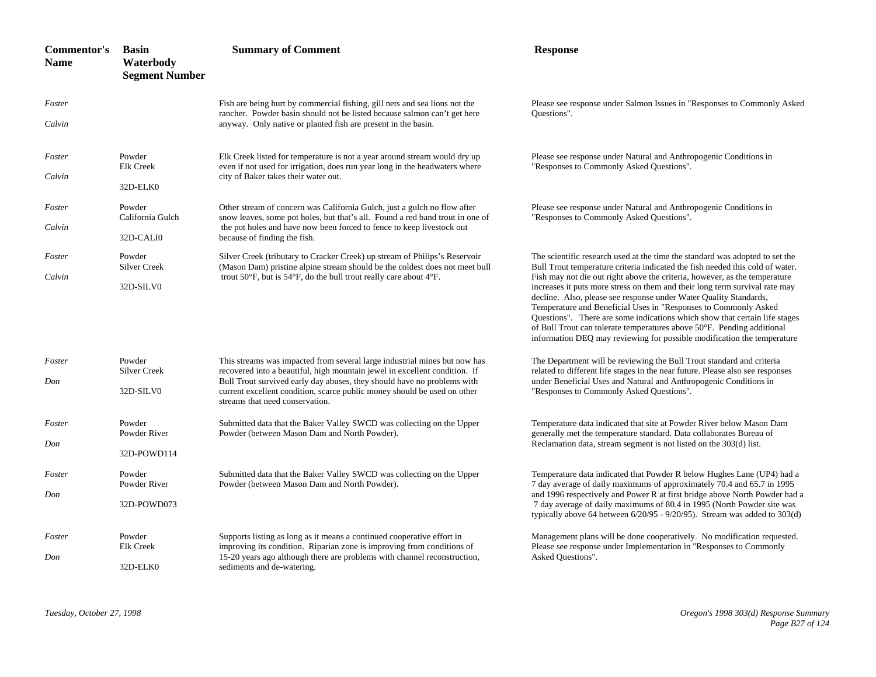| <b>Commentor's</b><br><b>Name</b> | <b>Basin</b><br>Waterbody<br><b>Segment Number</b> | <b>Summary of Comment</b>                                                                                                                                                              | <b>Response</b>                                                                                                                                                                                                                                                                                                                                                                                                                                                                                                                      |
|-----------------------------------|----------------------------------------------------|----------------------------------------------------------------------------------------------------------------------------------------------------------------------------------------|--------------------------------------------------------------------------------------------------------------------------------------------------------------------------------------------------------------------------------------------------------------------------------------------------------------------------------------------------------------------------------------------------------------------------------------------------------------------------------------------------------------------------------------|
| Foster                            |                                                    | Fish are being hurt by commercial fishing, gill nets and sea lions not the                                                                                                             | Please see response under Salmon Issues in "Responses to Commonly Asked"                                                                                                                                                                                                                                                                                                                                                                                                                                                             |
| Calvin                            |                                                    | rancher. Powder basin should not be listed because salmon can't get here<br>anyway. Only native or planted fish are present in the basin.                                              | Questions".                                                                                                                                                                                                                                                                                                                                                                                                                                                                                                                          |
| Foster                            | Powder<br><b>Elk Creek</b>                         | Elk Creek listed for temperature is not a year around stream would dry up<br>even if not used for irrigation, does run year long in the headwaters where                               | Please see response under Natural and Anthropogenic Conditions in<br>"Responses to Commonly Asked Questions".                                                                                                                                                                                                                                                                                                                                                                                                                        |
| Calvin                            | 32D-ELK0                                           | city of Baker takes their water out.                                                                                                                                                   |                                                                                                                                                                                                                                                                                                                                                                                                                                                                                                                                      |
| Foster                            | Powder<br>California Gulch                         | Other stream of concern was California Gulch, just a gulch no flow after<br>snow leaves, some pot holes, but that's all. Found a red band trout in one of                              | Please see response under Natural and Anthropogenic Conditions in<br>"Responses to Commonly Asked Questions".                                                                                                                                                                                                                                                                                                                                                                                                                        |
| Calvin                            | 32D-CALI0                                          | the pot holes and have now been forced to fence to keep livestock out<br>because of finding the fish.                                                                                  |                                                                                                                                                                                                                                                                                                                                                                                                                                                                                                                                      |
| Foster                            | Powder<br><b>Silver Creek</b>                      | Silver Creek (tributary to Cracker Creek) up stream of Philips's Reservoir<br>(Mason Dam) pristine alpine stream should be the coldest does not meet bull                              | The scientific research used at the time the standard was adopted to set the<br>Bull Trout temperature criteria indicated the fish needed this cold of water.                                                                                                                                                                                                                                                                                                                                                                        |
| Calvin                            | 32D-SILV0                                          | trout 50 $\degree$ F, but is 54 $\degree$ F, do the bull trout really care about 4 $\degree$ F.                                                                                        | Fish may not die out right above the criteria, however, as the temperature<br>increases it puts more stress on them and their long term survival rate may<br>decline. Also, please see response under Water Quality Standards,<br>Temperature and Beneficial Uses in "Responses to Commonly Asked<br>Questions". There are some indications which show that certain life stages<br>of Bull Trout can tolerate temperatures above 50°F. Pending additional<br>information DEQ may reviewing for possible modification the temperature |
| Foster                            | Powder<br><b>Silver Creek</b>                      | This streams was impacted from several large industrial mines but now has<br>recovered into a beautiful, high mountain jewel in excellent condition. If                                | The Department will be reviewing the Bull Trout standard and criteria<br>related to different life stages in the near future. Please also see responses                                                                                                                                                                                                                                                                                                                                                                              |
| Don                               | 32D-SILV0                                          | Bull Trout survived early day abuses, they should have no problems with<br>current excellent condition, scarce public money should be used on other<br>streams that need conservation. | under Beneficial Uses and Natural and Anthropogenic Conditions in<br>"Responses to Commonly Asked Questions".                                                                                                                                                                                                                                                                                                                                                                                                                        |
| Foster                            | Powder<br>Powder River                             | Submitted data that the Baker Valley SWCD was collecting on the Upper<br>Powder (between Mason Dam and North Powder).                                                                  | Temperature data indicated that site at Powder River below Mason Dam<br>generally met the temperature standard. Data collaborates Bureau of                                                                                                                                                                                                                                                                                                                                                                                          |
| Don                               | 32D-POWD114                                        |                                                                                                                                                                                        | Reclamation data, stream segment is not listed on the 303(d) list.                                                                                                                                                                                                                                                                                                                                                                                                                                                                   |
| Foster                            | Powder<br>Powder River                             | Submitted data that the Baker Valley SWCD was collecting on the Upper<br>Powder (between Mason Dam and North Powder).                                                                  | Temperature data indicated that Powder R below Hughes Lane (UP4) had a<br>7 day average of daily maximums of approximately 70.4 and 65.7 in 1995                                                                                                                                                                                                                                                                                                                                                                                     |
| Don                               | 32D-POWD073                                        |                                                                                                                                                                                        | and 1996 respectively and Power R at first bridge above North Powder had a<br>7 day average of daily maximums of 80.4 in 1995 (North Powder site was<br>typically above 64 between $6/20/95 - 9/20/95$ . Stream was added to 303(d)                                                                                                                                                                                                                                                                                                  |
| Foster                            | Powder<br><b>Elk Creek</b>                         | Supports listing as long as it means a continued cooperative effort in<br>improving its condition. Riparian zone is improving from conditions of                                       | Management plans will be done cooperatively. No modification requested.<br>Please see response under Implementation in "Responses to Commonly                                                                                                                                                                                                                                                                                                                                                                                        |
| Don                               | 32D-ELK0                                           | 15-20 years ago although there are problems with channel reconstruction,<br>sediments and de-watering.                                                                                 | Asked Questions".                                                                                                                                                                                                                                                                                                                                                                                                                                                                                                                    |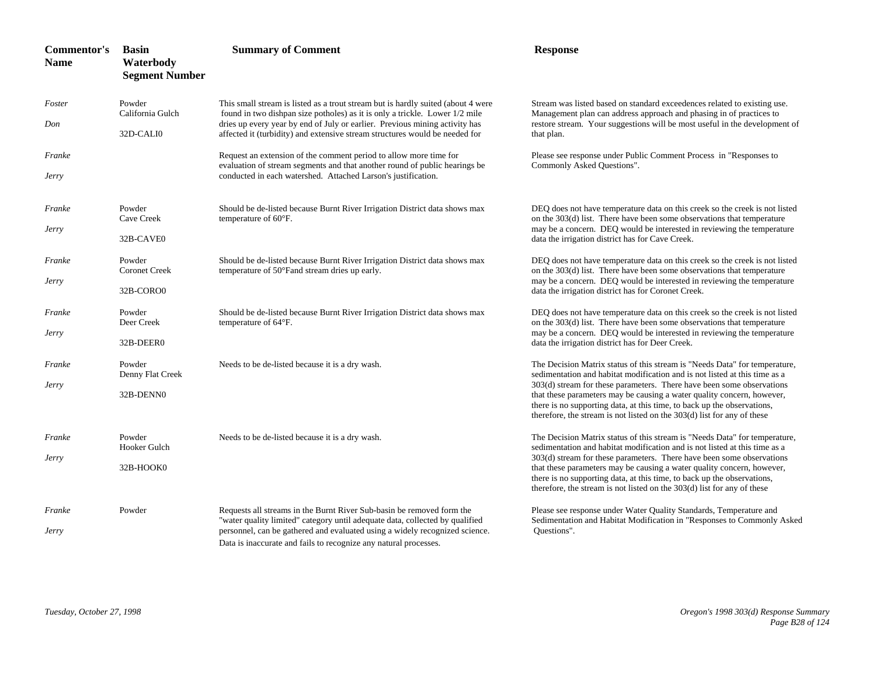| Commentor's<br><b>Name</b> | <b>Basin</b><br>Waterbody<br><b>Segment Number</b> | <b>Summary of Comment</b>                                                                                                                                                                                                                                                                                                     | <b>Response</b>                                                                                                                                                                                                                                                                                                                                                                                                                                                     |
|----------------------------|----------------------------------------------------|-------------------------------------------------------------------------------------------------------------------------------------------------------------------------------------------------------------------------------------------------------------------------------------------------------------------------------|---------------------------------------------------------------------------------------------------------------------------------------------------------------------------------------------------------------------------------------------------------------------------------------------------------------------------------------------------------------------------------------------------------------------------------------------------------------------|
| Foster<br>Don              | Powder<br>California Gulch<br>32D-CALI0            | This small stream is listed as a trout stream but is hardly suited (about 4 were<br>found in two dishpan size potholes) as it is only a trickle. Lower 1/2 mile<br>dries up every year by end of July or earlier. Previous mining activity has<br>affected it (turbidity) and extensive stream structures would be needed for | Stream was listed based on standard exceedences related to existing use.<br>Management plan can address approach and phasing in of practices to<br>restore stream. Your suggestions will be most useful in the development of<br>that plan.                                                                                                                                                                                                                         |
| Franke<br>Jerry            |                                                    | Request an extension of the comment period to allow more time for<br>evaluation of stream segments and that another round of public hearings be<br>conducted in each watershed. Attached Larson's justification.                                                                                                              | Please see response under Public Comment Process in "Responses to<br>Commonly Asked Questions".                                                                                                                                                                                                                                                                                                                                                                     |
| Franke<br>Jerry            | Powder<br>Cave Creek<br>32B-CAVE0                  | Should be de-listed because Burnt River Irrigation District data shows max<br>temperature of $60^{\circ}$ F.                                                                                                                                                                                                                  | DEQ does not have temperature data on this creek so the creek is not listed<br>on the 303(d) list. There have been some observations that temperature<br>may be a concern. DEQ would be interested in reviewing the temperature<br>data the irrigation district has for Cave Creek.                                                                                                                                                                                 |
| Franke<br>Jerry            | Powder<br><b>Coronet Creek</b><br>32B-CORO0        | Should be de-listed because Burnt River Irrigation District data shows max<br>temperature of 50°Fand stream dries up early.                                                                                                                                                                                                   | DEQ does not have temperature data on this creek so the creek is not listed<br>on the 303(d) list. There have been some observations that temperature<br>may be a concern. DEQ would be interested in reviewing the temperature<br>data the irrigation district has for Coronet Creek.                                                                                                                                                                              |
| Franke<br>Jerry            | Powder<br>Deer Creek<br>32B-DEER0                  | Should be de-listed because Burnt River Irrigation District data shows max<br>temperature of 64°F.                                                                                                                                                                                                                            | DEQ does not have temperature data on this creek so the creek is not listed<br>on the 303(d) list. There have been some observations that temperature<br>may be a concern. DEQ would be interested in reviewing the temperature<br>data the irrigation district has for Deer Creek.                                                                                                                                                                                 |
| Franke<br>Jerry            | Powder<br>Denny Flat Creek<br>32B-DENN0            | Needs to be de-listed because it is a dry wash.                                                                                                                                                                                                                                                                               | The Decision Matrix status of this stream is "Needs Data" for temperature,<br>sedimentation and habitat modification and is not listed at this time as a<br>303(d) stream for these parameters. There have been some observations<br>that these parameters may be causing a water quality concern, however,<br>there is no supporting data, at this time, to back up the observations,<br>therefore, the stream is not listed on the $303(d)$ list for any of these |
| Franke<br>Jerry            | Powder<br>Hooker Gulch<br>32B-HOOK0                | Needs to be de-listed because it is a dry wash.                                                                                                                                                                                                                                                                               | The Decision Matrix status of this stream is "Needs Data" for temperature,<br>sedimentation and habitat modification and is not listed at this time as a<br>303(d) stream for these parameters. There have been some observations<br>that these parameters may be causing a water quality concern, however,<br>there is no supporting data, at this time, to back up the observations,<br>therefore, the stream is not listed on the 303(d) list for any of these   |
| Franke<br><i>Jerry</i>     | Powder                                             | Requests all streams in the Burnt River Sub-basin be removed form the<br>"water quality limited" category until adequate data, collected by qualified<br>personnel, can be gathered and evaluated using a widely recognized science.<br>Data is inaccurate and fails to recognize any natural processes.                      | Please see response under Water Quality Standards, Temperature and<br>Sedimentation and Habitat Modification in "Responses to Commonly Asked<br>Questions".                                                                                                                                                                                                                                                                                                         |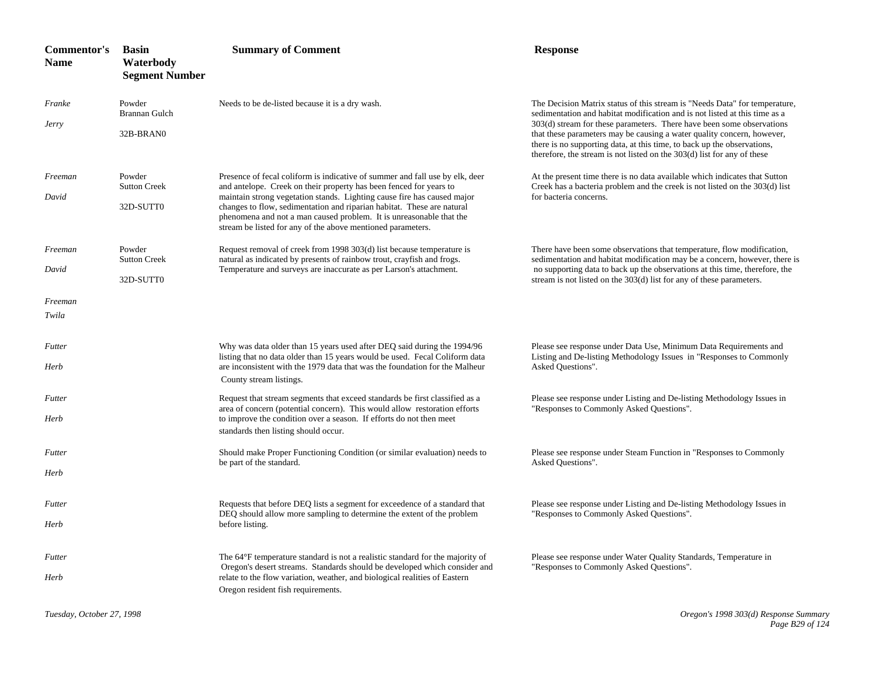| Commentor's<br><b>Name</b>           | <b>Basin</b><br>Waterbody<br><b>Segment Number</b> | <b>Summary of Comment</b>                                                                                                                                                                                                                                                                                                                                                                                                                     | <b>Response</b>                                                                                                                                                                                                                                                                                                                                                                                                                                                     |
|--------------------------------------|----------------------------------------------------|-----------------------------------------------------------------------------------------------------------------------------------------------------------------------------------------------------------------------------------------------------------------------------------------------------------------------------------------------------------------------------------------------------------------------------------------------|---------------------------------------------------------------------------------------------------------------------------------------------------------------------------------------------------------------------------------------------------------------------------------------------------------------------------------------------------------------------------------------------------------------------------------------------------------------------|
| Franke<br>Jerry                      | Powder<br><b>Brannan Gulch</b><br>32B-BRAN0        | Needs to be de-listed because it is a dry wash.                                                                                                                                                                                                                                                                                                                                                                                               | The Decision Matrix status of this stream is "Needs Data" for temperature,<br>sedimentation and habitat modification and is not listed at this time as a<br>303(d) stream for these parameters. There have been some observations<br>that these parameters may be causing a water quality concern, however,<br>there is no supporting data, at this time, to back up the observations,<br>therefore, the stream is not listed on the $303(d)$ list for any of these |
| Freeman<br>David                     | Powder<br><b>Sutton Creek</b><br>32D-SUTT0         | Presence of fecal coliform is indicative of summer and fall use by elk, deer<br>and antelope. Creek on their property has been fenced for years to<br>maintain strong vegetation stands. Lighting cause fire has caused major<br>changes to flow, sedimentation and riparian habitat. These are natural<br>phenomena and not a man caused problem. It is unreasonable that the<br>stream be listed for any of the above mentioned parameters. | At the present time there is no data available which indicates that Sutton<br>Creek has a bacteria problem and the creek is not listed on the 303(d) list<br>for bacteria concerns.                                                                                                                                                                                                                                                                                 |
| Freeman<br>David<br>Freeman<br>Twila | Powder<br><b>Sutton Creek</b><br>32D-SUTT0         | Request removal of creek from 1998 303(d) list because temperature is<br>natural as indicated by presents of rainbow trout, crayfish and frogs.<br>Temperature and surveys are inaccurate as per Larson's attachment.                                                                                                                                                                                                                         | There have been some observations that temperature, flow modification,<br>sedimentation and habitat modification may be a concern, however, there is<br>no supporting data to back up the observations at this time, therefore, the<br>stream is not listed on the 303(d) list for any of these parameters.                                                                                                                                                         |
| Futter<br>Herb                       |                                                    | Why was data older than 15 years used after DEQ said during the 1994/96<br>listing that no data older than 15 years would be used. Fecal Coliform data<br>are inconsistent with the 1979 data that was the foundation for the Malheur<br>County stream listings.                                                                                                                                                                              | Please see response under Data Use, Minimum Data Requirements and<br>Listing and De-listing Methodology Issues in "Responses to Commonly<br>Asked Questions".                                                                                                                                                                                                                                                                                                       |
| Futter<br>Herb                       |                                                    | Request that stream segments that exceed standards be first classified as a<br>area of concern (potential concern). This would allow restoration efforts<br>to improve the condition over a season. If efforts do not then meet<br>standards then listing should occur.                                                                                                                                                                       | Please see response under Listing and De-listing Methodology Issues in<br>"Responses to Commonly Asked Questions".                                                                                                                                                                                                                                                                                                                                                  |
| Futter<br>Herb                       |                                                    | Should make Proper Functioning Condition (or similar evaluation) needs to<br>be part of the standard.                                                                                                                                                                                                                                                                                                                                         | Please see response under Steam Function in "Responses to Commonly<br>Asked Questions".                                                                                                                                                                                                                                                                                                                                                                             |
| Futter<br>Herb                       |                                                    | Requests that before DEQ lists a segment for exceedence of a standard that<br>DEQ should allow more sampling to determine the extent of the problem<br>before listing.                                                                                                                                                                                                                                                                        | Please see response under Listing and De-listing Methodology Issues in<br>"Responses to Commonly Asked Questions".                                                                                                                                                                                                                                                                                                                                                  |
| Futter<br>Herb                       |                                                    | The 64°F temperature standard is not a realistic standard for the majority of<br>Oregon's desert streams. Standards should be developed which consider and<br>relate to the flow variation, weather, and biological realities of Eastern<br>Oregon resident fish requirements.                                                                                                                                                                | Please see response under Water Quality Standards, Temperature in<br>"Responses to Commonly Asked Questions".                                                                                                                                                                                                                                                                                                                                                       |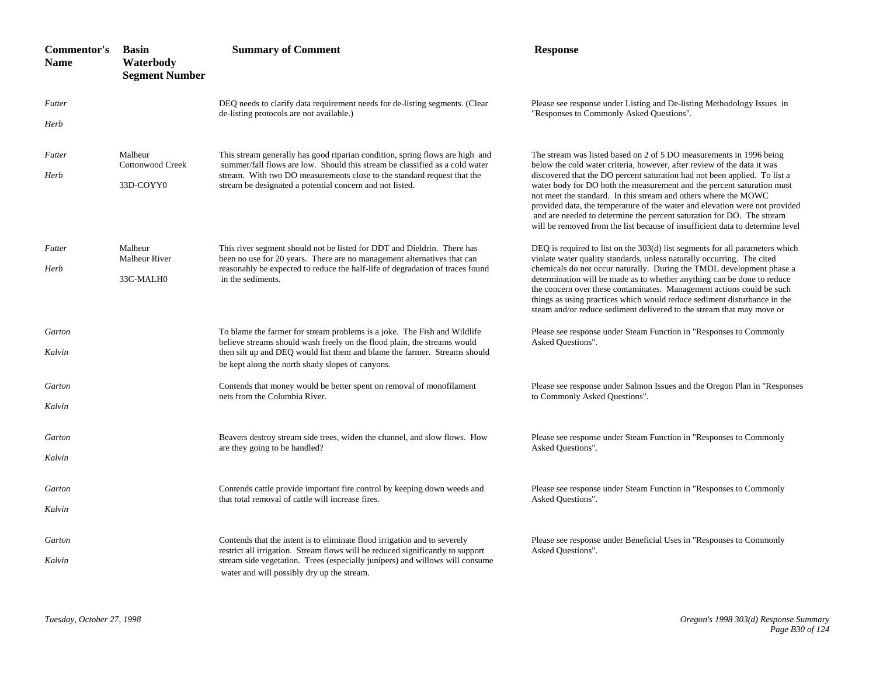| <b>Commentor's</b><br><b>Name</b> | <b>Basin</b><br>Waterbody<br><b>Segment Number</b> | <b>Summary of Comment</b>                                                                                                                                                                                                         | <b>Response</b>                                                                                                                                                                                                                                                                                                                                                                                                                                                 |
|-----------------------------------|----------------------------------------------------|-----------------------------------------------------------------------------------------------------------------------------------------------------------------------------------------------------------------------------------|-----------------------------------------------------------------------------------------------------------------------------------------------------------------------------------------------------------------------------------------------------------------------------------------------------------------------------------------------------------------------------------------------------------------------------------------------------------------|
| Futter                            |                                                    | DEQ needs to clarify data requirement needs for de-listing segments. (Clear                                                                                                                                                       | Please see response under Listing and De-listing Methodology Issues in                                                                                                                                                                                                                                                                                                                                                                                          |
| Herb                              |                                                    | de-listing protocols are not available.)                                                                                                                                                                                          | "Responses to Commonly Asked Questions".                                                                                                                                                                                                                                                                                                                                                                                                                        |
| Futter                            | Malheur<br><b>Cottonwood Creek</b>                 | This stream generally has good riparian condition, spring flows are high and<br>summer/fall flows are low. Should this stream be classified as a cold water                                                                       | The stream was listed based on 2 of 5 DO measurements in 1996 being<br>below the cold water criteria, however, after review of the data it was                                                                                                                                                                                                                                                                                                                  |
| Herb                              | 33D-COYY0                                          | stream. With two DO measurements close to the standard request that the<br>stream be designated a potential concern and not listed.                                                                                               | discovered that the DO percent saturation had not been applied. To list a<br>water body for DO both the measurement and the percent saturation must<br>not meet the standard. In this stream and others where the MOWC<br>provided data, the temperature of the water and elevation were not provided<br>and are needed to determine the percent saturation for DO. The stream<br>will be removed from the list because of insufficient data to determine level |
| Futter                            | Malheur<br>Malheur River                           | This river segment should not be listed for DDT and Dieldrin. There has<br>been no use for 20 years. There are no management alternatives that can                                                                                | DEQ is required to list on the $303(d)$ list segments for all parameters which<br>violate water quality standards, unless naturally occurring. The cited                                                                                                                                                                                                                                                                                                        |
| Herb                              | 33C-MALH0                                          | reasonably be expected to reduce the half-life of degradation of traces found<br>in the sediments.                                                                                                                                | chemicals do not occur naturally. During the TMDL development phase a<br>determination will be made as to whether anything can be done to reduce<br>the concern over these contaminates. Management actions could be such<br>things as using practices which would reduce sediment disturbance in the<br>steam and/or reduce sediment delivered to the stream that may move or                                                                                  |
| Garton<br>Kalvin                  |                                                    | To blame the farmer for stream problems is a joke. The Fish and Wildlife<br>believe streams should wash freely on the flood plain, the streams would<br>then silt up and DEQ would list them and blame the farmer. Streams should | Please see response under Steam Function in "Responses to Commonly<br>Asked Questions".                                                                                                                                                                                                                                                                                                                                                                         |
|                                   |                                                    | be kept along the north shady slopes of canyons.                                                                                                                                                                                  |                                                                                                                                                                                                                                                                                                                                                                                                                                                                 |
| Garton                            |                                                    | Contends that money would be better spent on removal of monofilament<br>nets from the Columbia River.                                                                                                                             | Please see response under Salmon Issues and the Oregon Plan in "Responses"<br>to Commonly Asked Questions".                                                                                                                                                                                                                                                                                                                                                     |
| Kalvin                            |                                                    |                                                                                                                                                                                                                                   |                                                                                                                                                                                                                                                                                                                                                                                                                                                                 |
| Garton                            |                                                    | Beavers destroy stream side trees, widen the channel, and slow flows. How<br>are they going to be handled?                                                                                                                        | Please see response under Steam Function in "Responses to Commonly<br>Asked Questions".                                                                                                                                                                                                                                                                                                                                                                         |
| Kalvin                            |                                                    |                                                                                                                                                                                                                                   |                                                                                                                                                                                                                                                                                                                                                                                                                                                                 |
| Garton                            |                                                    | Contends cattle provide important fire control by keeping down weeds and<br>that total removal of cattle will increase fires.                                                                                                     | Please see response under Steam Function in "Responses to Commonly<br>Asked Questions".                                                                                                                                                                                                                                                                                                                                                                         |
| Kalvin                            |                                                    |                                                                                                                                                                                                                                   |                                                                                                                                                                                                                                                                                                                                                                                                                                                                 |
| Garton                            |                                                    | Contends that the intent is to eliminate flood irrigation and to severely<br>restrict all irrigation. Stream flows will be reduced significantly to support                                                                       | Please see response under Beneficial Uses in "Responses to Commonly<br>Asked Questions".                                                                                                                                                                                                                                                                                                                                                                        |
| Kalvin                            |                                                    | stream side vegetation. Trees (especially junipers) and willows will consume<br>water and will possibly dry up the stream.                                                                                                        |                                                                                                                                                                                                                                                                                                                                                                                                                                                                 |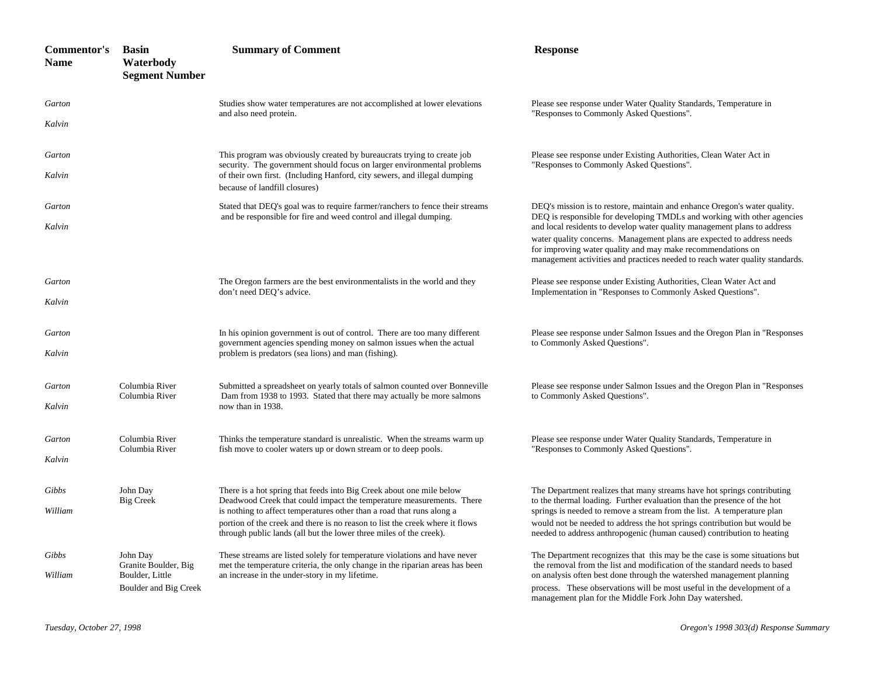| <b>Commentor's</b><br><b>Name</b> | <b>Basin</b><br>Waterbody<br><b>Segment Number</b> | <b>Summary of Comment</b>                                                                                                                                 | <b>Response</b>                                                                                                                                                                                                                                                                                   |
|-----------------------------------|----------------------------------------------------|-----------------------------------------------------------------------------------------------------------------------------------------------------------|---------------------------------------------------------------------------------------------------------------------------------------------------------------------------------------------------------------------------------------------------------------------------------------------------|
| Garton                            |                                                    | Studies show water temperatures are not accomplished at lower elevations                                                                                  | Please see response under Water Quality Standards, Temperature in                                                                                                                                                                                                                                 |
| Kalvin                            |                                                    | and also need protein.                                                                                                                                    | "Responses to Commonly Asked Questions".                                                                                                                                                                                                                                                          |
| Garton                            |                                                    | This program was obviously created by bureaucrats trying to create job<br>security. The government should focus on larger environmental problems          | Please see response under Existing Authorities, Clean Water Act in<br>"Responses to Commonly Asked Questions".                                                                                                                                                                                    |
| Kalvin                            |                                                    | of their own first. (Including Hanford, city sewers, and illegal dumping<br>because of landfill closures)                                                 |                                                                                                                                                                                                                                                                                                   |
| Garton                            |                                                    | Stated that DEQ's goal was to require farmer/ranchers to fence their streams<br>and be responsible for fire and weed control and illegal dumping.         | DEQ's mission is to restore, maintain and enhance Oregon's water quality.<br>DEQ is responsible for developing TMDLs and working with other agencies                                                                                                                                              |
| Kalvin                            |                                                    |                                                                                                                                                           | and local residents to develop water quality management plans to address<br>water quality concerns. Management plans are expected to address needs<br>for improving water quality and may make recommendations on<br>management activities and practices needed to reach water quality standards. |
| Garton                            |                                                    | The Oregon farmers are the best environmentalists in the world and they<br>don't need DEQ's advice.                                                       | Please see response under Existing Authorities, Clean Water Act and<br>Implementation in "Responses to Commonly Asked Questions".                                                                                                                                                                 |
| Kalvin                            |                                                    |                                                                                                                                                           |                                                                                                                                                                                                                                                                                                   |
| Garton                            |                                                    | In his opinion government is out of control. There are too many different<br>government agencies spending money on salmon issues when the actual          | Please see response under Salmon Issues and the Oregon Plan in "Responses"<br>to Commonly Asked Questions".                                                                                                                                                                                       |
| Kalvin                            |                                                    | problem is predators (sea lions) and man (fishing).                                                                                                       |                                                                                                                                                                                                                                                                                                   |
| Garton                            | Columbia River<br>Columbia River                   | Submitted a spreadsheet on yearly totals of salmon counted over Bonneville<br>Dam from 1938 to 1993. Stated that there may actually be more salmons       | Please see response under Salmon Issues and the Oregon Plan in "Responses"<br>to Commonly Asked Questions".                                                                                                                                                                                       |
| Kalvin                            |                                                    | now than in 1938.                                                                                                                                         |                                                                                                                                                                                                                                                                                                   |
| Garton                            | Columbia River<br>Columbia River                   | Thinks the temperature standard is unrealistic. When the streams warm up<br>fish move to cooler waters up or down stream or to deep pools.                | Please see response under Water Quality Standards, Temperature in<br>"Responses to Commonly Asked Questions".                                                                                                                                                                                     |
| Kalvin                            |                                                    |                                                                                                                                                           |                                                                                                                                                                                                                                                                                                   |
| Gibbs                             | John Day                                           | There is a hot spring that feeds into Big Creek about one mile below<br>Deadwood Creek that could impact the temperature measurements. There              | The Department realizes that many streams have hot springs contributing<br>to the thermal loading. Further evaluation than the presence of the hot                                                                                                                                                |
| William                           | Big Creek                                          | is nothing to affect temperatures other than a road that runs along a                                                                                     | springs is needed to remove a stream from the list. A temperature plan                                                                                                                                                                                                                            |
|                                   |                                                    | portion of the creek and there is no reason to list the creek where it flows<br>through public lands (all but the lower three miles of the creek).        | would not be needed to address the hot springs contribution but would be<br>needed to address anthropogenic (human caused) contribution to heating                                                                                                                                                |
| Gibbs                             | John Day<br>Granite Boulder, Big                   | These streams are listed solely for temperature violations and have never<br>met the temperature criteria, the only change in the riparian areas has been | The Department recognizes that this may be the case is some situations but<br>the removal from the list and modification of the standard needs to based                                                                                                                                           |
| William                           | Boulder, Little                                    | an increase in the under-story in my lifetime.                                                                                                            | on analysis often best done through the watershed management planning                                                                                                                                                                                                                             |
|                                   | Boulder and Big Creek                              |                                                                                                                                                           | process. These observations will be most useful in the development of a<br>management plan for the Middle Fork John Day watershed.                                                                                                                                                                |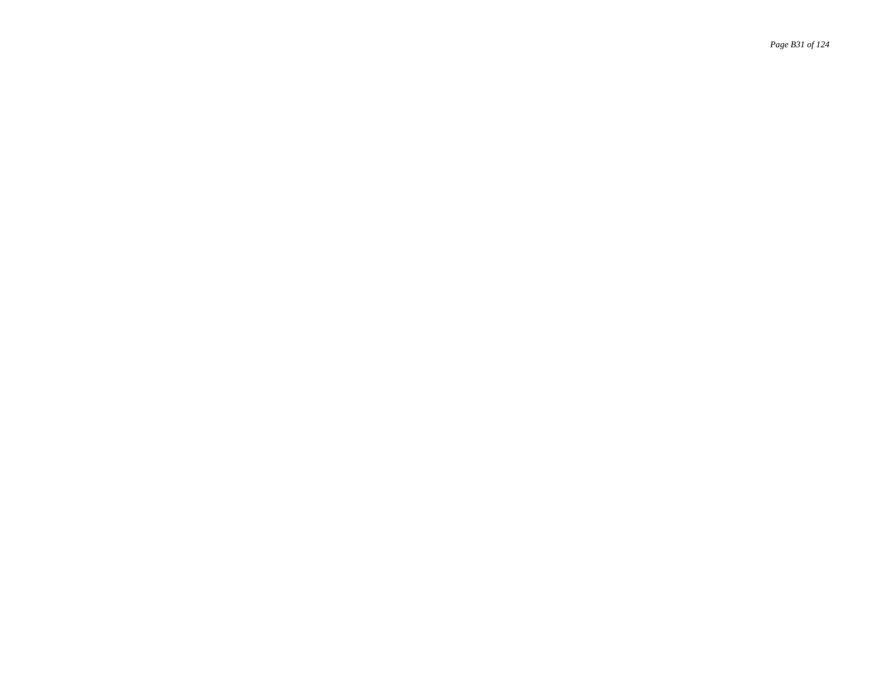*Page B31 of 124*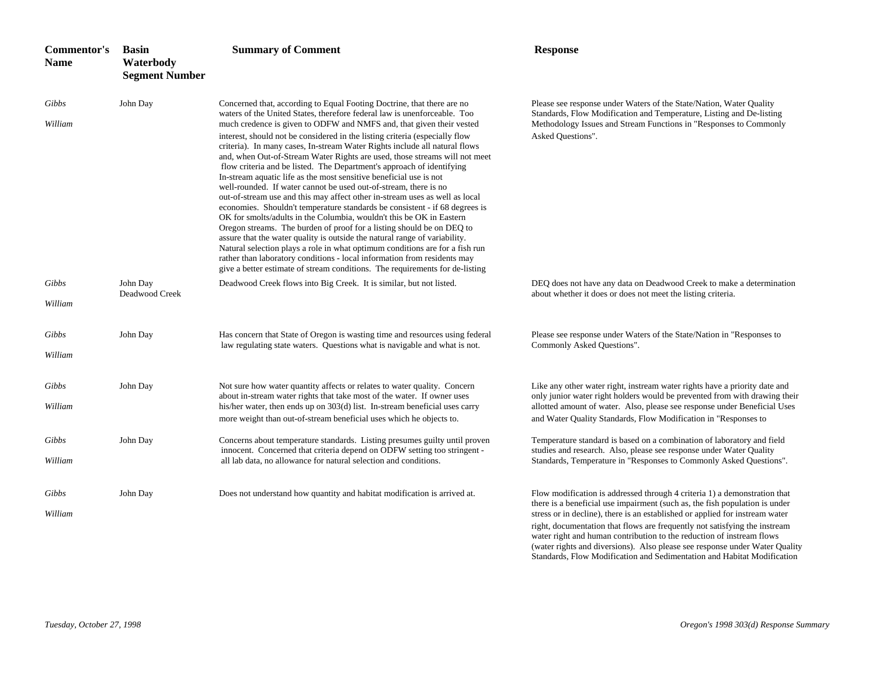| Commentor's<br><b>Name</b> | <b>Basin</b><br>Waterbody<br><b>Segment Number</b> | <b>Summary of Comment</b>                                                                                                                                                                                                                                                                                                                                                                                                                                                                                                                                                                                                                                                                                                                                                                                                                                                                                                                                                                                                                                                                                                                                                                                                                                                                                                         | <b>Response</b>                                                                                                                                                                                                                                                                                                                                                                                 |
|----------------------------|----------------------------------------------------|-----------------------------------------------------------------------------------------------------------------------------------------------------------------------------------------------------------------------------------------------------------------------------------------------------------------------------------------------------------------------------------------------------------------------------------------------------------------------------------------------------------------------------------------------------------------------------------------------------------------------------------------------------------------------------------------------------------------------------------------------------------------------------------------------------------------------------------------------------------------------------------------------------------------------------------------------------------------------------------------------------------------------------------------------------------------------------------------------------------------------------------------------------------------------------------------------------------------------------------------------------------------------------------------------------------------------------------|-------------------------------------------------------------------------------------------------------------------------------------------------------------------------------------------------------------------------------------------------------------------------------------------------------------------------------------------------------------------------------------------------|
| Gibbs<br>William           | John Day                                           | Concerned that, according to Equal Footing Doctrine, that there are no<br>waters of the United States, therefore federal law is unenforceable. Too<br>much credence is given to ODFW and NMFS and, that given their vested<br>interest, should not be considered in the listing criteria (especially flow<br>criteria). In many cases, In-stream Water Rights include all natural flows<br>and, when Out-of-Stream Water Rights are used, those streams will not meet<br>flow criteria and be listed. The Department's approach of identifying<br>In-stream aquatic life as the most sensitive beneficial use is not<br>well-rounded. If water cannot be used out-of-stream, there is no<br>out-of-stream use and this may affect other in-stream uses as well as local<br>economies. Shouldn't temperature standards be consistent - if 68 degrees is<br>OK for smolts/adults in the Columbia, wouldn't this be OK in Eastern<br>Oregon streams. The burden of proof for a listing should be on DEQ to<br>assure that the water quality is outside the natural range of variability.<br>Natural selection plays a role in what optimum conditions are for a fish run<br>rather than laboratory conditions - local information from residents may<br>give a better estimate of stream conditions. The requirements for de-listing | Please see response under Waters of the State/Nation, Water Quality<br>Standards, Flow Modification and Temperature, Listing and De-listing<br>Methodology Issues and Stream Functions in "Responses to Commonly<br>Asked Questions".                                                                                                                                                           |
| Gibbs<br>William           | John Day<br>Deadwood Creek                         | Deadwood Creek flows into Big Creek. It is similar, but not listed.                                                                                                                                                                                                                                                                                                                                                                                                                                                                                                                                                                                                                                                                                                                                                                                                                                                                                                                                                                                                                                                                                                                                                                                                                                                               | DEQ does not have any data on Deadwood Creek to make a determination<br>about whether it does or does not meet the listing criteria.                                                                                                                                                                                                                                                            |
| Gibbs<br>William           | John Day                                           | Has concern that State of Oregon is wasting time and resources using federal<br>law regulating state waters. Questions what is navigable and what is not.                                                                                                                                                                                                                                                                                                                                                                                                                                                                                                                                                                                                                                                                                                                                                                                                                                                                                                                                                                                                                                                                                                                                                                         | Please see response under Waters of the State/Nation in "Responses to<br>Commonly Asked Questions".                                                                                                                                                                                                                                                                                             |
| Gibbs<br>William           | John Day                                           | Not sure how water quantity affects or relates to water quality. Concern<br>about in-stream water rights that take most of the water. If owner uses<br>his/her water, then ends up on 303(d) list. In-stream beneficial uses carry<br>more weight than out-of-stream beneficial uses which he objects to.                                                                                                                                                                                                                                                                                                                                                                                                                                                                                                                                                                                                                                                                                                                                                                                                                                                                                                                                                                                                                         | Like any other water right, instream water rights have a priority date and<br>only junior water right holders would be prevented from with drawing their<br>allotted amount of water. Also, please see response under Beneficial Uses<br>and Water Quality Standards, Flow Modification in "Responses to                                                                                        |
| Gibbs<br>William           | John Day                                           | Concerns about temperature standards. Listing presumes guilty until proven<br>innocent. Concerned that criteria depend on ODFW setting too stringent -<br>all lab data, no allowance for natural selection and conditions.                                                                                                                                                                                                                                                                                                                                                                                                                                                                                                                                                                                                                                                                                                                                                                                                                                                                                                                                                                                                                                                                                                        | Temperature standard is based on a combination of laboratory and field<br>studies and research. Also, please see response under Water Quality<br>Standards, Temperature in "Responses to Commonly Asked Questions".                                                                                                                                                                             |
| Gibbs<br>William           | John Day                                           | Does not understand how quantity and habitat modification is arrived at.                                                                                                                                                                                                                                                                                                                                                                                                                                                                                                                                                                                                                                                                                                                                                                                                                                                                                                                                                                                                                                                                                                                                                                                                                                                          | Flow modification is addressed through 4 criteria 1) a demonstration that<br>there is a beneficial use impairment (such as, the fish population is under<br>stress or in decline), there is an established or applied for instream water<br>right, documentation that flows are frequently not satisfying the instream<br>water right and human contribution to the reduction of instream flows |

(water rights and diversions). Also please see response under Water Quality Standards, Flow Modification and Sedimentation and Habitat Modification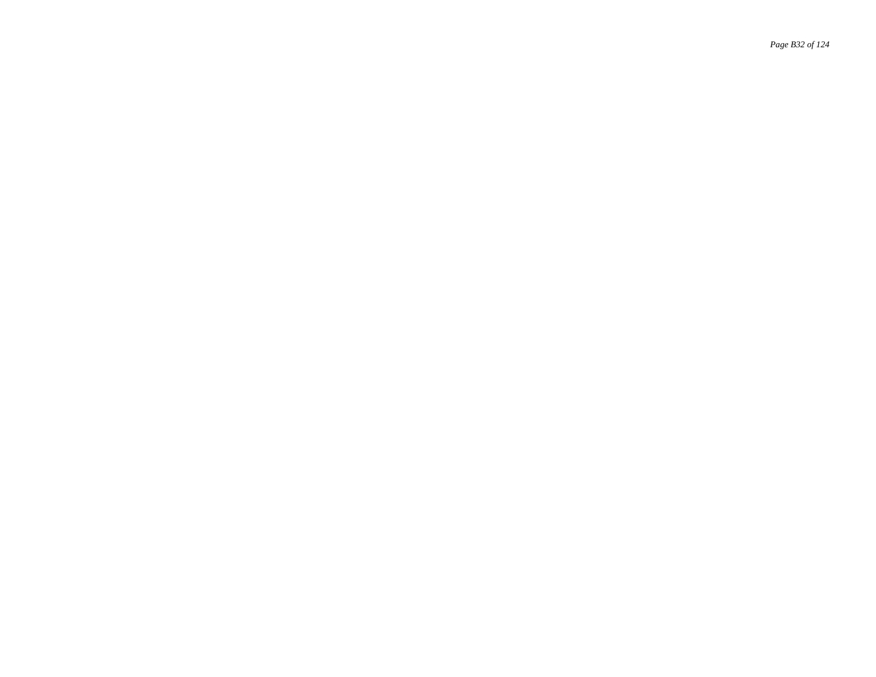*Page B32 of 124*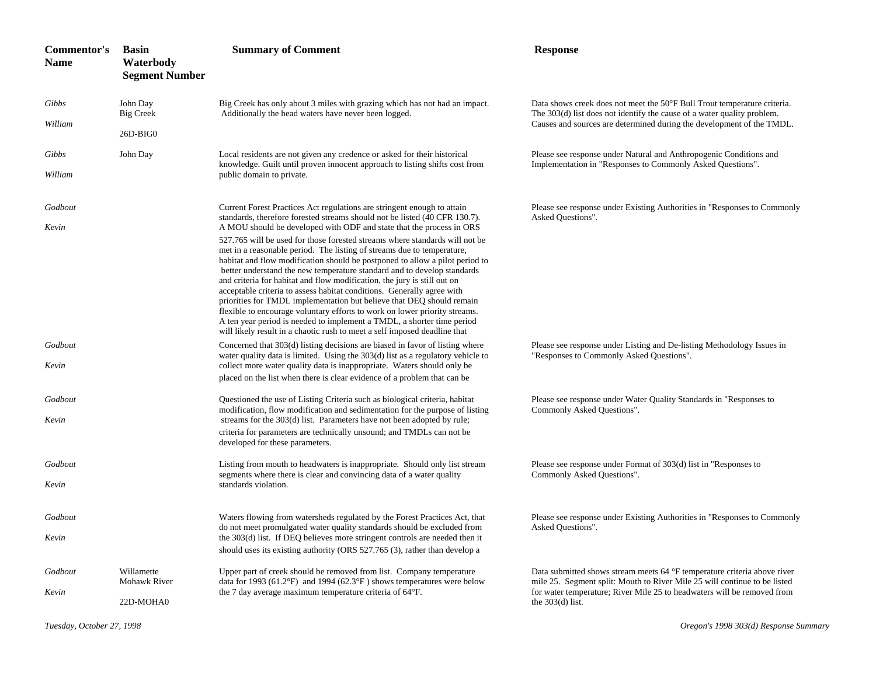| Commentor's<br><b>Name</b> | <b>Basin</b><br>Waterbody<br><b>Segment Number</b> | <b>Summary of Comment</b>                                                                                                                                                                                                                                                                                                                                                                                                                                                                                                                                                                                                                                                                                                                                                                                                                                    | <b>Response</b>                                                                                                                                                                                                              |
|----------------------------|----------------------------------------------------|--------------------------------------------------------------------------------------------------------------------------------------------------------------------------------------------------------------------------------------------------------------------------------------------------------------------------------------------------------------------------------------------------------------------------------------------------------------------------------------------------------------------------------------------------------------------------------------------------------------------------------------------------------------------------------------------------------------------------------------------------------------------------------------------------------------------------------------------------------------|------------------------------------------------------------------------------------------------------------------------------------------------------------------------------------------------------------------------------|
| Gibbs<br>William           | John Day<br><b>Big Creek</b>                       | Big Creek has only about 3 miles with grazing which has not had an impact.<br>Additionally the head waters have never been logged.                                                                                                                                                                                                                                                                                                                                                                                                                                                                                                                                                                                                                                                                                                                           | Data shows creek does not meet the 50°F Bull Trout temperature criteria.<br>The 303(d) list does not identify the cause of a water quality problem.<br>Causes and sources are determined during the development of the TMDL. |
|                            | 26D-BIG0                                           |                                                                                                                                                                                                                                                                                                                                                                                                                                                                                                                                                                                                                                                                                                                                                                                                                                                              |                                                                                                                                                                                                                              |
| Gibbs<br>William           | John Day                                           | Local residents are not given any credence or asked for their historical<br>knowledge. Guilt until proven innocent approach to listing shifts cost from<br>public domain to private.                                                                                                                                                                                                                                                                                                                                                                                                                                                                                                                                                                                                                                                                         | Please see response under Natural and Anthropogenic Conditions and<br>Implementation in "Responses to Commonly Asked Questions".                                                                                             |
|                            |                                                    |                                                                                                                                                                                                                                                                                                                                                                                                                                                                                                                                                                                                                                                                                                                                                                                                                                                              |                                                                                                                                                                                                                              |
| Godbout                    |                                                    | Current Forest Practices Act regulations are stringent enough to attain<br>standards, therefore forested streams should not be listed (40 CFR 130.7).                                                                                                                                                                                                                                                                                                                                                                                                                                                                                                                                                                                                                                                                                                        | Please see response under Existing Authorities in "Responses to Commonly<br>Asked Questions".                                                                                                                                |
| Kevin                      |                                                    | A MOU should be developed with ODF and state that the process in ORS<br>527.765 will be used for those forested streams where standards will not be<br>met in a reasonable period. The listing of streams due to temperature,<br>habitat and flow modification should be postponed to allow a pilot period to<br>better understand the new temperature standard and to develop standards<br>and criteria for habitat and flow modification, the jury is still out on<br>acceptable criteria to assess habitat conditions. Generally agree with<br>priorities for TMDL implementation but believe that DEQ should remain<br>flexible to encourage voluntary efforts to work on lower priority streams.<br>A ten year period is needed to implement a TMDL, a shorter time period<br>will likely result in a chaotic rush to meet a self imposed deadline that |                                                                                                                                                                                                                              |
| Godbout<br>Kevin           |                                                    | Concerned that 303(d) listing decisions are biased in favor of listing where<br>water quality data is limited. Using the 303(d) list as a regulatory vehicle to<br>collect more water quality data is inappropriate. Waters should only be                                                                                                                                                                                                                                                                                                                                                                                                                                                                                                                                                                                                                   | Please see response under Listing and De-listing Methodology Issues in<br>"Responses to Commonly Asked Questions".                                                                                                           |
|                            |                                                    | placed on the list when there is clear evidence of a problem that can be                                                                                                                                                                                                                                                                                                                                                                                                                                                                                                                                                                                                                                                                                                                                                                                     |                                                                                                                                                                                                                              |
| Godbout                    |                                                    | Questioned the use of Listing Criteria such as biological criteria, habitat<br>modification, flow modification and sedimentation for the purpose of listing                                                                                                                                                                                                                                                                                                                                                                                                                                                                                                                                                                                                                                                                                                  | Please see response under Water Quality Standards in "Responses to<br>Commonly Asked Questions".                                                                                                                             |
| Kevin                      |                                                    | streams for the 303(d) list. Parameters have not been adopted by rule;<br>criteria for parameters are technically unsound; and TMDLs can not be<br>developed for these parameters.                                                                                                                                                                                                                                                                                                                                                                                                                                                                                                                                                                                                                                                                           |                                                                                                                                                                                                                              |
| Godbout                    |                                                    | Listing from mouth to headwaters is inappropriate. Should only list stream                                                                                                                                                                                                                                                                                                                                                                                                                                                                                                                                                                                                                                                                                                                                                                                   | Please see response under Format of 303(d) list in "Responses to                                                                                                                                                             |
| Kevin                      |                                                    | segments where there is clear and convincing data of a water quality<br>standards violation.                                                                                                                                                                                                                                                                                                                                                                                                                                                                                                                                                                                                                                                                                                                                                                 | Commonly Asked Questions".                                                                                                                                                                                                   |
| Godbout                    |                                                    | Waters flowing from watersheds regulated by the Forest Practices Act, that                                                                                                                                                                                                                                                                                                                                                                                                                                                                                                                                                                                                                                                                                                                                                                                   | Please see response under Existing Authorities in "Responses to Commonly"                                                                                                                                                    |
| Kevin                      |                                                    | do not meet promulgated water quality standards should be excluded from<br>the $303(d)$ list. If DEQ believes more stringent controls are needed then it                                                                                                                                                                                                                                                                                                                                                                                                                                                                                                                                                                                                                                                                                                     | Asked Questions".                                                                                                                                                                                                            |
|                            |                                                    | should uses its existing authority (ORS 527.765 (3), rather than develop a                                                                                                                                                                                                                                                                                                                                                                                                                                                                                                                                                                                                                                                                                                                                                                                   |                                                                                                                                                                                                                              |
| Godbout                    | Willamette<br>Mohawk River                         | Upper part of creek should be removed from list. Company temperature<br>data for 1993 (61.2°F) and 1994 (62.3°F) shows temperatures were below                                                                                                                                                                                                                                                                                                                                                                                                                                                                                                                                                                                                                                                                                                               | Data submitted shows stream meets 64 °F temperature criteria above river<br>mile 25. Segment split: Mouth to River Mile 25 will continue to be listed                                                                        |
| Kevin                      | 22D-MOHA0                                          | the 7 day average maximum temperature criteria of 64°F.                                                                                                                                                                                                                                                                                                                                                                                                                                                                                                                                                                                                                                                                                                                                                                                                      | for water temperature; River Mile 25 to headwaters will be removed from<br>the $303(d)$ list.                                                                                                                                |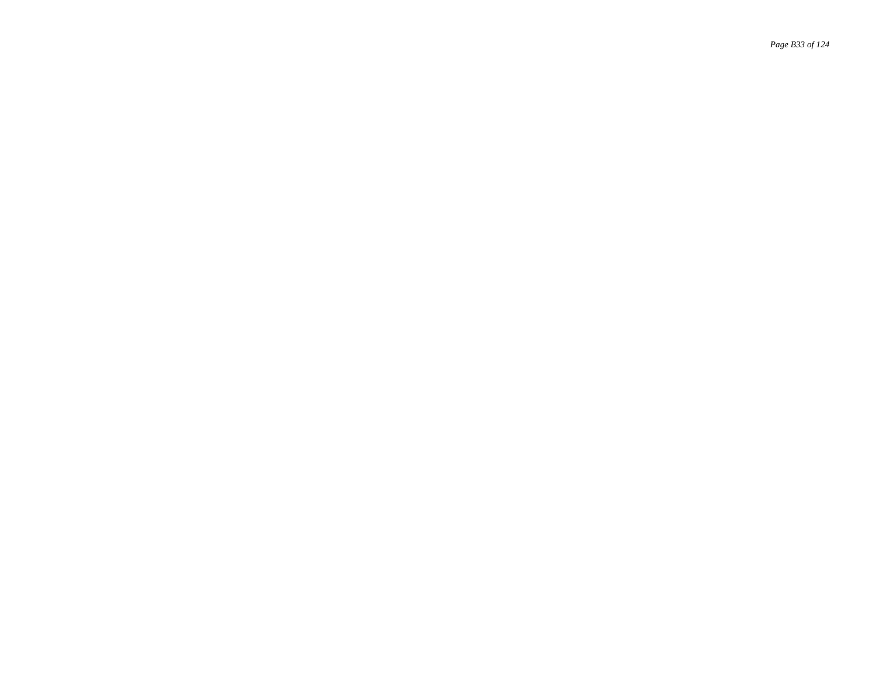*Page B33 of 124*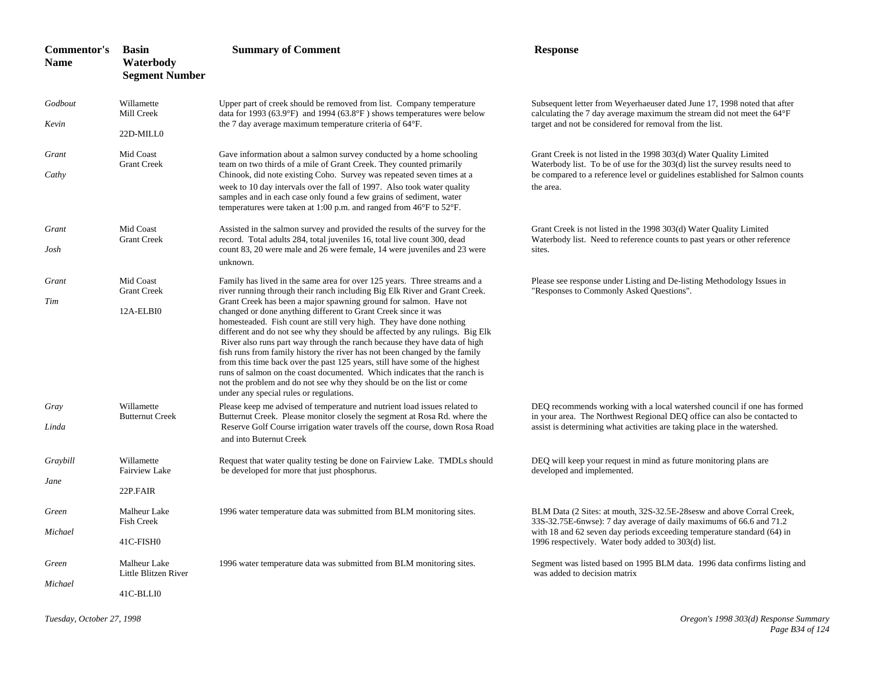| Commentor's<br><b>Name</b> | <b>Basin</b><br>Waterbody<br><b>Segment Number</b> | <b>Summary of Comment</b>                                                                                                                                                                                                                                                                                                                                                                                                                                                                                                                                                                                                                                                                                                                                                                                                                                                                        | <b>Response</b>                                                                                                                                                                                                                                                                |
|----------------------------|----------------------------------------------------|--------------------------------------------------------------------------------------------------------------------------------------------------------------------------------------------------------------------------------------------------------------------------------------------------------------------------------------------------------------------------------------------------------------------------------------------------------------------------------------------------------------------------------------------------------------------------------------------------------------------------------------------------------------------------------------------------------------------------------------------------------------------------------------------------------------------------------------------------------------------------------------------------|--------------------------------------------------------------------------------------------------------------------------------------------------------------------------------------------------------------------------------------------------------------------------------|
| Godbout<br>Kevin           | Willamette<br>Mill Creek<br>22D-MILL0              | Upper part of creek should be removed from list. Company temperature<br>data for 1993 (63.9°F) and 1994 (63.8°F) shows temperatures were below<br>the 7 day average maximum temperature criteria of 64°F.                                                                                                                                                                                                                                                                                                                                                                                                                                                                                                                                                                                                                                                                                        | Subsequent letter from Weyerhaeuser dated June 17, 1998 noted that after<br>calculating the 7 day average maximum the stream did not meet the 64°F<br>target and not be considered for removal from the list.                                                                  |
| Grant<br>Cathy             | Mid Coast<br><b>Grant Creek</b>                    | Gave information about a salmon survey conducted by a home schooling<br>team on two thirds of a mile of Grant Creek. They counted primarily<br>Chinook, did note existing Coho. Survey was repeated seven times at a<br>week to 10 day intervals over the fall of 1997. Also took water quality<br>samples and in each case only found a few grains of sediment, water<br>temperatures were taken at 1:00 p.m. and ranged from $46^{\circ}$ F to $52^{\circ}$ F.                                                                                                                                                                                                                                                                                                                                                                                                                                 | Grant Creek is not listed in the 1998 303(d) Water Quality Limited<br>Waterbody list. To be of use for the $303(d)$ list the survey results need to<br>be compared to a reference level or guidelines established for Salmon counts<br>the area.                               |
| Grant<br>Josh              | Mid Coast<br><b>Grant Creek</b>                    | Assisted in the salmon survey and provided the results of the survey for the<br>record. Total adults 284, total juveniles 16, total live count 300, dead<br>count 83, 20 were male and 26 were female, 14 were juveniles and 23 were<br>unknown.                                                                                                                                                                                                                                                                                                                                                                                                                                                                                                                                                                                                                                                 | Grant Creek is not listed in the 1998 303(d) Water Quality Limited<br>Waterbody list. Need to reference counts to past years or other reference<br>sites.                                                                                                                      |
| Grant<br>Tim               | Mid Coast<br><b>Grant Creek</b><br>12A-ELBI0       | Family has lived in the same area for over 125 years. Three streams and a<br>river running through their ranch including Big Elk River and Grant Creek.<br>Grant Creek has been a major spawning ground for salmon. Have not<br>changed or done anything different to Grant Creek since it was<br>homesteaded. Fish count are still very high. They have done nothing<br>different and do not see why they should be affected by any rulings. Big Elk<br>River also runs part way through the ranch because they have data of high<br>fish runs from family history the river has not been changed by the family<br>from this time back over the past 125 years, still have some of the highest<br>runs of salmon on the coast documented. Which indicates that the ranch is<br>not the problem and do not see why they should be on the list or come<br>under any special rules or regulations. | Please see response under Listing and De-listing Methodology Issues in<br>"Responses to Commonly Asked Questions".                                                                                                                                                             |
| Gray<br>Linda              | Willamette<br><b>Butternut Creek</b>               | Please keep me advised of temperature and nutrient load issues related to<br>Butternut Creek. Please monitor closely the segment at Rosa Rd. where the<br>Reserve Golf Course irrigation water travels off the course, down Rosa Road<br>and into Buternut Creek                                                                                                                                                                                                                                                                                                                                                                                                                                                                                                                                                                                                                                 | DEQ recommends working with a local watershed council if one has formed<br>in your area. The Northwest Regional DEQ office can also be contacted to<br>assist is determining what activities are taking place in the watershed.                                                |
| Graybill<br>Jane           | Willamette<br>Fairview Lake<br>22P.FAIR            | Request that water quality testing be done on Fairview Lake. TMDLs should<br>be developed for more that just phosphorus.                                                                                                                                                                                                                                                                                                                                                                                                                                                                                                                                                                                                                                                                                                                                                                         | DEQ will keep your request in mind as future monitoring plans are<br>developed and implemented.                                                                                                                                                                                |
| Green<br>Michael           | Malheur Lake<br>Fish Creek<br>41C-FISH0            | 1996 water temperature data was submitted from BLM monitoring sites.                                                                                                                                                                                                                                                                                                                                                                                                                                                                                                                                                                                                                                                                                                                                                                                                                             | BLM Data (2 Sites: at mouth, 32S-32.5E-28sesw and above Corral Creek,<br>33S-32.75E-6nwse): 7 day average of daily maximums of 66.6 and 71.2<br>with 18 and 62 seven day periods exceeding temperature standard (64) in<br>1996 respectively. Water body added to 303(d) list. |
| Green<br>Michael           | Malheur Lake<br>Little Blitzen River<br>41C-BLLI0  | 1996 water temperature data was submitted from BLM monitoring sites.                                                                                                                                                                                                                                                                                                                                                                                                                                                                                                                                                                                                                                                                                                                                                                                                                             | Segment was listed based on 1995 BLM data. 1996 data confirms listing and<br>was added to decision matrix                                                                                                                                                                      |

*Tuesday, October 27, 1998 Oregon's 1998 303(d) Response Summary Page B34 of 124*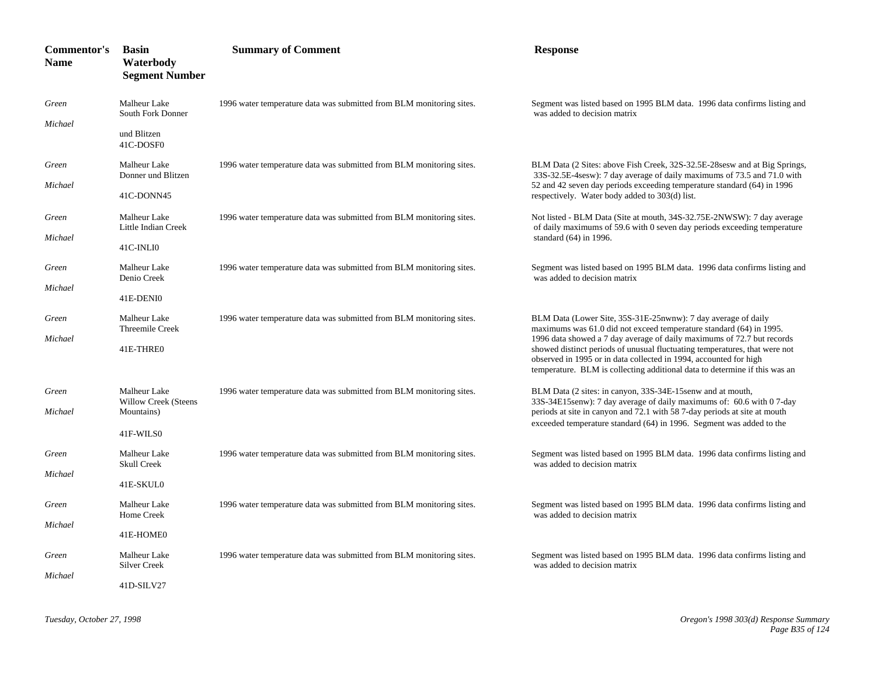| Commentor's<br><b>Name</b> | <b>Basin</b><br>Waterbody<br><b>Segment Number</b>                            | <b>Summary of Comment</b>                                            | <b>Response</b>                                                                                                                                                                                                                                                                                                                                                                                                                                 |
|----------------------------|-------------------------------------------------------------------------------|----------------------------------------------------------------------|-------------------------------------------------------------------------------------------------------------------------------------------------------------------------------------------------------------------------------------------------------------------------------------------------------------------------------------------------------------------------------------------------------------------------------------------------|
| Green<br>Michael           | Malheur Lake<br>South Fork Donner<br>und Blitzen<br>41C-DOSF0                 | 1996 water temperature data was submitted from BLM monitoring sites. | Segment was listed based on 1995 BLM data. 1996 data confirms listing and<br>was added to decision matrix                                                                                                                                                                                                                                                                                                                                       |
| Green<br>Michael           | Malheur Lake<br>Donner und Blitzen<br>41C-DONN45                              | 1996 water temperature data was submitted from BLM monitoring sites. | BLM Data (2 Sites: above Fish Creek, 32S-32.5E-28 sesw and at Big Springs,<br>33S-32.5E-4sesw): 7 day average of daily maximums of 73.5 and 71.0 with<br>52 and 42 seven day periods exceeding temperature standard (64) in 1996<br>respectively. Water body added to 303(d) list.                                                                                                                                                              |
| Green<br>Michael           | Malheur Lake<br>Little Indian Creek<br>41C-INLI0                              | 1996 water temperature data was submitted from BLM monitoring sites. | Not listed - BLM Data (Site at mouth, 34S-32.75E-2NWSW): 7 day average<br>of daily maximums of 59.6 with 0 seven day periods exceeding temperature<br>standard $(64)$ in 1996.                                                                                                                                                                                                                                                                  |
| Green<br>Michael           | Malheur Lake<br>Denio Creek<br>41E-DENI0                                      | 1996 water temperature data was submitted from BLM monitoring sites. | Segment was listed based on 1995 BLM data. 1996 data confirms listing and<br>was added to decision matrix                                                                                                                                                                                                                                                                                                                                       |
| Green<br>Michael           | Malheur Lake<br>Threemile Creek<br>41E-THRE0                                  | 1996 water temperature data was submitted from BLM monitoring sites. | BLM Data (Lower Site, 35S-31E-25nwnw): 7 day average of daily<br>maximums was 61.0 did not exceed temperature standard (64) in 1995.<br>1996 data showed a 7 day average of daily maximums of 72.7 but records<br>showed distinct periods of unusual fluctuating temperatures, that were not<br>observed in 1995 or in data collected in 1994, accounted for high<br>temperature. BLM is collecting additional data to determine if this was an |
| Green<br>Michael           | <b>Malheur Lake</b><br><b>Willow Creek (Steens</b><br>Mountains)<br>41F-WILS0 | 1996 water temperature data was submitted from BLM monitoring sites. | BLM Data (2 sites: in canyon, 33S-34E-15 senw and at mouth,<br>33S-34E15senw): 7 day average of daily maximums of: 60.6 with 0 7-day<br>periods at site in canyon and 72.1 with 58 7-day periods at site at mouth<br>exceeded temperature standard (64) in 1996. Segment was added to the                                                                                                                                                       |
| Green<br>Michael           | Malheur Lake<br><b>Skull Creek</b><br>41E-SKUL0                               | 1996 water temperature data was submitted from BLM monitoring sites. | Segment was listed based on 1995 BLM data. 1996 data confirms listing and<br>was added to decision matrix                                                                                                                                                                                                                                                                                                                                       |
| Green<br>Michael           | Malheur Lake<br>Home Creek<br>41E-HOME0                                       | 1996 water temperature data was submitted from BLM monitoring sites. | Segment was listed based on 1995 BLM data. 1996 data confirms listing and<br>was added to decision matrix                                                                                                                                                                                                                                                                                                                                       |
| Green<br>Michael           | Malheur Lake<br><b>Silver Creek</b><br>41D-SILV27                             | 1996 water temperature data was submitted from BLM monitoring sites. | Segment was listed based on 1995 BLM data. 1996 data confirms listing and<br>was added to decision matrix                                                                                                                                                                                                                                                                                                                                       |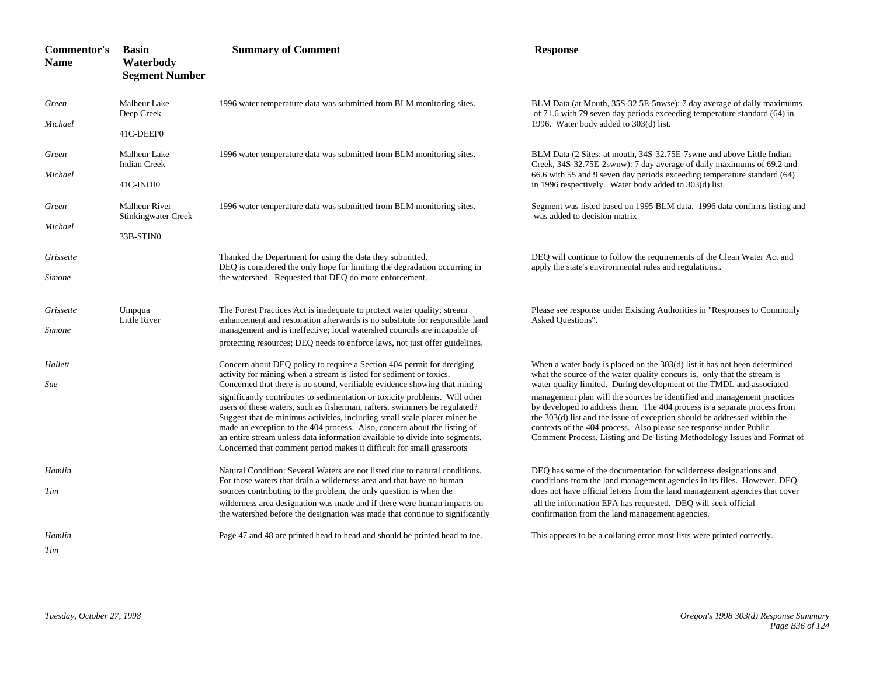| <b>Commentor's</b><br><b>Name</b> | <b>Basin</b><br>Waterbody<br><b>Segment Number</b> | <b>Summary of Comment</b>                                                                                                                                                                                                                                                                                                                                                                                                                                                                                                                                                                                                                                                                               | <b>Response</b>                                                                                                                                                                                                                                                                                                                                                                                                                                                                                                                                                                                                     |
|-----------------------------------|----------------------------------------------------|---------------------------------------------------------------------------------------------------------------------------------------------------------------------------------------------------------------------------------------------------------------------------------------------------------------------------------------------------------------------------------------------------------------------------------------------------------------------------------------------------------------------------------------------------------------------------------------------------------------------------------------------------------------------------------------------------------|---------------------------------------------------------------------------------------------------------------------------------------------------------------------------------------------------------------------------------------------------------------------------------------------------------------------------------------------------------------------------------------------------------------------------------------------------------------------------------------------------------------------------------------------------------------------------------------------------------------------|
| Green<br>Michael                  | Malheur Lake<br>Deep Creek<br>41C-DEEP0            | 1996 water temperature data was submitted from BLM monitoring sites.                                                                                                                                                                                                                                                                                                                                                                                                                                                                                                                                                                                                                                    | BLM Data (at Mouth, 35S-32.5E-5nwse): 7 day average of daily maximums<br>of 71.6 with 79 seven day periods exceeding temperature standard (64) in<br>1996. Water body added to 303(d) list.                                                                                                                                                                                                                                                                                                                                                                                                                         |
| Green<br>Michael                  | Malheur Lake<br><b>Indian Creek</b><br>41C-INDI0   | 1996 water temperature data was submitted from BLM monitoring sites.                                                                                                                                                                                                                                                                                                                                                                                                                                                                                                                                                                                                                                    | BLM Data (2 Sites: at mouth, 34S-32.75E-7swne and above Little Indian<br>Creek, 34S-32.75E-2swnw): 7 day average of daily maximums of 69.2 and<br>66.6 with 55 and 9 seven day periods exceeding temperature standard (64)<br>in 1996 respectively. Water body added to 303(d) list.                                                                                                                                                                                                                                                                                                                                |
| Green<br>Michael                  | Malheur River<br>Stinkingwater Creek<br>33B-STINO  | 1996 water temperature data was submitted from BLM monitoring sites.                                                                                                                                                                                                                                                                                                                                                                                                                                                                                                                                                                                                                                    | Segment was listed based on 1995 BLM data. 1996 data confirms listing and<br>was added to decision matrix                                                                                                                                                                                                                                                                                                                                                                                                                                                                                                           |
| Grissette<br><i>Simone</i>        |                                                    | Thanked the Department for using the data they submitted.<br>DEQ is considered the only hope for limiting the degradation occurring in<br>the watershed. Requested that DEQ do more enforcement.                                                                                                                                                                                                                                                                                                                                                                                                                                                                                                        | DEQ will continue to follow the requirements of the Clean Water Act and<br>apply the state's environmental rules and regulations                                                                                                                                                                                                                                                                                                                                                                                                                                                                                    |
| Grissette<br><i>Simone</i>        | Umpqua<br><b>Little River</b>                      | The Forest Practices Act is inadequate to protect water quality; stream<br>enhancement and restoration afterwards is no substitute for responsible land<br>management and is ineffective; local watershed councils are incapable of<br>protecting resources; DEQ needs to enforce laws, not just offer guidelines.                                                                                                                                                                                                                                                                                                                                                                                      | Please see response under Existing Authorities in "Responses to Commonly<br>Asked Questions".                                                                                                                                                                                                                                                                                                                                                                                                                                                                                                                       |
| Hallett<br>Sue                    |                                                    | Concern about DEQ policy to require a Section 404 permit for dredging<br>activity for mining when a stream is listed for sediment or toxics.<br>Concerned that there is no sound, verifiable evidence showing that mining<br>significantly contributes to sedimentation or toxicity problems. Will other<br>users of these waters, such as fisherman, rafters, swimmers be regulated?<br>Suggest that de minimus activities, including small scale placer miner be.<br>made an exception to the 404 process. Also, concern about the listing of<br>an entire stream unless data information available to divide into segments.<br>Concerned that comment period makes it difficult for small grassroots | When a water body is placed on the 303(d) list it has not been determined<br>what the source of the water quality concurs is, only that the stream is<br>water quality limited. During development of the TMDL and associated<br>management plan will the sources be identified and management practices<br>by developed to address them. The 404 process is a separate process from<br>the 303(d) list and the issue of exception should be addressed within the<br>contexts of the 404 process. Also please see response under Public<br>Comment Process, Listing and De-listing Methodology Issues and Format of |
| Hamlin<br>Tim                     |                                                    | Natural Condition: Several Waters are not listed due to natural conditions.<br>For those waters that drain a wilderness area and that have no human<br>sources contributing to the problem, the only question is when the<br>wilderness area designation was made and if there were human impacts on<br>the watershed before the designation was made that continue to significantly                                                                                                                                                                                                                                                                                                                    | DEQ has some of the documentation for wilderness designations and<br>conditions from the land management agencies in its files. However, DEQ<br>does not have official letters from the land management agencies that cover<br>all the information EPA has requested. DEQ will seek official<br>confirmation from the land management agencies.                                                                                                                                                                                                                                                                     |
| Hamlin<br>Tim                     |                                                    | Page 47 and 48 are printed head to head and should be printed head to toe.                                                                                                                                                                                                                                                                                                                                                                                                                                                                                                                                                                                                                              | This appears to be a collating error most lists were printed correctly.                                                                                                                                                                                                                                                                                                                                                                                                                                                                                                                                             |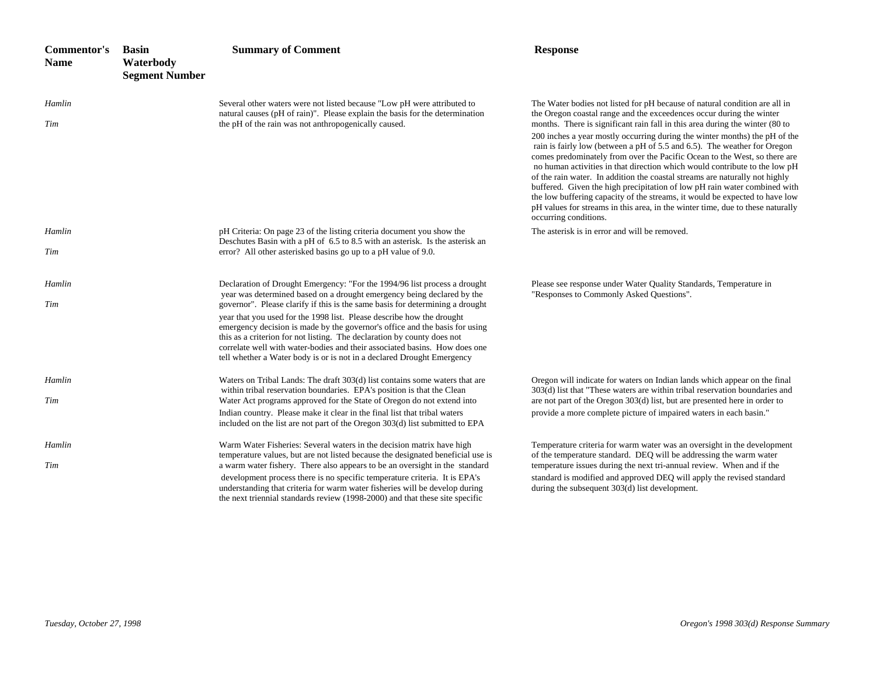| Commentor's<br><b>Name</b> | <b>Basin</b><br>Waterbody<br><b>Segment Number</b> | <b>Summary of Comment</b>                                                                                                                                                                                                                                                                                                                                                                                                                                                                                                                                                                                                       | <b>Response</b>                                                                                                                                                                                                                                                                                                                                                                                                                                                                                                                                                                                                                                                                                                                                                                                                                                                                                               |
|----------------------------|----------------------------------------------------|---------------------------------------------------------------------------------------------------------------------------------------------------------------------------------------------------------------------------------------------------------------------------------------------------------------------------------------------------------------------------------------------------------------------------------------------------------------------------------------------------------------------------------------------------------------------------------------------------------------------------------|---------------------------------------------------------------------------------------------------------------------------------------------------------------------------------------------------------------------------------------------------------------------------------------------------------------------------------------------------------------------------------------------------------------------------------------------------------------------------------------------------------------------------------------------------------------------------------------------------------------------------------------------------------------------------------------------------------------------------------------------------------------------------------------------------------------------------------------------------------------------------------------------------------------|
| Hamlin<br>Tim              |                                                    | Several other waters were not listed because "Low pH were attributed to<br>natural causes (pH of rain)". Please explain the basis for the determination<br>the pH of the rain was not anthropogenically caused.                                                                                                                                                                                                                                                                                                                                                                                                                 | The Water bodies not listed for pH because of natural condition are all in<br>the Oregon coastal range and the exceedences occur during the winter<br>months. There is significant rain fall in this area during the winter (80 to<br>200 inches a year mostly occurring during the winter months) the pH of the<br>rain is fairly low (between a pH of 5.5 and 6.5). The weather for Oregon<br>comes predominately from over the Pacific Ocean to the West, so there are<br>no human activities in that direction which would contribute to the low pH<br>of the rain water. In addition the coastal streams are naturally not highly<br>buffered. Given the high precipitation of low pH rain water combined with<br>the low buffering capacity of the streams, it would be expected to have low<br>pH values for streams in this area, in the winter time, due to these naturally<br>occurring conditions. |
| Hamlin<br>Tim              |                                                    | pH Criteria: On page 23 of the listing criteria document you show the<br>Deschutes Basin with a pH of 6.5 to 8.5 with an asterisk. Is the asterisk an<br>error? All other asterisked basins go up to a pH value of 9.0.                                                                                                                                                                                                                                                                                                                                                                                                         | The asterisk is in error and will be removed.                                                                                                                                                                                                                                                                                                                                                                                                                                                                                                                                                                                                                                                                                                                                                                                                                                                                 |
| Hamlin<br>Tim              |                                                    | Declaration of Drought Emergency: "For the 1994/96 list process a drought<br>year was determined based on a drought emergency being declared by the<br>governor". Please clarify if this is the same basis for determining a drought<br>year that you used for the 1998 list. Please describe how the drought<br>emergency decision is made by the governor's office and the basis for using<br>this as a criterion for not listing. The declaration by county does not<br>correlate well with water-bodies and their associated basins. How does one<br>tell whether a Water body is or is not in a declared Drought Emergency | Please see response under Water Quality Standards, Temperature in<br>"Responses to Commonly Asked Questions".                                                                                                                                                                                                                                                                                                                                                                                                                                                                                                                                                                                                                                                                                                                                                                                                 |
| Hamlin<br>Tim              |                                                    | Waters on Tribal Lands: The draft 303(d) list contains some waters that are<br>within tribal reservation boundaries. EPA's position is that the Clean<br>Water Act programs approved for the State of Oregon do not extend into<br>Indian country. Please make it clear in the final list that tribal waters<br>included on the list are not part of the Oregon 303(d) list submitted to EPA                                                                                                                                                                                                                                    | Oregon will indicate for waters on Indian lands which appear on the final<br>303(d) list that "These waters are within tribal reservation boundaries and<br>are not part of the Oregon 303(d) list, but are presented here in order to<br>provide a more complete picture of impaired waters in each basin."                                                                                                                                                                                                                                                                                                                                                                                                                                                                                                                                                                                                  |
| Hamlin<br>Tim              |                                                    | Warm Water Fisheries: Several waters in the decision matrix have high<br>temperature values, but are not listed because the designated beneficial use is<br>a warm water fishery. There also appears to be an oversight in the standard<br>development process there is no specific temperature criteria. It is EPA's<br>understanding that criteria for warm water fisheries will be develop during<br>the next triennial standards review (1998-2000) and that these site specific                                                                                                                                            | Temperature criteria for warm water was an oversight in the development<br>of the temperature standard. DEQ will be addressing the warm water<br>temperature issues during the next tri-annual review. When and if the<br>standard is modified and approved DEQ will apply the revised standard<br>during the subsequent $303(d)$ list development.                                                                                                                                                                                                                                                                                                                                                                                                                                                                                                                                                           |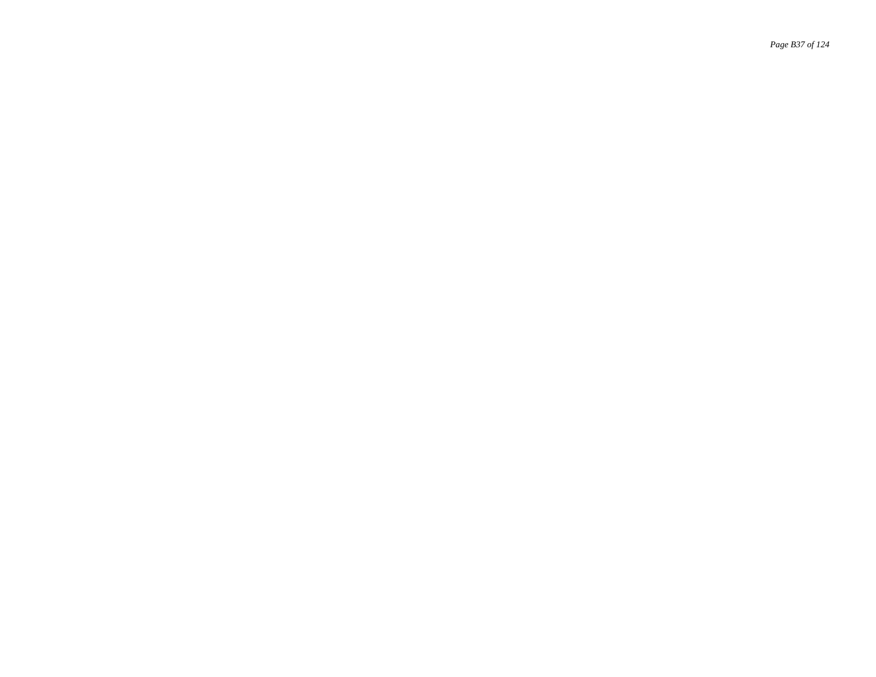*Page B37 of 124*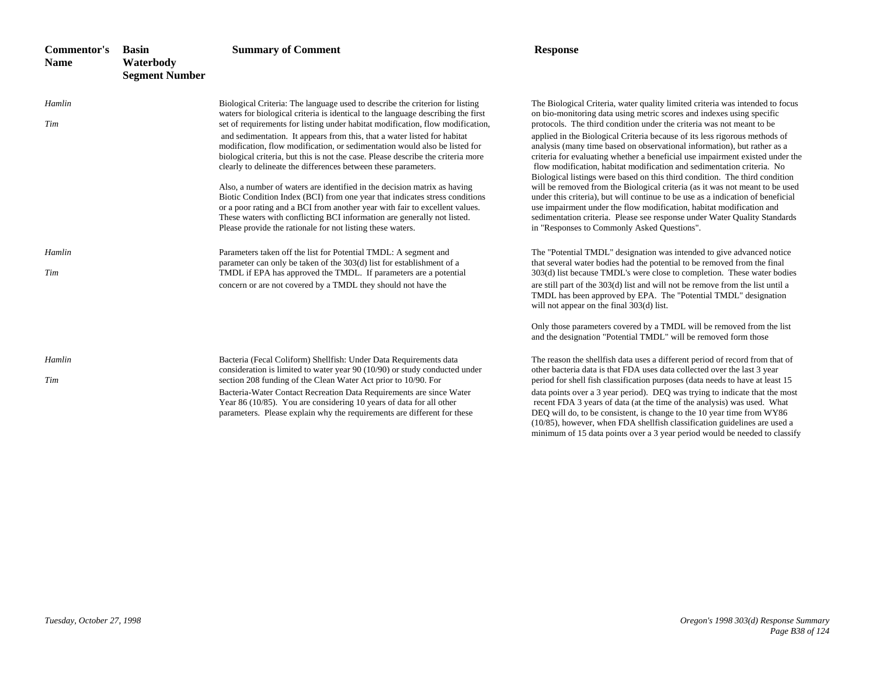| Commentor's<br><b>Name</b> | <b>Basin</b><br><b>Waterbody</b><br><b>Segment Number</b> | <b>Summary of Comment</b>                                                                                                                                                                                                                                                                                                                                                       | <b>Response</b>                                                                                                                                                                                                                                                                                                                                                                                  |
|----------------------------|-----------------------------------------------------------|---------------------------------------------------------------------------------------------------------------------------------------------------------------------------------------------------------------------------------------------------------------------------------------------------------------------------------------------------------------------------------|--------------------------------------------------------------------------------------------------------------------------------------------------------------------------------------------------------------------------------------------------------------------------------------------------------------------------------------------------------------------------------------------------|
| Hamlin                     |                                                           | Biological Criteria: The language used to describe the criterion for listing<br>waters for biological criteria is identical to the language describing the first                                                                                                                                                                                                                | The Biological Criteria, water quality limited criteria was intended to focus<br>on bio-monitoring data using metric scores and indexes using specific                                                                                                                                                                                                                                           |
| Tim                        |                                                           | set of requirements for listing under habitat modification, flow modification,                                                                                                                                                                                                                                                                                                  | protocols. The third condition under the criteria was not meant to be                                                                                                                                                                                                                                                                                                                            |
|                            |                                                           | and sedimentation. It appears from this, that a water listed for habitat<br>modification, flow modification, or sedimentation would also be listed for<br>biological criteria, but this is not the case. Please describe the criteria more<br>clearly to delineate the differences between these parameters.                                                                    | applied in the Biological Criteria because of its less rigorous methods of<br>analysis (many time based on observational information), but rather as a<br>criteria for evaluating whether a beneficial use impairment existed under the<br>flow modification, habitat modification and sedimentation criteria. No<br>Biological listings were based on this third condition. The third condition |
|                            |                                                           | Also, a number of waters are identified in the decision matrix as having<br>Biotic Condition Index (BCI) from one year that indicates stress conditions<br>or a poor rating and a BCI from another year with fair to excellent values.<br>These waters with conflicting BCI information are generally not listed.<br>Please provide the rationale for not listing these waters. | will be removed from the Biological criteria (as it was not meant to be used<br>under this criteria), but will continue to be use as a indication of beneficial<br>use impairment under the flow modification, habitat modification and<br>sedimentation criteria. Please see response under Water Quality Standards<br>in "Responses to Commonly Asked Questions".                              |
| Hamlin                     |                                                           | Parameters taken off the list for Potential TMDL: A segment and<br>parameter can only be taken of the 303(d) list for establishment of a                                                                                                                                                                                                                                        | The "Potential TMDL" designation was intended to give advanced notice                                                                                                                                                                                                                                                                                                                            |
| Tim                        |                                                           | TMDL if EPA has approved the TMDL. If parameters are a potential                                                                                                                                                                                                                                                                                                                | that several water bodies had the potential to be removed from the final<br>303(d) list because TMDL's were close to completion. These water bodies                                                                                                                                                                                                                                              |
|                            |                                                           | concern or are not covered by a TMDL they should not have the                                                                                                                                                                                                                                                                                                                   | are still part of the 303(d) list and will not be remove from the list until a<br>TMDL has been approved by EPA. The "Potential TMDL" designation<br>will not appear on the final 303(d) list.                                                                                                                                                                                                   |
|                            |                                                           |                                                                                                                                                                                                                                                                                                                                                                                 | Only those parameters covered by a TMDL will be removed from the list<br>and the designation "Potential TMDL" will be removed form those                                                                                                                                                                                                                                                         |
| Hamlin                     |                                                           | Bacteria (Fecal Coliform) Shellfish: Under Data Requirements data                                                                                                                                                                                                                                                                                                               | The reason the shellfish data uses a different period of record from that of                                                                                                                                                                                                                                                                                                                     |
| Tim                        |                                                           | consideration is limited to water year 90 (10/90) or study conducted under<br>section 208 funding of the Clean Water Act prior to 10/90. For                                                                                                                                                                                                                                    | other bacteria data is that FDA uses data collected over the last 3 year<br>period for shell fish classification purposes (data needs to have at least 15                                                                                                                                                                                                                                        |
|                            |                                                           | Bacteria-Water Contact Recreation Data Requirements are since Water<br>Year 86 (10/85). You are considering 10 years of data for all other<br>parameters. Please explain why the requirements are different for these                                                                                                                                                           | data points over a 3 year period). DEQ was trying to indicate that the most<br>recent FDA 3 years of data (at the time of the analysis) was used. What<br>DEQ will do, to be consistent, is change to the 10 year time from WY86<br>(10/85), however, when FDA shellfish classification guidelines are used a                                                                                    |

minimum of 15 data points over a 3 year period would be needed to classify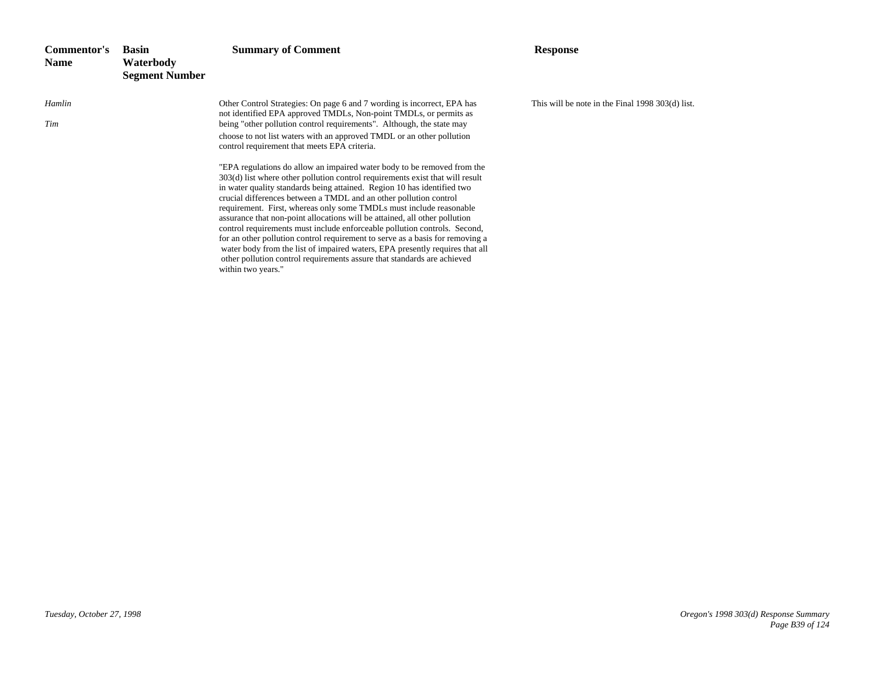| Commentor's<br><b>Name</b> | Basin<br>Waterbody<br><b>Segment Number</b> | <b>Summary of Comment</b>                                                                                                                                | <b>Response</b>                                  |
|----------------------------|---------------------------------------------|----------------------------------------------------------------------------------------------------------------------------------------------------------|--------------------------------------------------|
| Hamlin                     |                                             | Other Control Strategies: On page 6 and 7 wording is incorrect, EPA has                                                                                  | This will be note in the Final 1998 303(d) list. |
| Tim                        |                                             | not identified EPA approved TMDLs, Non-point TMDLs, or permits as<br>being "other pollution control requirements". Although, the state may               |                                                  |
|                            |                                             | choose to not list waters with an approved TMDL or an other pollution<br>control requirement that meets EPA criteria.                                    |                                                  |
|                            |                                             | "EPA regulations do allow an impaired water body to be removed from the<br>303(d) list where other pollution control requirements exist that will result |                                                  |
|                            |                                             | in water quality standards being attained. Region 10 has identified two                                                                                  |                                                  |
|                            |                                             | crucial differences between a TMDL and an other pollution control<br>requirement. First, whereas only some TMDLs must include reasonable                 |                                                  |
|                            |                                             | assurance that non-point allocations will be attained, all other pollution                                                                               |                                                  |
|                            |                                             | control requirements must include enforceable pollution controls. Second,                                                                                |                                                  |
|                            |                                             | for an other pollution control requirement to serve as a basis for removing a                                                                            |                                                  |
|                            |                                             | water body from the list of impaired waters, EPA presently requires that all                                                                             |                                                  |

other pollution control requirements assure that standards are achieved

within two years."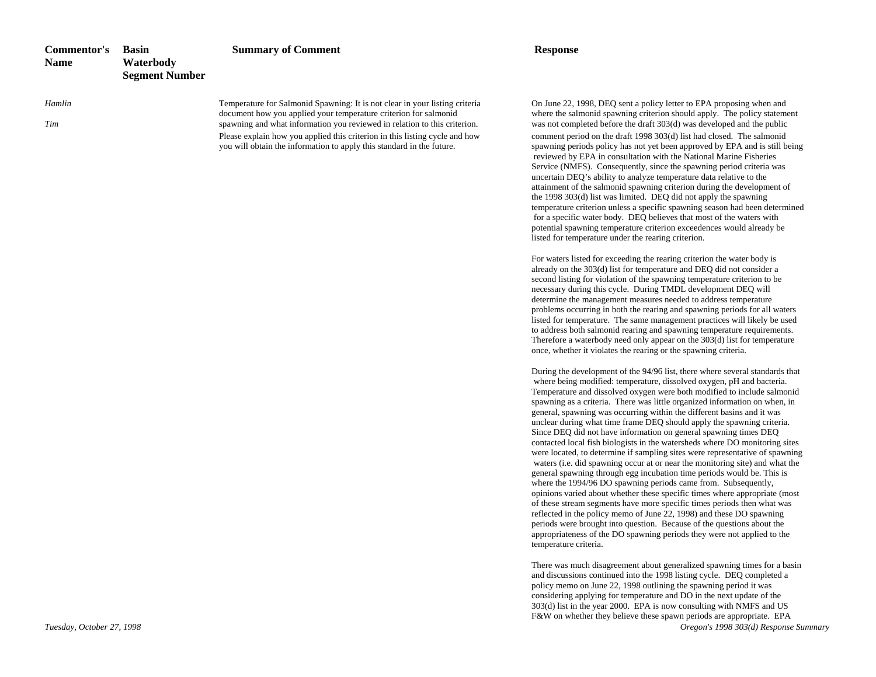| Commentor's<br><b>Name</b> | Basin<br>Waterbody<br><b>Segment Number</b> | <b>Summary of Comment</b>                                                                                                                            | <b>Response</b>                                                                                                                                                                                                            |
|----------------------------|---------------------------------------------|------------------------------------------------------------------------------------------------------------------------------------------------------|----------------------------------------------------------------------------------------------------------------------------------------------------------------------------------------------------------------------------|
| Hamlin                     |                                             | Temperature for Salmonid Spawning: It is not clear in your listing criteria<br>document how you applied your temperature criterion for salmonid      | On June 22, 1998, DEQ sent a policy letter to EPA proposing when and<br>where the salmonid spawning criterion should apply. The policy statement                                                                           |
| Tim                        |                                             | spawning and what information you reviewed in relation to this criterion.                                                                            | was not completed before the draft 303(d) was developed and the public                                                                                                                                                     |
|                            |                                             | Please explain how you applied this criterion in this listing cycle and how<br>you will obtain the information to apply this standard in the future. | comment period on the draft 1998 303(d) list had closed. The salmonid<br>spawning periods policy has not yet been approved by EPA and is still being<br>reviewed by EPA in consultation with the National Marine Fisheries |

second listing for violation of the spawning temperature criterion to be necessary during this cycle. During TMDL development DEQ will determine the management measures needed to address temperature problems occurring in both the rearing and spawning periods for all waters listed for temperature. The same management practices will likely be used to address both salmonid rearing and spawning temperature requirements. Therefore a waterbody need only appear on the 303(d) list for temperature once, whether it violates the rearing or the spawning criteria.

Service (NMFS). Consequently, since the spawning period criteria was uncertain DEQ's ability to analyze temperature data relative to the attainment of the salmonid spawning criterion during the development of the 1998 303(d) list was limited. DEQ did not apply the spawning temperature criterion unless a specific spawning season had been determined for a specific water body. DEQ believes that most of the waters with potential spawning temperature criterion exceedences would already be

For waters listed for exceeding the rearing criterion the water body is already on the 303(d) list for temperature and DEQ did not consider a

listed for temperature under the rearing criterion.

During the development of the 94/96 list, there where several standards that where being modified: temperature, dissolved oxygen, pH and bacteria. Temperature and dissolved oxygen were both modified to include salmonid spawning as a criteria. There was little organized information on when, in general, spawning was occurring within the different basins and it was unclear during what time frame DEQ should apply the spawning criteria. Since DEQ did not have information on general spawning times DEQ contacted local fish biologists in the watersheds where DO monitoring sites were located, to determine if sampling sites were representative of spawning waters (i.e. did spawning occur at or near the monitoring site) and what the general spawning through egg incubation time periods would be. This is where the 1994/96 DO spawning periods came from. Subsequently, opinions varied about whether these specific times where appropriate (most of these stream segments have more specific times periods then what was reflected in the policy memo of June 22, 1998) and these DO spawning periods were brought into question. Because of the questions about the appropriateness of the DO spawning periods they were not applied to the temperature criteria.

There was much disagreement about generalized spawning times for a basin and discussions continued into the 1998 listing cycle. DEQ completed a policy memo on June 22, 1998 outlining the spawning period it was considering applying for temperature and DO in the next update of the 303(d) list in the year 2000. EPA is now consulting with NMFS and US F&W on whether they believe these spawn periods are appropriate. EPA *Tuesday, October 27, 1998 Oregon's 1998 303(d) Response Summary*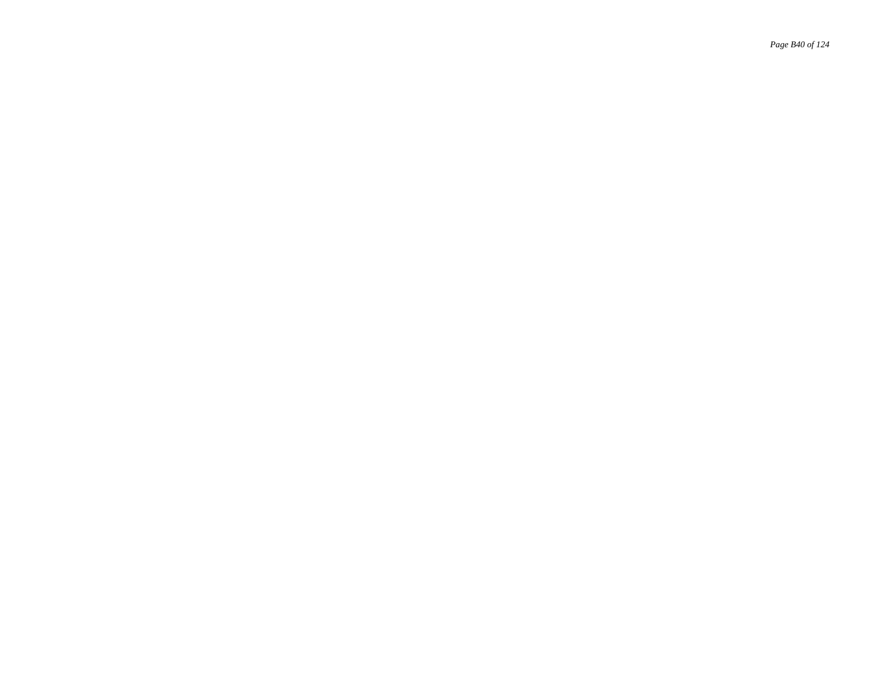*Page B40 of 124*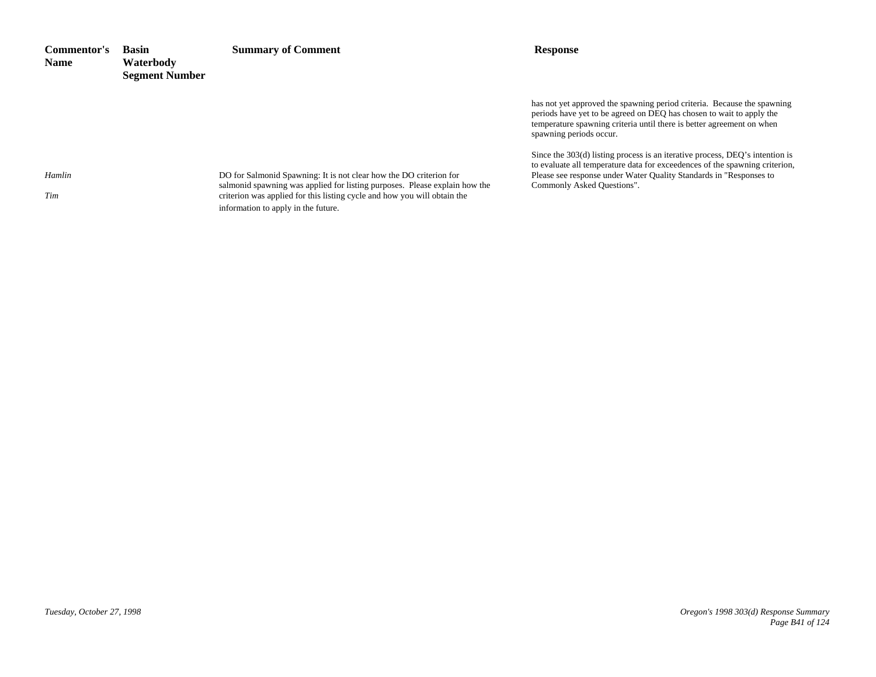| Commentor's<br><b>Name</b> | <b>Basin</b><br>Waterbody<br><b>Segment Number</b> | <b>Summary of Comment</b>                                                                                                                                                                                                                                           | <b>Response</b>                                                                                                                                                                                                                                                 |
|----------------------------|----------------------------------------------------|---------------------------------------------------------------------------------------------------------------------------------------------------------------------------------------------------------------------------------------------------------------------|-----------------------------------------------------------------------------------------------------------------------------------------------------------------------------------------------------------------------------------------------------------------|
|                            |                                                    |                                                                                                                                                                                                                                                                     | has not yet approved the spawning period criteria. Because the spawning<br>periods have yet to be agreed on DEQ has chosen to wait to apply the<br>temperature spawning criteria until there is better agreement on when<br>spawning periods occur.             |
| Hamlin<br>Tim              |                                                    | DO for Salmonid Spawning: It is not clear how the DO criterion for<br>salmonid spawning was applied for listing purposes. Please explain how the<br>criterion was applied for this listing cycle and how you will obtain the<br>information to apply in the future. | Since the 303(d) listing process is an iterative process, DEQ's intention is<br>to evaluate all temperature data for exceedences of the spawning criterion,<br>Please see response under Water Quality Standards in "Responses to<br>Commonly Asked Questions". |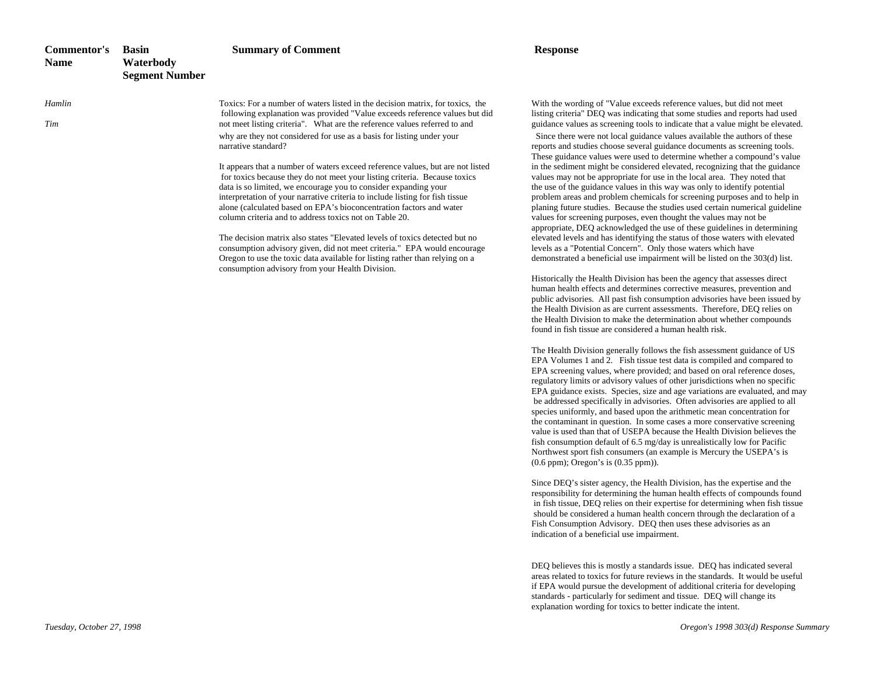## **Commentor's BasinSummary of Comment Response Name Waterbody Segment Number** *Hamlin*Toxics: For a number of waters listed in the decision matrix, for toxics, the With the wording of "Value exceeds reference values, but did not meet following explanation was provided "Value exceeds reference values but did listing criteria" DEQ was indicating that some studies and reports had used *Tim* not meet listing criteria". What are the reference values referred to and guidance values as screening tools to indicate that a value might be elevated. why are they not considered for use as a basis for listing under your<br>Since there were not local guidance values available the authors of these narrative standard? reports and studies choose several guidance documents as screening tools. It appears that a number of waters exceed reference values, but are not listed in the sediment might be considered elevated, recognizing that the guidance for toxics because they do not meet your listing criteria. Because toxics values may not be appropriate for use in the local area. They noted that data is so limited, we encourage you to consider expanding your the use of the guidance values in this way was only to identify potential interpretation of your narrative criteria to include listing for fish tissue problem areas and problem chemicals for screening purposes and to help in alone (calculated based on EPA's bioconcentration factors and water planing future studies. Because the studies used certain numerical guideline column criteria and to address toxics not on Table 20.

consumption advisory given, did not meet criteria." EPA would encourage levels as a "Potential Concern". Only those waters which have Oregon to use the toxic data available for listing rather than relying on a demonstrated a beneficial use impairment will be listed on the 303(d) list. consumption advisory from your Health Division.

These guidance values were used to determine whether a compound's value values for screening purposes, even thought the values may not be appropriate, DEQ acknowledged the use of these guidelines in determining The decision matrix also states "Elevated levels of toxics detected but no elevated levels and has identifying the status of those waters with elevated

> Historically the Health Division has been the agency that assesses direct human health effects and determines corrective measures, prevention and public advisories. All past fish consumption advisories have been issued by the Health Division as are current assessments. Therefore, DEQ relies on the Health Division to make the determination about whether compounds found in fish tissue are considered a human health risk.

The Health Division generally follows the fish assessment guidance of US EPA Volumes 1 and 2. Fish tissue test data is compiled and compared to EPA screening values, where provided; and based on oral reference doses, regulatory limits or advisory values of other jurisdictions when no specific EPA guidance exists. Species, size and age variations are evaluated, and may be addressed specifically in advisories. Often advisories are applied to all species uniformly, and based upon the arithmetic mean concentration for the contaminant in question. In some cases a more conservative screening value is used than that of USEPA because the Health Division believes the fish consumption default of 6.5 mg/day is unrealistically low for Pacific Northwest sport fish consumers (an example is Mercury the USEPA's is (0.6 ppm); Oregon's is (0.35 ppm)).

Since DEQ's sister agency, the Health Division, has the expertise and the responsibility for determining the human health effects of compounds found in fish tissue, DEQ relies on their expertise for determining when fish tissue should be considered a human health concern through the declaration of a Fish Consumption Advisory. DEQ then uses these advisories as an indication of a beneficial use impairment.

DEQ believes this is mostly a standards issue. DEQ has indicated several areas related to toxics for future reviews in the standards. It would be useful if EPA would pursue the development of additional criteria for developing standards - particularly for sediment and tissue. DEQ will change its explanation wording for toxics to better indicate the intent.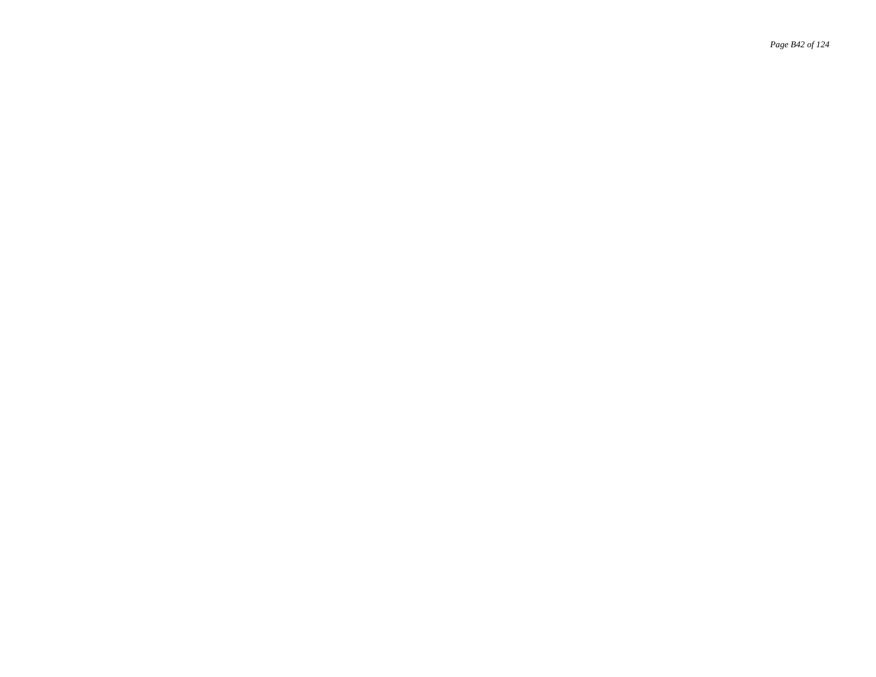*Page B42 of 124*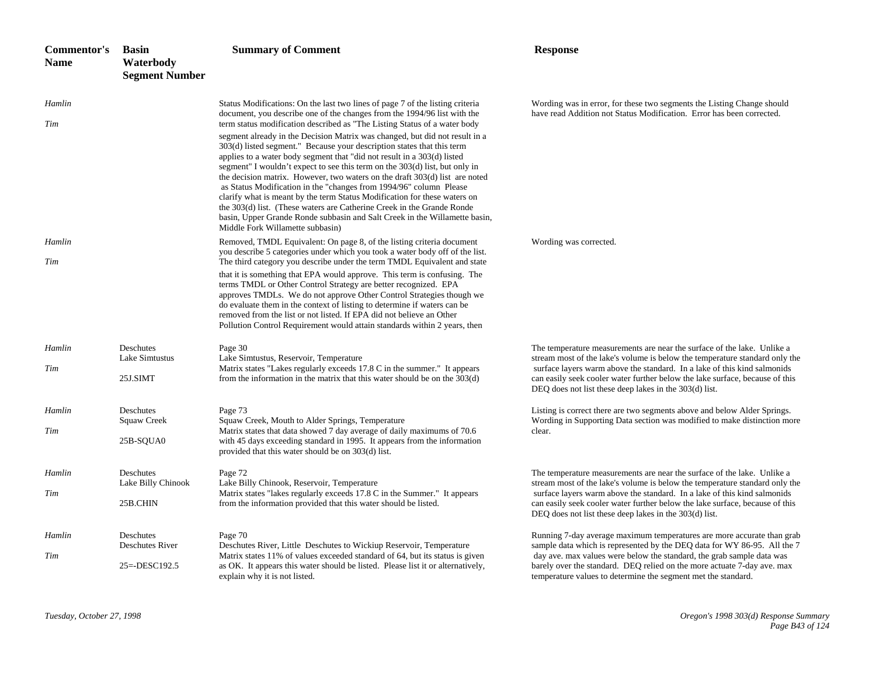| Commentor's<br><b>Name</b> | <b>Basin</b><br>Waterbody<br><b>Segment Number</b> | <b>Summary of Comment</b>                                                                                                                                                                                                                                                                                                                                                                                                                                                                                                                                                                                                                                                                                                                     | <b>Response</b>                                                                                                                                                                                                                                                                                   |
|----------------------------|----------------------------------------------------|-----------------------------------------------------------------------------------------------------------------------------------------------------------------------------------------------------------------------------------------------------------------------------------------------------------------------------------------------------------------------------------------------------------------------------------------------------------------------------------------------------------------------------------------------------------------------------------------------------------------------------------------------------------------------------------------------------------------------------------------------|---------------------------------------------------------------------------------------------------------------------------------------------------------------------------------------------------------------------------------------------------------------------------------------------------|
| Hamlin                     |                                                    | Status Modifications: On the last two lines of page 7 of the listing criteria                                                                                                                                                                                                                                                                                                                                                                                                                                                                                                                                                                                                                                                                 | Wording was in error, for these two segments the Listing Change should                                                                                                                                                                                                                            |
| Tim                        |                                                    | document, you describe one of the changes from the 1994/96 list with the<br>term status modification described as "The Listing Status of a water body                                                                                                                                                                                                                                                                                                                                                                                                                                                                                                                                                                                         | have read Addition not Status Modification. Error has been corrected.                                                                                                                                                                                                                             |
|                            |                                                    | segment already in the Decision Matrix was changed, but did not result in a<br>303(d) listed segment." Because your description states that this term<br>applies to a water body segment that "did not result in a 303(d) listed<br>segment" I wouldn't expect to see this term on the 303(d) list, but only in<br>the decision matrix. However, two waters on the draft 303(d) list are noted<br>as Status Modification in the "changes from 1994/96" column Please<br>clarify what is meant by the term Status Modification for these waters on<br>the 303(d) list. (These waters are Catherine Creek in the Grande Ronde<br>basin, Upper Grande Ronde subbasin and Salt Creek in the Willamette basin,<br>Middle Fork Willamette subbasin) |                                                                                                                                                                                                                                                                                                   |
| Hamlin                     |                                                    | Removed, TMDL Equivalent: On page 8, of the listing criteria document<br>you describe 5 categories under which you took a water body off of the list.                                                                                                                                                                                                                                                                                                                                                                                                                                                                                                                                                                                         | Wording was corrected.                                                                                                                                                                                                                                                                            |
| Tim                        |                                                    | The third category you describe under the term TMDL Equivalent and state                                                                                                                                                                                                                                                                                                                                                                                                                                                                                                                                                                                                                                                                      |                                                                                                                                                                                                                                                                                                   |
|                            |                                                    | that it is something that EPA would approve. This term is confusing. The<br>terms TMDL or Other Control Strategy are better recognized. EPA<br>approves TMDLs. We do not approve Other Control Strategies though we<br>do evaluate them in the context of listing to determine if waters can be<br>removed from the list or not listed. If EPA did not believe an Other<br>Pollution Control Requirement would attain standards within 2 years, then                                                                                                                                                                                                                                                                                          |                                                                                                                                                                                                                                                                                                   |
| Hamlin                     | Deschutes                                          | Page 30                                                                                                                                                                                                                                                                                                                                                                                                                                                                                                                                                                                                                                                                                                                                       | The temperature measurements are near the surface of the lake. Unlike a                                                                                                                                                                                                                           |
| Tim                        | Lake Simtustus<br>25J.SIMT                         | Lake Simtustus, Reservoir, Temperature<br>Matrix states "Lakes regularly exceeds 17.8 C in the summer." It appears<br>from the information in the matrix that this water should be on the $303(d)$                                                                                                                                                                                                                                                                                                                                                                                                                                                                                                                                            | stream most of the lake's volume is below the temperature standard only the<br>surface layers warm above the standard. In a lake of this kind salmonids<br>can easily seek cooler water further below the lake surface, because of this<br>DEQ does not list these deep lakes in the 303(d) list. |
| Hamlin                     | Deschutes                                          | Page 73                                                                                                                                                                                                                                                                                                                                                                                                                                                                                                                                                                                                                                                                                                                                       | Listing is correct there are two segments above and below Alder Springs.                                                                                                                                                                                                                          |
| Tim                        | Squaw Creek<br>25B-SQUA0                           | Squaw Creek, Mouth to Alder Springs, Temperature<br>Matrix states that data showed 7 day average of daily maximums of 70.6<br>with 45 days exceeding standard in 1995. It appears from the information<br>provided that this water should be on 303(d) list.                                                                                                                                                                                                                                                                                                                                                                                                                                                                                  | Wording in Supporting Data section was modified to make distinction more<br>clear.                                                                                                                                                                                                                |
| Hamlin                     | Deschutes                                          | Page 72                                                                                                                                                                                                                                                                                                                                                                                                                                                                                                                                                                                                                                                                                                                                       | The temperature measurements are near the surface of the lake. Unlike a                                                                                                                                                                                                                           |
| Tim                        | Lake Billy Chinook<br>25B.CHIN                     | Lake Billy Chinook, Reservoir, Temperature<br>Matrix states "lakes regularly exceeds 17.8 C in the Summer." It appears<br>from the information provided that this water should be listed.                                                                                                                                                                                                                                                                                                                                                                                                                                                                                                                                                     | stream most of the lake's volume is below the temperature standard only the<br>surface layers warm above the standard. In a lake of this kind salmonids<br>can easily seek cooler water further below the lake surface, because of this<br>DEQ does not list these deep lakes in the 303(d) list. |
| Hamlin                     | Deschutes                                          | Page 70                                                                                                                                                                                                                                                                                                                                                                                                                                                                                                                                                                                                                                                                                                                                       | Running 7-day average maximum temperatures are more accurate than grab                                                                                                                                                                                                                            |
| Tim                        | <b>Deschutes River</b>                             | Deschutes River, Little Deschutes to Wickiup Reservoir, Temperature<br>Matrix states 11% of values exceeded standard of 64, but its status is given                                                                                                                                                                                                                                                                                                                                                                                                                                                                                                                                                                                           | sample data which is represented by the DEQ data for WY 86-95. All the 7<br>day ave. max values were below the standard, the grab sample data was                                                                                                                                                 |
|                            | 25 = - DESC192.5                                   | as OK. It appears this water should be listed. Please list it or alternatively,<br>explain why it is not listed.                                                                                                                                                                                                                                                                                                                                                                                                                                                                                                                                                                                                                              | barely over the standard. DEQ relied on the more actuate 7-day ave. max<br>temperature values to determine the segment met the standard.                                                                                                                                                          |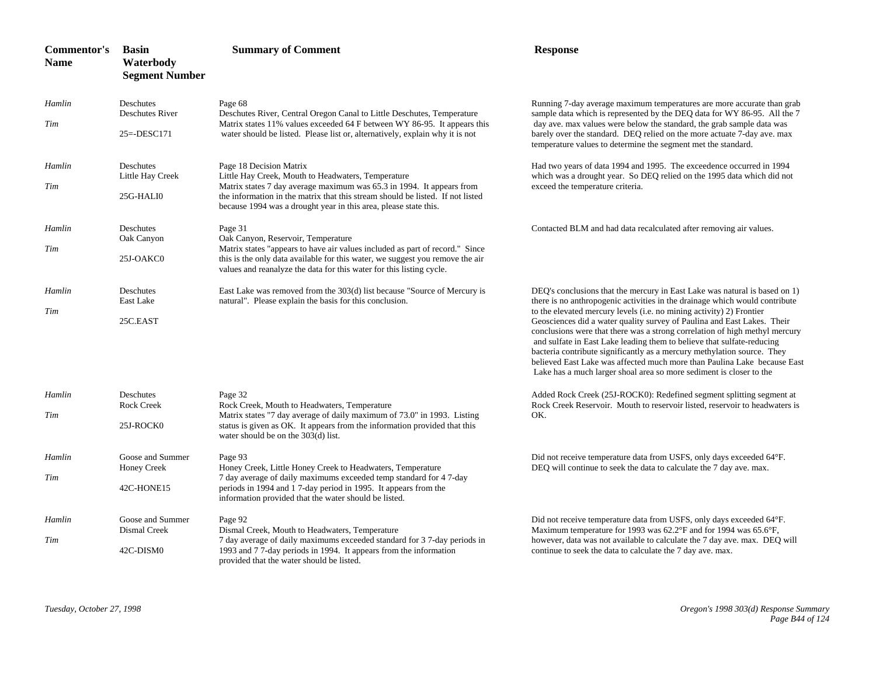| <b>Commentor's</b><br><b>Name</b> | <b>Basin</b><br>Waterbody<br><b>Segment Number</b>   | <b>Summary of Comment</b>                                                                                                                                                                                                                                                                                    | <b>Response</b>                                                                                                                                                                                                                                                                                                                                                                                                                                                                                                                                                                                                                                                                                     |
|-----------------------------------|------------------------------------------------------|--------------------------------------------------------------------------------------------------------------------------------------------------------------------------------------------------------------------------------------------------------------------------------------------------------------|-----------------------------------------------------------------------------------------------------------------------------------------------------------------------------------------------------------------------------------------------------------------------------------------------------------------------------------------------------------------------------------------------------------------------------------------------------------------------------------------------------------------------------------------------------------------------------------------------------------------------------------------------------------------------------------------------------|
| Hamlin<br>Tim                     | Deschutes<br>Deschutes River<br>$25 = DESC171$       | Page 68<br>Deschutes River, Central Oregon Canal to Little Deschutes, Temperature<br>Matrix states 11% values exceeded 64 F between WY 86-95. It appears this<br>water should be listed. Please list or, alternatively, explain why it is not                                                                | Running 7-day average maximum temperatures are more accurate than grab<br>sample data which is represented by the DEQ data for WY 86-95. All the 7<br>day ave. max values were below the standard, the grab sample data was<br>barely over the standard. DEQ relied on the more actuate 7-day ave. max<br>temperature values to determine the segment met the standard.                                                                                                                                                                                                                                                                                                                             |
| Hamlin<br>Tim                     | Deschutes<br>Little Hay Creek<br>25G-HALI0           | Page 18 Decision Matrix<br>Little Hay Creek, Mouth to Headwaters, Temperature<br>Matrix states 7 day average maximum was 65.3 in 1994. It appears from<br>the information in the matrix that this stream should be listed. If not listed<br>because 1994 was a drought year in this area, please state this. | Had two years of data 1994 and 1995. The exceedence occurred in 1994<br>which was a drought year. So DEQ relied on the 1995 data which did not<br>exceed the temperature criteria.                                                                                                                                                                                                                                                                                                                                                                                                                                                                                                                  |
| Hamlin<br>Tim                     | Deschutes<br>Oak Canyon<br>25J-OAKC0                 | Page 31<br>Oak Canyon, Reservoir, Temperature<br>Matrix states "appears to have air values included as part of record." Since<br>this is the only data available for this water, we suggest you remove the air<br>values and reanalyze the data for this water for this listing cycle.                       | Contacted BLM and had data recalculated after removing air values.                                                                                                                                                                                                                                                                                                                                                                                                                                                                                                                                                                                                                                  |
| Hamlin<br>Tim                     | Deschutes<br>East Lake<br>25C.EAST                   | East Lake was removed from the 303(d) list because "Source of Mercury is<br>natural". Please explain the basis for this conclusion.                                                                                                                                                                          | DEQ's conclusions that the mercury in East Lake was natural is based on 1)<br>there is no anthropogenic activities in the drainage which would contribute<br>to the elevated mercury levels (i.e. no mining activity) 2) Frontier<br>Geosciences did a water quality survey of Paulina and East Lakes. Their<br>conclusions were that there was a strong correlation of high methyl mercury<br>and sulfate in East Lake leading them to believe that sulfate-reducing<br>bacteria contribute significantly as a mercury methylation source. They<br>believed East Lake was affected much more than Paulina Lake because East<br>Lake has a much larger shoal area so more sediment is closer to the |
| Hamlin<br>Tim                     | Deschutes<br><b>Rock Creek</b><br>25J-ROCK0          | Page 32<br>Rock Creek, Mouth to Headwaters, Temperature<br>Matrix states "7 day average of daily maximum of 73.0" in 1993. Listing<br>status is given as OK. It appears from the information provided that this<br>water should be on the 303(d) list.                                                       | Added Rock Creek (25J-ROCK0): Redefined segment splitting segment at<br>Rock Creek Reservoir. Mouth to reservoir listed, reservoir to headwaters is<br>OK.                                                                                                                                                                                                                                                                                                                                                                                                                                                                                                                                          |
| Hamlin<br>Tim                     | Goose and Summer<br><b>Honey Creek</b><br>42C-HONE15 | Page 93<br>Honey Creek, Little Honey Creek to Headwaters, Temperature<br>7 day average of daily maximums exceeded temp standard for 4 7-day<br>periods in 1994 and 17-day period in 1995. It appears from the<br>information provided that the water should be listed.                                       | Did not receive temperature data from USFS, only days exceeded 64°F.<br>DEQ will continue to seek the data to calculate the 7 day ave. max.                                                                                                                                                                                                                                                                                                                                                                                                                                                                                                                                                         |
| Hamlin<br>Tim                     | Goose and Summer<br>Dismal Creek<br>42C-DISM0        | Page 92<br>Dismal Creek, Mouth to Headwaters, Temperature<br>7 day average of daily maximums exceeded standard for 3 7-day periods in<br>1993 and 77-day periods in 1994. It appears from the information<br>provided that the water should be listed.                                                       | Did not receive temperature data from USFS, only days exceeded 64°F.<br>Maximum temperature for 1993 was 62.2°F and for 1994 was 65.6°F,<br>however, data was not available to calculate the 7 day ave. max. DEQ will<br>continue to seek the data to calculate the 7 day ave. max.                                                                                                                                                                                                                                                                                                                                                                                                                 |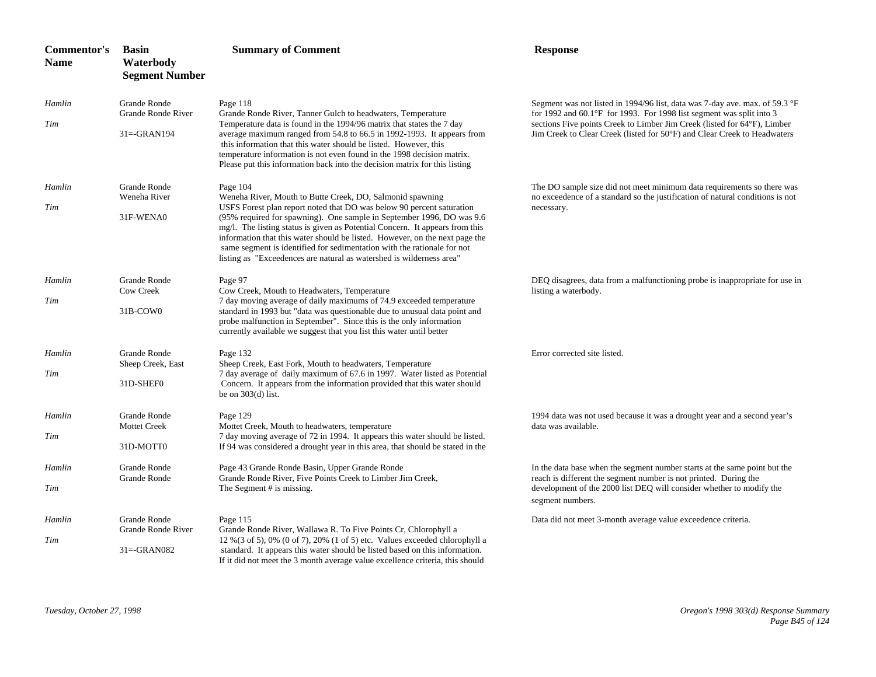| Commentor's<br><b>Name</b> | <b>Basin</b><br>Waterbody<br><b>Segment Number</b>          | <b>Summary of Comment</b>                                                                                                                                                                                                                                                                                                                                                                                                                                                                                                                 | <b>Response</b>                                                                                                                                                                                                                                                                                             |
|----------------------------|-------------------------------------------------------------|-------------------------------------------------------------------------------------------------------------------------------------------------------------------------------------------------------------------------------------------------------------------------------------------------------------------------------------------------------------------------------------------------------------------------------------------------------------------------------------------------------------------------------------------|-------------------------------------------------------------------------------------------------------------------------------------------------------------------------------------------------------------------------------------------------------------------------------------------------------------|
| Hamlin<br>Tim              | <b>Grande Ronde</b><br>Grande Ronde River<br>$31 = GRAN194$ | Page 118<br>Grande Ronde River, Tanner Gulch to headwaters, Temperature<br>Temperature data is found in the 1994/96 matrix that states the 7 day<br>average maximum ranged from 54.8 to 66.5 in 1992-1993. It appears from<br>this information that this water should be listed. However, this<br>temperature information is not even found in the 1998 decision matrix.<br>Please put this information back into the decision matrix for this listing                                                                                    | Segment was not listed in 1994/96 list, data was 7-day ave. max. of 59.3 °F<br>for 1992 and 60.1°F for 1993. For 1998 list segment was split into 3<br>sections Five points Creek to Limber Jim Creek (listed for 64°F), Limber<br>Jim Creek to Clear Creek (listed for 50°F) and Clear Creek to Headwaters |
| Hamlin<br>Tim              | <b>Grande Ronde</b><br>Weneha River<br>31F-WENA0            | Page 104<br>Weneha River, Mouth to Butte Creek, DO, Salmonid spawning<br>USFS Forest plan report noted that DO was below 90 percent saturation<br>(95% required for spawning). One sample in September 1996, DO was 9.6<br>mg/l. The listing status is given as Potential Concern. It appears from this<br>information that this water should be listed. However, on the next page the<br>same segment is identified for sedimentation with the rationale for not<br>listing as "Exceedences are natural as watershed is wilderness area" | The DO sample size did not meet minimum data requirements so there was<br>no exceedence of a standard so the justification of natural conditions is not<br>necessary.                                                                                                                                       |
| Hamlin<br>Tim              | Grande Ronde<br><b>Cow Creek</b><br>31B-COW0                | Page 97<br>Cow Creek, Mouth to Headwaters, Temperature<br>7 day moving average of daily maximums of 74.9 exceeded temperature<br>standard in 1993 but "data was questionable due to unusual data point and<br>probe malfunction in September". Since this is the only information<br>currently available we suggest that you list this water until better                                                                                                                                                                                 | DEQ disagrees, data from a malfunctioning probe is inappropriate for use in<br>listing a waterbody.                                                                                                                                                                                                         |
| Hamlin<br>Tim              | Grande Ronde<br>Sheep Creek, East<br>31D-SHEF0              | Page 132<br>Sheep Creek, East Fork, Mouth to headwaters, Temperature<br>7 day average of daily maximum of 67.6 in 1997. Water listed as Potential<br>Concern. It appears from the information provided that this water should<br>be on $303(d)$ list.                                                                                                                                                                                                                                                                                     | Error corrected site listed.                                                                                                                                                                                                                                                                                |
| Hamlin<br>Tim              | <b>Grande Ronde</b><br><b>Mottet Creek</b><br>31D-MOTT0     | Page 129<br>Mottet Creek, Mouth to headwaters, temperature<br>7 day moving average of 72 in 1994. It appears this water should be listed.<br>If 94 was considered a drought year in this area, that should be stated in the                                                                                                                                                                                                                                                                                                               | 1994 data was not used because it was a drought year and a second year's<br>data was available.                                                                                                                                                                                                             |
| Hamlin<br>Tim              | <b>Grande Ronde</b><br>Grande Ronde                         | Page 43 Grande Ronde Basin, Upper Grande Ronde<br>Grande Ronde River, Five Points Creek to Limber Jim Creek,<br>The Segment # is missing.                                                                                                                                                                                                                                                                                                                                                                                                 | In the data base when the segment number starts at the same point but the<br>reach is different the segment number is not printed. During the<br>development of the 2000 list DEQ will consider whether to modify the<br>segment numbers.                                                                   |
| Hamlin<br>Tim              | Grande Ronde<br>Grande Ronde River<br>$31 = -GRAN082$       | Page 115<br>Grande Ronde River, Wallawa R. To Five Points Cr, Chlorophyll a<br>$12\%$ (3 of 5), 0% (0 of 7), 20% (1 of 5) etc. Values exceeded chlorophyll a<br>standard. It appears this water should be listed based on this information.<br>If it did not meet the 3 month average value excellence criteria, this should                                                                                                                                                                                                              | Data did not meet 3-month average value exceedence criteria.                                                                                                                                                                                                                                                |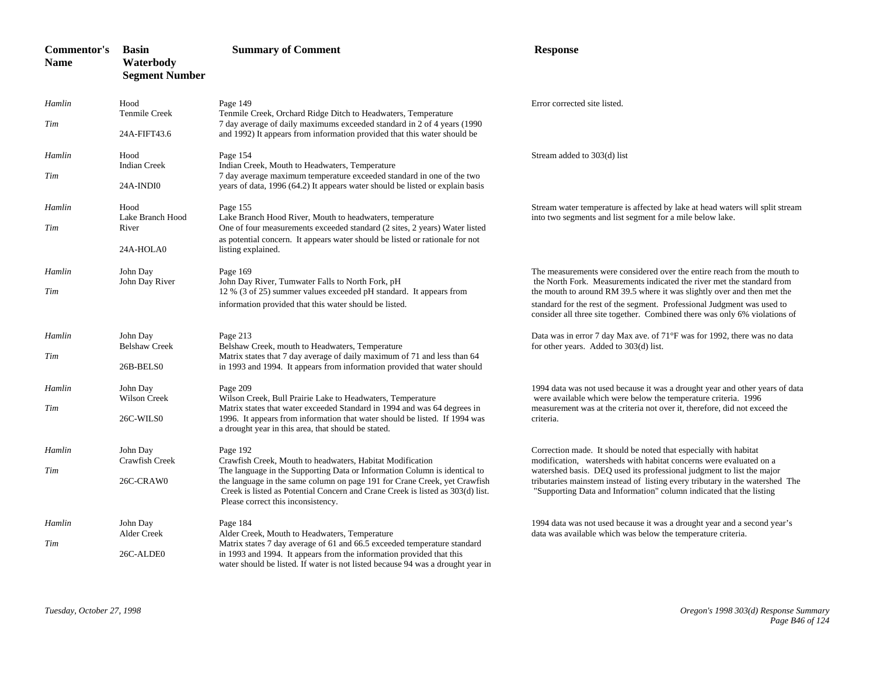| Commentor's<br><b>Name</b> | <b>Basin</b><br>Waterbody<br><b>Segment Number</b> | <b>Summary of Comment</b>                                                                                                                                                                                                                                                      | <b>Response</b>                                                                                                                                                                                                                  |
|----------------------------|----------------------------------------------------|--------------------------------------------------------------------------------------------------------------------------------------------------------------------------------------------------------------------------------------------------------------------------------|----------------------------------------------------------------------------------------------------------------------------------------------------------------------------------------------------------------------------------|
| Hamlin                     | Hood<br><b>Tenmile Creek</b>                       | Page 149<br>Tenmile Creek, Orchard Ridge Ditch to Headwaters, Temperature                                                                                                                                                                                                      | Error corrected site listed.                                                                                                                                                                                                     |
| Tim                        | 24A-FIFT43.6                                       | 7 day average of daily maximums exceeded standard in 2 of 4 years (1990)<br>and 1992) It appears from information provided that this water should be                                                                                                                           |                                                                                                                                                                                                                                  |
| Hamlin                     | Hood<br><b>Indian Creek</b>                        | Page 154<br>Indian Creek, Mouth to Headwaters, Temperature                                                                                                                                                                                                                     | Stream added to 303(d) list                                                                                                                                                                                                      |
| Tim                        | 24A-INDI0                                          | 7 day average maximum temperature exceeded standard in one of the two<br>years of data, 1996 (64.2) It appears water should be listed or explain basis                                                                                                                         |                                                                                                                                                                                                                                  |
| Hamlin                     | Hood<br>Lake Branch Hood                           | Page 155<br>Lake Branch Hood River, Mouth to headwaters, temperature                                                                                                                                                                                                           | Stream water temperature is affected by lake at head waters will split stream<br>into two segments and list segment for a mile below lake.                                                                                       |
| Tim                        | River<br>24A-HOLA0                                 | One of four measurements exceeded standard (2 sites, 2 years) Water listed<br>as potential concern. It appears water should be listed or rationale for not<br>listing explained.                                                                                               |                                                                                                                                                                                                                                  |
| Hamlin                     | John Day<br>John Day River                         | Page 169<br>John Day River, Tumwater Falls to North Fork, pH                                                                                                                                                                                                                   | The measurements were considered over the entire reach from the mouth to<br>the North Fork. Measurements indicated the river met the standard from                                                                               |
| Tim                        |                                                    | 12 % (3 of 25) summer values exceeded pH standard. It appears from<br>information provided that this water should be listed.                                                                                                                                                   | the mouth to around RM 39.5 where it was slightly over and then met the<br>standard for the rest of the segment. Professional Judgment was used to<br>consider all three site together. Combined there was only 6% violations of |
| Hamlin                     | John Day<br><b>Belshaw Creek</b>                   | Page 213<br>Belshaw Creek, mouth to Headwaters, Temperature                                                                                                                                                                                                                    | Data was in error 7 day Max ave. of 71°F was for 1992, there was no data<br>for other years. Added to 303(d) list.                                                                                                               |
| Tim                        | 26B-BELS0                                          | Matrix states that 7 day average of daily maximum of 71 and less than 64<br>in 1993 and 1994. It appears from information provided that water should                                                                                                                           |                                                                                                                                                                                                                                  |
| Hamlin                     | John Day<br>Wilson Creek                           | Page 209<br>Wilson Creek, Bull Prairie Lake to Headwaters, Temperature                                                                                                                                                                                                         | 1994 data was not used because it was a drought year and other years of data<br>were available which were below the temperature criteria. 1996                                                                                   |
| Tim                        | 26C-WILS0                                          | Matrix states that water exceeded Standard in 1994 and was 64 degrees in<br>1996. It appears from information that water should be listed. If 1994 was<br>a drought year in this area, that should be stated.                                                                  | measurement was at the criteria not over it, therefore, did not exceed the<br>criteria.                                                                                                                                          |
| Hamlin                     | John Day<br>Crawfish Creek                         | Page 192<br>Crawfish Creek, Mouth to headwaters, Habitat Modification                                                                                                                                                                                                          | Correction made. It should be noted that especially with habitat<br>modification, watersheds with habitat concerns were evaluated on a                                                                                           |
| Tim                        | 26C-CRAW0                                          | The language in the Supporting Data or Information Column is identical to<br>the language in the same column on page 191 for Crane Creek, yet Crawfish<br>Creek is listed as Potential Concern and Crane Creek is listed as 303(d) list.<br>Please correct this inconsistency. | watershed basis. DEQ used its professional judgment to list the major<br>tributaries mainstem instead of listing every tributary in the watershed The<br>"Supporting Data and Information" column indicated that the listing     |
| Hamlin                     | John Day<br>Alder Creek                            | Page 184<br>Alder Creek, Mouth to Headwaters, Temperature                                                                                                                                                                                                                      | 1994 data was not used because it was a drought year and a second year's<br>data was available which was below the temperature criteria.                                                                                         |
| Tim                        | 26C-ALDE0                                          | Matrix states 7 day average of 61 and 66.5 exceeded temperature standard<br>in 1993 and 1994. It appears from the information provided that this<br>water should be listed. If water is not listed because 94 was a drought year in                                            |                                                                                                                                                                                                                                  |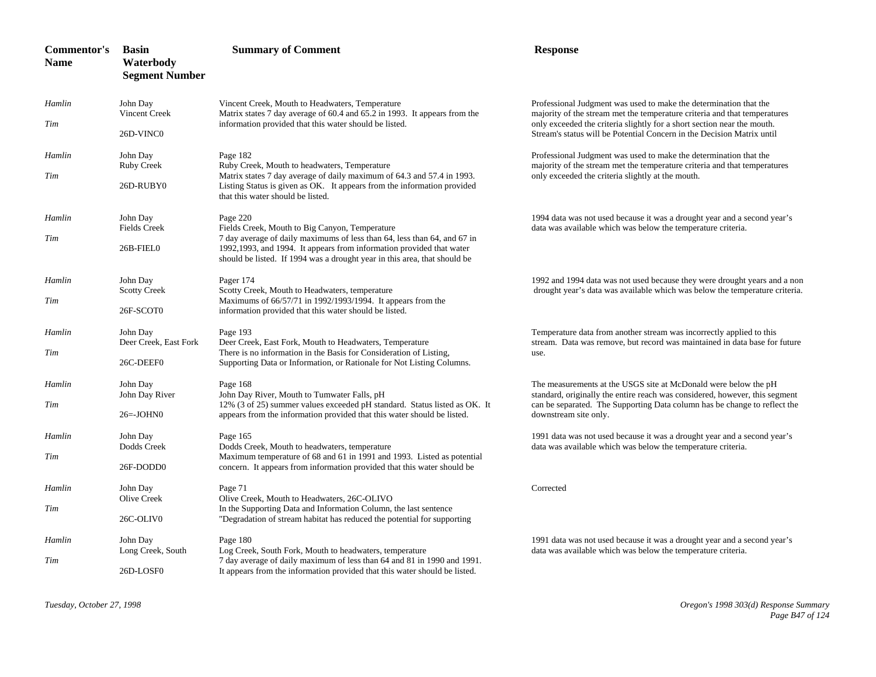| <b>Commentor's</b><br><b>Name</b> | <b>Basin</b><br>Waterbody<br><b>Segment Number</b> | <b>Summary of Comment</b>                                                                                                                                                                                                      | <b>Response</b>                                                                                                                                          |
|-----------------------------------|----------------------------------------------------|--------------------------------------------------------------------------------------------------------------------------------------------------------------------------------------------------------------------------------|----------------------------------------------------------------------------------------------------------------------------------------------------------|
| Hamlin                            | John Day<br>Vincent Creek                          | Vincent Creek, Mouth to Headwaters, Temperature<br>Matrix states 7 day average of 60.4 and 65.2 in 1993. It appears from the                                                                                                   | Professional Judgment was used to make the determination that the<br>majority of the stream met the temperature criteria and that temperatures           |
| Tim                               | 26D-VINC0                                          | information provided that this water should be listed.                                                                                                                                                                         | only exceeded the criteria slightly for a short section near the mouth.<br>Stream's status will be Potential Concern in the Decision Matrix until        |
| Hamlin                            | John Day<br><b>Ruby Creek</b>                      | Page 182<br>Ruby Creek, Mouth to headwaters, Temperature                                                                                                                                                                       | Professional Judgment was used to make the determination that the<br>majority of the stream met the temperature criteria and that temperatures           |
| Tim                               | 26D-RUBY0                                          | Matrix states 7 day average of daily maximum of 64.3 and 57.4 in 1993.<br>Listing Status is given as OK. It appears from the information provided<br>that this water should be listed.                                         | only exceeded the criteria slightly at the mouth.                                                                                                        |
| Hamlin                            | John Day<br><b>Fields Creek</b>                    | Page 220<br>Fields Creek, Mouth to Big Canyon, Temperature                                                                                                                                                                     | 1994 data was not used because it was a drought year and a second year's<br>data was available which was below the temperature criteria.                 |
| Tim                               | 26B-FIEL0                                          | 7 day average of daily maximums of less than 64, less than 64, and 67 in<br>1992, 1993, and 1994. It appears from information provided that water<br>should be listed. If 1994 was a drought year in this area, that should be |                                                                                                                                                          |
| Hamlin                            | John Day<br><b>Scotty Creek</b>                    | Pager 174<br>Scotty Creek, Mouth to Headwaters, temperature                                                                                                                                                                    | 1992 and 1994 data was not used because they were drought years and a non<br>drought year's data was available which was below the temperature criteria. |
| Tim                               | 26F-SCOT0                                          | Maximums of 66/57/71 in 1992/1993/1994. It appears from the<br>information provided that this water should be listed.                                                                                                          |                                                                                                                                                          |
| Hamlin                            | John Day<br>Deer Creek, East Fork                  | Page 193<br>Deer Creek, East Fork, Mouth to Headwaters, Temperature                                                                                                                                                            | Temperature data from another stream was incorrectly applied to this<br>stream. Data was remove, but record was maintained in data base for future       |
| Tim                               | 26C-DEEF0                                          | There is no information in the Basis for Consideration of Listing,<br>Supporting Data or Information, or Rationale for Not Listing Columns.                                                                                    | use.                                                                                                                                                     |
| Hamlin                            | John Day<br>John Day River                         | Page 168<br>John Day River, Mouth to Tumwater Falls, pH                                                                                                                                                                        | The measurements at the USGS site at McDonald were below the pH<br>standard, originally the entire reach was considered, however, this segment           |
| Tim                               | $26 =$ -JOHN0                                      | 12% (3 of 25) summer values exceeded pH standard. Status listed as OK. It<br>appears from the information provided that this water should be listed.                                                                           | can be separated. The Supporting Data column has be change to reflect the<br>downstream site only.                                                       |
| Hamlin                            | John Day<br>Dodds Creek                            | Page 165<br>Dodds Creek, Mouth to headwaters, temperature                                                                                                                                                                      | 1991 data was not used because it was a drought year and a second year's<br>data was available which was below the temperature criteria.                 |
| Tim                               | 26F-DODD0                                          | Maximum temperature of 68 and 61 in 1991 and 1993. Listed as potential<br>concern. It appears from information provided that this water should be                                                                              |                                                                                                                                                          |
| Hamlin                            | John Day<br>Olive Creek                            | Page 71<br>Olive Creek, Mouth to Headwaters, 26C-OLIVO                                                                                                                                                                         | Corrected                                                                                                                                                |
| Tim                               | 26C-OLIV0                                          | In the Supporting Data and Information Column, the last sentence<br>"Degradation of stream habitat has reduced the potential for supporting                                                                                    |                                                                                                                                                          |
| Hamlin                            | John Day<br>Long Creek, South                      | Page 180<br>Log Creek, South Fork, Mouth to headwaters, temperature                                                                                                                                                            | 1991 data was not used because it was a drought year and a second year's<br>data was available which was below the temperature criteria.                 |
| Tim                               | 26D-LOSF0                                          | 7 day average of daily maximum of less than 64 and 81 in 1990 and 1991.<br>It appears from the information provided that this water should be listed.                                                                          |                                                                                                                                                          |

*Tuesday, October 27, 1998 Oregon's 1998 303(d) Response Summary Page B47 of 124*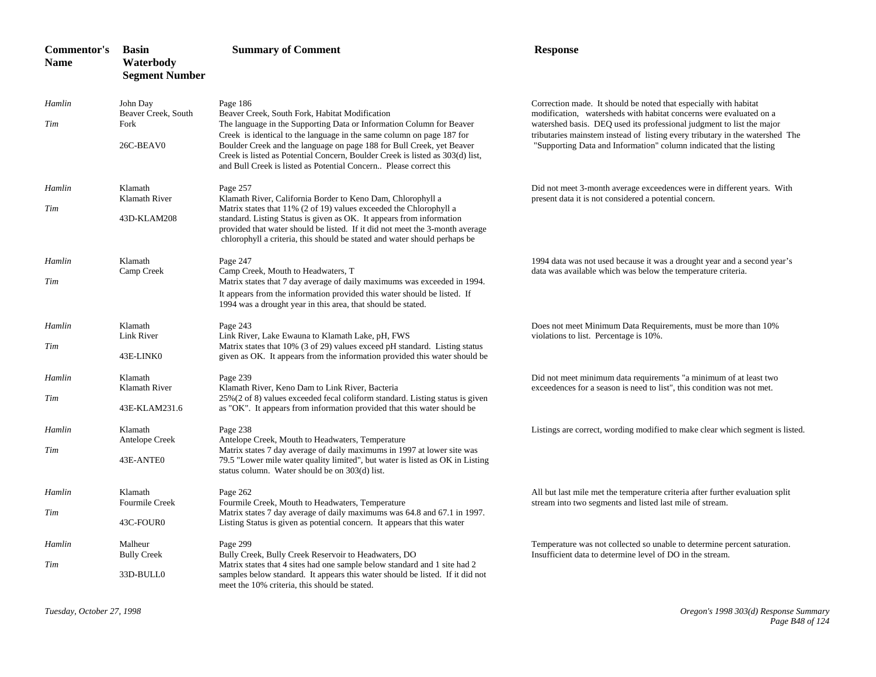| Commentor's<br><b>Name</b> | <b>Basin</b><br>Waterbody<br><b>Segment Number</b>   | <b>Summary of Comment</b>                                                                                                                                                                                                                                                                                                                                                                                                                  | <b>Response</b>                                                                                                                                                                                                                                                                                                                                                        |
|----------------------------|------------------------------------------------------|--------------------------------------------------------------------------------------------------------------------------------------------------------------------------------------------------------------------------------------------------------------------------------------------------------------------------------------------------------------------------------------------------------------------------------------------|------------------------------------------------------------------------------------------------------------------------------------------------------------------------------------------------------------------------------------------------------------------------------------------------------------------------------------------------------------------------|
| Hamlin<br>Tim              | John Day<br>Beaver Creek, South<br>Fork<br>26C-BEAV0 | Page 186<br>Beaver Creek, South Fork, Habitat Modification<br>The language in the Supporting Data or Information Column for Beaver<br>Creek is identical to the language in the same column on page 187 for<br>Boulder Creek and the language on page 188 for Bull Creek, yet Beaver<br>Creek is listed as Potential Concern, Boulder Creek is listed as 303(d) list,<br>and Bull Creek is listed as Potential Concern Please correct this | Correction made. It should be noted that especially with habitat<br>modification, watersheds with habitat concerns were evaluated on a<br>watershed basis. DEQ used its professional judgment to list the major<br>tributaries mainstem instead of listing every tributary in the watershed The<br>"Supporting Data and Information" column indicated that the listing |
| Hamlin<br>Tim              | Klamath<br><b>Klamath River</b><br>43D-KLAM208       | Page 257<br>Klamath River, California Border to Keno Dam, Chlorophyll a<br>Matrix states that 11% (2 of 19) values exceeded the Chlorophyll a<br>standard. Listing Status is given as OK. It appears from information<br>provided that water should be listed. If it did not meet the 3-month average<br>chlorophyll a criteria, this should be stated and water should perhaps be                                                         | Did not meet 3-month average exceedences were in different years. With<br>present data it is not considered a potential concern.                                                                                                                                                                                                                                       |
| Hamlin<br>Tim              | Klamath<br>Camp Creek                                | Page 247<br>Camp Creek, Mouth to Headwaters, T<br>Matrix states that 7 day average of daily maximums was exceeded in 1994.<br>It appears from the information provided this water should be listed. If<br>1994 was a drought year in this area, that should be stated.                                                                                                                                                                     | 1994 data was not used because it was a drought year and a second year's<br>data was available which was below the temperature criteria.                                                                                                                                                                                                                               |
| Hamlin<br>Tim              | Klamath<br>Link River<br>43E-LINK0                   | Page 243<br>Link River, Lake Ewauna to Klamath Lake, pH, FWS<br>Matrix states that 10% (3 of 29) values exceed pH standard. Listing status<br>given as OK. It appears from the information provided this water should be                                                                                                                                                                                                                   | Does not meet Minimum Data Requirements, must be more than 10%<br>violations to list. Percentage is 10%.                                                                                                                                                                                                                                                               |
| Hamlin<br>Tim              | Klamath<br>Klamath River<br>43E-KLAM231.6            | Page 239<br>Klamath River, Keno Dam to Link River, Bacteria<br>25% (2 of 8) values exceeded fecal coliform standard. Listing status is given<br>as "OK". It appears from information provided that this water should be                                                                                                                                                                                                                    | Did not meet minimum data requirements "a minimum of at least two<br>exceedences for a season is need to list", this condition was not met.                                                                                                                                                                                                                            |
| Hamlin<br>Tim              | Klamath<br>Antelope Creek<br>43E-ANTEO               | Page 238<br>Antelope Creek, Mouth to Headwaters, Temperature<br>Matrix states 7 day average of daily maximums in 1997 at lower site was<br>79.5 "Lower mile water quality limited", but water is listed as OK in Listing<br>status column. Water should be on 303(d) list.                                                                                                                                                                 | Listings are correct, wording modified to make clear which segment is listed.                                                                                                                                                                                                                                                                                          |
| Hamlin<br>Tim              | Klamath<br>Fourmile Creek<br>43C-FOUR0               | Page 262<br>Fourmile Creek, Mouth to Headwaters, Temperature<br>Matrix states 7 day average of daily maximums was 64.8 and 67.1 in 1997.<br>Listing Status is given as potential concern. It appears that this water                                                                                                                                                                                                                       | All but last mile met the temperature criteria after further evaluation split<br>stream into two segments and listed last mile of stream.                                                                                                                                                                                                                              |
| Hamlin<br>Tim              | Malheur<br><b>Bully Creek</b><br>33D-BULL0           | Page 299<br>Bully Creek, Bully Creek Reservoir to Headwaters, DO<br>Matrix states that 4 sites had one sample below standard and 1 site had 2<br>samples below standard. It appears this water should be listed. If it did not<br>meet the 10% criteria, this should be stated.                                                                                                                                                            | Temperature was not collected so unable to determine percent saturation.<br>Insufficient data to determine level of DO in the stream.                                                                                                                                                                                                                                  |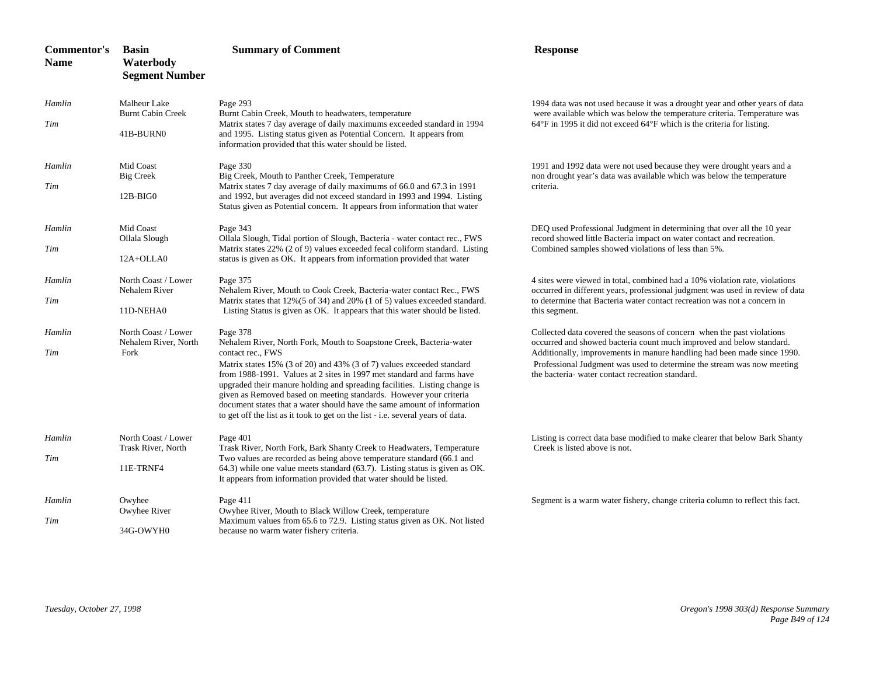| Commentor's<br><b>Name</b> | <b>Basin</b><br>Waterbody<br><b>Segment Number</b>           | <b>Summary of Comment</b>                                                                                                                                                                                                                                                                                                                                                                                                                                                                                                                                               | <b>Response</b>                                                                                                                                                                                                                                                                                                                                         |
|----------------------------|--------------------------------------------------------------|-------------------------------------------------------------------------------------------------------------------------------------------------------------------------------------------------------------------------------------------------------------------------------------------------------------------------------------------------------------------------------------------------------------------------------------------------------------------------------------------------------------------------------------------------------------------------|---------------------------------------------------------------------------------------------------------------------------------------------------------------------------------------------------------------------------------------------------------------------------------------------------------------------------------------------------------|
| Hamlin<br>Tim              | <b>Malheur Lake</b><br><b>Burnt Cabin Creek</b><br>41B-BURN0 | Page 293<br>Burnt Cabin Creek, Mouth to headwaters, temperature<br>Matrix states 7 day average of daily maximums exceeded standard in 1994<br>and 1995. Listing status given as Potential Concern. It appears from<br>information provided that this water should be listed.                                                                                                                                                                                                                                                                                            | 1994 data was not used because it was a drought year and other years of data<br>were available which was below the temperature criteria. Temperature was<br>64°F in 1995 it did not exceed 64°F which is the criteria for listing.                                                                                                                      |
| Hamlin<br>Tim              | Mid Coast<br><b>Big Creek</b><br>$12B-BIG0$                  | Page 330<br>Big Creek, Mouth to Panther Creek, Temperature<br>Matrix states 7 day average of daily maximums of 66.0 and 67.3 in 1991<br>and 1992, but averages did not exceed standard in 1993 and 1994. Listing<br>Status given as Potential concern. It appears from information that water                                                                                                                                                                                                                                                                           | 1991 and 1992 data were not used because they were drought years and a<br>non drought year's data was available which was below the temperature<br>criteria.                                                                                                                                                                                            |
| Hamlin<br>Tim              | Mid Coast<br>Ollala Slough<br>$12A+OLLA0$                    | Page 343<br>Ollala Slough, Tidal portion of Slough, Bacteria - water contact rec., FWS<br>Matrix states 22% (2 of 9) values exceeded fecal coliform standard. Listing<br>status is given as OK. It appears from information provided that water                                                                                                                                                                                                                                                                                                                         | DEQ used Professional Judgment in determining that over all the 10 year<br>record showed little Bacteria impact on water contact and recreation.<br>Combined samples showed violations of less than 5%.                                                                                                                                                 |
| Hamlin<br>Tim              | North Coast / Lower<br>Nehalem River<br>11D-NEHA0            | Page 375<br>Nehalem River, Mouth to Cook Creek, Bacteria-water contact Rec., FWS<br>Matrix states that 12%(5 of 34) and 20% (1 of 5) values exceeded standard.<br>Listing Status is given as OK. It appears that this water should be listed.                                                                                                                                                                                                                                                                                                                           | 4 sites were viewed in total, combined had a 10% violation rate, violations<br>occurred in different years, professional judgment was used in review of data<br>to determine that Bacteria water contact recreation was not a concern in<br>this segment.                                                                                               |
| Hamlin<br>Tim              | North Coast / Lower<br>Nehalem River, North<br>Fork          | Page 378<br>Nehalem River, North Fork, Mouth to Soapstone Creek, Bacteria-water<br>contact rec., FWS<br>Matrix states 15% (3 of 20) and 43% (3 of 7) values exceeded standard<br>from 1988-1991. Values at 2 sites in 1997 met standard and farms have<br>upgraded their manure holding and spreading facilities. Listing change is<br>given as Removed based on meeting standards. However your criteria<br>document states that a water should have the same amount of information<br>to get off the list as it took to get on the list - i.e. several years of data. | Collected data covered the seasons of concern when the past violations<br>occurred and showed bacteria count much improved and below standard.<br>Additionally, improvements in manure handling had been made since 1990.<br>Professional Judgment was used to determine the stream was now meeting<br>the bacteria- water contact recreation standard. |
| Hamlin<br>Tim              | North Coast / Lower<br>Trask River, North<br>11E-TRNF4       | Page 401<br>Trask River, North Fork, Bark Shanty Creek to Headwaters, Temperature<br>Two values are recorded as being above temperature standard (66.1 and<br>64.3) while one value meets standard (63.7). Listing status is given as OK.<br>It appears from information provided that water should be listed.                                                                                                                                                                                                                                                          | Listing is correct data base modified to make clearer that below Bark Shanty<br>Creek is listed above is not.                                                                                                                                                                                                                                           |
| Hamlin<br>Tim              | Owyhee<br>Owyhee River<br>34G-OWYH0                          | Page 411<br>Owyhee River, Mouth to Black Willow Creek, temperature<br>Maximum values from 65.6 to 72.9. Listing status given as OK. Not listed<br>because no warm water fishery criteria.                                                                                                                                                                                                                                                                                                                                                                               | Segment is a warm water fishery, change criteria column to reflect this fact.                                                                                                                                                                                                                                                                           |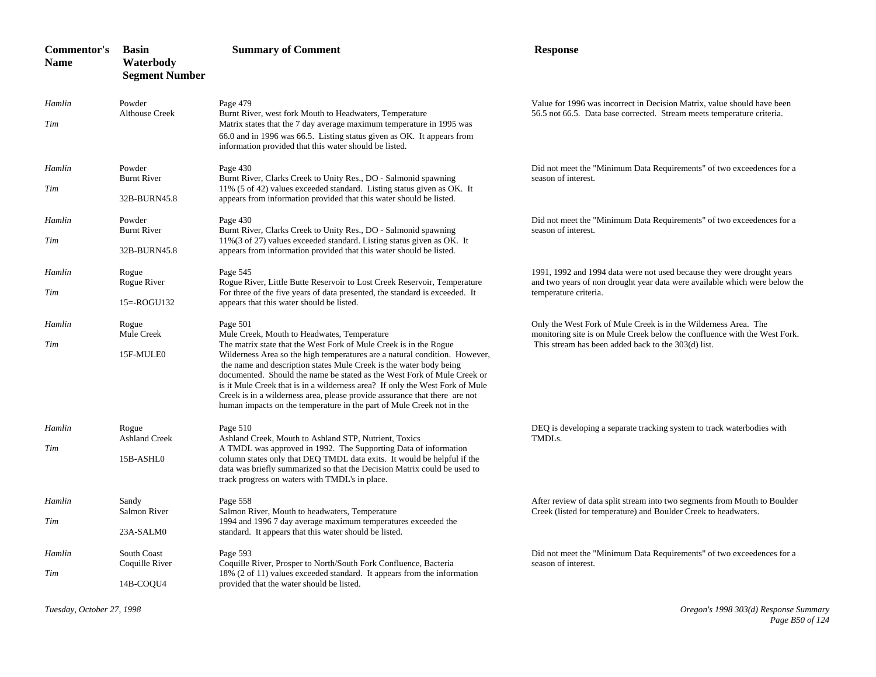| Commentor's<br><b>Name</b> | <b>Basin</b><br>Waterbody<br><b>Segment Number</b> | <b>Summary of Comment</b>                                                                                                                                                                                                                                                                                                                                                                                                                                                                                                                                                                          | <b>Response</b>                                                                                                                                                                                     |
|----------------------------|----------------------------------------------------|----------------------------------------------------------------------------------------------------------------------------------------------------------------------------------------------------------------------------------------------------------------------------------------------------------------------------------------------------------------------------------------------------------------------------------------------------------------------------------------------------------------------------------------------------------------------------------------------------|-----------------------------------------------------------------------------------------------------------------------------------------------------------------------------------------------------|
| Hamlin<br>Tim              | Powder<br><b>Althouse Creek</b>                    | Page 479<br>Burnt River, west fork Mouth to Headwaters, Temperature<br>Matrix states that the 7 day average maximum temperature in 1995 was<br>66.0 and in 1996 was 66.5. Listing status given as OK. It appears from<br>information provided that this water should be listed.                                                                                                                                                                                                                                                                                                                    | Value for 1996 was incorrect in Decision Matrix, value should have been<br>56.5 not 66.5. Data base corrected. Stream meets temperature criteria.                                                   |
| Hamlin<br>Tim              | Powder<br><b>Burnt River</b><br>32B-BURN45.8       | Page 430<br>Burnt River, Clarks Creek to Unity Res., DO - Salmonid spawning<br>11% (5 of 42) values exceeded standard. Listing status given as OK. It<br>appears from information provided that this water should be listed.                                                                                                                                                                                                                                                                                                                                                                       | Did not meet the "Minimum Data Requirements" of two exceedences for a<br>season of interest.                                                                                                        |
| Hamlin<br>Tim              | Powder<br><b>Burnt River</b><br>32B-BURN45.8       | Page 430<br>Burnt River, Clarks Creek to Unity Res., DO - Salmonid spawning<br>11% (3 of 27) values exceeded standard. Listing status given as OK. It<br>appears from information provided that this water should be listed.                                                                                                                                                                                                                                                                                                                                                                       | Did not meet the "Minimum Data Requirements" of two exceedences for a<br>season of interest.                                                                                                        |
| Hamlin<br>Tim              | Rogue<br>Rogue River<br>$15 = ROGU132$             | Page 545<br>Rogue River, Little Butte Reservoir to Lost Creek Reservoir, Temperature<br>For three of the five years of data presented, the standard is exceeded. It<br>appears that this water should be listed.                                                                                                                                                                                                                                                                                                                                                                                   | 1991, 1992 and 1994 data were not used because they were drought years<br>and two years of non drought year data were available which were below the<br>temperature criteria.                       |
| Hamlin<br>Tim              | Rogue<br>Mule Creek<br>15F-MULE0                   | Page 501<br>Mule Creek, Mouth to Headwates, Temperature<br>The matrix state that the West Fork of Mule Creek is in the Rogue<br>Wilderness Area so the high temperatures are a natural condition. However,<br>the name and description states Mule Creek is the water body being<br>documented. Should the name be stated as the West Fork of Mule Creek or<br>is it Mule Creek that is in a wilderness area? If only the West Fork of Mule<br>Creek is in a wilderness area, please provide assurance that there are not<br>human impacts on the temperature in the part of Mule Creek not in the | Only the West Fork of Mule Creek is in the Wilderness Area. The<br>monitoring site is on Mule Creek below the confluence with the West Fork.<br>This stream has been added back to the 303(d) list. |
| Hamlin<br>Tim              | Rogue<br><b>Ashland Creek</b><br>15B-ASHL0         | Page 510<br>Ashland Creek, Mouth to Ashland STP, Nutrient, Toxics<br>A TMDL was approved in 1992. The Supporting Data of information<br>column states only that DEQ TMDL data exits. It would be helpful if the<br>data was briefly summarized so that the Decision Matrix could be used to<br>track progress on waters with TMDL's in place.                                                                                                                                                                                                                                                      | DEQ is developing a separate tracking system to track waterbodies with<br>TMDL <sub>s</sub> .                                                                                                       |
| Hamlin<br>Tim              | Sandy<br>Salmon River<br>23A-SALM0                 | Page 558<br>Salmon River, Mouth to headwaters, Temperature<br>1994 and 1996 7 day average maximum temperatures exceeded the<br>standard. It appears that this water should be listed.                                                                                                                                                                                                                                                                                                                                                                                                              | After review of data split stream into two segments from Mouth to Boulder<br>Creek (listed for temperature) and Boulder Creek to headwaters.                                                        |
| Hamlin<br>Tim              | South Coast<br>Coquille River<br>14B-COQU4         | Page 593<br>Coquille River, Prosper to North/South Fork Confluence, Bacteria<br>18% (2 of 11) values exceeded standard. It appears from the information<br>provided that the water should be listed.                                                                                                                                                                                                                                                                                                                                                                                               | Did not meet the "Minimum Data Requirements" of two exceedences for a<br>season of interest.                                                                                                        |

*Tuesday, October 27, 1998 Oregon's 1998 303(d) Response Summary Page B50 of 124*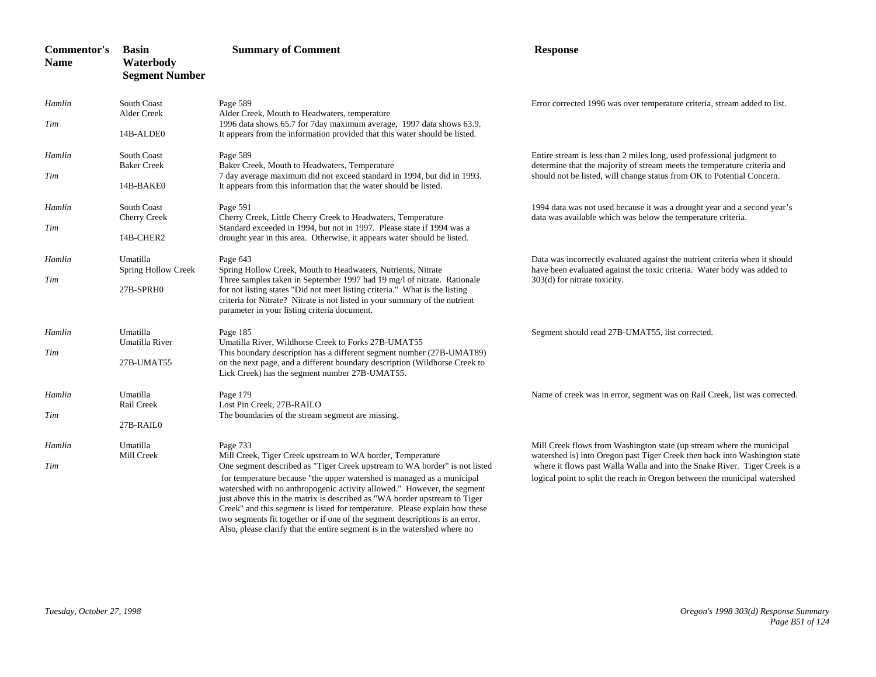| Commentor's<br><b>Name</b> | <b>Basin</b><br>Waterbody<br><b>Segment Number</b> | <b>Summary of Comment</b>                                                                                                                                                                                                                                                                                                                                                                                                                                                                                                                                                                                                           | <b>Response</b>                                                                                                                                                                                                                                                                                                 |
|----------------------------|----------------------------------------------------|-------------------------------------------------------------------------------------------------------------------------------------------------------------------------------------------------------------------------------------------------------------------------------------------------------------------------------------------------------------------------------------------------------------------------------------------------------------------------------------------------------------------------------------------------------------------------------------------------------------------------------------|-----------------------------------------------------------------------------------------------------------------------------------------------------------------------------------------------------------------------------------------------------------------------------------------------------------------|
| Hamlin<br>Tim              | South Coast<br>Alder Creek<br>14B-ALDE0            | Page 589<br>Alder Creek, Mouth to Headwaters, temperature<br>1996 data shows 65.7 for 7day maximum average, 1997 data shows 63.9.<br>It appears from the information provided that this water should be listed.                                                                                                                                                                                                                                                                                                                                                                                                                     | Error corrected 1996 was over temperature criteria, stream added to list.                                                                                                                                                                                                                                       |
| Hamlin<br>Tim              | South Coast<br><b>Baker Creek</b><br>14B-BAKE0     | Page 589<br>Baker Creek, Mouth to Headwaters, Temperature<br>7 day average maximum did not exceed standard in 1994, but did in 1993.<br>It appears from this information that the water should be listed.                                                                                                                                                                                                                                                                                                                                                                                                                           | Entire stream is less than 2 miles long, used professional judgment to<br>determine that the majority of stream meets the temperature criteria and<br>should not be listed, will change status from OK to Potential Concern.                                                                                    |
| Hamlin<br>Tim              | South Coast<br><b>Cherry Creek</b><br>14B-CHER2    | Page 591<br>Cherry Creek, Little Cherry Creek to Headwaters, Temperature<br>Standard exceeded in 1994, but not in 1997. Please state if 1994 was a<br>drought year in this area. Otherwise, it appears water should be listed.                                                                                                                                                                                                                                                                                                                                                                                                      | 1994 data was not used because it was a drought year and a second year's<br>data was available which was below the temperature criteria.                                                                                                                                                                        |
| Hamlin<br>Tim              | Umatilla<br>Spring Hollow Creek<br>27B-SPRH0       | Page 643<br>Spring Hollow Creek, Mouth to Headwaters, Nutrients, Nitrate<br>Three samples taken in September 1997 had 19 mg/l of nitrate. Rationale<br>for not listing states "Did not meet listing criteria." What is the listing<br>criteria for Nitrate? Nitrate is not listed in your summary of the nutrient<br>parameter in your listing criteria document.                                                                                                                                                                                                                                                                   | Data was incorrectly evaluated against the nutrient criteria when it should<br>have been evaluated against the toxic criteria. Water body was added to<br>303(d) for nitrate toxicity.                                                                                                                          |
| Hamlin<br>Tim              | Umatilla<br>Umatilla River<br>27B-UMAT55           | Page 185<br>Umatilla River, Wildhorse Creek to Forks 27B-UMAT55<br>This boundary description has a different segment number (27B-UMAT89)<br>on the next page, and a different boundary description (Wildhorse Creek to<br>Lick Creek) has the segment number 27B-UMAT55.                                                                                                                                                                                                                                                                                                                                                            | Segment should read 27B-UMAT55, list corrected.                                                                                                                                                                                                                                                                 |
| Hamlin<br>Tim              | Umatilla<br>Rail Creek<br>27B-RAIL0                | Page 179<br>Lost Pin Creek, 27B-RAILO<br>The boundaries of the stream segment are missing.                                                                                                                                                                                                                                                                                                                                                                                                                                                                                                                                          | Name of creek was in error, segment was on Rail Creek, list was corrected.                                                                                                                                                                                                                                      |
| Hamlin<br>Tim              | Umatilla<br>Mill Creek                             | Page 733<br>Mill Creek, Tiger Creek upstream to WA border, Temperature<br>One segment described as "Tiger Creek upstream to WA border" is not listed<br>for temperature because "the upper watershed is managed as a municipal<br>watershed with no anthropogenic activity allowed." However, the segment<br>just above this in the matrix is described as "WA border upstream to Tiger<br>Creek" and this segment is listed for temperature. Please explain how these<br>two segments fit together or if one of the segment descriptions is an error.<br>Also, please clarify that the entire segment is in the watershed where no | Mill Creek flows from Washington state (up stream where the municipal<br>watershed is) into Oregon past Tiger Creek then back into Washington state<br>where it flows past Walla Walla and into the Snake River. Tiger Creek is a<br>logical point to split the reach in Oregon between the municipal watershed |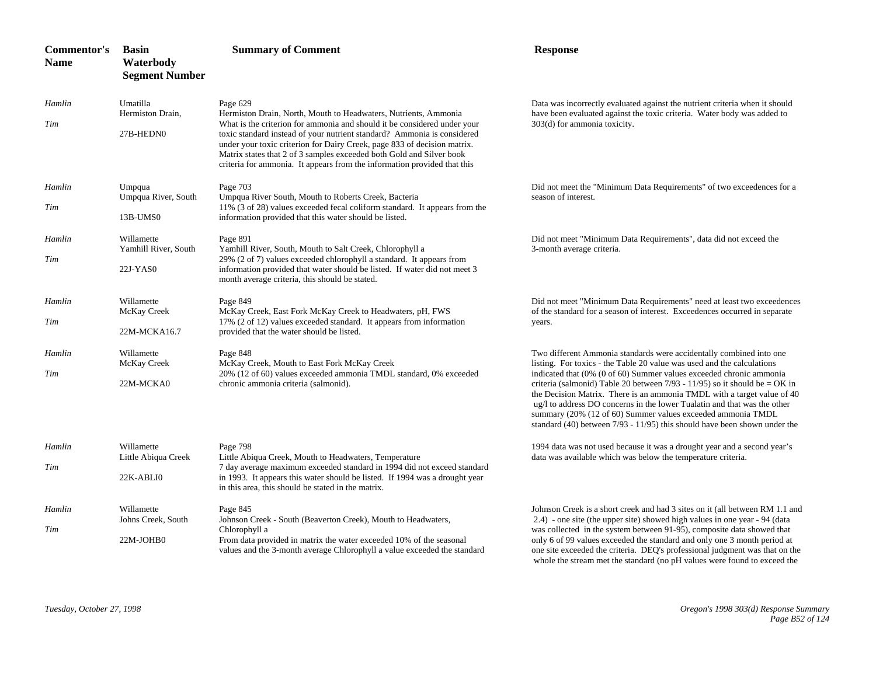| Commentor's<br><b>Name</b> | <b>Basin</b><br>Waterbody<br><b>Segment Number</b> | <b>Summary of Comment</b>                                                                                                                                                                                                                                                                                                                                                                                                                                          | <b>Response</b>                                                                                                                                                                                                                                                                                                                                                                                                                                                                                                                                                                                               |
|----------------------------|----------------------------------------------------|--------------------------------------------------------------------------------------------------------------------------------------------------------------------------------------------------------------------------------------------------------------------------------------------------------------------------------------------------------------------------------------------------------------------------------------------------------------------|---------------------------------------------------------------------------------------------------------------------------------------------------------------------------------------------------------------------------------------------------------------------------------------------------------------------------------------------------------------------------------------------------------------------------------------------------------------------------------------------------------------------------------------------------------------------------------------------------------------|
| Hamlin<br>Tim              | Umatilla<br>Hermiston Drain,<br>27B-HEDN0          | Page 629<br>Hermiston Drain, North, Mouth to Headwaters, Nutrients, Ammonia<br>What is the criterion for ammonia and should it be considered under your<br>toxic standard instead of your nutrient standard? Ammonia is considered<br>under your toxic criterion for Dairy Creek, page 833 of decision matrix.<br>Matrix states that 2 of 3 samples exceeded both Gold and Silver book<br>criteria for ammonia. It appears from the information provided that this | Data was incorrectly evaluated against the nutrient criteria when it should<br>have been evaluated against the toxic criteria. Water body was added to<br>303(d) for ammonia toxicity.                                                                                                                                                                                                                                                                                                                                                                                                                        |
| Hamlin<br>Tim              | Umpqua<br>Umpqua River, South<br>13B-UMS0          | Page 703<br>Umpqua River South, Mouth to Roberts Creek, Bacteria<br>11% (3 of 28) values exceeded fecal coliform standard. It appears from the<br>information provided that this water should be listed.                                                                                                                                                                                                                                                           | Did not meet the "Minimum Data Requirements" of two exceedences for a<br>season of interest.                                                                                                                                                                                                                                                                                                                                                                                                                                                                                                                  |
| Hamlin<br>Tim              | Willamette<br>Yamhill River, South<br>22J-YAS0     | Page 891<br>Yamhill River, South, Mouth to Salt Creek, Chlorophyll a<br>29% (2 of 7) values exceeded chlorophyll a standard. It appears from<br>information provided that water should be listed. If water did not meet 3<br>month average criteria, this should be stated.                                                                                                                                                                                        | Did not meet "Minimum Data Requirements", data did not exceed the<br>3-month average criteria.                                                                                                                                                                                                                                                                                                                                                                                                                                                                                                                |
| Hamlin<br>Tim              | Willamette<br>McKay Creek<br>22M-MCKA16.7          | Page 849<br>McKay Creek, East Fork McKay Creek to Headwaters, pH, FWS<br>17% (2 of 12) values exceeded standard. It appears from information<br>provided that the water should be listed.                                                                                                                                                                                                                                                                          | Did not meet "Minimum Data Requirements" need at least two exceedences<br>of the standard for a season of interest. Exceedences occurred in separate<br>years.                                                                                                                                                                                                                                                                                                                                                                                                                                                |
| Hamlin<br>Tim              | Willamette<br>McKay Creek<br>22M-MCKA0             | Page 848<br>McKay Creek, Mouth to East Fork McKay Creek<br>20% (12 of 60) values exceeded ammonia TMDL standard, 0% exceeded<br>chronic ammonia criteria (salmonid).                                                                                                                                                                                                                                                                                               | Two different Ammonia standards were accidentally combined into one<br>listing. For toxics - the Table 20 value was used and the calculations<br>indicated that (0% (0 of 60) Summer values exceeded chronic ammonia<br>criteria (salmonid) Table 20 between $7/93 - 11/95$ ) so it should be = OK in<br>the Decision Matrix. There is an ammonia TMDL with a target value of 40<br>ug/l to address DO concerns in the lower Tualatin and that was the other<br>summary (20% (12 of 60) Summer values exceeded ammonia TMDL<br>standard $(40)$ between $7/93 - 11/95$ ) this should have been shown under the |
| Hamlin<br>Tim              | Willamette<br>Little Abiqua Creek<br>22K-ABLI0     | Page 798<br>Little Abiqua Creek, Mouth to Headwaters, Temperature<br>7 day average maximum exceeded standard in 1994 did not exceed standard<br>in 1993. It appears this water should be listed. If 1994 was a drought year<br>in this area, this should be stated in the matrix.                                                                                                                                                                                  | 1994 data was not used because it was a drought year and a second year's<br>data was available which was below the temperature criteria.                                                                                                                                                                                                                                                                                                                                                                                                                                                                      |
| Hamlin<br>Tim              | Willamette<br>Johns Creek, South<br>22M-JOHB0      | Page 845<br>Johnson Creek - South (Beaverton Creek), Mouth to Headwaters,<br>Chlorophyll a<br>From data provided in matrix the water exceeded 10% of the seasonal<br>values and the 3-month average Chlorophyll a value exceeded the standard                                                                                                                                                                                                                      | Johnson Creek is a short creek and had 3 sites on it (all between RM 1.1 and<br>2.4) - one site (the upper site) showed high values in one year - 94 (data<br>was collected in the system between 91-95), composite data showed that<br>only 6 of 99 values exceeded the standard and only one 3 month period at<br>one site exceeded the criteria. DEQ's professional judgment was that on the<br>whole the stream met the standard (no pH values were found to exceed the                                                                                                                                   |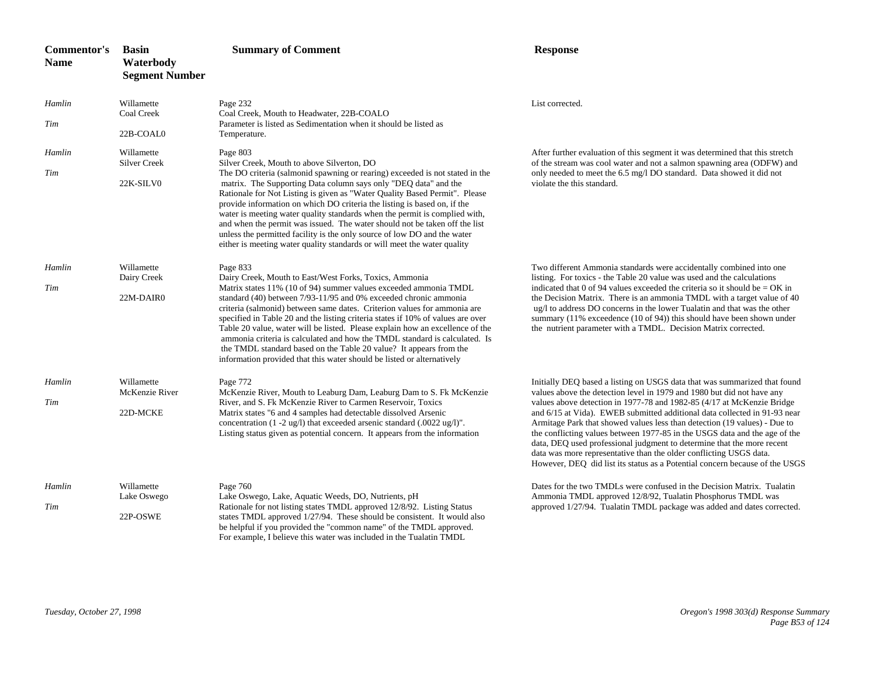| Commentor's<br><b>Name</b> | <b>Basin</b><br>Waterbody<br><b>Segment Number</b> | <b>Summary of Comment</b>                                                                                                                                                                                                                                                                                                                                                                                                                                                                                                                      | <b>Response</b>                                                                                                                                                                                                                                                                                                                                                                                                                                                                                                                                                                                                                                                                                      |
|----------------------------|----------------------------------------------------|------------------------------------------------------------------------------------------------------------------------------------------------------------------------------------------------------------------------------------------------------------------------------------------------------------------------------------------------------------------------------------------------------------------------------------------------------------------------------------------------------------------------------------------------|------------------------------------------------------------------------------------------------------------------------------------------------------------------------------------------------------------------------------------------------------------------------------------------------------------------------------------------------------------------------------------------------------------------------------------------------------------------------------------------------------------------------------------------------------------------------------------------------------------------------------------------------------------------------------------------------------|
| Hamlin<br>Tim              | Willamette<br>Coal Creek<br>22B-COAL0              | Page 232<br>Coal Creek, Mouth to Headwater, 22B-COALO<br>Parameter is listed as Sedimentation when it should be listed as<br>Temperature.                                                                                                                                                                                                                                                                                                                                                                                                      | List corrected.                                                                                                                                                                                                                                                                                                                                                                                                                                                                                                                                                                                                                                                                                      |
| Hamlin<br>Tim              | Willamette<br><b>Silver Creek</b><br>22K-SILV0     | Page 803<br>Silver Creek, Mouth to above Silverton, DO<br>The DO criteria (salmonid spawning or rearing) exceeded is not stated in the<br>matrix. The Supporting Data column says only "DEQ data" and the                                                                                                                                                                                                                                                                                                                                      | After further evaluation of this segment it was determined that this stretch<br>of the stream was cool water and not a salmon spawning area (ODFW) and<br>only needed to meet the 6.5 mg/l DO standard. Data showed it did not<br>violate the this standard.                                                                                                                                                                                                                                                                                                                                                                                                                                         |
|                            |                                                    | Rationale for Not Listing is given as "Water Quality Based Permit". Please<br>provide information on which DO criteria the listing is based on, if the<br>water is meeting water quality standards when the permit is complied with,<br>and when the permit was issued. The water should not be taken off the list<br>unless the permitted facility is the only source of low DO and the water<br>either is meeting water quality standards or will meet the water quality                                                                     |                                                                                                                                                                                                                                                                                                                                                                                                                                                                                                                                                                                                                                                                                                      |
| Hamlin<br>Tim              | Willamette<br>Dairy Creek                          | Page 833<br>Dairy Creek, Mouth to East/West Forks, Toxics, Ammonia<br>Matrix states 11% (10 of 94) summer values exceeded ammonia TMDL                                                                                                                                                                                                                                                                                                                                                                                                         | Two different Ammonia standards were accidentally combined into one<br>listing. For toxics - the Table 20 value was used and the calculations<br>indicated that 0 of 94 values exceeded the criteria so it should be $=$ OK in                                                                                                                                                                                                                                                                                                                                                                                                                                                                       |
|                            | 22M-DAIR0                                          | standard (40) between 7/93-11/95 and 0% exceeded chronic ammonia<br>criteria (salmonid) between same dates. Criterion values for ammonia are<br>specified in Table 20 and the listing criteria states if 10% of values are over<br>Table 20 value, water will be listed. Please explain how an excellence of the<br>ammonia criteria is calculated and how the TMDL standard is calculated. Is<br>the TMDL standard based on the Table 20 value? It appears from the<br>information provided that this water should be listed or alternatively | the Decision Matrix. There is an ammonia TMDL with a target value of 40<br>ug/l to address DO concerns in the lower Tualatin and that was the other<br>summary (11% exceedence (10 of 94)) this should have been shown under<br>the nutrient parameter with a TMDL. Decision Matrix corrected.                                                                                                                                                                                                                                                                                                                                                                                                       |
| Hamlin<br>Tim              | Willamette<br>McKenzie River                       | Page 772<br>McKenzie River, Mouth to Leaburg Dam, Leaburg Dam to S. Fk McKenzie<br>River, and S. Fk McKenzie River to Carmen Reservoir, Toxics                                                                                                                                                                                                                                                                                                                                                                                                 | Initially DEQ based a listing on USGS data that was summarized that found<br>values above the detection level in 1979 and 1980 but did not have any<br>values above detection in 1977-78 and 1982-85 (4/17 at McKenzie Bridge<br>and 6/15 at Vida). EWEB submitted additional data collected in 91-93 near<br>Armitage Park that showed values less than detection (19 values) - Due to<br>the conflicting values between 1977-85 in the USGS data and the age of the<br>data, DEQ used professional judgment to determine that the more recent<br>data was more representative than the older conflicting USGS data.<br>However, DEQ did list its status as a Potential concern because of the USGS |
|                            | 22D-MCKE                                           | Matrix states "6 and 4 samples had detectable dissolved Arsenic<br>concentration (1 -2 ug/l) that exceeded arsenic standard (.0022 ug/l)".<br>Listing status given as potential concern. It appears from the information                                                                                                                                                                                                                                                                                                                       |                                                                                                                                                                                                                                                                                                                                                                                                                                                                                                                                                                                                                                                                                                      |
| Hamlin                     | Willamette<br>Lake Oswego                          | Page 760<br>Lake Oswego, Lake, Aquatic Weeds, DO, Nutrients, pH                                                                                                                                                                                                                                                                                                                                                                                                                                                                                | Dates for the two TMDLs were confused in the Decision Matrix. Tualatin<br>Ammonia TMDL approved 12/8/92, Tualatin Phosphorus TMDL was                                                                                                                                                                                                                                                                                                                                                                                                                                                                                                                                                                |
| Tim                        | 22P-OSWE                                           | Rationale for not listing states TMDL approved 12/8/92. Listing Status<br>states TMDL approved 1/27/94. These should be consistent. It would also<br>be helpful if you provided the "common name" of the TMDL approved.                                                                                                                                                                                                                                                                                                                        | approved 1/27/94. Tualatin TMDL package was added and dates corrected.                                                                                                                                                                                                                                                                                                                                                                                                                                                                                                                                                                                                                               |

For example, I believe this water was included in the Tualatin TMDL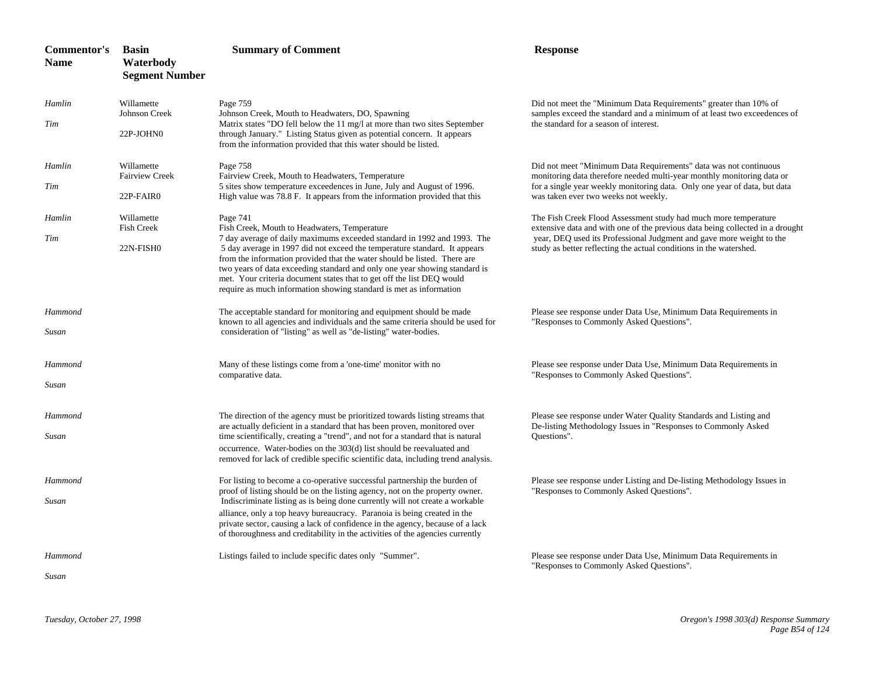| Commentor's<br><b>Name</b> | <b>Basin</b><br>Waterbody<br><b>Segment Number</b> | <b>Summary of Comment</b>                                                                                                                                                                                                                                                                                                                                                                                                                                                                                                 | <b>Response</b>                                                                                                                                                                                                                                                                                |
|----------------------------|----------------------------------------------------|---------------------------------------------------------------------------------------------------------------------------------------------------------------------------------------------------------------------------------------------------------------------------------------------------------------------------------------------------------------------------------------------------------------------------------------------------------------------------------------------------------------------------|------------------------------------------------------------------------------------------------------------------------------------------------------------------------------------------------------------------------------------------------------------------------------------------------|
| Hamlin<br>Tim              | Willamette<br>Johnson Creek<br>22P-JOHN0           | Page 759<br>Johnson Creek, Mouth to Headwaters, DO, Spawning<br>Matrix states "DO fell below the 11 mg/l at more than two sites September<br>through January." Listing Status given as potential concern. It appears<br>from the information provided that this water should be listed.                                                                                                                                                                                                                                   | Did not meet the "Minimum Data Requirements" greater than 10% of<br>samples exceed the standard and a minimum of at least two exceedences of<br>the standard for a season of interest.                                                                                                         |
| Hamlin<br>Tim              | Willamette<br><b>Fairview Creek</b><br>22P-FAIR0   | Page 758<br>Fairview Creek, Mouth to Headwaters, Temperature<br>5 sites show temperature exceedences in June, July and August of 1996.<br>High value was 78.8 F. It appears from the information provided that this                                                                                                                                                                                                                                                                                                       | Did not meet "Minimum Data Requirements" data was not continuous<br>monitoring data therefore needed multi-year monthly monitoring data or<br>for a single year weekly monitoring data. Only one year of data, but data<br>was taken ever two weeks not weekly.                                |
| Hamlin<br>Tim              | Willamette<br><b>Fish Creek</b><br>22N-FISH0       | Page 741<br>Fish Creek, Mouth to Headwaters, Temperature<br>7 day average of daily maximums exceeded standard in 1992 and 1993. The<br>5 day average in 1997 did not exceed the temperature standard. It appears<br>from the information provided that the water should be listed. There are<br>two years of data exceeding standard and only one year showing standard is<br>met. Your criteria document states that to get off the list DEQ would<br>require as much information showing standard is met as information | The Fish Creek Flood Assessment study had much more temperature<br>extensive data and with one of the previous data being collected in a drought<br>year, DEQ used its Professional Judgment and gave more weight to the<br>study as better reflecting the actual conditions in the watershed. |
| Hammond<br>Susan           |                                                    | The acceptable standard for monitoring and equipment should be made<br>known to all agencies and individuals and the same criteria should be used for<br>consideration of "listing" as well as "de-listing" water-bodies.                                                                                                                                                                                                                                                                                                 | Please see response under Data Use, Minimum Data Requirements in<br>"Responses to Commonly Asked Questions".                                                                                                                                                                                   |
| Hammond<br>Susan           |                                                    | Many of these listings come from a 'one-time' monitor with no<br>comparative data.                                                                                                                                                                                                                                                                                                                                                                                                                                        | Please see response under Data Use, Minimum Data Requirements in<br>"Responses to Commonly Asked Questions".                                                                                                                                                                                   |
| Hammond<br>Susan           |                                                    | The direction of the agency must be prioritized towards listing streams that<br>are actually deficient in a standard that has been proven, monitored over<br>time scientifically, creating a "trend", and not for a standard that is natural<br>occurrence. Water-bodies on the 303(d) list should be reevaluated and<br>removed for lack of credible specific scientific data, including trend analysis.                                                                                                                 | Please see response under Water Quality Standards and Listing and<br>De-listing Methodology Issues in "Responses to Commonly Asked<br>Questions".                                                                                                                                              |
| Hammond<br>Susan           |                                                    | For listing to become a co-operative successful partnership the burden of<br>proof of listing should be on the listing agency, not on the property owner.<br>Indiscriminate listing as is being done currently will not create a workable<br>alliance, only a top heavy bureaucracy. Paranoia is being created in the<br>private sector, causing a lack of confidence in the agency, because of a lack<br>of thoroughness and creditability in the activities of the agencies currently                                   | Please see response under Listing and De-listing Methodology Issues in<br>"Responses to Commonly Asked Questions".                                                                                                                                                                             |
| Hammond<br>Susan           |                                                    | Listings failed to include specific dates only "Summer".                                                                                                                                                                                                                                                                                                                                                                                                                                                                  | Please see response under Data Use, Minimum Data Requirements in<br>"Responses to Commonly Asked Questions".                                                                                                                                                                                   |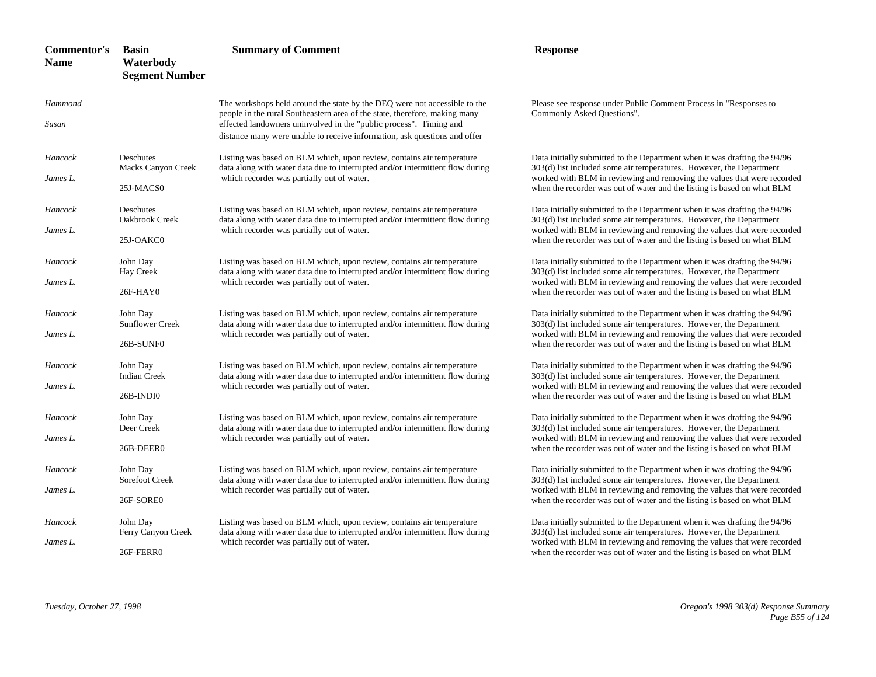| Commentor's<br><b>Name</b> | <b>Basin</b><br>Waterbody<br><b>Segment Number</b> | <b>Summary of Comment</b>                                                                                                                                                                                                     | <b>Response</b>                                                                                                                                                                                                                                                                                        |
|----------------------------|----------------------------------------------------|-------------------------------------------------------------------------------------------------------------------------------------------------------------------------------------------------------------------------------|--------------------------------------------------------------------------------------------------------------------------------------------------------------------------------------------------------------------------------------------------------------------------------------------------------|
| Hammond                    |                                                    | The workshops held around the state by the DEQ were not accessible to the                                                                                                                                                     | Please see response under Public Comment Process in "Responses to                                                                                                                                                                                                                                      |
| Susan                      |                                                    | people in the rural Southeastern area of the state, therefore, making many<br>effected landowners uninvolved in the "public process". Timing and<br>distance many were unable to receive information, ask questions and offer | Commonly Asked Questions".                                                                                                                                                                                                                                                                             |
| Hancock                    | Deschutes<br>Macks Canyon Creek                    | Listing was based on BLM which, upon review, contains air temperature<br>data along with water data due to interrupted and/or intermittent flow during                                                                        | Data initially submitted to the Department when it was drafting the 94/96<br>303(d) list included some air temperatures. However, the Department                                                                                                                                                       |
| James L.                   | 25J-MACS0                                          | which recorder was partially out of water.                                                                                                                                                                                    | worked with BLM in reviewing and removing the values that were recorded<br>when the recorder was out of water and the listing is based on what BLM                                                                                                                                                     |
| Hancock                    | Deschutes<br>Oakbrook Creek                        | Listing was based on BLM which, upon review, contains air temperature<br>data along with water data due to interrupted and/or intermittent flow during                                                                        | Data initially submitted to the Department when it was drafting the 94/96<br>303(d) list included some air temperatures. However, the Department<br>worked with BLM in reviewing and removing the values that were recorded<br>when the recorder was out of water and the listing is based on what BLM |
| James L.                   | 25J-OAKC0                                          | which recorder was partially out of water.                                                                                                                                                                                    |                                                                                                                                                                                                                                                                                                        |
| Hancock                    | John Day<br>Hay Creek                              | Listing was based on BLM which, upon review, contains air temperature<br>data along with water data due to interrupted and/or intermittent flow during                                                                        | Data initially submitted to the Department when it was drafting the 94/96<br>303(d) list included some air temperatures. However, the Department                                                                                                                                                       |
| James L.                   | 26F-HAY0                                           | which recorder was partially out of water.                                                                                                                                                                                    | worked with BLM in reviewing and removing the values that were recorded<br>when the recorder was out of water and the listing is based on what BLM                                                                                                                                                     |
| Hancock                    | John Day<br><b>Sunflower Creek</b>                 | Listing was based on BLM which, upon review, contains air temperature<br>data along with water data due to interrupted and/or intermittent flow during                                                                        | Data initially submitted to the Department when it was drafting the 94/96<br>303(d) list included some air temperatures. However, the Department<br>worked with BLM in reviewing and removing the values that were recorded<br>when the recorder was out of water and the listing is based on what BLM |
| James L.                   | 26B-SUNF0                                          | which recorder was partially out of water.                                                                                                                                                                                    |                                                                                                                                                                                                                                                                                                        |
| Hancock                    | John Day<br><b>Indian Creek</b>                    | Listing was based on BLM which, upon review, contains air temperature<br>data along with water data due to interrupted and/or intermittent flow during                                                                        | Data initially submitted to the Department when it was drafting the 94/96<br>303(d) list included some air temperatures. However, the Department                                                                                                                                                       |
| James L.                   | 26B-INDI0                                          | which recorder was partially out of water.                                                                                                                                                                                    | worked with BLM in reviewing and removing the values that were recorded<br>when the recorder was out of water and the listing is based on what BLM                                                                                                                                                     |
| Hancock                    | John Day<br>Deer Creek                             | Listing was based on BLM which, upon review, contains air temperature<br>data along with water data due to interrupted and/or intermittent flow during                                                                        | Data initially submitted to the Department when it was drafting the 94/96<br>303(d) list included some air temperatures. However, the Department                                                                                                                                                       |
| James L.                   | 26B-DEER0                                          | which recorder was partially out of water.                                                                                                                                                                                    | worked with BLM in reviewing and removing the values that were recorded<br>when the recorder was out of water and the listing is based on what BLM                                                                                                                                                     |
| Hancock                    | John Day<br>Sorefoot Creek                         | Listing was based on BLM which, upon review, contains air temperature<br>data along with water data due to interrupted and/or intermittent flow during                                                                        | Data initially submitted to the Department when it was drafting the 94/96<br>303(d) list included some air temperatures. However, the Department                                                                                                                                                       |
| James L.                   | 26F-SORE0                                          | which recorder was partially out of water.                                                                                                                                                                                    | worked with BLM in reviewing and removing the values that were recorded<br>when the recorder was out of water and the listing is based on what BLM                                                                                                                                                     |
| Hancock                    | John Day<br>Ferry Canyon Creek                     | Listing was based on BLM which, upon review, contains air temperature<br>data along with water data due to interrupted and/or intermittent flow during                                                                        | Data initially submitted to the Department when it was drafting the 94/96<br>303(d) list included some air temperatures. However, the Department<br>worked with BLM in reviewing and removing the values that were recorded<br>when the recorder was out of water and the listing is based on what BLM |
| James L.                   | 26F-FERR0                                          | which recorder was partially out of water.                                                                                                                                                                                    |                                                                                                                                                                                                                                                                                                        |

*Tuesday, October 27, 1998 Oregon's 1998 303(d) Response Summary Page B55 of 124*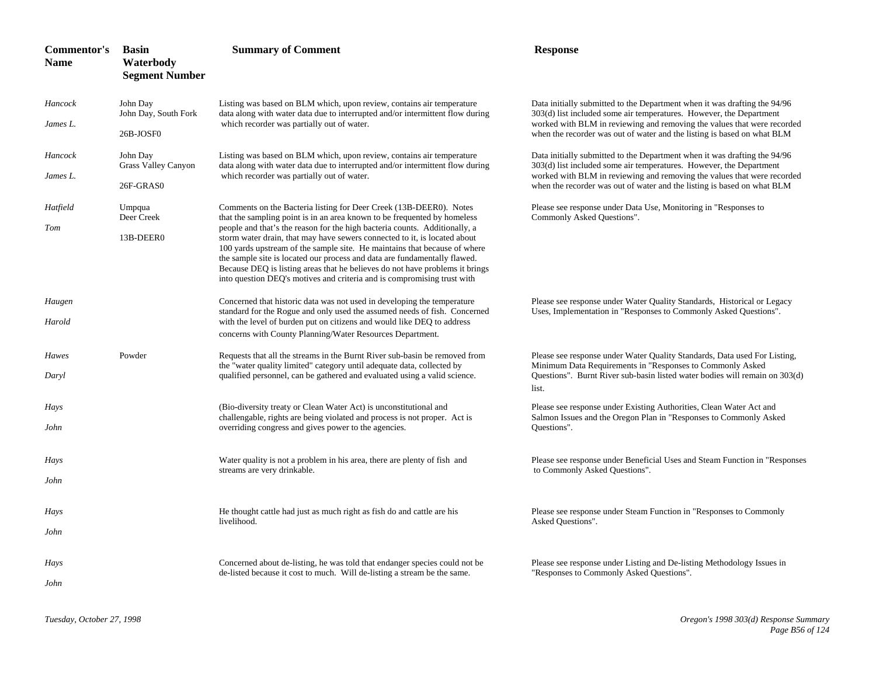| Commentor's<br><b>Name</b> | <b>Basin</b><br>Waterbody<br><b>Segment Number</b> | <b>Summary of Comment</b>                                                                                                                                                                                                                                                                                                                                                                                                                                                                                                                                                                                                      | <b>Response</b>                                                                                                                                                                                                                                                                                        |
|----------------------------|----------------------------------------------------|--------------------------------------------------------------------------------------------------------------------------------------------------------------------------------------------------------------------------------------------------------------------------------------------------------------------------------------------------------------------------------------------------------------------------------------------------------------------------------------------------------------------------------------------------------------------------------------------------------------------------------|--------------------------------------------------------------------------------------------------------------------------------------------------------------------------------------------------------------------------------------------------------------------------------------------------------|
| Hancock<br>James L.        | John Day<br>John Day, South Fork<br>26B-JOSF0      | Listing was based on BLM which, upon review, contains air temperature<br>data along with water data due to interrupted and/or intermittent flow during<br>which recorder was partially out of water.                                                                                                                                                                                                                                                                                                                                                                                                                           | Data initially submitted to the Department when it was drafting the 94/96<br>303(d) list included some air temperatures. However, the Department<br>worked with BLM in reviewing and removing the values that were recorded<br>when the recorder was out of water and the listing is based on what BLM |
| Hancock<br>James L.        | John Day<br>Grass Valley Canyon<br>26F-GRAS0       | Listing was based on BLM which, upon review, contains air temperature<br>data along with water data due to interrupted and/or intermittent flow during<br>which recorder was partially out of water.                                                                                                                                                                                                                                                                                                                                                                                                                           | Data initially submitted to the Department when it was drafting the 94/96<br>303(d) list included some air temperatures. However, the Department<br>worked with BLM in reviewing and removing the values that were recorded<br>when the recorder was out of water and the listing is based on what BLM |
| Hatfield<br>Tom            | Umpqua<br>Deer Creek<br>13B-DEER0                  | Comments on the Bacteria listing for Deer Creek (13B-DEER0). Notes<br>that the sampling point is in an area known to be frequented by homeless<br>people and that's the reason for the high bacteria counts. Additionally, a<br>storm water drain, that may have sewers connected to it, is located about<br>100 yards upstream of the sample site. He maintains that because of where<br>the sample site is located our process and data are fundamentally flawed.<br>Because DEQ is listing areas that he believes do not have problems it brings<br>into question DEQ's motives and criteria and is compromising trust with | Please see response under Data Use, Monitoring in "Responses to<br>Commonly Asked Questions".                                                                                                                                                                                                          |
| Haugen<br>Harold           |                                                    | Concerned that historic data was not used in developing the temperature<br>standard for the Rogue and only used the assumed needs of fish. Concerned<br>with the level of burden put on citizens and would like DEQ to address<br>concerns with County Planning/Water Resources Department.                                                                                                                                                                                                                                                                                                                                    | Please see response under Water Quality Standards, Historical or Legacy<br>Uses, Implementation in "Responses to Commonly Asked Questions".                                                                                                                                                            |
| <b>Hawes</b><br>Daryl      | Powder                                             | Requests that all the streams in the Burnt River sub-basin be removed from<br>the "water quality limited" category until adequate data, collected by<br>qualified personnel, can be gathered and evaluated using a valid science.                                                                                                                                                                                                                                                                                                                                                                                              | Please see response under Water Quality Standards, Data used For Listing,<br>Minimum Data Requirements in "Responses to Commonly Asked<br>Questions". Burnt River sub-basin listed water bodies will remain on 303(d)<br>list.                                                                         |
| Hays<br>John               |                                                    | (Bio-diversity treaty or Clean Water Act) is unconstitutional and<br>challengable, rights are being violated and process is not proper. Act is<br>overriding congress and gives power to the agencies.                                                                                                                                                                                                                                                                                                                                                                                                                         | Please see response under Existing Authorities, Clean Water Act and<br>Salmon Issues and the Oregon Plan in "Responses to Commonly Asked<br>Ouestions".                                                                                                                                                |
| Hays<br>John               |                                                    | Water quality is not a problem in his area, there are plenty of fish and<br>streams are very drinkable.                                                                                                                                                                                                                                                                                                                                                                                                                                                                                                                        | Please see response under Beneficial Uses and Steam Function in "Responses"<br>to Commonly Asked Questions".                                                                                                                                                                                           |
| Hays<br>John               |                                                    | He thought cattle had just as much right as fish do and cattle are his<br>livelihood.                                                                                                                                                                                                                                                                                                                                                                                                                                                                                                                                          | Please see response under Steam Function in "Responses to Commonly<br>Asked Questions".                                                                                                                                                                                                                |
| Hays<br>John               |                                                    | Concerned about de-listing, he was told that endanger species could not be<br>de-listed because it cost to much. Will de-listing a stream be the same.                                                                                                                                                                                                                                                                                                                                                                                                                                                                         | Please see response under Listing and De-listing Methodology Issues in<br>"Responses to Commonly Asked Questions".                                                                                                                                                                                     |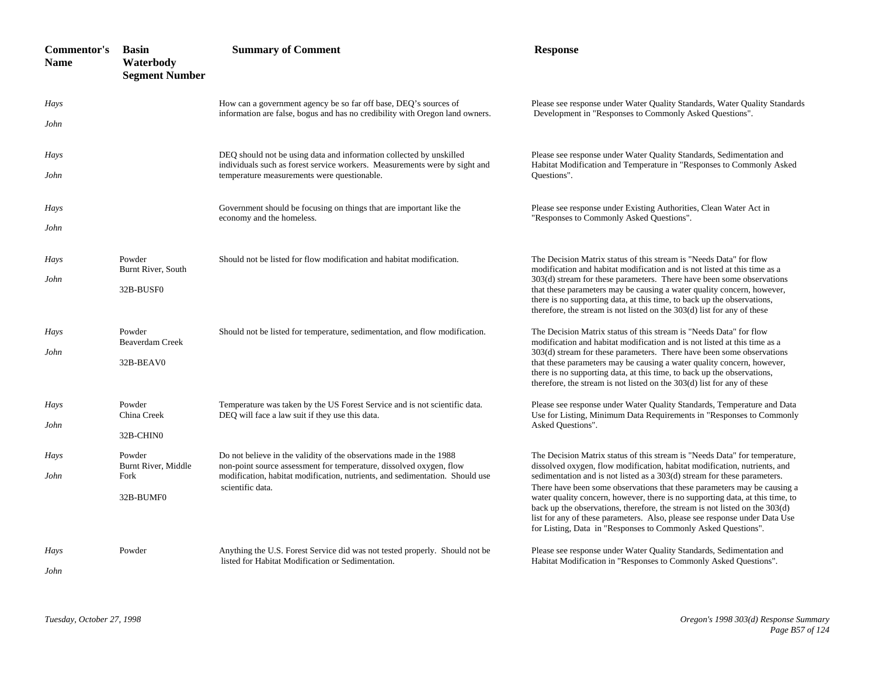| <b>Commentor's</b><br><b>Name</b> | <b>Basin</b><br>Waterbody<br><b>Segment Number</b> | <b>Summary of Comment</b>                                                                                                                         | <b>Response</b>                                                                                                                                                                                                                                                                                                                                                                                                                                                     |
|-----------------------------------|----------------------------------------------------|---------------------------------------------------------------------------------------------------------------------------------------------------|---------------------------------------------------------------------------------------------------------------------------------------------------------------------------------------------------------------------------------------------------------------------------------------------------------------------------------------------------------------------------------------------------------------------------------------------------------------------|
| Hays                              |                                                    | How can a government agency be so far off base, DEQ's sources of                                                                                  | Please see response under Water Quality Standards, Water Quality Standards                                                                                                                                                                                                                                                                                                                                                                                          |
| John                              |                                                    | information are false, bogus and has no credibility with Oregon land owners.                                                                      | Development in "Responses to Commonly Asked Questions".                                                                                                                                                                                                                                                                                                                                                                                                             |
| Hays                              |                                                    | DEQ should not be using data and information collected by unskilled<br>individuals such as forest service workers. Measurements were by sight and | Please see response under Water Quality Standards, Sedimentation and<br>Habitat Modification and Temperature in "Responses to Commonly Asked                                                                                                                                                                                                                                                                                                                        |
| John                              |                                                    | temperature measurements were questionable.                                                                                                       | Questions".                                                                                                                                                                                                                                                                                                                                                                                                                                                         |
| Hays                              |                                                    | Government should be focusing on things that are important like the<br>economy and the homeless.                                                  | Please see response under Existing Authorities, Clean Water Act in<br>"Responses to Commonly Asked Questions".                                                                                                                                                                                                                                                                                                                                                      |
| John                              |                                                    |                                                                                                                                                   |                                                                                                                                                                                                                                                                                                                                                                                                                                                                     |
| Hays                              | Powder<br>Burnt River, South                       | Should not be listed for flow modification and habitat modification.                                                                              | The Decision Matrix status of this stream is "Needs Data" for flow<br>modification and habitat modification and is not listed at this time as a                                                                                                                                                                                                                                                                                                                     |
| John                              | 32B-BUSF0                                          |                                                                                                                                                   | 303(d) stream for these parameters. There have been some observations<br>that these parameters may be causing a water quality concern, however,<br>there is no supporting data, at this time, to back up the observations,<br>therefore, the stream is not listed on the 303(d) list for any of these                                                                                                                                                               |
| Hays<br>John                      | Powder<br><b>Beaverdam Creek</b>                   | Should not be listed for temperature, sedimentation, and flow modification.                                                                       | The Decision Matrix status of this stream is "Needs Data" for flow<br>modification and habitat modification and is not listed at this time as a                                                                                                                                                                                                                                                                                                                     |
|                                   | 32B-BEAV0                                          |                                                                                                                                                   | 303(d) stream for these parameters. There have been some observations<br>that these parameters may be causing a water quality concern, however,<br>there is no supporting data, at this time, to back up the observations,<br>therefore, the stream is not listed on the 303(d) list for any of these                                                                                                                                                               |
| Hays                              | Powder<br>China Creek                              | Temperature was taken by the US Forest Service and is not scientific data.<br>DEQ will face a law suit if they use this data.                     | Please see response under Water Quality Standards, Temperature and Data<br>Use for Listing, Minimum Data Requirements in "Responses to Commonly                                                                                                                                                                                                                                                                                                                     |
| John                              | 32B-CHIN0                                          |                                                                                                                                                   | Asked Questions".                                                                                                                                                                                                                                                                                                                                                                                                                                                   |
| Hays                              | Powder<br>Burnt River, Middle                      | Do not believe in the validity of the observations made in the 1988<br>non-point source assessment for temperature, dissolved oxygen, flow        | The Decision Matrix status of this stream is "Needs Data" for temperature,<br>dissolved oxygen, flow modification, habitat modification, nutrients, and                                                                                                                                                                                                                                                                                                             |
| John                              | Fork<br>32B-BUMF0                                  | modification, habitat modification, nutrients, and sedimentation. Should use<br>scientific data.                                                  | sedimentation and is not listed as a 303(d) stream for these parameters.<br>There have been some observations that these parameters may be causing a<br>water quality concern, however, there is no supporting data, at this time, to<br>back up the observations, therefore, the stream is not listed on the 303(d)<br>list for any of these parameters. Also, please see response under Data Use<br>for Listing, Data in "Responses to Commonly Asked Questions". |
| Hays                              | Powder                                             | Anything the U.S. Forest Service did was not tested properly. Should not be<br>listed for Habitat Modification or Sedimentation.                  | Please see response under Water Quality Standards, Sedimentation and<br>Habitat Modification in "Responses to Commonly Asked Questions".                                                                                                                                                                                                                                                                                                                            |
| John                              |                                                    |                                                                                                                                                   |                                                                                                                                                                                                                                                                                                                                                                                                                                                                     |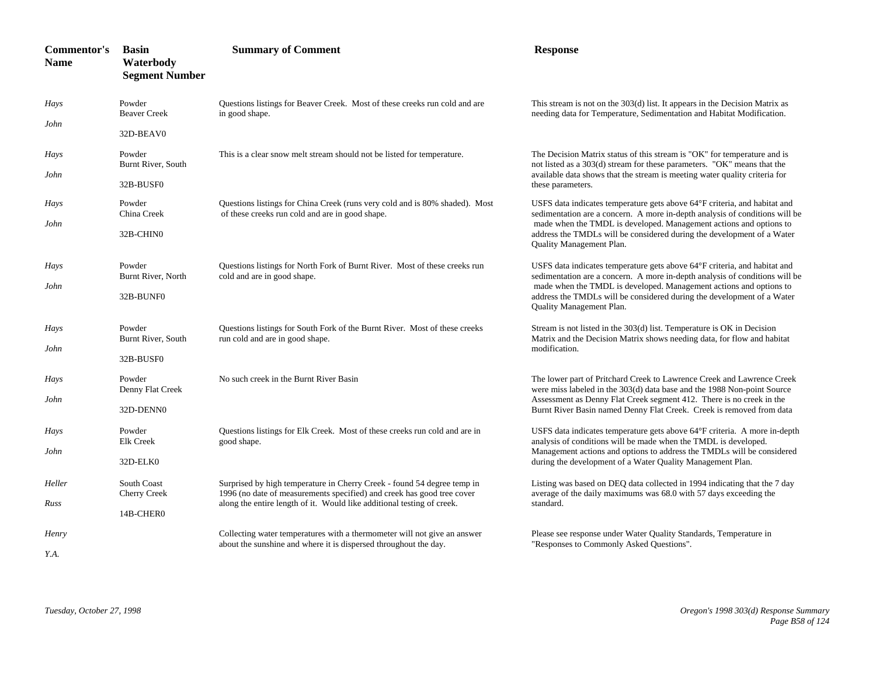| Commentor's<br><b>Name</b> | <b>Basin</b><br>Waterbody<br><b>Segment Number</b>     | <b>Summary of Comment</b>                                                                                                                                                                                                   | <b>Response</b>                                                                                                                                                                                                                                                                                                                      |
|----------------------------|--------------------------------------------------------|-----------------------------------------------------------------------------------------------------------------------------------------------------------------------------------------------------------------------------|--------------------------------------------------------------------------------------------------------------------------------------------------------------------------------------------------------------------------------------------------------------------------------------------------------------------------------------|
| Hays<br>John               | Powder<br><b>Beaver Creek</b><br>32D-BEAV0             | Questions listings for Beaver Creek. Most of these creeks run cold and are<br>in good shape.                                                                                                                                | This stream is not on the 303(d) list. It appears in the Decision Matrix as<br>needing data for Temperature, Sedimentation and Habitat Modification.                                                                                                                                                                                 |
| Hays<br>John               | Powder<br>Burnt River, South<br>32B-BUSF0              | This is a clear snow melt stream should not be listed for temperature.                                                                                                                                                      | The Decision Matrix status of this stream is "OK" for temperature and is<br>not listed as a 303(d) stream for these parameters. "OK" means that the<br>available data shows that the stream is meeting water quality criteria for<br>these parameters.                                                                               |
| Hays<br>John               | Powder<br>China Creek<br>32B-CHIN0                     | Questions listings for China Creek (runs very cold and is 80% shaded). Most<br>of these creeks run cold and are in good shape.                                                                                              | USFS data indicates temperature gets above 64°F criteria, and habitat and<br>sedimentation are a concern. A more in-depth analysis of conditions will be<br>made when the TMDL is developed. Management actions and options to<br>address the TMDLs will be considered during the development of a Water<br>Quality Management Plan. |
| Hays<br>John               | Powder<br>Burnt River, North<br>32B-BUNF0              | Questions listings for North Fork of Burnt River. Most of these creeks run<br>cold and are in good shape.                                                                                                                   | USFS data indicates temperature gets above 64°F criteria, and habitat and<br>sedimentation are a concern. A more in-depth analysis of conditions will be<br>made when the TMDL is developed. Management actions and options to<br>address the TMDLs will be considered during the development of a Water<br>Quality Management Plan. |
| Hays<br>John               | Powder<br>Burnt River, South<br>32B-BUSF0              | Questions listings for South Fork of the Burnt River. Most of these creeks<br>run cold and are in good shape.                                                                                                               | Stream is not listed in the 303(d) list. Temperature is OK in Decision<br>Matrix and the Decision Matrix shows needing data, for flow and habitat<br>modification.                                                                                                                                                                   |
| Hays<br>John               | Powder<br>Denny Flat Creek<br>32D-DENN0                | No such creek in the Burnt River Basin                                                                                                                                                                                      | The lower part of Pritchard Creek to Lawrence Creek and Lawrence Creek<br>were miss labeled in the 303(d) data base and the 1988 Non-point Source<br>Assessment as Denny Flat Creek segment 412. There is no creek in the<br>Burnt River Basin named Denny Flat Creek. Creek is removed from data                                    |
| Hays<br>John               | Powder<br>Elk Creek<br>32D-ELK0                        | Questions listings for Elk Creek. Most of these creeks run cold and are in<br>good shape.                                                                                                                                   | USFS data indicates temperature gets above 64°F criteria. A more in-depth<br>analysis of conditions will be made when the TMDL is developed.<br>Management actions and options to address the TMDLs will be considered<br>during the development of a Water Quality Management Plan.                                                 |
| Heller<br>Russ             | <b>South Coast</b><br><b>Cherry Creek</b><br>14B-CHER0 | Surprised by high temperature in Cherry Creek - found 54 degree temp in<br>1996 (no date of measurements specified) and creek has good tree cover<br>along the entire length of it. Would like additional testing of creek. | Listing was based on DEQ data collected in 1994 indicating that the 7 day<br>average of the daily maximums was 68.0 with 57 days exceeding the<br>standard.                                                                                                                                                                          |
| Henry<br>Y.A.              |                                                        | Collecting water temperatures with a thermometer will not give an answer<br>about the sunshine and where it is dispersed throughout the day.                                                                                | Please see response under Water Quality Standards, Temperature in<br>"Responses to Commonly Asked Questions".                                                                                                                                                                                                                        |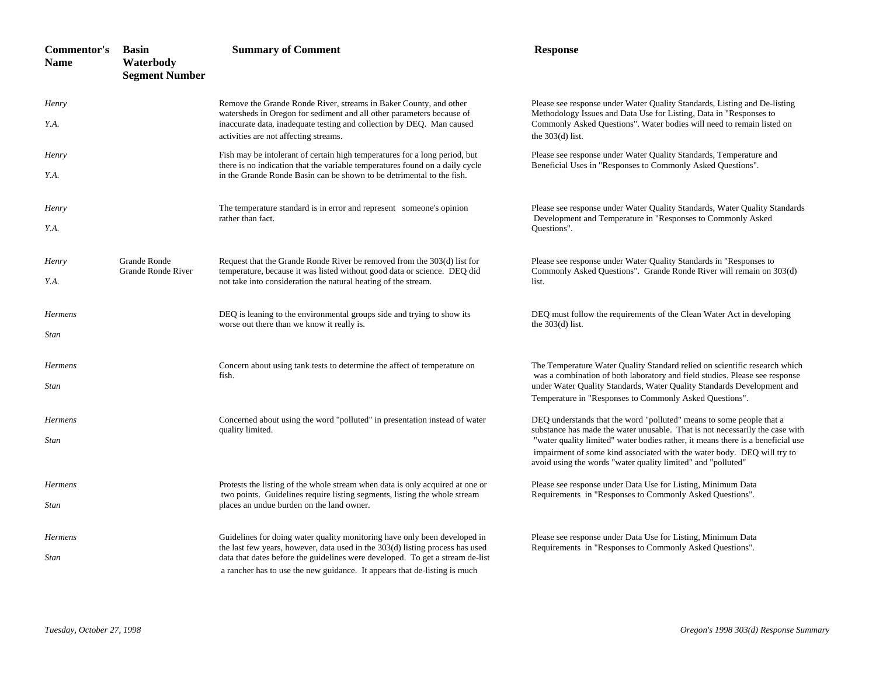| <b>Commentor's</b><br><b>Name</b> | <b>Basin</b><br>Waterbody<br><b>Segment Number</b> | <b>Summary of Comment</b>                                                                                                                                                                                                                   | <b>Response</b>                                                                                                                                                                                                                                                                                |
|-----------------------------------|----------------------------------------------------|---------------------------------------------------------------------------------------------------------------------------------------------------------------------------------------------------------------------------------------------|------------------------------------------------------------------------------------------------------------------------------------------------------------------------------------------------------------------------------------------------------------------------------------------------|
| Henry                             |                                                    | Remove the Grande Ronde River, streams in Baker County, and other                                                                                                                                                                           | Please see response under Water Quality Standards, Listing and De-listing                                                                                                                                                                                                                      |
| Y.A.                              |                                                    | watersheds in Oregon for sediment and all other parameters because of<br>inaccurate data, inadequate testing and collection by DEQ. Man caused<br>activities are not affecting streams.                                                     | Methodology Issues and Data Use for Listing, Data in "Responses to<br>Commonly Asked Questions". Water bodies will need to remain listed on<br>the $303(d)$ list.                                                                                                                              |
| Henry<br>Y.A.                     |                                                    | Fish may be intolerant of certain high temperatures for a long period, but<br>there is no indication that the variable temperatures found on a daily cycle<br>in the Grande Ronde Basin can be shown to be detrimental to the fish.         | Please see response under Water Quality Standards, Temperature and<br>Beneficial Uses in "Responses to Commonly Asked Questions".                                                                                                                                                              |
| Henry<br>Y.A.                     |                                                    | The temperature standard is in error and represent someone's opinion<br>rather than fact.                                                                                                                                                   | Please see response under Water Quality Standards, Water Quality Standards<br>Development and Temperature in "Responses to Commonly Asked"<br>Questions".                                                                                                                                      |
| Henry                             | Grande Ronde                                       | Request that the Grande Ronde River be removed from the 303(d) list for                                                                                                                                                                     | Please see response under Water Quality Standards in "Responses to                                                                                                                                                                                                                             |
| Y.A.                              | Grande Ronde River                                 | temperature, because it was listed without good data or science. DEQ did<br>not take into consideration the natural heating of the stream.                                                                                                  | Commonly Asked Questions". Grande Ronde River will remain on 303(d)<br>list.                                                                                                                                                                                                                   |
| <b>Hermens</b><br>Stan            |                                                    | DEQ is leaning to the environmental groups side and trying to show its<br>worse out there than we know it really is.                                                                                                                        | DEQ must follow the requirements of the Clean Water Act in developing<br>the $303(d)$ list.                                                                                                                                                                                                    |
| <b>Hermens</b><br>Stan            |                                                    | Concern about using tank tests to determine the affect of temperature on<br>fish.                                                                                                                                                           | The Temperature Water Quality Standard relied on scientific research which<br>was a combination of both laboratory and field studies. Please see response<br>under Water Quality Standards, Water Quality Standards Development and<br>Temperature in "Responses to Commonly Asked Questions". |
| <b>Hermens</b><br>Stan            |                                                    | Concerned about using the word "polluted" in presentation instead of water<br>quality limited.                                                                                                                                              | DEQ understands that the word "polluted" means to some people that a<br>substance has made the water unusable. That is not necessarily the case with<br>"water quality limited" water bodies rather, it means there is a beneficial use                                                        |
|                                   |                                                    |                                                                                                                                                                                                                                             | impairment of some kind associated with the water body. DEQ will try to<br>avoid using the words "water quality limited" and "polluted"                                                                                                                                                        |
| <b>Hermens</b><br>Stan            |                                                    | Protests the listing of the whole stream when data is only acquired at one or<br>two points. Guidelines require listing segments, listing the whole stream<br>places an undue burden on the land owner.                                     | Please see response under Data Use for Listing, Minimum Data<br>Requirements in "Responses to Commonly Asked Questions".                                                                                                                                                                       |
| <b>Hermens</b><br>Stan            |                                                    | Guidelines for doing water quality monitoring have only been developed in<br>the last few years, however, data used in the 303(d) listing process has used<br>data that dates before the guidelines were developed. To get a stream de-list | Please see response under Data Use for Listing, Minimum Data<br>Requirements in "Responses to Commonly Asked Questions".                                                                                                                                                                       |
|                                   |                                                    | a rancher has to use the new guidance. It appears that de-listing is much                                                                                                                                                                   |                                                                                                                                                                                                                                                                                                |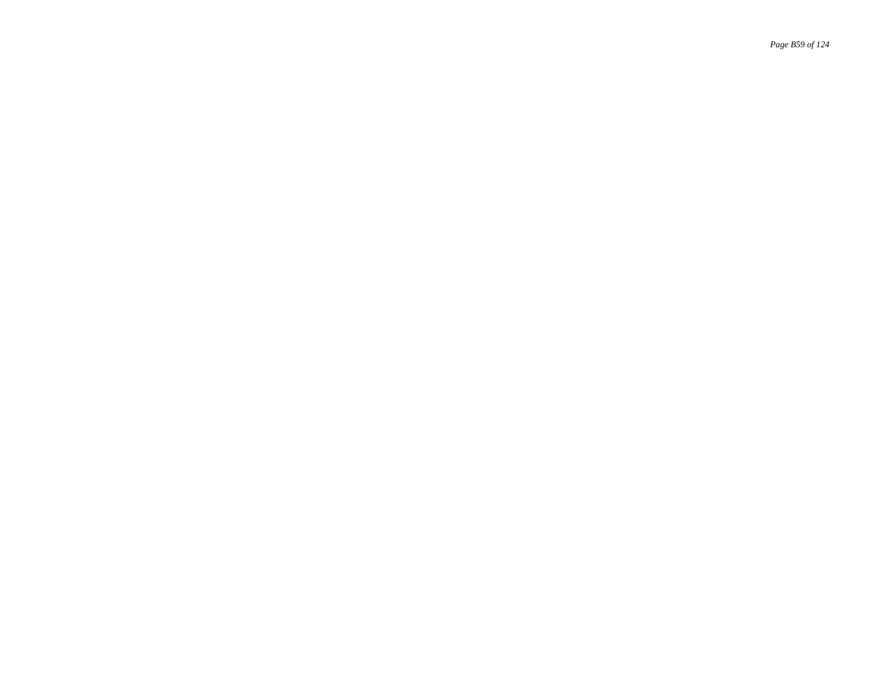*Page B59 of 124*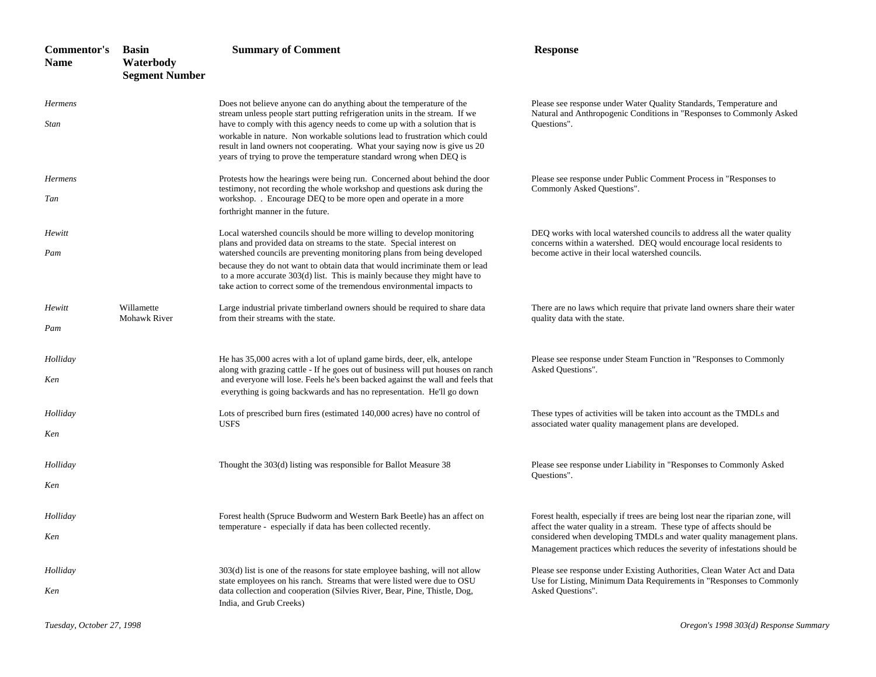| Commentor's<br><b>Name</b> | <b>Basin</b><br>Waterbody<br><b>Segment Number</b> | <b>Summary of Comment</b>                                                                                                                                                                                                                                                                                                                                                                                                                                         | <b>Response</b>                                                                                                                                                                                                                                                                                              |
|----------------------------|----------------------------------------------------|-------------------------------------------------------------------------------------------------------------------------------------------------------------------------------------------------------------------------------------------------------------------------------------------------------------------------------------------------------------------------------------------------------------------------------------------------------------------|--------------------------------------------------------------------------------------------------------------------------------------------------------------------------------------------------------------------------------------------------------------------------------------------------------------|
| <b>Hermens</b><br>Stan     |                                                    | Does not believe anyone can do anything about the temperature of the<br>stream unless people start putting refrigeration units in the stream. If we<br>have to comply with this agency needs to come up with a solution that is<br>workable in nature. Non workable solutions lead to frustration which could<br>result in land owners not cooperating. What your saying now is give us 20<br>years of trying to prove the temperature standard wrong when DEQ is | Please see response under Water Quality Standards, Temperature and<br>Natural and Anthropogenic Conditions in "Responses to Commonly Asked<br>Ouestions".                                                                                                                                                    |
| <b>Hermens</b><br>Tan      |                                                    | Protests how the hearings were being run. Concerned about behind the door<br>testimony, not recording the whole workshop and questions ask during the<br>workshop. . Encourage DEQ to be more open and operate in a more<br>forthright manner in the future.                                                                                                                                                                                                      | Please see response under Public Comment Process in "Responses to<br>Commonly Asked Questions".                                                                                                                                                                                                              |
| Hewitt<br>Pam              |                                                    | Local watershed councils should be more willing to develop monitoring<br>plans and provided data on streams to the state. Special interest on<br>watershed councils are preventing monitoring plans from being developed<br>because they do not want to obtain data that would incriminate them or lead<br>to a more accurate 303(d) list. This is mainly because they might have to<br>take action to correct some of the tremendous environmental impacts to    | DEQ works with local watershed councils to address all the water quality<br>concerns within a watershed. DEQ would encourage local residents to<br>become active in their local watershed councils.                                                                                                          |
| Hewitt<br>Pam              | Willamette<br>Mohawk River                         | Large industrial private timberland owners should be required to share data<br>from their streams with the state.                                                                                                                                                                                                                                                                                                                                                 | There are no laws which require that private land owners share their water<br>quality data with the state.                                                                                                                                                                                                   |
| Holliday<br>Ken            |                                                    | He has 35,000 acres with a lot of upland game birds, deer, elk, antelope<br>along with grazing cattle - If he goes out of business will put houses on ranch<br>and everyone will lose. Feels he's been backed against the wall and feels that<br>everything is going backwards and has no representation. He'll go down                                                                                                                                           | Please see response under Steam Function in "Responses to Commonly<br>Asked Questions".                                                                                                                                                                                                                      |
| Holliday<br>Ken            |                                                    | Lots of prescribed burn fires (estimated 140,000 acres) have no control of<br><b>USFS</b>                                                                                                                                                                                                                                                                                                                                                                         | These types of activities will be taken into account as the TMDLs and<br>associated water quality management plans are developed.                                                                                                                                                                            |
| Holliday<br>Ken            |                                                    | Thought the 303(d) listing was responsible for Ballot Measure 38                                                                                                                                                                                                                                                                                                                                                                                                  | Please see response under Liability in "Responses to Commonly Asked<br>Ouestions".                                                                                                                                                                                                                           |
| Holliday<br>Ken            |                                                    | Forest health (Spruce Budworm and Western Bark Beetle) has an affect on<br>temperature - especially if data has been collected recently.                                                                                                                                                                                                                                                                                                                          | Forest health, especially if trees are being lost near the riparian zone, will<br>affect the water quality in a stream. These type of affects should be<br>considered when developing TMDLs and water quality management plans.<br>Management practices which reduces the severity of infestations should be |
| Holliday<br>Ken            |                                                    | 303(d) list is one of the reasons for state employee bashing, will not allow<br>state employees on his ranch. Streams that were listed were due to OSU<br>data collection and cooperation (Silvies River, Bear, Pine, Thistle, Dog,<br>India, and Grub Creeks)                                                                                                                                                                                                    | Please see response under Existing Authorities, Clean Water Act and Data<br>Use for Listing, Minimum Data Requirements in "Responses to Commonly<br>Asked Questions".                                                                                                                                        |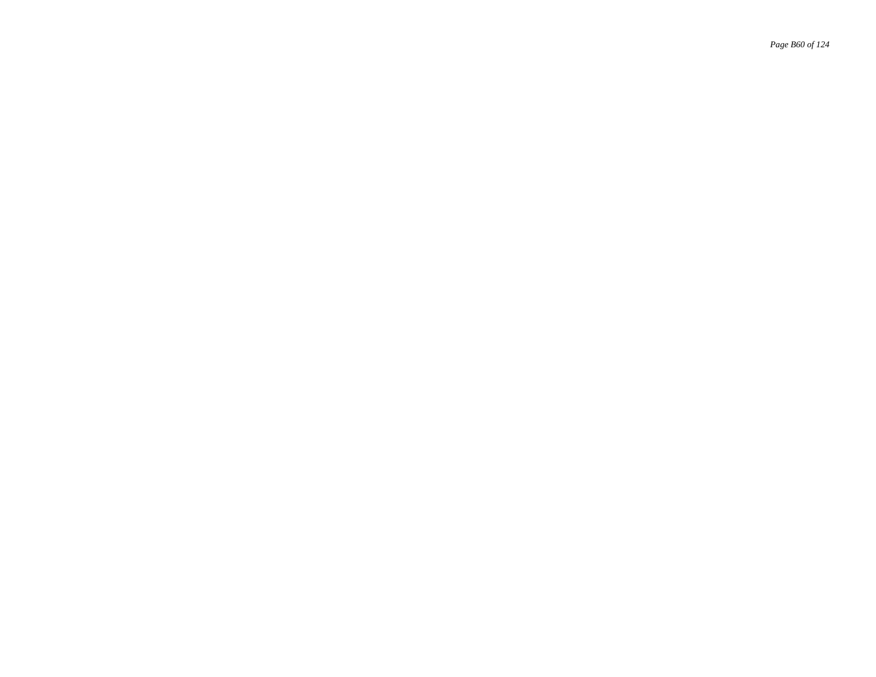*Page B60 of 124*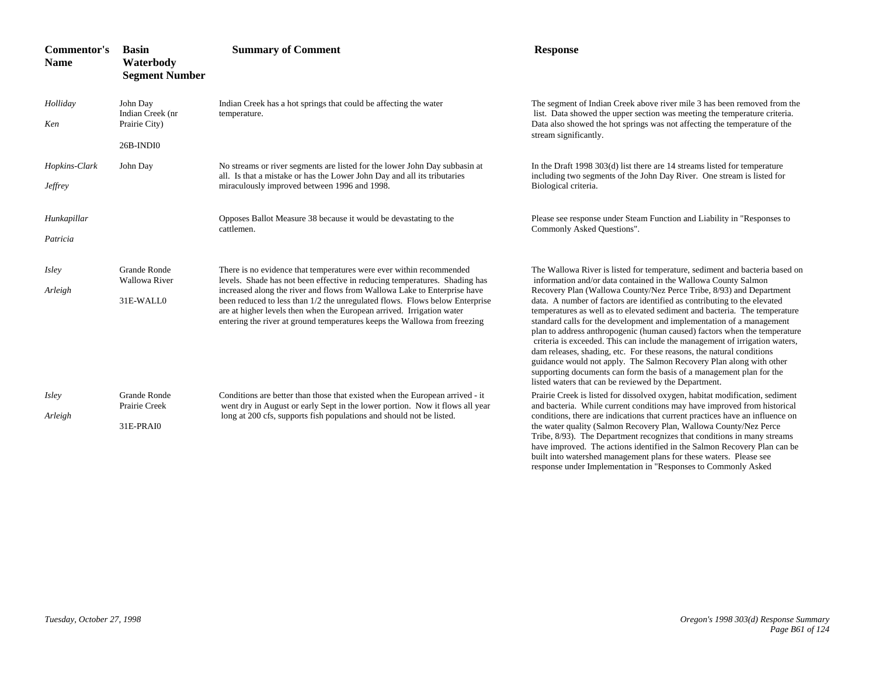| Commentor's<br><b>Name</b>      | <b>Basin</b><br>Waterbody<br><b>Segment Number</b>         | <b>Summary of Comment</b>                                                                                                                                                                                                                                                                                                                                                                                                                                          | <b>Response</b>                                                                                                                                                                                                                                                                                                                                                                                                                                                                                                                                                                                                                                                                                                                                                                                                                                                                                      |
|---------------------------------|------------------------------------------------------------|--------------------------------------------------------------------------------------------------------------------------------------------------------------------------------------------------------------------------------------------------------------------------------------------------------------------------------------------------------------------------------------------------------------------------------------------------------------------|------------------------------------------------------------------------------------------------------------------------------------------------------------------------------------------------------------------------------------------------------------------------------------------------------------------------------------------------------------------------------------------------------------------------------------------------------------------------------------------------------------------------------------------------------------------------------------------------------------------------------------------------------------------------------------------------------------------------------------------------------------------------------------------------------------------------------------------------------------------------------------------------------|
| Holliday<br>Ken                 | John Day<br>Indian Creek (nr<br>Prairie City)<br>26B-INDI0 | Indian Creek has a hot springs that could be affecting the water<br>temperature.                                                                                                                                                                                                                                                                                                                                                                                   | The segment of Indian Creek above river mile 3 has been removed from the<br>list. Data showed the upper section was meeting the temperature criteria.<br>Data also showed the hot springs was not affecting the temperature of the<br>stream significantly.                                                                                                                                                                                                                                                                                                                                                                                                                                                                                                                                                                                                                                          |
| Hopkins-Clark<br><i>Jeffrey</i> | John Day                                                   | No streams or river segments are listed for the lower John Day subbasin at<br>all. Is that a mistake or has the Lower John Day and all its tributaries<br>miraculously improved between 1996 and 1998.                                                                                                                                                                                                                                                             | In the Draft 1998 303(d) list there are 14 streams listed for temperature<br>including two segments of the John Day River. One stream is listed for<br>Biological criteria.                                                                                                                                                                                                                                                                                                                                                                                                                                                                                                                                                                                                                                                                                                                          |
| Hunkapillar<br>Patricia         |                                                            | Opposes Ballot Measure 38 because it would be devastating to the<br>cattlemen.                                                                                                                                                                                                                                                                                                                                                                                     | Please see response under Steam Function and Liability in "Responses to<br>Commonly Asked Questions".                                                                                                                                                                                                                                                                                                                                                                                                                                                                                                                                                                                                                                                                                                                                                                                                |
| <i>Isley</i><br>Arleigh         | <b>Grande Ronde</b><br><b>Wallowa River</b><br>31E-WALL0   | There is no evidence that temperatures were ever within recommended<br>levels. Shade has not been effective in reducing temperatures. Shading has<br>increased along the river and flows from Wallowa Lake to Enterprise have<br>been reduced to less than 1/2 the unregulated flows. Flows below Enterprise<br>are at higher levels then when the European arrived. Irrigation water<br>entering the river at ground temperatures keeps the Wallowa from freezing | The Wallowa River is listed for temperature, sediment and bacteria based on<br>information and/or data contained in the Wallowa County Salmon<br>Recovery Plan (Wallowa County/Nez Perce Tribe, 8/93) and Department<br>data. A number of factors are identified as contributing to the elevated<br>temperatures as well as to elevated sediment and bacteria. The temperature<br>standard calls for the development and implementation of a management<br>plan to address anthropogenic (human caused) factors when the temperature<br>criteria is exceeded. This can include the management of irrigation waters,<br>dam releases, shading, etc. For these reasons, the natural conditions<br>guidance would not apply. The Salmon Recovery Plan along with other<br>supporting documents can form the basis of a management plan for the<br>listed waters that can be reviewed by the Department. |
| <i>Isley</i><br>Arleigh         | Grande Ronde<br>Prairie Creek<br>31E-PRAI0                 | Conditions are better than those that existed when the European arrived - it<br>went dry in August or early Sept in the lower portion. Now it flows all year<br>long at 200 cfs, supports fish populations and should not be listed.                                                                                                                                                                                                                               | Prairie Creek is listed for dissolved oxygen, habitat modification, sediment<br>and bacteria. While current conditions may have improved from historical<br>conditions, there are indications that current practices have an influence on<br>the water quality (Salmon Recovery Plan, Wallowa County/Nez Perce<br>Tribe, 8/93). The Department recognizes that conditions in many streams<br>have improved. The actions identified in the Salmon Recovery Plan can be<br>built into watershed management plans for these waters. Please see                                                                                                                                                                                                                                                                                                                                                          |

response under Implementation in "Responses to Commonly Asked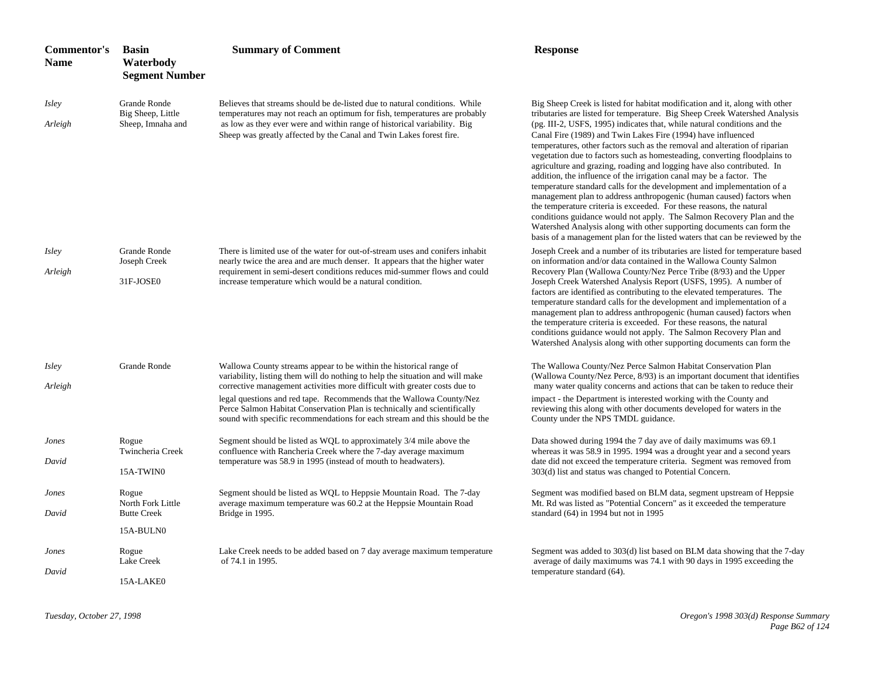| Commentor's<br><b>Name</b> | <b>Basin</b><br>Waterbody<br><b>Segment Number</b>            | <b>Summary of Comment</b>                                                                                                                                                                                                                                                                                                                                                                                                                                          | <b>Response</b>                                                                                                                                                                                                                                                                                                                                                                                                                                                                                                                                                                                                                                                                                                                                                                                                                                                                                                                                                                                                                                                                |
|----------------------------|---------------------------------------------------------------|--------------------------------------------------------------------------------------------------------------------------------------------------------------------------------------------------------------------------------------------------------------------------------------------------------------------------------------------------------------------------------------------------------------------------------------------------------------------|--------------------------------------------------------------------------------------------------------------------------------------------------------------------------------------------------------------------------------------------------------------------------------------------------------------------------------------------------------------------------------------------------------------------------------------------------------------------------------------------------------------------------------------------------------------------------------------------------------------------------------------------------------------------------------------------------------------------------------------------------------------------------------------------------------------------------------------------------------------------------------------------------------------------------------------------------------------------------------------------------------------------------------------------------------------------------------|
| <i>Isley</i><br>Arleigh    | <b>Grande Ronde</b><br>Big Sheep, Little<br>Sheep, Imnaha and | Believes that streams should be de-listed due to natural conditions. While<br>temperatures may not reach an optimum for fish, temperatures are probably<br>as low as they ever were and within range of historical variability. Big<br>Sheep was greatly affected by the Canal and Twin Lakes forest fire.                                                                                                                                                         | Big Sheep Creek is listed for habitat modification and it, along with other<br>tributaries are listed for temperature. Big Sheep Creek Watershed Analysis<br>(pg. III-2, USFS, 1995) indicates that, while natural conditions and the<br>Canal Fire (1989) and Twin Lakes Fire (1994) have influenced<br>temperatures, other factors such as the removal and alteration of riparian<br>vegetation due to factors such as homesteading, converting floodplains to<br>agriculture and grazing, roading and logging have also contributed. In<br>addition, the influence of the irrigation canal may be a factor. The<br>temperature standard calls for the development and implementation of a<br>management plan to address anthropogenic (human caused) factors when<br>the temperature criteria is exceeded. For these reasons, the natural<br>conditions guidance would not apply. The Salmon Recovery Plan and the<br>Watershed Analysis along with other supporting documents can form the<br>basis of a management plan for the listed waters that can be reviewed by the |
| <i>Isley</i><br>Arleigh    | Grande Ronde<br>Joseph Creek<br>31F-JOSE0                     | There is limited use of the water for out-of-stream uses and conifers inhabit<br>nearly twice the area and are much denser. It appears that the higher water<br>requirement in semi-desert conditions reduces mid-summer flows and could<br>increase temperature which would be a natural condition.                                                                                                                                                               | Joseph Creek and a number of its tributaries are listed for temperature based<br>on information and/or data contained in the Wallowa County Salmon<br>Recovery Plan (Wallowa County/Nez Perce Tribe (8/93) and the Upper<br>Joseph Creek Watershed Analysis Report (USFS, 1995). A number of<br>factors are identified as contributing to the elevated temperatures. The<br>temperature standard calls for the development and implementation of a<br>management plan to address anthropogenic (human caused) factors when<br>the temperature criteria is exceeded. For these reasons, the natural<br>conditions guidance would not apply. The Salmon Recovery Plan and<br>Watershed Analysis along with other supporting documents can form the                                                                                                                                                                                                                                                                                                                               |
| <i>Isley</i><br>Arleigh    | <b>Grande Ronde</b>                                           | Wallowa County streams appear to be within the historical range of<br>variability, listing them will do nothing to help the situation and will make<br>corrective management activities more difficult with greater costs due to<br>legal questions and red tape. Recommends that the Wallowa County/Nez<br>Perce Salmon Habitat Conservation Plan is technically and scientifically<br>sound with specific recommendations for each stream and this should be the | The Wallowa County/Nez Perce Salmon Habitat Conservation Plan<br>(Wallowa County/Nez Perce, 8/93) is an important document that identifies<br>many water quality concerns and actions that can be taken to reduce their<br>impact - the Department is interested working with the County and<br>reviewing this along with other documents developed for waters in the<br>County under the NPS TMDL guidance.                                                                                                                                                                                                                                                                                                                                                                                                                                                                                                                                                                                                                                                                   |
| Jones<br>David             | Rogue<br>Twincheria Creek<br>15A-TWIN0                        | Segment should be listed as WQL to approximately 3/4 mile above the<br>confluence with Rancheria Creek where the 7-day average maximum<br>temperature was 58.9 in 1995 (instead of mouth to headwaters).                                                                                                                                                                                                                                                           | Data showed during 1994 the 7 day ave of daily maximums was 69.1<br>whereas it was 58.9 in 1995. 1994 was a drought year and a second years<br>date did not exceed the temperature criteria. Segment was removed from<br>303(d) list and status was changed to Potential Concern.                                                                                                                                                                                                                                                                                                                                                                                                                                                                                                                                                                                                                                                                                                                                                                                              |
| Jones<br>David             | Rogue<br>North Fork Little<br><b>Butte Creek</b><br>15A-BULN0 | Segment should be listed as WQL to Heppsie Mountain Road. The 7-day<br>average maximum temperature was 60.2 at the Heppsie Mountain Road<br>Bridge in 1995.                                                                                                                                                                                                                                                                                                        | Segment was modified based on BLM data, segment upstream of Heppsie<br>Mt. Rd was listed as "Potential Concern" as it exceeded the temperature<br>standard $(64)$ in 1994 but not in 1995                                                                                                                                                                                                                                                                                                                                                                                                                                                                                                                                                                                                                                                                                                                                                                                                                                                                                      |
| Jones<br>David             | Rogue<br>Lake Creek<br>15A-LAKE0                              | Lake Creek needs to be added based on 7 day average maximum temperature<br>of 74.1 in 1995.                                                                                                                                                                                                                                                                                                                                                                        | Segment was added to 303(d) list based on BLM data showing that the 7-day<br>average of daily maximums was 74.1 with 90 days in 1995 exceeding the<br>temperature standard (64).                                                                                                                                                                                                                                                                                                                                                                                                                                                                                                                                                                                                                                                                                                                                                                                                                                                                                               |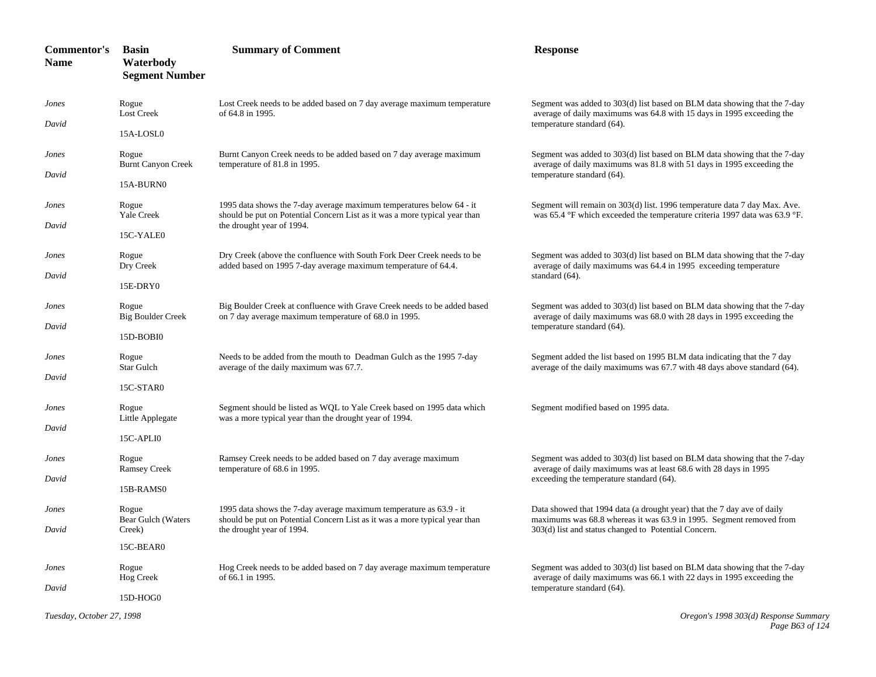| Commentor's<br>Name       | <b>Basin</b><br>Waterbody<br><b>Segment Number</b> | <b>Summary of Comment</b>                                                                                                                          | <b>Response</b>                                                                                                                                                                  |
|---------------------------|----------------------------------------------------|----------------------------------------------------------------------------------------------------------------------------------------------------|----------------------------------------------------------------------------------------------------------------------------------------------------------------------------------|
| Jones<br>David            | Rogue<br>Lost Creek                                | Lost Creek needs to be added based on 7 day average maximum temperature<br>of 64.8 in 1995.                                                        | Segment was added to 303(d) list based on BLM data showing that the 7-day<br>average of daily maximums was 64.8 with 15 days in 1995 exceeding the<br>temperature standard (64). |
|                           | 15A-LOSL0                                          |                                                                                                                                                    |                                                                                                                                                                                  |
| Jones<br>David            | Rogue<br><b>Burnt Canyon Creek</b>                 | Burnt Canyon Creek needs to be added based on 7 day average maximum<br>temperature of 81.8 in 1995.                                                | Segment was added to 303(d) list based on BLM data showing that the 7-day<br>average of daily maximums was 81.8 with 51 days in 1995 exceeding the<br>temperature standard (64). |
|                           | 15A-BURN0                                          |                                                                                                                                                    |                                                                                                                                                                                  |
| Jones                     | Rogue<br><b>Yale Creek</b>                         | 1995 data shows the 7-day average maximum temperatures below 64 - it<br>should be put on Potential Concern List as it was a more typical year than | Segment will remain on 303(d) list. 1996 temperature data 7 day Max. Ave.<br>was 65.4 °F which exceeded the temperature criteria 1997 data was 63.9 °F.                          |
| David                     | 15C-YALE0                                          | the drought year of 1994.                                                                                                                          |                                                                                                                                                                                  |
| Jones                     | Rogue<br>Dry Creek                                 | Dry Creek (above the confluence with South Fork Deer Creek needs to be<br>added based on 1995 7-day average maximum temperature of 64.4.           | Segment was added to 303(d) list based on BLM data showing that the 7-day<br>average of daily maximums was 64.4 in 1995 exceeding temperature                                    |
| David                     | 15E-DRY0                                           |                                                                                                                                                    | standard $(64)$ .                                                                                                                                                                |
| Jones                     | Rogue<br><b>Big Boulder Creek</b>                  | Big Boulder Creek at confluence with Grave Creek needs to be added based<br>on 7 day average maximum temperature of 68.0 in 1995.                  | Segment was added to 303(d) list based on BLM data showing that the 7-day<br>average of daily maximums was 68.0 with 28 days in 1995 exceeding the                               |
| David                     | 15D-BOBI0                                          |                                                                                                                                                    | temperature standard (64).                                                                                                                                                       |
| Jones                     | Rogue<br>Star Gulch                                | Needs to be added from the mouth to Deadman Gulch as the 1995 7-day<br>average of the daily maximum was 67.7.                                      | Segment added the list based on 1995 BLM data indicating that the 7 day<br>average of the daily maximums was 67.7 with 48 days above standard (64).                              |
| David                     | 15C-STAR0                                          |                                                                                                                                                    |                                                                                                                                                                                  |
| Jones                     | Rogue<br>Little Applegate                          | Segment should be listed as WQL to Yale Creek based on 1995 data which<br>was a more typical year than the drought year of 1994.                   | Segment modified based on 1995 data.                                                                                                                                             |
| David                     | 15C-APLI0                                          |                                                                                                                                                    |                                                                                                                                                                                  |
| Jones                     | Rogue<br><b>Ramsey Creek</b>                       | Ramsey Creek needs to be added based on 7 day average maximum<br>temperature of 68.6 in 1995.                                                      | Segment was added to 303(d) list based on BLM data showing that the 7-day<br>average of daily maximums was at least 68.6 with 28 days in 1995                                    |
| David                     | 15B-RAMS0                                          |                                                                                                                                                    | exceeding the temperature standard (64).                                                                                                                                         |
| Jones                     | Rogue<br>Bear Gulch (Waters                        | 1995 data shows the 7-day average maximum temperature as 63.9 - it<br>should be put on Potential Concern List as it was a more typical year than   | Data showed that 1994 data (a drought year) that the 7 day ave of daily<br>maximums was 68.8 whereas it was 63.9 in 1995. Segment removed from                                   |
| David                     | Creek)                                             | the drought year of 1994.                                                                                                                          | 303(d) list and status changed to Potential Concern.                                                                                                                             |
|                           | 15C-BEAR0                                          |                                                                                                                                                    |                                                                                                                                                                                  |
| Jones                     | Rogue<br><b>Hog Creek</b>                          | Hog Creek needs to be added based on 7 day average maximum temperature<br>of 66.1 in 1995.                                                         | Segment was added to 303(d) list based on BLM data showing that the 7-day<br>average of daily maximums was 66.1 with 22 days in 1995 exceeding the                               |
| David                     | 15D-HOG0                                           |                                                                                                                                                    | temperature standard (64).                                                                                                                                                       |
| Tuesday, October 27, 1998 |                                                    |                                                                                                                                                    | Oregon's 1998 303(d) Response Summary                                                                                                                                            |

*Page B63 of 124*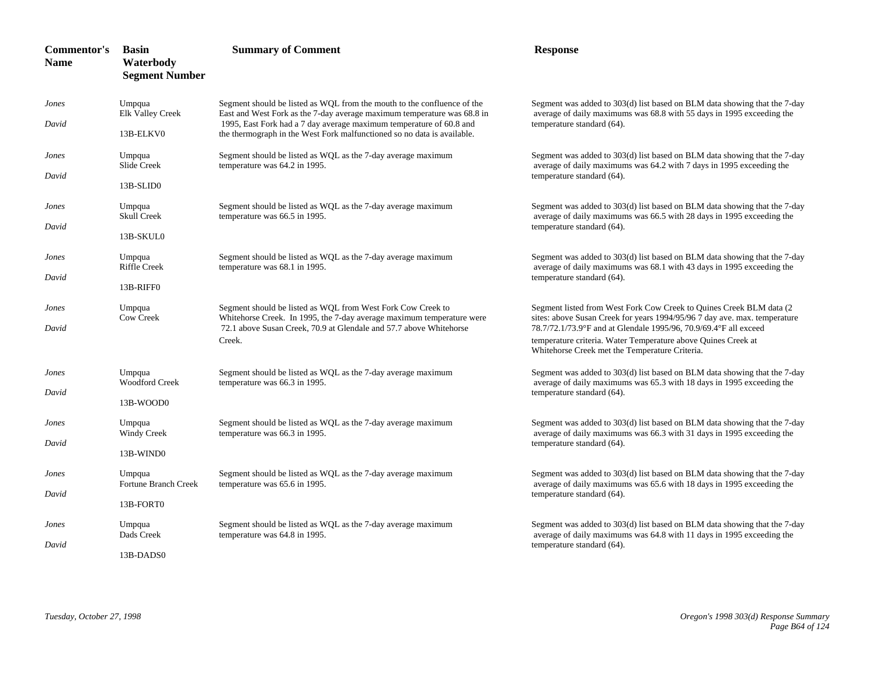| Commentor's<br><b>Name</b> | <b>Basin</b><br>Waterbody<br><b>Segment Number</b> | <b>Summary of Comment</b>                                                                                                                                                                                                                                                                            | <b>Response</b>                                                                                                                                                                                                                                                                                                                          |
|----------------------------|----------------------------------------------------|------------------------------------------------------------------------------------------------------------------------------------------------------------------------------------------------------------------------------------------------------------------------------------------------------|------------------------------------------------------------------------------------------------------------------------------------------------------------------------------------------------------------------------------------------------------------------------------------------------------------------------------------------|
| Jones<br>David             | Umpqua<br><b>Elk Valley Creek</b><br>13B-ELKV0     | Segment should be listed as WQL from the mouth to the confluence of the<br>East and West Fork as the 7-day average maximum temperature was 68.8 in<br>1995, East Fork had a 7 day average maximum temperature of 60.8 and<br>the thermograph in the West Fork malfunctioned so no data is available. | Segment was added to 303(d) list based on BLM data showing that the 7-day<br>average of daily maximums was 68.8 with 55 days in 1995 exceeding the<br>temperature standard (64).                                                                                                                                                         |
| Jones<br>David             | Umpqua<br>Slide Creek<br>13B-SLID0                 | Segment should be listed as WQL as the 7-day average maximum<br>temperature was 64.2 in 1995.                                                                                                                                                                                                        | Segment was added to 303(d) list based on BLM data showing that the 7-day<br>average of daily maximums was 64.2 with 7 days in 1995 exceeding the<br>temperature standard (64).                                                                                                                                                          |
| Jones<br>David             | Umpqua<br><b>Skull Creek</b><br>13B-SKUL0          | Segment should be listed as WQL as the 7-day average maximum<br>temperature was 66.5 in 1995.                                                                                                                                                                                                        | Segment was added to 303(d) list based on BLM data showing that the 7-day<br>average of daily maximums was 66.5 with 28 days in 1995 exceeding the<br>temperature standard (64).                                                                                                                                                         |
| Jones<br>David             | Umpqua<br>Riffle Creek<br>13B-RIFF0                | Segment should be listed as WQL as the 7-day average maximum<br>temperature was 68.1 in 1995.                                                                                                                                                                                                        | Segment was added to 303(d) list based on BLM data showing that the 7-day<br>average of daily maximums was 68.1 with 43 days in 1995 exceeding the<br>temperature standard (64).                                                                                                                                                         |
| Jones<br>David             | Umpqua<br><b>Cow Creek</b>                         | Segment should be listed as WQL from West Fork Cow Creek to<br>Whitehorse Creek. In 1995, the 7-day average maximum temperature were<br>72.1 above Susan Creek, 70.9 at Glendale and 57.7 above Whitehorse<br>Creek.                                                                                 | Segment listed from West Fork Cow Creek to Quines Creek BLM data (2)<br>sites: above Susan Creek for years 1994/95/96 7 day ave. max. temperature<br>78.7/72.1/73.9°F and at Glendale 1995/96, 70.9/69.4°F all exceed<br>temperature criteria. Water Temperature above Quines Creek at<br>Whitehorse Creek met the Temperature Criteria. |
| Jones<br>David             | Umpqua<br><b>Woodford Creek</b><br>13B-WOOD0       | Segment should be listed as WQL as the 7-day average maximum<br>temperature was 66.3 in 1995.                                                                                                                                                                                                        | Segment was added to 303(d) list based on BLM data showing that the 7-day<br>average of daily maximums was 65.3 with 18 days in 1995 exceeding the<br>temperature standard (64).                                                                                                                                                         |
| Jones<br>David             | Umpqua<br>Windy Creek<br>13B-WIND0                 | Segment should be listed as WQL as the 7-day average maximum<br>temperature was 66.3 in 1995.                                                                                                                                                                                                        | Segment was added to 303(d) list based on BLM data showing that the 7-day<br>average of daily maximums was 66.3 with 31 days in 1995 exceeding the<br>temperature standard (64).                                                                                                                                                         |
| Jones<br>David             | Umpqua<br>Fortune Branch Creek<br>13B-FORT0        | Segment should be listed as WQL as the 7-day average maximum<br>temperature was 65.6 in 1995.                                                                                                                                                                                                        | Segment was added to 303(d) list based on BLM data showing that the 7-day<br>average of daily maximums was 65.6 with 18 days in 1995 exceeding the<br>temperature standard (64).                                                                                                                                                         |
| Jones<br>David             | Umpqua<br>Dads Creek<br>13B-DADS0                  | Segment should be listed as WQL as the 7-day average maximum<br>temperature was 64.8 in 1995.                                                                                                                                                                                                        | Segment was added to 303(d) list based on BLM data showing that the 7-day<br>average of daily maximums was 64.8 with 11 days in 1995 exceeding the<br>temperature standard (64).                                                                                                                                                         |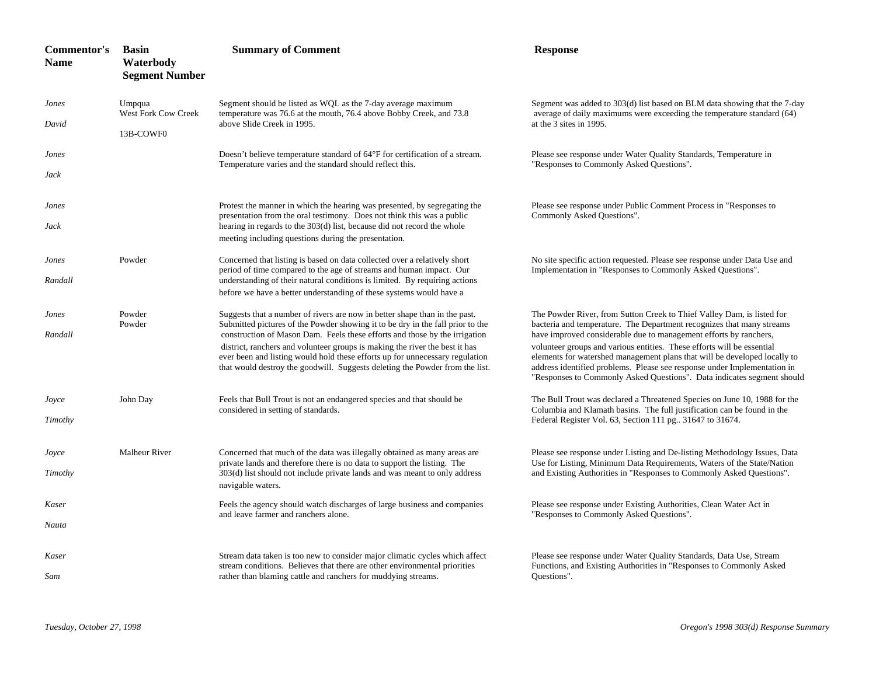| <b>Commentor's</b><br><b>Name</b> | <b>Basin</b><br>Waterbody<br><b>Segment Number</b> | <b>Summary of Comment</b>                                                                                                                                                                                                                   | <b>Response</b>                                                                                                                                                                                                                                                                                           |
|-----------------------------------|----------------------------------------------------|---------------------------------------------------------------------------------------------------------------------------------------------------------------------------------------------------------------------------------------------|-----------------------------------------------------------------------------------------------------------------------------------------------------------------------------------------------------------------------------------------------------------------------------------------------------------|
| Jones                             | Umpqua<br>West Fork Cow Creek                      | Segment should be listed as WQL as the 7-day average maximum                                                                                                                                                                                | Segment was added to 303(d) list based on BLM data showing that the 7-day                                                                                                                                                                                                                                 |
| David                             | 13B-COWF0                                          | temperature was 76.6 at the mouth, 76.4 above Bobby Creek, and 73.8<br>above Slide Creek in 1995.                                                                                                                                           | average of daily maximums were exceeding the temperature standard (64)<br>at the 3 sites in 1995.                                                                                                                                                                                                         |
| Jones                             |                                                    | Doesn't believe temperature standard of 64°F for certification of a stream.<br>Temperature varies and the standard should reflect this.                                                                                                     | Please see response under Water Quality Standards, Temperature in<br>"Responses to Commonly Asked Questions".                                                                                                                                                                                             |
| Jack                              |                                                    |                                                                                                                                                                                                                                             |                                                                                                                                                                                                                                                                                                           |
| Jones                             |                                                    | Protest the manner in which the hearing was presented, by segregating the<br>presentation from the oral testimony. Does not think this was a public                                                                                         | Please see response under Public Comment Process in "Responses to<br>Commonly Asked Questions".                                                                                                                                                                                                           |
| Jack                              |                                                    | hearing in regards to the 303(d) list, because did not record the whole<br>meeting including questions during the presentation.                                                                                                             |                                                                                                                                                                                                                                                                                                           |
| Jones                             | Powder                                             | Concerned that listing is based on data collected over a relatively short<br>period of time compared to the age of streams and human impact. Our                                                                                            | No site specific action requested. Please see response under Data Use and<br>Implementation in "Responses to Commonly Asked Questions".                                                                                                                                                                   |
| Randall                           |                                                    | understanding of their natural conditions is limited. By requiring actions<br>before we have a better understanding of these systems would have a                                                                                           |                                                                                                                                                                                                                                                                                                           |
| Jones<br>Randall                  | Powder<br>Powder                                   | Suggests that a number of rivers are now in better shape than in the past.<br>Submitted pictures of the Powder showing it to be dry in the fall prior to the<br>construction of Mason Dam. Feels these efforts and those by the irrigation  | The Powder River, from Sutton Creek to Thief Valley Dam, is listed for<br>bacteria and temperature. The Department recognizes that many streams<br>have improved considerable due to management efforts by ranchers,                                                                                      |
|                                   |                                                    | district, ranchers and volunteer groups is making the river the best it has<br>ever been and listing would hold these efforts up for unnecessary regulation<br>that would destroy the goodwill. Suggests deleting the Powder from the list. | volunteer groups and various entities. These efforts will be essential<br>elements for watershed management plans that will be developed locally to<br>address identified problems. Please see response under Implementation in<br>"Responses to Commonly Asked Questions". Data indicates segment should |
| Joyce                             | John Day                                           | Feels that Bull Trout is not an endangered species and that should be<br>considered in setting of standards.                                                                                                                                | The Bull Trout was declared a Threatened Species on June 10, 1988 for the<br>Columbia and Klamath basins. The full justification can be found in the                                                                                                                                                      |
| Timothy                           |                                                    |                                                                                                                                                                                                                                             | Federal Register Vol. 63, Section 111 pg. 31647 to 31674.                                                                                                                                                                                                                                                 |
| Joyce                             | <b>Malheur River</b>                               | Concerned that much of the data was illegally obtained as many areas are                                                                                                                                                                    | Please see response under Listing and De-listing Methodology Issues, Data                                                                                                                                                                                                                                 |
| Timothy                           |                                                    | private lands and therefore there is no data to support the listing. The<br>303(d) list should not include private lands and was meant to only address<br>navigable waters.                                                                 | Use for Listing, Minimum Data Requirements, Waters of the State/Nation<br>and Existing Authorities in "Responses to Commonly Asked Questions".                                                                                                                                                            |
| Kaser                             |                                                    | Feels the agency should watch discharges of large business and companies<br>and leave farmer and ranchers alone.                                                                                                                            | Please see response under Existing Authorities, Clean Water Act in<br>"Responses to Commonly Asked Questions".                                                                                                                                                                                            |
| Nauta                             |                                                    |                                                                                                                                                                                                                                             |                                                                                                                                                                                                                                                                                                           |
| Kaser                             |                                                    | Stream data taken is too new to consider major climatic cycles which affect<br>stream conditions. Believes that there are other environmental priorities                                                                                    | Please see response under Water Quality Standards, Data Use, Stream<br>Functions, and Existing Authorities in "Responses to Commonly Asked                                                                                                                                                                |
| Sam                               |                                                    | rather than blaming cattle and ranchers for muddying streams.                                                                                                                                                                               | Questions".                                                                                                                                                                                                                                                                                               |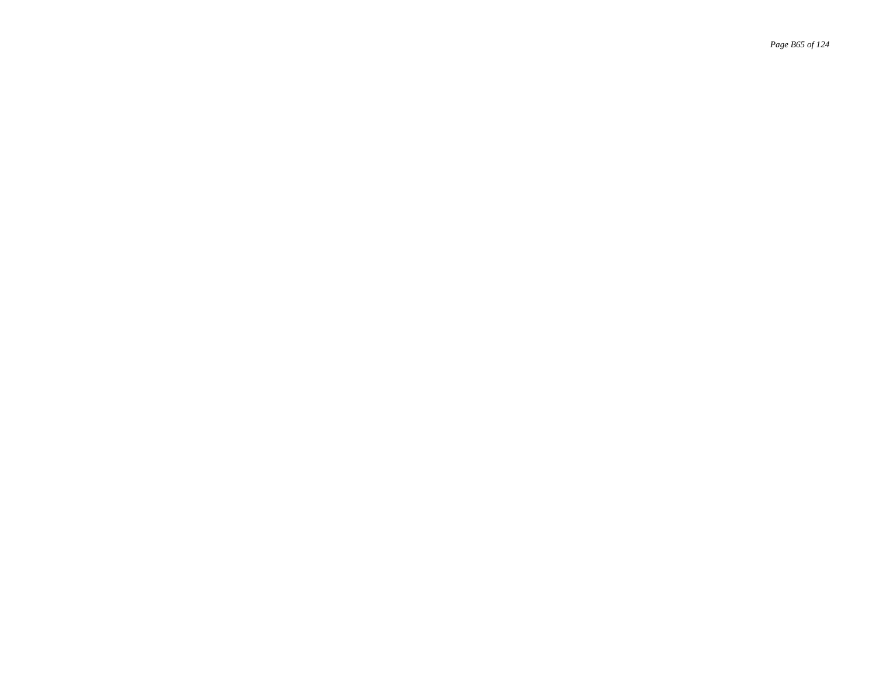*Page B65 of 124*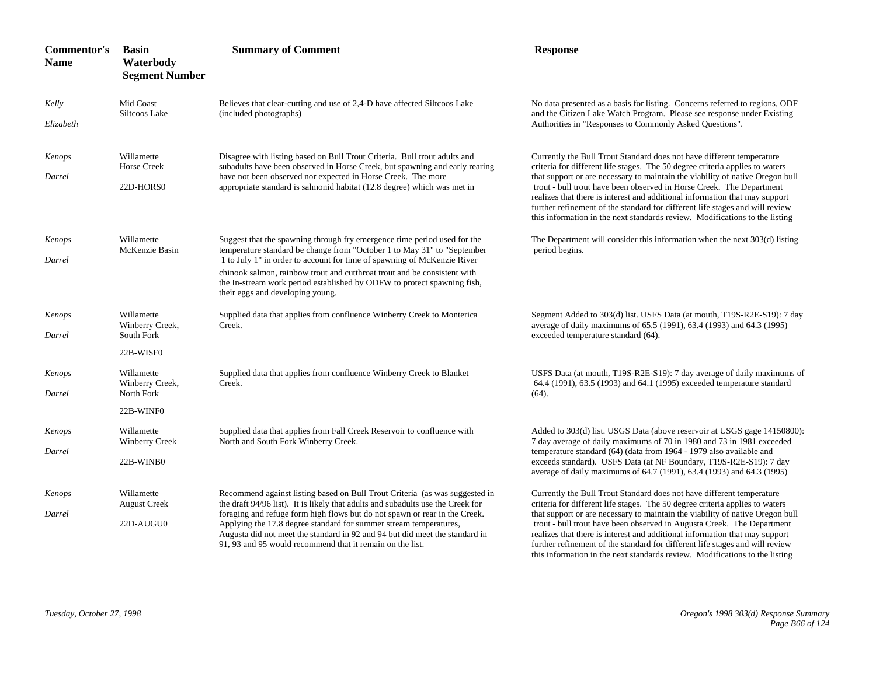| Commentor's<br><b>Name</b> | <b>Basin</b><br>Waterbody<br><b>Segment Number</b>       | <b>Summary of Comment</b>                                                                                                                                                                                                                                                                                                                                                                                                                                     | <b>Response</b>                                                                                                                                                                                                                                                                                                                                                                                                                                                                                                                                                |
|----------------------------|----------------------------------------------------------|---------------------------------------------------------------------------------------------------------------------------------------------------------------------------------------------------------------------------------------------------------------------------------------------------------------------------------------------------------------------------------------------------------------------------------------------------------------|----------------------------------------------------------------------------------------------------------------------------------------------------------------------------------------------------------------------------------------------------------------------------------------------------------------------------------------------------------------------------------------------------------------------------------------------------------------------------------------------------------------------------------------------------------------|
| Kelly<br>Elizabeth         | Mid Coast<br>Siltcoos Lake                               | Believes that clear-cutting and use of 2,4-D have affected Siltcoos Lake<br>(included photographs)                                                                                                                                                                                                                                                                                                                                                            | No data presented as a basis for listing. Concerns referred to regions, ODF<br>and the Citizen Lake Watch Program. Please see response under Existing<br>Authorities in "Responses to Commonly Asked Questions".                                                                                                                                                                                                                                                                                                                                               |
| Kenops<br>Darrel           | Willamette<br><b>Horse Creek</b><br>22D-HORS0            | Disagree with listing based on Bull Trout Criteria. Bull trout adults and<br>subadults have been observed in Horse Creek, but spawning and early rearing<br>have not been observed nor expected in Horse Creek. The more<br>appropriate standard is salmonid habitat (12.8 degree) which was met in                                                                                                                                                           | Currently the Bull Trout Standard does not have different temperature<br>criteria for different life stages. The 50 degree criteria applies to waters<br>that support or are necessary to maintain the viability of native Oregon bull<br>trout - bull trout have been observed in Horse Creek. The Department<br>realizes that there is interest and additional information that may support<br>further refinement of the standard for different life stages and will review<br>this information in the next standards review. Modifications to the listing   |
| Kenops<br>Darrel           | Willamette<br>McKenzie Basin                             | Suggest that the spawning through fry emergence time period used for the<br>temperature standard be change from "October 1 to May 31" to "September<br>1 to July 1" in order to account for time of spawning of McKenzie River<br>chinook salmon, rainbow trout and cutthroat trout and be consistent with<br>the In-stream work period established by ODFW to protect spawning fish,<br>their eggs and developing young.                                     | The Department will consider this information when the next 303(d) listing<br>period begins.                                                                                                                                                                                                                                                                                                                                                                                                                                                                   |
| Kenops<br>Darrel           | Willamette<br>Winberry Creek,<br>South Fork<br>22B-WISF0 | Supplied data that applies from confluence Winberry Creek to Monterica<br>Creek.                                                                                                                                                                                                                                                                                                                                                                              | Segment Added to 303(d) list. USFS Data (at mouth, T19S-R2E-S19): 7 day<br>average of daily maximums of 65.5 (1991), 63.4 (1993) and 64.3 (1995)<br>exceeded temperature standard (64).                                                                                                                                                                                                                                                                                                                                                                        |
| Kenops<br>Darrel           | Willamette<br>Winberry Creek,<br>North Fork<br>22B-WINF0 | Supplied data that applies from confluence Winberry Creek to Blanket<br>Creek.                                                                                                                                                                                                                                                                                                                                                                                | USFS Data (at mouth, T19S-R2E-S19): 7 day average of daily maximums of<br>64.4 (1991), 63.5 (1993) and 64.1 (1995) exceeded temperature standard<br>$(64)$ .                                                                                                                                                                                                                                                                                                                                                                                                   |
| Kenops<br>Darrel           | Willamette<br>Winberry Creek<br>22B-WINB0                | Supplied data that applies from Fall Creek Reservoir to confluence with<br>North and South Fork Winberry Creek.                                                                                                                                                                                                                                                                                                                                               | Added to 303(d) list. USGS Data (above reservoir at USGS gage 14150800):<br>7 day average of daily maximums of 70 in 1980 and 73 in 1981 exceeded<br>temperature standard (64) (data from 1964 - 1979 also available and<br>exceeds standard). USFS Data (at NF Boundary, T19S-R2E-S19): 7 day<br>average of daily maximums of 64.7 (1991), 63.4 (1993) and 64.3 (1995)                                                                                                                                                                                        |
| Kenops<br>Darrel           | Willamette<br><b>August Creek</b><br>22D-AUGU0           | Recommend against listing based on Bull Trout Criteria (as was suggested in<br>the draft 94/96 list). It is likely that adults and subadults use the Creek for<br>foraging and refuge form high flows but do not spawn or rear in the Creek.<br>Applying the 17.8 degree standard for summer stream temperatures,<br>Augusta did not meet the standard in 92 and 94 but did meet the standard in<br>91, 93 and 95 would recommend that it remain on the list. | Currently the Bull Trout Standard does not have different temperature<br>criteria for different life stages. The 50 degree criteria applies to waters<br>that support or are necessary to maintain the viability of native Oregon bull<br>trout - bull trout have been observed in Augusta Creek. The Department<br>realizes that there is interest and additional information that may support<br>further refinement of the standard for different life stages and will review<br>this information in the next standards review. Modifications to the listing |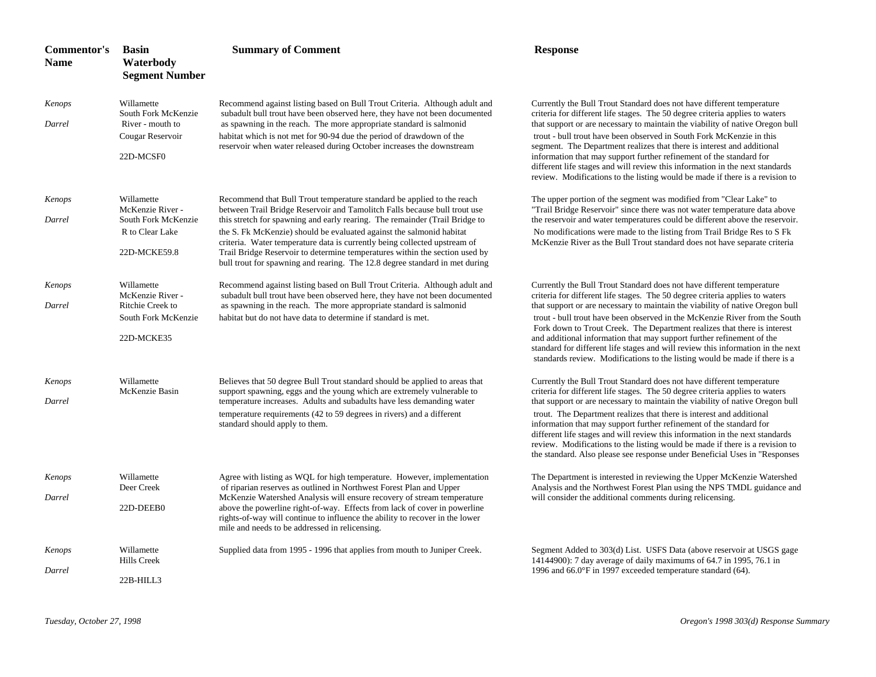| Commentor's<br><b>Name</b> | <b>Basin</b><br>Waterbody<br><b>Segment Number</b>                                       | <b>Summary of Comment</b>                                                                                                                                                                                                                                                                                                                                                                                                                                                                                                                             | <b>Response</b>                                                                                                                                                                                                                                                                                                                                                                                                                                                                                                                                                                                                                            |
|----------------------------|------------------------------------------------------------------------------------------|-------------------------------------------------------------------------------------------------------------------------------------------------------------------------------------------------------------------------------------------------------------------------------------------------------------------------------------------------------------------------------------------------------------------------------------------------------------------------------------------------------------------------------------------------------|--------------------------------------------------------------------------------------------------------------------------------------------------------------------------------------------------------------------------------------------------------------------------------------------------------------------------------------------------------------------------------------------------------------------------------------------------------------------------------------------------------------------------------------------------------------------------------------------------------------------------------------------|
| Kenops<br>Darrel           | Willamette<br>South Fork McKenzie<br>River - mouth to<br>Cougar Reservoir<br>22D-MCSF0   | Recommend against listing based on Bull Trout Criteria. Although adult and<br>subadult bull trout have been observed here, they have not been documented<br>as spawning in the reach. The more appropriate standard is salmonid<br>habitat which is not met for 90-94 due the period of drawdown of the<br>reservoir when water released during October increases the downstream                                                                                                                                                                      | Currently the Bull Trout Standard does not have different temperature<br>criteria for different life stages. The 50 degree criteria applies to waters<br>that support or are necessary to maintain the viability of native Oregon bull<br>trout - bull trout have been observed in South Fork McKenzie in this<br>segment. The Department realizes that there is interest and additional<br>information that may support further refinement of the standard for<br>different life stages and will review this information in the next standards<br>review. Modifications to the listing would be made if there is a revision to            |
| Kenops<br>Darrel           | Willamette<br>McKenzie River -<br>South Fork McKenzie<br>R to Clear Lake<br>22D-MCKE59.8 | Recommend that Bull Trout temperature standard be applied to the reach<br>between Trail Bridge Reservoir and Tamolitch Falls because bull trout use<br>this stretch for spawning and early rearing. The remainder (Trail Bridge to<br>the S. Fk McKenzie) should be evaluated against the salmonid habitat<br>criteria. Water temperature data is currently being collected upstream of<br>Trail Bridge Reservoir to determine temperatures within the section used by<br>bull trout for spawning and rearing. The 12.8 degree standard in met during | The upper portion of the segment was modified from "Clear Lake" to<br>"Trail Bridge Reservoir" since there was not water temperature data above<br>the reservoir and water temperatures could be different above the reservoir.<br>No modifications were made to the listing from Trail Bridge Res to S Fk<br>McKenzie River as the Bull Trout standard does not have separate criteria                                                                                                                                                                                                                                                    |
| Kenops<br>Darrel           | Willamette<br>McKenzie River -<br>Ritchie Creek to<br>South Fork McKenzie<br>22D-MCKE35  | Recommend against listing based on Bull Trout Criteria. Although adult and<br>subadult bull trout have been observed here, they have not been documented<br>as spawning in the reach. The more appropriate standard is salmonid<br>habitat but do not have data to determine if standard is met.                                                                                                                                                                                                                                                      | Currently the Bull Trout Standard does not have different temperature<br>criteria for different life stages. The 50 degree criteria applies to waters<br>that support or are necessary to maintain the viability of native Oregon bull<br>trout - bull trout have been observed in the McKenzie River from the South<br>Fork down to Trout Creek. The Department realizes that there is interest<br>and additional information that may support further refinement of the<br>standard for different life stages and will review this information in the next<br>standards review. Modifications to the listing would be made if there is a |
| Kenops<br>Darrel           | Willamette<br>McKenzie Basin                                                             | Believes that 50 degree Bull Trout standard should be applied to areas that<br>support spawning, eggs and the young which are extremely vulnerable to<br>temperature increases. Adults and subadults have less demanding water<br>temperature requirements (42 to 59 degrees in rivers) and a different<br>standard should apply to them.                                                                                                                                                                                                             | Currently the Bull Trout Standard does not have different temperature<br>criteria for different life stages. The 50 degree criteria applies to waters<br>that support or are necessary to maintain the viability of native Oregon bull<br>trout. The Department realizes that there is interest and additional<br>information that may support further refinement of the standard for<br>different life stages and will review this information in the next standards<br>review. Modifications to the listing would be made if there is a revision to<br>the standard. Also please see response under Beneficial Uses in "Responses"       |
| Kenops<br>Darrel           | Willamette<br>Deer Creek<br>22D-DEEB0                                                    | Agree with listing as WQL for high temperature. However, implementation<br>of riparian reserves as outlined in Northwest Forest Plan and Upper<br>McKenzie Watershed Analysis will ensure recovery of stream temperature<br>above the powerline right-of-way. Effects from lack of cover in powerline<br>rights-of-way will continue to influence the ability to recover in the lower<br>mile and needs to be addressed in relicensing.                                                                                                               | The Department is interested in reviewing the Upper McKenzie Watershed<br>Analysis and the Northwest Forest Plan using the NPS TMDL guidance and<br>will consider the additional comments during relicensing.                                                                                                                                                                                                                                                                                                                                                                                                                              |
| Kenops<br>Darrel           | Willamette<br><b>Hills Creek</b><br>22B-HILL3                                            | Supplied data from 1995 - 1996 that applies from mouth to Juniper Creek.                                                                                                                                                                                                                                                                                                                                                                                                                                                                              | Segment Added to 303(d) List. USFS Data (above reservoir at USGS gage<br>14144900: 7 day average of daily maximums of 64.7 in 1995, 76.1 in<br>1996 and 66.0°F in 1997 exceeded temperature standard (64).                                                                                                                                                                                                                                                                                                                                                                                                                                 |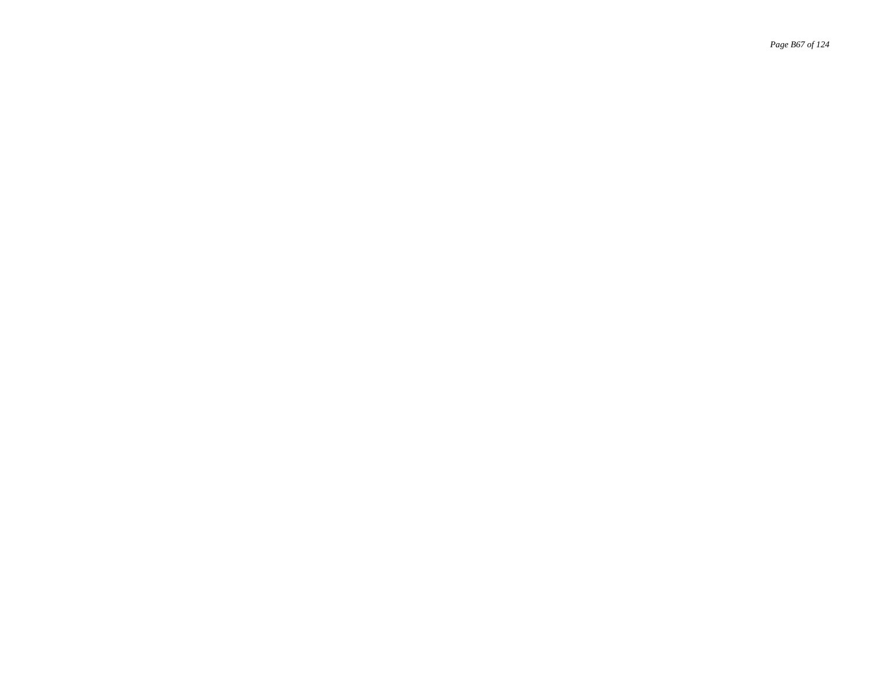*Page B67 of 124*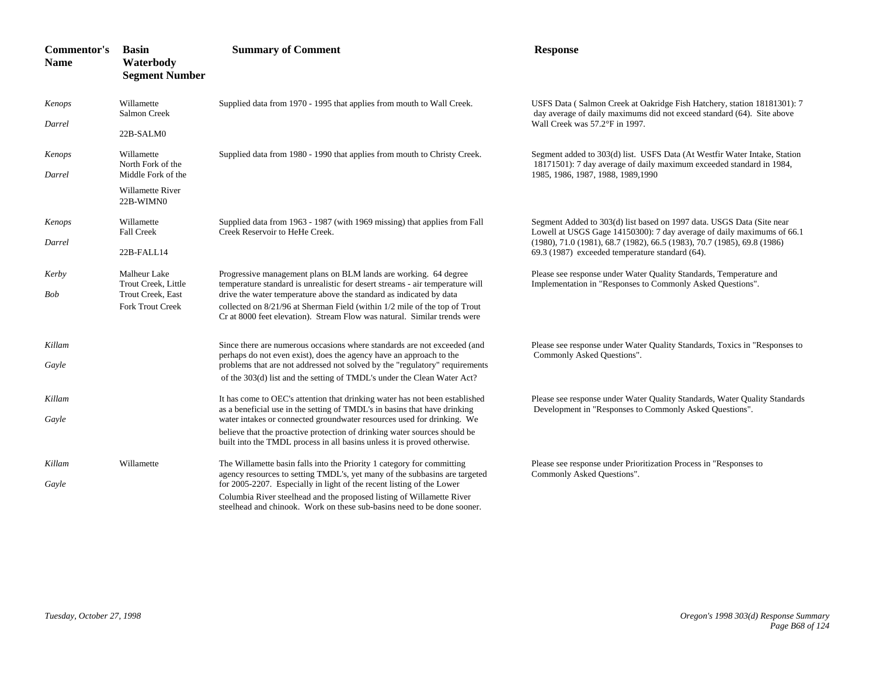| Commentor's<br><b>Name</b> | <b>Basin</b><br>Waterbody<br><b>Segment Number</b>                                     | <b>Summary of Comment</b>                                                                                                                                                                                                                                                                                                                                                                   | <b>Response</b>                                                                                                                                                                                                                                                               |
|----------------------------|----------------------------------------------------------------------------------------|---------------------------------------------------------------------------------------------------------------------------------------------------------------------------------------------------------------------------------------------------------------------------------------------------------------------------------------------------------------------------------------------|-------------------------------------------------------------------------------------------------------------------------------------------------------------------------------------------------------------------------------------------------------------------------------|
| Kenops<br>Darrel           | Willamette<br>Salmon Creek<br>22B-SALM0                                                | Supplied data from 1970 - 1995 that applies from mouth to Wall Creek.                                                                                                                                                                                                                                                                                                                       | USFS Data (Salmon Creek at Oakridge Fish Hatchery, station 18181301): 7<br>day average of daily maximums did not exceed standard (64). Site above<br>Wall Creek was 57.2°F in 1997.                                                                                           |
| Kenops<br>Darrel           | Willamette<br>North Fork of the<br>Middle Fork of the<br>Willamette River<br>22B-WIMN0 | Supplied data from 1980 - 1990 that applies from mouth to Christy Creek.                                                                                                                                                                                                                                                                                                                    | Segment added to 303(d) list. USFS Data (At Westfir Water Intake, Station<br>18171501): 7 day average of daily maximum exceeded standard in 1984,<br>1985, 1986, 1987, 1988, 1989, 1990                                                                                       |
| Kenops<br>Darrel           | Willamette<br><b>Fall Creek</b><br>22B-FALL14                                          | Supplied data from 1963 - 1987 (with 1969 missing) that applies from Fall<br>Creek Reservoir to HeHe Creek.                                                                                                                                                                                                                                                                                 | Segment Added to 303(d) list based on 1997 data. USGS Data (Site near<br>Lowell at USGS Gage 14150300): 7 day average of daily maximums of 66.1<br>(1980), 71.0 (1981), 68.7 (1982), 66.5 (1983), 70.7 (1985), 69.8 (1986)<br>69.3 (1987) exceeded temperature standard (64). |
| Kerby<br>Bob               | Malheur Lake<br>Trout Creek, Little<br>Trout Creek, East<br><b>Fork Trout Creek</b>    | Progressive management plans on BLM lands are working. 64 degree<br>temperature standard is unrealistic for desert streams - air temperature will<br>drive the water temperature above the standard as indicated by data<br>collected on 8/21/96 at Sherman Field (within 1/2 mile of the top of Trout<br>Cr at 8000 feet elevation). Stream Flow was natural. Similar trends were          | Please see response under Water Quality Standards, Temperature and<br>Implementation in "Responses to Commonly Asked Questions".                                                                                                                                              |
| Killam<br>Gayle            |                                                                                        | Since there are numerous occasions where standards are not exceeded (and<br>perhaps do not even exist), does the agency have an approach to the<br>problems that are not addressed not solved by the "regulatory" requirements<br>of the 303(d) list and the setting of TMDL's under the Clean Water Act?                                                                                   | Please see response under Water Quality Standards, Toxics in "Responses to<br>Commonly Asked Questions".                                                                                                                                                                      |
| Killam<br>Gayle            |                                                                                        | It has come to OEC's attention that drinking water has not been established<br>as a beneficial use in the setting of TMDL's in basins that have drinking<br>water intakes or connected groundwater resources used for drinking. We<br>believe that the proactive protection of drinking water sources should be<br>built into the TMDL process in all basins unless it is proved otherwise. | Please see response under Water Quality Standards, Water Quality Standards<br>Development in "Responses to Commonly Asked Questions".                                                                                                                                         |
| Killam<br>Gayle            | Willamette                                                                             | The Willamette basin falls into the Priority 1 category for committing<br>agency resources to setting TMDL's, yet many of the subbasins are targeted<br>for 2005-2207. Especially in light of the recent listing of the Lower<br>Columbia River steelhead and the proposed listing of Willamette River<br>steelhead and chinook. Work on these sub-basins need to be done sooner.           | Please see response under Prioritization Process in "Responses to<br>Commonly Asked Questions".                                                                                                                                                                               |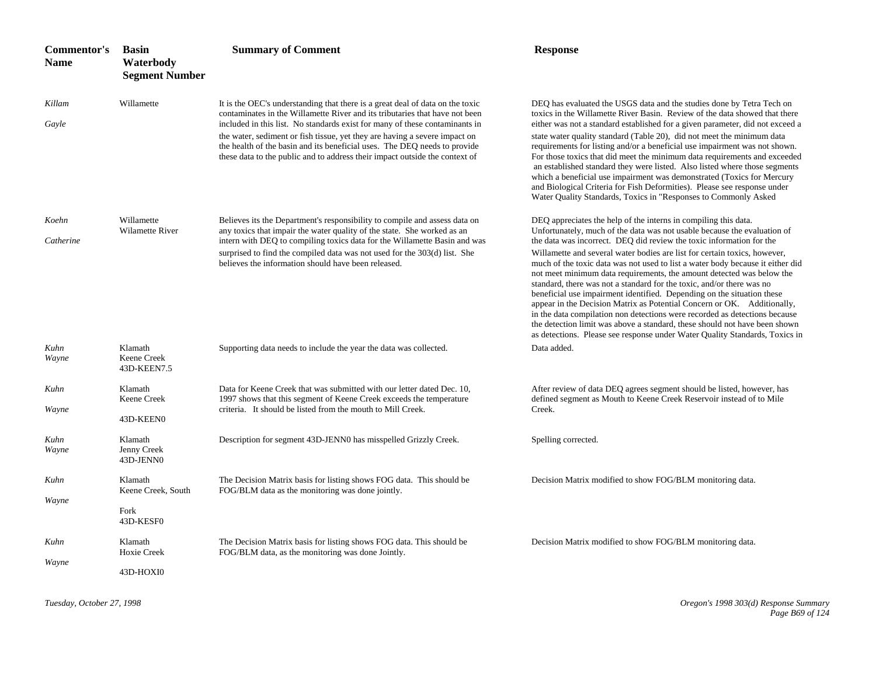| Commentor's<br><b>Name</b> | <b>Basin</b><br>Waterbody<br><b>Segment Number</b> | <b>Summary of Comment</b>                                                                                                                                                                                                                                                                                                                                                                                                                                                             | <b>Response</b>                                                                                                                                                                                                                                                                                                                                                                                                                                                                                                                                                                                                                                                                                                                                                                                                                                                                                                                      |
|----------------------------|----------------------------------------------------|---------------------------------------------------------------------------------------------------------------------------------------------------------------------------------------------------------------------------------------------------------------------------------------------------------------------------------------------------------------------------------------------------------------------------------------------------------------------------------------|--------------------------------------------------------------------------------------------------------------------------------------------------------------------------------------------------------------------------------------------------------------------------------------------------------------------------------------------------------------------------------------------------------------------------------------------------------------------------------------------------------------------------------------------------------------------------------------------------------------------------------------------------------------------------------------------------------------------------------------------------------------------------------------------------------------------------------------------------------------------------------------------------------------------------------------|
| Killam<br>Gayle            | Willamette                                         | It is the OEC's understanding that there is a great deal of data on the toxic<br>contaminates in the Willamette River and its tributaries that have not been<br>included in this list. No standards exist for many of these contaminants in<br>the water, sediment or fish tissue, yet they are having a severe impact on<br>the health of the basin and its beneficial uses. The DEQ needs to provide<br>these data to the public and to address their impact outside the context of | DEQ has evaluated the USGS data and the studies done by Tetra Tech on<br>toxics in the Willamette River Basin. Review of the data showed that there<br>either was not a standard established for a given parameter, did not exceed a<br>state water quality standard (Table 20), did not meet the minimum data<br>requirements for listing and/or a beneficial use impairment was not shown.<br>For those toxics that did meet the minimum data requirements and exceeded<br>an established standard they were listed. Also listed where those segments<br>which a beneficial use impairment was demonstrated (Toxics for Mercury<br>and Biological Criteria for Fish Deformities). Please see response under<br>Water Quality Standards, Toxics in "Responses to Commonly Asked                                                                                                                                                     |
| Koehn<br>Catherine         | Willamette<br>Wilamette River                      | Believes its the Department's responsibility to compile and assess data on<br>any toxics that impair the water quality of the state. She worked as an<br>intern with DEQ to compiling toxics data for the Willamette Basin and was<br>surprised to find the compiled data was not used for the 303(d) list. She<br>believes the information should have been released.                                                                                                                | DEQ appreciates the help of the interns in compiling this data.<br>Unfortunately, much of the data was not usable because the evaluation of<br>the data was incorrect. DEQ did review the toxic information for the<br>Willamette and several water bodies are list for certain toxics, however,<br>much of the toxic data was not used to list a water body because it either did<br>not meet minimum data requirements, the amount detected was below the<br>standard, there was not a standard for the toxic, and/or there was no<br>beneficial use impairment identified. Depending on the situation these<br>appear in the Decision Matrix as Potential Concern or OK. Additionally,<br>in the data compilation non detections were recorded as detections because<br>the detection limit was above a standard, these should not have been shown<br>as detections. Please see response under Water Quality Standards, Toxics in |
| Kuhn<br>Wayne              | Klamath<br>Keene Creek<br>43D-KEEN7.5              | Supporting data needs to include the year the data was collected.                                                                                                                                                                                                                                                                                                                                                                                                                     | Data added.                                                                                                                                                                                                                                                                                                                                                                                                                                                                                                                                                                                                                                                                                                                                                                                                                                                                                                                          |
| Kuhn<br>Wayne              | Klamath<br>Keene Creek<br>43D-KEEN0                | Data for Keene Creek that was submitted with our letter dated Dec. 10,<br>1997 shows that this segment of Keene Creek exceeds the temperature<br>criteria. It should be listed from the mouth to Mill Creek.                                                                                                                                                                                                                                                                          | After review of data DEQ agrees segment should be listed, however, has<br>defined segment as Mouth to Keene Creek Reservoir instead of to Mile<br>Creek.                                                                                                                                                                                                                                                                                                                                                                                                                                                                                                                                                                                                                                                                                                                                                                             |
| Kuhn<br>Wayne              | Klamath<br>Jenny Creek<br>43D-JENN0                | Description for segment 43D-JENN0 has misspelled Grizzly Creek.                                                                                                                                                                                                                                                                                                                                                                                                                       | Spelling corrected.                                                                                                                                                                                                                                                                                                                                                                                                                                                                                                                                                                                                                                                                                                                                                                                                                                                                                                                  |
| Kuhn<br>Wayne              | Klamath<br>Keene Creek, South<br>Fork<br>43D-KESF0 | The Decision Matrix basis for listing shows FOG data. This should be<br>FOG/BLM data as the monitoring was done jointly.                                                                                                                                                                                                                                                                                                                                                              | Decision Matrix modified to show FOG/BLM monitoring data.                                                                                                                                                                                                                                                                                                                                                                                                                                                                                                                                                                                                                                                                                                                                                                                                                                                                            |
| Kuhn<br>Wayne              | Klamath<br><b>Hoxie Creek</b><br>43D-HOXI0         | The Decision Matrix basis for listing shows FOG data. This should be<br>FOG/BLM data, as the monitoring was done Jointly.                                                                                                                                                                                                                                                                                                                                                             | Decision Matrix modified to show FOG/BLM monitoring data.                                                                                                                                                                                                                                                                                                                                                                                                                                                                                                                                                                                                                                                                                                                                                                                                                                                                            |

*Tuesday, October 27, 1998 Oregon's 1998 303(d) Response Summary Page B69 of 124*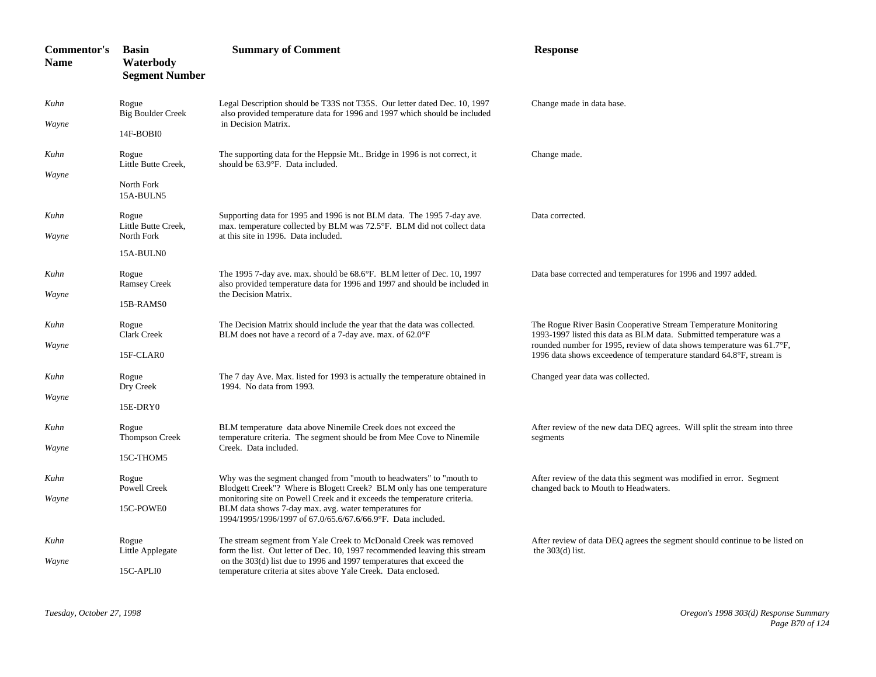| Commentor's<br><b>Name</b> | <b>Basin</b><br>Waterbody<br><b>Segment Number</b> | <b>Summary of Comment</b>                                                                                                                                                                         | <b>Response</b>                                                                                                                               |
|----------------------------|----------------------------------------------------|---------------------------------------------------------------------------------------------------------------------------------------------------------------------------------------------------|-----------------------------------------------------------------------------------------------------------------------------------------------|
| Kuhn                       | Rogue<br><b>Big Boulder Creek</b>                  | Legal Description should be T33S not T35S. Our letter dated Dec. 10, 1997                                                                                                                         | Change made in data base.                                                                                                                     |
| Wayne                      | 14F-BOBI0                                          | also provided temperature data for 1996 and 1997 which should be included<br>in Decision Matrix.                                                                                                  |                                                                                                                                               |
| Kuhn                       | Rogue<br>Little Butte Creek,                       | The supporting data for the Heppsie Mt Bridge in 1996 is not correct, it<br>should be 63.9°F. Data included.                                                                                      | Change made.                                                                                                                                  |
| Wayne                      | North Fork<br>15A-BULN5                            |                                                                                                                                                                                                   |                                                                                                                                               |
| Kuhn                       | Rogue<br>Little Butte Creek,                       | Supporting data for 1995 and 1996 is not BLM data. The 1995 7-day ave.<br>max. temperature collected by BLM was 72.5°F. BLM did not collect data                                                  | Data corrected.                                                                                                                               |
| Wayne                      | North Fork                                         | at this site in 1996. Data included.                                                                                                                                                              |                                                                                                                                               |
|                            | 15A-BULN0                                          |                                                                                                                                                                                                   |                                                                                                                                               |
| Kuhn                       | Rogue<br>Ramsey Creek                              | The 1995 7-day ave. max. should be 68.6°F. BLM letter of Dec. 10, 1997<br>also provided temperature data for 1996 and 1997 and should be included in                                              | Data base corrected and temperatures for 1996 and 1997 added.                                                                                 |
| Wayne                      | 15B-RAMS0                                          | the Decision Matrix.                                                                                                                                                                              |                                                                                                                                               |
| Kuhn                       | Rogue<br><b>Clark Creek</b>                        | The Decision Matrix should include the year that the data was collected.<br>BLM does not have a record of a 7-day ave. max. of 62.0°F                                                             | The Rogue River Basin Cooperative Stream Temperature Monitoring<br>1993-1997 listed this data as BLM data. Submitted temperature was a        |
| Wayne                      | 15F-CLAR0                                          |                                                                                                                                                                                                   | rounded number for 1995, review of data shows temperature was 61.7°F,<br>1996 data shows exceedence of temperature standard 64.8°F, stream is |
| Kuhn                       | Rogue<br>Dry Creek                                 | The 7 day Ave. Max. listed for 1993 is actually the temperature obtained in<br>1994. No data from 1993.                                                                                           | Changed year data was collected.                                                                                                              |
| Wayne                      | 15E-DRY0                                           |                                                                                                                                                                                                   |                                                                                                                                               |
| Kuhn                       | Rogue<br><b>Thompson Creek</b>                     | BLM temperature data above Ninemile Creek does not exceed the<br>temperature criteria. The segment should be from Mee Cove to Ninemile                                                            | After review of the new data DEQ agrees. Will split the stream into three<br>segments                                                         |
| Wayne                      | 15C-THOM5                                          | Creek. Data included.                                                                                                                                                                             |                                                                                                                                               |
| Kuhn                       | Rogue<br>Powell Creek                              | Why was the segment changed from "mouth to headwaters" to "mouth to<br>Blodgett Creek"? Where is Blogett Creek? BLM only has one temperature                                                      | After review of the data this segment was modified in error. Segment<br>changed back to Mouth to Headwaters.                                  |
| Wayne                      | 15C-POWE0                                          | monitoring site on Powell Creek and it exceeds the temperature criteria.<br>BLM data shows 7-day max. avg. water temperatures for<br>1994/1995/1996/1997 of 67.0/65.6/67.6/66.9°F. Data included. |                                                                                                                                               |
| Kuhn                       | Rogue<br>Little Applegate                          | The stream segment from Yale Creek to McDonald Creek was removed<br>form the list. Out letter of Dec. 10, 1997 recommended leaving this stream                                                    | After review of data DEQ agrees the segment should continue to be listed on<br>the $303(d)$ list.                                             |
| Wayne                      | 15C-APLI0                                          | on the 303(d) list due to 1996 and 1997 temperatures that exceed the<br>temperature criteria at sites above Yale Creek. Data enclosed.                                                            |                                                                                                                                               |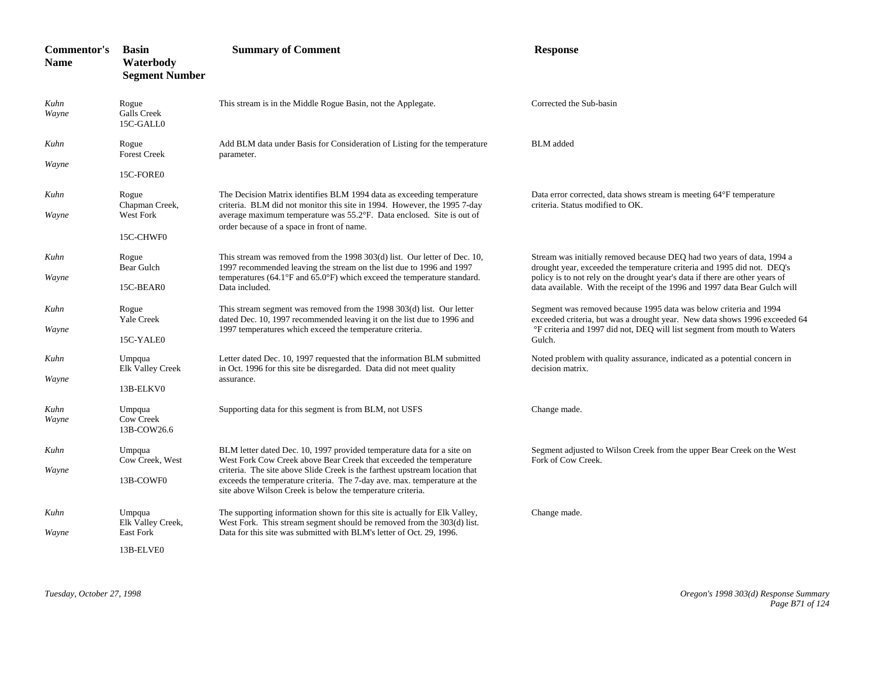| Commentor's<br><b>Name</b> | <b>Basin</b><br>Waterbody<br><b>Segment Number</b>    | <b>Summary of Comment</b>                                                                                                                                                                                                                                                                                                                                             | <b>Response</b>                                                                                                                                                                                                                                                                                                 |
|----------------------------|-------------------------------------------------------|-----------------------------------------------------------------------------------------------------------------------------------------------------------------------------------------------------------------------------------------------------------------------------------------------------------------------------------------------------------------------|-----------------------------------------------------------------------------------------------------------------------------------------------------------------------------------------------------------------------------------------------------------------------------------------------------------------|
| Kuhn<br>Wayne              | Rogue<br><b>Galls Creek</b><br>15C-GALL0              | This stream is in the Middle Rogue Basin, not the Applegate.                                                                                                                                                                                                                                                                                                          | Corrected the Sub-basin                                                                                                                                                                                                                                                                                         |
| Kuhn<br>Wayne              | Rogue<br><b>Forest Creek</b><br>15C-FORE0             | Add BLM data under Basis for Consideration of Listing for the temperature<br>parameter.                                                                                                                                                                                                                                                                               | <b>BLM</b> added                                                                                                                                                                                                                                                                                                |
| Kuhn<br>Wayne              | Rogue<br>Chapman Creek,<br>West Fork<br>15C-CHWF0     | The Decision Matrix identifies BLM 1994 data as exceeding temperature<br>criteria. BLM did not monitor this site in 1994. However, the 1995 7-day<br>average maximum temperature was $55.2^{\circ}$ F. Data enclosed. Site is out of<br>order because of a space in front of name.                                                                                    | Data error corrected, data shows stream is meeting 64°F temperature<br>criteria. Status modified to OK.                                                                                                                                                                                                         |
| Kuhn<br>Wayne              | Rogue<br>Bear Gulch<br>15C-BEAR0                      | This stream was removed from the 1998 303(d) list. Our letter of Dec. 10,<br>1997 recommended leaving the stream on the list due to 1996 and 1997<br>temperatures (64.1 $\textdegree$ F and 65.0 $\textdegree$ F) which exceed the temperature standard.<br>Data included.                                                                                            | Stream was initially removed because DEQ had two years of data, 1994 a<br>drought year, exceeded the temperature criteria and 1995 did not. DEQ's<br>policy is to not rely on the drought year's data if there are other years of<br>data available. With the receipt of the 1996 and 1997 data Bear Gulch will |
| Kuhn<br>Wayne              | Rogue<br>Yale Creek<br>15C-YALE0                      | This stream segment was removed from the 1998 303(d) list. Our letter<br>dated Dec. 10, 1997 recommended leaving it on the list due to 1996 and<br>1997 temperatures which exceed the temperature criteria.                                                                                                                                                           | Segment was removed because 1995 data was below criteria and 1994<br>exceeded criteria, but was a drought year. New data shows 1996 exceeded 64<br>°F criteria and 1997 did not, DEQ will list segment from mouth to Waters<br>Gulch.                                                                           |
| Kuhn<br>Wayne              | Umpqua<br><b>Elk Valley Creek</b><br>13B-ELKV0        | Letter dated Dec. 10, 1997 requested that the information BLM submitted<br>in Oct. 1996 for this site be disregarded. Data did not meet quality<br>assurance.                                                                                                                                                                                                         | Noted problem with quality assurance, indicated as a potential concern in<br>decision matrix.                                                                                                                                                                                                                   |
| Kuhn<br>Wayne              | Umpqua<br><b>Cow Creek</b><br>13B-COW26.6             | Supporting data for this segment is from BLM, not USFS                                                                                                                                                                                                                                                                                                                | Change made.                                                                                                                                                                                                                                                                                                    |
| Kuhn<br>Wayne              | Umpqua<br>Cow Creek, West<br>13B-COWF0                | BLM letter dated Dec. 10, 1997 provided temperature data for a site on<br>West Fork Cow Creek above Bear Creek that exceeded the temperature<br>criteria. The site above Slide Creek is the farthest upstream location that<br>exceeds the temperature criteria. The 7-day ave. max. temperature at the<br>site above Wilson Creek is below the temperature criteria. | Segment adjusted to Wilson Creek from the upper Bear Creek on the West<br>Fork of Cow Creek.                                                                                                                                                                                                                    |
| Kuhn<br>Wayne              | Umpqua<br>Elk Valley Creek,<br>East Fork<br>13B-ELVE0 | The supporting information shown for this site is actually for Elk Valley,<br>West Fork. This stream segment should be removed from the 303(d) list.<br>Data for this site was submitted with BLM's letter of Oct. 29, 1996.                                                                                                                                          | Change made.                                                                                                                                                                                                                                                                                                    |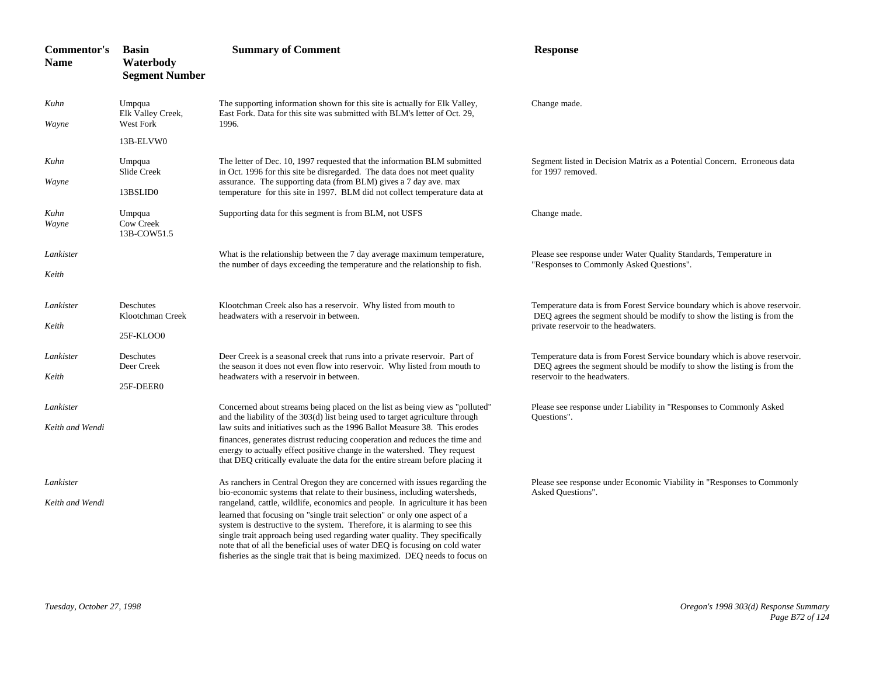| Commentor's<br>Name | <b>Basin</b><br>Waterbody<br><b>Segment Number</b> | <b>Summary of Comment</b>                                                                                                                                                                                                                                                                                                                                                                                                                                                              | <b>Response</b>                                                                                                                                       |
|---------------------|----------------------------------------------------|----------------------------------------------------------------------------------------------------------------------------------------------------------------------------------------------------------------------------------------------------------------------------------------------------------------------------------------------------------------------------------------------------------------------------------------------------------------------------------------|-------------------------------------------------------------------------------------------------------------------------------------------------------|
| Kuhn<br>Wayne       | Umpqua<br>Elk Valley Creek,<br>West Fork           | The supporting information shown for this site is actually for Elk Valley,<br>East Fork. Data for this site was submitted with BLM's letter of Oct. 29,<br>1996.                                                                                                                                                                                                                                                                                                                       | Change made.                                                                                                                                          |
|                     | 13B-ELVW0                                          |                                                                                                                                                                                                                                                                                                                                                                                                                                                                                        |                                                                                                                                                       |
| Kuhn<br>Wayne       | Umpqua<br>Slide Creek<br>13BSLID0                  | The letter of Dec. 10, 1997 requested that the information BLM submitted<br>in Oct. 1996 for this site be disregarded. The data does not meet quality<br>assurance. The supporting data (from BLM) gives a 7 day ave. max<br>temperature for this site in 1997. BLM did not collect temperature data at                                                                                                                                                                                | Segment listed in Decision Matrix as a Potential Concern. Erroneous data<br>for 1997 removed.                                                         |
| Kuhn<br>Wayne       | Umpqua<br><b>Cow Creek</b><br>13B-COW51.5          | Supporting data for this segment is from BLM, not USFS                                                                                                                                                                                                                                                                                                                                                                                                                                 | Change made.                                                                                                                                          |
| Lankister           |                                                    | What is the relationship between the 7 day average maximum temperature,                                                                                                                                                                                                                                                                                                                                                                                                                | Please see response under Water Quality Standards, Temperature in                                                                                     |
| Keith               |                                                    | the number of days exceeding the temperature and the relationship to fish.                                                                                                                                                                                                                                                                                                                                                                                                             | "Responses to Commonly Asked Questions".                                                                                                              |
| Lankister           | Deschutes<br>Klootchman Creek                      | Klootchman Creek also has a reservoir. Why listed from mouth to<br>headwaters with a reservoir in between.                                                                                                                                                                                                                                                                                                                                                                             | Temperature data is from Forest Service boundary which is above reservoir.<br>DEQ agrees the segment should be modify to show the listing is from the |
| Keith               | 25F-KLOO0                                          |                                                                                                                                                                                                                                                                                                                                                                                                                                                                                        | private reservoir to the headwaters.                                                                                                                  |
| Lankister           | Deschutes<br>Deer Creek                            | Deer Creek is a seasonal creek that runs into a private reservoir. Part of<br>the season it does not even flow into reservoir. Why listed from mouth to                                                                                                                                                                                                                                                                                                                                | Temperature data is from Forest Service boundary which is above reservoir.<br>DEQ agrees the segment should be modify to show the listing is from the |
| Keith               | 25F-DEER0                                          | headwaters with a reservoir in between.                                                                                                                                                                                                                                                                                                                                                                                                                                                | reservoir to the headwaters.                                                                                                                          |
| Lankister           |                                                    | Concerned about streams being placed on the list as being view as "polluted"                                                                                                                                                                                                                                                                                                                                                                                                           | Please see response under Liability in "Responses to Commonly Asked                                                                                   |
| Keith and Wendi     |                                                    | and the liability of the 303(d) list being used to target agriculture through<br>law suits and initiatives such as the 1996 Ballot Measure 38. This erodes                                                                                                                                                                                                                                                                                                                             | Questions".                                                                                                                                           |
|                     |                                                    | finances, generates distrust reducing cooperation and reduces the time and<br>energy to actually effect positive change in the watershed. They request<br>that DEQ critically evaluate the data for the entire stream before placing it                                                                                                                                                                                                                                                |                                                                                                                                                       |
| Lankister           |                                                    | As ranchers in Central Oregon they are concerned with issues regarding the<br>bio-economic systems that relate to their business, including watersheds,                                                                                                                                                                                                                                                                                                                                | Please see response under Economic Viability in "Responses to Commonly<br>Asked Questions".                                                           |
| Keith and Wendi     |                                                    | rangeland, cattle, wildlife, economics and people. In agriculture it has been<br>learned that focusing on "single trait selection" or only one aspect of a<br>system is destructive to the system. Therefore, it is alarming to see this<br>single trait approach being used regarding water quality. They specifically<br>note that of all the beneficial uses of water DEQ is focusing on cold water<br>fisheries as the single trait that is being maximized. DEQ needs to focus on |                                                                                                                                                       |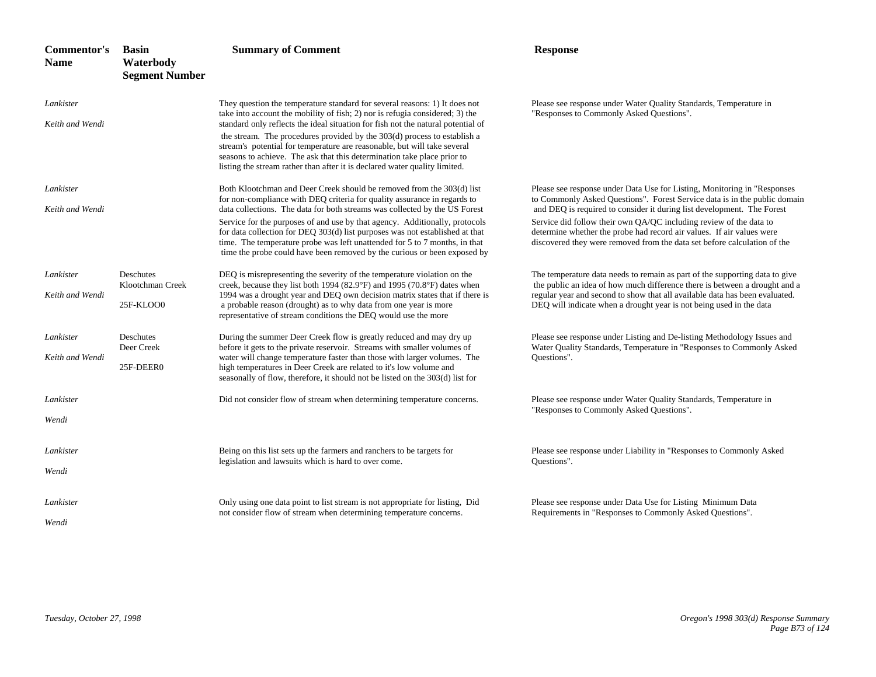| <b>Commentor's</b><br><b>Name</b> | <b>Basin</b><br>Waterbody<br><b>Segment Number</b> | <b>Summary of Comment</b>                                                                                                                                                                                                                                                                                                                                                                                                                                                                                                                                       | <b>Response</b>                                                                                                                                                                                                                                                                                                                                                                                                                                             |
|-----------------------------------|----------------------------------------------------|-----------------------------------------------------------------------------------------------------------------------------------------------------------------------------------------------------------------------------------------------------------------------------------------------------------------------------------------------------------------------------------------------------------------------------------------------------------------------------------------------------------------------------------------------------------------|-------------------------------------------------------------------------------------------------------------------------------------------------------------------------------------------------------------------------------------------------------------------------------------------------------------------------------------------------------------------------------------------------------------------------------------------------------------|
| Lankister<br>Keith and Wendi      |                                                    | They question the temperature standard for several reasons: 1) It does not<br>take into account the mobility of fish; 2) nor is refugia considered; 3) the<br>standard only reflects the ideal situation for fish not the natural potential of<br>the stream. The procedures provided by the 303(d) process to establish a<br>stream's potential for temperature are reasonable, but will take several<br>seasons to achieve. The ask that this determination take place prior to<br>listing the stream rather than after it is declared water quality limited. | Please see response under Water Quality Standards, Temperature in<br>"Responses to Commonly Asked Questions".                                                                                                                                                                                                                                                                                                                                               |
| Lankister<br>Keith and Wendi      |                                                    | Both Klootchman and Deer Creek should be removed from the 303(d) list<br>for non-compliance with DEQ criteria for quality assurance in regards to<br>data collections. The data for both streams was collected by the US Forest<br>Service for the purposes of and use by that agency. Additionally, protocols<br>for data collection for DEQ 303(d) list purposes was not established at that<br>time. The temperature probe was left unattended for 5 to 7 months, in that<br>time the probe could have been removed by the curious or been exposed by        | Please see response under Data Use for Listing, Monitoring in "Responses"<br>to Commonly Asked Questions". Forest Service data is in the public domain<br>and DEQ is required to consider it during list development. The Forest<br>Service did follow their own QA/QC including review of the data to<br>determine whether the probe had record air values. If air values were<br>discovered they were removed from the data set before calculation of the |
| Lankister<br>Keith and Wendi      | Deschutes<br>Klootchman Creek<br>25F-KLOO0         | DEQ is misrepresenting the severity of the temperature violation on the<br>creek, because they list both 1994 (82.9°F) and 1995 (70.8°F) dates when<br>1994 was a drought year and DEQ own decision matrix states that if there is<br>a probable reason (drought) as to why data from one year is more<br>representative of stream conditions the DEQ would use the more                                                                                                                                                                                        | The temperature data needs to remain as part of the supporting data to give<br>the public an idea of how much difference there is between a drought and a<br>regular year and second to show that all available data has been evaluated.<br>DEQ will indicate when a drought year is not being used in the data                                                                                                                                             |
| Lankister<br>Keith and Wendi      | Deschutes<br>Deer Creek<br>25F-DEER0               | During the summer Deer Creek flow is greatly reduced and may dry up<br>before it gets to the private reservoir. Streams with smaller volumes of<br>water will change temperature faster than those with larger volumes. The<br>high temperatures in Deer Creek are related to it's low volume and<br>seasonally of flow, therefore, it should not be listed on the 303(d) list for                                                                                                                                                                              | Please see response under Listing and De-listing Methodology Issues and<br>Water Quality Standards, Temperature in "Responses to Commonly Asked<br>Ouestions".                                                                                                                                                                                                                                                                                              |
| Lankister<br>Wendi                |                                                    | Did not consider flow of stream when determining temperature concerns.                                                                                                                                                                                                                                                                                                                                                                                                                                                                                          | Please see response under Water Quality Standards, Temperature in<br>"Responses to Commonly Asked Questions".                                                                                                                                                                                                                                                                                                                                               |
| Lankister<br>Wendi                |                                                    | Being on this list sets up the farmers and ranchers to be targets for<br>legislation and lawsuits which is hard to over come.                                                                                                                                                                                                                                                                                                                                                                                                                                   | Please see response under Liability in "Responses to Commonly Asked<br>Questions".                                                                                                                                                                                                                                                                                                                                                                          |
| Lankister<br>Wendi                |                                                    | Only using one data point to list stream is not appropriate for listing. Did<br>not consider flow of stream when determining temperature concerns.                                                                                                                                                                                                                                                                                                                                                                                                              | Please see response under Data Use for Listing Minimum Data<br>Requirements in "Responses to Commonly Asked Questions".                                                                                                                                                                                                                                                                                                                                     |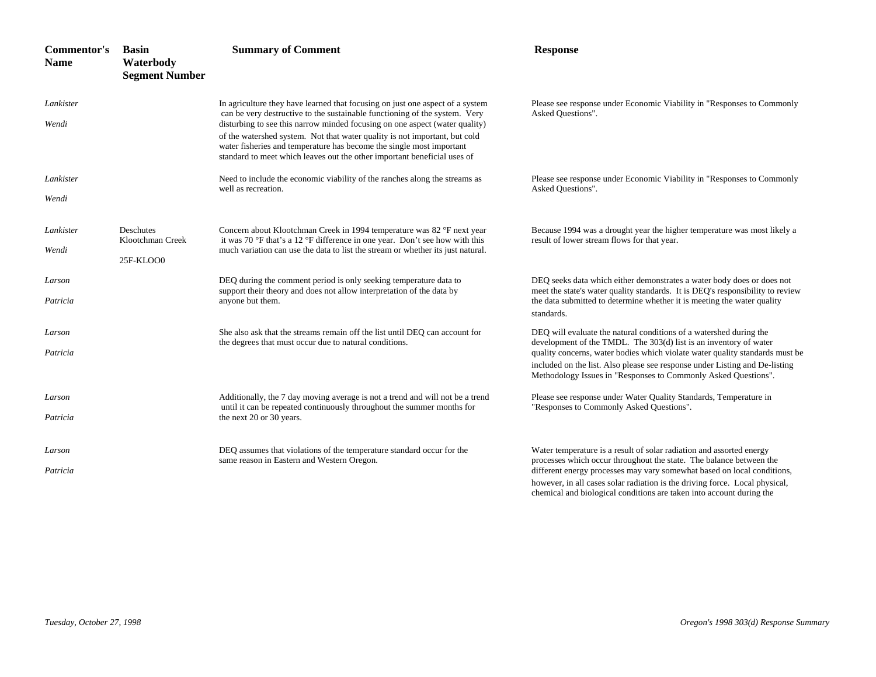| Commentor's<br><b>Name</b> | <b>Basin</b><br>Waterbody<br><b>Segment Number</b> | <b>Summary of Comment</b>                                                                                                                                                                                                                                                                                                | <b>Response</b>                                                                                                                                                                                                                                   |
|----------------------------|----------------------------------------------------|--------------------------------------------------------------------------------------------------------------------------------------------------------------------------------------------------------------------------------------------------------------------------------------------------------------------------|---------------------------------------------------------------------------------------------------------------------------------------------------------------------------------------------------------------------------------------------------|
| Lankister<br>Wendi         |                                                    | In agriculture they have learned that focusing on just one aspect of a system<br>can be very destructive to the sustainable functioning of the system. Very<br>disturbing to see this narrow minded focusing on one aspect (water quality)<br>of the watershed system. Not that water quality is not important, but cold | Please see response under Economic Viability in "Responses to Commonly<br>Asked Questions".                                                                                                                                                       |
|                            |                                                    | water fisheries and temperature has become the single most important<br>standard to meet which leaves out the other important beneficial uses of                                                                                                                                                                         |                                                                                                                                                                                                                                                   |
| Lankister<br>Wendi         |                                                    | Need to include the economic viability of the ranches along the streams as<br>well as recreation.                                                                                                                                                                                                                        | Please see response under Economic Viability in "Responses to Commonly<br>Asked Questions".                                                                                                                                                       |
|                            |                                                    |                                                                                                                                                                                                                                                                                                                          |                                                                                                                                                                                                                                                   |
| Lankister<br>Wendi         | Deschutes<br>Klootchman Creek<br>25F-KLOO0         | Concern about Klootchman Creek in 1994 temperature was 82 °F next year<br>it was 70 °F that's a 12 °F difference in one year. Don't see how with this<br>much variation can use the data to list the stream or whether its just natural.                                                                                 | Because 1994 was a drought year the higher temperature was most likely a<br>result of lower stream flows for that year.                                                                                                                           |
| Larson<br>Patricia         |                                                    | DEQ during the comment period is only seeking temperature data to<br>support their theory and does not allow interpretation of the data by<br>anyone but them.                                                                                                                                                           | DEQ seeks data which either demonstrates a water body does or does not<br>meet the state's water quality standards. It is DEQ's responsibility to review<br>the data submitted to determine whether it is meeting the water quality<br>standards. |
| Larson                     |                                                    | She also ask that the streams remain off the list until DEQ can account for<br>the degrees that must occur due to natural conditions.                                                                                                                                                                                    | DEQ will evaluate the natural conditions of a watershed during the<br>development of the TMDL. The 303(d) list is an inventory of water                                                                                                           |
| Patricia                   |                                                    |                                                                                                                                                                                                                                                                                                                          | quality concerns, water bodies which violate water quality standards must be<br>included on the list. Also please see response under Listing and De-listing<br>Methodology Issues in "Responses to Commonly Asked Questions".                     |
| Larson                     |                                                    | Additionally, the 7 day moving average is not a trend and will not be a trend<br>until it can be repeated continuously throughout the summer months for                                                                                                                                                                  | Please see response under Water Quality Standards, Temperature in<br>"Responses to Commonly Asked Questions".                                                                                                                                     |
| Patricia                   |                                                    | the next 20 or 30 years.                                                                                                                                                                                                                                                                                                 |                                                                                                                                                                                                                                                   |
| Larson                     |                                                    | DEQ assumes that violations of the temperature standard occur for the<br>same reason in Eastern and Western Oregon.                                                                                                                                                                                                      | Water temperature is a result of solar radiation and assorted energy<br>processes which occur throughout the state. The balance between the                                                                                                       |
| Patricia                   |                                                    |                                                                                                                                                                                                                                                                                                                          | different energy processes may vary somewhat based on local conditions,<br>however, in all cases solar radiation is the driving force. Local physical,<br>chemical and biological conditions are taken into account during the                    |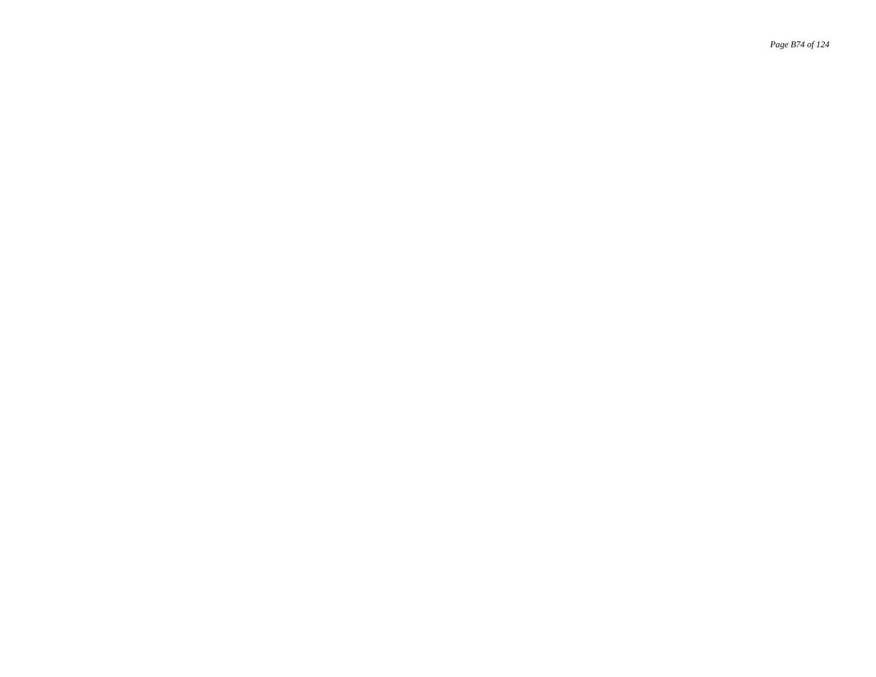*Page B74 of 124*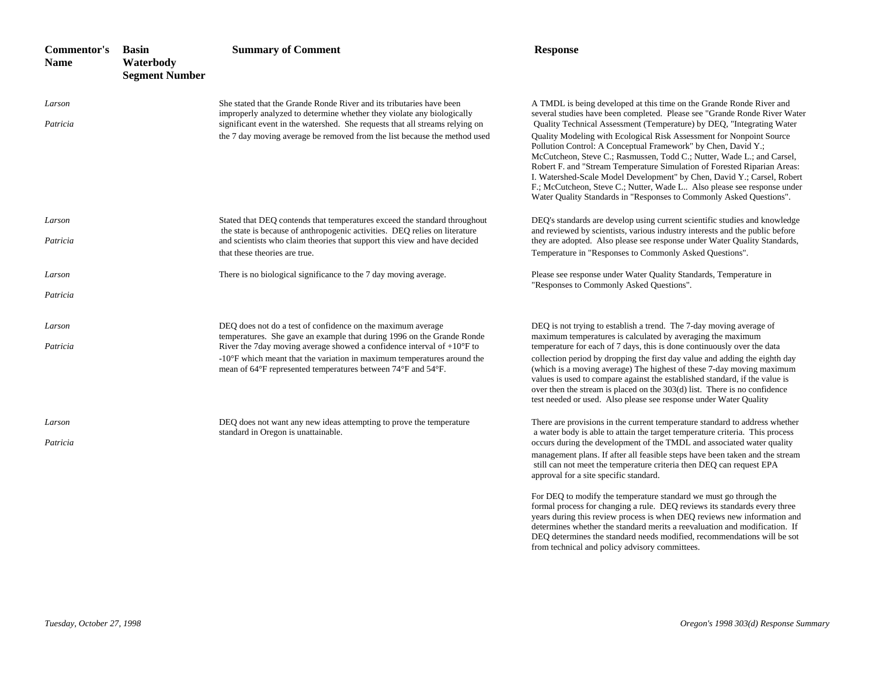| <b>Commentor's</b><br><b>Name</b> | <b>Basin</b><br>Waterbody<br><b>Segment Number</b> | <b>Summary of Comment</b>                                                                                                                                                                                                                                                                                                                                                      | <b>Response</b>                                                                                                                                                                                                                                                                                                                                                                                                                                                                                                                                                                                                                                                                                                                                        |
|-----------------------------------|----------------------------------------------------|--------------------------------------------------------------------------------------------------------------------------------------------------------------------------------------------------------------------------------------------------------------------------------------------------------------------------------------------------------------------------------|--------------------------------------------------------------------------------------------------------------------------------------------------------------------------------------------------------------------------------------------------------------------------------------------------------------------------------------------------------------------------------------------------------------------------------------------------------------------------------------------------------------------------------------------------------------------------------------------------------------------------------------------------------------------------------------------------------------------------------------------------------|
| Larson<br>Patricia                |                                                    | She stated that the Grande Ronde River and its tributaries have been<br>improperly analyzed to determine whether they violate any biologically<br>significant event in the watershed. She requests that all streams relying on<br>the 7 day moving average be removed from the list because the method used                                                                    | A TMDL is being developed at this time on the Grande Ronde River and<br>several studies have been completed. Please see "Grande Ronde River Water<br>Quality Technical Assessment (Temperature) by DEQ, "Integrating Water<br>Quality Modeling with Ecological Risk Assessment for Nonpoint Source<br>Pollution Control: A Conceptual Framework" by Chen, David Y.;<br>McCutcheon, Steve C.; Rasmussen, Todd C.; Nutter, Wade L.; and Carsel,<br>Robert F. and "Stream Temperature Simulation of Forested Riparian Areas:<br>I. Watershed-Scale Model Development" by Chen, David Y.; Carsel, Robert<br>F.; McCutcheon, Steve C.; Nutter, Wade L Also please see response under<br>Water Quality Standards in "Responses to Commonly Asked Questions". |
| Larson<br>Patricia                |                                                    | Stated that DEQ contends that temperatures exceed the standard throughout<br>the state is because of anthropogenic activities. DEQ relies on literature<br>and scientists who claim theories that support this view and have decided<br>that these theories are true.                                                                                                          | DEQ's standards are develop using current scientific studies and knowledge<br>and reviewed by scientists, various industry interests and the public before<br>they are adopted. Also please see response under Water Quality Standards,<br>Temperature in "Responses to Commonly Asked Questions".                                                                                                                                                                                                                                                                                                                                                                                                                                                     |
| Larson<br>Patricia                |                                                    | There is no biological significance to the 7 day moving average.                                                                                                                                                                                                                                                                                                               | Please see response under Water Quality Standards, Temperature in<br>"Responses to Commonly Asked Questions".                                                                                                                                                                                                                                                                                                                                                                                                                                                                                                                                                                                                                                          |
| Larson<br>Patricia                |                                                    | DEQ does not do a test of confidence on the maximum average<br>temperatures. She gave an example that during 1996 on the Grande Ronde<br>River the 7day moving average showed a confidence interval of $+10^{\circ}$ F to<br>$-10^{\circ}$ F which meant that the variation in maximum temperatures around the<br>mean of 64°F represented temperatures between 74°F and 54°F. | DEQ is not trying to establish a trend. The 7-day moving average of<br>maximum temperatures is calculated by averaging the maximum<br>temperature for each of 7 days, this is done continuously over the data<br>collection period by dropping the first day value and adding the eighth day<br>(which is a moving average) The highest of these 7-day moving maximum<br>values is used to compare against the established standard, if the value is<br>over then the stream is placed on the 303(d) list. There is no confidence<br>test needed or used. Also please see response under Water Quality                                                                                                                                                 |
| Larson<br>Patricia                |                                                    | DEQ does not want any new ideas attempting to prove the temperature<br>standard in Oregon is unattainable.                                                                                                                                                                                                                                                                     | There are provisions in the current temperature standard to address whether<br>a water body is able to attain the target temperature criteria. This process<br>occurs during the development of the TMDL and associated water quality<br>management plans. If after all feasible steps have been taken and the stream<br>still can not meet the temperature criteria then DEQ can request EPA<br>approval for a site specific standard.<br>For DEQ to modify the temperature standard we must go through the<br>formal process for changing a rule. DEQ reviews its standards every three<br>years during this review process is when DEQ reviews new information and                                                                                  |

determines whether the standard merits a reevaluation and modification. If DEQ determines the standard needs modified, recommendations will be sot

from technical and policy advisory committees.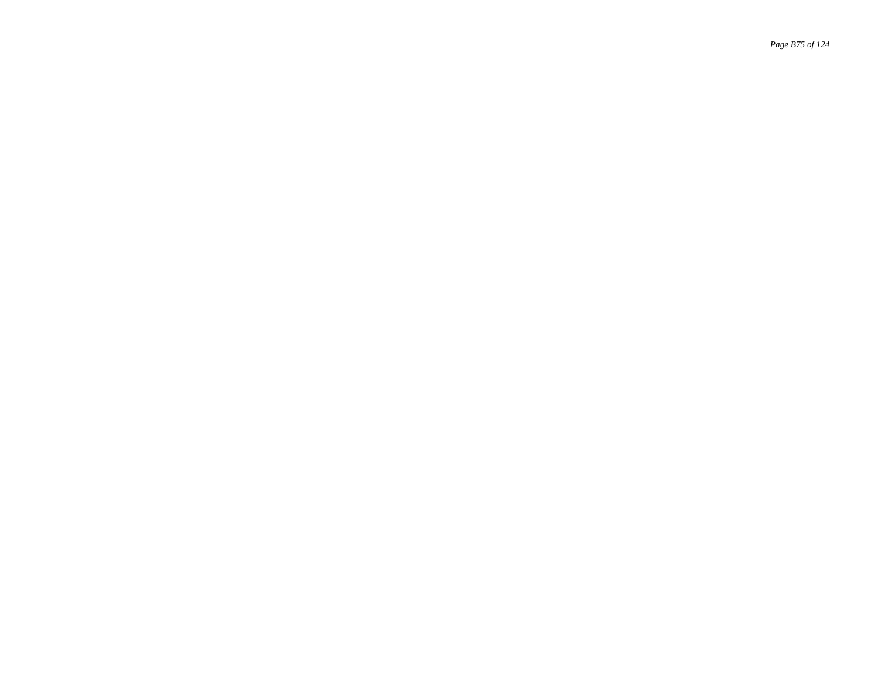*Page B75 of 124*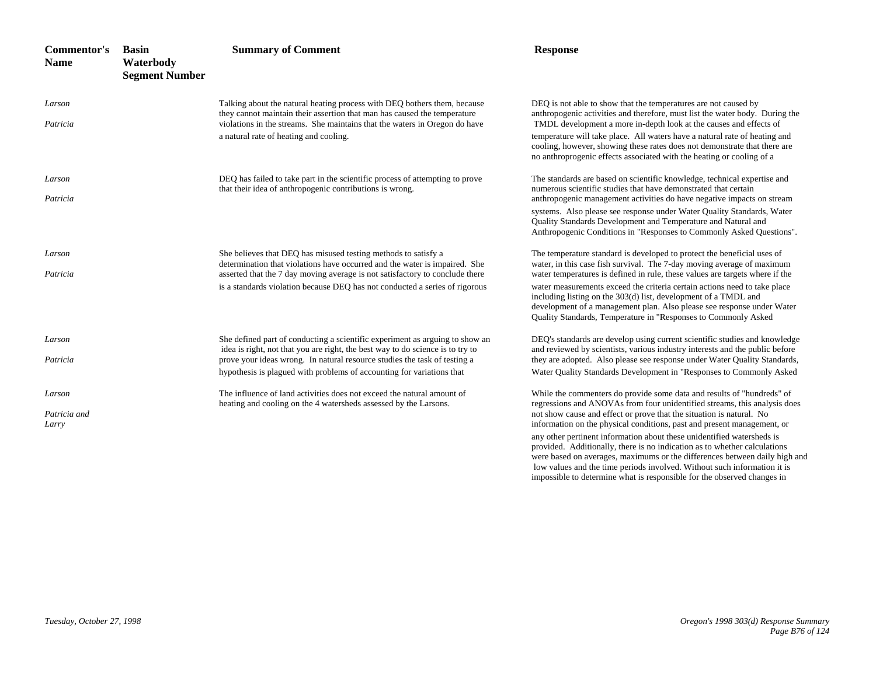| Commentor's<br><b>Name</b>      | <b>Basin</b><br>Waterbody<br><b>Segment Number</b> | <b>Summary of Comment</b>                                                                                                                                                                                                    | <b>Response</b>                                                                                                                                                                                                                                                                                        |
|---------------------------------|----------------------------------------------------|------------------------------------------------------------------------------------------------------------------------------------------------------------------------------------------------------------------------------|--------------------------------------------------------------------------------------------------------------------------------------------------------------------------------------------------------------------------------------------------------------------------------------------------------|
| Larson                          |                                                    | Talking about the natural heating process with DEQ bothers them, because<br>they cannot maintain their assertion that man has caused the temperature                                                                         | DEQ is not able to show that the temperatures are not caused by<br>anthropogenic activities and therefore, must list the water body. During the                                                                                                                                                        |
| Patricia                        |                                                    | violations in the streams. She maintains that the waters in Oregon do have<br>a natural rate of heating and cooling.                                                                                                         | TMDL development a more in-depth look at the causes and effects of<br>temperature will take place. All waters have a natural rate of heating and<br>cooling, however, showing these rates does not demonstrate that there are<br>no anthroprogenic effects associated with the heating or cooling of a |
| Larson<br>Patricia              |                                                    | DEQ has failed to take part in the scientific process of attempting to prove<br>that their idea of anthropogenic contributions is wrong.                                                                                     | The standards are based on scientific knowledge, technical expertise and<br>numerous scientific studies that have demonstrated that certain<br>anthropogenic management activities do have negative impacts on stream                                                                                  |
|                                 |                                                    |                                                                                                                                                                                                                              | systems. Also please see response under Water Quality Standards, Water<br>Quality Standards Development and Temperature and Natural and<br>Anthropogenic Conditions in "Responses to Commonly Asked Questions".                                                                                        |
| Larson<br>Patricia              |                                                    | She believes that DEQ has misused testing methods to satisfy a<br>determination that violations have occurred and the water is impaired. She<br>asserted that the 7 day moving average is not satisfactory to conclude there | The temperature standard is developed to protect the beneficial uses of<br>water, in this case fish survival. The 7-day moving average of maximum<br>water temperatures is defined in rule, these values are targets where if the                                                                      |
|                                 |                                                    | is a standards violation because DEQ has not conducted a series of rigorous                                                                                                                                                  | water measurements exceed the criteria certain actions need to take place<br>including listing on the 303(d) list, development of a TMDL and<br>development of a management plan. Also please see response under Water<br>Quality Standards, Temperature in "Responses to Commonly Asked               |
| Larson                          |                                                    | She defined part of conducting a scientific experiment as arguing to show an<br>idea is right, not that you are right, the best way to do science is to try to                                                               | DEQ's standards are develop using current scientific studies and knowledge<br>and reviewed by scientists, various industry interests and the public before                                                                                                                                             |
| Patricia                        |                                                    | prove your ideas wrong. In natural resource studies the task of testing a<br>hypothesis is plagued with problems of accounting for variations that                                                                           | they are adopted. Also please see response under Water Quality Standards,<br>Water Quality Standards Development in "Responses to Commonly Asked                                                                                                                                                       |
| Larson<br>Patricia and<br>Larry |                                                    | The influence of land activities does not exceed the natural amount of<br>heating and cooling on the 4 watersheds assessed by the Larsons.                                                                                   | While the commenters do provide some data and results of "hundreds" of<br>regressions and ANOVAs from four unidentified streams, this analysis does<br>not show cause and effect or prove that the situation is natural. No<br>information on the physical conditions, past and present management, or |
|                                 |                                                    |                                                                                                                                                                                                                              | any other pertinent information about these unidentified watersheds is<br>provided. Additionally, there is no indication as to whether calculations                                                                                                                                                    |

were based on averages, maximums or the differences between daily high and low values and the time periods involved. Without such information it is impossible to determine what is responsible for the observed changes in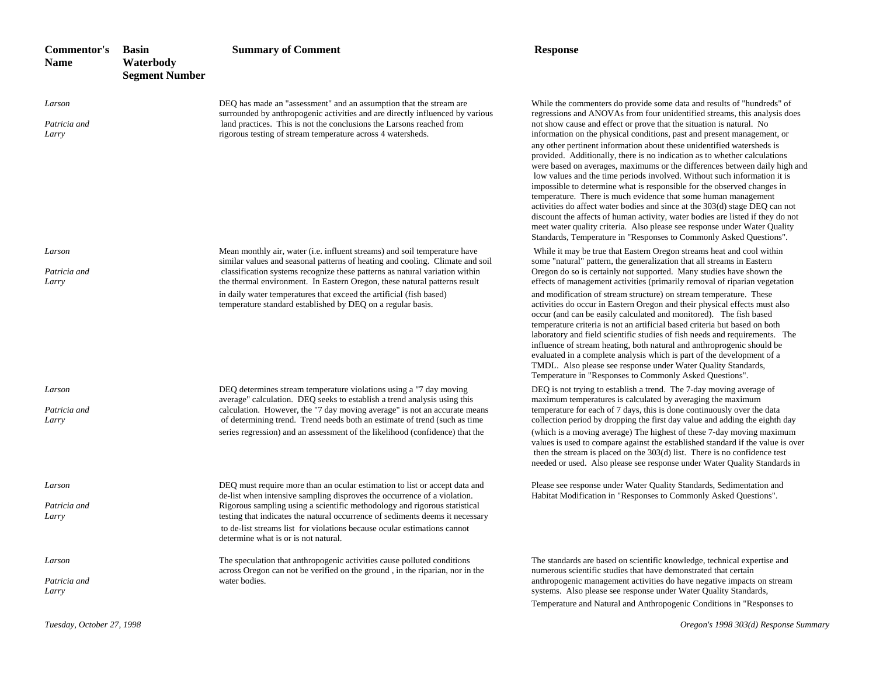| Commentor's<br><b>Name</b>      | <b>Basin</b><br>Waterbody<br><b>Segment Number</b> | <b>Summary of Comment</b>                                                                                                                                                                                                                                                                                                                                                                                                                                    | <b>Response</b>                                                                                                                                                                                                                                                                                                                                                                                                                                                                                                                                                                                                                                                                                                                                                                                                                                                                                                                                                                                                                                                                          |
|---------------------------------|----------------------------------------------------|--------------------------------------------------------------------------------------------------------------------------------------------------------------------------------------------------------------------------------------------------------------------------------------------------------------------------------------------------------------------------------------------------------------------------------------------------------------|------------------------------------------------------------------------------------------------------------------------------------------------------------------------------------------------------------------------------------------------------------------------------------------------------------------------------------------------------------------------------------------------------------------------------------------------------------------------------------------------------------------------------------------------------------------------------------------------------------------------------------------------------------------------------------------------------------------------------------------------------------------------------------------------------------------------------------------------------------------------------------------------------------------------------------------------------------------------------------------------------------------------------------------------------------------------------------------|
| Larson<br>Patricia and<br>Larry |                                                    | DEQ has made an "assessment" and an assumption that the stream are<br>surrounded by anthropogenic activities and are directly influenced by various<br>land practices. This is not the conclusions the Larsons reached from<br>rigorous testing of stream temperature across 4 watersheds.                                                                                                                                                                   | While the commenters do provide some data and results of "hundreds" of<br>regressions and ANOVAs from four unidentified streams, this analysis does<br>not show cause and effect or prove that the situation is natural. No<br>information on the physical conditions, past and present management, or<br>any other pertinent information about these unidentified watersheds is<br>provided. Additionally, there is no indication as to whether calculations<br>were based on averages, maximums or the differences between daily high and<br>low values and the time periods involved. Without such information it is<br>impossible to determine what is responsible for the observed changes in<br>temperature. There is much evidence that some human management<br>activities do affect water bodies and since at the 303(d) stage DEQ can not<br>discount the affects of human activity, water bodies are listed if they do not<br>meet water quality criteria. Also please see response under Water Quality<br>Standards, Temperature in "Responses to Commonly Asked Questions". |
| Larson<br>Patricia and<br>Larry |                                                    | Mean monthly air, water (i.e. influent streams) and soil temperature have<br>similar values and seasonal patterns of heating and cooling. Climate and soil<br>classification systems recognize these patterns as natural variation within<br>the thermal environment. In Eastern Oregon, these natural patterns result<br>in daily water temperatures that exceed the artificial (fish based)<br>temperature standard established by DEQ on a regular basis. | While it may be true that Eastern Oregon streams heat and cool within<br>some "natural" pattern, the generalization that all streams in Eastern<br>Oregon do so is certainly not supported. Many studies have shown the<br>effects of management activities (primarily removal of riparian vegetation<br>and modification of stream structure) on stream temperature. These<br>activities do occur in Eastern Oregon and their physical effects must also<br>occur (and can be easily calculated and monitored). The fish based<br>temperature criteria is not an artificial based criteria but based on both<br>laboratory and field scientific studies of fish needs and requirements. The<br>influence of stream heating, both natural and anthroprogenic should be<br>evaluated in a complete analysis which is part of the development of a<br>TMDL. Also please see response under Water Quality Standards,<br>Temperature in "Responses to Commonly Asked Questions".                                                                                                             |
| Larson<br>Patricia and<br>Larry |                                                    | DEQ determines stream temperature violations using a "7 day moving<br>average" calculation. DEQ seeks to establish a trend analysis using this<br>calculation. However, the "7 day moving average" is not an accurate means<br>of determining trend. Trend needs both an estimate of trend (such as time<br>series regression) and an assessment of the likelihood (confidence) that the                                                                     | DEQ is not trying to establish a trend. The 7-day moving average of<br>maximum temperatures is calculated by averaging the maximum<br>temperature for each of 7 days, this is done continuously over the data<br>collection period by dropping the first day value and adding the eighth day<br>(which is a moving average) The highest of these 7-day moving maximum<br>values is used to compare against the established standard if the value is over<br>then the stream is placed on the 303(d) list. There is no confidence test<br>needed or used. Also please see response under Water Quality Standards in                                                                                                                                                                                                                                                                                                                                                                                                                                                                       |
| Larson<br>Patricia and<br>Larry |                                                    | DEQ must require more than an ocular estimation to list or accept data and<br>de-list when intensive sampling disproves the occurrence of a violation.<br>Rigorous sampling using a scientific methodology and rigorous statistical<br>testing that indicates the natural occurrence of sediments deems it necessary<br>to de-list streams list for violations because ocular estimations cannot<br>determine what is or is not natural.                     | Please see response under Water Quality Standards, Sedimentation and<br>Habitat Modification in "Responses to Commonly Asked Questions".                                                                                                                                                                                                                                                                                                                                                                                                                                                                                                                                                                                                                                                                                                                                                                                                                                                                                                                                                 |
| Larson<br>Patricia and<br>Larry |                                                    | The speculation that anthropogenic activities cause polluted conditions<br>across Oregon can not be verified on the ground, in the riparian, nor in the<br>water bodies.                                                                                                                                                                                                                                                                                     | The standards are based on scientific knowledge, technical expertise and<br>numerous scientific studies that have demonstrated that certain<br>anthropogenic management activities do have negative impacts on stream<br>systems. Also please see response under Water Quality Standards,<br>Temperature and Natural and Anthropogenic Conditions in "Responses to                                                                                                                                                                                                                                                                                                                                                                                                                                                                                                                                                                                                                                                                                                                       |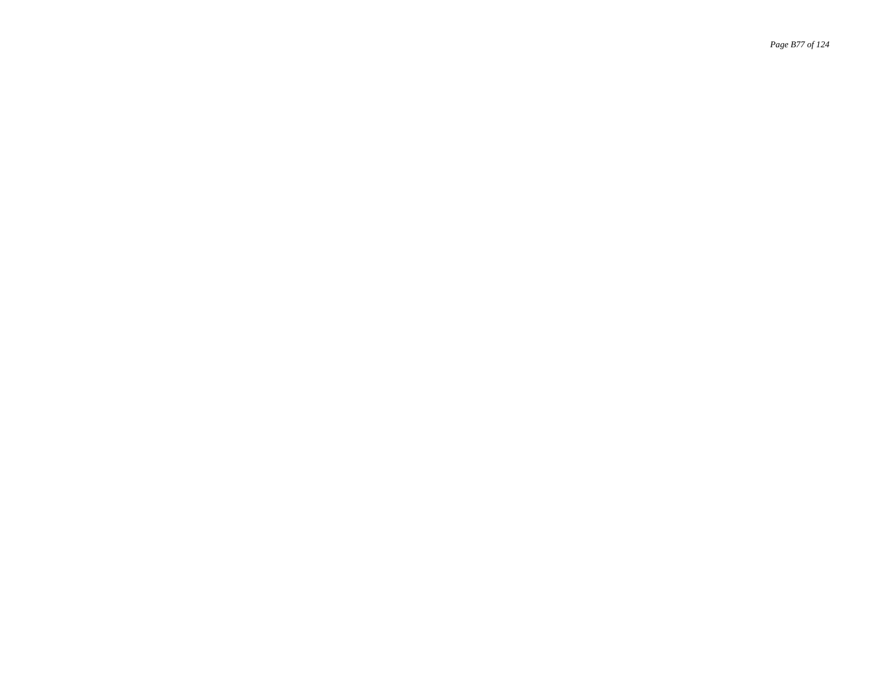*Page B77 of 124*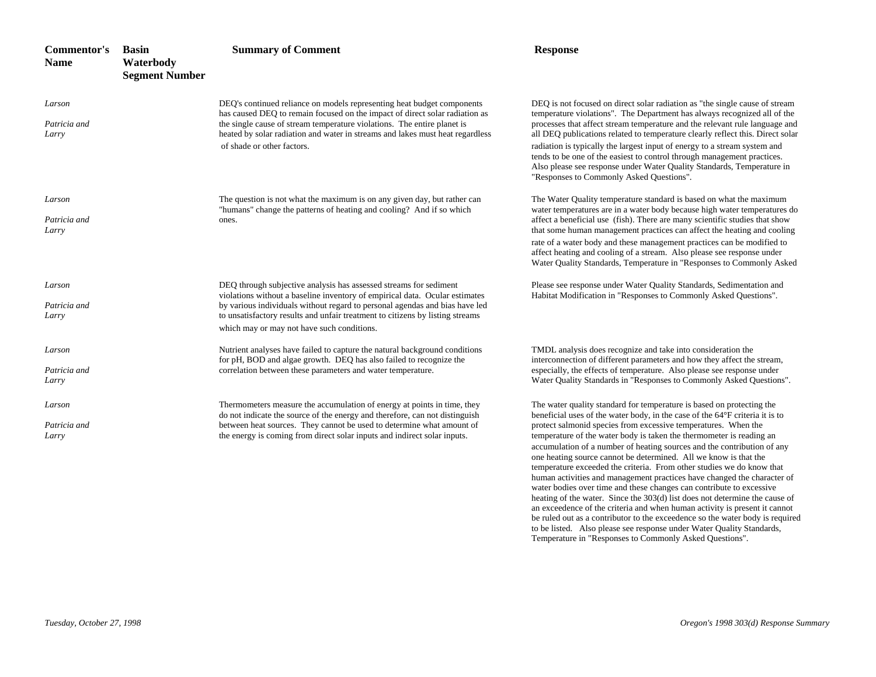| Commentor's<br><b>Name</b>      | <b>Basin</b><br>Waterbody<br><b>Segment Number</b> | <b>Summary of Comment</b>                                                                                                                                                                                                                                                                                                                                      | <b>Response</b>                                                                                                                                                                                                                                                                                                                                                                                                                                                                                                                                                                                                                                                            |
|---------------------------------|----------------------------------------------------|----------------------------------------------------------------------------------------------------------------------------------------------------------------------------------------------------------------------------------------------------------------------------------------------------------------------------------------------------------------|----------------------------------------------------------------------------------------------------------------------------------------------------------------------------------------------------------------------------------------------------------------------------------------------------------------------------------------------------------------------------------------------------------------------------------------------------------------------------------------------------------------------------------------------------------------------------------------------------------------------------------------------------------------------------|
| Larson<br>Patricia and<br>Larry |                                                    | DEQ's continued reliance on models representing heat budget components<br>has caused DEQ to remain focused on the impact of direct solar radiation as<br>the single cause of stream temperature violations. The entire planet is<br>heated by solar radiation and water in streams and lakes must heat regardless<br>of shade or other factors.                | DEQ is not focused on direct solar radiation as "the single cause of stream<br>temperature violations". The Department has always recognized all of the<br>processes that affect stream temperature and the relevant rule language and<br>all DEQ publications related to temperature clearly reflect this. Direct solar<br>radiation is typically the largest input of energy to a stream system and<br>tends to be one of the easiest to control through management practices.<br>Also please see response under Water Quality Standards, Temperature in<br>"Responses to Commonly Asked Questions".                                                                     |
| Larson<br>Patricia and<br>Larry |                                                    | The question is not what the maximum is on any given day, but rather can<br>"humans" change the patterns of heating and cooling? And if so which<br>ones.                                                                                                                                                                                                      | The Water Quality temperature standard is based on what the maximum<br>water temperatures are in a water body because high water temperatures do<br>affect a beneficial use (fish). There are many scientific studies that show<br>that some human management practices can affect the heating and cooling<br>rate of a water body and these management practices can be modified to<br>affect heating and cooling of a stream. Also please see response under<br>Water Quality Standards, Temperature in "Responses to Commonly Asked                                                                                                                                     |
| Larson<br>Patricia and<br>Larry |                                                    | DEQ through subjective analysis has assessed streams for sediment<br>violations without a baseline inventory of empirical data. Ocular estimates<br>by various individuals without regard to personal agendas and bias have led<br>to unsatisfactory results and unfair treatment to citizens by listing streams<br>which may or may not have such conditions. | Please see response under Water Quality Standards, Sedimentation and<br>Habitat Modification in "Responses to Commonly Asked Questions".                                                                                                                                                                                                                                                                                                                                                                                                                                                                                                                                   |
| Larson<br>Patricia and<br>Larry |                                                    | Nutrient analyses have failed to capture the natural background conditions<br>for pH, BOD and algae growth. DEQ has also failed to recognize the<br>correlation between these parameters and water temperature.                                                                                                                                                | TMDL analysis does recognize and take into consideration the<br>interconnection of different parameters and how they affect the stream,<br>especially, the effects of temperature. Also please see response under<br>Water Quality Standards in "Responses to Commonly Asked Questions".                                                                                                                                                                                                                                                                                                                                                                                   |
| Larson<br>Patricia and<br>Larry |                                                    | Thermometers measure the accumulation of energy at points in time, they<br>do not indicate the source of the energy and therefore, can not distinguish<br>between heat sources. They cannot be used to determine what amount of<br>the energy is coming from direct solar inputs and indirect solar inputs.                                                    | The water quality standard for temperature is based on protecting the<br>beneficial uses of the water body, in the case of the 64°F criteria it is to<br>protect salmonid species from excessive temperatures. When the<br>temperature of the water body is taken the thermometer is reading an<br>accumulation of a number of heating sources and the contribution of any<br>one heating source cannot be determined. All we know is that the<br>temperature exceeded the criteria. From other studies we do know that<br>human activities and management practices have changed the character of<br>water bodies over time and these changes can contribute to excessive |

heating of the water. Since the 303(d) list does not determine the cause of an exceedence of the criteria and when human activity is present it cannot be ruled out as a contributor to the exceedence so the water body is required to be listed. Also please see response under Water Quality Standards, Temperature in "Responses to Commonly Asked Questions".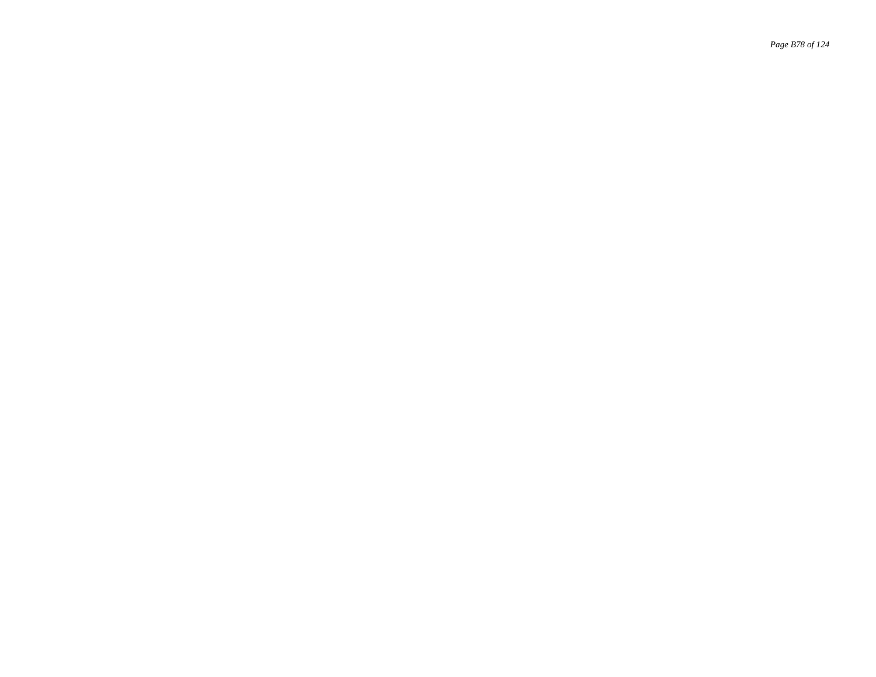*Page B78 of 124*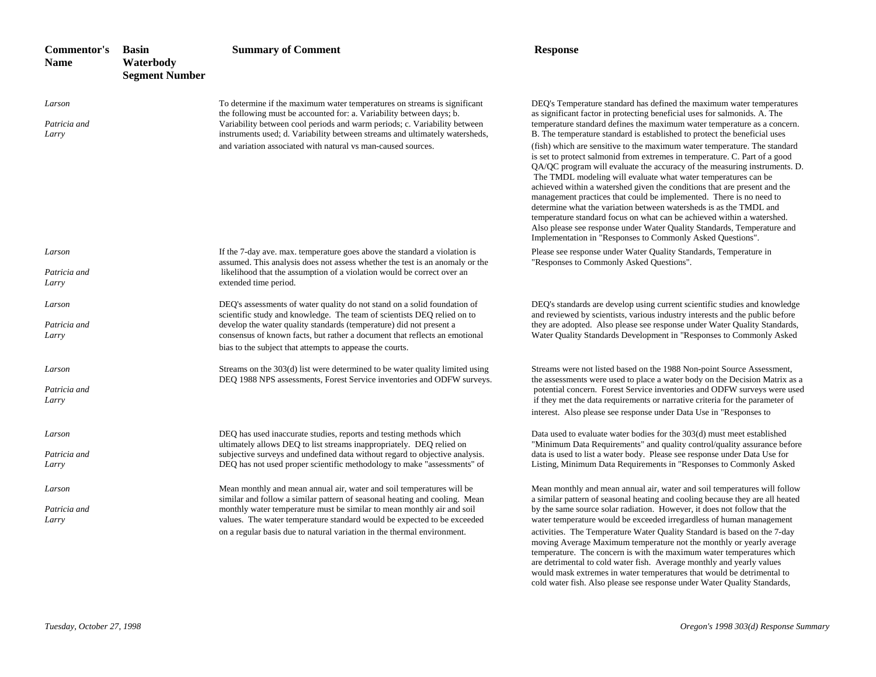| Commentor's<br><b>Name</b>      | <b>Basin</b><br>Waterbody<br><b>Segment Number</b> | <b>Summary of Comment</b>                                                                                                                                                                                                                                                                                | <b>Response</b>                                                                                                                                                                                                                                                                                                                                                                                                                                                                                                                                                                                                                                                                                                                                     |  |
|---------------------------------|----------------------------------------------------|----------------------------------------------------------------------------------------------------------------------------------------------------------------------------------------------------------------------------------------------------------------------------------------------------------|-----------------------------------------------------------------------------------------------------------------------------------------------------------------------------------------------------------------------------------------------------------------------------------------------------------------------------------------------------------------------------------------------------------------------------------------------------------------------------------------------------------------------------------------------------------------------------------------------------------------------------------------------------------------------------------------------------------------------------------------------------|--|
| Larson                          |                                                    | To determine if the maximum water temperatures on streams is significant                                                                                                                                                                                                                                 | DEQ's Temperature standard has defined the maximum water temperatures                                                                                                                                                                                                                                                                                                                                                                                                                                                                                                                                                                                                                                                                               |  |
| Patricia and<br>Larry           |                                                    | the following must be accounted for: a. Variability between days; b.<br>Variability between cool periods and warm periods; c. Variability between<br>instruments used; d. Variability between streams and ultimately watersheds,                                                                         | as significant factor in protecting beneficial uses for salmonids. A. The<br>temperature standard defines the maximum water temperature as a concern.<br>B. The temperature standard is established to protect the beneficial uses                                                                                                                                                                                                                                                                                                                                                                                                                                                                                                                  |  |
|                                 |                                                    | and variation associated with natural vs man-caused sources.                                                                                                                                                                                                                                             | (fish) which are sensitive to the maximum water temperature. The standard<br>is set to protect salmonid from extremes in temperature. C. Part of a good<br>QA/QC program will evaluate the accuracy of the measuring instruments. D.<br>The TMDL modeling will evaluate what water temperatures can be<br>achieved within a watershed given the conditions that are present and the<br>management practices that could be implemented. There is no need to<br>determine what the variation between watersheds is as the TMDL and<br>temperature standard focus on what can be achieved within a watershed.<br>Also please see response under Water Quality Standards, Temperature and<br>Implementation in "Responses to Commonly Asked Questions". |  |
| Larson<br>Patricia and<br>Larry |                                                    | If the 7-day ave. max. temperature goes above the standard a violation is<br>assumed. This analysis does not assess whether the test is an anomaly or the<br>likelihood that the assumption of a violation would be correct over an<br>extended time period.                                             | Please see response under Water Quality Standards, Temperature in<br>"Responses to Commonly Asked Questions".                                                                                                                                                                                                                                                                                                                                                                                                                                                                                                                                                                                                                                       |  |
| Larson<br>Patricia and<br>Larry |                                                    | DEQ's assessments of water quality do not stand on a solid foundation of<br>scientific study and knowledge. The team of scientists DEQ relied on to<br>develop the water quality standards (temperature) did not present a<br>consensus of known facts, but rather a document that reflects an emotional | DEQ's standards are develop using current scientific studies and knowledge<br>and reviewed by scientists, various industry interests and the public before<br>they are adopted. Also please see response under Water Quality Standards,<br>Water Quality Standards Development in "Responses to Commonly Asked                                                                                                                                                                                                                                                                                                                                                                                                                                      |  |
|                                 |                                                    | bias to the subject that attempts to appease the courts.                                                                                                                                                                                                                                                 |                                                                                                                                                                                                                                                                                                                                                                                                                                                                                                                                                                                                                                                                                                                                                     |  |
| Larson<br>Patricia and<br>Larry |                                                    | Streams on the 303(d) list were determined to be water quality limited using<br>DEQ 1988 NPS assessments, Forest Service inventories and ODFW surveys.                                                                                                                                                   | Streams were not listed based on the 1988 Non-point Source Assessment,<br>the assessments were used to place a water body on the Decision Matrix as a<br>potential concern. Forest Service inventories and ODFW surveys were used<br>if they met the data requirements or narrative criteria for the parameter of                                                                                                                                                                                                                                                                                                                                                                                                                                   |  |
|                                 |                                                    |                                                                                                                                                                                                                                                                                                          | interest. Also please see response under Data Use in "Responses to                                                                                                                                                                                                                                                                                                                                                                                                                                                                                                                                                                                                                                                                                  |  |
| Larson                          |                                                    | DEQ has used inaccurate studies, reports and testing methods which<br>ultimately allows DEQ to list streams inappropriately. DEQ relied on                                                                                                                                                               | Data used to evaluate water bodies for the 303(d) must meet established<br>"Minimum Data Requirements" and quality control/quality assurance before                                                                                                                                                                                                                                                                                                                                                                                                                                                                                                                                                                                                 |  |
| Patricia and<br>Larry           |                                                    | subjective surveys and undefined data without regard to objective analysis.<br>DEQ has not used proper scientific methodology to make "assessments" of                                                                                                                                                   | data is used to list a water body. Please see response under Data Use for<br>Listing, Minimum Data Requirements in "Responses to Commonly Asked                                                                                                                                                                                                                                                                                                                                                                                                                                                                                                                                                                                                     |  |
| Larson                          |                                                    | Mean monthly and mean annual air, water and soil temperatures will be<br>similar and follow a similar pattern of seasonal heating and cooling. Mean                                                                                                                                                      | Mean monthly and mean annual air, water and soil temperatures will follow<br>a similar pattern of seasonal heating and cooling because they are all heated                                                                                                                                                                                                                                                                                                                                                                                                                                                                                                                                                                                          |  |
| Patricia and<br>Larry           |                                                    | monthly water temperature must be similar to mean monthly air and soil<br>values. The water temperature standard would be expected to be exceeded                                                                                                                                                        | by the same source solar radiation. However, it does not follow that the<br>water temperature would be exceeded irregardless of human management                                                                                                                                                                                                                                                                                                                                                                                                                                                                                                                                                                                                    |  |
|                                 |                                                    | on a regular basis due to natural variation in the thermal environment.                                                                                                                                                                                                                                  | activities. The Temperature Water Quality Standard is based on the 7-day<br>moving Average Maximum temperature not the monthly or yearly average<br>temperature. The concern is with the maximum water temperatures which<br>are detrimental to cold water fish. Average monthly and yearly values                                                                                                                                                                                                                                                                                                                                                                                                                                                  |  |

would mask extremes in water temperatures that would be detrimental to cold water fish. Also please see response under Water Quality Standards,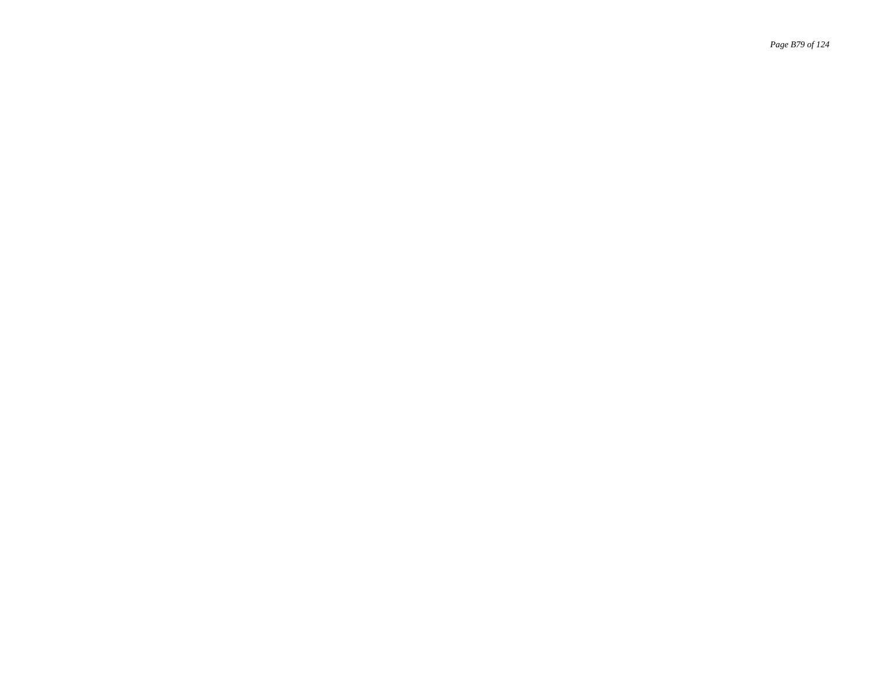*Page B79 of 124*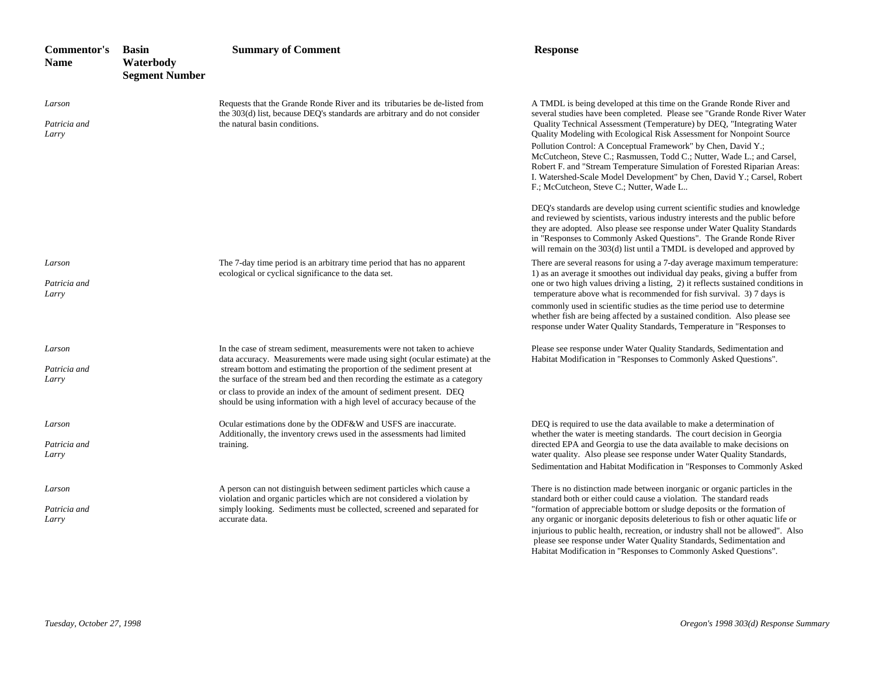| <b>Commentor's</b><br><b>Name</b> | <b>Basin</b><br>Waterbody<br><b>Segment Number</b> | <b>Summary of Comment</b>                                                                                                                                                                                                                                                                                                                                                                                                                                        | <b>Response</b>                                                                                                                                                                                                                                                                                                                                                                                                                                                                                                                                      |
|-----------------------------------|----------------------------------------------------|------------------------------------------------------------------------------------------------------------------------------------------------------------------------------------------------------------------------------------------------------------------------------------------------------------------------------------------------------------------------------------------------------------------------------------------------------------------|------------------------------------------------------------------------------------------------------------------------------------------------------------------------------------------------------------------------------------------------------------------------------------------------------------------------------------------------------------------------------------------------------------------------------------------------------------------------------------------------------------------------------------------------------|
| Larson<br>Patricia and<br>Larry   |                                                    | Requests that the Grande Ronde River and its tributaries be de-listed from<br>the 303(d) list, because DEQ's standards are arbitrary and do not consider<br>the natural basin conditions.                                                                                                                                                                                                                                                                        | A TMDL is being developed at this time on the Grande Ronde River and<br>several studies have been completed. Please see "Grande Ronde River Water<br>Quality Technical Assessment (Temperature) by DEQ, "Integrating Water<br>Quality Modeling with Ecological Risk Assessment for Nonpoint Source<br>Pollution Control: A Conceptual Framework" by Chen, David Y.;<br>McCutcheon, Steve C.; Rasmussen, Todd C.; Nutter, Wade L.; and Carsel,<br>Robert F. and "Stream Temperature Simulation of Forested Riparian Areas:                            |
|                                   |                                                    |                                                                                                                                                                                                                                                                                                                                                                                                                                                                  | I. Watershed-Scale Model Development" by Chen, David Y.; Carsel, Robert<br>F.; McCutcheon, Steve C.; Nutter, Wade L<br>DEQ's standards are develop using current scientific studies and knowledge<br>and reviewed by scientists, various industry interests and the public before<br>they are adopted. Also please see response under Water Quality Standards<br>in "Responses to Commonly Asked Questions". The Grande Ronde River<br>will remain on the 303(d) list until a TMDL is developed and approved by                                      |
| Larson<br>Patricia and<br>Larry   |                                                    | The 7-day time period is an arbitrary time period that has no apparent<br>ecological or cyclical significance to the data set.                                                                                                                                                                                                                                                                                                                                   | There are several reasons for using a 7-day average maximum temperature:<br>1) as an average it smoothes out individual day peaks, giving a buffer from<br>one or two high values driving a listing, 2) it reflects sustained conditions in<br>temperature above what is recommended for fish survival. 3) 7 days is<br>commonly used in scientific studies as the time period use to determine<br>whether fish are being affected by a sustained condition. Also please see<br>response under Water Quality Standards, Temperature in "Responses to |
| Larson<br>Patricia and<br>Larry   |                                                    | In the case of stream sediment, measurements were not taken to achieve<br>data accuracy. Measurements were made using sight (ocular estimate) at the<br>stream bottom and estimating the proportion of the sediment present at<br>the surface of the stream bed and then recording the estimate as a category<br>or class to provide an index of the amount of sediment present. DEQ<br>should be using information with a high level of accuracy because of the | Please see response under Water Quality Standards, Sedimentation and<br>Habitat Modification in "Responses to Commonly Asked Questions".                                                                                                                                                                                                                                                                                                                                                                                                             |
| Larson<br>Patricia and<br>Larry   |                                                    | Ocular estimations done by the ODF&W and USFS are inaccurate.<br>Additionally, the inventory crews used in the assessments had limited<br>training.                                                                                                                                                                                                                                                                                                              | DEQ is required to use the data available to make a determination of<br>whether the water is meeting standards. The court decision in Georgia<br>directed EPA and Georgia to use the data available to make decisions on<br>water quality. Also please see response under Water Quality Standards,<br>Sedimentation and Habitat Modification in "Responses to Commonly Asked                                                                                                                                                                         |
| Larson<br>Patricia and<br>Larry   |                                                    | A person can not distinguish between sediment particles which cause a<br>violation and organic particles which are not considered a violation by<br>simply looking. Sediments must be collected, screened and separated for<br>accurate data.                                                                                                                                                                                                                    | There is no distinction made between inorganic or organic particles in the<br>standard both or either could cause a violation. The standard reads<br>"formation of appreciable bottom or sludge deposits or the formation of<br>any organic or inorganic deposits deleterious to fish or other aquatic life or<br>injurious to public health, recreation, or industry shall not be allowed". Also                                                                                                                                                    |

 please see response under Water Quality Standards, Sedimentation and Habitat Modification in "Responses to Commonly Asked Questions".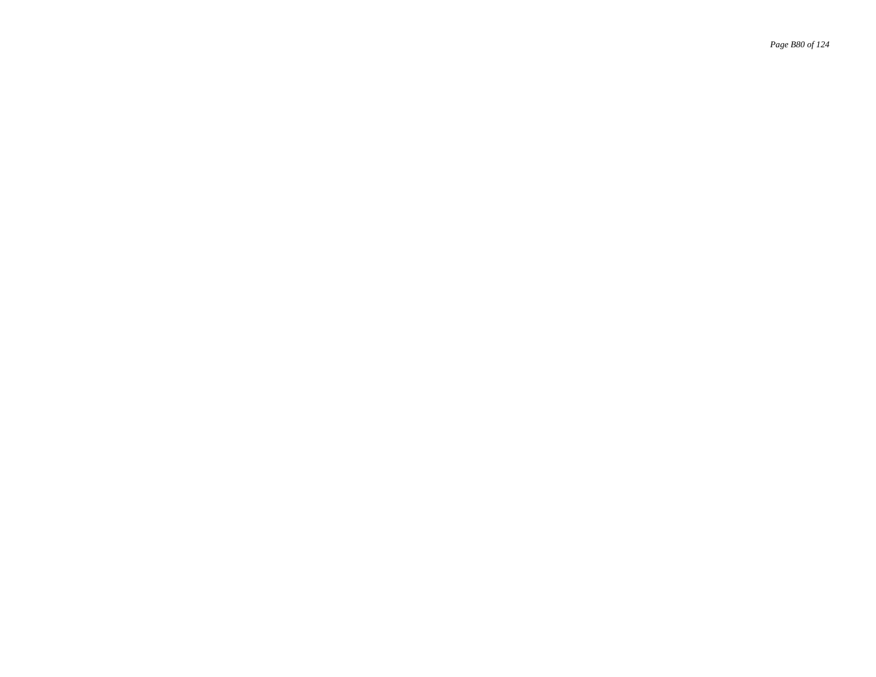*Page B80 of 124*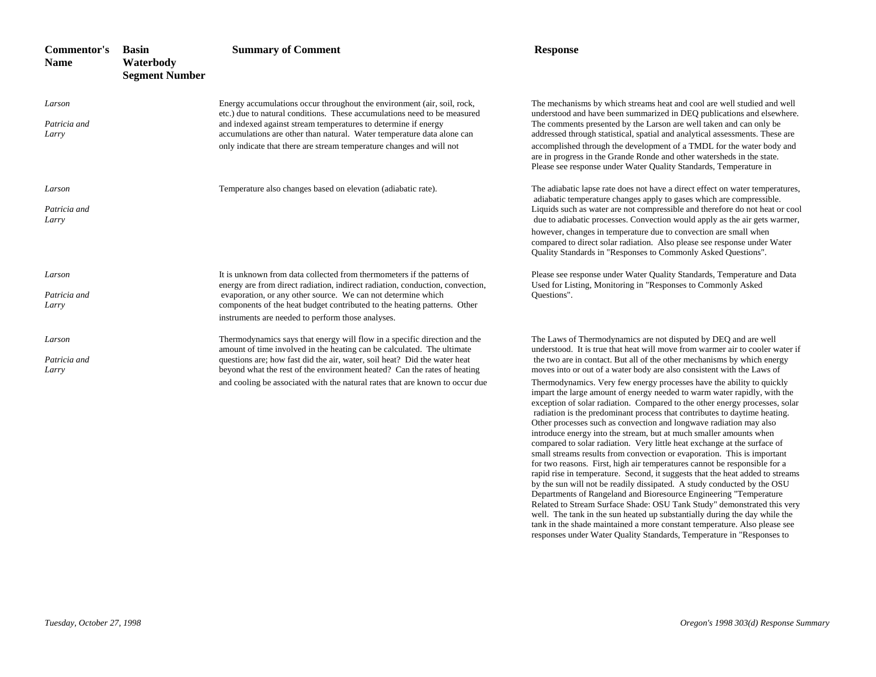| Commentor's<br><b>Name</b>      | <b>Basin</b><br>Waterbody<br><b>Segment Number</b> | <b>Summary of Comment</b>                                                                                                                                                                                                                                                                                                                                                                    | <b>Response</b>                                                                                                                                                                                                                                                                                                                                                                                                                                                                                                                                                                                                        |
|---------------------------------|----------------------------------------------------|----------------------------------------------------------------------------------------------------------------------------------------------------------------------------------------------------------------------------------------------------------------------------------------------------------------------------------------------------------------------------------------------|------------------------------------------------------------------------------------------------------------------------------------------------------------------------------------------------------------------------------------------------------------------------------------------------------------------------------------------------------------------------------------------------------------------------------------------------------------------------------------------------------------------------------------------------------------------------------------------------------------------------|
| Larson<br>Patricia and<br>Larry |                                                    | Energy accumulations occur throughout the environment (air, soil, rock,<br>etc.) due to natural conditions. These accumulations need to be measured<br>and indexed against stream temperatures to determine if energy<br>accumulations are other than natural. Water temperature data alone can<br>only indicate that there are stream temperature changes and will not                      | The mechanisms by which streams heat and cool are well studied and well<br>understood and have been summarized in DEQ publications and elsewhere.<br>The comments presented by the Larson are well taken and can only be<br>addressed through statistical, spatial and analytical assessments. These are<br>accomplished through the development of a TMDL for the water body and<br>are in progress in the Grande Ronde and other watersheds in the state.<br>Please see response under Water Quality Standards, Temperature in                                                                                       |
| Larson<br>Patricia and<br>Larry |                                                    | Temperature also changes based on elevation (adiabatic rate).                                                                                                                                                                                                                                                                                                                                | The adiabatic lapse rate does not have a direct effect on water temperatures,<br>adiabatic temperature changes apply to gases which are compressible.<br>Liquids such as water are not compressible and therefore do not heat or cool<br>due to adiabatic processes. Convection would apply as the air gets warmer,<br>however, changes in temperature due to convection are small when<br>compared to direct solar radiation. Also please see response under Water<br>Quality Standards in "Responses to Commonly Asked Questions".                                                                                   |
| Larson<br>Patricia and<br>Larry |                                                    | It is unknown from data collected from thermometers if the patterns of<br>energy are from direct radiation, indirect radiation, conduction, convection,<br>evaporation, or any other source. We can not determine which<br>components of the heat budget contributed to the heating patterns. Other<br>instruments are needed to perform those analyses.                                     | Please see response under Water Quality Standards, Temperature and Data<br>Used for Listing, Monitoring in "Responses to Commonly Asked<br>Ouestions".                                                                                                                                                                                                                                                                                                                                                                                                                                                                 |
| Larson<br>Patricia and<br>Larry |                                                    | Thermodynamics says that energy will flow in a specific direction and the<br>amount of time involved in the heating can be calculated. The ultimate<br>questions are; how fast did the air, water, soil heat? Did the water heat<br>beyond what the rest of the environment heated? Can the rates of heating<br>and cooling be associated with the natural rates that are known to occur due | The Laws of Thermodynamics are not disputed by DEQ and are well<br>understood. It is true that heat will move from warmer air to cooler water if<br>the two are in contact. But all of the other mechanisms by which energy<br>moves into or out of a water body are also consistent with the Laws of<br>Thermodynamics. Very few energy processes have the ability to quickly<br>impart the large amount of energy needed to warm water rapidly, with the<br>exception of solar radiation. Compared to the other energy processes, solar<br>radiation is the predominant process that contributes to daytime heating. |

Other processes such as convection and longwave radiation may also introduce energy into the stream, but at much smaller amounts when compared to solar radiation. Very little heat exchange at the surface of small streams results from convection or evaporation. This is important for two reasons. First, high air temperatures cannot be responsible for a rapid rise in temperature. Second, it suggests that the heat added to streams by the sun will not be readily dissipated. A study conducted by the OSU Departments of Rangeland and Bioresource Engineering "Temperature Related to Stream Surface Shade: OSU Tank Study" demonstrated this very well. The tank in the sun heated up substantially during the day while the tank in the shade maintained a more constant temperature. Also please see responses under Water Quality Standards, Temperature in "Responses to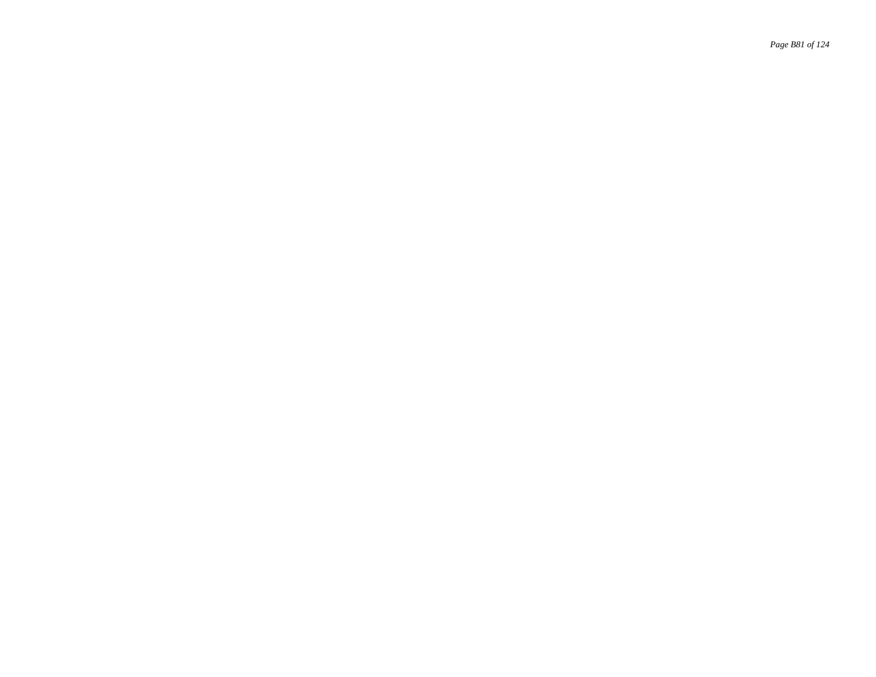*Page B81 of 124*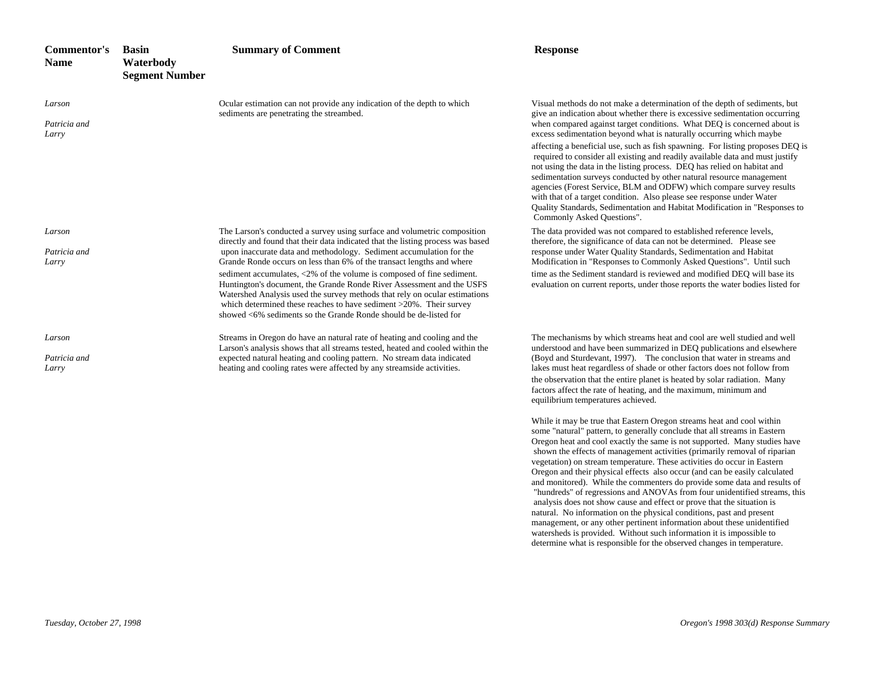| Commentor's<br><b>Name</b>      | <b>Basin</b><br>Waterbody<br><b>Segment Number</b> | <b>Summary of Comment</b>                                                                                                                                                                                                                                                                                                                                                                                                                                                                                                                                                                                         | <b>Response</b>                                                                                                                                                                                                                                                                                                                                                                                                                                                                                                                                                                                                                                                                                                                                                                                                                                                  |
|---------------------------------|----------------------------------------------------|-------------------------------------------------------------------------------------------------------------------------------------------------------------------------------------------------------------------------------------------------------------------------------------------------------------------------------------------------------------------------------------------------------------------------------------------------------------------------------------------------------------------------------------------------------------------------------------------------------------------|------------------------------------------------------------------------------------------------------------------------------------------------------------------------------------------------------------------------------------------------------------------------------------------------------------------------------------------------------------------------------------------------------------------------------------------------------------------------------------------------------------------------------------------------------------------------------------------------------------------------------------------------------------------------------------------------------------------------------------------------------------------------------------------------------------------------------------------------------------------|
| Larson<br>Patricia and<br>Larry |                                                    | Ocular estimation can not provide any indication of the depth to which<br>sediments are penetrating the streambed.                                                                                                                                                                                                                                                                                                                                                                                                                                                                                                | Visual methods do not make a determination of the depth of sediments, but<br>give an indication about whether there is excessive sedimentation occurring<br>when compared against target conditions. What DEQ is concerned about is<br>excess sedimentation beyond what is naturally occurring which maybe<br>affecting a beneficial use, such as fish spawning. For listing proposes DEQ is<br>required to consider all existing and readily available data and must justify<br>not using the data in the listing process. DEQ has relied on habitat and<br>sedimentation surveys conducted by other natural resource management<br>agencies (Forest Service, BLM and ODFW) which compare survey results<br>with that of a target condition. Also please see response under Water<br>Quality Standards, Sedimentation and Habitat Modification in "Responses to |
| Larson<br>Patricia and<br>Larry |                                                    | The Larson's conducted a survey using surface and volumetric composition<br>directly and found that their data indicated that the listing process was based<br>upon inaccurate data and methodology. Sediment accumulation for the<br>Grande Ronde occurs on less than 6% of the transact lengths and where<br>sediment accumulates, <2% of the volume is composed of fine sediment.<br>Huntington's document, the Grande Ronde River Assessment and the USFS<br>Watershed Analysis used the survey methods that rely on ocular estimations<br>which determined these reaches to have sediment >20%. Their survey | Commonly Asked Questions".<br>The data provided was not compared to established reference levels,<br>therefore, the significance of data can not be determined. Please see<br>response under Water Quality Standards, Sedimentation and Habitat<br>Modification in "Responses to Commonly Asked Questions". Until such<br>time as the Sediment standard is reviewed and modified DEO will base its<br>evaluation on current reports, under those reports the water bodies listed for                                                                                                                                                                                                                                                                                                                                                                             |
| Larson<br>Patricia and<br>Larry |                                                    | showed <6% sediments so the Grande Ronde should be de-listed for<br>Streams in Oregon do have an natural rate of heating and cooling and the<br>Larson's analysis shows that all streams tested, heated and cooled within the<br>expected natural heating and cooling pattern. No stream data indicated<br>heating and cooling rates were affected by any streamside activities.                                                                                                                                                                                                                                  | The mechanisms by which streams heat and cool are well studied and well<br>understood and have been summarized in DEQ publications and elsewhere<br>(Boyd and Sturdevant, 1997). The conclusion that water in streams and<br>lakes must heat regardless of shade or other factors does not follow from<br>the observation that the entire planet is heated by solar radiation. Many<br>factors affect the rate of heating, and the maximum, minimum and<br>equilibrium temperatures achieved.                                                                                                                                                                                                                                                                                                                                                                    |

While it may be true that Eastern Oregon streams heat and cool within some "natural" pattern, to generally conclude that all streams in Eastern Oregon heat and cool exactly the same is not supported. Many studies have shown the effects of management activities (primarily removal of riparian vegetation) on stream temperature. These activities do occur in Eastern Oregon and their physical effects also occur (and can be easily calculated and monitored). While the commenters do provide some data and results of "hundreds" of regressions and ANOVAs from four unidentified streams, this analysis does not show cause and effect or prove that the situation is natural. No information on the physical conditions, past and present management, or any other pertinent information about these unidentified watersheds is provided. Without such information it is impossible to determine what is responsible for the observed changes in temperature.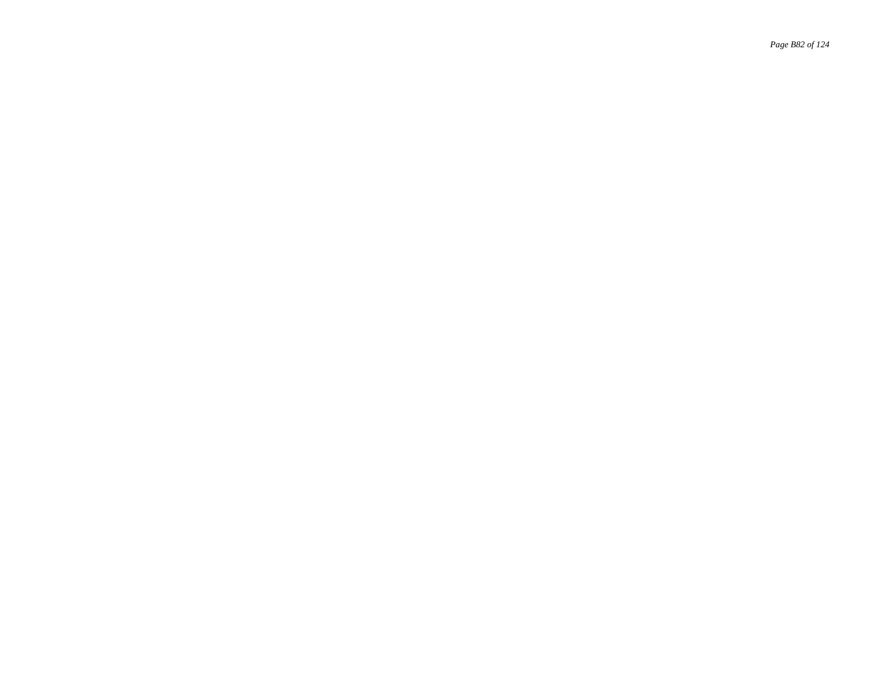*Page B82 of 124*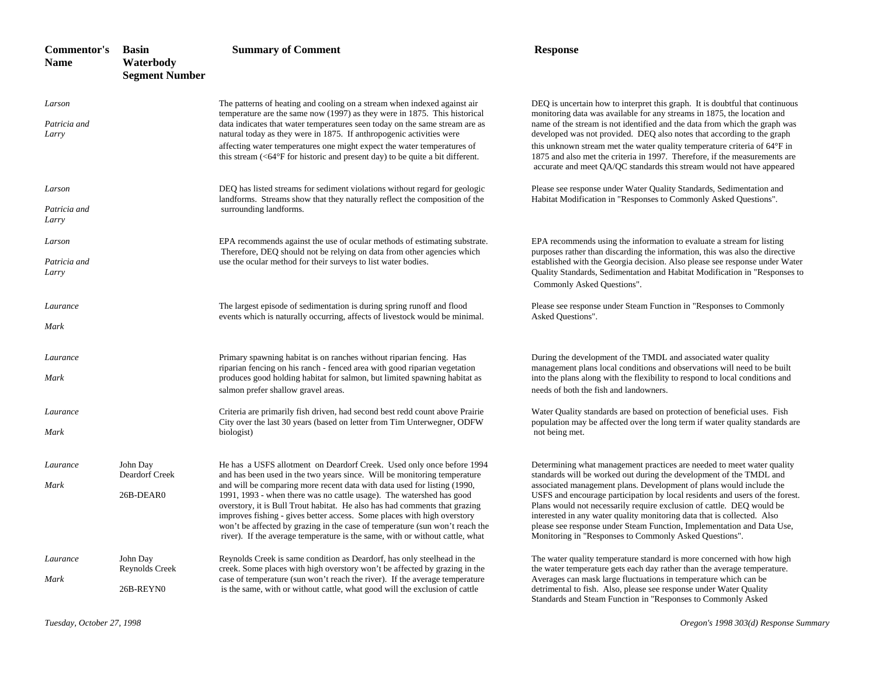| Commentor's<br><b>Name</b>      | <b>Basin</b><br>Waterbody<br><b>Segment Number</b> | <b>Summary of Comment</b>                                                                                                                                                                                                                                                                                                                                                                                                                                                                                                                                                                                                      | <b>Response</b>                                                                                                                                                                                                                                                                                                                                                                                                                                                                                                                                                                              |
|---------------------------------|----------------------------------------------------|--------------------------------------------------------------------------------------------------------------------------------------------------------------------------------------------------------------------------------------------------------------------------------------------------------------------------------------------------------------------------------------------------------------------------------------------------------------------------------------------------------------------------------------------------------------------------------------------------------------------------------|----------------------------------------------------------------------------------------------------------------------------------------------------------------------------------------------------------------------------------------------------------------------------------------------------------------------------------------------------------------------------------------------------------------------------------------------------------------------------------------------------------------------------------------------------------------------------------------------|
| Larson<br>Patricia and<br>Larry |                                                    | The patterns of heating and cooling on a stream when indexed against air<br>temperature are the same now (1997) as they were in 1875. This historical<br>data indicates that water temperatures seen today on the same stream are as<br>natural today as they were in 1875. If anthropogenic activities were                                                                                                                                                                                                                                                                                                                   | DEQ is uncertain how to interpret this graph. It is doubtful that continuous<br>monitoring data was available for any streams in 1875, the location and<br>name of the stream is not identified and the data from which the graph was<br>developed was not provided. DEQ also notes that according to the graph                                                                                                                                                                                                                                                                              |
|                                 |                                                    | affecting water temperatures one might expect the water temperatures of<br>this stream $(64^{\circ}F for historic and present day) to be quite a bit different.$                                                                                                                                                                                                                                                                                                                                                                                                                                                               | this unknown stream met the water quality temperature criteria of 64°F in<br>1875 and also met the criteria in 1997. Therefore, if the measurements are<br>accurate and meet QA/QC standards this stream would not have appeared                                                                                                                                                                                                                                                                                                                                                             |
| Larson<br>Patricia and<br>Larry |                                                    | DEQ has listed streams for sediment violations without regard for geologic<br>landforms. Streams show that they naturally reflect the composition of the<br>surrounding landforms.                                                                                                                                                                                                                                                                                                                                                                                                                                             | Please see response under Water Quality Standards, Sedimentation and<br>Habitat Modification in "Responses to Commonly Asked Questions".                                                                                                                                                                                                                                                                                                                                                                                                                                                     |
| Larson<br>Patricia and<br>Larry |                                                    | EPA recommends against the use of ocular methods of estimating substrate.<br>Therefore, DEQ should not be relying on data from other agencies which<br>use the ocular method for their surveys to list water bodies.                                                                                                                                                                                                                                                                                                                                                                                                           | EPA recommends using the information to evaluate a stream for listing<br>purposes rather than discarding the information, this was also the directive<br>established with the Georgia decision. Also please see response under Water<br>Quality Standards, Sedimentation and Habitat Modification in "Responses to<br>Commonly Asked Questions".                                                                                                                                                                                                                                             |
| Laurance<br>Mark                |                                                    | The largest episode of sedimentation is during spring runoff and flood<br>events which is naturally occurring, affects of livestock would be minimal.                                                                                                                                                                                                                                                                                                                                                                                                                                                                          | Please see response under Steam Function in "Responses to Commonly<br>Asked Questions".                                                                                                                                                                                                                                                                                                                                                                                                                                                                                                      |
| Laurance<br>Mark                |                                                    | Primary spawning habitat is on ranches without riparian fencing. Has<br>riparian fencing on his ranch - fenced area with good riparian vegetation<br>produces good holding habitat for salmon, but limited spawning habitat as<br>salmon prefer shallow gravel areas.                                                                                                                                                                                                                                                                                                                                                          | During the development of the TMDL and associated water quality<br>management plans local conditions and observations will need to be built<br>into the plans along with the flexibility to respond to local conditions and<br>needs of both the fish and landowners.                                                                                                                                                                                                                                                                                                                        |
| Laurance<br>Mark                |                                                    | Criteria are primarily fish driven, had second best redd count above Prairie<br>City over the last 30 years (based on letter from Tim Unterwegner, ODFW<br>biologist)                                                                                                                                                                                                                                                                                                                                                                                                                                                          | Water Quality standards are based on protection of beneficial uses. Fish<br>population may be affected over the long term if water quality standards are<br>not being met.                                                                                                                                                                                                                                                                                                                                                                                                                   |
| Laurance<br>Mark                | John Day<br>Deardorf Creek<br>26B-DEAR0            | He has a USFS allotment on Deardorf Creek. Used only once before 1994<br>and has been used in the two years since. Will be monitoring temperature<br>and will be comparing more recent data with data used for listing (1990,<br>1991, 1993 - when there was no cattle usage). The watershed has good<br>overstory, it is Bull Trout habitat. He also has had comments that grazing<br>improves fishing - gives better access. Some places with high overstory<br>won't be affected by grazing in the case of temperature (sun won't reach the<br>river). If the average temperature is the same, with or without cattle, what | Determining what management practices are needed to meet water quality<br>standards will be worked out during the development of the TMDL and<br>associated management plans. Development of plans would include the<br>USFS and encourage participation by local residents and users of the forest.<br>Plans would not necessarily require exclusion of cattle. DEQ would be<br>interested in any water quality monitoring data that is collected. Also<br>please see response under Steam Function, Implementation and Data Use,<br>Monitoring in "Responses to Commonly Asked Questions". |
| Laurance<br>Mark                | John Day<br>Reynolds Creek<br>26B-REYN0            | Reynolds Creek is same condition as Deardorf, has only steelhead in the<br>creek. Some places with high overstory won't be affected by grazing in the<br>case of temperature (sun won't reach the river). If the average temperature<br>is the same, with or without cattle, what good will the exclusion of cattle                                                                                                                                                                                                                                                                                                            | The water quality temperature standard is more concerned with how high<br>the water temperature gets each day rather than the average temperature.<br>Averages can mask large fluctuations in temperature which can be<br>detrimental to fish. Also, please see response under Water Quality<br>Standards and Steam Function in "Responses to Commonly Asked                                                                                                                                                                                                                                 |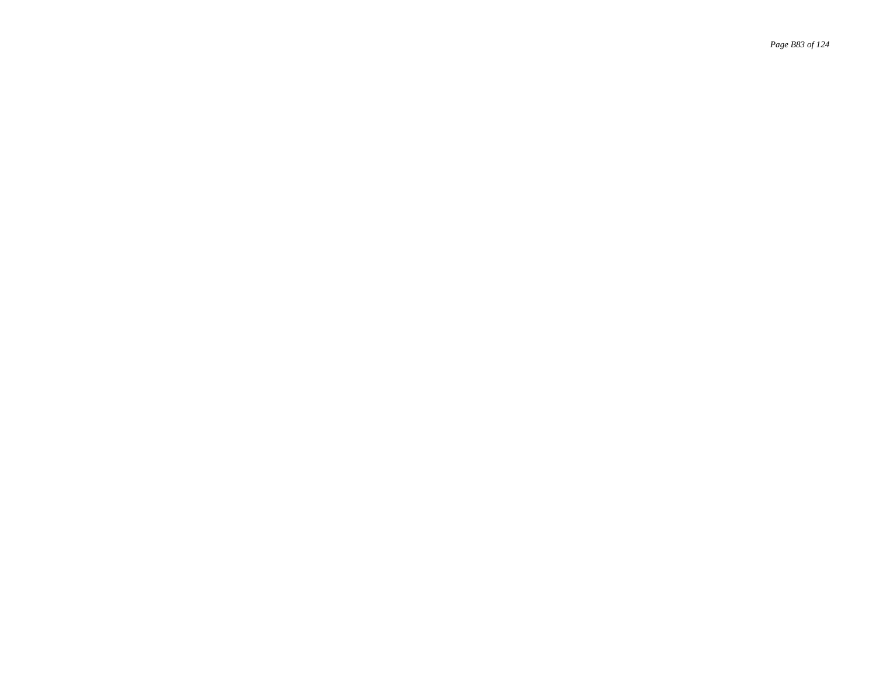*Page B83 of 124*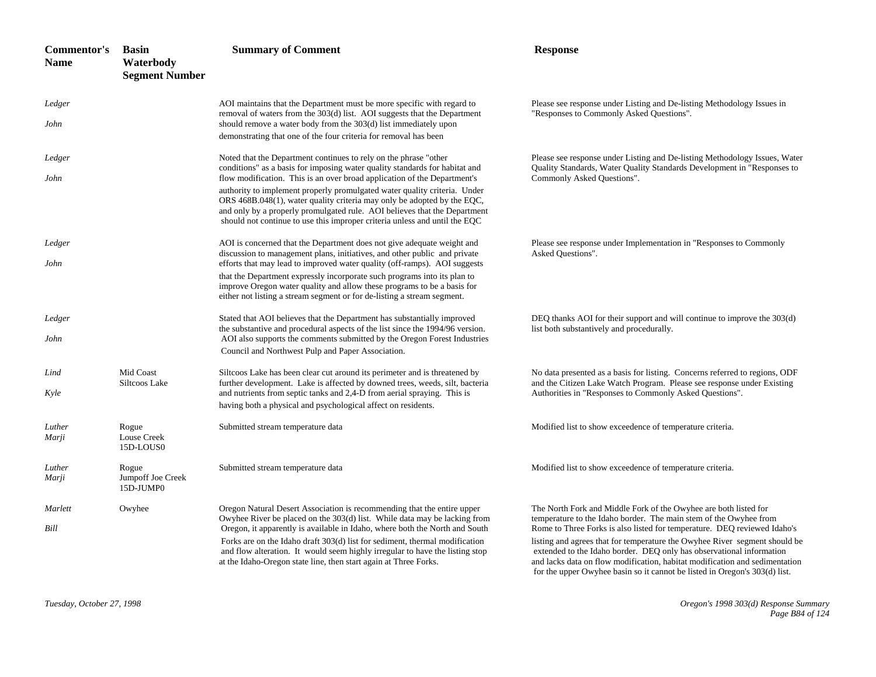| Commentor's<br>Name | <b>Basin</b><br>Waterbody<br><b>Segment Number</b> | <b>Summary of Comment</b>                                                                                                                                                                                                                                                                                       | <b>Response</b>                                                                                                                                                                                                                                                                                                 |
|---------------------|----------------------------------------------------|-----------------------------------------------------------------------------------------------------------------------------------------------------------------------------------------------------------------------------------------------------------------------------------------------------------------|-----------------------------------------------------------------------------------------------------------------------------------------------------------------------------------------------------------------------------------------------------------------------------------------------------------------|
| Ledger              |                                                    | AOI maintains that the Department must be more specific with regard to<br>removal of waters from the 303(d) list. AOI suggests that the Department                                                                                                                                                              | Please see response under Listing and De-listing Methodology Issues in<br>"Responses to Commonly Asked Questions".                                                                                                                                                                                              |
| John                |                                                    | should remove a water body from the 303(d) list immediately upon<br>demonstrating that one of the four criteria for removal has been                                                                                                                                                                            |                                                                                                                                                                                                                                                                                                                 |
| Ledger<br>John      |                                                    | Noted that the Department continues to rely on the phrase "other<br>conditions" as a basis for imposing water quality standards for habitat and<br>flow modification. This is an over broad application of the Department's                                                                                     | Please see response under Listing and De-listing Methodology Issues, Water<br>Quality Standards, Water Quality Standards Development in "Responses to<br>Commonly Asked Questions".                                                                                                                             |
|                     |                                                    | authority to implement properly promulgated water quality criteria. Under<br>ORS 468B.048(1), water quality criteria may only be adopted by the EQC,<br>and only by a properly promulgated rule. AOI believes that the Department<br>should not continue to use this improper criteria unless and until the EQC |                                                                                                                                                                                                                                                                                                                 |
| Ledger              |                                                    | AOI is concerned that the Department does not give adequate weight and<br>discussion to management plans, initiatives, and other public and private                                                                                                                                                             | Please see response under Implementation in "Responses to Commonly<br>Asked Questions".                                                                                                                                                                                                                         |
| John                |                                                    | efforts that may lead to improved water quality (off-ramps). AOI suggests<br>that the Department expressly incorporate such programs into its plan to<br>improve Oregon water quality and allow these programs to be a basis for<br>either not listing a stream segment or for de-listing a stream segment.     |                                                                                                                                                                                                                                                                                                                 |
| Ledger<br>John      |                                                    | Stated that AOI believes that the Department has substantially improved<br>the substantive and procedural aspects of the list since the 1994/96 version.<br>AOI also supports the comments submitted by the Oregon Forest Industries<br>Council and Northwest Pulp and Paper Association.                       | DEQ thanks AOI for their support and will continue to improve the 303(d)<br>list both substantively and procedurally.                                                                                                                                                                                           |
| Lind<br>Kyle        | Mid Coast<br>Siltcoos Lake                         | Siltcoos Lake has been clear cut around its perimeter and is threatened by<br>further development. Lake is affected by downed trees, weeds, silt, bacteria<br>and nutrients from septic tanks and 2,4-D from aerial spraying. This is<br>having both a physical and psychological affect on residents.          | No data presented as a basis for listing. Concerns referred to regions, ODF<br>and the Citizen Lake Watch Program. Please see response under Existing<br>Authorities in "Responses to Commonly Asked Questions".                                                                                                |
| Luther<br>Marji     | Rogue<br>Louse Creek<br>15D-LOUS0                  | Submitted stream temperature data                                                                                                                                                                                                                                                                               | Modified list to show exceedence of temperature criteria.                                                                                                                                                                                                                                                       |
| Luther<br>Marji     | Rogue<br>Jumpoff Joe Creek<br>15D-JUMP0            | Submitted stream temperature data                                                                                                                                                                                                                                                                               | Modified list to show exceedence of temperature criteria.                                                                                                                                                                                                                                                       |
| Marlett<br>Bill     | Owyhee                                             | Oregon Natural Desert Association is recommending that the entire upper<br>Owyhee River be placed on the 303(d) list. While data may be lacking from<br>Oregon, it apparently is available in Idaho, where both the North and South                                                                             | The North Fork and Middle Fork of the Owyhee are both listed for<br>temperature to the Idaho border. The main stem of the Owyhee from<br>Rome to Three Forks is also listed for temperature. DEQ reviewed Idaho's                                                                                               |
|                     |                                                    | Forks are on the Idaho draft 303(d) list for sediment, thermal modification<br>and flow alteration. It would seem highly irregular to have the listing stop<br>at the Idaho-Oregon state line, then start again at Three Forks.                                                                                 | listing and agrees that for temperature the Owyhee River segment should be<br>extended to the Idaho border. DEQ only has observational information<br>and lacks data on flow modification, habitat modification and sedimentation<br>for the upper Owyhee basin so it cannot be listed in Oregon's 303(d) list. |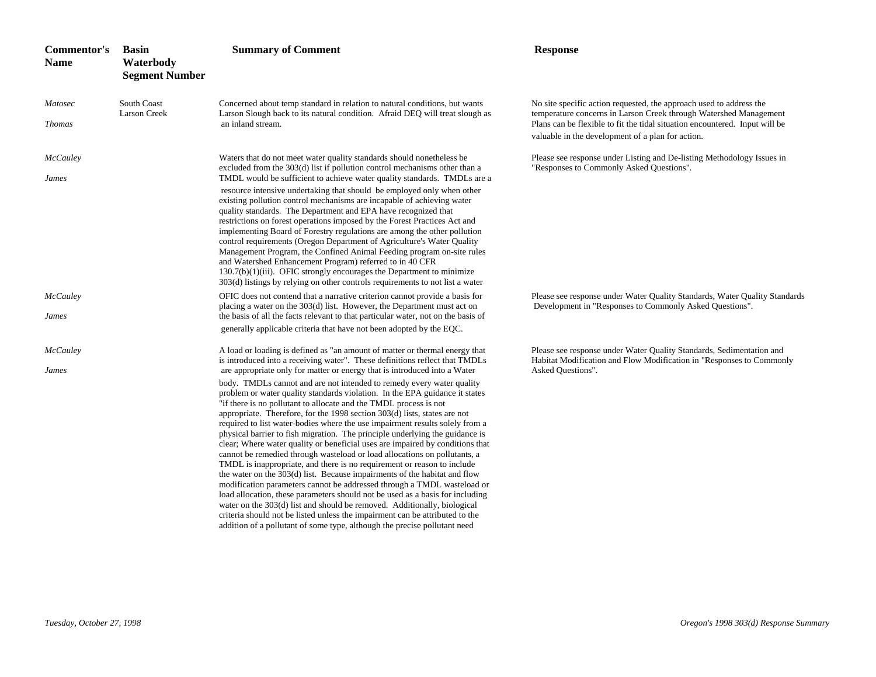| <b>Commentor's</b><br><b>Name</b> | <b>Basin</b><br>Waterbody<br><b>Segment Number</b> | <b>Summary of Comment</b>                                                                                                                                                                                                                                                                                                                                                                                                                                                                                                                                                                                                                                                                                                                                                                                                                                                                                                                                                                                                                                                                                                                                                                                                                                                                                                                                                                                                                                                                                                | <b>Response</b>                                                                                                                                                                                                                                                              |
|-----------------------------------|----------------------------------------------------|--------------------------------------------------------------------------------------------------------------------------------------------------------------------------------------------------------------------------------------------------------------------------------------------------------------------------------------------------------------------------------------------------------------------------------------------------------------------------------------------------------------------------------------------------------------------------------------------------------------------------------------------------------------------------------------------------------------------------------------------------------------------------------------------------------------------------------------------------------------------------------------------------------------------------------------------------------------------------------------------------------------------------------------------------------------------------------------------------------------------------------------------------------------------------------------------------------------------------------------------------------------------------------------------------------------------------------------------------------------------------------------------------------------------------------------------------------------------------------------------------------------------------|------------------------------------------------------------------------------------------------------------------------------------------------------------------------------------------------------------------------------------------------------------------------------|
| <b>Matosec</b><br><b>Thomas</b>   | South Coast<br><b>Larson Creek</b>                 | Concerned about temp standard in relation to natural conditions, but wants<br>Larson Slough back to its natural condition. Afraid DEQ will treat slough as<br>an inland stream.                                                                                                                                                                                                                                                                                                                                                                                                                                                                                                                                                                                                                                                                                                                                                                                                                                                                                                                                                                                                                                                                                                                                                                                                                                                                                                                                          | No site specific action requested, the approach used to address the<br>temperature concerns in Larson Creek through Watershed Management<br>Plans can be flexible to fit the tidal situation encountered. Input will be<br>valuable in the development of a plan for action. |
| <b>McCauley</b><br><b>James</b>   |                                                    | Waters that do not meet water quality standards should nonetheless be<br>excluded from the 303(d) list if pollution control mechanisms other than a<br>TMDL would be sufficient to achieve water quality standards. TMDLs are a                                                                                                                                                                                                                                                                                                                                                                                                                                                                                                                                                                                                                                                                                                                                                                                                                                                                                                                                                                                                                                                                                                                                                                                                                                                                                          | Please see response under Listing and De-listing Methodology Issues in<br>"Responses to Commonly Asked Questions".                                                                                                                                                           |
|                                   |                                                    | resource intensive undertaking that should be employed only when other<br>existing pollution control mechanisms are incapable of achieving water<br>quality standards. The Department and EPA have recognized that<br>restrictions on forest operations imposed by the Forest Practices Act and<br>implementing Board of Forestry regulations are among the other pollution<br>control requirements (Oregon Department of Agriculture's Water Quality<br>Management Program, the Confined Animal Feeding program on-site rules<br>and Watershed Enhancement Program) referred to in 40 CFR<br>$130.7(b)(1)(iii)$ . OFIC strongly encourages the Department to minimize<br>303(d) listings by relying on other controls requirements to not list a water                                                                                                                                                                                                                                                                                                                                                                                                                                                                                                                                                                                                                                                                                                                                                                  |                                                                                                                                                                                                                                                                              |
| <b>McCauley</b><br>James          |                                                    | OFIC does not contend that a narrative criterion cannot provide a basis for<br>placing a water on the 303(d) list. However, the Department must act on<br>the basis of all the facts relevant to that particular water, not on the basis of                                                                                                                                                                                                                                                                                                                                                                                                                                                                                                                                                                                                                                                                                                                                                                                                                                                                                                                                                                                                                                                                                                                                                                                                                                                                              | Please see response under Water Quality Standards, Water Quality Standards<br>Development in "Responses to Commonly Asked Questions".                                                                                                                                        |
| <b>McCauley</b><br>James          |                                                    | generally applicable criteria that have not been adopted by the EQC.<br>A load or loading is defined as "an amount of matter or thermal energy that<br>is introduced into a receiving water". These definitions reflect that TMDLs<br>are appropriate only for matter or energy that is introduced into a Water<br>body. TMDLs cannot and are not intended to remedy every water quality<br>problem or water quality standards violation. In the EPA guidance it states<br>"if there is no pollutant to allocate and the TMDL process is not<br>appropriate. Therefore, for the $1998$ section $303(d)$ lists, states are not<br>required to list water-bodies where the use impairment results solely from a<br>physical barrier to fish migration. The principle underlying the guidance is<br>clear; Where water quality or beneficial uses are impaired by conditions that<br>cannot be remedied through wasteload or load allocations on pollutants, a<br>TMDL is inappropriate, and there is no requirement or reason to include<br>the water on the 303(d) list. Because impairments of the habitat and flow<br>modification parameters cannot be addressed through a TMDL wasteload or<br>load allocation, these parameters should not be used as a basis for including<br>water on the 303(d) list and should be removed. Additionally, biological<br>criteria should not be listed unless the impairment can be attributed to the<br>addition of a pollutant of some type, although the precise pollutant need | Please see response under Water Quality Standards, Sedimentation and<br>Habitat Modification and Flow Modification in "Responses to Commonly<br>Asked Questions".                                                                                                            |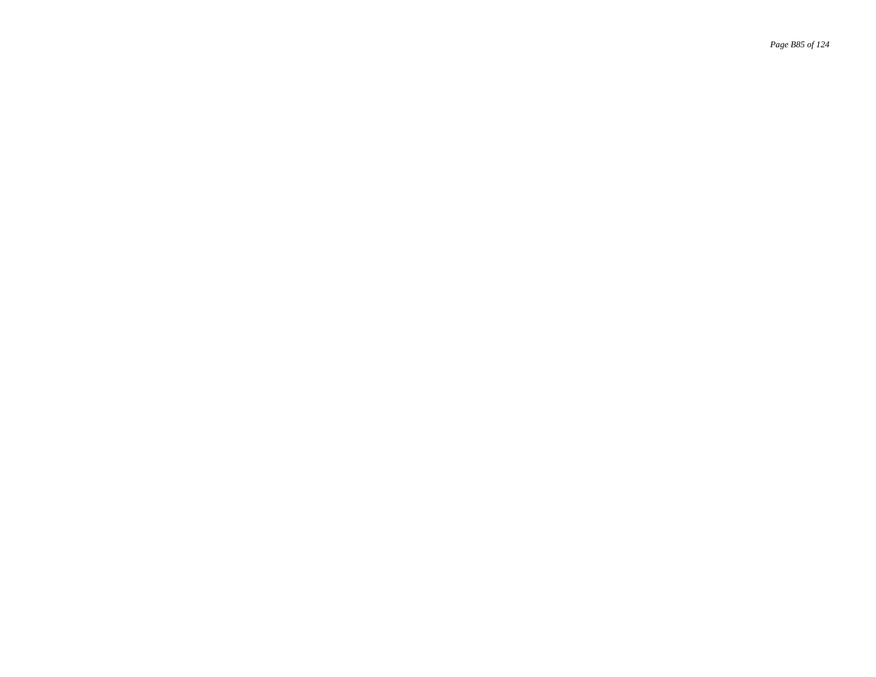*Page B85 of 124*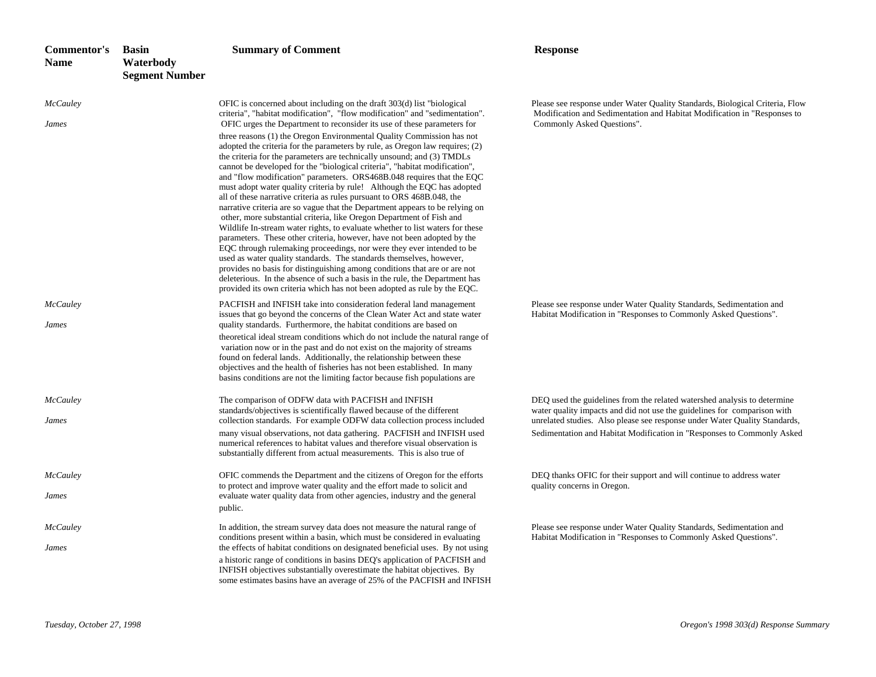| Commentor's<br><b>Name</b>      | <b>Basin</b><br>Waterbody<br><b>Segment Number</b> | <b>Summary of Comment</b>                                                                                                                                                                                                                                                                                                                                                                                                                                                                                                                                                                                                                                                                                                                                                                                                                                                                                                                                                                                                                                                                                                                                                                                                                                                                                                                                                                                       | <b>Response</b>                                                                                                                                                                                                                                                                                              |
|---------------------------------|----------------------------------------------------|-----------------------------------------------------------------------------------------------------------------------------------------------------------------------------------------------------------------------------------------------------------------------------------------------------------------------------------------------------------------------------------------------------------------------------------------------------------------------------------------------------------------------------------------------------------------------------------------------------------------------------------------------------------------------------------------------------------------------------------------------------------------------------------------------------------------------------------------------------------------------------------------------------------------------------------------------------------------------------------------------------------------------------------------------------------------------------------------------------------------------------------------------------------------------------------------------------------------------------------------------------------------------------------------------------------------------------------------------------------------------------------------------------------------|--------------------------------------------------------------------------------------------------------------------------------------------------------------------------------------------------------------------------------------------------------------------------------------------------------------|
| <b>McCauley</b><br>James        |                                                    | OFIC is concerned about including on the draft 303(d) list "biological<br>criteria", "habitat modification", "flow modification" and "sedimentation".<br>OFIC urges the Department to reconsider its use of these parameters for<br>three reasons (1) the Oregon Environmental Quality Commission has not<br>adopted the criteria for the parameters by rule, as Oregon law requires; (2)<br>the criteria for the parameters are technically unsound; and (3) TMDLs<br>cannot be developed for the "biological criteria", "habitat modification",<br>and "flow modification" parameters. ORS468B.048 requires that the EQC<br>must adopt water quality criteria by rule! Although the EQC has adopted<br>all of these narrative criteria as rules pursuant to ORS 468B.048, the<br>narrative criteria are so vague that the Department appears to be relying on<br>other, more substantial criteria, like Oregon Department of Fish and<br>Wildlife In-stream water rights, to evaluate whether to list waters for these<br>parameters. These other criteria, however, have not been adopted by the<br>EQC through rulemaking proceedings, nor were they ever intended to be<br>used as water quality standards. The standards themselves, however,<br>provides no basis for distinguishing among conditions that are or are not<br>deleterious. In the absence of such a basis in the rule, the Department has | Please see response under Water Quality Standards, Biological Criteria, Flow<br>Modification and Sedimentation and Habitat Modification in "Responses to<br>Commonly Asked Questions".                                                                                                                       |
| <b>McCauley</b><br><b>James</b> |                                                    | provided its own criteria which has not been adopted as rule by the EQC.<br>PACFISH and INFISH take into consideration federal land management<br>issues that go beyond the concerns of the Clean Water Act and state water<br>quality standards. Furthermore, the habitat conditions are based on<br>theoretical ideal stream conditions which do not include the natural range of<br>variation now or in the past and do not exist on the majority of streams<br>found on federal lands. Additionally, the relationship between these<br>objectives and the health of fisheries has not been established. In many<br>basins conditions are not the limiting factor because fish populations are                                                                                                                                                                                                                                                                                                                                                                                                                                                                                                                                                                                                                                                                                                               | Please see response under Water Quality Standards, Sedimentation and<br>Habitat Modification in "Responses to Commonly Asked Questions".                                                                                                                                                                     |
| <b>McCauley</b><br>James        |                                                    | The comparison of ODFW data with PACFISH and INFISH<br>standards/objectives is scientifically flawed because of the different<br>collection standards. For example ODFW data collection process included<br>many visual observations, not data gathering. PACFISH and INFISH used<br>numerical references to habitat values and therefore visual observation is<br>substantially different from actual measurements. This is also true of                                                                                                                                                                                                                                                                                                                                                                                                                                                                                                                                                                                                                                                                                                                                                                                                                                                                                                                                                                       | DEQ used the guidelines from the related watershed analysis to determine<br>water quality impacts and did not use the guidelines for comparison with<br>unrelated studies. Also please see response under Water Quality Standards,<br>Sedimentation and Habitat Modification in "Responses to Commonly Asked |
| <b>McCauley</b><br>James        |                                                    | OFIC commends the Department and the citizens of Oregon for the efforts<br>to protect and improve water quality and the effort made to solicit and<br>evaluate water quality data from other agencies, industry and the general<br>public.                                                                                                                                                                                                                                                                                                                                                                                                                                                                                                                                                                                                                                                                                                                                                                                                                                                                                                                                                                                                                                                                                                                                                                      | DEQ thanks OFIC for their support and will continue to address water<br>quality concerns in Oregon.                                                                                                                                                                                                          |
| <b>McCauley</b><br>James        |                                                    | In addition, the stream survey data does not measure the natural range of<br>conditions present within a basin, which must be considered in evaluating<br>the effects of habitat conditions on designated beneficial uses. By not using<br>a historic range of conditions in basins DEQ's application of PACFISH and<br>INFISH objectives substantially overestimate the habitat objectives. By<br>some estimates basins have an average of 25% of the PACFISH and INFISH                                                                                                                                                                                                                                                                                                                                                                                                                                                                                                                                                                                                                                                                                                                                                                                                                                                                                                                                       | Please see response under Water Quality Standards, Sedimentation and<br>Habitat Modification in "Responses to Commonly Asked Questions".                                                                                                                                                                     |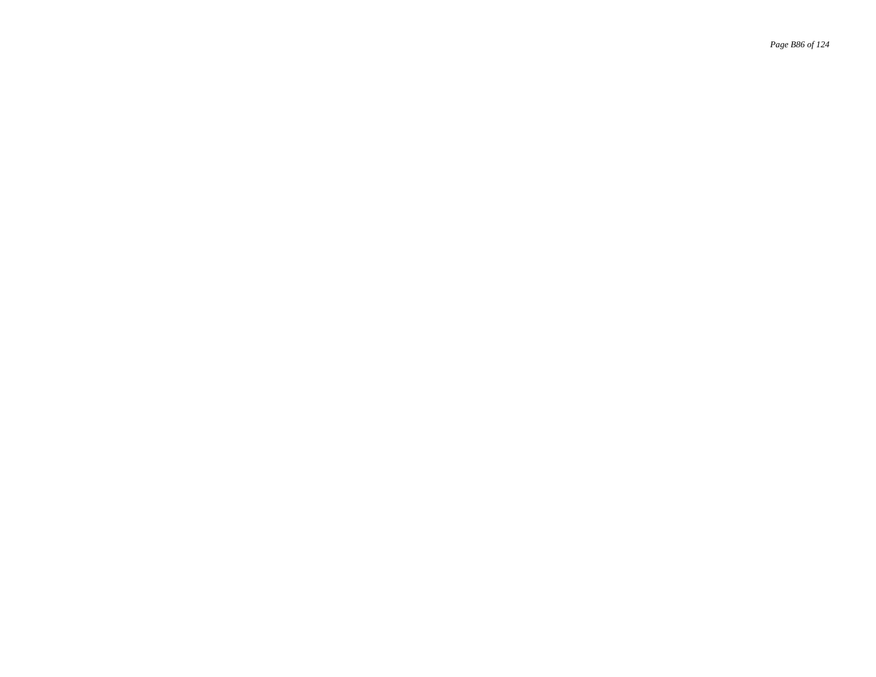*Page B86 of 124*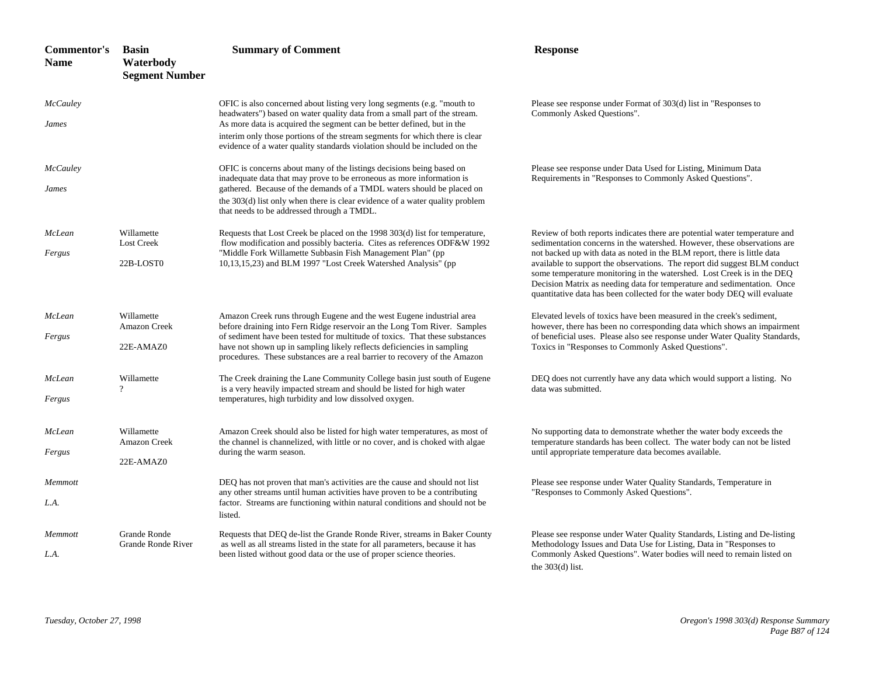| <b>Commentor's</b><br><b>Name</b> | <b>Basin</b><br>Waterbody<br><b>Segment Number</b> | <b>Summary of Comment</b>                                                                                                                                                                                                          | <b>Response</b>                                                                                                                                                                                                                                                                                                                                                                         |
|-----------------------------------|----------------------------------------------------|------------------------------------------------------------------------------------------------------------------------------------------------------------------------------------------------------------------------------------|-----------------------------------------------------------------------------------------------------------------------------------------------------------------------------------------------------------------------------------------------------------------------------------------------------------------------------------------------------------------------------------------|
| <b>McCauley</b>                   |                                                    | OFIC is also concerned about listing very long segments (e.g. "mouth to<br>headwaters") based on water quality data from a small part of the stream.                                                                               | Please see response under Format of 303(d) list in "Responses to<br>Commonly Asked Questions".                                                                                                                                                                                                                                                                                          |
| James                             |                                                    | As more data is acquired the segment can be better defined, but in the<br>interim only those portions of the stream segments for which there is clear                                                                              |                                                                                                                                                                                                                                                                                                                                                                                         |
|                                   |                                                    | evidence of a water quality standards violation should be included on the                                                                                                                                                          |                                                                                                                                                                                                                                                                                                                                                                                         |
| <b>McCauley</b>                   |                                                    | OFIC is concerns about many of the listings decisions being based on<br>inadequate data that may prove to be erroneous as more information is                                                                                      | Please see response under Data Used for Listing, Minimum Data<br>Requirements in "Responses to Commonly Asked Questions".                                                                                                                                                                                                                                                               |
| James                             |                                                    | gathered. Because of the demands of a TMDL waters should be placed on<br>the $303(d)$ list only when there is clear evidence of a water quality problem<br>that needs to be addressed through a TMDL.                              |                                                                                                                                                                                                                                                                                                                                                                                         |
| McLean                            | Willamette<br><b>Lost Creek</b>                    | Requests that Lost Creek be placed on the 1998 303(d) list for temperature,<br>flow modification and possibly bacteria. Cites as references ODF&W 1992                                                                             | Review of both reports indicates there are potential water temperature and<br>sedimentation concerns in the watershed. However, these observations are                                                                                                                                                                                                                                  |
| Fergus                            | 22B-LOST0                                          | "Middle Fork Willamette Subbasin Fish Management Plan" (pp<br>10,13,15,23) and BLM 1997 "Lost Creek Watershed Analysis" (pp                                                                                                        | not backed up with data as noted in the BLM report, there is little data<br>available to support the observations. The report did suggest BLM conduct<br>some temperature monitoring in the watershed. Lost Creek is in the DEQ<br>Decision Matrix as needing data for temperature and sedimentation. Once<br>quantitative data has been collected for the water body DEQ will evaluate |
| McLean                            | Willamette<br>Amazon Creek                         | Amazon Creek runs through Eugene and the west Eugene industrial area<br>before draining into Fern Ridge reservoir an the Long Tom River. Samples                                                                                   | Elevated levels of toxics have been measured in the creek's sediment,<br>however, there has been no corresponding data which shows an impairment                                                                                                                                                                                                                                        |
| Fergus                            | 22E-AMAZ0                                          | of sediment have been tested for multitude of toxics. That these substances<br>have not shown up in sampling likely reflects deficiencies in sampling<br>procedures. These substances are a real barrier to recovery of the Amazon | of beneficial uses. Please also see response under Water Quality Standards,<br>Toxics in "Responses to Commonly Asked Questions".                                                                                                                                                                                                                                                       |
| McLean                            | Willamette<br>$\overline{?}$                       | The Creek draining the Lane Community College basin just south of Eugene<br>is a very heavily impacted stream and should be listed for high water                                                                                  | DEQ does not currently have any data which would support a listing. No<br>data was submitted.                                                                                                                                                                                                                                                                                           |
| Fergus                            |                                                    | temperatures, high turbidity and low dissolved oxygen.                                                                                                                                                                             |                                                                                                                                                                                                                                                                                                                                                                                         |
| McLean                            | Willamette<br><b>Amazon Creek</b>                  | Amazon Creek should also be listed for high water temperatures, as most of<br>the channel is channelized, with little or no cover, and is choked with algae                                                                        | No supporting data to demonstrate whether the water body exceeds the<br>temperature standards has been collect. The water body can not be listed                                                                                                                                                                                                                                        |
| Fergus                            | 22E-AMAZ0                                          | during the warm season.                                                                                                                                                                                                            | until appropriate temperature data becomes available.                                                                                                                                                                                                                                                                                                                                   |
| Memmott                           |                                                    | DEQ has not proven that man's activities are the cause and should not list<br>any other streams until human activities have proven to be a contributing                                                                            | Please see response under Water Quality Standards, Temperature in<br>"Responses to Commonly Asked Questions".                                                                                                                                                                                                                                                                           |
| L.A.                              |                                                    | factor. Streams are functioning within natural conditions and should not be<br>listed.                                                                                                                                             |                                                                                                                                                                                                                                                                                                                                                                                         |
| Memmott                           | <b>Grande Ronde</b><br>Grande Ronde River          | Requests that DEQ de-list the Grande Ronde River, streams in Baker County<br>as well as all streams listed in the state for all parameters, because it has                                                                         | Please see response under Water Quality Standards, Listing and De-listing<br>Methodology Issues and Data Use for Listing, Data in "Responses to                                                                                                                                                                                                                                         |
| L.A.                              |                                                    | been listed without good data or the use of proper science theories.                                                                                                                                                               | Commonly Asked Questions". Water bodies will need to remain listed on<br>the $303(d)$ list.                                                                                                                                                                                                                                                                                             |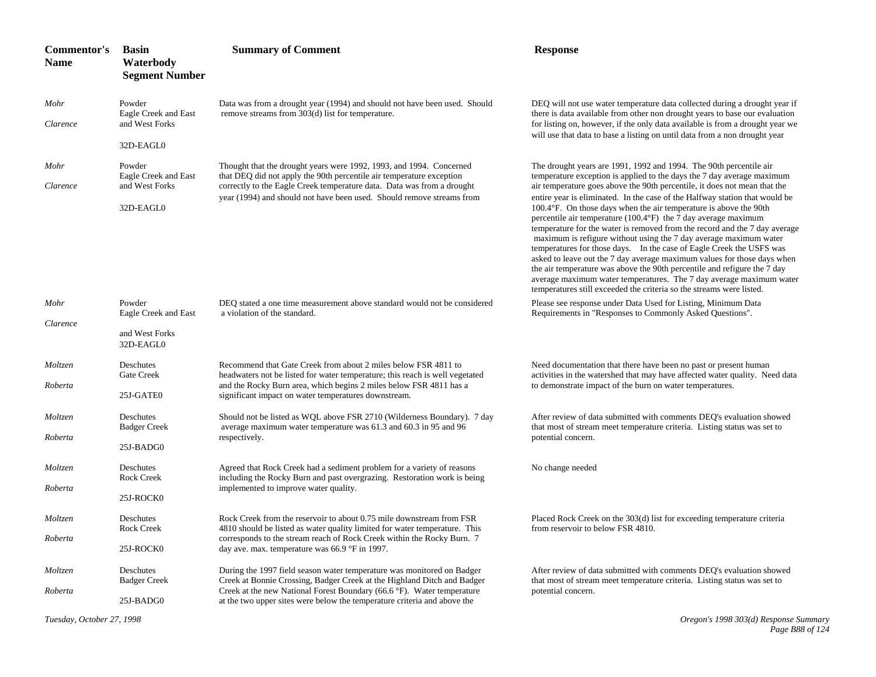| Commentor's<br><b>Name</b> | <b>Basin</b><br>Waterbody<br><b>Segment Number</b>            | <b>Summary of Comment</b>                                                                                                                                                                                                                                                                                        | <b>Response</b>                                                                                                                                                                                                                                                                                                                                                                                                                                                                                                                                                                                                                                                                                                                                                                                                                                                                                                                                                                                          |
|----------------------------|---------------------------------------------------------------|------------------------------------------------------------------------------------------------------------------------------------------------------------------------------------------------------------------------------------------------------------------------------------------------------------------|----------------------------------------------------------------------------------------------------------------------------------------------------------------------------------------------------------------------------------------------------------------------------------------------------------------------------------------------------------------------------------------------------------------------------------------------------------------------------------------------------------------------------------------------------------------------------------------------------------------------------------------------------------------------------------------------------------------------------------------------------------------------------------------------------------------------------------------------------------------------------------------------------------------------------------------------------------------------------------------------------------|
| Mohr<br>Clarence           | Powder<br>Eagle Creek and East<br>and West Forks<br>32D-EAGL0 | Data was from a drought year (1994) and should not have been used. Should<br>remove streams from 303(d) list for temperature.                                                                                                                                                                                    | DEQ will not use water temperature data collected during a drought year if<br>there is data available from other non drought years to base our evaluation<br>for listing on, however, if the only data available is from a drought year we<br>will use that data to base a listing on until data from a non drought year                                                                                                                                                                                                                                                                                                                                                                                                                                                                                                                                                                                                                                                                                 |
| Mohr<br>Clarence           | Powder<br>Eagle Creek and East<br>and West Forks<br>32D-EAGL0 | Thought that the drought years were 1992, 1993, and 1994. Concerned<br>that DEQ did not apply the 90th percentile air temperature exception<br>correctly to the Eagle Creek temperature data. Data was from a drought<br>year (1994) and should not have been used. Should remove streams from                   | The drought years are 1991, 1992 and 1994. The 90th percentile air<br>temperature exception is applied to the days the 7 day average maximum<br>air temperature goes above the 90th percentile, it does not mean that the<br>entire year is eliminated. In the case of the Halfway station that would be<br>$100.4\textdegree$ F. On those days when the air temperature is above the 90th<br>percentile air temperature $(100.4\textdegree)$ the 7 day average maximum<br>temperature for the water is removed from the record and the 7 day average<br>maximum is refigure without using the 7 day average maximum water<br>temperatures for those days. In the case of Eagle Creek the USFS was<br>asked to leave out the 7 day average maximum values for those days when<br>the air temperature was above the 90th percentile and refigure the 7 day<br>average maximum water temperatures. The 7 day average maximum water<br>temperatures still exceeded the criteria so the streams were listed. |
| Mohr<br>Clarence           | Powder<br>Eagle Creek and East<br>and West Forks<br>32D-EAGL0 | DEQ stated a one time measurement above standard would not be considered<br>a violation of the standard.                                                                                                                                                                                                         | Please see response under Data Used for Listing, Minimum Data<br>Requirements in "Responses to Commonly Asked Questions".                                                                                                                                                                                                                                                                                                                                                                                                                                                                                                                                                                                                                                                                                                                                                                                                                                                                                |
| Moltzen<br>Roberta         | Deschutes<br>Gate Creek<br>25J-GATE0                          | Recommend that Gate Creek from about 2 miles below FSR 4811 to<br>headwaters not be listed for water temperature; this reach is well vegetated<br>and the Rocky Burn area, which begins 2 miles below FSR 4811 has a<br>significant impact on water temperatures downstream.                                     | Need documentation that there have been no past or present human<br>activities in the watershed that may have affected water quality. Need data<br>to demonstrate impact of the burn on water temperatures.                                                                                                                                                                                                                                                                                                                                                                                                                                                                                                                                                                                                                                                                                                                                                                                              |
| Moltzen<br>Roberta         | Deschutes<br><b>Badger Creek</b><br>25J-BADG0                 | Should not be listed as WQL above FSR 2710 (Wilderness Boundary). 7 day<br>average maximum water temperature was 61.3 and 60.3 in 95 and 96<br>respectively.                                                                                                                                                     | After review of data submitted with comments DEQ's evaluation showed<br>that most of stream meet temperature criteria. Listing status was set to<br>potential concern.                                                                                                                                                                                                                                                                                                                                                                                                                                                                                                                                                                                                                                                                                                                                                                                                                                   |
| Moltzen<br>Roberta         | Deschutes<br><b>Rock Creek</b><br>25J-ROCK0                   | Agreed that Rock Creek had a sediment problem for a variety of reasons<br>including the Rocky Burn and past overgrazing. Restoration work is being<br>implemented to improve water quality.                                                                                                                      | No change needed                                                                                                                                                                                                                                                                                                                                                                                                                                                                                                                                                                                                                                                                                                                                                                                                                                                                                                                                                                                         |
| Moltzen<br>Roberta         | Deschutes<br><b>Rock Creek</b><br>25J-ROCK0                   | Rock Creek from the reservoir to about 0.75 mile downstream from FSR<br>4810 should be listed as water quality limited for water temperature. This<br>corresponds to the stream reach of Rock Creek within the Rocky Burn. 7<br>day ave. max. temperature was 66.9 °F in 1997.                                   | Placed Rock Creek on the 303(d) list for exceeding temperature criteria<br>from reservoir to below FSR 4810.                                                                                                                                                                                                                                                                                                                                                                                                                                                                                                                                                                                                                                                                                                                                                                                                                                                                                             |
| Moltzen<br>Roberta         | Deschutes<br><b>Badger Creek</b><br>25J-BADG0                 | During the 1997 field season water temperature was monitored on Badger<br>Creek at Bonnie Crossing, Badger Creek at the Highland Ditch and Badger<br>Creek at the new National Forest Boundary (66.6 $\degree$ F). Water temperature<br>at the two upper sites were below the temperature criteria and above the | After review of data submitted with comments DEQ's evaluation showed<br>that most of stream meet temperature criteria. Listing status was set to<br>potential concern.                                                                                                                                                                                                                                                                                                                                                                                                                                                                                                                                                                                                                                                                                                                                                                                                                                   |

*Tuesday, October 27, 1998 Oregon's 1998 303(d) Response Summary Page B88 of 124*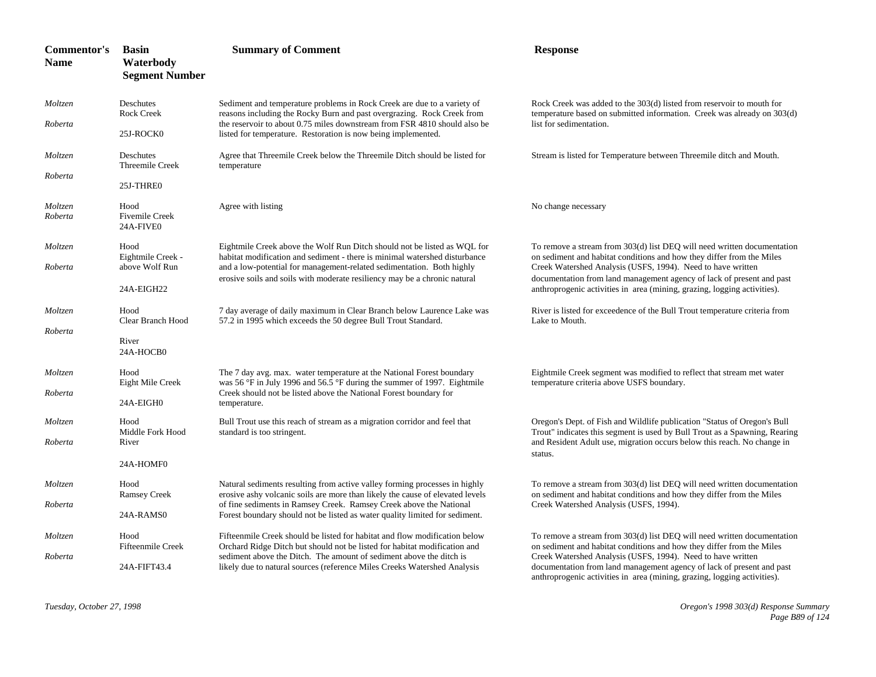| Commentor's<br><b>Name</b> | <b>Basin</b><br>Waterbody<br><b>Segment Number</b> | <b>Summary of Comment</b>                                                                                                                                                                                                       | <b>Response</b>                                                                                                                                                                                                  |
|----------------------------|----------------------------------------------------|---------------------------------------------------------------------------------------------------------------------------------------------------------------------------------------------------------------------------------|------------------------------------------------------------------------------------------------------------------------------------------------------------------------------------------------------------------|
| Moltzen                    | Deschutes<br><b>Rock Creek</b>                     | Sediment and temperature problems in Rock Creek are due to a variety of<br>reasons including the Rocky Burn and past overgrazing. Rock Creek from                                                                               | Rock Creek was added to the 303(d) listed from reservoir to mouth for<br>temperature based on submitted information. Creek was already on 303(d)                                                                 |
| Roberta                    | 25J-ROCK0                                          | the reservoir to about 0.75 miles downstream from FSR 4810 should also be<br>listed for temperature. Restoration is now being implemented.                                                                                      | list for sedimentation.                                                                                                                                                                                          |
| Moltzen                    | Deschutes<br>Threemile Creek                       | Agree that Threemile Creek below the Threemile Ditch should be listed for<br>temperature                                                                                                                                        | Stream is listed for Temperature between Threemile ditch and Mouth.                                                                                                                                              |
| Roberta                    | 25J-THRE0                                          |                                                                                                                                                                                                                                 |                                                                                                                                                                                                                  |
| Moltzen<br>Roberta         | Hood<br><b>Fivemile Creek</b><br>24A-FIVE0         | Agree with listing                                                                                                                                                                                                              | No change necessary                                                                                                                                                                                              |
| Moltzen<br>Roberta         | Hood<br>Eightmile Creek -<br>above Wolf Run        | Eightmile Creek above the Wolf Run Ditch should not be listed as WQL for<br>habitat modification and sediment - there is minimal watershed disturbance<br>and a low-potential for management-related sedimentation. Both highly | To remove a stream from 303(d) list DEQ will need written documentation<br>on sediment and habitat conditions and how they differ from the Miles<br>Creek Watershed Analysis (USFS, 1994). Need to have written  |
|                            | 24A-EIGH22                                         | erosive soils and soils with moderate resiliency may be a chronic natural                                                                                                                                                       | documentation from land management agency of lack of present and past<br>anthroprogenic activities in area (mining, grazing, logging activities).                                                                |
| Moltzen                    | Hood<br>Clear Branch Hood                          | 7 day average of daily maximum in Clear Branch below Laurence Lake was<br>57.2 in 1995 which exceeds the 50 degree Bull Trout Standard.                                                                                         | River is listed for exceedence of the Bull Trout temperature criteria from<br>Lake to Mouth.                                                                                                                     |
| Roberta                    | River<br>24A-HOCB0                                 |                                                                                                                                                                                                                                 |                                                                                                                                                                                                                  |
| Moltzen                    | Hood<br>Eight Mile Creek                           | The 7 day avg. max. water temperature at the National Forest boundary<br>was 56 °F in July 1996 and 56.5 °F during the summer of 1997. Eightmile                                                                                | Eightmile Creek segment was modified to reflect that stream met water<br>temperature criteria above USFS boundary.                                                                                               |
| Roberta                    | 24A-EIGH0                                          | Creek should not be listed above the National Forest boundary for<br>temperature.                                                                                                                                               |                                                                                                                                                                                                                  |
| Moltzen                    | Hood<br>Middle Fork Hood                           | Bull Trout use this reach of stream as a migration corridor and feel that<br>standard is too stringent.                                                                                                                         | Oregon's Dept. of Fish and Wildlife publication "Status of Oregon's Bull<br>Trout" indicates this segment is used by Bull Trout as a Spawning, Rearing                                                           |
| Roberta                    | River                                              |                                                                                                                                                                                                                                 | and Resident Adult use, migration occurs below this reach. No change in<br>status.                                                                                                                               |
|                            | 24A-HOMF0                                          |                                                                                                                                                                                                                                 |                                                                                                                                                                                                                  |
| Moltzen                    | Hood<br><b>Ramsey Creek</b>                        | Natural sediments resulting from active valley forming processes in highly<br>erosive ashy volcanic soils are more than likely the cause of elevated levels                                                                     | To remove a stream from 303(d) list DEQ will need written documentation<br>on sediment and habitat conditions and how they differ from the Miles                                                                 |
| Roberta                    | 24A-RAMS0                                          | of fine sediments in Ramsey Creek. Ramsey Creek above the National<br>Forest boundary should not be listed as water quality limited for sediment.                                                                               | Creek Watershed Analysis (USFS, 1994).                                                                                                                                                                           |
| Moltzen                    | Hood<br><b>Fifteenmile Creek</b>                   | Fifteenmile Creek should be listed for habitat and flow modification below<br>Orchard Ridge Ditch but should not be listed for habitat modification and                                                                         | To remove a stream from 303(d) list DEQ will need written documentation<br>on sediment and habitat conditions and how they differ from the Miles                                                                 |
| Roberta                    | 24A-FIFT43.4                                       | sediment above the Ditch. The amount of sediment above the ditch is<br>likely due to natural sources (reference Miles Creeks Watershed Analysis                                                                                 | Creek Watershed Analysis (USFS, 1994). Need to have written<br>documentation from land management agency of lack of present and past<br>anthroprogenic activities in area (mining, grazing, logging activities). |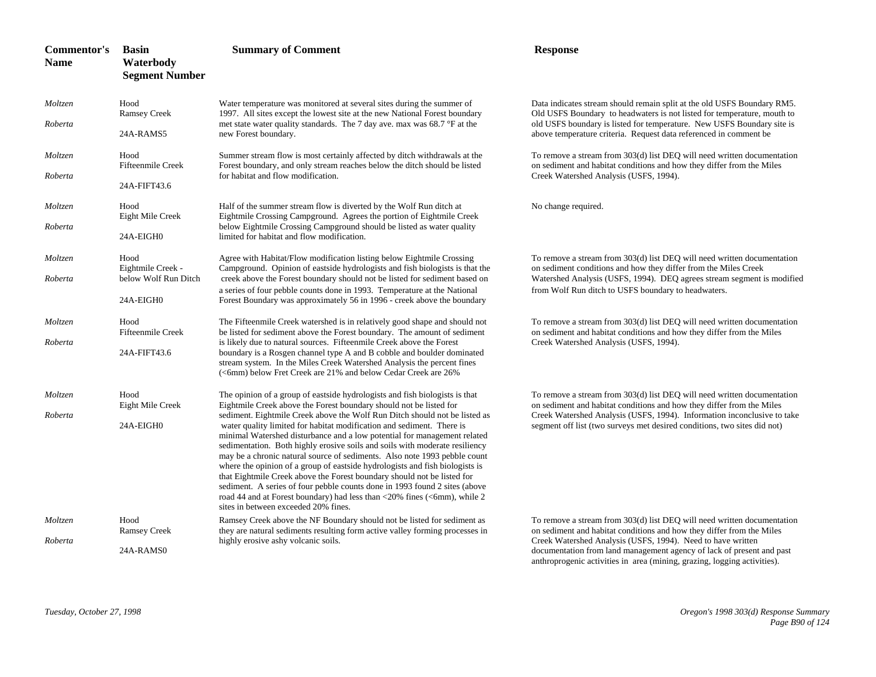| <b>Commentor's</b><br><b>Name</b> | <b>Basin</b><br>Waterbody<br><b>Segment Number</b> | <b>Summary of Comment</b>                                                                                                                                                                                                                                                                                                                                                                                                                                                                                                                                                                                                                                                                                                                                | <b>Response</b>                                                                                                                                                                                                      |
|-----------------------------------|----------------------------------------------------|----------------------------------------------------------------------------------------------------------------------------------------------------------------------------------------------------------------------------------------------------------------------------------------------------------------------------------------------------------------------------------------------------------------------------------------------------------------------------------------------------------------------------------------------------------------------------------------------------------------------------------------------------------------------------------------------------------------------------------------------------------|----------------------------------------------------------------------------------------------------------------------------------------------------------------------------------------------------------------------|
| Moltzen                           | Hood<br><b>Ramsey Creek</b>                        | Water temperature was monitored at several sites during the summer of<br>1997. All sites except the lowest site at the new National Forest boundary                                                                                                                                                                                                                                                                                                                                                                                                                                                                                                                                                                                                      | Data indicates stream should remain split at the old USFS Boundary RM5.<br>Old USFS Boundary to headwaters is not listed for temperature, mouth to                                                                   |
| Roberta                           | 24A-RAMS5                                          | met state water quality standards. The 7 day ave. max was 68.7 °F at the<br>new Forest boundary.                                                                                                                                                                                                                                                                                                                                                                                                                                                                                                                                                                                                                                                         | old USFS boundary is listed for temperature. New USFS Boundary site is<br>above temperature criteria. Request data referenced in comment be                                                                          |
| Moltzen                           | Hood<br><b>Fifteenmile Creek</b>                   | Summer stream flow is most certainly affected by ditch withdrawals at the<br>Forest boundary, and only stream reaches below the ditch should be listed                                                                                                                                                                                                                                                                                                                                                                                                                                                                                                                                                                                                   | To remove a stream from 303(d) list DEQ will need written documentation<br>on sediment and habitat conditions and how they differ from the Miles                                                                     |
| Roberta                           | 24A-FIFT43.6                                       | for habitat and flow modification.                                                                                                                                                                                                                                                                                                                                                                                                                                                                                                                                                                                                                                                                                                                       | Creek Watershed Analysis (USFS, 1994).                                                                                                                                                                               |
| Moltzen                           | Hood<br>Eight Mile Creek                           | Half of the summer stream flow is diverted by the Wolf Run ditch at<br>Eightmile Crossing Campground. Agrees the portion of Eightmile Creek                                                                                                                                                                                                                                                                                                                                                                                                                                                                                                                                                                                                              | No change required.                                                                                                                                                                                                  |
| Roberta                           | 24A-EIGH0                                          | below Eightmile Crossing Campground should be listed as water quality<br>limited for habitat and flow modification.                                                                                                                                                                                                                                                                                                                                                                                                                                                                                                                                                                                                                                      |                                                                                                                                                                                                                      |
| Moltzen<br>Roberta                | Hood<br>Eightmile Creek -<br>below Wolf Run Ditch  | Agree with Habitat/Flow modification listing below Eightmile Crossing<br>Campground. Opinion of eastside hydrologists and fish biologists is that the<br>creek above the Forest boundary should not be listed for sediment based on                                                                                                                                                                                                                                                                                                                                                                                                                                                                                                                      | To remove a stream from 303(d) list DEQ will need written documentation<br>on sediment conditions and how they differ from the Miles Creek<br>Watershed Analysis (USFS, 1994). DEQ agrees stream segment is modified |
|                                   | 24A-EIGH0                                          | a series of four pebble counts done in 1993. Temperature at the National<br>Forest Boundary was approximately 56 in 1996 - creek above the boundary                                                                                                                                                                                                                                                                                                                                                                                                                                                                                                                                                                                                      | from Wolf Run ditch to USFS boundary to headwaters.                                                                                                                                                                  |
| Moltzen                           | Hood<br><b>Fifteenmile Creek</b>                   | The Fifteenmile Creek watershed is in relatively good shape and should not<br>be listed for sediment above the Forest boundary. The amount of sediment                                                                                                                                                                                                                                                                                                                                                                                                                                                                                                                                                                                                   | To remove a stream from 303(d) list DEQ will need written documentation<br>on sediment and habitat conditions and how they differ from the Miles                                                                     |
| Roberta                           | 24A-FIFT43.6                                       | is likely due to natural sources. Fifteenmile Creek above the Forest<br>boundary is a Rosgen channel type A and B cobble and boulder dominated<br>stream system. In the Miles Creek Watershed Analysis the percent fines<br>(<6mm) below Fret Creek are 21% and below Cedar Creek are 26%                                                                                                                                                                                                                                                                                                                                                                                                                                                                | Creek Watershed Analysis (USFS, 1994).                                                                                                                                                                               |
| Moltzen                           | Hood<br>Eight Mile Creek                           | The opinion of a group of eastside hydrologists and fish biologists is that<br>Eightmile Creek above the Forest boundary should not be listed for                                                                                                                                                                                                                                                                                                                                                                                                                                                                                                                                                                                                        | To remove a stream from 303(d) list DEQ will need written documentation<br>on sediment and habitat conditions and how they differ from the Miles                                                                     |
| Roberta                           | 24A-EIGH0                                          | sediment. Eightmile Creek above the Wolf Run Ditch should not be listed as<br>water quality limited for habitat modification and sediment. There is<br>minimal Watershed disturbance and a low potential for management related<br>sedimentation. Both highly erosive soils and soils with moderate resiliency<br>may be a chronic natural source of sediments. Also note 1993 pebble count<br>where the opinion of a group of eastside hydrologists and fish biologists is<br>that Eightmile Creek above the Forest boundary should not be listed for<br>sediment. A series of four pebble counts done in 1993 found 2 sites (above<br>road 44 and at Forest boundary) had less than <20% fines (<6mm), while 2<br>sites in between exceeded 20% fines. | Creek Watershed Analysis (USFS, 1994). Information inconclusive to take<br>segment off list (two surveys met desired conditions, two sites did not)                                                                  |
| Moltzen                           | Hood<br><b>Ramsey Creek</b>                        | Ramsey Creek above the NF Boundary should not be listed for sediment as<br>they are natural sediments resulting form active valley forming processes in                                                                                                                                                                                                                                                                                                                                                                                                                                                                                                                                                                                                  | To remove a stream from $303(d)$ list DEQ will need written documentation<br>on sediment and habitat conditions and how they differ from the Miles                                                                   |
| Roberta                           | 24A-RAMS0                                          | highly erosive ashy volcanic soils.                                                                                                                                                                                                                                                                                                                                                                                                                                                                                                                                                                                                                                                                                                                      | Creek Watershed Analysis (USFS, 1994). Need to have written<br>documentation from land management agency of lack of present and past                                                                                 |

anthroprogenic activities in area (mining, grazing, logging activities).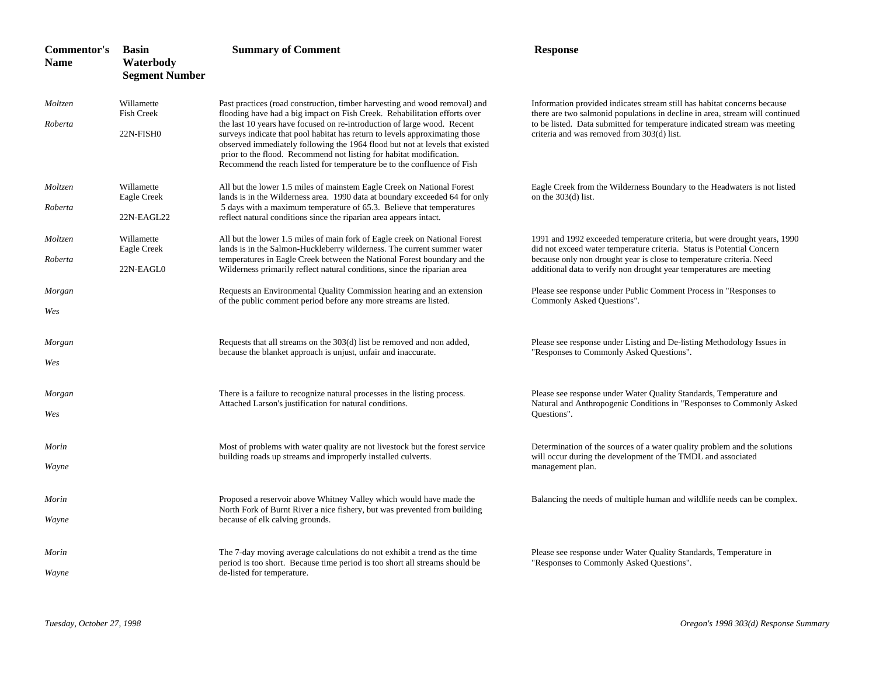| Commentor's<br><b>Name</b> | <b>Basin</b><br>Waterbody<br><b>Segment Number</b> | <b>Summary of Comment</b>                                                                                                                                                                                                                                                                                                                                                                                                                                                                                                                           | <b>Response</b>                                                                                                                                                                                                                                                                                    |
|----------------------------|----------------------------------------------------|-----------------------------------------------------------------------------------------------------------------------------------------------------------------------------------------------------------------------------------------------------------------------------------------------------------------------------------------------------------------------------------------------------------------------------------------------------------------------------------------------------------------------------------------------------|----------------------------------------------------------------------------------------------------------------------------------------------------------------------------------------------------------------------------------------------------------------------------------------------------|
| Moltzen<br>Roberta         | Willamette<br><b>Fish Creek</b><br>22N-FISH0       | Past practices (road construction, timber harvesting and wood removal) and<br>flooding have had a big impact on Fish Creek. Rehabilitation efforts over<br>the last 10 years have focused on re-introduction of large wood. Recent<br>surveys indicate that pool habitat has return to levels approximating those<br>observed immediately following the 1964 flood but not at levels that existed<br>prior to the flood. Recommend not listing for habitat modification.<br>Recommend the reach listed for temperature be to the confluence of Fish | Information provided indicates stream still has habitat concerns because<br>there are two salmonid populations in decline in area, stream will continued<br>to be listed. Data submitted for temperature indicated stream was meeting<br>criteria and was removed from 303(d) list.                |
| Moltzen<br>Roberta         | Willamette<br>Eagle Creek<br>22N-EAGL22            | All but the lower 1.5 miles of mainstem Eagle Creek on National Forest<br>lands is in the Wilderness area. 1990 data at boundary exceeded 64 for only<br>5 days with a maximum temperature of 65.3. Believe that temperatures<br>reflect natural conditions since the riparian area appears intact.                                                                                                                                                                                                                                                 | Eagle Creek from the Wilderness Boundary to the Headwaters is not listed<br>on the $303(d)$ list.                                                                                                                                                                                                  |
| Moltzen<br>Roberta         | Willamette<br>Eagle Creek<br>22N-EAGL0             | All but the lower 1.5 miles of main fork of Eagle creek on National Forest<br>lands is in the Salmon-Huckleberry wilderness. The current summer water<br>temperatures in Eagle Creek between the National Forest boundary and the<br>Wilderness primarily reflect natural conditions, since the riparian area                                                                                                                                                                                                                                       | 1991 and 1992 exceeded temperature criteria, but were drought years, 1990<br>did not exceed water temperature criteria. Status is Potential Concern<br>because only non drought year is close to temperature criteria. Need<br>additional data to verify non drought year temperatures are meeting |
| Morgan<br>Wes              |                                                    | Requests an Environmental Quality Commission hearing and an extension<br>of the public comment period before any more streams are listed.                                                                                                                                                                                                                                                                                                                                                                                                           | Please see response under Public Comment Process in "Responses to<br>Commonly Asked Questions".                                                                                                                                                                                                    |
| <b>Morgan</b><br>Wes       |                                                    | Requests that all streams on the 303(d) list be removed and non added,<br>because the blanket approach is unjust, unfair and inaccurate.                                                                                                                                                                                                                                                                                                                                                                                                            | Please see response under Listing and De-listing Methodology Issues in<br>"Responses to Commonly Asked Questions".                                                                                                                                                                                 |
| Morgan<br>Wes              |                                                    | There is a failure to recognize natural processes in the listing process.<br>Attached Larson's justification for natural conditions.                                                                                                                                                                                                                                                                                                                                                                                                                | Please see response under Water Quality Standards, Temperature and<br>Natural and Anthropogenic Conditions in "Responses to Commonly Asked<br>Questions".                                                                                                                                          |
| Morin<br>Wayne             |                                                    | Most of problems with water quality are not livestock but the forest service<br>building roads up streams and improperly installed culverts.                                                                                                                                                                                                                                                                                                                                                                                                        | Determination of the sources of a water quality problem and the solutions<br>will occur during the development of the TMDL and associated<br>management plan.                                                                                                                                      |
| Morin<br>Wayne             |                                                    | Proposed a reservoir above Whitney Valley which would have made the<br>North Fork of Burnt River a nice fishery, but was prevented from building<br>because of elk calving grounds.                                                                                                                                                                                                                                                                                                                                                                 | Balancing the needs of multiple human and wildlife needs can be complex.                                                                                                                                                                                                                           |
| Morin<br>Wayne             |                                                    | The 7-day moving average calculations do not exhibit a trend as the time<br>period is too short. Because time period is too short all streams should be<br>de-listed for temperature.                                                                                                                                                                                                                                                                                                                                                               | Please see response under Water Quality Standards, Temperature in<br>"Responses to Commonly Asked Questions".                                                                                                                                                                                      |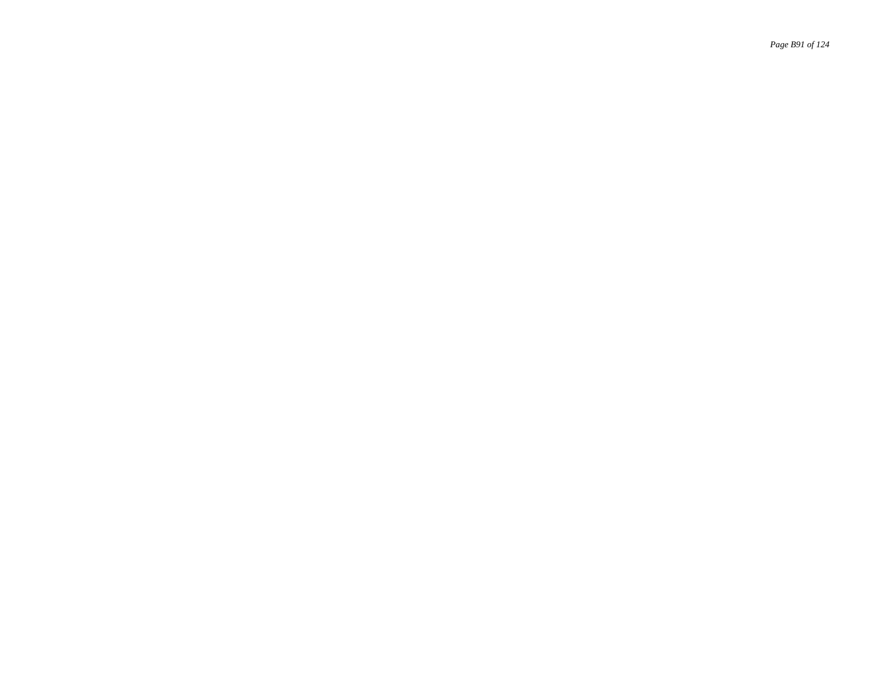*Page B91 of 124*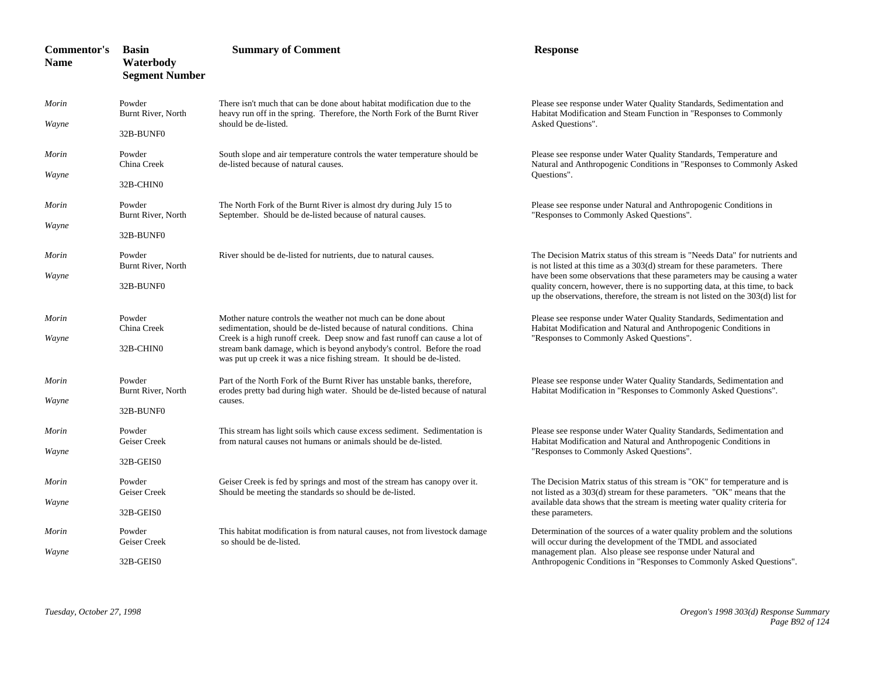| Commentor's<br><b>Name</b> | <b>Basin</b><br>Waterbody<br><b>Segment Number</b> | <b>Summary of Comment</b>                                                                                                                                                                                                                                                                                                                                                  | <b>Response</b>                                                                                                                                                                                                                                                                                                                                                                                           |
|----------------------------|----------------------------------------------------|----------------------------------------------------------------------------------------------------------------------------------------------------------------------------------------------------------------------------------------------------------------------------------------------------------------------------------------------------------------------------|-----------------------------------------------------------------------------------------------------------------------------------------------------------------------------------------------------------------------------------------------------------------------------------------------------------------------------------------------------------------------------------------------------------|
| Morin<br>Wayne             | Powder<br>Burnt River, North<br>32B-BUNF0          | There isn't much that can be done about habitat modification due to the<br>heavy run off in the spring. Therefore, the North Fork of the Burnt River<br>should be de-listed.                                                                                                                                                                                               | Please see response under Water Quality Standards, Sedimentation and<br>Habitat Modification and Steam Function in "Responses to Commonly<br>Asked Questions".                                                                                                                                                                                                                                            |
| Morin<br>Wayne             | Powder<br>China Creek<br>32B-CHINO                 | South slope and air temperature controls the water temperature should be<br>de-listed because of natural causes.                                                                                                                                                                                                                                                           | Please see response under Water Quality Standards, Temperature and<br>Natural and Anthropogenic Conditions in "Responses to Commonly Asked<br>Ouestions".                                                                                                                                                                                                                                                 |
| Morin<br>Wayne             | Powder<br>Burnt River, North<br>32B-BUNF0          | The North Fork of the Burnt River is almost dry during July 15 to<br>September. Should be de-listed because of natural causes.                                                                                                                                                                                                                                             | Please see response under Natural and Anthropogenic Conditions in<br>"Responses to Commonly Asked Questions".                                                                                                                                                                                                                                                                                             |
| Morin<br>Wayne             | Powder<br>Burnt River, North<br>32B-BUNF0          | River should be de-listed for nutrients, due to natural causes.                                                                                                                                                                                                                                                                                                            | The Decision Matrix status of this stream is "Needs Data" for nutrients and<br>is not listed at this time as a 303(d) stream for these parameters. There<br>have been some observations that these parameters may be causing a water<br>quality concern, however, there is no supporting data, at this time, to back<br>up the observations, therefore, the stream is not listed on the $303(d)$ list for |
| Morin<br>Wayne             | Powder<br>China Creek<br>32B-CHINO                 | Mother nature controls the weather not much can be done about<br>sedimentation, should be de-listed because of natural conditions. China<br>Creek is a high runoff creek. Deep snow and fast runoff can cause a lot of<br>stream bank damage, which is beyond anybody's control. Before the road<br>was put up creek it was a nice fishing stream. It should be de-listed. | Please see response under Water Quality Standards, Sedimentation and<br>Habitat Modification and Natural and Anthropogenic Conditions in<br>"Responses to Commonly Asked Questions".                                                                                                                                                                                                                      |
| Morin<br>Wayne             | Powder<br>Burnt River, North<br>32B-BUNF0          | Part of the North Fork of the Burnt River has unstable banks, therefore,<br>erodes pretty bad during high water. Should be de-listed because of natural<br>causes.                                                                                                                                                                                                         | Please see response under Water Quality Standards, Sedimentation and<br>Habitat Modification in "Responses to Commonly Asked Questions".                                                                                                                                                                                                                                                                  |
| Morin<br>Wayne             | Powder<br>Geiser Creek<br>32B-GEIS0                | This stream has light soils which cause excess sediment. Sedimentation is<br>from natural causes not humans or animals should be de-listed.                                                                                                                                                                                                                                | Please see response under Water Quality Standards, Sedimentation and<br>Habitat Modification and Natural and Anthropogenic Conditions in<br>"Responses to Commonly Asked Questions".                                                                                                                                                                                                                      |
| Morin<br>Wayne             | Powder<br>Geiser Creek<br>32B-GEIS0                | Geiser Creek is fed by springs and most of the stream has canopy over it.<br>Should be meeting the standards so should be de-listed.                                                                                                                                                                                                                                       | The Decision Matrix status of this stream is "OK" for temperature and is<br>not listed as a 303(d) stream for these parameters. "OK" means that the<br>available data shows that the stream is meeting water quality criteria for<br>these parameters.                                                                                                                                                    |
| Morin<br>Wayne             | Powder<br>Geiser Creek<br>32B-GEIS0                | This habitat modification is from natural causes, not from livestock damage<br>so should be de-listed.                                                                                                                                                                                                                                                                     | Determination of the sources of a water quality problem and the solutions<br>will occur during the development of the TMDL and associated<br>management plan. Also please see response under Natural and<br>Anthropogenic Conditions in "Responses to Commonly Asked Questions".                                                                                                                          |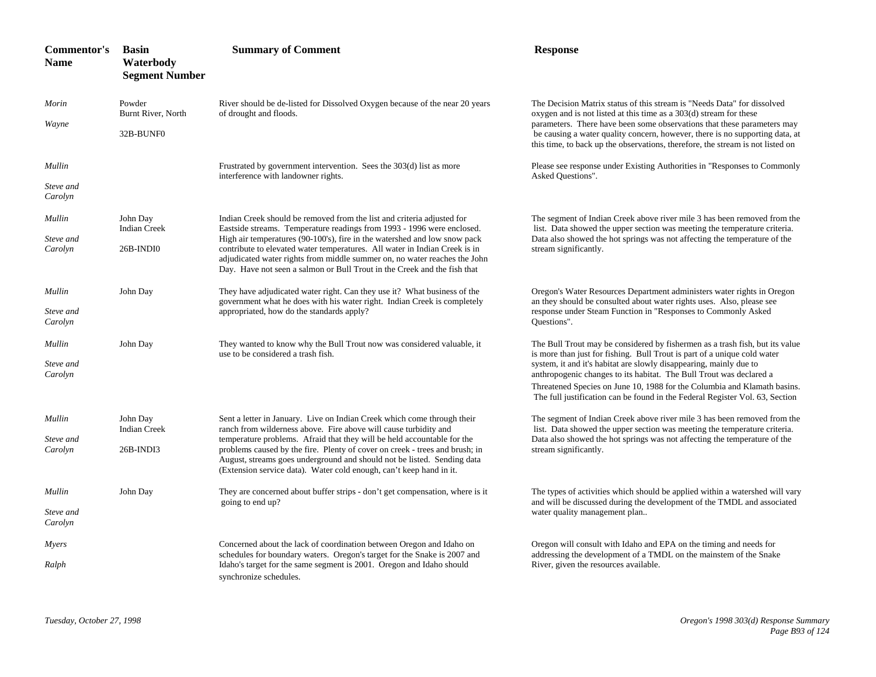| Commentor's<br><b>Name</b> | <b>Basin</b><br>Waterbody<br><b>Segment Number</b> | <b>Summary of Comment</b>                                                                                                                                                                                                                                                                                        | <b>Response</b>                                                                                                                                                                                                                           |
|----------------------------|----------------------------------------------------|------------------------------------------------------------------------------------------------------------------------------------------------------------------------------------------------------------------------------------------------------------------------------------------------------------------|-------------------------------------------------------------------------------------------------------------------------------------------------------------------------------------------------------------------------------------------|
| Morin                      | Powder<br>Burnt River, North                       | River should be de-listed for Dissolved Oxygen because of the near 20 years<br>of drought and floods.                                                                                                                                                                                                            | The Decision Matrix status of this stream is "Needs Data" for dissolved<br>oxygen and is not listed at this time as a $303(d)$ stream for these                                                                                           |
| Wayne                      | 32B-BUNF0                                          |                                                                                                                                                                                                                                                                                                                  | parameters. There have been some observations that these parameters may<br>be causing a water quality concern, however, there is no supporting data, at<br>this time, to back up the observations, therefore, the stream is not listed on |
| Mullin                     |                                                    | Frustrated by government intervention. Sees the 303(d) list as more<br>interference with landowner rights.                                                                                                                                                                                                       | Please see response under Existing Authorities in "Responses to Commonly"<br>Asked Questions".                                                                                                                                            |
| Steve and<br>Carolyn       |                                                    |                                                                                                                                                                                                                                                                                                                  |                                                                                                                                                                                                                                           |
| Mullin                     | John Day<br><b>Indian Creek</b>                    | Indian Creek should be removed from the list and criteria adjusted for<br>Eastside streams. Temperature readings from 1993 - 1996 were enclosed.                                                                                                                                                                 | The segment of Indian Creek above river mile 3 has been removed from the<br>list. Data showed the upper section was meeting the temperature criteria.                                                                                     |
| Steve and<br>Carolyn       | 26B-INDI0                                          | High air temperatures (90-100's), fire in the watershed and low snow pack<br>contribute to elevated water temperatures. All water in Indian Creek is in<br>adjudicated water rights from middle summer on, no water reaches the John<br>Day. Have not seen a salmon or Bull Trout in the Creek and the fish that | Data also showed the hot springs was not affecting the temperature of the<br>stream significantly.                                                                                                                                        |
| Mullin                     | John Day                                           | They have adjudicated water right. Can they use it? What business of the<br>government what he does with his water right. Indian Creek is completely                                                                                                                                                             | Oregon's Water Resources Department administers water rights in Oregon<br>an they should be consulted about water rights uses. Also, please see                                                                                           |
| Steve and<br>Carolyn       |                                                    | appropriated, how do the standards apply?                                                                                                                                                                                                                                                                        | response under Steam Function in "Responses to Commonly Asked<br>Questions".                                                                                                                                                              |
| Mullin                     | John Day                                           | They wanted to know why the Bull Trout now was considered valuable, it<br>use to be considered a trash fish.                                                                                                                                                                                                     | The Bull Trout may be considered by fishermen as a trash fish, but its value<br>is more than just for fishing. Bull Trout is part of a unique cold water                                                                                  |
| Steve and<br>Carolyn       |                                                    |                                                                                                                                                                                                                                                                                                                  | system, it and it's habitat are slowly disappearing, mainly due to<br>anthropogenic changes to its habitat. The Bull Trout was declared a                                                                                                 |
|                            |                                                    |                                                                                                                                                                                                                                                                                                                  | Threatened Species on June 10, 1988 for the Columbia and Klamath basins.<br>The full justification can be found in the Federal Register Vol. 63, Section                                                                                  |
| Mullin                     | John Day<br><b>Indian Creek</b>                    | Sent a letter in January. Live on Indian Creek which come through their<br>ranch from wilderness above. Fire above will cause turbidity and                                                                                                                                                                      | The segment of Indian Creek above river mile 3 has been removed from the<br>list. Data showed the upper section was meeting the temperature criteria.                                                                                     |
| Steve and<br>Carolyn       | 26B-INDI3                                          | temperature problems. A fraid that they will be held accountable for the<br>problems caused by the fire. Plenty of cover on creek - trees and brush; in<br>August, streams goes underground and should not be listed. Sending data                                                                               | Data also showed the hot springs was not affecting the temperature of the<br>stream significantly.                                                                                                                                        |
|                            |                                                    | (Extension service data). Water cold enough, can't keep hand in it.                                                                                                                                                                                                                                              |                                                                                                                                                                                                                                           |
| Mullin<br>Steve and        | John Day                                           | They are concerned about buffer strips - don't get compensation, where is it<br>going to end up?                                                                                                                                                                                                                 | The types of activities which should be applied within a watershed will vary<br>and will be discussed during the development of the TMDL and associated<br>water quality management plan                                                  |
| Carolyn                    |                                                    |                                                                                                                                                                                                                                                                                                                  |                                                                                                                                                                                                                                           |
| Myers                      |                                                    | Concerned about the lack of coordination between Oregon and Idaho on<br>schedules for boundary waters. Oregon's target for the Snake is 2007 and                                                                                                                                                                 | Oregon will consult with Idaho and EPA on the timing and needs for<br>addressing the development of a TMDL on the mainstem of the Snake                                                                                                   |
| Ralph                      |                                                    | Idaho's target for the same segment is 2001. Oregon and Idaho should<br>synchronize schedules.                                                                                                                                                                                                                   | River, given the resources available.                                                                                                                                                                                                     |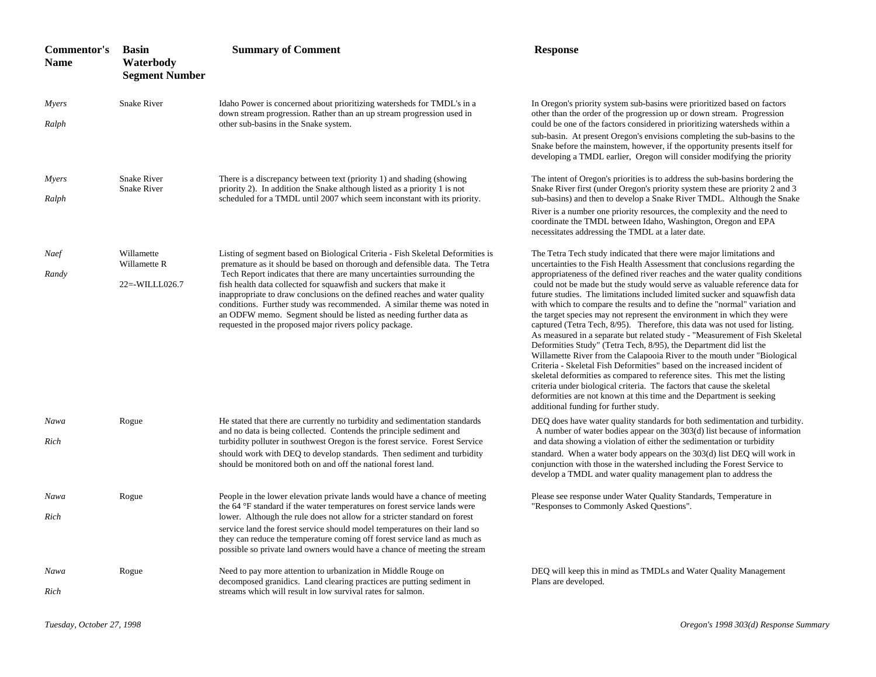| Commentor's<br><b>Name</b> | <b>Basin</b><br>Waterbody<br><b>Segment Number</b> | <b>Summary of Comment</b>                                                                                                                                                                                                                                                                                                                                 | <b>Response</b>                                                                                                                                                                                                                                                                                                                                                                                                                                                                                                                                                                                                                                                                                                                                                                                                                                                                                                                                                                        |
|----------------------------|----------------------------------------------------|-----------------------------------------------------------------------------------------------------------------------------------------------------------------------------------------------------------------------------------------------------------------------------------------------------------------------------------------------------------|----------------------------------------------------------------------------------------------------------------------------------------------------------------------------------------------------------------------------------------------------------------------------------------------------------------------------------------------------------------------------------------------------------------------------------------------------------------------------------------------------------------------------------------------------------------------------------------------------------------------------------------------------------------------------------------------------------------------------------------------------------------------------------------------------------------------------------------------------------------------------------------------------------------------------------------------------------------------------------------|
| Myers<br>Ralph             | <b>Snake River</b>                                 | Idaho Power is concerned about prioritizing watersheds for TMDL's in a<br>down stream progression. Rather than an up stream progression used in<br>other sub-basins in the Snake system.                                                                                                                                                                  | In Oregon's priority system sub-basins were prioritized based on factors<br>other than the order of the progression up or down stream. Progression<br>could be one of the factors considered in prioritizing watersheds within a                                                                                                                                                                                                                                                                                                                                                                                                                                                                                                                                                                                                                                                                                                                                                       |
|                            |                                                    |                                                                                                                                                                                                                                                                                                                                                           | sub-basin. At present Oregon's envisions completing the sub-basins to the<br>Snake before the mainstem, however, if the opportunity presents itself for<br>developing a TMDL earlier, Oregon will consider modifying the priority                                                                                                                                                                                                                                                                                                                                                                                                                                                                                                                                                                                                                                                                                                                                                      |
| Myers<br>Ralph             | <b>Snake River</b><br><b>Snake River</b>           | There is a discrepancy between text (priority 1) and shading (showing<br>priority 2). In addition the Snake although listed as a priority 1 is not<br>scheduled for a TMDL until 2007 which seem inconstant with its priority.                                                                                                                            | The intent of Oregon's priorities is to address the sub-basins bordering the<br>Snake River first (under Oregon's priority system these are priority 2 and 3<br>sub-basins) and then to develop a Snake River TMDL. Although the Snake                                                                                                                                                                                                                                                                                                                                                                                                                                                                                                                                                                                                                                                                                                                                                 |
|                            |                                                    |                                                                                                                                                                                                                                                                                                                                                           | River is a number one priority resources, the complexity and the need to<br>coordinate the TMDL between Idaho, Washington, Oregon and EPA<br>necessitates addressing the TMDL at a later date.                                                                                                                                                                                                                                                                                                                                                                                                                                                                                                                                                                                                                                                                                                                                                                                         |
| Naef<br>Randy              | Willamette<br>Willamette R                         | Listing of segment based on Biological Criteria - Fish Skeletal Deformities is<br>premature as it should be based on thorough and defensible data. The Tetra<br>Tech Report indicates that there are many uncertainties surrounding the                                                                                                                   | The Tetra Tech study indicated that there were major limitations and<br>uncertainties to the Fish Health Assessment that conclusions regarding the<br>appropriateness of the defined river reaches and the water quality conditions                                                                                                                                                                                                                                                                                                                                                                                                                                                                                                                                                                                                                                                                                                                                                    |
|                            | 22=-WILLL026.7                                     | fish health data collected for squawfish and suckers that make it<br>inappropriate to draw conclusions on the defined reaches and water quality<br>conditions. Further study was recommended. A similar theme was noted in<br>an ODFW memo. Segment should be listed as needing further data as<br>requested in the proposed major rivers policy package. | could not be made but the study would serve as valuable reference data for<br>future studies. The limitations included limited sucker and squawfish data<br>with which to compare the results and to define the "normal" variation and<br>the target species may not represent the environment in which they were<br>captured (Tetra Tech, 8/95). Therefore, this data was not used for listing.<br>As measured in a separate but related study - "Measurement of Fish Skeletal<br>Deformities Study" (Tetra Tech, 8/95), the Department did list the<br>Willamette River from the Calapooia River to the mouth under "Biological<br>Criteria - Skeletal Fish Deformities" based on the increased incident of<br>skeletal deformities as compared to reference sites. This met the listing<br>criteria under biological criteria. The factors that cause the skeletal<br>deformities are not known at this time and the Department is seeking<br>additional funding for further study. |
| Nawa<br>Rich               | Rogue                                              | He stated that there are currently no turbidity and sedimentation standards<br>and no data is being collected. Contends the principle sediment and<br>turbidity polluter in southwest Oregon is the forest service. Forest Service                                                                                                                        | DEQ does have water quality standards for both sedimentation and turbidity.<br>A number of water bodies appear on the 303(d) list because of information<br>and data showing a violation of either the sedimentation or turbidity                                                                                                                                                                                                                                                                                                                                                                                                                                                                                                                                                                                                                                                                                                                                                      |
|                            |                                                    | should work with DEQ to develop standards. Then sediment and turbidity<br>should be monitored both on and off the national forest land.                                                                                                                                                                                                                   | standard. When a water body appears on the 303(d) list DEQ will work in<br>conjunction with those in the watershed including the Forest Service to<br>develop a TMDL and water quality management plan to address the                                                                                                                                                                                                                                                                                                                                                                                                                                                                                                                                                                                                                                                                                                                                                                  |
| Nawa                       | Rogue                                              | People in the lower elevation private lands would have a chance of meeting<br>the 64 °F standard if the water temperatures on forest service lands were                                                                                                                                                                                                   | Please see response under Water Quality Standards, Temperature in<br>"Responses to Commonly Asked Questions".                                                                                                                                                                                                                                                                                                                                                                                                                                                                                                                                                                                                                                                                                                                                                                                                                                                                          |
| Rich                       |                                                    | lower. Although the rule does not allow for a stricter standard on forest<br>service land the forest service should model temperatures on their land so<br>they can reduce the temperature coming off forest service land as much as<br>possible so private land owners would have a chance of meeting the stream                                         |                                                                                                                                                                                                                                                                                                                                                                                                                                                                                                                                                                                                                                                                                                                                                                                                                                                                                                                                                                                        |
| Nawa                       | Rogue                                              | Need to pay more attention to urbanization in Middle Rouge on<br>decomposed granidics. Land clearing practices are putting sediment in                                                                                                                                                                                                                    | DEQ will keep this in mind as TMDLs and Water Quality Management<br>Plans are developed.                                                                                                                                                                                                                                                                                                                                                                                                                                                                                                                                                                                                                                                                                                                                                                                                                                                                                               |
| Rich                       |                                                    | streams which will result in low survival rates for salmon.                                                                                                                                                                                                                                                                                               |                                                                                                                                                                                                                                                                                                                                                                                                                                                                                                                                                                                                                                                                                                                                                                                                                                                                                                                                                                                        |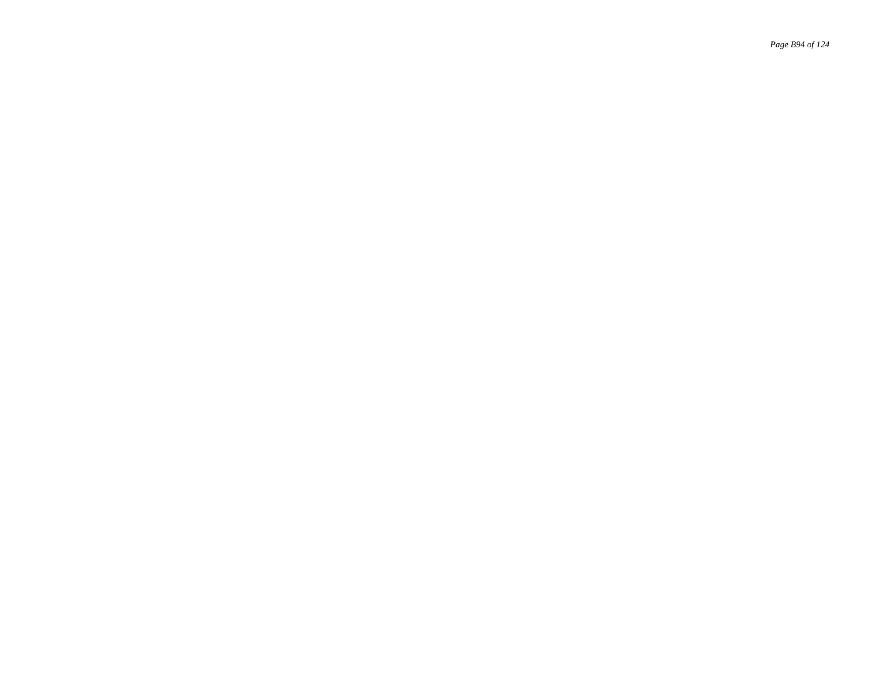*Page B94 of 124*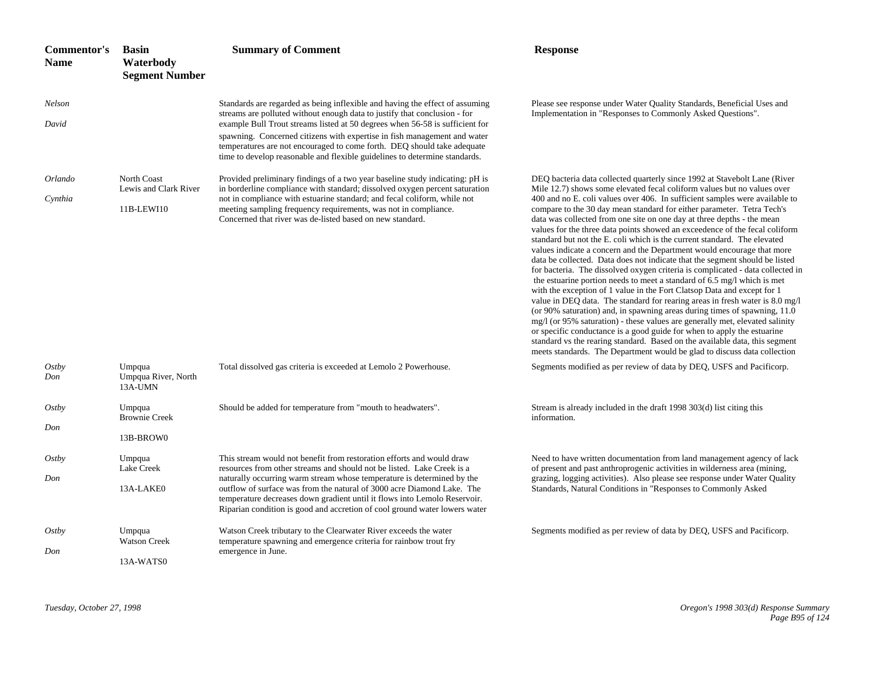| <b>Commentor's</b><br><b>Name</b> | <b>Basin</b><br>Waterbody<br><b>Segment Number</b> | <b>Summary of Comment</b>                                                                                                                                                                                                                                                                                                                                                                      | <b>Response</b>                                                                                                                                                                                                                                                                                                                                                                                                                                                                                                                                                                                                                                                                                                                                                                                                                                                                                                                                                                                                                                                                                                                                                                                                                                                                |
|-----------------------------------|----------------------------------------------------|------------------------------------------------------------------------------------------------------------------------------------------------------------------------------------------------------------------------------------------------------------------------------------------------------------------------------------------------------------------------------------------------|--------------------------------------------------------------------------------------------------------------------------------------------------------------------------------------------------------------------------------------------------------------------------------------------------------------------------------------------------------------------------------------------------------------------------------------------------------------------------------------------------------------------------------------------------------------------------------------------------------------------------------------------------------------------------------------------------------------------------------------------------------------------------------------------------------------------------------------------------------------------------------------------------------------------------------------------------------------------------------------------------------------------------------------------------------------------------------------------------------------------------------------------------------------------------------------------------------------------------------------------------------------------------------|
| Nelson                            |                                                    | Standards are regarded as being inflexible and having the effect of assuming                                                                                                                                                                                                                                                                                                                   | Please see response under Water Quality Standards, Beneficial Uses and                                                                                                                                                                                                                                                                                                                                                                                                                                                                                                                                                                                                                                                                                                                                                                                                                                                                                                                                                                                                                                                                                                                                                                                                         |
| David                             |                                                    | streams are polluted without enough data to justify that conclusion - for<br>example Bull Trout streams listed at 50 degrees when 56-58 is sufficient for<br>spawning. Concerned citizens with expertise in fish management and water<br>temperatures are not encouraged to come forth. DEQ should take adequate<br>time to develop reasonable and flexible guidelines to determine standards. | Implementation in "Responses to Commonly Asked Questions".                                                                                                                                                                                                                                                                                                                                                                                                                                                                                                                                                                                                                                                                                                                                                                                                                                                                                                                                                                                                                                                                                                                                                                                                                     |
| Orlando                           | North Coast<br>Lewis and Clark River               | Provided preliminary findings of a two year baseline study indicating: pH is<br>in borderline compliance with standard; dissolved oxygen percent saturation                                                                                                                                                                                                                                    | DEQ bacteria data collected quarterly since 1992 at Stavebolt Lane (River<br>Mile 12.7) shows some elevated fecal coliform values but no values over                                                                                                                                                                                                                                                                                                                                                                                                                                                                                                                                                                                                                                                                                                                                                                                                                                                                                                                                                                                                                                                                                                                           |
| Cynthia                           | 11B-LEWI10                                         | not in compliance with estuarine standard; and fecal coliform, while not<br>meeting sampling frequency requirements, was not in compliance.<br>Concerned that river was de-listed based on new standard.                                                                                                                                                                                       | 400 and no E. coli values over 406. In sufficient samples were available to<br>compare to the 30 day mean standard for either parameter. Tetra Tech's<br>data was collected from one site on one day at three depths - the mean<br>values for the three data points showed an exceedence of the fecal coliform<br>standard but not the E. coli which is the current standard. The elevated<br>values indicate a concern and the Department would encourage that more<br>data be collected. Data does not indicate that the segment should be listed<br>for bacteria. The dissolved oxygen criteria is complicated - data collected in<br>the estuarine portion needs to meet a standard of 6.5 mg/l which is met<br>with the exception of 1 value in the Fort Clatsop Data and except for 1<br>value in DEQ data. The standard for rearing areas in fresh water is 8.0 mg/l<br>(or 90% saturation) and, in spawning areas during times of spawning, 11.0<br>mg/l (or 95% saturation) - these values are generally met, elevated salinity<br>or specific conductance is a good guide for when to apply the estuarine<br>standard vs the rearing standard. Based on the available data, this segment<br>meets standards. The Department would be glad to discuss data collection |
| Ostby<br>Don                      | Umpqua<br>Umpqua River, North<br>13A-UMN           | Total dissolved gas criteria is exceeded at Lemolo 2 Powerhouse.                                                                                                                                                                                                                                                                                                                               | Segments modified as per review of data by DEQ, USFS and Pacificorp.                                                                                                                                                                                                                                                                                                                                                                                                                                                                                                                                                                                                                                                                                                                                                                                                                                                                                                                                                                                                                                                                                                                                                                                                           |
| Ostby<br>Don                      | Umpqua<br><b>Brownie Creek</b><br>13B-BROW0        | Should be added for temperature from "mouth to headwaters".                                                                                                                                                                                                                                                                                                                                    | Stream is already included in the draft 1998 303(d) list citing this<br>information.                                                                                                                                                                                                                                                                                                                                                                                                                                                                                                                                                                                                                                                                                                                                                                                                                                                                                                                                                                                                                                                                                                                                                                                           |
| Ostby                             | Umpqua                                             | This stream would not benefit from restoration efforts and would draw                                                                                                                                                                                                                                                                                                                          | Need to have written documentation from land management agency of lack                                                                                                                                                                                                                                                                                                                                                                                                                                                                                                                                                                                                                                                                                                                                                                                                                                                                                                                                                                                                                                                                                                                                                                                                         |
| Don                               | Lake Creek<br>13A-LAKE0                            | resources from other streams and should not be listed. Lake Creek is a<br>naturally occurring warm stream whose temperature is determined by the<br>outflow of surface was from the natural of 3000 acre Diamond Lake. The<br>temperature decreases down gradient until it flows into Lemolo Reservoir.<br>Riparian condition is good and accretion of cool ground water lowers water          | of present and past anthroprogenic activities in wilderness area (mining,<br>grazing, logging activities). Also please see response under Water Quality<br>Standards, Natural Conditions in "Responses to Commonly Asked                                                                                                                                                                                                                                                                                                                                                                                                                                                                                                                                                                                                                                                                                                                                                                                                                                                                                                                                                                                                                                                       |
| Ostby                             | Umpqua<br><b>Watson Creek</b>                      | Watson Creek tributary to the Clearwater River exceeds the water<br>temperature spawning and emergence criteria for rainbow trout fry                                                                                                                                                                                                                                                          | Segments modified as per review of data by DEQ, USFS and Pacificorp.                                                                                                                                                                                                                                                                                                                                                                                                                                                                                                                                                                                                                                                                                                                                                                                                                                                                                                                                                                                                                                                                                                                                                                                                           |
| Don                               | 13A-WATS0                                          | emergence in June.                                                                                                                                                                                                                                                                                                                                                                             |                                                                                                                                                                                                                                                                                                                                                                                                                                                                                                                                                                                                                                                                                                                                                                                                                                                                                                                                                                                                                                                                                                                                                                                                                                                                                |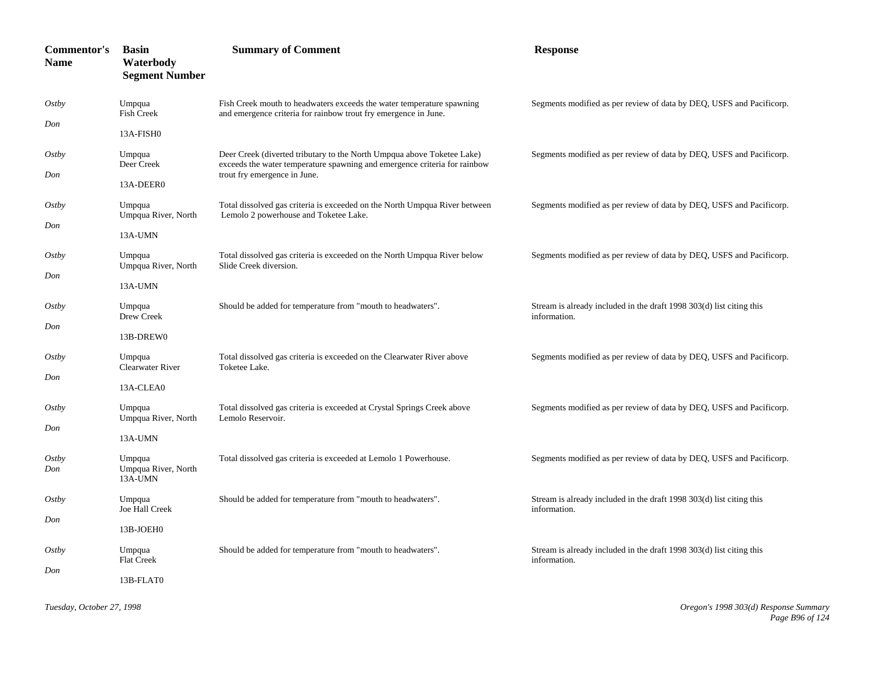| <b>Commentor's</b><br><b>Name</b> | <b>Basin</b><br>Waterbody<br><b>Segment Number</b> | <b>Summary of Comment</b>                                                                                                                                                           | <b>Response</b>                                                                      |
|-----------------------------------|----------------------------------------------------|-------------------------------------------------------------------------------------------------------------------------------------------------------------------------------------|--------------------------------------------------------------------------------------|
| Ostby<br>Don                      | Umpqua<br>Fish Creek<br>13A-FISH0                  | Fish Creek mouth to headwaters exceeds the water temperature spawning<br>and emergence criteria for rainbow trout fry emergence in June.                                            | Segments modified as per review of data by DEQ, USFS and Pacificorp.                 |
| Ostby<br>Don                      | Umpqua<br>Deer Creek<br>13A-DEER0                  | Deer Creek (diverted tributary to the North Umpqua above Toketee Lake)<br>exceeds the water temperature spawning and emergence criteria for rainbow<br>trout fry emergence in June. | Segments modified as per review of data by DEQ, USFS and Pacificorp.                 |
| Ostby<br>Don                      | Umpqua<br>Umpqua River, North<br>13A-UMN           | Total dissolved gas criteria is exceeded on the North Umpqua River between<br>Lemolo 2 powerhouse and Toketee Lake.                                                                 | Segments modified as per review of data by DEQ, USFS and Pacificorp.                 |
| Ostby<br>Don                      | Umpqua<br>Umpqua River, North<br>13A-UMN           | Total dissolved gas criteria is exceeded on the North Umpqua River below<br>Slide Creek diversion.                                                                                  | Segments modified as per review of data by DEQ, USFS and Pacificorp.                 |
| Ostby<br>Don                      | Umpqua<br>Drew Creek<br>13B-DREW0                  | Should be added for temperature from "mouth to headwaters".                                                                                                                         | Stream is already included in the draft 1998 303(d) list citing this<br>information. |
| Ostby<br>Don                      | Umpqua<br><b>Clearwater River</b><br>13A-CLEA0     | Total dissolved gas criteria is exceeded on the Clearwater River above<br>Toketee Lake.                                                                                             | Segments modified as per review of data by DEQ, USFS and Pacificorp.                 |
| Ostby<br>Don                      | Umpqua<br>Umpqua River, North<br>13A-UMN           | Total dissolved gas criteria is exceeded at Crystal Springs Creek above<br>Lemolo Reservoir.                                                                                        | Segments modified as per review of data by DEQ, USFS and Pacificorp.                 |
| Ostby<br>Don                      | Umpqua<br>Umpqua River, North<br>13A-UMN           | Total dissolved gas criteria is exceeded at Lemolo 1 Powerhouse.                                                                                                                    | Segments modified as per review of data by DEQ, USFS and Pacificorp.                 |
| Ostby<br>Don                      | Umpqua<br>Joe Hall Creek<br>13B-JOEH0              | Should be added for temperature from "mouth to headwaters".                                                                                                                         | Stream is already included in the draft 1998 303(d) list citing this<br>information. |
| Ostby<br>Don                      | Umpqua<br><b>Flat Creek</b><br>13B-FLAT0           | Should be added for temperature from "mouth to headwaters".                                                                                                                         | Stream is already included in the draft 1998 303(d) list citing this<br>information. |

*Tuesday, October 27, 1998 Oregon's 1998 303(d) Response Summary Page B96 of 124*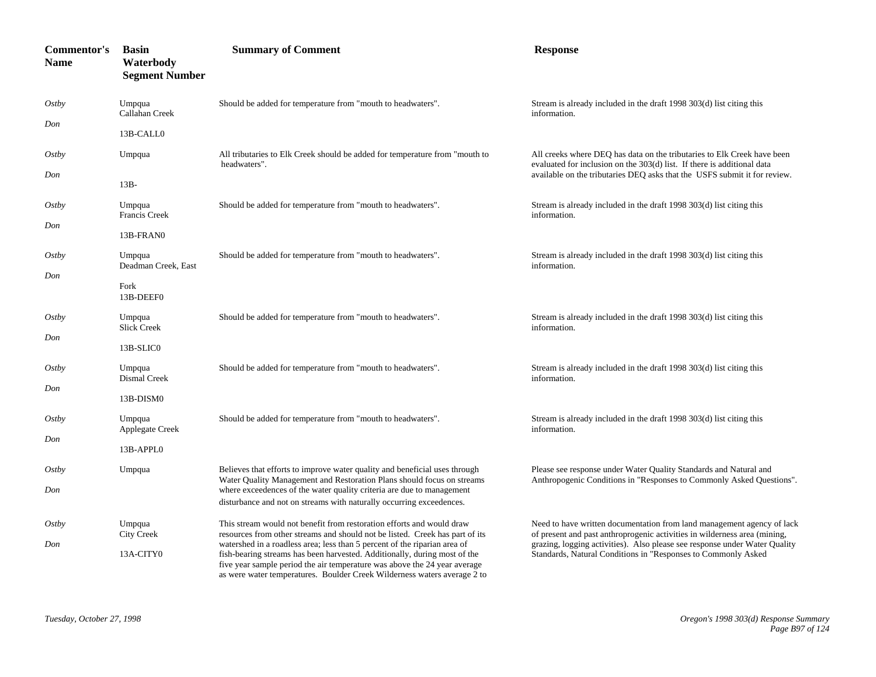| Commentor's<br>Name | <b>Basin</b><br>Waterbody<br><b>Segment Number</b> | <b>Summary of Comment</b>                                                                                                                                                                                                                                                                                                                                                                                                                                                | <b>Response</b>                                                                                                                                                                                                                                                                                    |
|---------------------|----------------------------------------------------|--------------------------------------------------------------------------------------------------------------------------------------------------------------------------------------------------------------------------------------------------------------------------------------------------------------------------------------------------------------------------------------------------------------------------------------------------------------------------|----------------------------------------------------------------------------------------------------------------------------------------------------------------------------------------------------------------------------------------------------------------------------------------------------|
| Ostby<br>Don        | Umpqua<br>Callahan Creek<br>13B-CALL0              | Should be added for temperature from "mouth to headwaters".                                                                                                                                                                                                                                                                                                                                                                                                              | Stream is already included in the draft 1998 303(d) list citing this<br>information.                                                                                                                                                                                                               |
| Ostby<br>Don        | Umpqua<br>$13B -$                                  | All tributaries to Elk Creek should be added for temperature from "mouth to<br>headwaters".                                                                                                                                                                                                                                                                                                                                                                              | All creeks where DEQ has data on the tributaries to Elk Creek have been<br>evaluated for inclusion on the 303(d) list. If there is additional data<br>available on the tributaries DEQ asks that the USFS submit it for review.                                                                    |
| Ostby<br>Don        | Umpqua<br>Francis Creek<br>13B-FRAN0               | Should be added for temperature from "mouth to headwaters".                                                                                                                                                                                                                                                                                                                                                                                                              | Stream is already included in the draft 1998 303(d) list citing this<br>information.                                                                                                                                                                                                               |
| Ostby<br>Don        | Umpqua<br>Deadman Creek, East<br>Fork<br>13B-DEEF0 | Should be added for temperature from "mouth to headwaters".                                                                                                                                                                                                                                                                                                                                                                                                              | Stream is already included in the draft 1998 303(d) list citing this<br>information.                                                                                                                                                                                                               |
| Ostby<br>Don        | Umpqua<br><b>Slick Creek</b><br>13B-SLIC0          | Should be added for temperature from "mouth to headwaters".                                                                                                                                                                                                                                                                                                                                                                                                              | Stream is already included in the draft 1998 303(d) list citing this<br>information.                                                                                                                                                                                                               |
| Ostby<br>Don        | Umpqua<br>Dismal Creek<br>13B-DISM0                | Should be added for temperature from "mouth to headwaters".                                                                                                                                                                                                                                                                                                                                                                                                              | Stream is already included in the draft 1998 303(d) list citing this<br>information.                                                                                                                                                                                                               |
| Ostby<br>Don        | Umpqua<br>Applegate Creek<br>13B-APPL0             | Should be added for temperature from "mouth to headwaters".                                                                                                                                                                                                                                                                                                                                                                                                              | Stream is already included in the draft 1998 303(d) list citing this<br>information.                                                                                                                                                                                                               |
| Ostby<br>Don        | Umpqua                                             | Believes that efforts to improve water quality and beneficial uses through<br>Water Quality Management and Restoration Plans should focus on streams<br>where exceedences of the water quality criteria are due to management<br>disturbance and not on streams with naturally occurring exceedences.                                                                                                                                                                    | Please see response under Water Quality Standards and Natural and<br>Anthropogenic Conditions in "Responses to Commonly Asked Questions".                                                                                                                                                          |
| Ostby<br>Don        | Umpqua<br><b>City Creek</b><br>13A-CITY0           | This stream would not benefit from restoration efforts and would draw<br>resources from other streams and should not be listed. Creek has part of its<br>watershed in a roadless area; less than 5 percent of the riparian area of<br>fish-bearing streams has been harvested. Additionally, during most of the<br>five year sample period the air temperature was above the 24 year average<br>as were water temperatures. Boulder Creek Wilderness waters average 2 to | Need to have written documentation from land management agency of lack<br>of present and past anthroprogenic activities in wilderness area (mining,<br>grazing, logging activities). Also please see response under Water Quality<br>Standards, Natural Conditions in "Responses to Commonly Asked |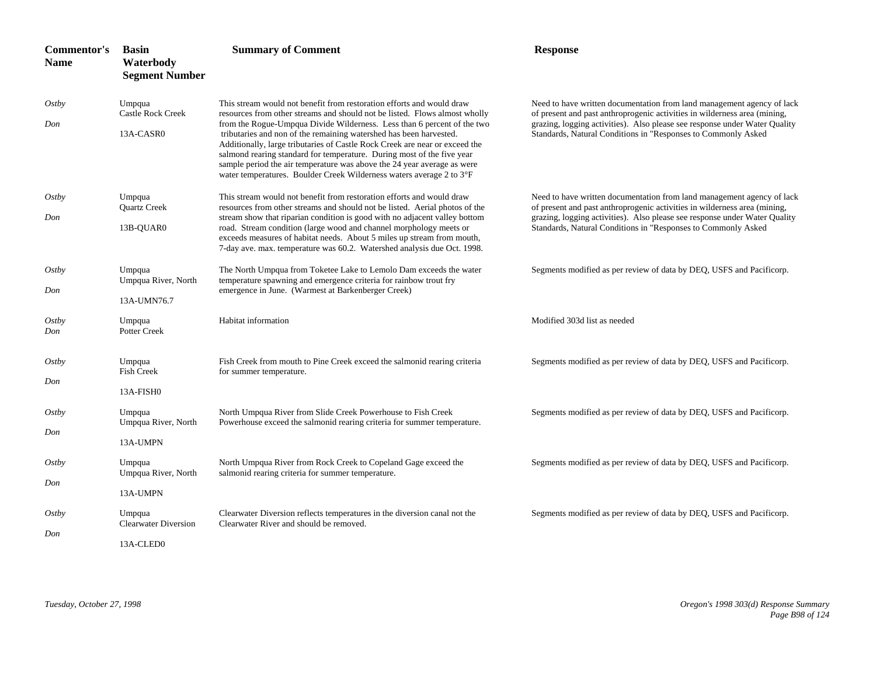| <b>Commentor's</b><br><b>Name</b> | <b>Basin</b><br>Waterbody<br><b>Segment Number</b> | <b>Summary of Comment</b>                                                                                                                                                                                                                                                                                                                                                                                                                                                                                                                                                                                        | <b>Response</b>                                                                                                                                                                                                                                                                                    |
|-----------------------------------|----------------------------------------------------|------------------------------------------------------------------------------------------------------------------------------------------------------------------------------------------------------------------------------------------------------------------------------------------------------------------------------------------------------------------------------------------------------------------------------------------------------------------------------------------------------------------------------------------------------------------------------------------------------------------|----------------------------------------------------------------------------------------------------------------------------------------------------------------------------------------------------------------------------------------------------------------------------------------------------|
| Ostby<br>Don                      | Umpqua<br><b>Castle Rock Creek</b><br>13A-CASR0    | This stream would not benefit from restoration efforts and would draw<br>resources from other streams and should not be listed. Flows almost wholly<br>from the Rogue-Umpqua Divide Wilderness. Less than 6 percent of the two<br>tributaries and non of the remaining watershed has been harvested.<br>Additionally, large tributaries of Castle Rock Creek are near or exceed the<br>salmond rearing standard for temperature. During most of the five year<br>sample period the air temperature was above the 24 year average as were<br>water temperatures. Boulder Creek Wilderness waters average 2 to 3°F | Need to have written documentation from land management agency of lack<br>of present and past anthroprogenic activities in wilderness area (mining,<br>grazing, logging activities). Also please see response under Water Quality<br>Standards, Natural Conditions in "Responses to Commonly Asked |
| Ostby<br>Don                      | Umpqua<br><b>Ouartz Creek</b><br>13B-QUAR0         | This stream would not benefit from restoration efforts and would draw<br>resources from other streams and should not be listed. Aerial photos of the<br>stream show that riparian condition is good with no adjacent valley bottom<br>road. Stream condition (large wood and channel morphology meets or<br>exceeds measures of habitat needs. About 5 miles up stream from mouth,<br>7-day ave. max. temperature was 60.2. Watershed analysis due Oct. 1998.                                                                                                                                                    | Need to have written documentation from land management agency of lack<br>of present and past anthroprogenic activities in wilderness area (mining,<br>grazing, logging activities). Also please see response under Water Quality<br>Standards, Natural Conditions in "Responses to Commonly Asked |
| Ostby<br>Don                      | Umpqua<br>Umpqua River, North<br>13A-UMN76.7       | The North Umpqua from Toketee Lake to Lemolo Dam exceeds the water<br>temperature spawning and emergence criteria for rainbow trout fry<br>emergence in June. (Warmest at Barkenberger Creek)                                                                                                                                                                                                                                                                                                                                                                                                                    | Segments modified as per review of data by DEQ, USFS and Pacificorp.                                                                                                                                                                                                                               |
| Ostby<br>Don                      | Umpqua<br>Potter Creek                             | Habitat information                                                                                                                                                                                                                                                                                                                                                                                                                                                                                                                                                                                              | Modified 303d list as needed                                                                                                                                                                                                                                                                       |
| Ostby<br>Don                      | Umpqua<br><b>Fish Creek</b><br>13A-FISH0           | Fish Creek from mouth to Pine Creek exceed the salmonid rearing criteria<br>for summer temperature.                                                                                                                                                                                                                                                                                                                                                                                                                                                                                                              | Segments modified as per review of data by DEQ, USFS and Pacificorp.                                                                                                                                                                                                                               |
| Ostby<br>Don                      | Umpqua<br>Umpqua River, North<br>13A-UMPN          | North Umpqua River from Slide Creek Powerhouse to Fish Creek<br>Powerhouse exceed the salmonid rearing criteria for summer temperature.                                                                                                                                                                                                                                                                                                                                                                                                                                                                          | Segments modified as per review of data by DEQ, USFS and Pacificorp.                                                                                                                                                                                                                               |
| Ostby<br>Don                      | Umpqua<br>Umpqua River, North<br>13A-UMPN          | North Umpqua River from Rock Creek to Copeland Gage exceed the<br>salmonid rearing criteria for summer temperature.                                                                                                                                                                                                                                                                                                                                                                                                                                                                                              | Segments modified as per review of data by DEQ, USFS and Pacificorp.                                                                                                                                                                                                                               |
| Ostby<br>Don                      | Umpqua<br><b>Clearwater Diversion</b><br>13A-CLED0 | Clearwater Diversion reflects temperatures in the diversion canal not the<br>Clearwater River and should be removed.                                                                                                                                                                                                                                                                                                                                                                                                                                                                                             | Segments modified as per review of data by DEQ, USFS and Pacificorp.                                                                                                                                                                                                                               |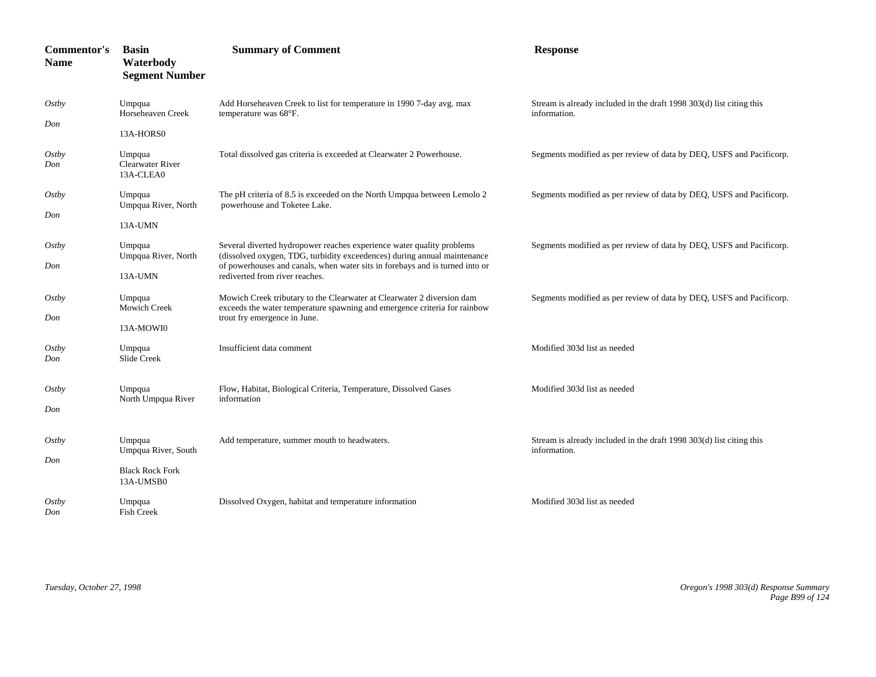| <b>Commentor's</b><br><b>Name</b> | <b>Basin</b><br>Waterbody<br><b>Segment Number</b>                   | <b>Summary of Comment</b>                                                                                                                                                                                                                                           | <b>Response</b>                                                                      |
|-----------------------------------|----------------------------------------------------------------------|---------------------------------------------------------------------------------------------------------------------------------------------------------------------------------------------------------------------------------------------------------------------|--------------------------------------------------------------------------------------|
| Ostby<br>Don                      | Umpqua<br>Horseheaven Creek<br>13A-HORS0                             | Add Horseheaven Creek to list for temperature in 1990 7-day avg. max<br>temperature was 68°F.                                                                                                                                                                       | Stream is already included in the draft 1998 303(d) list citing this<br>information. |
| Ostby<br>Don                      | Umpqua<br><b>Clearwater River</b><br>13A-CLEA0                       | Total dissolved gas criteria is exceeded at Clearwater 2 Powerhouse.                                                                                                                                                                                                | Segments modified as per review of data by DEQ, USFS and Pacificorp.                 |
| Ostby<br>Don                      | Umpqua<br>Umpqua River, North<br>13A-UMN                             | The pH criteria of 8.5 is exceeded on the North Umpqua between Lemolo 2<br>powerhouse and Toketee Lake.                                                                                                                                                             | Segments modified as per review of data by DEQ, USFS and Pacificorp.                 |
| Ostby<br>Don                      | Umpqua<br>Umpqua River, North<br>13A-UMN                             | Several diverted hydropower reaches experience water quality problems<br>(dissolved oxygen, TDG, turbidity exceedences) during annual maintenance<br>of powerhouses and canals, when water sits in forebays and is turned into or<br>rediverted from river reaches. | Segments modified as per review of data by DEQ, USFS and Pacificorp.                 |
| Ostby<br>Don                      | Umpqua<br><b>Mowich Creek</b><br>13A-MOWI0                           | Mowich Creek tributary to the Clearwater at Clearwater 2 diversion dam<br>exceeds the water temperature spawning and emergence criteria for rainbow<br>trout fry emergence in June.                                                                                 | Segments modified as per review of data by DEQ, USFS and Pacificorp.                 |
| Ostby<br>Don                      | Umpqua<br>Slide Creek                                                | Insufficient data comment                                                                                                                                                                                                                                           | Modified 303d list as needed                                                         |
| Ostby<br>Don                      | Umpqua<br>North Umpqua River                                         | Flow, Habitat, Biological Criteria, Temperature, Dissolved Gases<br>information                                                                                                                                                                                     | Modified 303d list as needed                                                         |
| Ostby<br>Don                      | Umpqua<br>Umpqua River, South<br><b>Black Rock Fork</b><br>13A-UMSB0 | Add temperature, summer mouth to headwaters.                                                                                                                                                                                                                        | Stream is already included in the draft 1998 303(d) list citing this<br>information. |
| Ostby<br>Don                      | Umpqua<br><b>Fish Creek</b>                                          | Dissolved Oxygen, habitat and temperature information                                                                                                                                                                                                               | Modified 303d list as needed                                                         |

*Tuesday, October 27, 1998 Oregon's 1998 303(d) Response Summary Page B99 of 124*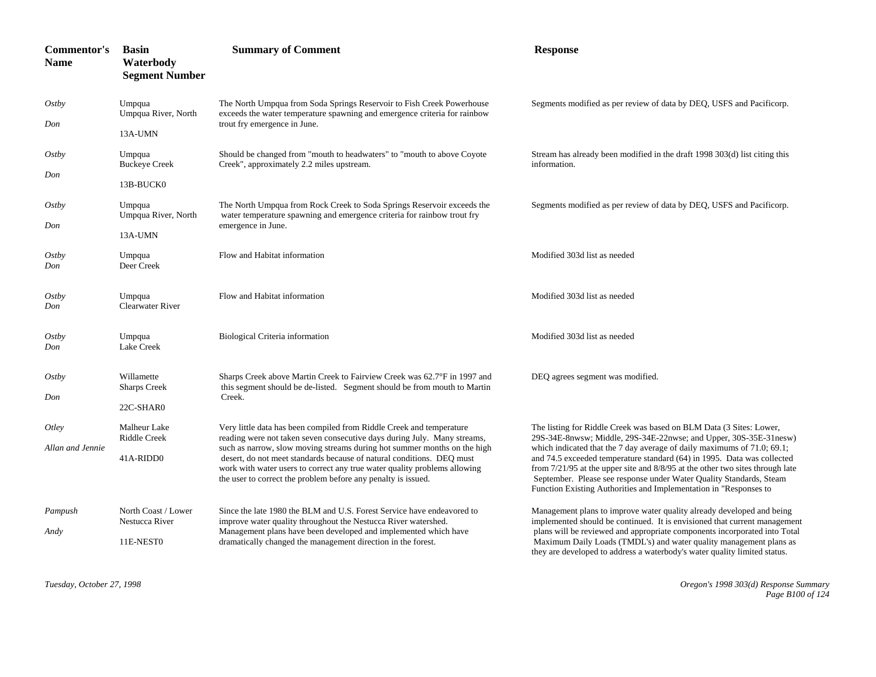| Commentor's<br><b>Name</b>       | <b>Basin</b><br>Waterbody<br><b>Segment Number</b> | <b>Summary of Comment</b>                                                                                                                                                                                                                                                                                                                                                                                                                           | <b>Response</b>                                                                                                                                                                                                                                                                                                                                                                                                                                                                                                                    |
|----------------------------------|----------------------------------------------------|-----------------------------------------------------------------------------------------------------------------------------------------------------------------------------------------------------------------------------------------------------------------------------------------------------------------------------------------------------------------------------------------------------------------------------------------------------|------------------------------------------------------------------------------------------------------------------------------------------------------------------------------------------------------------------------------------------------------------------------------------------------------------------------------------------------------------------------------------------------------------------------------------------------------------------------------------------------------------------------------------|
| Ostby<br>Don                     | Umpqua<br>Umpqua River, North<br>13A-UMN           | The North Umpqua from Soda Springs Reservoir to Fish Creek Powerhouse<br>exceeds the water temperature spawning and emergence criteria for rainbow<br>trout fry emergence in June.                                                                                                                                                                                                                                                                  | Segments modified as per review of data by DEQ, USFS and Pacificorp.                                                                                                                                                                                                                                                                                                                                                                                                                                                               |
| Ostby<br>Don                     | Umpqua<br><b>Buckeye Creek</b><br>13B-BUCK0        | Should be changed from "mouth to headwaters" to "mouth to above Coyote"<br>Creek", approximately 2.2 miles upstream.                                                                                                                                                                                                                                                                                                                                | Stream has already been modified in the draft 1998 303(d) list citing this<br>information.                                                                                                                                                                                                                                                                                                                                                                                                                                         |
| Ostby<br>Don                     | Umpqua<br>Umpqua River, North<br>13A-UMN           | The North Umpqua from Rock Creek to Soda Springs Reservoir exceeds the<br>water temperature spawning and emergence criteria for rainbow trout fry<br>emergence in June.                                                                                                                                                                                                                                                                             | Segments modified as per review of data by DEQ, USFS and Pacificorp.                                                                                                                                                                                                                                                                                                                                                                                                                                                               |
| Ostby<br>Don                     | Umpqua<br>Deer Creek                               | Flow and Habitat information                                                                                                                                                                                                                                                                                                                                                                                                                        | Modified 303d list as needed                                                                                                                                                                                                                                                                                                                                                                                                                                                                                                       |
| Ostby<br>Don                     | Umpqua<br><b>Clearwater River</b>                  | Flow and Habitat information                                                                                                                                                                                                                                                                                                                                                                                                                        | Modified 303d list as needed                                                                                                                                                                                                                                                                                                                                                                                                                                                                                                       |
| Ostby<br>Don                     | Umpqua<br>Lake Creek                               | Biological Criteria information                                                                                                                                                                                                                                                                                                                                                                                                                     | Modified 303d list as needed                                                                                                                                                                                                                                                                                                                                                                                                                                                                                                       |
| Ostby<br>Don                     | Willamette<br><b>Sharps Creek</b><br>22C-SHAR0     | Sharps Creek above Martin Creek to Fairview Creek was 62.7°F in 1997 and<br>this segment should be de-listed. Segment should be from mouth to Martin<br>Creek.                                                                                                                                                                                                                                                                                      | DEQ agrees segment was modified.                                                                                                                                                                                                                                                                                                                                                                                                                                                                                                   |
| <i>Otley</i><br>Allan and Jennie | Malheur Lake<br>Riddle Creek<br>41A-RIDD0          | Very little data has been compiled from Riddle Creek and temperature<br>reading were not taken seven consecutive days during July. Many streams,<br>such as narrow, slow moving streams during hot summer months on the high<br>desert, do not meet standards because of natural conditions. DEQ must<br>work with water users to correct any true water quality problems allowing<br>the user to correct the problem before any penalty is issued. | The listing for Riddle Creek was based on BLM Data (3 Sites: Lower,<br>29S-34E-8nwsw; Middle, 29S-34E-22nwse; and Upper, 30S-35E-31nesw)<br>which indicated that the 7 day average of daily maximums of $71.0$ ; 69.1;<br>and 74.5 exceeded temperature standard (64) in 1995. Data was collected<br>from $7/21/95$ at the upper site and $8/8/95$ at the other two sites through late<br>September. Please see response under Water Quality Standards, Steam<br>Function Existing Authorities and Implementation in "Responses to |
| Pampush<br>Andy                  | North Coast / Lower<br>Nestucca River<br>11E-NEST0 | Since the late 1980 the BLM and U.S. Forest Service have endeavored to<br>improve water quality throughout the Nestucca River watershed.<br>Management plans have been developed and implemented which have<br>dramatically changed the management direction in the forest.                                                                                                                                                                         | Management plans to improve water quality already developed and being<br>implemented should be continued. It is envisioned that current management<br>plans will be reviewed and appropriate components incorporated into Total<br>Maximum Daily Loads (TMDL's) and water quality management plans as<br>they are developed to address a waterbody's water quality limited status.                                                                                                                                                 |

*Tuesday, October 27, 1998 Oregon's 1998 303(d) Response Summary Page B100 of 124*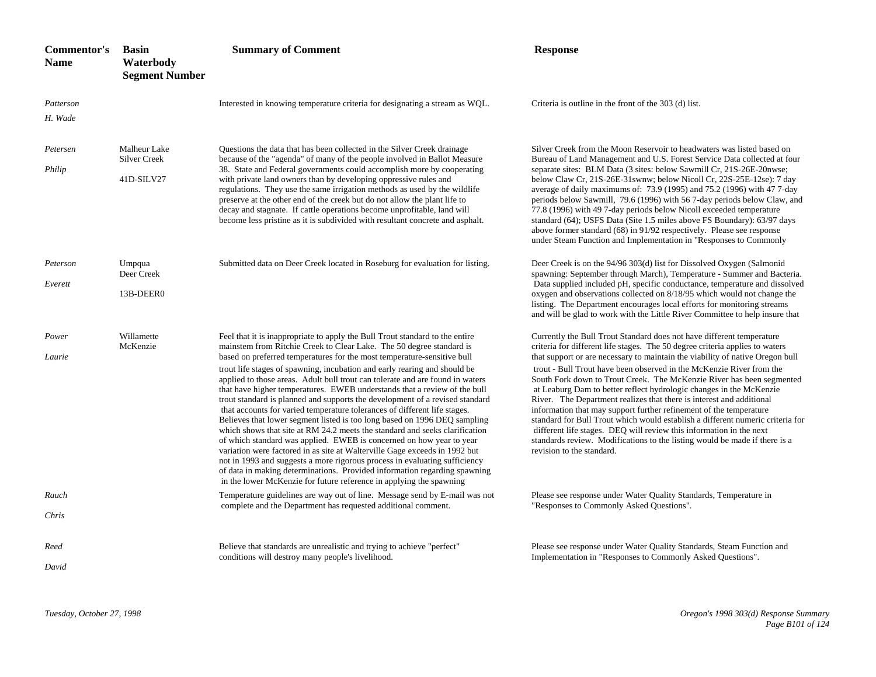| Commentor's<br><b>Name</b> | <b>Basin</b><br>Waterbody<br><b>Segment Number</b> | <b>Summary of Comment</b>                                                                                                                                                                                                                                                                                                                                                                                                                                                                                                                                                                                                                                                                                                                                                                                                                                                                                                                                                                                                                                                                                                                                                                   | <b>Response</b>                                                                                                                                                                                                                                                                                                                                                                                                                                                                                                                                                                                                                                                                                                                                                                                                                                                                  |
|----------------------------|----------------------------------------------------|---------------------------------------------------------------------------------------------------------------------------------------------------------------------------------------------------------------------------------------------------------------------------------------------------------------------------------------------------------------------------------------------------------------------------------------------------------------------------------------------------------------------------------------------------------------------------------------------------------------------------------------------------------------------------------------------------------------------------------------------------------------------------------------------------------------------------------------------------------------------------------------------------------------------------------------------------------------------------------------------------------------------------------------------------------------------------------------------------------------------------------------------------------------------------------------------|----------------------------------------------------------------------------------------------------------------------------------------------------------------------------------------------------------------------------------------------------------------------------------------------------------------------------------------------------------------------------------------------------------------------------------------------------------------------------------------------------------------------------------------------------------------------------------------------------------------------------------------------------------------------------------------------------------------------------------------------------------------------------------------------------------------------------------------------------------------------------------|
| Patterson<br>H. Wade       |                                                    | Interested in knowing temperature criteria for designating a stream as WQL.                                                                                                                                                                                                                                                                                                                                                                                                                                                                                                                                                                                                                                                                                                                                                                                                                                                                                                                                                                                                                                                                                                                 | Criteria is outline in the front of the 303 (d) list.                                                                                                                                                                                                                                                                                                                                                                                                                                                                                                                                                                                                                                                                                                                                                                                                                            |
| Petersen<br>Philip         | Malheur Lake<br><b>Silver Creek</b><br>41D-SILV27  | Questions the data that has been collected in the Silver Creek drainage<br>because of the "agenda" of many of the people involved in Ballot Measure<br>38. State and Federal governments could accomplish more by cooperating<br>with private land owners than by developing oppressive rules and<br>regulations. They use the same irrigation methods as used by the wildlife<br>preserve at the other end of the creek but do not allow the plant life to<br>decay and stagnate. If cattle operations become unprofitable, land will<br>become less pristine as it is subdivided with resultant concrete and asphalt.                                                                                                                                                                                                                                                                                                                                                                                                                                                                                                                                                                     | Silver Creek from the Moon Reservoir to headwaters was listed based on<br>Bureau of Land Management and U.S. Forest Service Data collected at four<br>separate sites: BLM Data (3 sites: below Sawmill Cr, 21S-26E-20nwse;<br>below Claw Cr, 21S-26E-31 swnw; below Nicoll Cr, 22S-25E-12se): 7 day<br>average of daily maximums of: 73.9 (1995) and 75.2 (1996) with 47 7-day<br>periods below Sawmill, 79.6 (1996) with 567-day periods below Claw, and<br>77.8 (1996) with 49 7-day periods below Nicoll exceeded temperature<br>standard (64); USFS Data (Site 1.5 miles above FS Boundary): 63/97 days<br>above former standard (68) in 91/92 respectively. Please see response<br>under Steam Function and Implementation in "Responses to Commonly                                                                                                                        |
| Peterson<br>Everett        | Umpqua<br>Deer Creek<br>13B-DEER0                  | Submitted data on Deer Creek located in Roseburg for evaluation for listing.                                                                                                                                                                                                                                                                                                                                                                                                                                                                                                                                                                                                                                                                                                                                                                                                                                                                                                                                                                                                                                                                                                                | Deer Creek is on the 94/96 303(d) list for Dissolved Oxygen (Salmonid<br>spawning: September through March), Temperature - Summer and Bacteria.<br>Data supplied included pH, specific conductance, temperature and dissolved<br>oxygen and observations collected on 8/18/95 which would not change the<br>listing. The Department encourages local efforts for monitoring streams<br>and will be glad to work with the Little River Committee to help insure that                                                                                                                                                                                                                                                                                                                                                                                                              |
| Power<br>Laurie            | Willamette<br>McKenzie                             | Feel that it is inappropriate to apply the Bull Trout standard to the entire<br>mainstem from Ritchie Creek to Clear Lake. The 50 degree standard is<br>based on preferred temperatures for the most temperature-sensitive bull<br>trout life stages of spawning, incubation and early rearing and should be<br>applied to those areas. Adult bull trout can tolerate and are found in waters<br>that have higher temperatures. EWEB understands that a review of the bull<br>trout standard is planned and supports the development of a revised standard<br>that accounts for varied temperature tolerances of different life stages.<br>Believes that lower segment listed is too long based on 1996 DEQ sampling<br>which shows that site at RM 24.2 meets the standard and seeks clarification<br>of which standard was applied. EWEB is concerned on how year to year<br>variation were factored in as site at Walterville Gage exceeds in 1992 but<br>not in 1993 and suggests a more rigorous process in evaluating sufficiency<br>of data in making determinations. Provided information regarding spawning<br>in the lower McKenzie for future reference in applying the spawning | Currently the Bull Trout Standard does not have different temperature<br>criteria for different life stages. The 50 degree criteria applies to waters<br>that support or are necessary to maintain the viability of native Oregon bull<br>trout - Bull Trout have been observed in the McKenzie River from the<br>South Fork down to Trout Creek. The McKenzie River has been segmented<br>at Leaburg Dam to better reflect hydrologic changes in the McKenzie<br>River. The Department realizes that there is interest and additional<br>information that may support further refinement of the temperature<br>standard for Bull Trout which would establish a different numeric criteria for<br>different life stages. DEQ will review this information in the next<br>standards review. Modifications to the listing would be made if there is a<br>revision to the standard. |
| Rauch<br>Chris             |                                                    | Temperature guidelines are way out of line. Message send by E-mail was not<br>complete and the Department has requested additional comment.                                                                                                                                                                                                                                                                                                                                                                                                                                                                                                                                                                                                                                                                                                                                                                                                                                                                                                                                                                                                                                                 | Please see response under Water Quality Standards, Temperature in<br>"Responses to Commonly Asked Questions".                                                                                                                                                                                                                                                                                                                                                                                                                                                                                                                                                                                                                                                                                                                                                                    |
| Reed<br>David              |                                                    | Believe that standards are unrealistic and trying to achieve "perfect"<br>conditions will destroy many people's livelihood.                                                                                                                                                                                                                                                                                                                                                                                                                                                                                                                                                                                                                                                                                                                                                                                                                                                                                                                                                                                                                                                                 | Please see response under Water Quality Standards, Steam Function and<br>Implementation in "Responses to Commonly Asked Questions".                                                                                                                                                                                                                                                                                                                                                                                                                                                                                                                                                                                                                                                                                                                                              |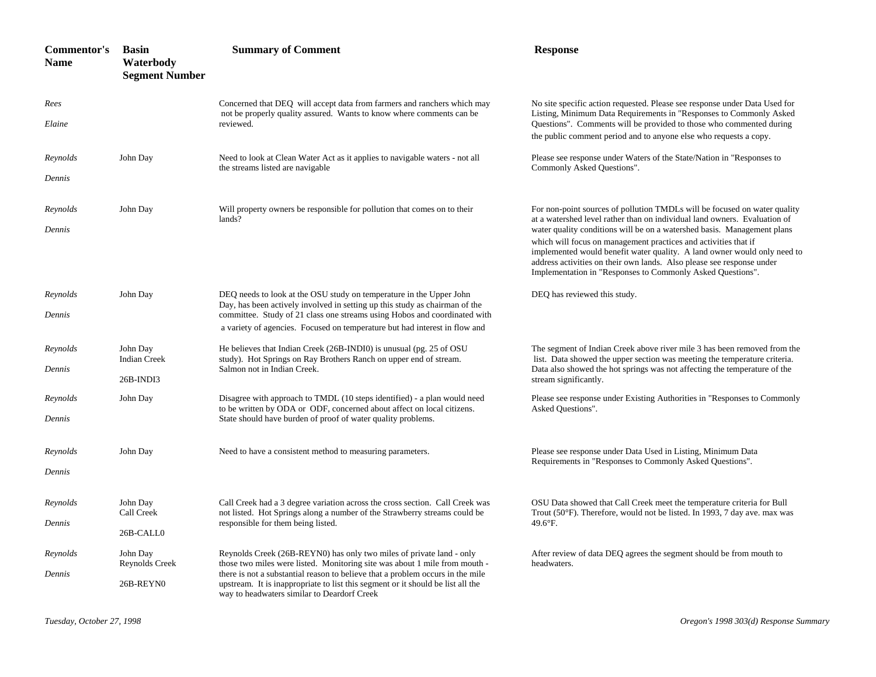| <b>Commentor's</b><br>Name | <b>Basin</b><br>Waterbody<br><b>Segment Number</b> | <b>Summary of Comment</b>                                                                                                                                                                                                                                                                      | <b>Response</b>                                                                                                                                                                                                                                                                    |
|----------------------------|----------------------------------------------------|------------------------------------------------------------------------------------------------------------------------------------------------------------------------------------------------------------------------------------------------------------------------------------------------|------------------------------------------------------------------------------------------------------------------------------------------------------------------------------------------------------------------------------------------------------------------------------------|
| Rees                       |                                                    | Concerned that DEQ will accept data from farmers and ranchers which may<br>not be properly quality assured. Wants to know where comments can be                                                                                                                                                | No site specific action requested. Please see response under Data Used for<br>Listing, Minimum Data Requirements in "Responses to Commonly Asked                                                                                                                                   |
| Elaine                     |                                                    | reviewed.                                                                                                                                                                                                                                                                                      | Questions". Comments will be provided to those who commented during<br>the public comment period and to anyone else who requests a copy.                                                                                                                                           |
|                            |                                                    |                                                                                                                                                                                                                                                                                                |                                                                                                                                                                                                                                                                                    |
| Reynolds                   | John Day                                           | Need to look at Clean Water Act as it applies to navigable waters - not all<br>the streams listed are navigable                                                                                                                                                                                | Please see response under Waters of the State/Nation in "Responses to<br>Commonly Asked Questions".                                                                                                                                                                                |
| Dennis                     |                                                    |                                                                                                                                                                                                                                                                                                |                                                                                                                                                                                                                                                                                    |
| Reynolds                   | John Day                                           | Will property owners be responsible for pollution that comes on to their                                                                                                                                                                                                                       | For non-point sources of pollution TMDLs will be focused on water quality                                                                                                                                                                                                          |
| Dennis                     |                                                    | lands?                                                                                                                                                                                                                                                                                         | at a watershed level rather than on individual land owners. Evaluation of<br>water quality conditions will be on a watershed basis. Management plans                                                                                                                               |
|                            |                                                    |                                                                                                                                                                                                                                                                                                | which will focus on management practices and activities that if<br>implemented would benefit water quality. A land owner would only need to<br>address activities on their own lands. Also please see response under<br>Implementation in "Responses to Commonly Asked Questions". |
| Reynolds                   | John Day                                           | DEQ needs to look at the OSU study on temperature in the Upper John<br>Day, has been actively involved in setting up this study as chairman of the                                                                                                                                             | DEQ has reviewed this study.                                                                                                                                                                                                                                                       |
| Dennis                     |                                                    | committee. Study of 21 class one streams using Hobos and coordinated with<br>a variety of agencies. Focused on temperature but had interest in flow and                                                                                                                                        |                                                                                                                                                                                                                                                                                    |
| Reynolds                   | John Day<br><b>Indian Creek</b>                    | He believes that Indian Creek (26B-INDI0) is unusual (pg. 25 of OSU<br>study). Hot Springs on Ray Brothers Ranch on upper end of stream.                                                                                                                                                       | The segment of Indian Creek above river mile 3 has been removed from the<br>list. Data showed the upper section was meeting the temperature criteria.                                                                                                                              |
| Dennis                     | 26B-INDI3                                          | Salmon not in Indian Creek.                                                                                                                                                                                                                                                                    | Data also showed the hot springs was not affecting the temperature of the<br>stream significantly.                                                                                                                                                                                 |
| Reynolds                   | John Day                                           | Disagree with approach to TMDL (10 steps identified) - a plan would need<br>to be written by ODA or ODF, concerned about affect on local citizens.                                                                                                                                             | Please see response under Existing Authorities in "Responses to Commonly<br>Asked Questions".                                                                                                                                                                                      |
| Dennis                     |                                                    | State should have burden of proof of water quality problems.                                                                                                                                                                                                                                   |                                                                                                                                                                                                                                                                                    |
| Reynolds                   | John Day                                           | Need to have a consistent method to measuring parameters.                                                                                                                                                                                                                                      | Please see response under Data Used in Listing, Minimum Data                                                                                                                                                                                                                       |
| Dennis                     |                                                    |                                                                                                                                                                                                                                                                                                | Requirements in "Responses to Commonly Asked Questions".                                                                                                                                                                                                                           |
| Reynolds                   | John Day                                           | Call Creek had a 3 degree variation across the cross section. Call Creek was                                                                                                                                                                                                                   | OSU Data showed that Call Creek meet the temperature criteria for Bull<br>Trout (50°F). Therefore, would not be listed. In 1993, 7 day ave. max was<br>49.6°F.                                                                                                                     |
| Dennis                     | Call Creek<br>26B-CALL0                            | not listed. Hot Springs along a number of the Strawberry streams could be<br>responsible for them being listed.                                                                                                                                                                                |                                                                                                                                                                                                                                                                                    |
| Reynolds                   | John Day                                           | Reynolds Creek (26B-REYN0) has only two miles of private land - only                                                                                                                                                                                                                           | After review of data DEQ agrees the segment should be from mouth to                                                                                                                                                                                                                |
| Dennis                     | Reynolds Creek<br>26B-REYN0                        | those two miles were listed. Monitoring site was about 1 mile from mouth -<br>there is not a substantial reason to believe that a problem occurs in the mile<br>upstream. It is inappropriate to list this segment or it should be list all the<br>way to headwaters similar to Deardorf Creek | headwaters.                                                                                                                                                                                                                                                                        |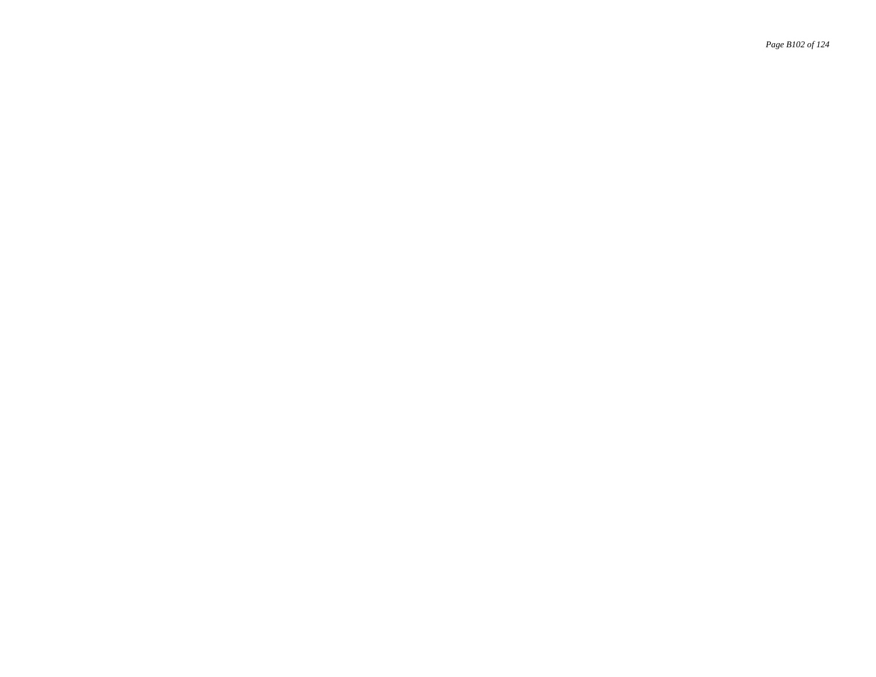*Page B102 of 124*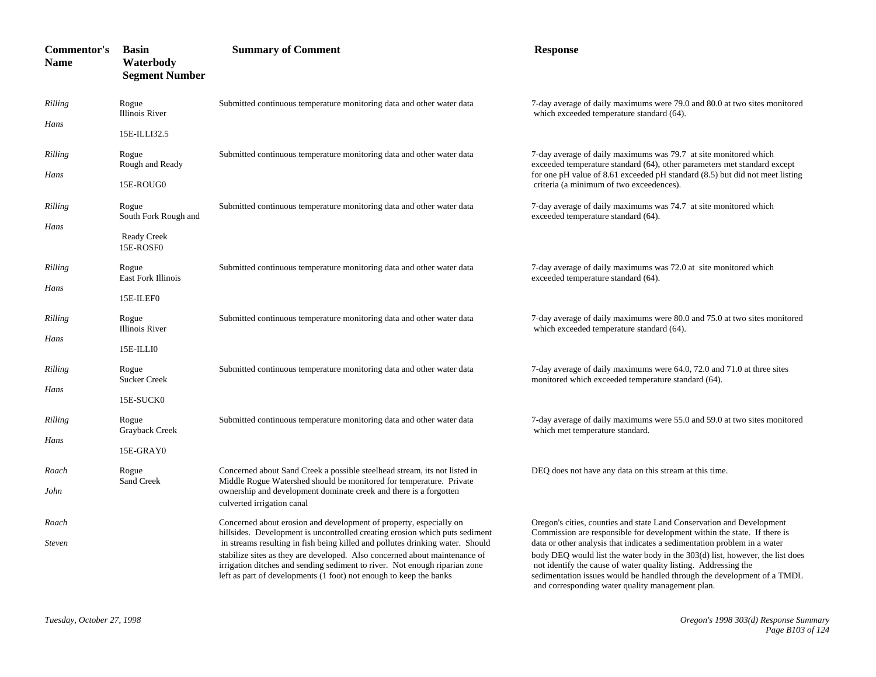| <b>Commentor's</b><br><b>Name</b> | <b>Basin</b><br>Waterbody<br><b>Segment Number</b>               | <b>Summary of Comment</b>                                                                                                                                                                                                                                                                                                                                                                                                                                            | <b>Response</b>                                                                                                                                                                                                                                                                                                                                                                                                                                                                                                  |
|-----------------------------------|------------------------------------------------------------------|----------------------------------------------------------------------------------------------------------------------------------------------------------------------------------------------------------------------------------------------------------------------------------------------------------------------------------------------------------------------------------------------------------------------------------------------------------------------|------------------------------------------------------------------------------------------------------------------------------------------------------------------------------------------------------------------------------------------------------------------------------------------------------------------------------------------------------------------------------------------------------------------------------------------------------------------------------------------------------------------|
| Rilling<br>Hans                   | Rogue<br><b>Illinois River</b><br>15E-ILLI32.5                   | Submitted continuous temperature monitoring data and other water data                                                                                                                                                                                                                                                                                                                                                                                                | 7-day average of daily maximums were 79.0 and 80.0 at two sites monitored<br>which exceeded temperature standard (64).                                                                                                                                                                                                                                                                                                                                                                                           |
| Rilling<br>Hans                   | Rogue<br>Rough and Ready<br>15E-ROUG0                            | Submitted continuous temperature monitoring data and other water data                                                                                                                                                                                                                                                                                                                                                                                                | 7-day average of daily maximums was 79.7 at site monitored which<br>exceeded temperature standard (64), other parameters met standard except<br>for one pH value of 8.61 exceeded pH standard $(8.5)$ but did not meet listing<br>criteria (a minimum of two exceedences).                                                                                                                                                                                                                                       |
| Rilling<br>Hans                   | Rogue<br>South Fork Rough and<br><b>Ready Creek</b><br>15E-ROSF0 | Submitted continuous temperature monitoring data and other water data                                                                                                                                                                                                                                                                                                                                                                                                | 7-day average of daily maximums was 74.7 at site monitored which<br>exceeded temperature standard (64).                                                                                                                                                                                                                                                                                                                                                                                                          |
| Rilling<br>Hans                   | Rogue<br>East Fork Illinois<br>15E-ILEF0                         | Submitted continuous temperature monitoring data and other water data                                                                                                                                                                                                                                                                                                                                                                                                | 7-day average of daily maximums was 72.0 at site monitored which<br>exceeded temperature standard (64).                                                                                                                                                                                                                                                                                                                                                                                                          |
| Rilling<br>Hans                   | Rogue<br><b>Illinois River</b><br>15E-ILLI0                      | Submitted continuous temperature monitoring data and other water data                                                                                                                                                                                                                                                                                                                                                                                                | 7-day average of daily maximums were 80.0 and 75.0 at two sites monitored<br>which exceeded temperature standard (64).                                                                                                                                                                                                                                                                                                                                                                                           |
| Rilling<br>Hans                   | Rogue<br><b>Sucker Creek</b><br>15E-SUCK0                        | Submitted continuous temperature monitoring data and other water data                                                                                                                                                                                                                                                                                                                                                                                                | 7-day average of daily maximums were 64.0, 72.0 and 71.0 at three sites<br>monitored which exceeded temperature standard (64).                                                                                                                                                                                                                                                                                                                                                                                   |
| Rilling<br>Hans                   | Rogue<br>Grayback Creek<br>15E-GRAY0                             | Submitted continuous temperature monitoring data and other water data                                                                                                                                                                                                                                                                                                                                                                                                | 7-day average of daily maximums were 55.0 and 59.0 at two sites monitored<br>which met temperature standard.                                                                                                                                                                                                                                                                                                                                                                                                     |
| Roach<br>John                     | Rogue<br>Sand Creek                                              | Concerned about Sand Creek a possible steelhead stream, its not listed in<br>Middle Rogue Watershed should be monitored for temperature. Private<br>ownership and development dominate creek and there is a forgotten<br>culverted irrigation canal                                                                                                                                                                                                                  | DEQ does not have any data on this stream at this time.                                                                                                                                                                                                                                                                                                                                                                                                                                                          |
| Roach<br><i>Steven</i>            |                                                                  | Concerned about erosion and development of property, especially on<br>hillsides. Development is uncontrolled creating erosion which puts sediment<br>in streams resulting in fish being killed and pollutes drinking water. Should<br>stabilize sites as they are developed. Also concerned about maintenance of<br>irrigation ditches and sending sediment to river. Not enough riparian zone<br>left as part of developments (1 foot) not enough to keep the banks | Oregon's cities, counties and state Land Conservation and Development<br>Commission are responsible for development within the state. If there is<br>data or other analysis that indicates a sedimentation problem in a water<br>body DEQ would list the water body in the 303(d) list, however, the list does<br>not identify the cause of water quality listing. Addressing the<br>sedimentation issues would be handled through the development of a TMDL<br>and corresponding water quality management plan. |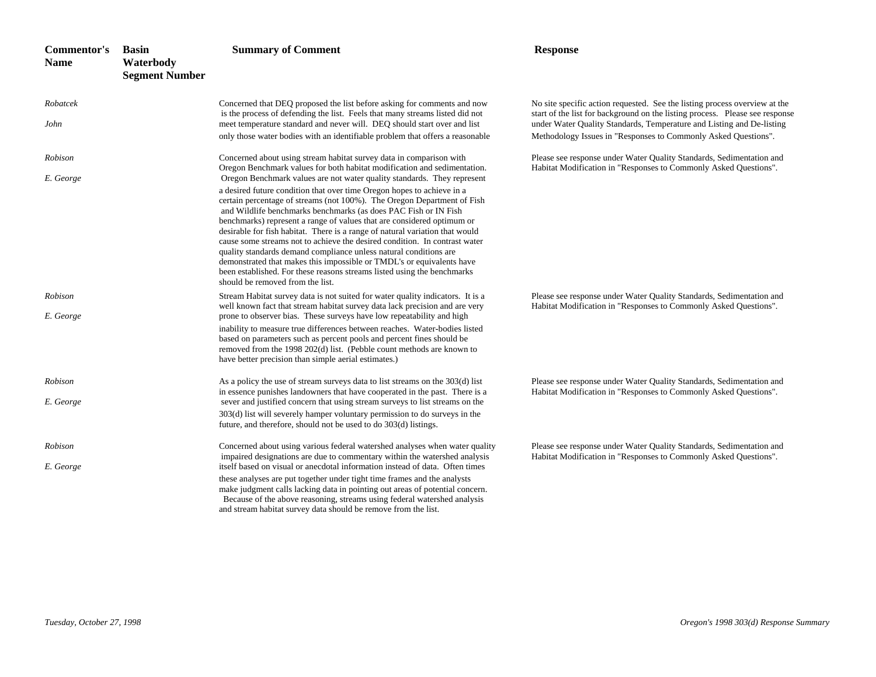| Commentor's<br><b>Name</b> | <b>Basin</b><br>Waterbody<br><b>Segment Number</b> | <b>Summary of Comment</b>                                                                                                                                                                                                                                                                                                                                                                                                                                                                                                                                                                                                                                                                                                                                                                            | <b>Response</b>                                                                                                                                            |
|----------------------------|----------------------------------------------------|------------------------------------------------------------------------------------------------------------------------------------------------------------------------------------------------------------------------------------------------------------------------------------------------------------------------------------------------------------------------------------------------------------------------------------------------------------------------------------------------------------------------------------------------------------------------------------------------------------------------------------------------------------------------------------------------------------------------------------------------------------------------------------------------------|------------------------------------------------------------------------------------------------------------------------------------------------------------|
| Robatcek                   |                                                    | Concerned that DEQ proposed the list before asking for comments and now<br>is the process of defending the list. Feels that many streams listed did not                                                                                                                                                                                                                                                                                                                                                                                                                                                                                                                                                                                                                                              | No site specific action requested. See the listing process overview at the<br>start of the list for background on the listing process. Please see response |
| John                       |                                                    | meet temperature standard and never will. DEQ should start over and list<br>only those water bodies with an identifiable problem that offers a reasonable                                                                                                                                                                                                                                                                                                                                                                                                                                                                                                                                                                                                                                            | under Water Quality Standards, Temperature and Listing and De-listing<br>Methodology Issues in "Responses to Commonly Asked Questions".                    |
| Robison                    |                                                    | Concerned about using stream habitat survey data in comparison with<br>Oregon Benchmark values for both habitat modification and sedimentation.                                                                                                                                                                                                                                                                                                                                                                                                                                                                                                                                                                                                                                                      | Please see response under Water Quality Standards, Sedimentation and<br>Habitat Modification in "Responses to Commonly Asked Questions".                   |
| E. George                  |                                                    | Oregon Benchmark values are not water quality standards. They represent<br>a desired future condition that over time Oregon hopes to achieve in a<br>certain percentage of streams (not 100%). The Oregon Department of Fish<br>and Wildlife benchmarks benchmarks (as does PAC Fish or IN Fish<br>benchmarks) represent a range of values that are considered optimum or<br>desirable for fish habitat. There is a range of natural variation that would<br>cause some streams not to achieve the desired condition. In contrast water<br>quality standards demand compliance unless natural conditions are<br>demonstrated that makes this impossible or TMDL's or equivalents have<br>been established. For these reasons streams listed using the benchmarks<br>should be removed from the list. |                                                                                                                                                            |
| Robison<br>E. George       |                                                    | Stream Habitat survey data is not suited for water quality indicators. It is a<br>well known fact that stream habitat survey data lack precision and are very<br>prone to observer bias. These surveys have low repeatability and high                                                                                                                                                                                                                                                                                                                                                                                                                                                                                                                                                               | Please see response under Water Quality Standards, Sedimentation and<br>Habitat Modification in "Responses to Commonly Asked Questions".                   |
|                            |                                                    | inability to measure true differences between reaches. Water-bodies listed<br>based on parameters such as percent pools and percent fines should be<br>removed from the 1998 202(d) list. (Pebble count methods are known to<br>have better precision than simple aerial estimates.)                                                                                                                                                                                                                                                                                                                                                                                                                                                                                                                 |                                                                                                                                                            |
| Robison<br>E. George       |                                                    | As a policy the use of stream surveys data to list streams on the 303(d) list<br>in essence punishes landowners that have cooperated in the past. There is a<br>sever and justified concern that using stream surveys to list streams on the                                                                                                                                                                                                                                                                                                                                                                                                                                                                                                                                                         | Please see response under Water Quality Standards, Sedimentation and<br>Habitat Modification in "Responses to Commonly Asked Questions".                   |
|                            |                                                    | $303(d)$ list will severely hamper voluntary permission to do surveys in the<br>future, and therefore, should not be used to do 303(d) listings.                                                                                                                                                                                                                                                                                                                                                                                                                                                                                                                                                                                                                                                     |                                                                                                                                                            |
| Robison                    |                                                    | Concerned about using various federal watershed analyses when water quality<br>impaired designations are due to commentary within the watershed analysis                                                                                                                                                                                                                                                                                                                                                                                                                                                                                                                                                                                                                                             | Please see response under Water Quality Standards, Sedimentation and<br>Habitat Modification in "Responses to Commonly Asked Questions".                   |
| E. George                  |                                                    | itself based on visual or anecdotal information instead of data. Often times<br>these analyses are put together under tight time frames and the analysts<br>make judgment calls lacking data in pointing out areas of potential concern.<br>Because of the above reasoning, streams using federal watershed analysis<br>and stream habitat survey data should be remove from the list.                                                                                                                                                                                                                                                                                                                                                                                                               |                                                                                                                                                            |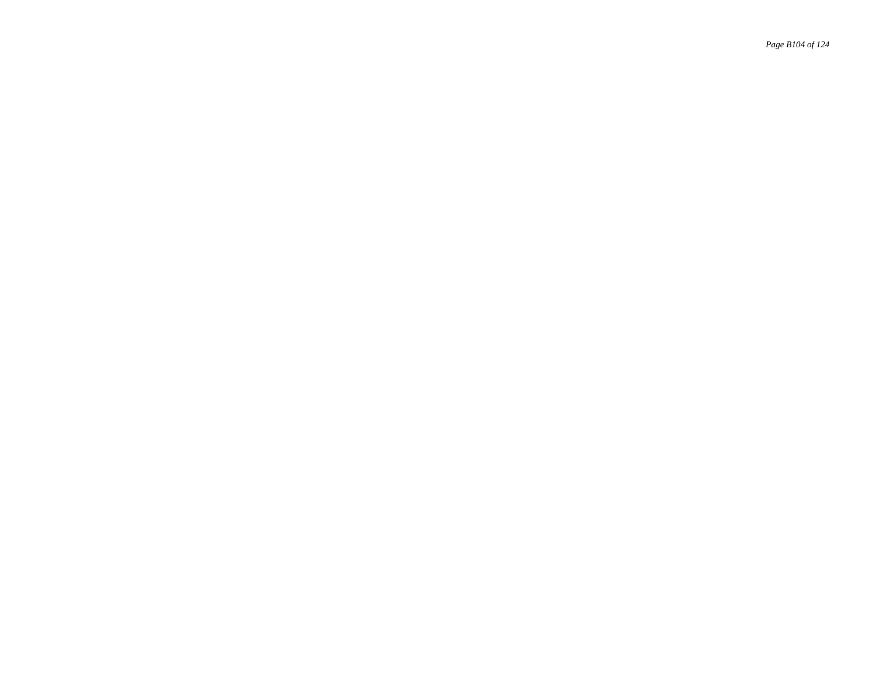*Page B104 of 124*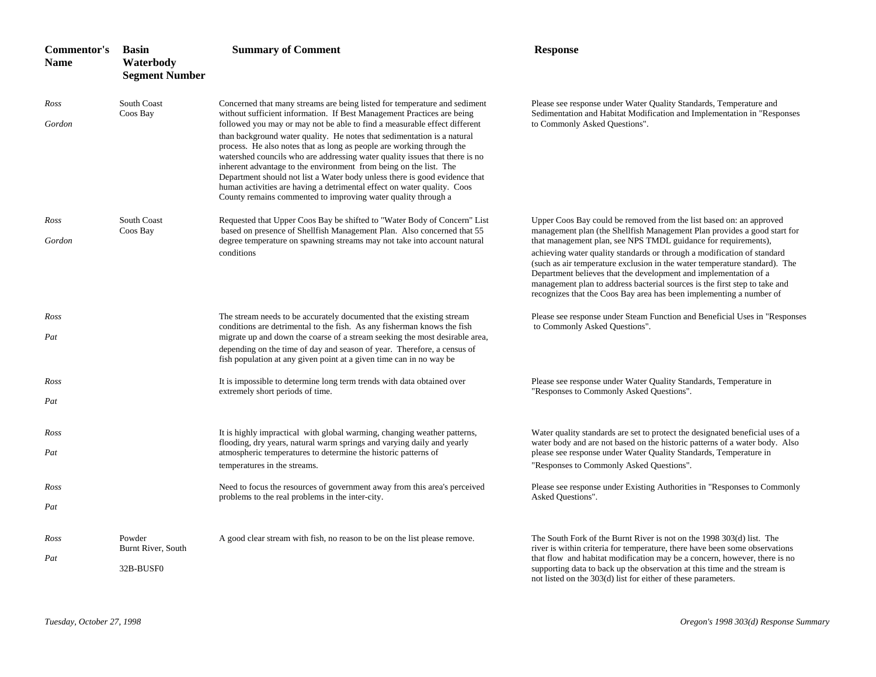| Commentor's<br><b>Name</b> | <b>Basin</b><br>Waterbody<br><b>Segment Number</b> | <b>Summary of Comment</b>                                                                                                                                                                                                                                                                                                                                                                                                                                                                                                                                                                                   | <b>Response</b>                                                                                                                                                                                                                                                                                                                                                                                                                                  |
|----------------------------|----------------------------------------------------|-------------------------------------------------------------------------------------------------------------------------------------------------------------------------------------------------------------------------------------------------------------------------------------------------------------------------------------------------------------------------------------------------------------------------------------------------------------------------------------------------------------------------------------------------------------------------------------------------------------|--------------------------------------------------------------------------------------------------------------------------------------------------------------------------------------------------------------------------------------------------------------------------------------------------------------------------------------------------------------------------------------------------------------------------------------------------|
| Ross                       | <b>South Coast</b><br>Coos Bay                     | Concerned that many streams are being listed for temperature and sediment<br>without sufficient information. If Best Management Practices are being                                                                                                                                                                                                                                                                                                                                                                                                                                                         | Please see response under Water Quality Standards, Temperature and<br>Sedimentation and Habitat Modification and Implementation in "Responses                                                                                                                                                                                                                                                                                                    |
| Gordon                     |                                                    | followed you may or may not be able to find a measurable effect different<br>than background water quality. He notes that sedimentation is a natural<br>process. He also notes that as long as people are working through the<br>watershed councils who are addressing water quality issues that there is no<br>inherent advantage to the environment from being on the list. The<br>Department should not list a Water body unless there is good evidence that<br>human activities are having a detrimental effect on water quality. Coos<br>County remains commented to improving water quality through a | to Commonly Asked Questions".                                                                                                                                                                                                                                                                                                                                                                                                                    |
| Ross                       | South Coast<br>Coos Bay                            | Requested that Upper Coos Bay be shifted to "Water Body of Concern" List<br>based on presence of Shellfish Management Plan. Also concerned that 55                                                                                                                                                                                                                                                                                                                                                                                                                                                          | Upper Coos Bay could be removed from the list based on: an approved<br>management plan (the Shellfish Management Plan provides a good start for                                                                                                                                                                                                                                                                                                  |
| Gordon                     |                                                    | degree temperature on spawning streams may not take into account natural<br>conditions                                                                                                                                                                                                                                                                                                                                                                                                                                                                                                                      | that management plan, see NPS TMDL guidance for requirements),<br>achieving water quality standards or through a modification of standard<br>(such as air temperature exclusion in the water temperature standard). The<br>Department believes that the development and implementation of a<br>management plan to address bacterial sources is the first step to take and<br>recognizes that the Coos Bay area has been implementing a number of |
| Ross<br>Pat                |                                                    | The stream needs to be accurately documented that the existing stream<br>conditions are detrimental to the fish. As any fisherman knows the fish<br>migrate up and down the coarse of a stream seeking the most desirable area,                                                                                                                                                                                                                                                                                                                                                                             | Please see response under Steam Function and Beneficial Uses in "Responses"<br>to Commonly Asked Questions".                                                                                                                                                                                                                                                                                                                                     |
|                            |                                                    | depending on the time of day and season of year. Therefore, a census of<br>fish population at any given point at a given time can in no way be                                                                                                                                                                                                                                                                                                                                                                                                                                                              |                                                                                                                                                                                                                                                                                                                                                                                                                                                  |
| Ross                       |                                                    | It is impossible to determine long term trends with data obtained over<br>extremely short periods of time.                                                                                                                                                                                                                                                                                                                                                                                                                                                                                                  | Please see response under Water Quality Standards, Temperature in<br>"Responses to Commonly Asked Questions".                                                                                                                                                                                                                                                                                                                                    |
| Pat                        |                                                    |                                                                                                                                                                                                                                                                                                                                                                                                                                                                                                                                                                                                             |                                                                                                                                                                                                                                                                                                                                                                                                                                                  |
| Ross                       |                                                    | It is highly impractical with global warming, changing weather patterns,<br>flooding, dry years, natural warm springs and varying daily and yearly                                                                                                                                                                                                                                                                                                                                                                                                                                                          | Water quality standards are set to protect the designated beneficial uses of a<br>water body and are not based on the historic patterns of a water body. Also                                                                                                                                                                                                                                                                                    |
| Pat                        |                                                    | atmospheric temperatures to determine the historic patterns of<br>temperatures in the streams.                                                                                                                                                                                                                                                                                                                                                                                                                                                                                                              | please see response under Water Quality Standards, Temperature in<br>"Responses to Commonly Asked Questions".                                                                                                                                                                                                                                                                                                                                    |
| Ross                       |                                                    | Need to focus the resources of government away from this area's perceived<br>problems to the real problems in the inter-city.                                                                                                                                                                                                                                                                                                                                                                                                                                                                               | Please see response under Existing Authorities in "Responses to Commonly<br>Asked Questions".                                                                                                                                                                                                                                                                                                                                                    |
| Pat                        |                                                    |                                                                                                                                                                                                                                                                                                                                                                                                                                                                                                                                                                                                             |                                                                                                                                                                                                                                                                                                                                                                                                                                                  |
| Ross                       | Powder<br>Burnt River, South                       | A good clear stream with fish, no reason to be on the list please remove.                                                                                                                                                                                                                                                                                                                                                                                                                                                                                                                                   | The South Fork of the Burnt River is not on the 1998 303(d) list. The<br>river is within criteria for temperature, there have been some observations                                                                                                                                                                                                                                                                                             |
| Pat                        | 32B-BUSF0                                          |                                                                                                                                                                                                                                                                                                                                                                                                                                                                                                                                                                                                             | that flow and habitat modification may be a concern, however, there is no<br>supporting data to back up the observation at this time and the stream is<br>not listed on the 303(d) list for either of these parameters.                                                                                                                                                                                                                          |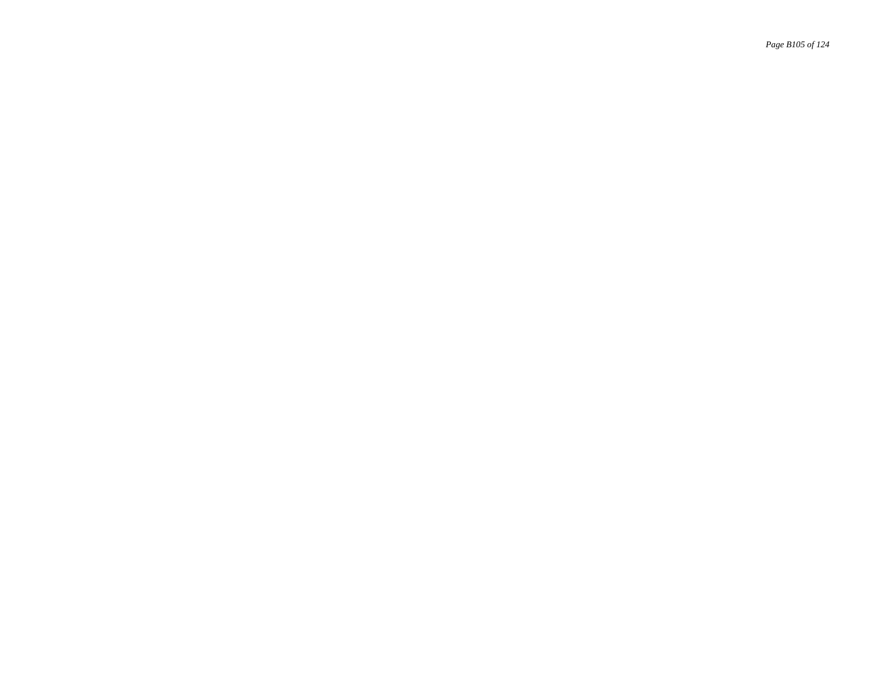*Page B105 of 124*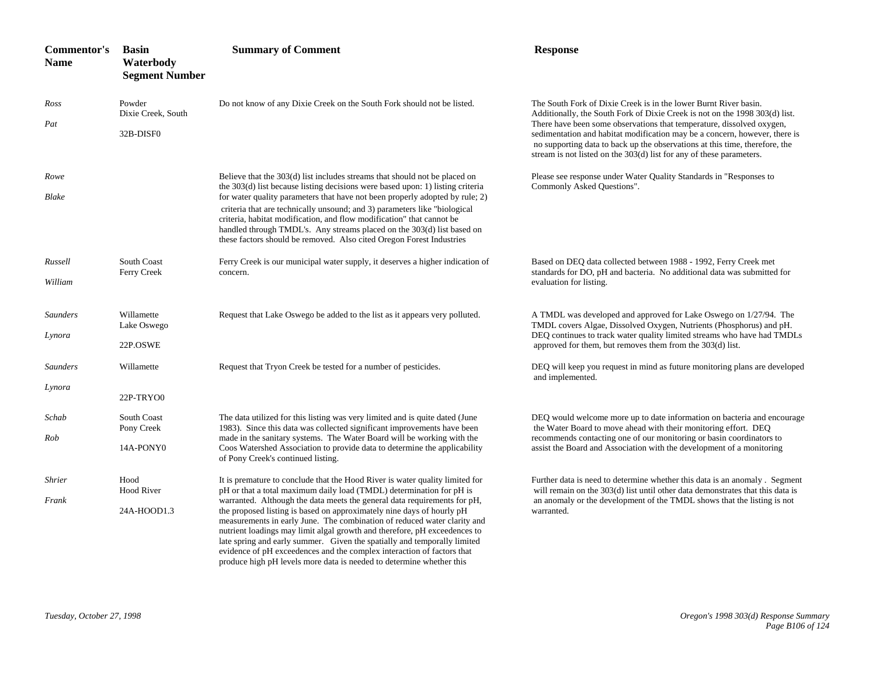| Commentor's<br><b>Name</b> | <b>Basin</b><br>Waterbody<br><b>Segment Number</b> | <b>Summary of Comment</b>                                                                                                                                                                                                                                                                                                                                                                                                                                                                                                                                                                                                                                                                        | <b>Response</b>                                                                                                                                                                                                                                                                                                                                                                                                                                               |
|----------------------------|----------------------------------------------------|--------------------------------------------------------------------------------------------------------------------------------------------------------------------------------------------------------------------------------------------------------------------------------------------------------------------------------------------------------------------------------------------------------------------------------------------------------------------------------------------------------------------------------------------------------------------------------------------------------------------------------------------------------------------------------------------------|---------------------------------------------------------------------------------------------------------------------------------------------------------------------------------------------------------------------------------------------------------------------------------------------------------------------------------------------------------------------------------------------------------------------------------------------------------------|
| Ross<br>Pat                | Powder<br>Dixie Creek, South<br>32B-DISF0          | Do not know of any Dixie Creek on the South Fork should not be listed.                                                                                                                                                                                                                                                                                                                                                                                                                                                                                                                                                                                                                           | The South Fork of Dixie Creek is in the lower Burnt River basin.<br>Additionally, the South Fork of Dixie Creek is not on the 1998 303(d) list.<br>There have been some observations that temperature, dissolved oxygen,<br>sedimentation and habitat modification may be a concern, however, there is<br>no supporting data to back up the observations at this time, therefore, the<br>stream is not listed on the 303(d) list for any of these parameters. |
| Rowe<br>Blake              |                                                    | Believe that the 303(d) list includes streams that should not be placed on<br>the 303(d) list because listing decisions were based upon: 1) listing criteria<br>for water quality parameters that have not been properly adopted by rule; 2)<br>criteria that are technically unsound; and 3) parameters like "biological<br>criteria, habitat modification, and flow modification" that cannot be<br>handled through TMDL's. Any streams placed on the 303(d) list based on<br>these factors should be removed. Also cited Oregon Forest Industries                                                                                                                                             | Please see response under Water Quality Standards in "Responses to<br>Commonly Asked Questions".                                                                                                                                                                                                                                                                                                                                                              |
| Russell<br>William         | South Coast<br>Ferry Creek                         | Ferry Creek is our municipal water supply, it deserves a higher indication of<br>concern.                                                                                                                                                                                                                                                                                                                                                                                                                                                                                                                                                                                                        | Based on DEQ data collected between 1988 - 1992, Ferry Creek met<br>standards for DO, pH and bacteria. No additional data was submitted for<br>evaluation for listing.                                                                                                                                                                                                                                                                                        |
| Saunders<br>Lynora         | Willamette<br>Lake Oswego<br>22P.OSWE              | Request that Lake Oswego be added to the list as it appears very polluted.                                                                                                                                                                                                                                                                                                                                                                                                                                                                                                                                                                                                                       | A TMDL was developed and approved for Lake Oswego on 1/27/94. The<br>TMDL covers Algae, Dissolved Oxygen, Nutrients (Phosphorus) and pH.<br>DEQ continues to track water quality limited streams who have had TMDLs<br>approved for them, but removes them from the $303(d)$ list.                                                                                                                                                                            |
| Saunders<br>Lynora         | Willamette<br>22P-TRYO0                            | Request that Tryon Creek be tested for a number of pesticides.                                                                                                                                                                                                                                                                                                                                                                                                                                                                                                                                                                                                                                   | DEQ will keep you request in mind as future monitoring plans are developed<br>and implemented.                                                                                                                                                                                                                                                                                                                                                                |
| Schab<br>Rob               | South Coast<br>Pony Creek<br>14A-PONY0             | The data utilized for this listing was very limited and is quite dated (June<br>1983). Since this data was collected significant improvements have been<br>made in the sanitary systems. The Water Board will be working with the<br>Coos Watershed Association to provide data to determine the applicability<br>of Pony Creek's continued listing.                                                                                                                                                                                                                                                                                                                                             | DEQ would welcome more up to date information on bacteria and encourage<br>the Water Board to move ahead with their monitoring effort. DEQ<br>recommends contacting one of our monitoring or basin coordinators to<br>assist the Board and Association with the development of a monitoring                                                                                                                                                                   |
| <b>Shrier</b><br>Frank     | Hood<br><b>Hood River</b><br>24A-HOOD1.3           | It is premature to conclude that the Hood River is water quality limited for<br>pH or that a total maximum daily load (TMDL) determination for pH is<br>warranted. Although the data meets the general data requirements for pH,<br>the proposed listing is based on approximately nine days of hourly pH<br>measurements in early June. The combination of reduced water clarity and<br>nutrient loadings may limit algal growth and therefore, pH exceedences to<br>late spring and early summer. Given the spatially and temporally limited<br>evidence of pH exceedences and the complex interaction of factors that<br>produce high pH levels more data is needed to determine whether this | Further data is need to determine whether this data is an anomaly. Segment<br>will remain on the 303(d) list until other data demonstrates that this data is<br>an anomaly or the development of the TMDL shows that the listing is not<br>warranted.                                                                                                                                                                                                         |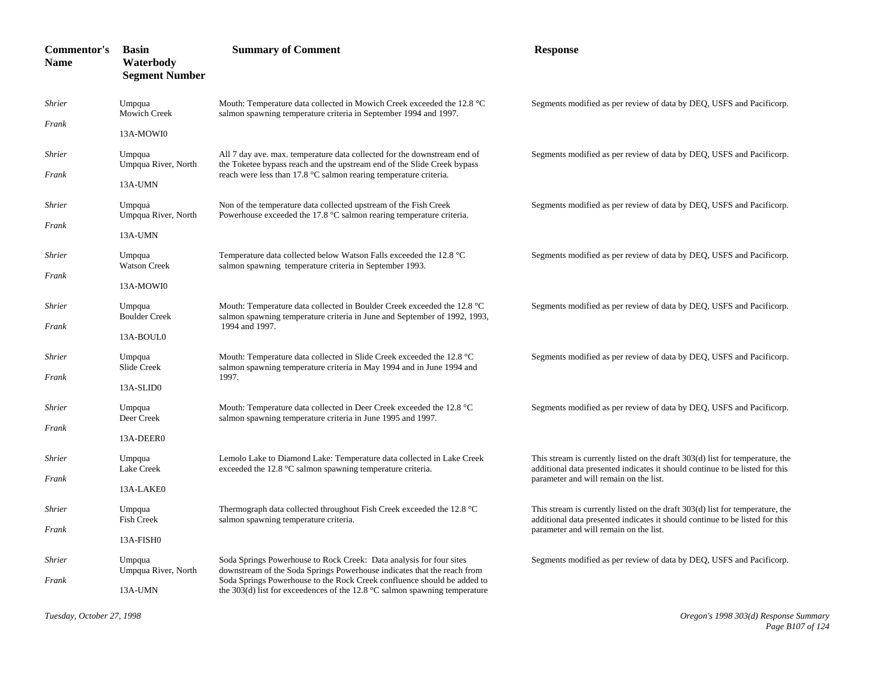| <b>Commentor's</b><br><b>Name</b> | <b>Basin</b><br>Waterbody<br><b>Segment Number</b> | <b>Summary of Comment</b>                                                                                                                                                                                                                                                                                        | <b>Response</b>                                                                                                                                                                                         |
|-----------------------------------|----------------------------------------------------|------------------------------------------------------------------------------------------------------------------------------------------------------------------------------------------------------------------------------------------------------------------------------------------------------------------|---------------------------------------------------------------------------------------------------------------------------------------------------------------------------------------------------------|
| <b>Shrier</b>                     | Umpqua<br>Mowich Creek                             | Mouth: Temperature data collected in Mowich Creek exceeded the 12.8 °C<br>salmon spawning temperature criteria in September 1994 and 1997.                                                                                                                                                                       | Segments modified as per review of data by DEQ, USFS and Pacificorp.                                                                                                                                    |
| Frank                             | 13A-MOWI0                                          |                                                                                                                                                                                                                                                                                                                  |                                                                                                                                                                                                         |
| <i><b>Shrier</b></i>              | Umpqua<br>Umpqua River, North<br>13A-UMN           | All 7 day ave. max. temperature data collected for the downstream end of<br>the Toketee bypass reach and the upstream end of the Slide Creek bypass<br>reach were less than 17.8 °C salmon rearing temperature criteria.                                                                                         | Segments modified as per review of data by DEQ, USFS and Pacificorp.                                                                                                                                    |
| Frank                             |                                                    |                                                                                                                                                                                                                                                                                                                  |                                                                                                                                                                                                         |
| <i><b>Shrier</b></i>              | Umpqua<br>Umpqua River, North<br>13A-UMN           | Non of the temperature data collected upstream of the Fish Creek<br>Powerhouse exceeded the $17.8 \text{ °C}$ salmon rearing temperature criteria.                                                                                                                                                               | Segments modified as per review of data by DEQ, USFS and Pacificorp.                                                                                                                                    |
| Frank                             |                                                    |                                                                                                                                                                                                                                                                                                                  |                                                                                                                                                                                                         |
| <b>Shrier</b>                     | Umpqua<br><b>Watson Creek</b>                      | Temperature data collected below Watson Falls exceeded the 12.8 °C<br>salmon spawning temperature criteria in September 1993.                                                                                                                                                                                    | Segments modified as per review of data by DEQ, USFS and Pacificorp.                                                                                                                                    |
| Frank                             | 13A-MOWI0                                          |                                                                                                                                                                                                                                                                                                                  |                                                                                                                                                                                                         |
| <b>Shrier</b>                     | Umpqua<br><b>Boulder Creek</b>                     | Mouth: Temperature data collected in Boulder Creek exceeded the 12.8 °C<br>salmon spawning temperature criteria in June and September of 1992, 1993,<br>1994 and 1997.                                                                                                                                           | Segments modified as per review of data by DEQ, USFS and Pacificorp.                                                                                                                                    |
| Frank                             | 13A-BOUL0                                          |                                                                                                                                                                                                                                                                                                                  |                                                                                                                                                                                                         |
| <i><b>Shrier</b></i>              | Umpqua<br>Slide Creek                              | Mouth: Temperature data collected in Slide Creek exceeded the 12.8 °C<br>salmon spawning temperature criteria in May 1994 and in June 1994 and<br>1997.                                                                                                                                                          | Segments modified as per review of data by DEQ, USFS and Pacificorp.                                                                                                                                    |
| Frank                             | 13A-SLID0                                          |                                                                                                                                                                                                                                                                                                                  |                                                                                                                                                                                                         |
| <i><b>Shrier</b></i>              | Umpqua<br>Deer Creek                               | Mouth: Temperature data collected in Deer Creek exceeded the 12.8 °C<br>salmon spawning temperature criteria in June 1995 and 1997.                                                                                                                                                                              | Segments modified as per review of data by DEQ, USFS and Pacificorp.                                                                                                                                    |
| Frank                             | 13A-DEER0                                          |                                                                                                                                                                                                                                                                                                                  |                                                                                                                                                                                                         |
| <b>Shrier</b>                     | Umpqua<br>Lake Creek                               | Lemolo Lake to Diamond Lake: Temperature data collected in Lake Creek<br>exceeded the 12.8 °C salmon spawning temperature criteria.                                                                                                                                                                              | This stream is currently listed on the draft $303(d)$ list for temperature, the<br>additional data presented indicates it should continue to be listed for this                                         |
| Frank                             | 13A-LAKE0                                          |                                                                                                                                                                                                                                                                                                                  | parameter and will remain on the list.                                                                                                                                                                  |
| <b>Shrier</b>                     | Umpqua<br><b>Fish Creek</b>                        | Thermograph data collected throughout Fish Creek exceeded the 12.8 °C<br>salmon spawning temperature criteria.                                                                                                                                                                                                   | This stream is currently listed on the draft 303(d) list for temperature, the<br>additional data presented indicates it should continue to be listed for this<br>parameter and will remain on the list. |
| Frank                             | 13A-FISH0                                          |                                                                                                                                                                                                                                                                                                                  |                                                                                                                                                                                                         |
| <b>Shrier</b>                     | Umpqua<br>Umpqua River, North                      | Soda Springs Powerhouse to Rock Creek: Data analysis for four sites<br>downstream of the Soda Springs Powerhouse indicates that the reach from<br>Soda Springs Powerhouse to the Rock Creek confluence should be added to<br>the 303(d) list for exceedences of the 12.8 $\degree$ C salmon spawning temperature | Segments modified as per review of data by DEQ, USFS and Pacificorp.                                                                                                                                    |
| Frank                             | 13A-UMN                                            |                                                                                                                                                                                                                                                                                                                  |                                                                                                                                                                                                         |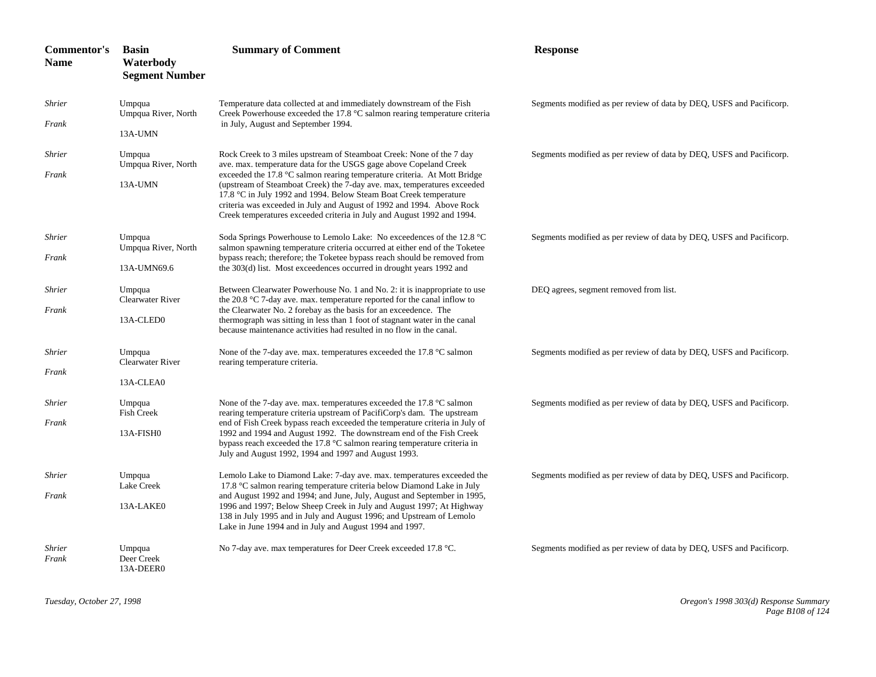| Commentor's<br><b>Name</b> | <b>Basin</b><br>Waterbody<br><b>Segment Number</b> | <b>Summary of Comment</b>                                                                                                                                                                                                                                                                                                                                                   | <b>Response</b>                                                      |
|----------------------------|----------------------------------------------------|-----------------------------------------------------------------------------------------------------------------------------------------------------------------------------------------------------------------------------------------------------------------------------------------------------------------------------------------------------------------------------|----------------------------------------------------------------------|
| <b>Shrier</b>              | Umpqua<br>Umpqua River, North                      | Temperature data collected at and immediately downstream of the Fish<br>Creek Powerhouse exceeded the 17.8 °C salmon rearing temperature criteria                                                                                                                                                                                                                           | Segments modified as per review of data by DEQ, USFS and Pacificorp. |
| Frank                      | 13A-UMN                                            | in July, August and September 1994.                                                                                                                                                                                                                                                                                                                                         |                                                                      |
| <b>Shrier</b>              | Umpqua<br>Umpqua River, North                      | Rock Creek to 3 miles upstream of Steamboat Creek: None of the 7 day<br>ave. max. temperature data for the USGS gage above Copeland Creek                                                                                                                                                                                                                                   | Segments modified as per review of data by DEQ, USFS and Pacificorp. |
| Frank                      | 13A-UMN                                            | exceeded the 17.8 °C salmon rearing temperature criteria. At Mott Bridge<br>(upstream of Steamboat Creek) the 7-day ave. max, temperatures exceeded<br>17.8 °C in July 1992 and 1994. Below Steam Boat Creek temperature<br>criteria was exceeded in July and August of 1992 and 1994. Above Rock<br>Creek temperatures exceeded criteria in July and August 1992 and 1994. |                                                                      |
| <b>Shrier</b>              | Umpqua<br>Umpqua River, North                      | Soda Springs Powerhouse to Lemolo Lake: No exceedences of the 12.8 °C<br>salmon spawning temperature criteria occurred at either end of the Toketee                                                                                                                                                                                                                         | Segments modified as per review of data by DEQ, USFS and Pacificorp. |
| Frank                      | 13A-UMN69.6                                        | bypass reach; therefore; the Toketee bypass reach should be removed from<br>the 303(d) list. Most exceedences occurred in drought years 1992 and                                                                                                                                                                                                                            |                                                                      |
| <b>Shrier</b>              | Umpqua<br><b>Clearwater River</b>                  | Between Clearwater Powerhouse No. 1 and No. 2: it is inappropriate to use<br>the 20.8 $\degree$ C 7-day ave. max. temperature reported for the canal inflow to                                                                                                                                                                                                              | DEQ agrees, segment removed from list.                               |
| Frank                      | 13A-CLED0                                          | the Clearwater No. 2 forebay as the basis for an exceedence. The<br>thermograph was sitting in less than 1 foot of stagnant water in the canal<br>because maintenance activities had resulted in no flow in the canal.                                                                                                                                                      |                                                                      |
| <b>Shrier</b>              | Umpqua<br><b>Clearwater River</b>                  | None of the 7-day ave. max. temperatures exceeded the 17.8 °C salmon<br>rearing temperature criteria.                                                                                                                                                                                                                                                                       | Segments modified as per review of data by DEQ, USFS and Pacificorp. |
| Frank                      | 13A-CLEA0                                          |                                                                                                                                                                                                                                                                                                                                                                             |                                                                      |
| <i><b>Shrier</b></i>       | Umpqua<br><b>Fish Creek</b>                        | None of the 7-day ave. max. temperatures exceeded the 17.8 °C salmon<br>rearing temperature criteria upstream of PacifiCorp's dam. The upstream                                                                                                                                                                                                                             | Segments modified as per review of data by DEQ, USFS and Pacificorp. |
| Frank                      | 13A-FISH0                                          | end of Fish Creek bypass reach exceeded the temperature criteria in July of<br>1992 and 1994 and August 1992. The downstream end of the Fish Creek<br>bypass reach exceeded the 17.8 $\degree$ C salmon rearing temperature criteria in<br>July and August 1992, 1994 and 1997 and August 1993.                                                                             |                                                                      |
| <b>Shrier</b>              | Umpqua<br>Lake Creek                               | Lemolo Lake to Diamond Lake: 7-day ave. max. temperatures exceeded the<br>17.8 °C salmon rearing temperature criteria below Diamond Lake in July                                                                                                                                                                                                                            | Segments modified as per review of data by DEQ, USFS and Pacificorp. |
| Frank                      | 13A-LAKE0                                          | and August 1992 and 1994; and June, July, August and September in 1995,<br>1996 and 1997; Below Sheep Creek in July and August 1997; At Highway<br>138 in July 1995 and in July and August 1996; and Upstream of Lemolo<br>Lake in June 1994 and in July and August 1994 and 1997.                                                                                          |                                                                      |
| <b>Shrier</b><br>Frank     | Umpqua<br>Deer Creek<br>13A-DEER0                  | No 7-day ave. max temperatures for Deer Creek exceeded 17.8 °C.                                                                                                                                                                                                                                                                                                             | Segments modified as per review of data by DEQ, USFS and Pacificorp. |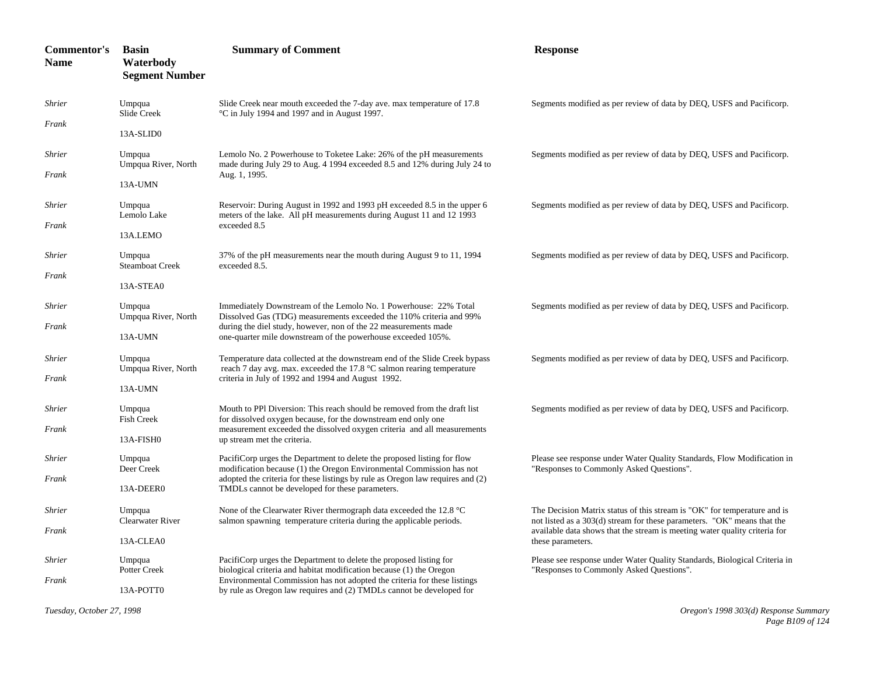| <b>Commentor's</b><br><b>Name</b> | <b>Basin</b><br>Waterbody<br><b>Segment Number</b> | <b>Summary of Comment</b>                                                                                                                                     | <b>Response</b>                                                                                                                                     |  |
|-----------------------------------|----------------------------------------------------|---------------------------------------------------------------------------------------------------------------------------------------------------------------|-----------------------------------------------------------------------------------------------------------------------------------------------------|--|
| <b>Shrier</b>                     | Umpqua<br>Slide Creek                              | Slide Creek near mouth exceeded the 7-day ave. max temperature of 17.8<br>°C in July 1994 and 1997 and in August 1997.                                        | Segments modified as per review of data by DEQ, USFS and Pacificorp.                                                                                |  |
| Frank                             | 13A-SLID0                                          |                                                                                                                                                               |                                                                                                                                                     |  |
| <b>Shrier</b>                     | Umpqua<br>Umpqua River, North                      | Lemolo No. 2 Powerhouse to Toketee Lake: 26% of the pH measurements<br>made during July 29 to Aug. 4 1994 exceeded 8.5 and 12% during July 24 to              | Segments modified as per review of data by DEQ, USFS and Pacificorp.                                                                                |  |
| Frank                             | 13A-UMN                                            | Aug. 1, 1995.                                                                                                                                                 |                                                                                                                                                     |  |
| <i><b>Shrier</b></i>              | Umpqua<br>Lemolo Lake                              | Reservoir: During August in 1992 and 1993 pH exceeded 8.5 in the upper 6<br>meters of the lake. All pH measurements during August 11 and 12 1993              | Segments modified as per review of data by DEQ, USFS and Pacificorp.                                                                                |  |
| Frank                             | 13A.LEMO                                           | exceeded 8.5                                                                                                                                                  |                                                                                                                                                     |  |
| <b>Shrier</b>                     | Umpqua<br><b>Steamboat Creek</b>                   | 37% of the pH measurements near the mouth during August 9 to 11, 1994<br>exceeded 8.5.                                                                        | Segments modified as per review of data by DEQ, USFS and Pacificorp.                                                                                |  |
| Frank                             | 13A-STEA0                                          |                                                                                                                                                               |                                                                                                                                                     |  |
| <b>Shrier</b>                     | Umpqua<br>Umpqua River, North                      | Immediately Downstream of the Lemolo No. 1 Powerhouse: 22% Total<br>Dissolved Gas (TDG) measurements exceeded the 110% criteria and 99%                       | Segments modified as per review of data by DEQ, USFS and Pacificorp.                                                                                |  |
| Frank                             | 13A-UMN                                            | during the diel study, however, non of the 22 measurements made<br>one-quarter mile downstream of the powerhouse exceeded 105%.                               |                                                                                                                                                     |  |
| <b>Shrier</b>                     | Umpqua<br>Umpqua River, North                      | Temperature data collected at the downstream end of the Slide Creek bypass<br>reach 7 day avg. max. exceeded the $17.8 \text{ °C}$ salmon rearing temperature | Segments modified as per review of data by DEQ, USFS and Pacificorp.                                                                                |  |
| Frank                             | 13A-UMN                                            | criteria in July of 1992 and 1994 and August 1992.                                                                                                            |                                                                                                                                                     |  |
| <i><b>Shrier</b></i>              | Umpqua<br>Fish Creek                               | Mouth to PPI Diversion: This reach should be removed from the draft list<br>for dissolved oxygen because, for the downstream end only one                     | Segments modified as per review of data by DEQ, USFS and Pacificorp.                                                                                |  |
| Frank                             | 13A-FISH0                                          | measurement exceeded the dissolved oxygen criteria and all measurements<br>up stream met the criteria.                                                        |                                                                                                                                                     |  |
| <b>Shrier</b>                     | Umpqua<br>Deer Creek                               | PacifiCorp urges the Department to delete the proposed listing for flow<br>modification because (1) the Oregon Environmental Commission has not               | Please see response under Water Quality Standards, Flow Modification in<br>"Responses to Commonly Asked Questions".                                 |  |
| Frank                             | 13A-DEER0                                          | adopted the criteria for these listings by rule as Oregon law requires and (2)<br>TMDLs cannot be developed for these parameters.                             |                                                                                                                                                     |  |
| <i><b>Shrier</b></i>              | Umpqua<br><b>Clearwater River</b>                  | None of the Clearwater River thermograph data exceeded the 12.8 °C<br>salmon spawning temperature criteria during the applicable periods.                     | The Decision Matrix status of this stream is "OK" for temperature and is<br>not listed as a 303(d) stream for these parameters. "OK" means that the |  |
| Frank                             | 13A-CLEA0                                          |                                                                                                                                                               | available data shows that the stream is meeting water quality criteria for<br>these parameters.                                                     |  |
| <b>Shrier</b>                     | Umpqua<br>Potter Creek                             | PacifiCorp urges the Department to delete the proposed listing for<br>biological criteria and habitat modification because (1) the Oregon                     | Please see response under Water Quality Standards, Biological Criteria in<br>"Responses to Commonly Asked Questions".                               |  |
| Frank                             | 13A-POTT0                                          | Environmental Commission has not adopted the criteria for these listings<br>by rule as Oregon law requires and (2) TMDLs cannot be developed for              |                                                                                                                                                     |  |

*Tuesday, October 27, 1998 Oregon's 1998 303(d) Response Summary Page B109 of 124*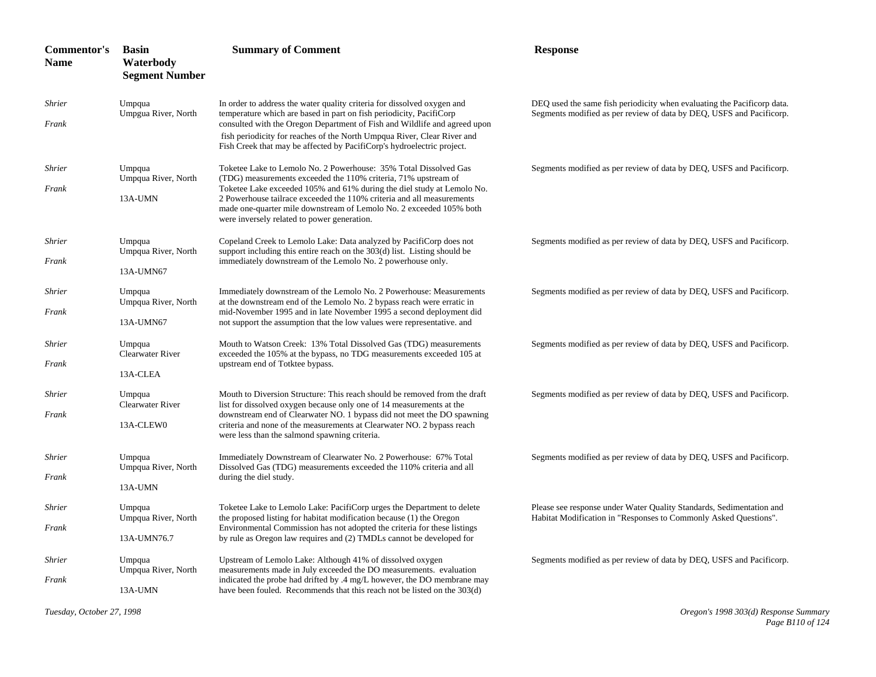| <b>Commentor's</b><br><b>Name</b> | <b>Basin</b><br>Waterbody<br><b>Segment Number</b> | <b>Summary of Comment</b>                                                                                                                                                                                                                                                                                                                                                                                   | <b>Response</b>                                                                                                                                 |
|-----------------------------------|----------------------------------------------------|-------------------------------------------------------------------------------------------------------------------------------------------------------------------------------------------------------------------------------------------------------------------------------------------------------------------------------------------------------------------------------------------------------------|-------------------------------------------------------------------------------------------------------------------------------------------------|
| <b>Shrier</b><br>Frank            | Umpqua<br>Umpgua River, North                      | In order to address the water quality criteria for dissolved oxygen and<br>temperature which are based in part on fish periodicity, PacifiCorp<br>consulted with the Oregon Department of Fish and Wildlife and agreed upon<br>fish periodicity for reaches of the North Umpqua River, Clear River and<br>Fish Creek that may be affected by PacifiCorp's hydroelectric project.                            | DEQ used the same fish periodicity when evaluating the Pacificorp data.<br>Segments modified as per review of data by DEQ, USFS and Pacificorp. |
| <b>Shrier</b><br>Frank            | Umpqua<br>Umpqua River, North<br>13A-UMN           | Toketee Lake to Lemolo No. 2 Powerhouse: 35% Total Dissolved Gas<br>(TDG) measurements exceeded the 110% criteria, 71% upstream of<br>Toketee Lake exceeded 105% and 61% during the diel study at Lemolo No.<br>2 Powerhouse tailrace exceeded the 110% criteria and all measurements<br>made one-quarter mile downstream of Lemolo No. 2 exceeded 105% both<br>were inversely related to power generation. | Segments modified as per review of data by DEQ, USFS and Pacificorp.                                                                            |
| <b>Shrier</b><br>Frank            | Umpqua<br>Umpqua River, North<br>13A-UMN67         | Copeland Creek to Lemolo Lake: Data analyzed by PacifiCorp does not<br>support including this entire reach on the 303(d) list. Listing should be<br>immediately downstream of the Lemolo No. 2 powerhouse only.                                                                                                                                                                                             | Segments modified as per review of data by DEQ, USFS and Pacificorp.                                                                            |
| <b>Shrier</b><br>Frank            | Umpqua<br>Umpqua River, North<br>13A-UMN67         | Immediately downstream of the Lemolo No. 2 Powerhouse: Measurements<br>at the downstream end of the Lemolo No. 2 bypass reach were erratic in<br>mid-November 1995 and in late November 1995 a second deployment did<br>not support the assumption that the low values were representative, and                                                                                                             | Segments modified as per review of data by DEQ, USFS and Pacificorp.                                                                            |
| <b>Shrier</b><br>Frank            | Umpqua<br><b>Clearwater River</b><br>13A-CLEA      | Mouth to Watson Creek: 13% Total Dissolved Gas (TDG) measurements<br>exceeded the 105% at the bypass, no TDG measurements exceeded 105 at<br>upstream end of Totktee bypass.                                                                                                                                                                                                                                | Segments modified as per review of data by DEQ, USFS and Pacificorp.                                                                            |
| <b>Shrier</b><br>Frank            | Umpqua<br><b>Clearwater River</b><br>13A-CLEW0     | Mouth to Diversion Structure: This reach should be removed from the draft<br>list for dissolved oxygen because only one of 14 measurements at the<br>downstream end of Clearwater NO. 1 bypass did not meet the DO spawning<br>criteria and none of the measurements at Clearwater NO. 2 bypass reach<br>were less than the salmond spawning criteria.                                                      | Segments modified as per review of data by DEQ, USFS and Pacificorp.                                                                            |
| <b>Shrier</b><br>Frank            | Umpqua<br>Umpqua River, North<br>13A-UMN           | Immediately Downstream of Clearwater No. 2 Powerhouse: 67% Total<br>Dissolved Gas (TDG) measurements exceeded the 110% criteria and all<br>during the diel study.                                                                                                                                                                                                                                           | Segments modified as per review of data by DEQ, USFS and Pacificorp.                                                                            |
| <i><b>Shrier</b></i><br>Frank     | Umpqua<br>Umpqua River, North<br>13A-UMN76.7       | Toketee Lake to Lemolo Lake: PacifiCorp urges the Department to delete<br>the proposed listing for habitat modification because (1) the Oregon<br>Environmental Commission has not adopted the criteria for these listings<br>by rule as Oregon law requires and (2) TMDLs cannot be developed for                                                                                                          | Please see response under Water Quality Standards, Sedimentation and<br>Habitat Modification in "Responses to Commonly Asked Questions".        |
| <b>Shrier</b><br>Frank            | Umpqua<br>Umpqua River, North<br>13A-UMN           | Upstream of Lemolo Lake: Although 41% of dissolved oxygen<br>measurements made in July exceeded the DO measurements. evaluation<br>indicated the probe had drifted by .4 mg/L however, the DO membrane may<br>have been fouled. Recommends that this reach not be listed on the 303(d)                                                                                                                      | Segments modified as per review of data by DEQ, USFS and Pacificorp.                                                                            |

*Tuesday, October 27, 1998 Oregon's 1998 303(d) Response Summary Page B110 of 124*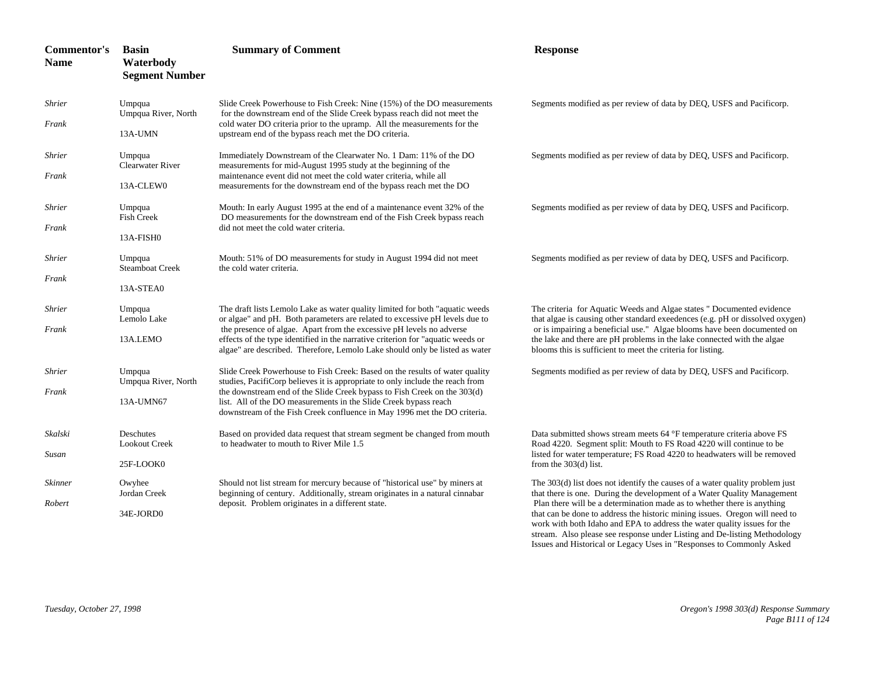| Commentor's<br><b>Name</b>    | <b>Basin</b><br>Waterbody<br><b>Segment Number</b> | <b>Summary of Comment</b>                                                                                                                                                                                                                                                                                                                                                                              | <b>Response</b>                                                                                                                                                                                                                                                                                                                                                                               |
|-------------------------------|----------------------------------------------------|--------------------------------------------------------------------------------------------------------------------------------------------------------------------------------------------------------------------------------------------------------------------------------------------------------------------------------------------------------------------------------------------------------|-----------------------------------------------------------------------------------------------------------------------------------------------------------------------------------------------------------------------------------------------------------------------------------------------------------------------------------------------------------------------------------------------|
| <b>Shrier</b><br>Frank        | Umpqua<br>Umpqua River, North<br>13A-UMN           | Slide Creek Powerhouse to Fish Creek: Nine (15%) of the DO measurements<br>for the downstream end of the Slide Creek bypass reach did not meet the<br>cold water DO criteria prior to the upramp. All the measurements for the<br>upstream end of the bypass reach met the DO criteria.                                                                                                                | Segments modified as per review of data by DEQ, USFS and Pacificorp.                                                                                                                                                                                                                                                                                                                          |
| <b>Shrier</b><br>Frank        | Umpqua<br><b>Clearwater River</b><br>13A-CLEW0     | Immediately Downstream of the Clearwater No. 1 Dam: 11% of the DO<br>measurements for mid-August 1995 study at the beginning of the<br>maintenance event did not meet the cold water criteria, while all<br>measurements for the downstream end of the bypass reach met the DO                                                                                                                         | Segments modified as per review of data by DEQ, USFS and Pacificorp.                                                                                                                                                                                                                                                                                                                          |
| <i><b>Shrier</b></i><br>Frank | Umpqua<br>Fish Creek<br>13A-FISH0                  | Mouth: In early August 1995 at the end of a maintenance event 32% of the<br>DO measurements for the downstream end of the Fish Creek bypass reach<br>did not meet the cold water criteria.                                                                                                                                                                                                             | Segments modified as per review of data by DEQ, USFS and Pacificorp.                                                                                                                                                                                                                                                                                                                          |
| <i><b>Shrier</b></i><br>Frank | Umpqua<br><b>Steamboat Creek</b><br>13A-STEA0      | Mouth: 51% of DO measurements for study in August 1994 did not meet<br>the cold water criteria.                                                                                                                                                                                                                                                                                                        | Segments modified as per review of data by DEQ, USFS and Pacificorp.                                                                                                                                                                                                                                                                                                                          |
| <i><b>Shrier</b></i><br>Frank | Umpqua<br>Lemolo Lake<br>13A.LEMO                  | The draft lists Lemolo Lake as water quality limited for both "aquatic weeds"<br>or algae" and pH. Both parameters are related to excessive pH levels due to<br>the presence of algae. Apart from the excessive pH levels no adverse<br>effects of the type identified in the narrative criterion for "aquatic weeds or<br>algae" are described. Therefore, Lemolo Lake should only be listed as water | The criteria for Aquatic Weeds and Algae states "Documented evidence<br>that algae is causing other standard exeedences (e.g. pH or dissolved oxygen)<br>or is impairing a beneficial use." Algae blooms have been documented on<br>the lake and there are pH problems in the lake connected with the algae<br>blooms this is sufficient to meet the criteria for listing.                    |
| <b>Shrier</b><br>Frank        | Umpqua<br>Umpqua River, North<br>13A-UMN67         | Slide Creek Powerhouse to Fish Creek: Based on the results of water quality<br>studies, PacifiCorp believes it is appropriate to only include the reach from<br>the downstream end of the Slide Creek bypass to Fish Creek on the 303(d)<br>list. All of the DO measurements in the Slide Creek bypass reach<br>downstream of the Fish Creek confluence in May 1996 met the DO criteria.               | Segments modified as per review of data by DEQ, USFS and Pacificorp.                                                                                                                                                                                                                                                                                                                          |
| Skalski<br>Susan              | Deschutes<br><b>Lookout Creek</b><br>25F-LOOK0     | Based on provided data request that stream segment be changed from mouth<br>to headwater to mouth to River Mile 1.5                                                                                                                                                                                                                                                                                    | Data submitted shows stream meets 64 °F temperature criteria above FS<br>Road 4220. Segment split: Mouth to FS Road 4220 will continue to be<br>listed for water temperature; FS Road 4220 to headwaters will be removed<br>from the $303(d)$ list.                                                                                                                                           |
| <b>Skinner</b><br>Robert      | Owyhee<br>Jordan Creek<br>34E-JORD0                | Should not list stream for mercury because of "historical use" by miners at<br>beginning of century. Additionally, stream originates in a natural cinnabar<br>deposit. Problem originates in a different state.                                                                                                                                                                                        | The 303(d) list does not identify the causes of a water quality problem just<br>that there is one. During the development of a Water Quality Management<br>Plan there will be a determination made as to whether there is anything<br>that can be done to address the historic mining issues. Oregon will need to<br>work with both Idaho and EPA to address the water quality issues for the |

stream. Also please see response under Listing and De-listing Methodology Issues and Historical or Legacy Uses in "Responses to Commonly Asked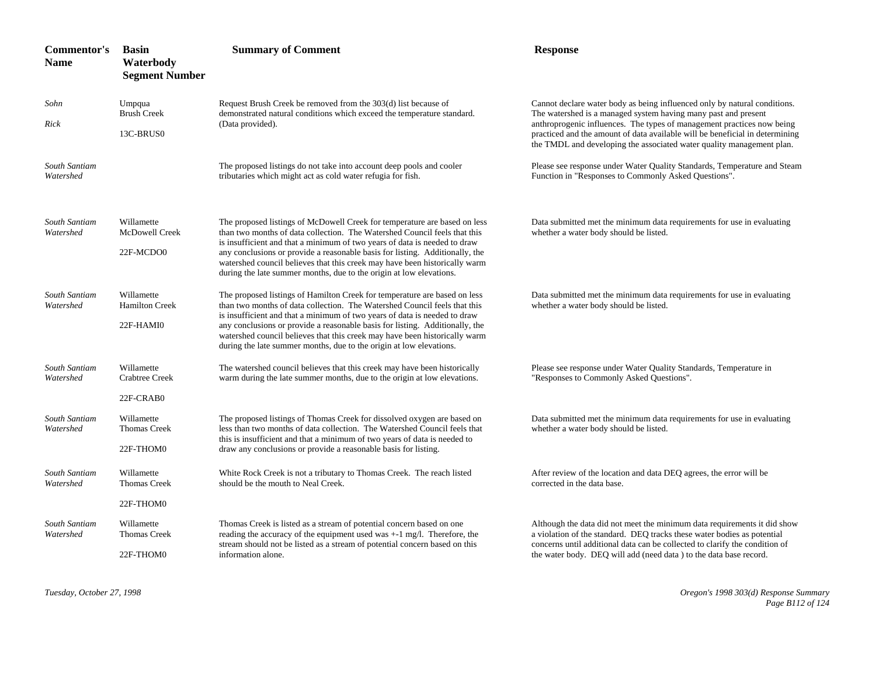| Commentor's<br><b>Name</b> | <b>Basin</b><br>Waterbody<br><b>Segment Number</b> | <b>Summary of Comment</b>                                                                                                                                                                                                                                                                                                                                                                         | <b>Response</b>                                                                                                                                                                                                                    |
|----------------------------|----------------------------------------------------|---------------------------------------------------------------------------------------------------------------------------------------------------------------------------------------------------------------------------------------------------------------------------------------------------------------------------------------------------------------------------------------------------|------------------------------------------------------------------------------------------------------------------------------------------------------------------------------------------------------------------------------------|
| Sohn                       | Umpqua<br><b>Brush Creek</b>                       | Request Brush Creek be removed from the 303(d) list because of                                                                                                                                                                                                                                                                                                                                    | Cannot declare water body as being influenced only by natural conditions.<br>The watershed is a managed system having many past and present                                                                                        |
| Rick                       | 13C-BRUS0                                          | demonstrated natural conditions which exceed the temperature standard.<br>(Data provided).                                                                                                                                                                                                                                                                                                        | anthroprogenic influences. The types of management practices now being<br>practiced and the amount of data available will be beneficial in determining<br>the TMDL and developing the associated water quality management plan.    |
| South Santiam<br>Watershed |                                                    | The proposed listings do not take into account deep pools and cooler<br>tributaries which might act as cold water refugia for fish.                                                                                                                                                                                                                                                               | Please see response under Water Quality Standards, Temperature and Steam<br>Function in "Responses to Commonly Asked Questions".                                                                                                   |
| South Santiam<br>Watershed | Willamette<br>McDowell Creek                       | The proposed listings of McDowell Creek for temperature are based on less<br>than two months of data collection. The Watershed Council feels that this                                                                                                                                                                                                                                            | Data submitted met the minimum data requirements for use in evaluating<br>whether a water body should be listed.                                                                                                                   |
|                            | 22F-MCDO0                                          | is insufficient and that a minimum of two years of data is needed to draw<br>any conclusions or provide a reasonable basis for listing. Additionally, the<br>watershed council believes that this creek may have been historically warm<br>during the late summer months, due to the origin at low elevations.                                                                                    |                                                                                                                                                                                                                                    |
| South Santiam<br>Watershed | Willamette<br><b>Hamilton Creek</b><br>22F-HAMI0   | The proposed listings of Hamilton Creek for temperature are based on less<br>than two months of data collection. The Watershed Council feels that this<br>is insufficient and that a minimum of two years of data is needed to draw<br>any conclusions or provide a reasonable basis for listing. Additionally, the<br>watershed council believes that this creek may have been historically warm | Data submitted met the minimum data requirements for use in evaluating<br>whether a water body should be listed.                                                                                                                   |
|                            |                                                    | during the late summer months, due to the origin at low elevations.                                                                                                                                                                                                                                                                                                                               |                                                                                                                                                                                                                                    |
| South Santiam<br>Watershed | Willamette<br><b>Crabtree Creek</b>                | The watershed council believes that this creek may have been historically<br>warm during the late summer months, due to the origin at low elevations.                                                                                                                                                                                                                                             | Please see response under Water Quality Standards, Temperature in<br>"Responses to Commonly Asked Questions".                                                                                                                      |
|                            | 22F-CRAB0                                          |                                                                                                                                                                                                                                                                                                                                                                                                   |                                                                                                                                                                                                                                    |
| South Santiam<br>Watershed | Willamette<br><b>Thomas Creek</b>                  | The proposed listings of Thomas Creek for dissolved oxygen are based on<br>less than two months of data collection. The Watershed Council feels that<br>this is insufficient and that a minimum of two years of data is needed to                                                                                                                                                                 | Data submitted met the minimum data requirements for use in evaluating<br>whether a water body should be listed.                                                                                                                   |
|                            | 22F-THOM0                                          | draw any conclusions or provide a reasonable basis for listing.                                                                                                                                                                                                                                                                                                                                   |                                                                                                                                                                                                                                    |
| South Santiam<br>Watershed | Willamette<br><b>Thomas Creek</b>                  | White Rock Creek is not a tributary to Thomas Creek. The reach listed<br>should be the mouth to Neal Creek.                                                                                                                                                                                                                                                                                       | After review of the location and data DEQ agrees, the error will be<br>corrected in the data base.                                                                                                                                 |
|                            | 22F-THOM0                                          |                                                                                                                                                                                                                                                                                                                                                                                                   |                                                                                                                                                                                                                                    |
| South Santiam<br>Watershed | Willamette<br><b>Thomas Creek</b>                  | Thomas Creek is listed as a stream of potential concern based on one<br>reading the accuracy of the equipment used was +-1 mg/l. Therefore, the<br>stream should not be listed as a stream of potential concern based on this                                                                                                                                                                     | Although the data did not meet the minimum data requirements it did show<br>a violation of the standard. DEQ tracks these water bodies as potential<br>concerns until additional data can be collected to clarify the condition of |
|                            | 22F-THOM0                                          | information alone.                                                                                                                                                                                                                                                                                                                                                                                | the water body. DEQ will add (need data) to the data base record.                                                                                                                                                                  |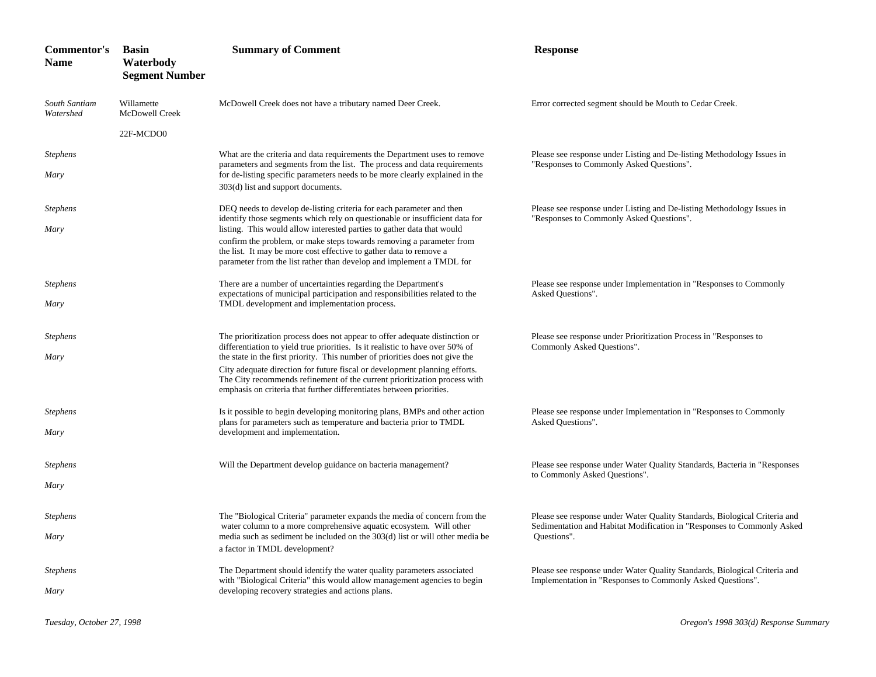| Commentor's<br>Name        | <b>Basin</b><br>Waterbody<br><b>Segment Number</b> | <b>Summary of Comment</b>                                                                                                                                                                                                                    | <b>Response</b>                                                                                                                                      |
|----------------------------|----------------------------------------------------|----------------------------------------------------------------------------------------------------------------------------------------------------------------------------------------------------------------------------------------------|------------------------------------------------------------------------------------------------------------------------------------------------------|
| South Santiam<br>Watershed | Willamette<br>McDowell Creek                       | McDowell Creek does not have a tributary named Deer Creek.                                                                                                                                                                                   | Error corrected segment should be Mouth to Cedar Creek.                                                                                              |
|                            | 22F-MCDO0                                          |                                                                                                                                                                                                                                              |                                                                                                                                                      |
| <i>Stephens</i><br>Mary    |                                                    | What are the criteria and data requirements the Department uses to remove<br>parameters and segments from the list. The process and data requirements<br>for de-listing specific parameters needs to be more clearly explained in the        | Please see response under Listing and De-listing Methodology Issues in<br>"Responses to Commonly Asked Questions".                                   |
|                            |                                                    | 303(d) list and support documents.                                                                                                                                                                                                           |                                                                                                                                                      |
| <i>Stephens</i><br>Mary    |                                                    | DEQ needs to develop de-listing criteria for each parameter and then<br>identify those segments which rely on questionable or insufficient data for<br>listing. This would allow interested parties to gather data that would                | Please see response under Listing and De-listing Methodology Issues in<br>"Responses to Commonly Asked Questions".                                   |
|                            |                                                    | confirm the problem, or make steps towards removing a parameter from<br>the list. It may be more cost effective to gather data to remove a<br>parameter from the list rather than develop and implement a TMDL for                           |                                                                                                                                                      |
| <b>Stephens</b><br>Mary    |                                                    | There are a number of uncertainties regarding the Department's<br>expectations of municipal participation and responsibilities related to the<br>TMDL development and implementation process.                                                | Please see response under Implementation in "Responses to Commonly<br>Asked Questions".                                                              |
| <b>Stephens</b><br>Mary    |                                                    | The prioritization process does not appear to offer adequate distinction or<br>differentiation to yield true priorities. Is it realistic to have over 50% of<br>the state in the first priority. This number of priorities does not give the | Please see response under Prioritization Process in "Responses to<br>Commonly Asked Questions".                                                      |
|                            |                                                    | City adequate direction for future fiscal or development planning efforts.<br>The City recommends refinement of the current prioritization process with<br>emphasis on criteria that further differentiates between priorities.              |                                                                                                                                                      |
| <b>Stephens</b>            |                                                    | Is it possible to begin developing monitoring plans, BMPs and other action                                                                                                                                                                   | Please see response under Implementation in "Responses to Commonly                                                                                   |
| Mary                       |                                                    | plans for parameters such as temperature and bacteria prior to TMDL<br>development and implementation.                                                                                                                                       | Asked Questions".                                                                                                                                    |
| <b>Stephens</b>            |                                                    | Will the Department develop guidance on bacteria management?                                                                                                                                                                                 | Please see response under Water Quality Standards, Bacteria in "Responses"<br>to Commonly Asked Questions".                                          |
| Mary                       |                                                    |                                                                                                                                                                                                                                              |                                                                                                                                                      |
| <b>Stephens</b>            |                                                    | The "Biological Criteria" parameter expands the media of concern from the<br>water column to a more comprehensive aquatic ecosystem. Will other                                                                                              | Please see response under Water Quality Standards, Biological Criteria and<br>Sedimentation and Habitat Modification in "Responses to Commonly Asked |
| Mary                       |                                                    | media such as sediment be included on the 303(d) list or will other media be<br>a factor in TMDL development?                                                                                                                                | Questions".                                                                                                                                          |
| <b>Stephens</b>            |                                                    | The Department should identify the water quality parameters associated<br>with "Biological Criteria" this would allow management agencies to begin                                                                                           | Please see response under Water Quality Standards, Biological Criteria and<br>Implementation in "Responses to Commonly Asked Questions".             |
| Mary                       |                                                    | developing recovery strategies and actions plans.                                                                                                                                                                                            |                                                                                                                                                      |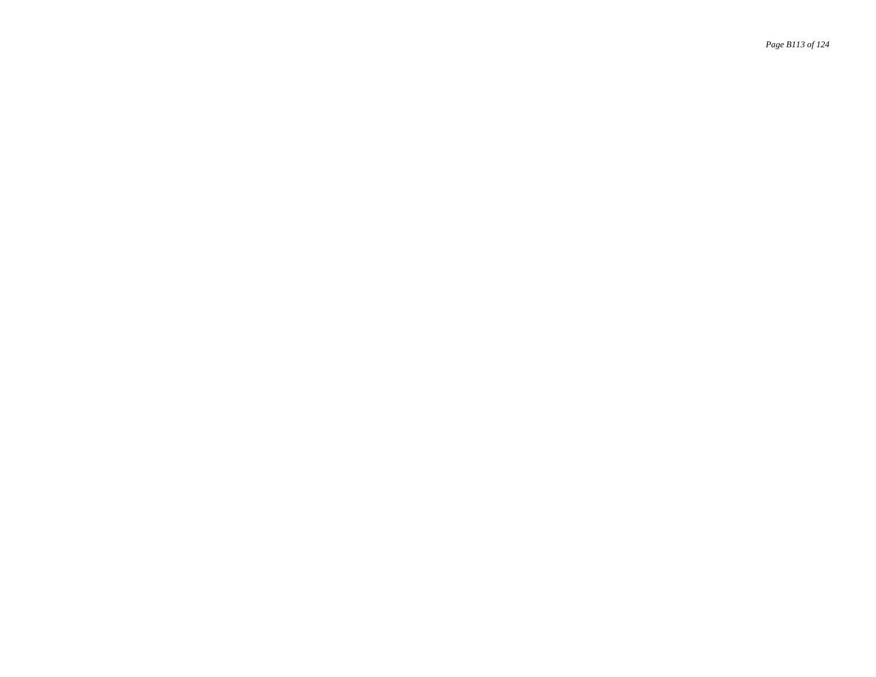*Page B113 of 124*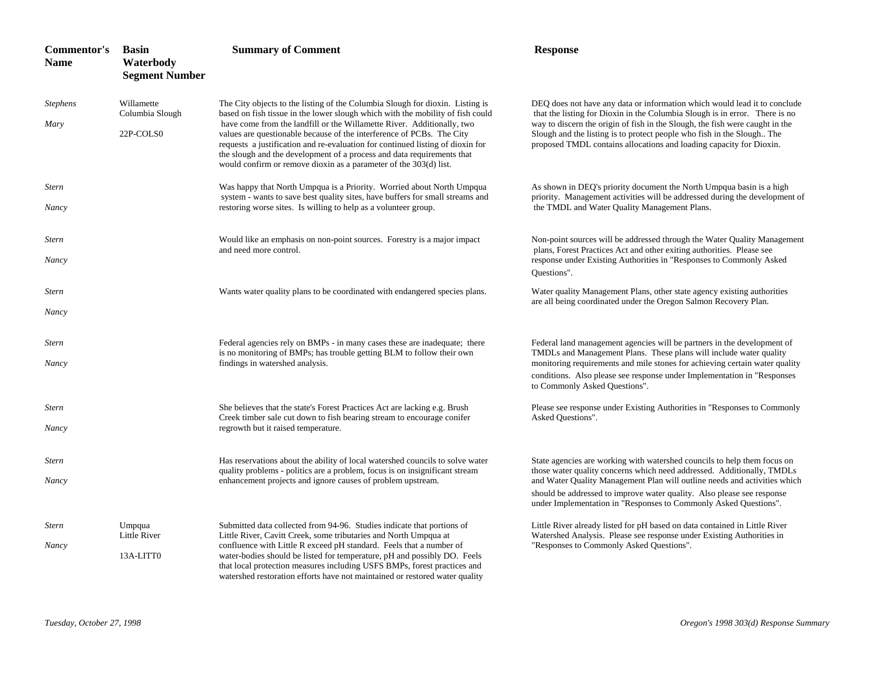| Commentor's<br><b>Name</b> | <b>Basin</b><br>Waterbody<br><b>Segment Number</b> | <b>Summary of Comment</b>                                                                                                                                                                                                                                                                                                                                                                                                                                                                                                                           | <b>Response</b>                                                                                                                                                                                                                                                                                                                                                                            |
|----------------------------|----------------------------------------------------|-----------------------------------------------------------------------------------------------------------------------------------------------------------------------------------------------------------------------------------------------------------------------------------------------------------------------------------------------------------------------------------------------------------------------------------------------------------------------------------------------------------------------------------------------------|--------------------------------------------------------------------------------------------------------------------------------------------------------------------------------------------------------------------------------------------------------------------------------------------------------------------------------------------------------------------------------------------|
| <i>Stephens</i><br>Mary    | Willamette<br>Columbia Slough<br>22P-COLS0         | The City objects to the listing of the Columbia Slough for dioxin. Listing is<br>based on fish tissue in the lower slough which with the mobility of fish could<br>have come from the landfill or the Willamette River. Additionally, two<br>values are questionable because of the interference of PCBs. The City<br>requests a justification and re-evaluation for continued listing of dioxin for<br>the slough and the development of a process and data requirements that<br>would confirm or remove dioxin as a parameter of the 303(d) list. | DEQ does not have any data or information which would lead it to conclude<br>that the listing for Dioxin in the Columbia Slough is in error. There is no<br>way to discern the origin of fish in the Slough, the fish were caught in the<br>Slough and the listing is to protect people who fish in the Slough. The<br>proposed TMDL contains allocations and loading capacity for Dioxin. |
| <b>Stern</b><br>Nancy      |                                                    | Was happy that North Umpqua is a Priority. Worried about North Umpqua<br>system - wants to save best quality sites, have buffers for small streams and<br>restoring worse sites. Is willing to help as a volunteer group.                                                                                                                                                                                                                                                                                                                           | As shown in DEQ's priority document the North Umpqua basin is a high<br>priority. Management activities will be addressed during the development of<br>the TMDL and Water Quality Management Plans.                                                                                                                                                                                        |
| <b>Stern</b><br>Nancy      |                                                    | Would like an emphasis on non-point sources. Forestry is a major impact<br>and need more control.                                                                                                                                                                                                                                                                                                                                                                                                                                                   | Non-point sources will be addressed through the Water Quality Management<br>plans, Forest Practices Act and other exiting authorities. Please see<br>response under Existing Authorities in "Responses to Commonly Asked<br>Ouestions".                                                                                                                                                    |
| <i>Stern</i><br>Nancy      |                                                    | Wants water quality plans to be coordinated with endangered species plans.                                                                                                                                                                                                                                                                                                                                                                                                                                                                          | Water quality Management Plans, other state agency existing authorities<br>are all being coordinated under the Oregon Salmon Recovery Plan.                                                                                                                                                                                                                                                |
| <i>Stern</i><br>Nancy      |                                                    | Federal agencies rely on BMPs - in many cases these are inadequate; there<br>is no monitoring of BMPs; has trouble getting BLM to follow their own<br>findings in watershed analysis.                                                                                                                                                                                                                                                                                                                                                               | Federal land management agencies will be partners in the development of<br>TMDLs and Management Plans. These plans will include water quality<br>monitoring requirements and mile stones for achieving certain water quality<br>conditions. Also please see response under Implementation in "Responses"<br>to Commonly Asked Questions".                                                  |
| <i>Stern</i><br>Nancy      |                                                    | She believes that the state's Forest Practices Act are lacking e.g. Brush<br>Creek timber sale cut down to fish bearing stream to encourage conifer<br>regrowth but it raised temperature.                                                                                                                                                                                                                                                                                                                                                          | Please see response under Existing Authorities in "Responses to Commonly"<br>Asked Questions".                                                                                                                                                                                                                                                                                             |
| <b>Stern</b><br>Nancy      |                                                    | Has reservations about the ability of local watershed councils to solve water<br>quality problems - politics are a problem, focus is on insignificant stream<br>enhancement projects and ignore causes of problem upstream.                                                                                                                                                                                                                                                                                                                         | State agencies are working with watershed councils to help them focus on<br>those water quality concerns which need addressed. Additionally, TMDLs<br>and Water Quality Management Plan will outline needs and activities which<br>should be addressed to improve water quality. Also please see response<br>under Implementation in "Responses to Commonly Asked Questions".              |
| <i>Stern</i><br>Nancy      | Umpqua<br>Little River<br>13A-LITT0                | Submitted data collected from 94-96. Studies indicate that portions of<br>Little River, Cavitt Creek, some tributaries and North Umpqua at<br>confluence with Little R exceed pH standard. Feels that a number of<br>water-bodies should be listed for temperature, pH and possibly DO. Feels<br>that local protection measures including USFS BMPs, forest practices and<br>watershed restoration efforts have not maintained or restored water quality                                                                                            | Little River already listed for pH based on data contained in Little River<br>Watershed Analysis. Please see response under Existing Authorities in<br>"Responses to Commonly Asked Questions".                                                                                                                                                                                            |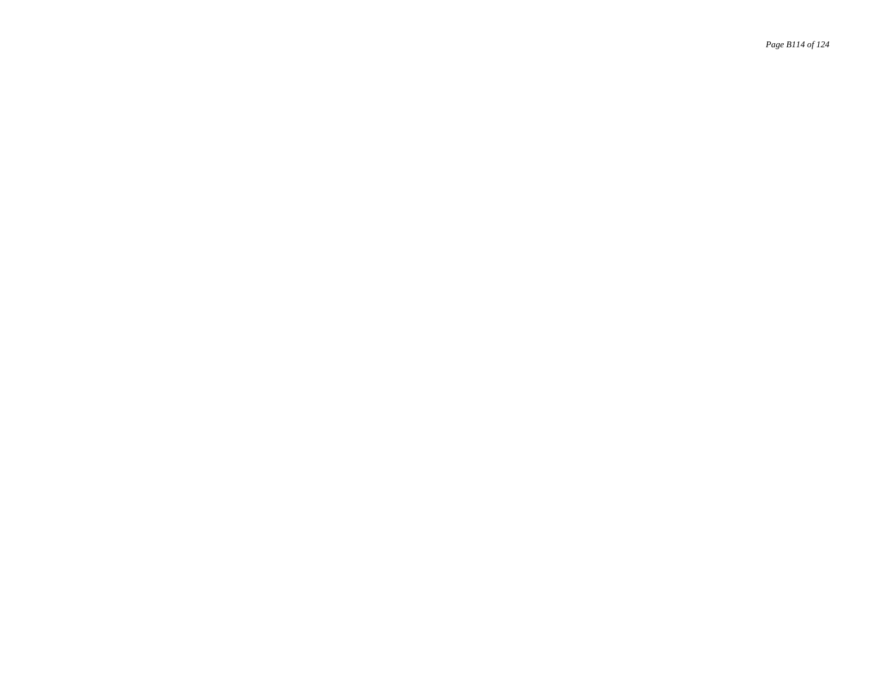*Page B114 of 124*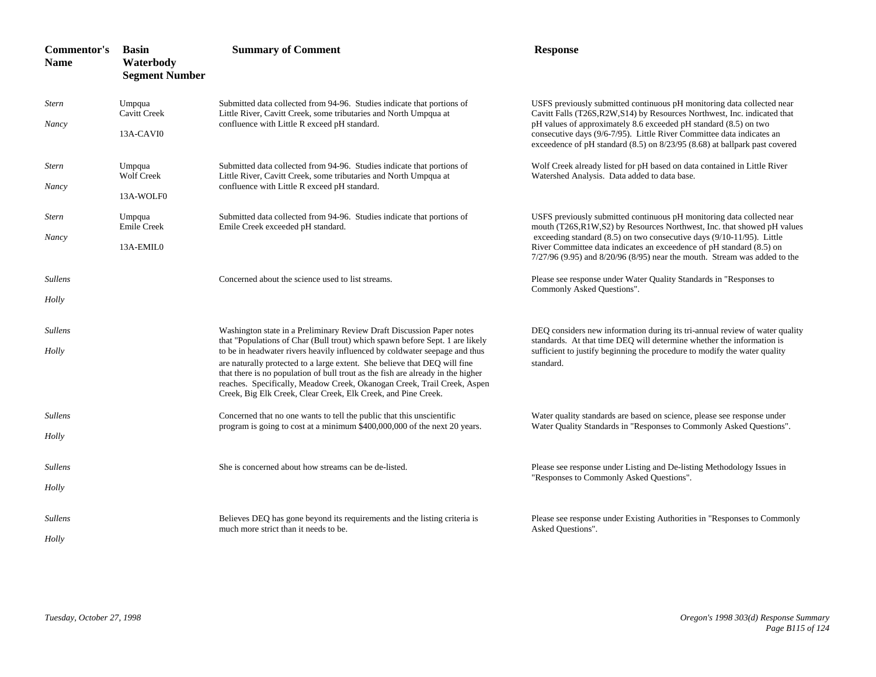| <b>Commentor's</b><br><b>Name</b> | <b>Basin</b><br>Waterbody<br><b>Segment Number</b> | <b>Summary of Comment</b>                                                                                                                                                                                                                                                                                                                                                                                                                                                                                                                       | <b>Response</b>                                                                                                                                                                                                                                                                                                                                                                    |
|-----------------------------------|----------------------------------------------------|-------------------------------------------------------------------------------------------------------------------------------------------------------------------------------------------------------------------------------------------------------------------------------------------------------------------------------------------------------------------------------------------------------------------------------------------------------------------------------------------------------------------------------------------------|------------------------------------------------------------------------------------------------------------------------------------------------------------------------------------------------------------------------------------------------------------------------------------------------------------------------------------------------------------------------------------|
| <b>Stern</b><br>Nancy             | Umpqua<br>Cavitt Creek<br>13A-CAVI0                | Submitted data collected from 94-96. Studies indicate that portions of<br>Little River, Cavitt Creek, some tributaries and North Umpqua at<br>confluence with Little R exceed pH standard.                                                                                                                                                                                                                                                                                                                                                      | USFS previously submitted continuous pH monitoring data collected near<br>Cavitt Falls (T26S, R2W, S14) by Resources Northwest, Inc. indicated that<br>pH values of approximately 8.6 exceeded pH standard (8.5) on two<br>consecutive days (9/6-7/95). Little River Committee data indicates an<br>exceedence of pH standard (8.5) on 8/23/95 (8.68) at ballpark past covered     |
| <b>Stern</b><br>Nancy             | Umpqua<br><b>Wolf Creek</b><br>13A-WOLF0           | Submitted data collected from 94-96. Studies indicate that portions of<br>Little River, Cavitt Creek, some tributaries and North Umpqua at<br>confluence with Little R exceed pH standard.                                                                                                                                                                                                                                                                                                                                                      | Wolf Creek already listed for pH based on data contained in Little River<br>Watershed Analysis. Data added to data base.                                                                                                                                                                                                                                                           |
| <b>Stern</b><br>Nancy             | Umpqua<br><b>Emile Creek</b><br>13A-EMIL0          | Submitted data collected from 94-96. Studies indicate that portions of<br>Emile Creek exceeded pH standard.                                                                                                                                                                                                                                                                                                                                                                                                                                     | USFS previously submitted continuous pH monitoring data collected near<br>mouth (T26S,R1W,S2) by Resources Northwest, Inc. that showed pH values<br>exceeding standard (8.5) on two consecutive days (9/10-11/95). Little<br>River Committee data indicates an exceedence of pH standard (8.5) on<br>$7/27/96$ (9.95) and $8/20/96$ (8/95) near the mouth. Stream was added to the |
| <i>Sullens</i><br>Holly           |                                                    | Concerned about the science used to list streams.                                                                                                                                                                                                                                                                                                                                                                                                                                                                                               | Please see response under Water Quality Standards in "Responses to<br>Commonly Asked Questions".                                                                                                                                                                                                                                                                                   |
| <b>Sullens</b><br>Holly           |                                                    | Washington state in a Preliminary Review Draft Discussion Paper notes<br>that "Populations of Char (Bull trout) which spawn before Sept. 1 are likely<br>to be in headwater rivers heavily influenced by coldwater seepage and thus<br>are naturally protected to a large extent. She believe that DEQ will fine<br>that there is no population of bull trout as the fish are already in the higher<br>reaches. Specifically, Meadow Creek, Okanogan Creek, Trail Creek, Aspen<br>Creek, Big Elk Creek, Clear Creek, Elk Creek, and Pine Creek. | DEQ considers new information during its tri-annual review of water quality<br>standards. At that time DEQ will determine whether the information is<br>sufficient to justify beginning the procedure to modify the water quality<br>standard.                                                                                                                                     |
| <b>Sullens</b><br>Holly           |                                                    | Concerned that no one wants to tell the public that this unscientific<br>program is going to cost at a minimum \$400,000,000 of the next 20 years.                                                                                                                                                                                                                                                                                                                                                                                              | Water quality standards are based on science, please see response under<br>Water Quality Standards in "Responses to Commonly Asked Questions".                                                                                                                                                                                                                                     |
| <b>Sullens</b><br>Holly           |                                                    | She is concerned about how streams can be de-listed.                                                                                                                                                                                                                                                                                                                                                                                                                                                                                            | Please see response under Listing and De-listing Methodology Issues in<br>"Responses to Commonly Asked Questions".                                                                                                                                                                                                                                                                 |
| <i>Sullens</i><br>Holly           |                                                    | Believes DEQ has gone beyond its requirements and the listing criteria is<br>much more strict than it needs to be.                                                                                                                                                                                                                                                                                                                                                                                                                              | Please see response under Existing Authorities in "Responses to Commonly<br>Asked Questions".                                                                                                                                                                                                                                                                                      |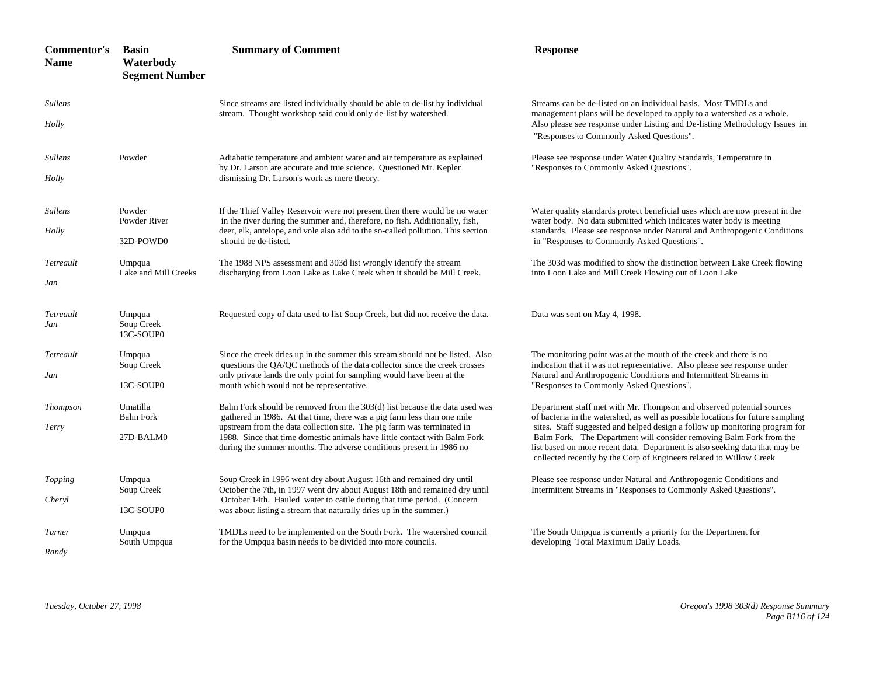| <b>Commentor's</b><br><b>Name</b> | <b>Basin</b><br>Waterbody<br><b>Segment Number</b> | <b>Summary of Comment</b>                                                                                                                                                                                                           | <b>Response</b>                                                                                                                                                                                                                                                                                          |
|-----------------------------------|----------------------------------------------------|-------------------------------------------------------------------------------------------------------------------------------------------------------------------------------------------------------------------------------------|----------------------------------------------------------------------------------------------------------------------------------------------------------------------------------------------------------------------------------------------------------------------------------------------------------|
| <i>Sullens</i>                    |                                                    | Since streams are listed individually should be able to de-list by individual                                                                                                                                                       | Streams can be de-listed on an individual basis. Most TMDLs and                                                                                                                                                                                                                                          |
| Holly                             |                                                    | stream. Thought workshop said could only de-list by watershed.                                                                                                                                                                      | management plans will be developed to apply to a watershed as a whole.<br>Also please see response under Listing and De-listing Methodology Issues in<br>"Responses to Commonly Asked Questions".                                                                                                        |
| <b>Sullens</b>                    | Powder                                             | Adiabatic temperature and ambient water and air temperature as explained<br>by Dr. Larson are accurate and true science. Questioned Mr. Kepler                                                                                      | Please see response under Water Quality Standards, Temperature in<br>"Responses to Commonly Asked Questions".                                                                                                                                                                                            |
| Holly                             |                                                    | dismissing Dr. Larson's work as mere theory.                                                                                                                                                                                        |                                                                                                                                                                                                                                                                                                          |
| <b>Sullens</b>                    | Powder<br>Powder River                             | If the Thief Valley Reservoir were not present then there would be no water<br>in the river during the summer and, therefore, no fish. Additionally, fish,                                                                          | Water quality standards protect beneficial uses which are now present in the<br>water body. No data submitted which indicates water body is meeting                                                                                                                                                      |
| Holly                             | 32D-POWD0                                          | deer, elk, antelope, and vole also add to the so-called pollution. This section<br>should be de-listed.                                                                                                                             | standards. Please see response under Natural and Anthropogenic Conditions<br>in "Responses to Commonly Asked Questions".                                                                                                                                                                                 |
| Tetreault                         | Umpqua<br>Lake and Mill Creeks                     | The 1988 NPS assessment and 303d list wrongly identify the stream<br>discharging from Loon Lake as Lake Creek when it should be Mill Creek.                                                                                         | The 303d was modified to show the distinction between Lake Creek flowing<br>into Loon Lake and Mill Creek Flowing out of Loon Lake                                                                                                                                                                       |
| Jan                               |                                                    |                                                                                                                                                                                                                                     |                                                                                                                                                                                                                                                                                                          |
| Tetreault<br>Jan                  | Umpqua<br>Soup Creek<br>13C-SOUP0                  | Requested copy of data used to list Soup Creek, but did not receive the data.                                                                                                                                                       | Data was sent on May 4, 1998.                                                                                                                                                                                                                                                                            |
| Tetreault<br>Jan                  | Umpqua<br>Soup Creek                               | Since the creek dries up in the summer this stream should not be listed. Also<br>questions the QA/QC methods of the data collector since the creek crosses<br>only private lands the only point for sampling would have been at the | The monitoring point was at the mouth of the creek and there is no<br>indication that it was not representative. Also please see response under<br>Natural and Anthropogenic Conditions and Intermittent Streams in                                                                                      |
|                                   | 13C-SOUP0                                          | mouth which would not be representative.                                                                                                                                                                                            | "Responses to Commonly Asked Questions".                                                                                                                                                                                                                                                                 |
| <b>Thompson</b>                   | Umatilla<br><b>Balm Fork</b>                       | Balm Fork should be removed from the 303(d) list because the data used was<br>gathered in 1986. At that time, there was a pig farm less than one mile                                                                               | Department staff met with Mr. Thompson and observed potential sources<br>of bacteria in the watershed, as well as possible locations for future sampling                                                                                                                                                 |
| Terry                             | 27D-BALM0                                          | upstream from the data collection site. The pig farm was terminated in<br>1988. Since that time domestic animals have little contact with Balm Fork<br>during the summer months. The adverse conditions present in 1986 no          | sites. Staff suggested and helped design a follow up monitoring program for<br>Balm Fork. The Department will consider removing Balm Fork from the<br>list based on more recent data. Department is also seeking data that may be<br>collected recently by the Corp of Engineers related to Willow Creek |
| Topping                           | Umpqua<br>Soup Creek                               | Soup Creek in 1996 went dry about August 16th and remained dry until<br>October the 7th, in 1997 went dry about August 18th and remained dry until                                                                                  | Please see response under Natural and Anthropogenic Conditions and<br>Intermittent Streams in "Responses to Commonly Asked Questions".                                                                                                                                                                   |
| Cheryl                            | 13C-SOUP0                                          | October 14th. Hauled water to cattle during that time period. (Concern<br>was about listing a stream that naturally dries up in the summer.)                                                                                        |                                                                                                                                                                                                                                                                                                          |
| Turner                            | Umpqua<br>South Umpqua                             | TMDLs need to be implemented on the South Fork. The watershed council<br>for the Umpqua basin needs to be divided into more councils.                                                                                               | The South Umpqua is currently a priority for the Department for<br>developing Total Maximum Daily Loads.                                                                                                                                                                                                 |
| Randy                             |                                                    |                                                                                                                                                                                                                                     |                                                                                                                                                                                                                                                                                                          |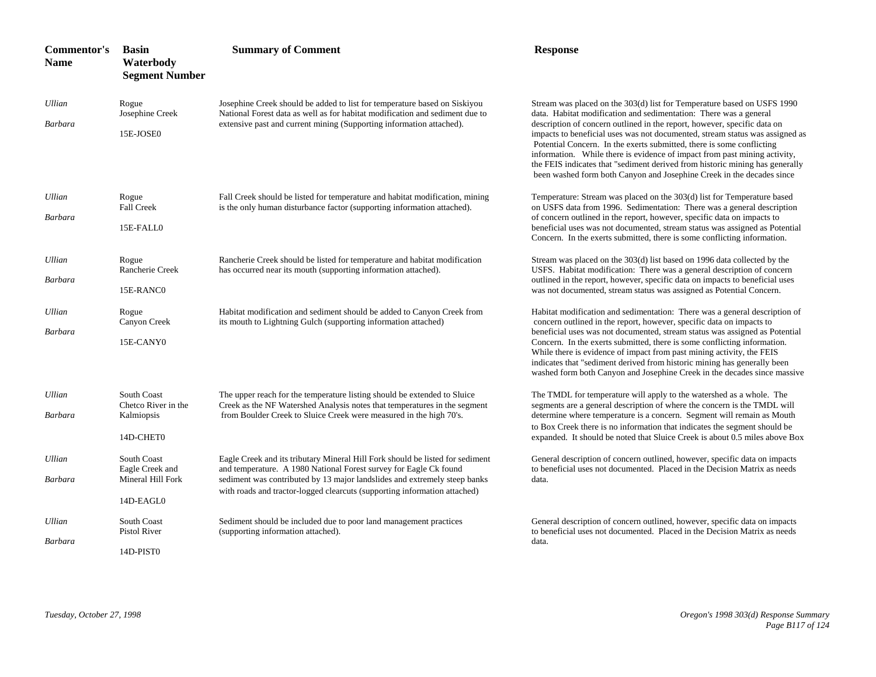| Commentor's<br><b>Name</b> | <b>Basin</b><br>Waterbody<br><b>Segment Number</b>                      | <b>Summary of Comment</b>                                                                                                                                                                                                                                                                                    | <b>Response</b>                                                                                                                                                                                                                                                                                                                                                                                                                                                                                                                                                                                                         |
|----------------------------|-------------------------------------------------------------------------|--------------------------------------------------------------------------------------------------------------------------------------------------------------------------------------------------------------------------------------------------------------------------------------------------------------|-------------------------------------------------------------------------------------------------------------------------------------------------------------------------------------------------------------------------------------------------------------------------------------------------------------------------------------------------------------------------------------------------------------------------------------------------------------------------------------------------------------------------------------------------------------------------------------------------------------------------|
| <b>Ullian</b><br>Barbara   | Rogue<br>Josephine Creek<br>15E-JOSE0                                   | Josephine Creek should be added to list for temperature based on Siskiyou<br>National Forest data as well as for habitat modification and sediment due to<br>extensive past and current mining (Supporting information attached).                                                                            | Stream was placed on the 303(d) list for Temperature based on USFS 1990<br>data. Habitat modification and sedimentation: There was a general<br>description of concern outlined in the report, however, specific data on<br>impacts to beneficial uses was not documented, stream status was assigned as<br>Potential Concern. In the exerts submitted, there is some conflicting<br>information. While there is evidence of impact from past mining activity,<br>the FEIS indicates that "sediment derived from historic mining has generally<br>been washed form both Canyon and Josephine Creek in the decades since |
| <b>Ullian</b><br>Barbara   | Rogue<br><b>Fall Creek</b><br>15E-FALL0                                 | Fall Creek should be listed for temperature and habitat modification, mining<br>is the only human disturbance factor (supporting information attached).                                                                                                                                                      | Temperature: Stream was placed on the 303(d) list for Temperature based<br>on USFS data from 1996. Sedimentation: There was a general description<br>of concern outlined in the report, however, specific data on impacts to<br>beneficial uses was not documented, stream status was assigned as Potential<br>Concern. In the exerts submitted, there is some conflicting information.                                                                                                                                                                                                                                 |
| <b>Ullian</b><br>Barbara   | Rogue<br>Rancherie Creek<br>15E-RANC0                                   | Rancherie Creek should be listed for temperature and habitat modification<br>has occurred near its mouth (supporting information attached).                                                                                                                                                                  | Stream was placed on the 303(d) list based on 1996 data collected by the<br>USFS. Habitat modification: There was a general description of concern<br>outlined in the report, however, specific data on impacts to beneficial uses<br>was not documented, stream status was assigned as Potential Concern.                                                                                                                                                                                                                                                                                                              |
| <b>Ullian</b><br>Barbara   | Rogue<br>Canyon Creek<br>15E-CANY0                                      | Habitat modification and sediment should be added to Canyon Creek from<br>its mouth to Lightning Gulch (supporting information attached)                                                                                                                                                                     | Habitat modification and sedimentation: There was a general description of<br>concern outlined in the report, however, specific data on impacts to<br>beneficial uses was not documented, stream status was assigned as Potential<br>Concern. In the exerts submitted, there is some conflicting information.<br>While there is evidence of impact from past mining activity, the FEIS<br>indicates that "sediment derived from historic mining has generally been<br>washed form both Canyon and Josephine Creek in the decades since massive                                                                          |
| <b>Ullian</b><br>Barbara   | South Coast<br>Chetco River in the<br>Kalmiopsis<br>14D-CHET0           | The upper reach for the temperature listing should be extended to Sluice<br>Creek as the NF Watershed Analysis notes that temperatures in the segment<br>from Boulder Creek to Sluice Creek were measured in the high 70's.                                                                                  | The TMDL for temperature will apply to the watershed as a whole. The<br>segments are a general description of where the concern is the TMDL will<br>determine where temperature is a concern. Segment will remain as Mouth<br>to Box Creek there is no information that indicates the segment should be<br>expanded. It should be noted that Sluice Creek is about 0.5 miles above Box                                                                                                                                                                                                                                  |
| <b>Ullian</b><br>Barbara   | <b>South Coast</b><br>Eagle Creek and<br>Mineral Hill Fork<br>14D-EAGL0 | Eagle Creek and its tributary Mineral Hill Fork should be listed for sediment<br>and temperature. A 1980 National Forest survey for Eagle Ck found<br>sediment was contributed by 13 major landslides and extremely steep banks<br>with roads and tractor-logged clearcuts (supporting information attached) | General description of concern outlined, however, specific data on impacts<br>to beneficial uses not documented. Placed in the Decision Matrix as needs<br>data.                                                                                                                                                                                                                                                                                                                                                                                                                                                        |
| <b>Ullian</b><br>Barbara   | South Coast<br>Pistol River<br>14D-PIST <sub>0</sub>                    | Sediment should be included due to poor land management practices<br>(supporting information attached).                                                                                                                                                                                                      | General description of concern outlined, however, specific data on impacts<br>to beneficial uses not documented. Placed in the Decision Matrix as needs<br>data.                                                                                                                                                                                                                                                                                                                                                                                                                                                        |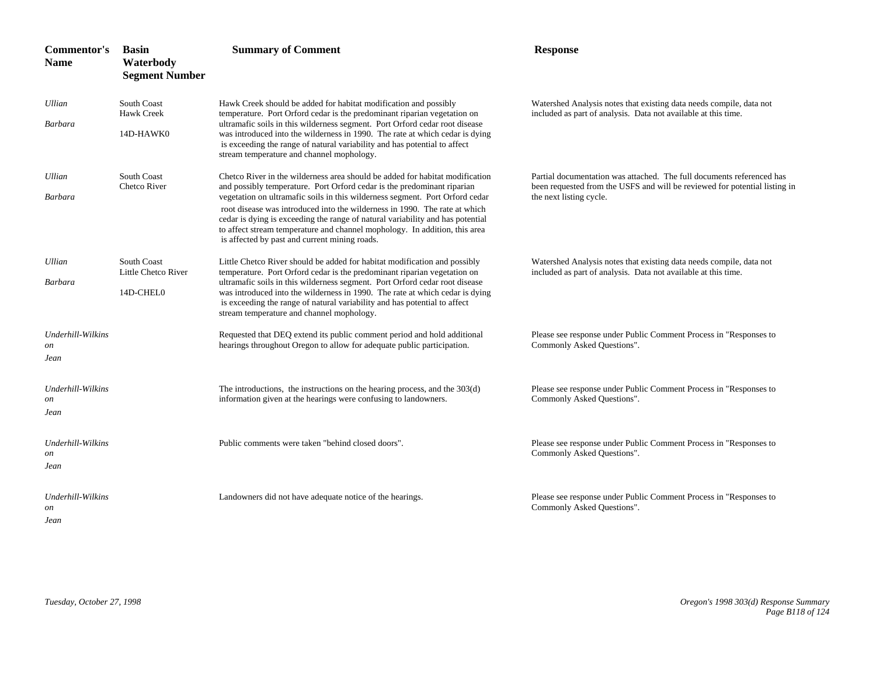| Commentor's<br><b>Name</b>                 | <b>Basin</b><br>Waterbody<br><b>Segment Number</b>     | <b>Summary of Comment</b>                                                                                                                                                                                                                                                                                                                                                                                                                                                                                                              | <b>Response</b>                                                                                                                                                                |
|--------------------------------------------|--------------------------------------------------------|----------------------------------------------------------------------------------------------------------------------------------------------------------------------------------------------------------------------------------------------------------------------------------------------------------------------------------------------------------------------------------------------------------------------------------------------------------------------------------------------------------------------------------------|--------------------------------------------------------------------------------------------------------------------------------------------------------------------------------|
| <i>Ullian</i><br>Barbara                   | South Coast<br><b>Hawk Creek</b><br>14D-HAWK0          | Hawk Creek should be added for habitat modification and possibly<br>temperature. Port Orford cedar is the predominant riparian vegetation on<br>ultramafic soils in this wilderness segment. Port Orford cedar root disease<br>was introduced into the wilderness in 1990. The rate at which cedar is dying<br>is exceeding the range of natural variability and has potential to affect<br>stream temperature and channel mophology.                                                                                                  | Watershed Analysis notes that existing data needs compile, data not<br>included as part of analysis. Data not available at this time.                                          |
| <b>Ullian</b><br>Barbara                   | <b>South Coast</b><br><b>Chetco River</b>              | Chetco River in the wilderness area should be added for habitat modification<br>and possibly temperature. Port Orford cedar is the predominant riparian<br>vegetation on ultramafic soils in this wilderness segment. Port Orford cedar<br>root disease was introduced into the wilderness in 1990. The rate at which<br>cedar is dying is exceeding the range of natural variability and has potential<br>to affect stream temperature and channel mophology. In addition, this area<br>is affected by past and current mining roads. | Partial documentation was attached. The full documents referenced has<br>been requested from the USFS and will be reviewed for potential listing in<br>the next listing cycle. |
| <i>Ullian</i><br>Barbara                   | <b>South Coast</b><br>Little Chetco River<br>14D-CHEL0 | Little Chetco River should be added for habitat modification and possibly<br>temperature. Port Orford cedar is the predominant riparian vegetation on<br>ultramafic soils in this wilderness segment. Port Orford cedar root disease<br>was introduced into the wilderness in 1990. The rate at which cedar is dying<br>is exceeding the range of natural variability and has potential to affect<br>stream temperature and channel mophology.                                                                                         | Watershed Analysis notes that existing data needs compile, data not<br>included as part of analysis. Data not available at this time.                                          |
| Underhill-Wilkins<br>on<br>Jean            |                                                        | Requested that DEQ extend its public comment period and hold additional<br>hearings throughout Oregon to allow for adequate public participation.                                                                                                                                                                                                                                                                                                                                                                                      | Please see response under Public Comment Process in "Responses to<br>Commonly Asked Questions".                                                                                |
| Underhill-Wilkins<br><sub>on</sub><br>Jean |                                                        | The introductions, the instructions on the hearing process, and the $303(d)$<br>information given at the hearings were confusing to landowners.                                                                                                                                                                                                                                                                                                                                                                                        | Please see response under Public Comment Process in "Responses to<br>Commonly Asked Questions".                                                                                |
| Underhill-Wilkins<br><sub>on</sub><br>Jean |                                                        | Public comments were taken "behind closed doors".                                                                                                                                                                                                                                                                                                                                                                                                                                                                                      | Please see response under Public Comment Process in "Responses to<br>Commonly Asked Questions".                                                                                |
| Underhill-Wilkins<br>on<br>Jean            |                                                        | Landowners did not have adequate notice of the hearings.                                                                                                                                                                                                                                                                                                                                                                                                                                                                               | Please see response under Public Comment Process in "Responses to<br>Commonly Asked Questions".                                                                                |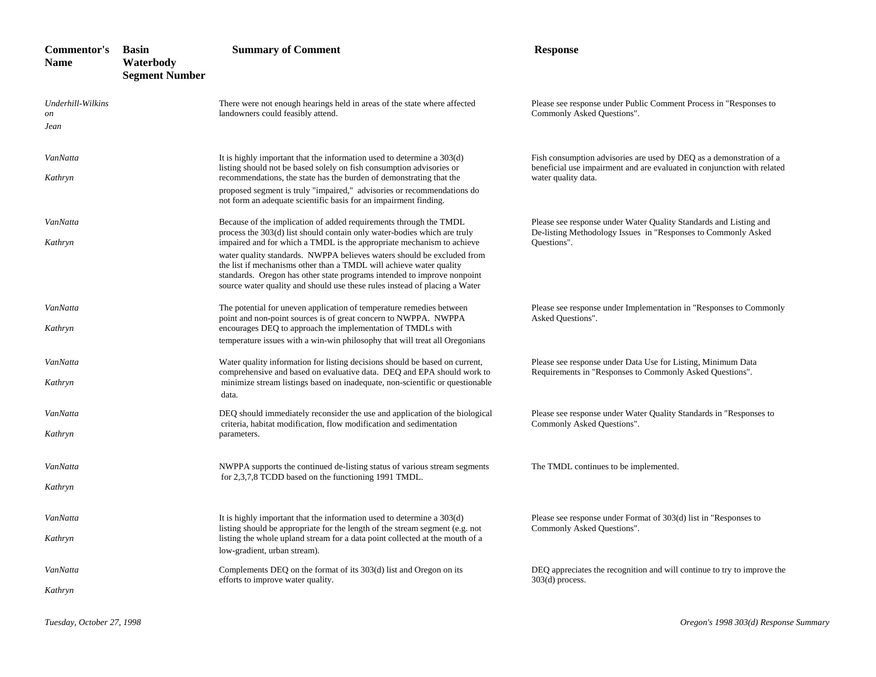| <b>Commentor's</b><br>Name      | <b>Basin</b><br>Waterbody<br><b>Segment Number</b> | <b>Summary of Comment</b>                                                                                                                                                                                                                                                                                                                                                                                                                                                                                                        | <b>Response</b>                                                                                                                                                       |
|---------------------------------|----------------------------------------------------|----------------------------------------------------------------------------------------------------------------------------------------------------------------------------------------------------------------------------------------------------------------------------------------------------------------------------------------------------------------------------------------------------------------------------------------------------------------------------------------------------------------------------------|-----------------------------------------------------------------------------------------------------------------------------------------------------------------------|
| Underhill-Wilkins<br>on<br>Jean |                                                    | There were not enough hearings held in areas of the state where affected<br>landowners could feasibly attend.                                                                                                                                                                                                                                                                                                                                                                                                                    | Please see response under Public Comment Process in "Responses to<br>Commonly Asked Questions".                                                                       |
| VanNatta<br>Kathryn             |                                                    | It is highly important that the information used to determine a $303(d)$<br>listing should not be based solely on fish consumption advisories or<br>recommendations, the state has the burden of demonstrating that the<br>proposed segment is truly "impaired," advisories or recommendations do<br>not form an adequate scientific basis for an impairment finding.                                                                                                                                                            | Fish consumption advisories are used by DEQ as a demonstration of a<br>beneficial use impairment and are evaluated in conjunction with related<br>water quality data. |
| VanNatta<br>Kathryn             |                                                    | Because of the implication of added requirements through the TMDL<br>process the 303(d) list should contain only water-bodies which are truly<br>impaired and for which a TMDL is the appropriate mechanism to achieve<br>water quality standards. NWPPA believes waters should be excluded from<br>the list if mechanisms other than a TMDL will achieve water quality<br>standards. Oregon has other state programs intended to improve nonpoint<br>source water quality and should use these rules instead of placing a Water | Please see response under Water Quality Standards and Listing and<br>De-listing Methodology Issues in "Responses to Commonly Asked<br>Questions".                     |
| VanNatta<br>Kathryn             |                                                    | The potential for uneven application of temperature remedies between<br>point and non-point sources is of great concern to NWPPA. NWPPA<br>encourages DEQ to approach the implementation of TMDLs with<br>temperature issues with a win-win philosophy that will treat all Oregonians                                                                                                                                                                                                                                            | Please see response under Implementation in "Responses to Commonly<br>Asked Questions".                                                                               |
| VanNatta<br>Kathryn             |                                                    | Water quality information for listing decisions should be based on current,<br>comprehensive and based on evaluative data. DEQ and EPA should work to<br>minimize stream listings based on inadequate, non-scientific or questionable<br>data.                                                                                                                                                                                                                                                                                   | Please see response under Data Use for Listing, Minimum Data<br>Requirements in "Responses to Commonly Asked Questions".                                              |
| VanNatta<br>Kathryn             |                                                    | DEQ should immediately reconsider the use and application of the biological<br>criteria, habitat modification, flow modification and sedimentation<br>parameters.                                                                                                                                                                                                                                                                                                                                                                | Please see response under Water Quality Standards in "Responses to<br>Commonly Asked Questions".                                                                      |
| VanNatta<br>Kathryn             |                                                    | NWPPA supports the continued de-listing status of various stream segments<br>for 2,3,7,8 TCDD based on the functioning 1991 TMDL.                                                                                                                                                                                                                                                                                                                                                                                                | The TMDL continues to be implemented.                                                                                                                                 |
| VanNatta<br>Kathryn             |                                                    | It is highly important that the information used to determine a $303(d)$<br>listing should be appropriate for the length of the stream segment (e.g. not<br>listing the whole upland stream for a data point collected at the mouth of a<br>low-gradient, urban stream).                                                                                                                                                                                                                                                         | Please see response under Format of 303(d) list in "Responses to<br>Commonly Asked Questions".                                                                        |
| VanNatta<br>Kathryn             |                                                    | Complements DEQ on the format of its 303(d) list and Oregon on its<br>efforts to improve water quality.                                                                                                                                                                                                                                                                                                                                                                                                                          | DEQ appreciates the recognition and will continue to try to improve the<br>$303(d)$ process.                                                                          |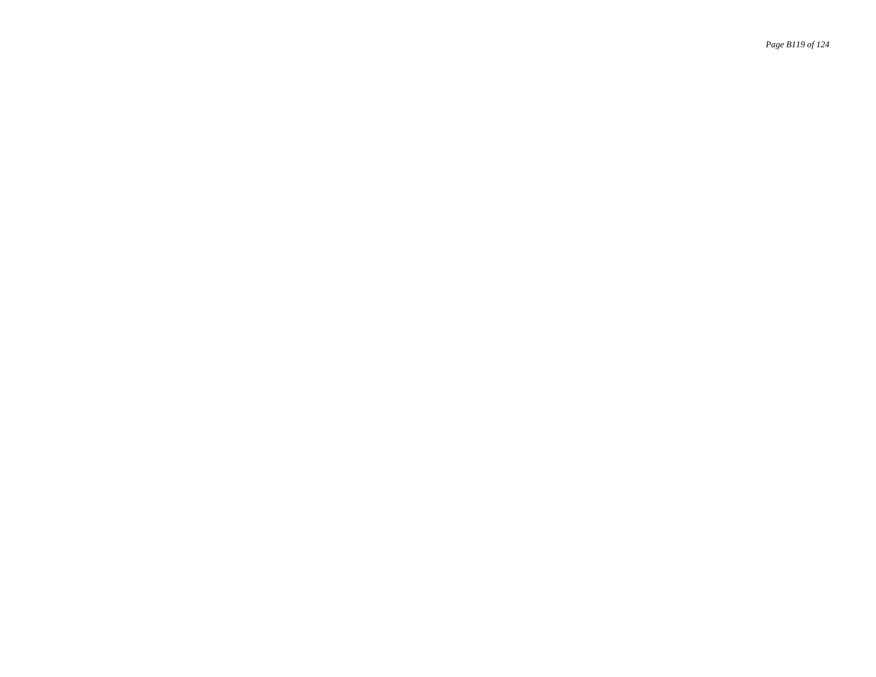*Page B119 of 124*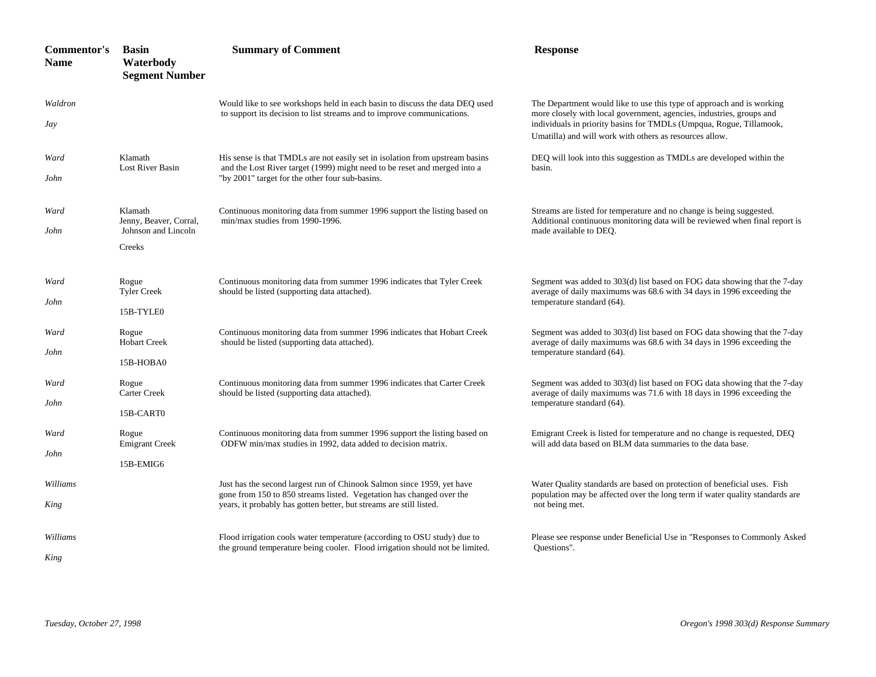| <b>Commentor's</b><br>Name | <b>Basin</b><br>Waterbody<br><b>Segment Number</b> | <b>Summary of Comment</b>                                                                                                                                 | <b>Response</b>                                                                                                                                                                                        |
|----------------------------|----------------------------------------------------|-----------------------------------------------------------------------------------------------------------------------------------------------------------|--------------------------------------------------------------------------------------------------------------------------------------------------------------------------------------------------------|
| Waldron                    |                                                    | Would like to see workshops held in each basin to discuss the data DEQ used                                                                               | The Department would like to use this type of approach and is working                                                                                                                                  |
| Jay                        |                                                    | to support its decision to list streams and to improve communications.                                                                                    | more closely with local government, agencies, industries, groups and<br>individuals in priority basins for TMDLs (Umpqua, Rogue, Tillamook,<br>Umatilla) and will work with others as resources allow. |
| Ward                       | Klamath<br>Lost River Basin                        | His sense is that TMDLs are not easily set in isolation from upstream basins<br>and the Lost River target (1999) might need to be reset and merged into a | DEQ will look into this suggestion as TMDLs are developed within the<br>basin.                                                                                                                         |
| John                       |                                                    | "by 2001" target for the other four sub-basins.                                                                                                           |                                                                                                                                                                                                        |
| Ward                       | Klamath<br>Jenny, Beaver, Corral,                  | Continuous monitoring data from summer 1996 support the listing based on<br>min/max studies from 1990-1996.                                               | Streams are listed for temperature and no change is being suggested.<br>Additional continuous monitoring data will be reviewed when final report is<br>made available to DEQ.                          |
| John                       | Johnson and Lincoln<br>Creeks                      |                                                                                                                                                           |                                                                                                                                                                                                        |
|                            |                                                    |                                                                                                                                                           |                                                                                                                                                                                                        |
| Ward                       | Rogue<br><b>Tyler Creek</b>                        | Continuous monitoring data from summer 1996 indicates that Tyler Creek<br>should be listed (supporting data attached).                                    | Segment was added to 303(d) list based on FOG data showing that the 7-day<br>average of daily maximums was 68.6 with 34 days in 1996 exceeding the<br>temperature standard (64).                       |
| John                       | 15B-TYLE0                                          |                                                                                                                                                           |                                                                                                                                                                                                        |
| Ward                       | Rogue<br><b>Hobart Creek</b>                       | Continuous monitoring data from summer 1996 indicates that Hobart Creek<br>should be listed (supporting data attached).                                   | Segment was added to 303(d) list based on FOG data showing that the 7-day<br>average of daily maximums was 68.6 with 34 days in 1996 exceeding the<br>temperature standard (64).                       |
| John                       | 15B-HOBA0                                          |                                                                                                                                                           |                                                                                                                                                                                                        |
| Ward                       | Rogue<br>Carter Creek                              | Continuous monitoring data from summer 1996 indicates that Carter Creek<br>should be listed (supporting data attached).                                   | Segment was added to 303(d) list based on FOG data showing that the 7-day<br>average of daily maximums was 71.6 with 18 days in 1996 exceeding the                                                     |
| John                       | 15B-CART0                                          |                                                                                                                                                           | temperature standard (64).                                                                                                                                                                             |
| Ward                       | Rogue<br><b>Emigrant Creek</b>                     | Continuous monitoring data from summer 1996 support the listing based on<br>ODFW min/max studies in 1992, data added to decision matrix.                  | Emigrant Creek is listed for temperature and no change is requested, DEQ<br>will add data based on BLM data summaries to the data base.                                                                |
| John                       | 15B-EMIG6                                          |                                                                                                                                                           |                                                                                                                                                                                                        |
| Williams                   |                                                    | Just has the second largest run of Chinook Salmon since 1959, yet have<br>gone from 150 to 850 streams listed. Vegetation has changed over the            | Water Quality standards are based on protection of beneficial uses. Fish<br>population may be affected over the long term if water quality standards are                                               |
| King                       |                                                    | years, it probably has gotten better, but streams are still listed.<br>not being met.                                                                     |                                                                                                                                                                                                        |
| Williams                   |                                                    | Flood irrigation cools water temperature (according to OSU study) due to                                                                                  | Please see response under Beneficial Use in "Responses to Commonly Asked                                                                                                                               |
| King                       |                                                    | the ground temperature being cooler. Flood irrigation should not be limited.                                                                              | Questions".                                                                                                                                                                                            |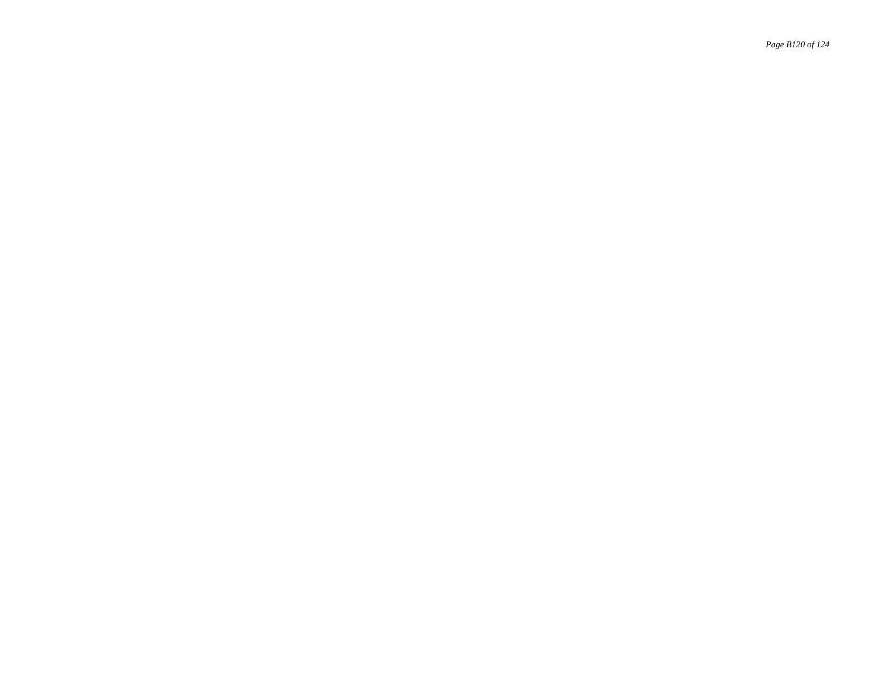*Page B120 of 124*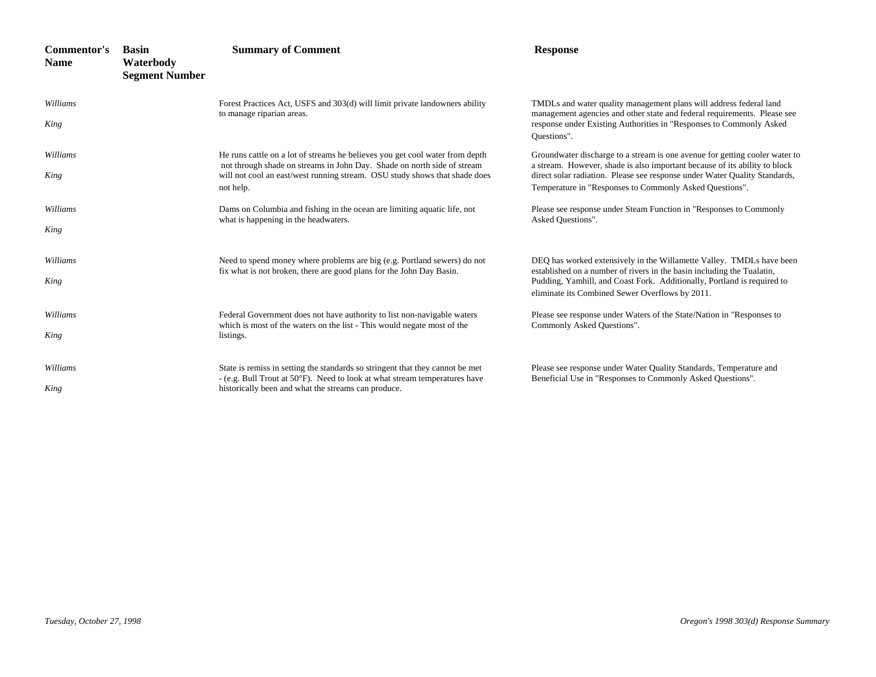| Commentor's<br><b>Name</b> | <b>Basin</b><br>Waterbody<br><b>Segment Number</b> | <b>Summary of Comment</b>                                                                                                                                                                                                    | <b>Response</b>                                                                                                                                                                                                                                                                                    |
|----------------------------|----------------------------------------------------|------------------------------------------------------------------------------------------------------------------------------------------------------------------------------------------------------------------------------|----------------------------------------------------------------------------------------------------------------------------------------------------------------------------------------------------------------------------------------------------------------------------------------------------|
| Williams                   |                                                    | Forest Practices Act, USFS and 303(d) will limit private landowners ability<br>to manage riparian areas.                                                                                                                     | TMDLs and water quality management plans will address federal land<br>management agencies and other state and federal requirements. Please see<br>response under Existing Authorities in "Responses to Commonly Asked<br>Questions".                                                               |
| King                       |                                                    |                                                                                                                                                                                                                              |                                                                                                                                                                                                                                                                                                    |
| Williams                   |                                                    | He runs cattle on a lot of streams he believes you get cool water from depth                                                                                                                                                 | Groundwater discharge to a stream is one avenue for getting cooler water to<br>a stream. However, shade is also important because of its ability to block<br>direct solar radiation. Please see response under Water Quality Standards,<br>Temperature in "Responses to Commonly Asked Questions". |
| King                       |                                                    | not through shade on streams in John Day. Shade on north side of stream<br>will not cool an east/west running stream. OSU study shows that shade does<br>not help.                                                           |                                                                                                                                                                                                                                                                                                    |
| Williams                   |                                                    | Dams on Columbia and fishing in the ocean are limiting aquatic life, not<br>what is happening in the headwaters.                                                                                                             | Please see response under Steam Function in "Responses to Commonly<br>Asked Questions".                                                                                                                                                                                                            |
| King                       |                                                    |                                                                                                                                                                                                                              |                                                                                                                                                                                                                                                                                                    |
| Williams                   |                                                    | Need to spend money where problems are big (e.g. Portland sewers) do not<br>fix what is not broken, there are good plans for the John Day Basin.                                                                             | DEQ has worked extensively in the Willamette Valley. TMDLs have been<br>established on a number of rivers in the basin including the Tualatin,<br>Pudding, Yamhill, and Coast Fork. Additionally, Portland is required to<br>eliminate its Combined Sewer Overflows by 2011.                       |
| King                       |                                                    |                                                                                                                                                                                                                              |                                                                                                                                                                                                                                                                                                    |
| Williams                   |                                                    | Federal Government does not have authority to list non-navigable waters<br>which is most of the waters on the list - This would negate most of the<br>listings.                                                              | Please see response under Waters of the State/Nation in "Responses to<br>Commonly Asked Questions".                                                                                                                                                                                                |
| King                       |                                                    |                                                                                                                                                                                                                              |                                                                                                                                                                                                                                                                                                    |
| Williams                   |                                                    | State is remiss in setting the standards so stringent that they cannot be met<br>- (e.g. Bull Trout at $50^{\circ}$ F). Need to look at what stream temperatures have<br>historically been and what the streams can produce. | Please see response under Water Quality Standards, Temperature and<br>Beneficial Use in "Responses to Commonly Asked Questions".                                                                                                                                                                   |
| King                       |                                                    |                                                                                                                                                                                                                              |                                                                                                                                                                                                                                                                                                    |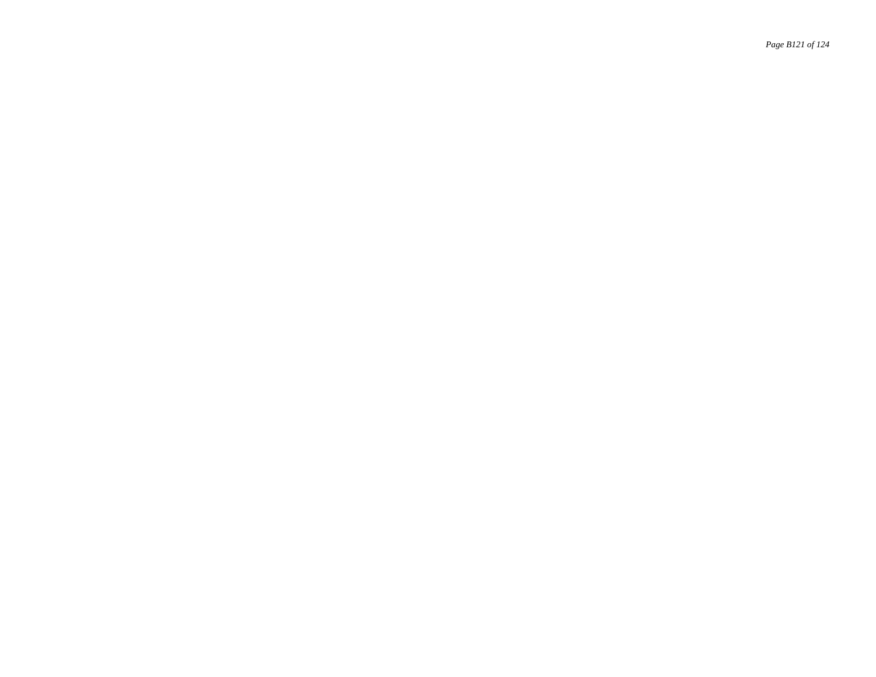*Page B121 of 124*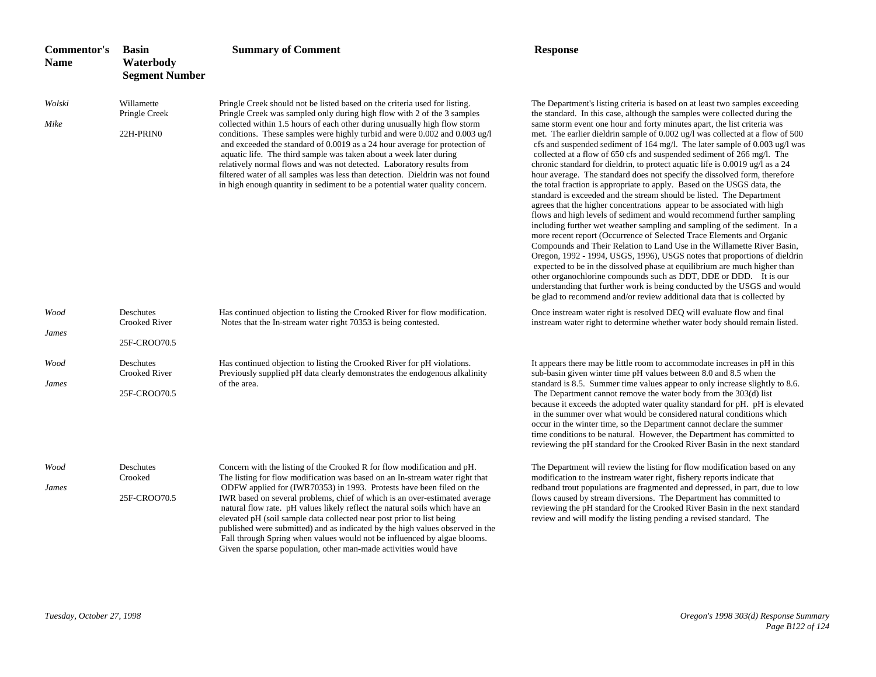| Commentor's<br><b>Name</b> | <b>Basin</b><br>Waterbody<br><b>Segment Number</b> | <b>Summary of Comment</b>                                                                                                                                                                                                                                                                                                                                                                                                                                                                                                                                                                                                                                                                                          | <b>Response</b>                                                                                                                                                                                                                                                                                                                                                                                                                                                                                                                                                                                                                                                                                                                                                                                                                                                                                                                                                                                                                                                                                                                                                                                                                                                                                                                                                                                                                                                                                                                                                              |
|----------------------------|----------------------------------------------------|--------------------------------------------------------------------------------------------------------------------------------------------------------------------------------------------------------------------------------------------------------------------------------------------------------------------------------------------------------------------------------------------------------------------------------------------------------------------------------------------------------------------------------------------------------------------------------------------------------------------------------------------------------------------------------------------------------------------|------------------------------------------------------------------------------------------------------------------------------------------------------------------------------------------------------------------------------------------------------------------------------------------------------------------------------------------------------------------------------------------------------------------------------------------------------------------------------------------------------------------------------------------------------------------------------------------------------------------------------------------------------------------------------------------------------------------------------------------------------------------------------------------------------------------------------------------------------------------------------------------------------------------------------------------------------------------------------------------------------------------------------------------------------------------------------------------------------------------------------------------------------------------------------------------------------------------------------------------------------------------------------------------------------------------------------------------------------------------------------------------------------------------------------------------------------------------------------------------------------------------------------------------------------------------------------|
| Wolski<br>Mike             | Willamette<br>Pringle Creek<br>22H-PRINO           | Pringle Creek should not be listed based on the criteria used for listing.<br>Pringle Creek was sampled only during high flow with 2 of the 3 samples<br>collected within 1.5 hours of each other during unusually high flow storm<br>conditions. These samples were highly turbid and were $0.002$ and $0.003$ ug/l<br>and exceeded the standard of 0.0019 as a 24 hour average for protection of<br>aquatic life. The third sample was taken about a week later during<br>relatively normal flows and was not detected. Laboratory results from<br>filtered water of all samples was less than detection. Dieldrin was not found<br>in high enough quantity in sediment to be a potential water quality concern. | The Department's listing criteria is based on at least two samples exceeding<br>the standard. In this case, although the samples were collected during the<br>same storm event one hour and forty minutes apart, the list criteria was<br>met. The earlier dieldrin sample of 0.002 ug/l was collected at a flow of 500<br>cfs and suspended sediment of 164 mg/l. The later sample of 0.003 ug/l was<br>collected at a flow of 650 cfs and suspended sediment of 266 mg/l. The<br>chronic standard for dieldrin, to protect aquatic life is 0.0019 ug/l as a 24<br>hour average. The standard does not specify the dissolved form, therefore<br>the total fraction is appropriate to apply. Based on the USGS data, the<br>standard is exceeded and the stream should be listed. The Department<br>agrees that the higher concentrations appear to be associated with high<br>flows and high levels of sediment and would recommend further sampling<br>including further wet weather sampling and sampling of the sediment. In a<br>more recent report (Occurrence of Selected Trace Elements and Organic<br>Compounds and Their Relation to Land Use in the Willamette River Basin,<br>Oregon, 1992 - 1994, USGS, 1996), USGS notes that proportions of dieldrin<br>expected to be in the dissolved phase at equilibrium are much higher than<br>other organochlorine compounds such as DDT, DDE or DDD. It is our<br>understanding that further work is being conducted by the USGS and would<br>be glad to recommend and/or review additional data that is collected by |
| Wood<br>James              | Deschutes<br>Crooked River<br>25F-CROO70.5         | Has continued objection to listing the Crooked River for flow modification.<br>Notes that the In-stream water right 70353 is being contested.                                                                                                                                                                                                                                                                                                                                                                                                                                                                                                                                                                      | Once instream water right is resolved DEQ will evaluate flow and final<br>instream water right to determine whether water body should remain listed.                                                                                                                                                                                                                                                                                                                                                                                                                                                                                                                                                                                                                                                                                                                                                                                                                                                                                                                                                                                                                                                                                                                                                                                                                                                                                                                                                                                                                         |
| Wood<br><b>James</b>       | Deschutes<br><b>Crooked River</b><br>25F-CROO70.5  | Has continued objection to listing the Crooked River for pH violations.<br>Previously supplied pH data clearly demonstrates the endogenous alkalinity<br>of the area.                                                                                                                                                                                                                                                                                                                                                                                                                                                                                                                                              | It appears there may be little room to accommodate increases in pH in this<br>sub-basin given winter time pH values between 8.0 and 8.5 when the<br>standard is 8.5. Summer time values appear to only increase slightly to 8.6.<br>The Department cannot remove the water body from the 303(d) list<br>because it exceeds the adopted water quality standard for pH. pH is elevated<br>in the summer over what would be considered natural conditions which<br>occur in the winter time, so the Department cannot declare the summer<br>time conditions to be natural. However, the Department has committed to<br>reviewing the pH standard for the Crooked River Basin in the next standard                                                                                                                                                                                                                                                                                                                                                                                                                                                                                                                                                                                                                                                                                                                                                                                                                                                                               |
| Wood<br><b>James</b>       | Deschutes<br>Crooked<br>25F-CROO70.5               | Concern with the listing of the Crooked R for flow modification and pH.<br>The listing for flow modification was based on an In-stream water right that<br>ODFW applied for (IWR70353) in 1993. Protests have been filed on the<br>IWR based on several problems, chief of which is an over-estimated average<br>natural flow rate. pH values likely reflect the natural soils which have an<br>elevated pH (soil sample data collected near post prior to list being<br>published were submitted) and as indicated by the high values observed in the<br>Fall through Spring when values would not be influenced by algae blooms.<br>Given the sparse population, other man-made activities would have            | The Department will review the listing for flow modification based on any<br>modification to the instream water right, fishery reports indicate that<br>redband trout populations are fragmented and depressed, in part, due to low<br>flows caused by stream diversions. The Department has committed to<br>reviewing the pH standard for the Crooked River Basin in the next standard<br>review and will modify the listing pending a revised standard. The                                                                                                                                                                                                                                                                                                                                                                                                                                                                                                                                                                                                                                                                                                                                                                                                                                                                                                                                                                                                                                                                                                                |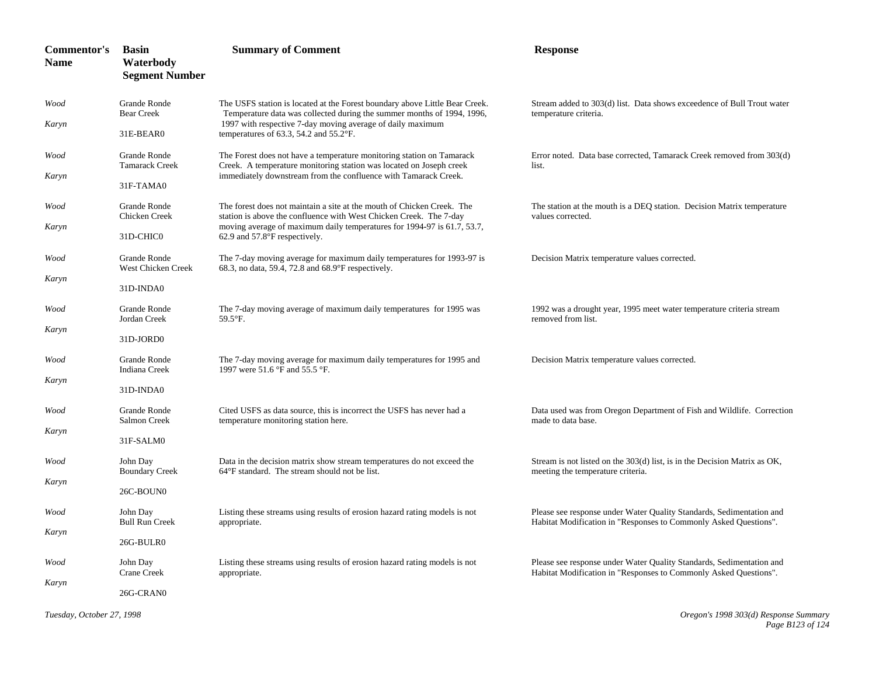| Commentor's<br><b>Name</b> | <b>Basin</b><br>Waterbody<br><b>Segment Number</b> | <b>Summary of Comment</b>                                                                                                                                                                                                                                | <b>Response</b>                                                                                                                          |
|----------------------------|----------------------------------------------------|----------------------------------------------------------------------------------------------------------------------------------------------------------------------------------------------------------------------------------------------------------|------------------------------------------------------------------------------------------------------------------------------------------|
| Wood<br>Karyn              | <b>Grande Ronde</b><br><b>Bear Creek</b>           | The USFS station is located at the Forest boundary above Little Bear Creek.<br>Temperature data was collected during the summer months of 1994, 1996,<br>1997 with respective 7-day moving average of daily maximum                                      | Stream added to 303(d) list. Data shows exceedence of Bull Trout water<br>temperature criteria.                                          |
|                            | 31E-BEAR0                                          | temperatures of $63.3$ , $54.2$ and $55.2$ °F.                                                                                                                                                                                                           |                                                                                                                                          |
| Wood                       | <b>Grande Ronde</b><br><b>Tamarack Creek</b>       | The Forest does not have a temperature monitoring station on Tamarack<br>Creek. A temperature monitoring station was located on Joseph creek<br>immediately downstream from the confluence with Tamarack Creek.                                          | Error noted. Data base corrected, Tamarack Creek removed from 303(d)<br>list.                                                            |
| Karyn                      | 31F-TAMA0                                          |                                                                                                                                                                                                                                                          |                                                                                                                                          |
| Wood                       | Grande Ronde<br><b>Chicken Creek</b>               | The forest does not maintain a site at the mouth of Chicken Creek. The<br>station is above the confluence with West Chicken Creek. The 7-day<br>moving average of maximum daily temperatures for 1994-97 is 61.7, 53.7,<br>62.9 and 57.8°F respectively. | The station at the mouth is a DEQ station. Decision Matrix temperature<br>values corrected.                                              |
| Karyn                      | 31D-CHICO                                          |                                                                                                                                                                                                                                                          |                                                                                                                                          |
| Wood                       | <b>Grande Ronde</b><br>West Chicken Creek          | The 7-day moving average for maximum daily temperatures for 1993-97 is<br>68.3, no data, 59.4, 72.8 and 68.9°F respectively.                                                                                                                             | Decision Matrix temperature values corrected.                                                                                            |
| Karyn                      | 31D-INDA0                                          |                                                                                                                                                                                                                                                          |                                                                                                                                          |
| Wood                       | <b>Grande Ronde</b><br>Jordan Creek                | The 7-day moving average of maximum daily temperatures for 1995 was<br>59.5°F.                                                                                                                                                                           | 1992 was a drought year, 1995 meet water temperature criteria stream<br>removed from list.                                               |
| Karyn                      | 31D-JORD0                                          |                                                                                                                                                                                                                                                          |                                                                                                                                          |
| Wood                       | Grande Ronde<br>Indiana Creek                      | The 7-day moving average for maximum daily temperatures for 1995 and<br>1997 were 51.6 °F and 55.5 °F.                                                                                                                                                   | Decision Matrix temperature values corrected.                                                                                            |
| Karyn                      | 31D-INDA0                                          |                                                                                                                                                                                                                                                          |                                                                                                                                          |
| Wood                       | Grande Ronde<br>Salmon Creek                       | Cited USFS as data source, this is incorrect the USFS has never had a<br>temperature monitoring station here.                                                                                                                                            | Data used was from Oregon Department of Fish and Wildlife. Correction<br>made to data base.                                              |
| Karyn                      | 31F-SALM0                                          |                                                                                                                                                                                                                                                          |                                                                                                                                          |
| Wood                       | John Day<br><b>Boundary Creek</b>                  | Data in the decision matrix show stream temperatures do not exceed the<br>64°F standard. The stream should not be list.                                                                                                                                  | Stream is not listed on the 303(d) list, is in the Decision Matrix as OK,<br>meeting the temperature criteria.                           |
| Karyn                      | 26C-BOUN0                                          |                                                                                                                                                                                                                                                          |                                                                                                                                          |
| Wood                       | John Day<br><b>Bull Run Creek</b>                  | Listing these streams using results of erosion hazard rating models is not<br>appropriate.                                                                                                                                                               | Please see response under Water Quality Standards, Sedimentation and<br>Habitat Modification in "Responses to Commonly Asked Questions". |
| Karyn                      | 26G-BULR0                                          |                                                                                                                                                                                                                                                          |                                                                                                                                          |
| Wood                       | John Day<br><b>Crane Creek</b>                     | Listing these streams using results of erosion hazard rating models is not<br>appropriate.                                                                                                                                                               | Please see response under Water Quality Standards, Sedimentation and<br>Habitat Modification in "Responses to Commonly Asked Questions". |
| Karyn                      | 26G-CRAN0                                          |                                                                                                                                                                                                                                                          |                                                                                                                                          |
|                            |                                                    |                                                                                                                                                                                                                                                          |                                                                                                                                          |

*Tuesday, October 27, 1998 Oregon's 1998 303(d) Response Summary Page B123 of 124*